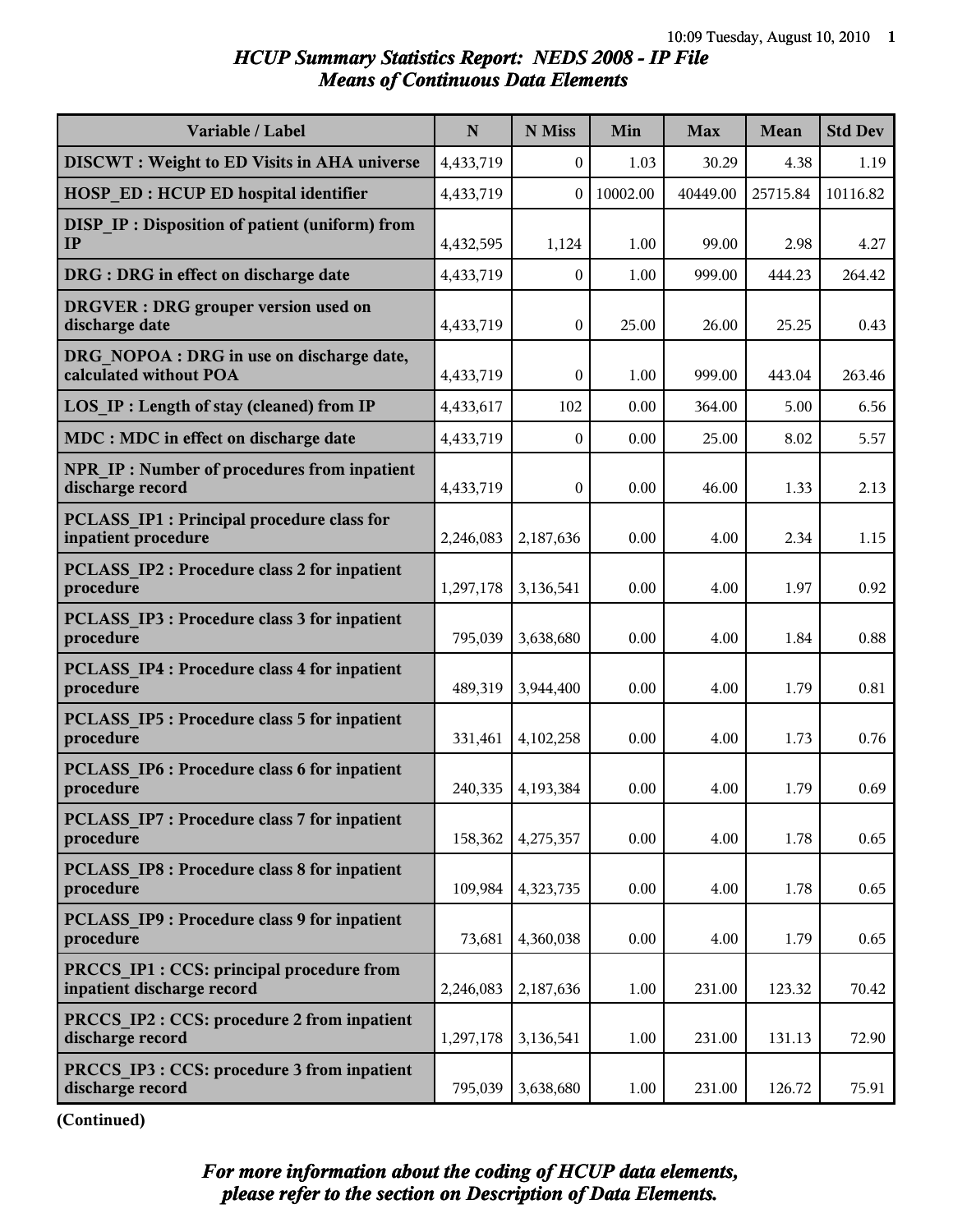#### *HCUP Summary Statistics Report: NEDS 2008 - IP File Means of Continuous Data Elements*

| Variable / Label                                                         | $\mathbf N$ | N Miss           | Min      | <b>Max</b> | <b>Mean</b> | <b>Std Dev</b> |
|--------------------------------------------------------------------------|-------------|------------------|----------|------------|-------------|----------------|
| <b>DISCWT</b> : Weight to ED Visits in AHA universe                      | 4,433,719   | $\mathbf{0}$     | 1.03     | 30.29      | 4.38        | 1.19           |
| <b>HOSP ED: HCUP ED hospital identifier</b>                              | 4,433,719   | $\mathbf{0}$     | 10002.00 | 40449.00   | 25715.84    | 10116.82       |
| <b>DISP IP: Disposition of patient (uniform) from</b><br>IP              | 4,432,595   | 1,124            | 1.00     | 99.00      | 2.98        | 4.27           |
| DRG : DRG in effect on discharge date                                    | 4,433,719   | $\mathbf{0}$     | 1.00     | 999.00     | 444.23      | 264.42         |
| <b>DRGVER</b> : DRG grouper version used on<br>discharge date            | 4,433,719   | $\mathbf{0}$     | 25.00    | 26.00      | 25.25       | 0.43           |
| DRG NOPOA : DRG in use on discharge date,<br>calculated without POA      | 4,433,719   | $\boldsymbol{0}$ | 1.00     | 999.00     | 443.04      | 263.46         |
| LOS IP : Length of stay (cleaned) from IP                                | 4,433,617   | 102              | 0.00     | 364.00     | 5.00        | 6.56           |
| MDC : MDC in effect on discharge date                                    | 4,433,719   | $\mathbf{0}$     | 0.00     | 25.00      | 8.02        | 5.57           |
| <b>NPR IP: Number of procedures from inpatient</b><br>discharge record   | 4,433,719   | $\mathbf{0}$     | 0.00     | 46.00      | 1.33        | 2.13           |
| <b>PCLASS IP1 : Principal procedure class for</b><br>inpatient procedure | 2,246,083   | 2,187,636        | 0.00     | 4.00       | 2.34        | 1.15           |
| <b>PCLASS IP2 : Procedure class 2 for inpatient</b><br>procedure         | 1,297,178   | 3,136,541        | 0.00     | 4.00       | 1.97        | 0.92           |
| <b>PCLASS IP3 : Procedure class 3 for inpatient</b><br>procedure         | 795,039     | 3,638,680        | 0.00     | 4.00       | 1.84        | 0.88           |
| <b>PCLASS IP4 : Procedure class 4 for inpatient</b><br>procedure         | 489,319     | 3,944,400        | 0.00     | 4.00       | 1.79        | 0.81           |
| <b>PCLASS IP5: Procedure class 5 for inpatient</b><br>procedure          | 331,461     | 4,102,258        | 0.00     | 4.00       | 1.73        | 0.76           |
| <b>PCLASS IP6 : Procedure class 6 for inpatient</b><br>procedure         | 240,335     | 4,193,384        | 0.00     | 4.00       | 1.79        | 0.69           |
| PCLASS IP7 : Procedure class 7 for inpatient<br>procedure                | 158,362     | 4,275,357        | 0.00     | 4.00       | 1.78        | 0.65           |
| PCLASS IP8 : Procedure class 8 for inpatient<br>procedure                | 109,984     | 4,323,735        | 0.00     | 4.00       | 1.78        | 0.65           |
| <b>PCLASS IP9: Procedure class 9 for inpatient</b><br>procedure          | 73,681      | 4,360,038        | 0.00     | 4.00       | 1.79        | 0.65           |
| PRCCS IP1 : CCS: principal procedure from<br>inpatient discharge record  | 2,246,083   | 2,187,636        | 1.00     | 231.00     | 123.32      | 70.42          |
| PRCCS IP2 : CCS: procedure 2 from inpatient<br>discharge record          | 1,297,178   | 3,136,541        | 1.00     | 231.00     | 131.13      | 72.90          |
| PRCCS IP3 : CCS: procedure 3 from inpatient<br>discharge record          | 795,039     | 3,638,680        | 1.00     | 231.00     | 126.72      | 75.91          |

**(Continued)**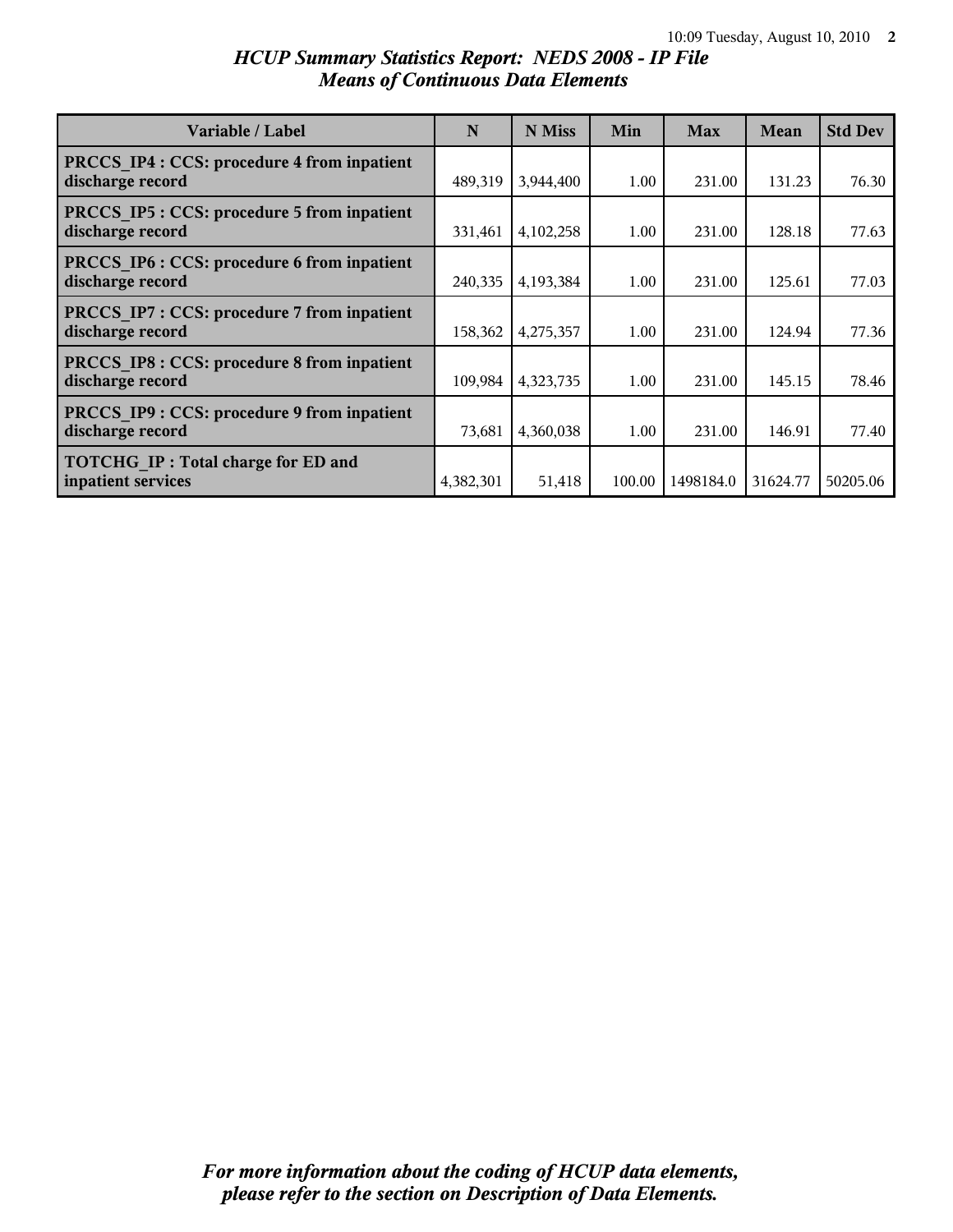| Variable / Label                                                      | N         | N Miss    | Min    | <b>Max</b> | <b>Mean</b> | <b>Std Dev</b> |
|-----------------------------------------------------------------------|-----------|-----------|--------|------------|-------------|----------------|
| PRCCS IP4 : CCS: procedure 4 from inpatient<br>discharge record       | 489,319   | 3,944,400 | 1.00   | 231.00     | 131.23      | 76.30          |
| <b>PRCCS IP5: CCS: procedure 5 from inpatient</b><br>discharge record | 331,461   | 4,102,258 | 1.00   | 231.00     | 128.18      | 77.63          |
| PRCCS IP6 : CCS: procedure 6 from inpatient<br>discharge record       | 240,335   | 4,193,384 | 1.00   | 231.00     | 125.61      | 77.03          |
| PRCCS IP7 : CCS: procedure 7 from inpatient<br>discharge record       | 158,362   | 4,275,357 | 1.00   | 231.00     | 124.94      | 77.36          |
| PRCCS IP8 : CCS: procedure 8 from inpatient<br>discharge record       | 109,984   | 4,323,735 | 1.00   | 231.00     | 145.15      | 78.46          |
| PRCCS IP9 : CCS: procedure 9 from inpatient<br>discharge record       | 73,681    | 4,360,038 | 1.00   | 231.00     | 146.91      | 77.40          |
| <b>TOTCHG IP: Total charge for ED and</b><br>inpatient services       | 4,382,301 | 51,418    | 100.00 | 1498184.0  | 31624.77    | 50205.06       |

#### *HCUP Summary Statistics Report: NEDS 2008 - IP File Means of Continuous Data Elements*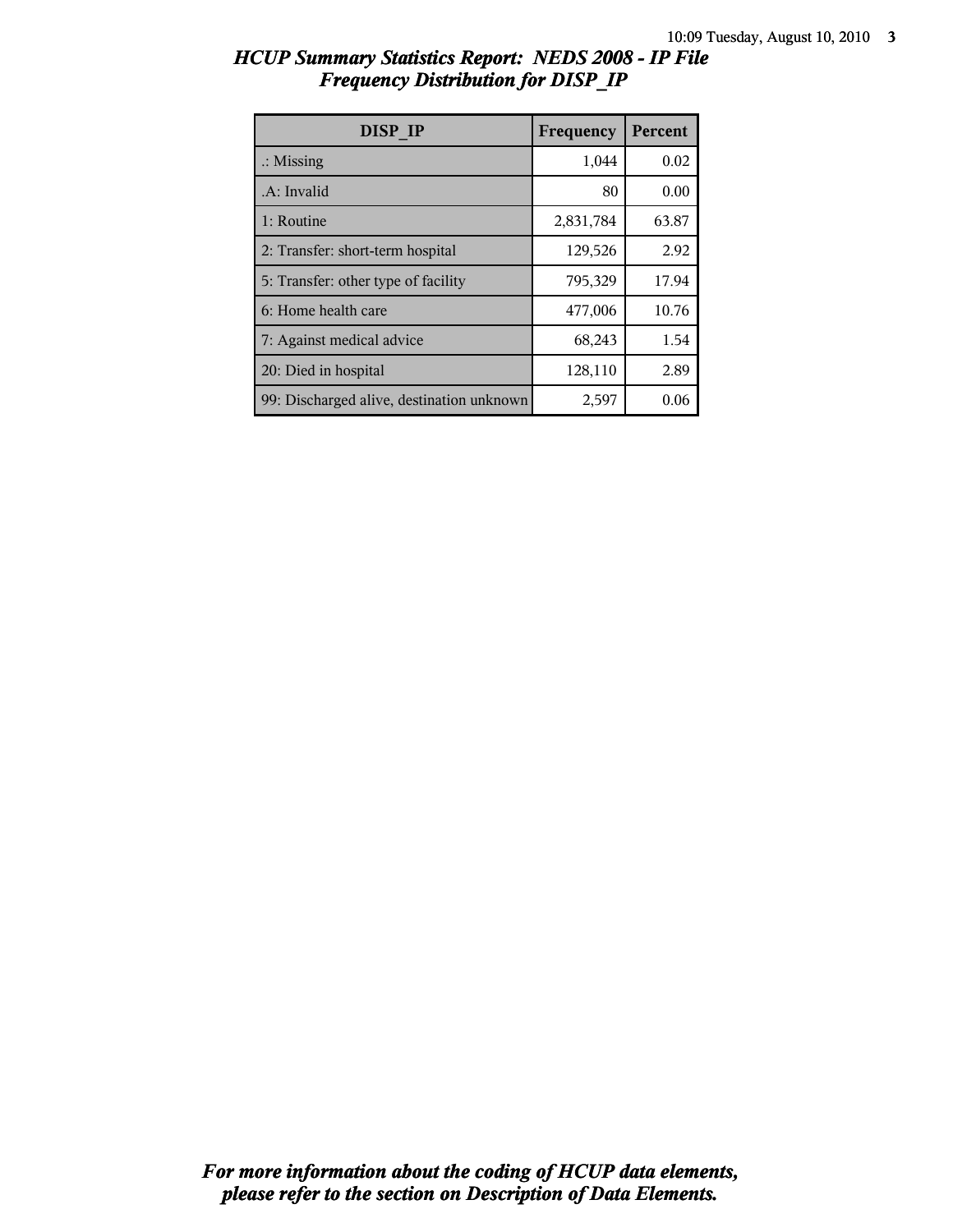| DISP IP                                   | Frequency | Percent |
|-------------------------------------------|-----------|---------|
| $\therefore$ Missing                      | 1,044     | 0.02    |
| .A: Invalid                               | 80        | 0.00    |
| 1: Routine                                | 2,831,784 | 63.87   |
| 2: Transfer: short-term hospital          | 129,526   | 2.92    |
| 5: Transfer: other type of facility       | 795,329   | 17.94   |
| 6: Home health care                       | 477,006   | 10.76   |
| 7: Against medical advice                 | 68,243    | 1.54    |
| 20: Died in hospital                      | 128,110   | 2.89    |
| 99: Discharged alive, destination unknown | 2,597     | 0.06    |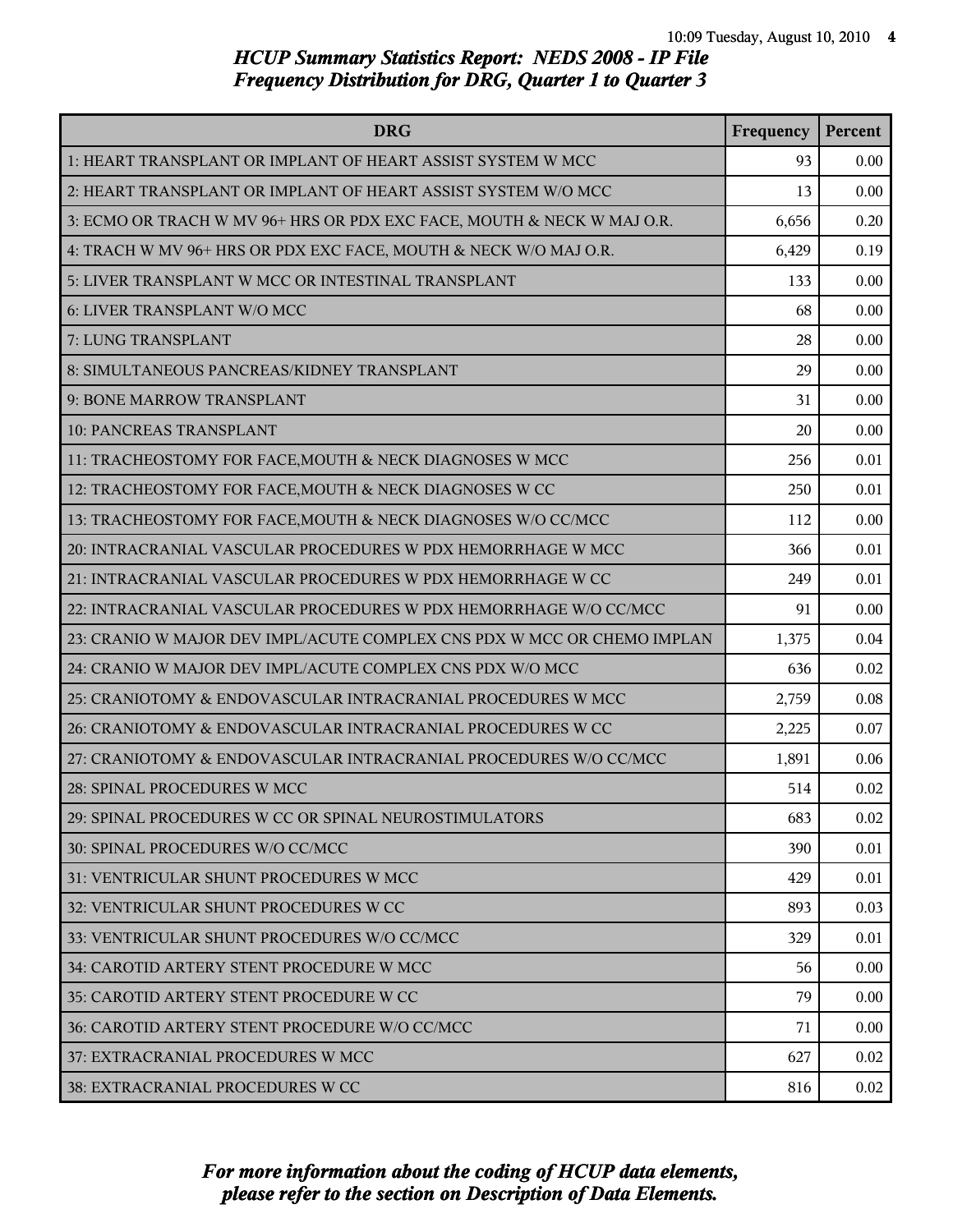| <b>DRG</b>                                                              | Frequency | Percent |
|-------------------------------------------------------------------------|-----------|---------|
| 1: HEART TRANSPLANT OR IMPLANT OF HEART ASSIST SYSTEM W MCC             | 93        | 0.00    |
| 2: HEART TRANSPLANT OR IMPLANT OF HEART ASSIST SYSTEM W/O MCC           | 13        | 0.00    |
| 3: ECMO OR TRACH W MV 96+ HRS OR PDX EXC FACE, MOUTH & NECK W MAJ O.R.  | 6,656     | 0.20    |
| 4: TRACH W MV 96+ HRS OR PDX EXC FACE, MOUTH & NECK W/O MAJ O.R.        | 6,429     | 0.19    |
| 5: LIVER TRANSPLANT W MCC OR INTESTINAL TRANSPLANT                      | 133       | 0.00    |
| 6: LIVER TRANSPLANT W/O MCC                                             | 68        | 0.00    |
| 7: LUNG TRANSPLANT                                                      | 28        | 0.00    |
| 8: SIMULTANEOUS PANCREAS/KIDNEY TRANSPLANT                              | 29        | 0.00    |
| 9: BONE MARROW TRANSPLANT                                               | 31        | 0.00    |
| 10: PANCREAS TRANSPLANT                                                 | 20        | 0.00    |
| 11: TRACHEOSTOMY FOR FACE, MOUTH & NECK DIAGNOSES W MCC                 | 256       | 0.01    |
| 12: TRACHEOSTOMY FOR FACE, MOUTH & NECK DIAGNOSES W CC                  | 250       | 0.01    |
| 13: TRACHEOSTOMY FOR FACE, MOUTH & NECK DIAGNOSES W/O CC/MCC            | 112       | 0.00    |
| 20: INTRACRANIAL VASCULAR PROCEDURES W PDX HEMORRHAGE W MCC             | 366       | 0.01    |
| 21: INTRACRANIAL VASCULAR PROCEDURES W PDX HEMORRHAGE W CC              | 249       | 0.01    |
| 22: INTRACRANIAL VASCULAR PROCEDURES W PDX HEMORRHAGE W/O CC/MCC        | 91        | 0.00    |
| 23: CRANIO W MAJOR DEV IMPL/ACUTE COMPLEX CNS PDX W MCC OR CHEMO IMPLAN | 1,375     | 0.04    |
| 24: CRANIO W MAJOR DEV IMPL/ACUTE COMPLEX CNS PDX W/O MCC               | 636       | 0.02    |
| 25: CRANIOTOMY & ENDOVASCULAR INTRACRANIAL PROCEDURES W MCC             | 2,759     | 0.08    |
| 26: CRANIOTOMY & ENDOVASCULAR INTRACRANIAL PROCEDURES W CC              | 2,225     | 0.07    |
| 27: CRANIOTOMY & ENDOVASCULAR INTRACRANIAL PROCEDURES W/O CC/MCC        | 1,891     | 0.06    |
| 28: SPINAL PROCEDURES W MCC                                             | 514       | 0.02    |
| 29: SPINAL PROCEDURES W CC OR SPINAL NEUROSTIMULATORS                   | 683       | 0.02    |
| 30: SPINAL PROCEDURES W/O CC/MCC                                        | 390       | 0.01    |
| 31: VENTRICULAR SHUNT PROCEDURES W MCC                                  | 429       | 0.01    |
| 32: VENTRICULAR SHUNT PROCEDURES W CC                                   | 893       | 0.03    |
| 33: VENTRICULAR SHUNT PROCEDURES W/O CC/MCC                             | 329       | 0.01    |
| 34: CAROTID ARTERY STENT PROCEDURE W MCC                                | 56        | 0.00    |
| 35: CAROTID ARTERY STENT PROCEDURE W CC                                 | 79        | 0.00    |
| 36: CAROTID ARTERY STENT PROCEDURE W/O CC/MCC                           | 71        | 0.00    |
| 37: EXTRACRANIAL PROCEDURES W MCC                                       | 627       | 0.02    |
| 38: EXTRACRANIAL PROCEDURES W CC                                        | 816       | 0.02    |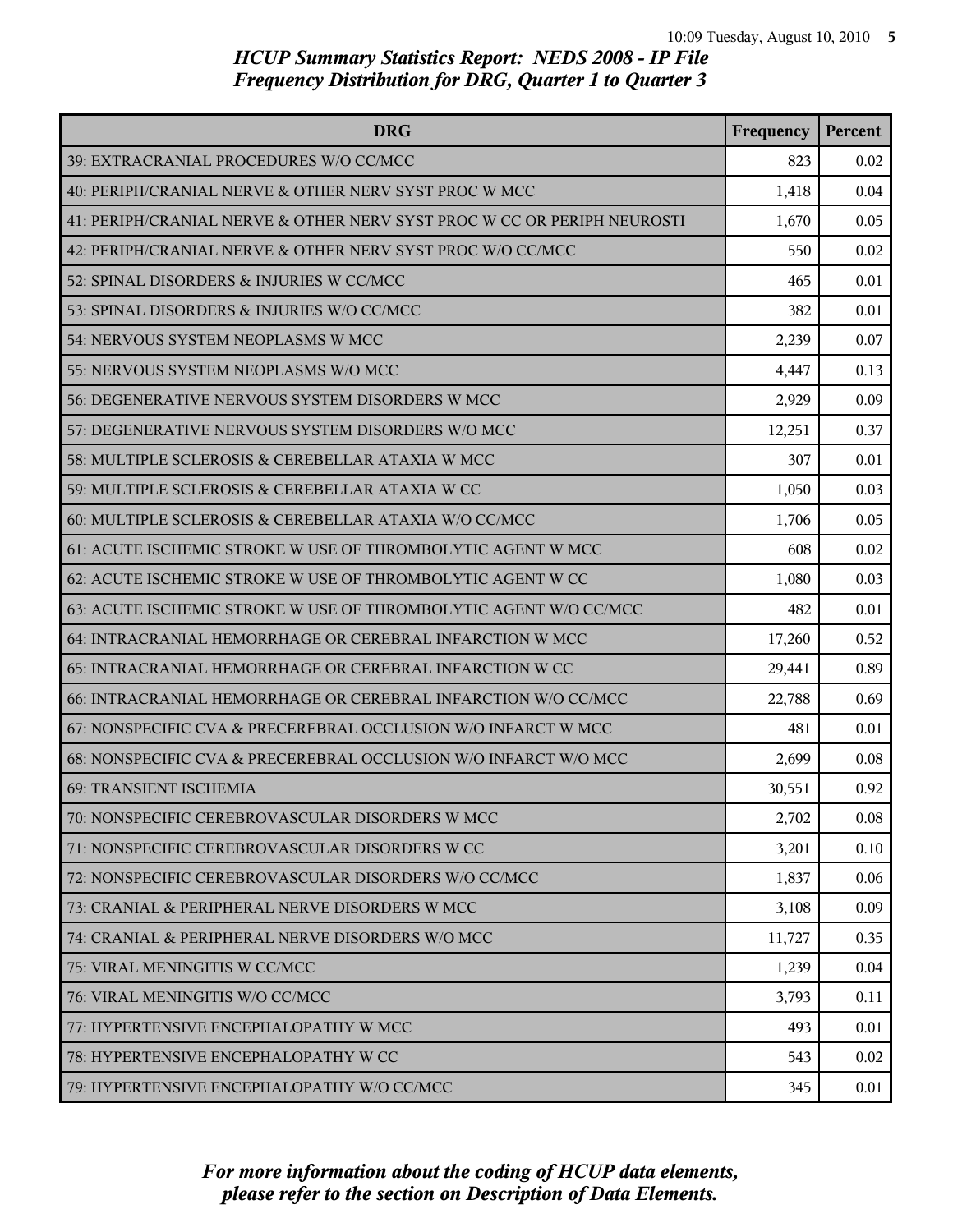| <b>DRG</b>                                                              | Frequency | Percent |
|-------------------------------------------------------------------------|-----------|---------|
| 39: EXTRACRANIAL PROCEDURES W/O CC/MCC                                  | 823       | 0.02    |
| 40: PERIPH/CRANIAL NERVE & OTHER NERV SYST PROC W MCC                   | 1,418     | 0.04    |
| 41: PERIPH/CRANIAL NERVE & OTHER NERV SYST PROC W CC OR PERIPH NEUROSTI | 1,670     | 0.05    |
| 42: PERIPH/CRANIAL NERVE & OTHER NERV SYST PROC W/O CC/MCC              | 550       | 0.02    |
| 52: SPINAL DISORDERS & INJURIES W CC/MCC                                | 465       | 0.01    |
| 53: SPINAL DISORDERS & INJURIES W/O CC/MCC                              | 382       | 0.01    |
| 54: NERVOUS SYSTEM NEOPLASMS W MCC                                      | 2,239     | 0.07    |
| 55: NERVOUS SYSTEM NEOPLASMS W/O MCC                                    | 4,447     | 0.13    |
| 56: DEGENERATIVE NERVOUS SYSTEM DISORDERS W MCC                         | 2,929     | 0.09    |
| 57: DEGENERATIVE NERVOUS SYSTEM DISORDERS W/O MCC                       | 12,251    | 0.37    |
| 58: MULTIPLE SCLEROSIS & CEREBELLAR ATAXIA W MCC                        | 307       | 0.01    |
| 59: MULTIPLE SCLEROSIS & CEREBELLAR ATAXIA W CC                         | 1,050     | 0.03    |
| 60: MULTIPLE SCLEROSIS & CEREBELLAR ATAXIA W/O CC/MCC                   | 1,706     | 0.05    |
| 61: ACUTE ISCHEMIC STROKE W USE OF THROMBOLYTIC AGENT W MCC             | 608       | 0.02    |
| 62: ACUTE ISCHEMIC STROKE W USE OF THROMBOLYTIC AGENT W CC              | 1,080     | 0.03    |
| 63: ACUTE ISCHEMIC STROKE W USE OF THROMBOLYTIC AGENT W/O CC/MCC        | 482       | 0.01    |
| 64: INTRACRANIAL HEMORRHAGE OR CEREBRAL INFARCTION W MCC                | 17,260    | 0.52    |
| 65: INTRACRANIAL HEMORRHAGE OR CEREBRAL INFARCTION W CC                 | 29,441    | 0.89    |
| 66: INTRACRANIAL HEMORRHAGE OR CEREBRAL INFARCTION W/O CC/MCC           | 22,788    | 0.69    |
| 67: NONSPECIFIC CVA & PRECEREBRAL OCCLUSION W/O INFARCT W MCC           | 481       | 0.01    |
| 68: NONSPECIFIC CVA & PRECEREBRAL OCCLUSION W/O INFARCT W/O MCC         | 2,699     | 0.08    |
| 69: TRANSIENT ISCHEMIA                                                  | 30,551    | 0.92    |
| 70: NONSPECIFIC CEREBROVASCULAR DISORDERS W MCC                         | 2,702     | 0.08    |
| 71: NONSPECIFIC CEREBROVASCULAR DISORDERS W CC                          | 3,201     | 0.10    |
| 72: NONSPECIFIC CEREBROVASCULAR DISORDERS W/O CC/MCC                    | 1,837     | 0.06    |
| 73: CRANIAL & PERIPHERAL NERVE DISORDERS W MCC                          | 3,108     | 0.09    |
| 74: CRANIAL & PERIPHERAL NERVE DISORDERS W/O MCC                        | 11,727    | 0.35    |
| 75: VIRAL MENINGITIS W CC/MCC                                           | 1,239     | 0.04    |
| 76: VIRAL MENINGITIS W/O CC/MCC                                         | 3,793     | 0.11    |
| 77: HYPERTENSIVE ENCEPHALOPATHY W MCC                                   | 493       | 0.01    |
| 78: HYPERTENSIVE ENCEPHALOPATHY W CC                                    | 543       | 0.02    |
| 79: HYPERTENSIVE ENCEPHALOPATHY W/O CC/MCC                              | 345       | 0.01    |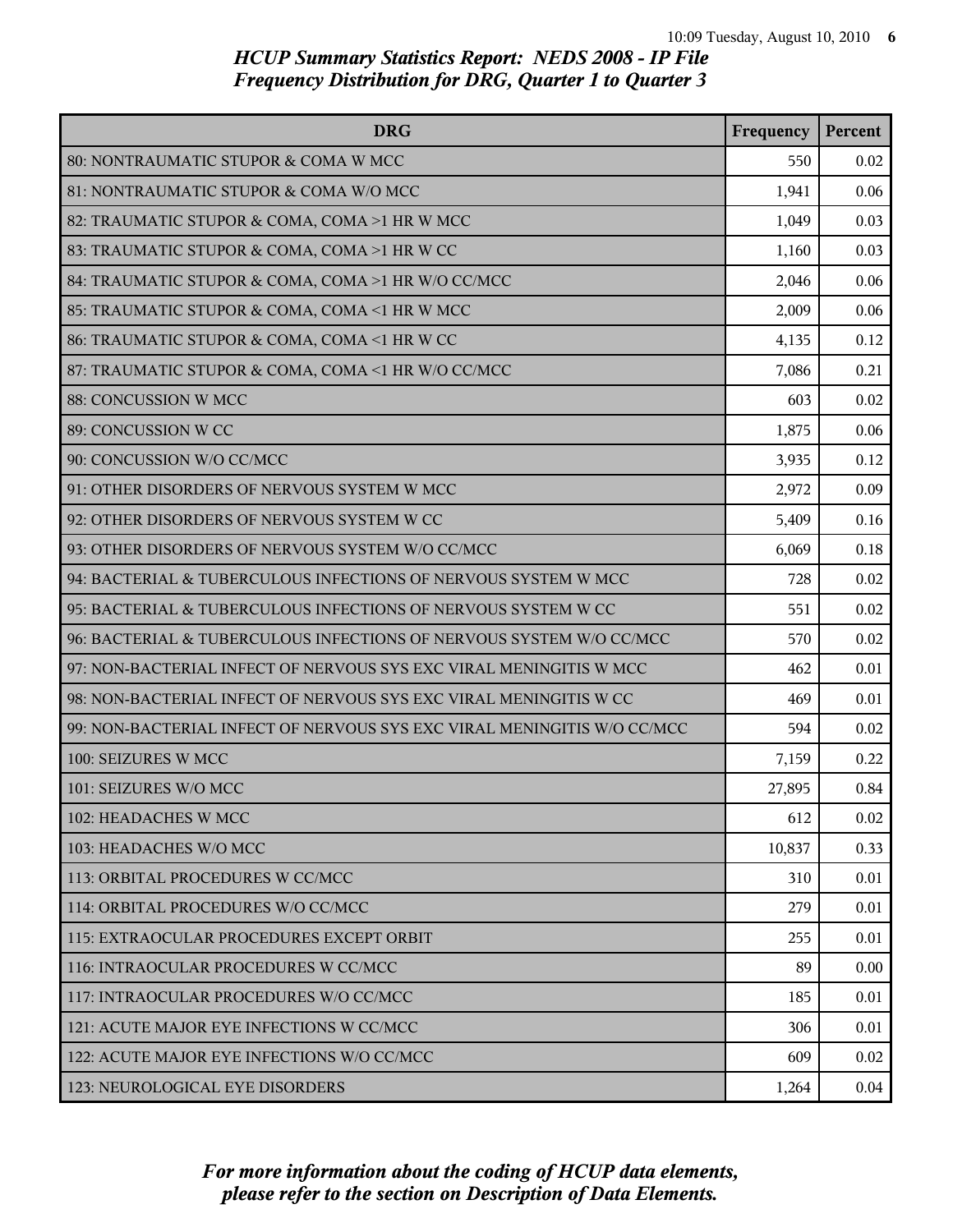| <b>DRG</b>                                                              | Frequency | Percent |
|-------------------------------------------------------------------------|-----------|---------|
| 80: NONTRAUMATIC STUPOR & COMA W MCC                                    | 550       | 0.02    |
| 81: NONTRAUMATIC STUPOR & COMA W/O MCC                                  | 1,941     | 0.06    |
| 82: TRAUMATIC STUPOR & COMA, COMA >1 HR W MCC                           | 1,049     | 0.03    |
| 83: TRAUMATIC STUPOR & COMA, COMA >1 HR W CC                            | 1,160     | 0.03    |
| 84: TRAUMATIC STUPOR & COMA, COMA >1 HR W/O CC/MCC                      | 2,046     | 0.06    |
| 85: TRAUMATIC STUPOR & COMA, COMA <1 HR W MCC                           | 2,009     | 0.06    |
| 86: TRAUMATIC STUPOR & COMA, COMA <1 HR W CC                            | 4,135     | 0.12    |
| 87: TRAUMATIC STUPOR & COMA, COMA <1 HR W/O CC/MCC                      | 7,086     | 0.21    |
| 88: CONCUSSION W MCC                                                    | 603       | 0.02    |
| 89: CONCUSSION W CC                                                     | 1,875     | 0.06    |
| 90: CONCUSSION W/O CC/MCC                                               | 3,935     | 0.12    |
| 91: OTHER DISORDERS OF NERVOUS SYSTEM W MCC                             | 2,972     | 0.09    |
| 92: OTHER DISORDERS OF NERVOUS SYSTEM W CC                              | 5,409     | 0.16    |
| 93: OTHER DISORDERS OF NERVOUS SYSTEM W/O CC/MCC                        | 6,069     | 0.18    |
| 94: BACTERIAL & TUBERCULOUS INFECTIONS OF NERVOUS SYSTEM W MCC          | 728       | 0.02    |
| 95: BACTERIAL & TUBERCULOUS INFECTIONS OF NERVOUS SYSTEM W CC           | 551       | 0.02    |
| 96: BACTERIAL & TUBERCULOUS INFECTIONS OF NERVOUS SYSTEM W/O CC/MCC     | 570       | 0.02    |
| 97: NON-BACTERIAL INFECT OF NERVOUS SYS EXC VIRAL MENINGITIS W MCC      | 462       | 0.01    |
| 98: NON-BACTERIAL INFECT OF NERVOUS SYS EXC VIRAL MENINGITIS W CC       | 469       | 0.01    |
| 99: NON-BACTERIAL INFECT OF NERVOUS SYS EXC VIRAL MENINGITIS W/O CC/MCC | 594       | 0.02    |
| 100: SEIZURES W MCC                                                     | 7,159     | 0.22    |
| 101: SEIZURES W/O MCC                                                   | 27,895    | 0.84    |
| 102: HEADACHES W MCC                                                    | 612       | 0.02    |
| 103: HEADACHES W/O MCC                                                  | 10,837    | 0.33    |
| 113: ORBITAL PROCEDURES W CC/MCC                                        | 310       | 0.01    |
| 114: ORBITAL PROCEDURES W/O CC/MCC                                      | 279       | 0.01    |
| 115: EXTRAOCULAR PROCEDURES EXCEPT ORBIT                                | 255       | 0.01    |
| 116: INTRAOCULAR PROCEDURES W CC/MCC                                    | 89        | 0.00    |
| 117: INTRAOCULAR PROCEDURES W/O CC/MCC                                  | 185       | 0.01    |
| 121: ACUTE MAJOR EYE INFECTIONS W CC/MCC                                | 306       | 0.01    |
| 122: ACUTE MAJOR EYE INFECTIONS W/O CC/MCC                              | 609       | 0.02    |
| 123: NEUROLOGICAL EYE DISORDERS                                         | 1,264     | 0.04    |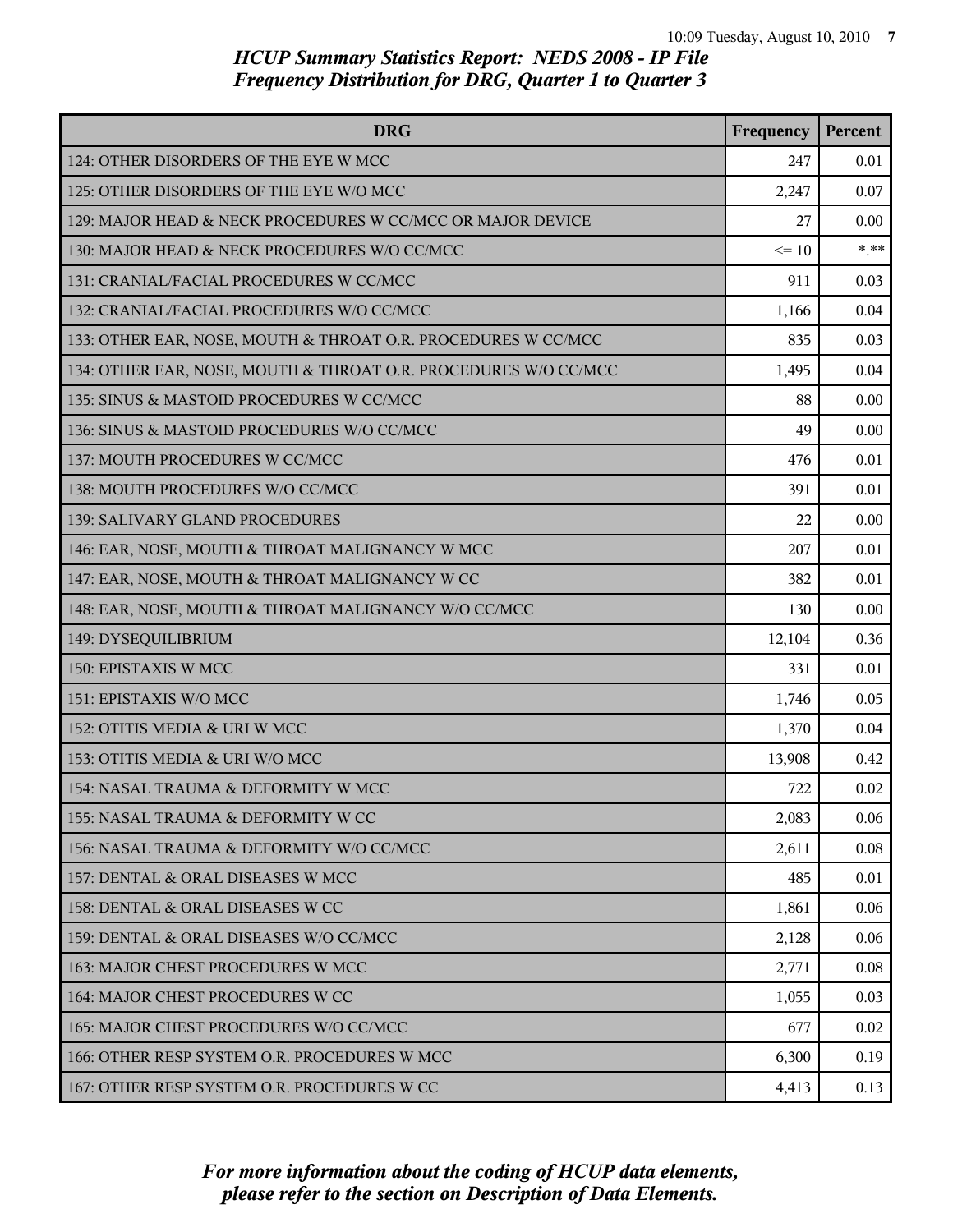| <b>DRG</b>                                                      | Frequency | Percent |
|-----------------------------------------------------------------|-----------|---------|
| 124: OTHER DISORDERS OF THE EYE W MCC                           | 247       | 0.01    |
| 125: OTHER DISORDERS OF THE EYE W/O MCC                         | 2,247     | 0.07    |
| 129: MAJOR HEAD & NECK PROCEDURES W CC/MCC OR MAJOR DEVICE      | 27        | 0.00    |
| 130: MAJOR HEAD & NECK PROCEDURES W/O CC/MCC                    | $\leq 10$ | $***$   |
| 131: CRANIAL/FACIAL PROCEDURES W CC/MCC                         | 911       | 0.03    |
| 132: CRANIAL/FACIAL PROCEDURES W/O CC/MCC                       | 1,166     | 0.04    |
| 133: OTHER EAR, NOSE, MOUTH & THROAT O.R. PROCEDURES W CC/MCC   | 835       | 0.03    |
| 134: OTHER EAR, NOSE, MOUTH & THROAT O.R. PROCEDURES W/O CC/MCC | 1,495     | 0.04    |
| 135: SINUS & MASTOID PROCEDURES W CC/MCC                        | 88        | 0.00    |
| 136: SINUS & MASTOID PROCEDURES W/O CC/MCC                      | 49        | 0.00    |
| 137: MOUTH PROCEDURES W CC/MCC                                  | 476       | 0.01    |
| 138: MOUTH PROCEDURES W/O CC/MCC                                | 391       | 0.01    |
| 139: SALIVARY GLAND PROCEDURES                                  | 22        | 0.00    |
| 146: EAR, NOSE, MOUTH & THROAT MALIGNANCY W MCC                 | 207       | 0.01    |
| 147: EAR, NOSE, MOUTH & THROAT MALIGNANCY W CC                  | 382       | 0.01    |
| 148: EAR, NOSE, MOUTH & THROAT MALIGNANCY W/O CC/MCC            | 130       | 0.00    |
| 149: DYSEQUILIBRIUM                                             | 12,104    | 0.36    |
| 150: EPISTAXIS W MCC                                            | 331       | 0.01    |
| 151: EPISTAXIS W/O MCC                                          | 1,746     | 0.05    |
| 152: OTITIS MEDIA & URI W MCC                                   | 1,370     | 0.04    |
| 153: OTITIS MEDIA & URI W/O MCC                                 | 13,908    | 0.42    |
| l 154: NASAL TRAUMA & DEFORMITY W MCC                           | 722       | 0.02    |
| 155: NASAL TRAUMA & DEFORMITY W CC                              | 2,083     | 0.06    |
| 156: NASAL TRAUMA & DEFORMITY W/O CC/MCC                        | 2,611     | 0.08    |
| 157: DENTAL & ORAL DISEASES W MCC                               | 485       | 0.01    |
| l 158: DENTAL & ORAL DISEASES W CC                              | 1,861     | 0.06    |
| 159: DENTAL & ORAL DISEASES W/O CC/MCC                          | 2,128     | 0.06    |
| 163: MAJOR CHEST PROCEDURES W MCC                               | 2,771     | 0.08    |
| 164: MAJOR CHEST PROCEDURES W CC                                | 1,055     | 0.03    |
| 165: MAJOR CHEST PROCEDURES W/O CC/MCC                          | 677       | 0.02    |
| 166: OTHER RESP SYSTEM O.R. PROCEDURES W MCC                    | 6,300     | 0.19    |
| 167: OTHER RESP SYSTEM O.R. PROCEDURES W CC                     | 4,413     | 0.13    |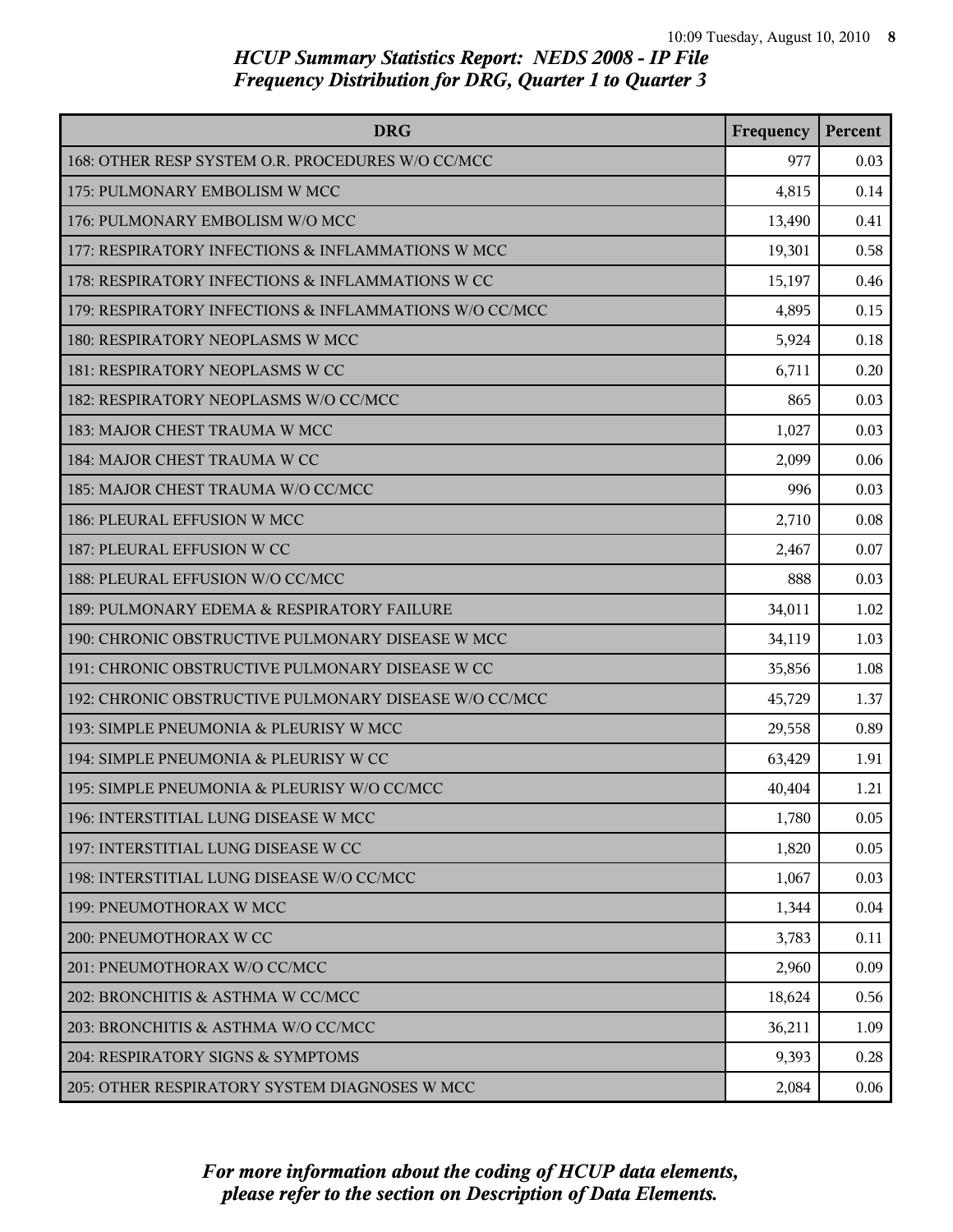| <b>DRG</b>                                             | Frequency | Percent |
|--------------------------------------------------------|-----------|---------|
| 168: OTHER RESP SYSTEM O.R. PROCEDURES W/O CC/MCC      | 977       | 0.03    |
| 175: PULMONARY EMBOLISM W MCC                          | 4,815     | 0.14    |
| 176: PULMONARY EMBOLISM W/O MCC                        | 13,490    | 0.41    |
| 177: RESPIRATORY INFECTIONS & INFLAMMATIONS W MCC      | 19,301    | 0.58    |
| 178: RESPIRATORY INFECTIONS & INFLAMMATIONS W CC       | 15,197    | 0.46    |
| 179: RESPIRATORY INFECTIONS & INFLAMMATIONS W/O CC/MCC | 4,895     | 0.15    |
| 180: RESPIRATORY NEOPLASMS W MCC                       | 5,924     | 0.18    |
| 181: RESPIRATORY NEOPLASMS W CC                        | 6,711     | 0.20    |
| 182: RESPIRATORY NEOPLASMS W/O CC/MCC                  | 865       | 0.03    |
| 183: MAJOR CHEST TRAUMA W MCC                          | 1,027     | 0.03    |
| 184: MAJOR CHEST TRAUMA W CC                           | 2,099     | 0.06    |
| 185: MAJOR CHEST TRAUMA W/O CC/MCC                     | 996       | 0.03    |
| 186: PLEURAL EFFUSION W MCC                            | 2,710     | 0.08    |
| 187: PLEURAL EFFUSION W CC                             | 2,467     | 0.07    |
| 188: PLEURAL EFFUSION W/O CC/MCC                       | 888       | 0.03    |
| 189: PULMONARY EDEMA & RESPIRATORY FAILURE             | 34,011    | 1.02    |
| 190: CHRONIC OBSTRUCTIVE PULMONARY DISEASE W MCC       | 34,119    | 1.03    |
| 191: CHRONIC OBSTRUCTIVE PULMONARY DISEASE W CC        | 35,856    | 1.08    |
| 192: CHRONIC OBSTRUCTIVE PULMONARY DISEASE W/O CC/MCC  | 45,729    | 1.37    |
| 193: SIMPLE PNEUMONIA & PLEURISY W MCC                 | 29,558    | 0.89    |
| 194: SIMPLE PNEUMONIA & PLEURISY W CC                  | 63,429    | 1.91    |
| 195: SIMPLE PNEUMONIA & PLEURISY W/O CC/MCC            | 40,404    | 1.21    |
| 196: INTERSTITIAL LUNG DISEASE W MCC                   | 1,780     | 0.05    |
| 197: INTERSTITIAL LUNG DISEASE W CC                    | 1,820     | 0.05    |
| 198: INTERSTITIAL LUNG DISEASE W/O CC/MCC              | 1,067     | 0.03    |
| 199: PNEUMOTHORAX W MCC                                | 1,344     | 0.04    |
| 200: PNEUMOTHORAX W CC                                 | 3,783     | 0.11    |
| 201: PNEUMOTHORAX W/O CC/MCC                           | 2,960     | 0.09    |
| 202: BRONCHITIS & ASTHMA W CC/MCC                      | 18,624    | 0.56    |
| 203: BRONCHITIS & ASTHMA W/O CC/MCC                    | 36,211    | 1.09    |
| 204: RESPIRATORY SIGNS & SYMPTOMS                      | 9,393     | 0.28    |
| 205: OTHER RESPIRATORY SYSTEM DIAGNOSES W MCC          | 2,084     | 0.06    |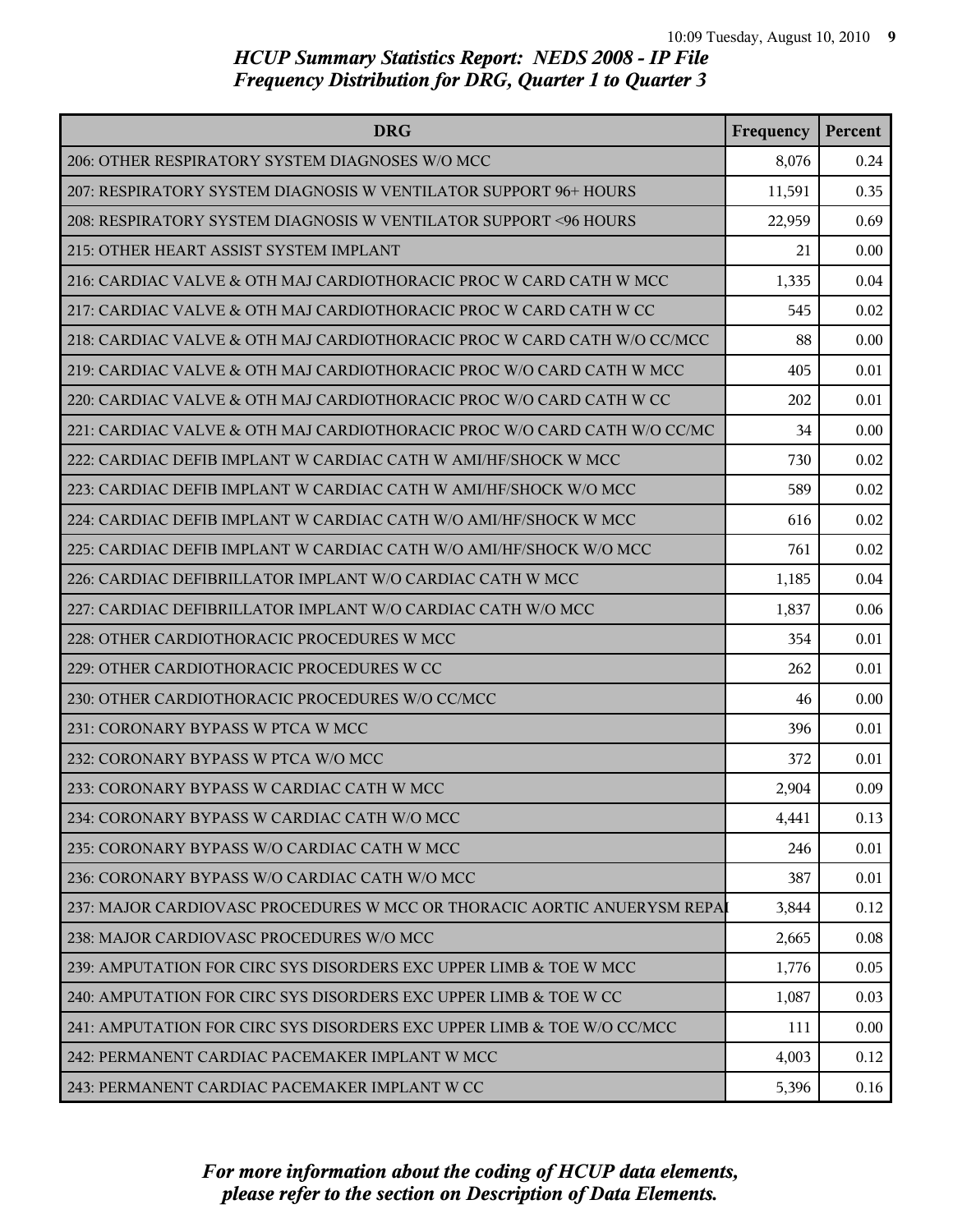| <b>DRG</b>                                                               | Frequency | Percent |
|--------------------------------------------------------------------------|-----------|---------|
| 206: OTHER RESPIRATORY SYSTEM DIAGNOSES W/O MCC                          | 8,076     | 0.24    |
| 207: RESPIRATORY SYSTEM DIAGNOSIS W VENTILATOR SUPPORT 96+ HOURS         | 11,591    | 0.35    |
| 208: RESPIRATORY SYSTEM DIAGNOSIS W VENTILATOR SUPPORT <96 HOURS         | 22,959    | 0.69    |
| 215: OTHER HEART ASSIST SYSTEM IMPLANT                                   | 21        | 0.00    |
| 216: CARDIAC VALVE & OTH MAJ CARDIOTHORACIC PROC W CARD CATH W MCC       | 1,335     | 0.04    |
| 217: CARDIAC VALVE & OTH MAJ CARDIOTHORACIC PROC W CARD CATH W CC        | 545       | 0.02    |
| 218: CARDIAC VALVE & OTH MAJ CARDIOTHORACIC PROC W CARD CATH W/O CC/MCC  | 88        | 0.00    |
| 219: CARDIAC VALVE & OTH MAJ CARDIOTHORACIC PROC W/O CARD CATH W MCC     | 405       | 0.01    |
| 220: CARDIAC VALVE & OTH MAJ CARDIOTHORACIC PROC W/O CARD CATH W CC      | 202       | 0.01    |
| 221: CARDIAC VALVE & OTH MAJ CARDIOTHORACIC PROC W/O CARD CATH W/O CC/MC | 34        | 0.00    |
| 222: CARDIAC DEFIB IMPLANT W CARDIAC CATH W AMI/HF/SHOCK W MCC           | 730       | 0.02    |
| 223: CARDIAC DEFIB IMPLANT W CARDIAC CATH W AMI/HF/SHOCK W/O MCC         | 589       | 0.02    |
| 224: CARDIAC DEFIB IMPLANT W CARDIAC CATH W/O AMI/HF/SHOCK W MCC         | 616       | 0.02    |
| 225: CARDIAC DEFIB IMPLANT W CARDIAC CATH W/O AMI/HF/SHOCK W/O MCC       | 761       | 0.02    |
| 226: CARDIAC DEFIBRILLATOR IMPLANT W/O CARDIAC CATH W MCC                | 1,185     | 0.04    |
| 227: CARDIAC DEFIBRILLATOR IMPLANT W/O CARDIAC CATH W/O MCC              | 1,837     | 0.06    |
| 228: OTHER CARDIOTHORACIC PROCEDURES W MCC                               | 354       | 0.01    |
| 229: OTHER CARDIOTHORACIC PROCEDURES W CC                                | 262       | 0.01    |
| 230: OTHER CARDIOTHORACIC PROCEDURES W/O CC/MCC                          | 46        | 0.00    |
| 231: CORONARY BYPASS W PTCA W MCC                                        | 396       | 0.01    |
| 232: CORONARY BYPASS W PTCA W/O MCC                                      | 372       | 0.01    |
| 233: CORONARY BYPASS W CARDIAC CATH W MCC                                | 2,904     | 0.09    |
| 234: CORONARY BYPASS W CARDIAC CATH W/O MCC                              | 4,441     | 0.13    |
| 235: CORONARY BYPASS W/O CARDIAC CATH W MCC                              | 246       | 0.01    |
| 236: CORONARY BYPASS W/O CARDIAC CATH W/O MCC                            | 387       | 0.01    |
| 237: MAJOR CARDIOVASC PROCEDURES W MCC OR THORACIC AORTIC ANUERYSM REPAI | 3,844     | 0.12    |
| 238: MAJOR CARDIOVASC PROCEDURES W/O MCC                                 | 2,665     | 0.08    |
| 239: AMPUTATION FOR CIRC SYS DISORDERS EXC UPPER LIMB & TOE W MCC        | 1,776     | 0.05    |
| 240: AMPUTATION FOR CIRC SYS DISORDERS EXC UPPER LIMB & TOE W CC         | 1,087     | 0.03    |
| 241: AMPUTATION FOR CIRC SYS DISORDERS EXC UPPER LIMB & TOE W/O CC/MCC   | 111       | 0.00    |
| 242: PERMANENT CARDIAC PACEMAKER IMPLANT W MCC                           | 4,003     | 0.12    |
| 243: PERMANENT CARDIAC PACEMAKER IMPLANT W CC                            | 5,396     | 0.16    |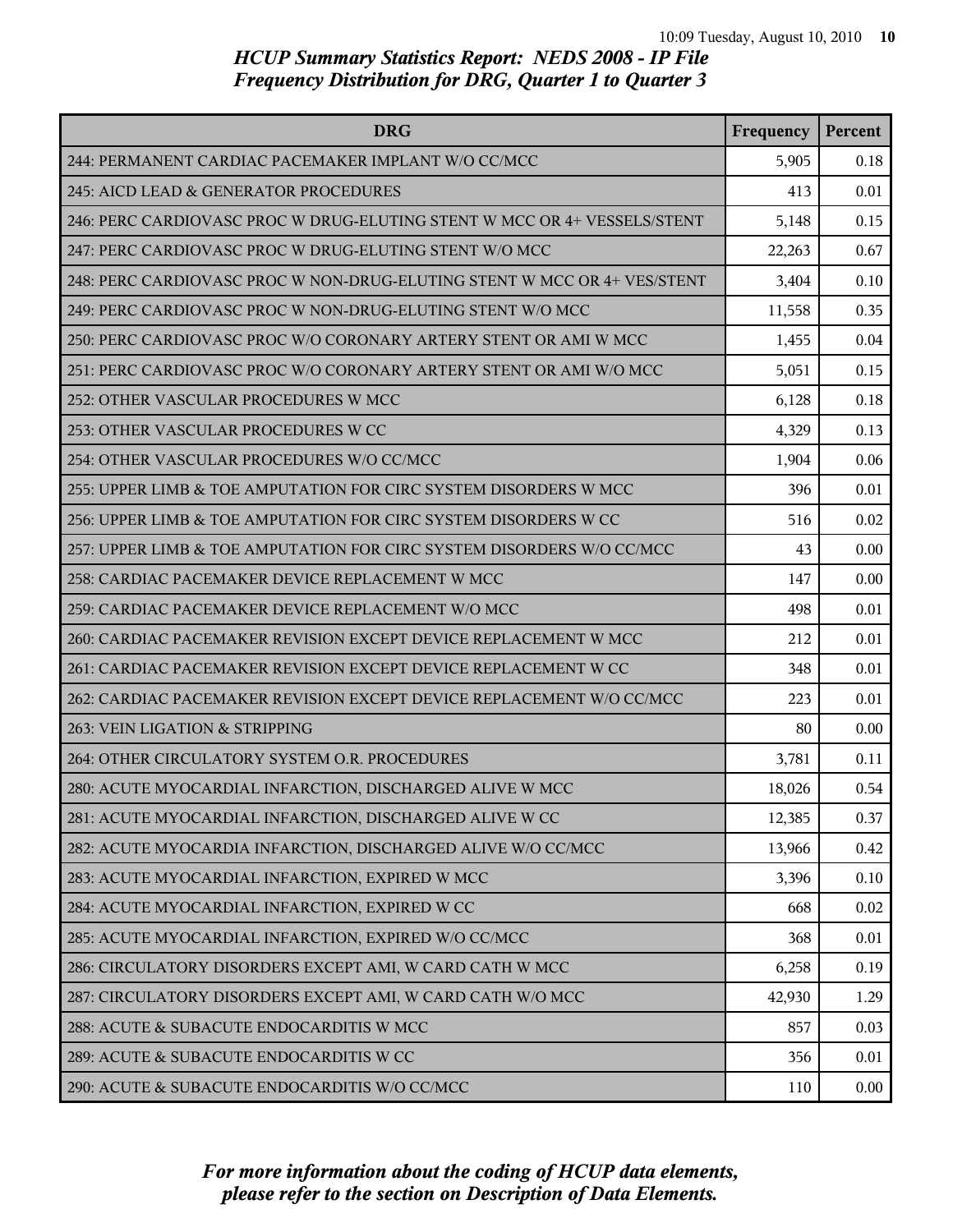| <b>DRG</b>                                                               | Frequency | Percent |
|--------------------------------------------------------------------------|-----------|---------|
| 244: PERMANENT CARDIAC PACEMAKER IMPLANT W/O CC/MCC                      | 5,905     | 0.18    |
| 245: AICD LEAD & GENERATOR PROCEDURES                                    | 413       | 0.01    |
| 246: PERC CARDIOVASC PROC W DRUG-ELUTING STENT W MCC OR 4+ VESSELS/STENT | 5,148     | 0.15    |
| 247: PERC CARDIOVASC PROC W DRUG-ELUTING STENT W/O MCC                   | 22,263    | 0.67    |
| 248: PERC CARDIOVASC PROC W NON-DRUG-ELUTING STENT W MCC OR 4+ VES/STENT | 3,404     | 0.10    |
| 249: PERC CARDIOVASC PROC W NON-DRUG-ELUTING STENT W/O MCC               | 11,558    | 0.35    |
| 250: PERC CARDIOVASC PROC W/O CORONARY ARTERY STENT OR AMI W MCC         | 1,455     | 0.04    |
| 251: PERC CARDIOVASC PROC W/O CORONARY ARTERY STENT OR AMI W/O MCC       | 5,051     | 0.15    |
| 252: OTHER VASCULAR PROCEDURES W MCC                                     | 6,128     | 0.18    |
| 253: OTHER VASCULAR PROCEDURES W CC                                      | 4,329     | 0.13    |
| 254: OTHER VASCULAR PROCEDURES W/O CC/MCC                                | 1,904     | 0.06    |
| 255: UPPER LIMB & TOE AMPUTATION FOR CIRC SYSTEM DISORDERS W MCC         | 396       | 0.01    |
| 256: UPPER LIMB & TOE AMPUTATION FOR CIRC SYSTEM DISORDERS W CC          | 516       | 0.02    |
| 257: UPPER LIMB & TOE AMPUTATION FOR CIRC SYSTEM DISORDERS W/O CC/MCC    | 43        | 0.00    |
| 258: CARDIAC PACEMAKER DEVICE REPLACEMENT W MCC                          | 147       | 0.00    |
| 259: CARDIAC PACEMAKER DEVICE REPLACEMENT W/O MCC                        | 498       | 0.01    |
| 260: CARDIAC PACEMAKER REVISION EXCEPT DEVICE REPLACEMENT W MCC          | 212       | 0.01    |
| 261: CARDIAC PACEMAKER REVISION EXCEPT DEVICE REPLACEMENT W CC           | 348       | 0.01    |
| 262: CARDIAC PACEMAKER REVISION EXCEPT DEVICE REPLACEMENT W/O CC/MCC     | 223       | 0.01    |
| 263: VEIN LIGATION & STRIPPING                                           | 80        | 0.00    |
| 264: OTHER CIRCULATORY SYSTEM O.R. PROCEDURES                            | 3,781     | 0.11    |
| 280: ACUTE MYOCARDIAL INFARCTION, DISCHARGED ALIVE W MCC                 | 18,026    | 0.54    |
| 281: ACUTE MYOCARDIAL INFARCTION, DISCHARGED ALIVE W CC                  | 12,385    | 0.37    |
| 282: ACUTE MYOCARDIA INFARCTION, DISCHARGED ALIVE W/O CC/MCC             | 13,966    | 0.42    |
| 283: ACUTE MYOCARDIAL INFARCTION, EXPIRED W MCC                          | 3,396     | 0.10    |
| 284: ACUTE MYOCARDIAL INFARCTION, EXPIRED W CC                           | 668       | 0.02    |
| 285: ACUTE MYOCARDIAL INFARCTION, EXPIRED W/O CC/MCC                     | 368       | 0.01    |
| 286: CIRCULATORY DISORDERS EXCEPT AMI, W CARD CATH W MCC                 | 6,258     | 0.19    |
| 287: CIRCULATORY DISORDERS EXCEPT AMI, W CARD CATH W/O MCC               | 42,930    | 1.29    |
| 288: ACUTE & SUBACUTE ENDOCARDITIS W MCC                                 | 857       | 0.03    |
| 289: ACUTE & SUBACUTE ENDOCARDITIS W CC                                  | 356       | 0.01    |
| 290: ACUTE & SUBACUTE ENDOCARDITIS W/O CC/MCC                            | 110       | 0.00    |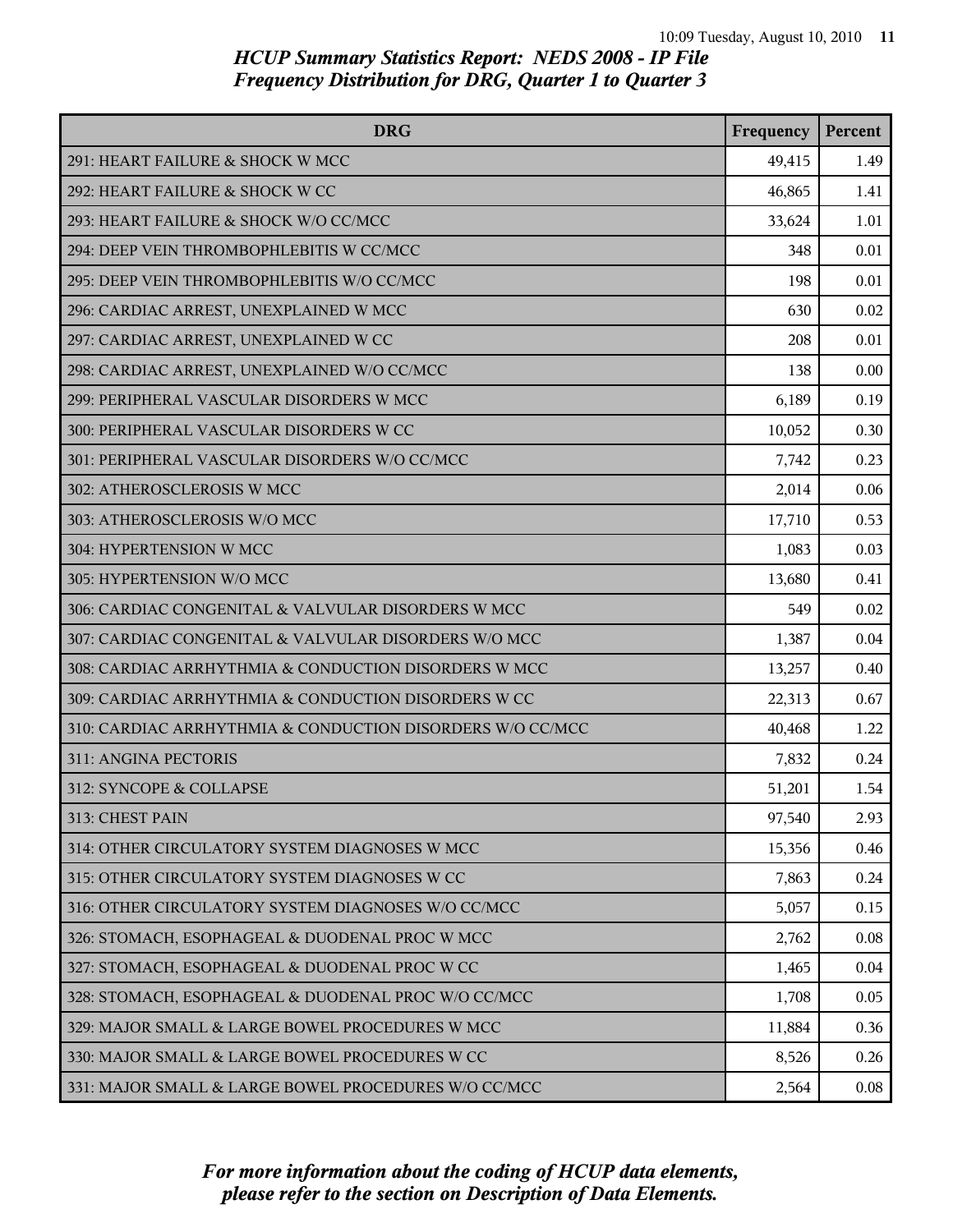| <b>DRG</b>                                                | Frequency | Percent |
|-----------------------------------------------------------|-----------|---------|
| 291: HEART FAILURE & SHOCK W MCC                          | 49,415    | 1.49    |
| 292: HEART FAILURE & SHOCK W CC                           | 46,865    | 1.41    |
| 293: HEART FAILURE & SHOCK W/O CC/MCC                     | 33,624    | 1.01    |
| 294: DEEP VEIN THROMBOPHLEBITIS W CC/MCC                  | 348       | 0.01    |
| 295: DEEP VEIN THROMBOPHLEBITIS W/O CC/MCC                | 198       | 0.01    |
| 296: CARDIAC ARREST, UNEXPLAINED W MCC                    | 630       | 0.02    |
| 297: CARDIAC ARREST, UNEXPLAINED W CC                     | 208       | 0.01    |
| 298: CARDIAC ARREST, UNEXPLAINED W/O CC/MCC               | 138       | 0.00    |
| 299: PERIPHERAL VASCULAR DISORDERS W MCC                  | 6,189     | 0.19    |
| 300: PERIPHERAL VASCULAR DISORDERS W CC                   | 10,052    | 0.30    |
| 301: PERIPHERAL VASCULAR DISORDERS W/O CC/MCC             | 7,742     | 0.23    |
| 302: ATHEROSCLEROSIS W MCC                                | 2,014     | 0.06    |
| 303: ATHEROSCLEROSIS W/O MCC                              | 17,710    | 0.53    |
| 304: HYPERTENSION W MCC                                   | 1,083     | 0.03    |
| 305: HYPERTENSION W/O MCC                                 | 13,680    | 0.41    |
| 306: CARDIAC CONGENITAL & VALVULAR DISORDERS W MCC        | 549       | 0.02    |
| 307: CARDIAC CONGENITAL & VALVULAR DISORDERS W/O MCC      | 1,387     | 0.04    |
| 308: CARDIAC ARRHYTHMIA & CONDUCTION DISORDERS W MCC      | 13,257    | 0.40    |
| 309: CARDIAC ARRHYTHMIA & CONDUCTION DISORDERS W CC       | 22,313    | 0.67    |
| 310: CARDIAC ARRHYTHMIA & CONDUCTION DISORDERS W/O CC/MCC | 40,468    | 1.22    |
| 311: ANGINA PECTORIS                                      | 7,832     | 0.24    |
| 312: SYNCOPE & COLLAPSE                                   | 51,201    | 1.54    |
| 313: CHEST PAIN                                           | 97,540    | 2.93    |
| 314: OTHER CIRCULATORY SYSTEM DIAGNOSES W MCC             | 15,356    | 0.46    |
| 315: OTHER CIRCULATORY SYSTEM DIAGNOSES W CC              | 7,863     | 0.24    |
| 316: OTHER CIRCULATORY SYSTEM DIAGNOSES W/O CC/MCC        | 5,057     | 0.15    |
| 326: STOMACH, ESOPHAGEAL & DUODENAL PROC W MCC            | 2,762     | 0.08    |
| 327: STOMACH, ESOPHAGEAL & DUODENAL PROC W CC             | 1,465     | 0.04    |
| 328: STOMACH, ESOPHAGEAL & DUODENAL PROC W/O CC/MCC       | 1,708     | 0.05    |
| 329: MAJOR SMALL & LARGE BOWEL PROCEDURES W MCC           | 11,884    | 0.36    |
| 330: MAJOR SMALL & LARGE BOWEL PROCEDURES W CC            | 8,526     | 0.26    |
| 331: MAJOR SMALL & LARGE BOWEL PROCEDURES W/O CC/MCC      | 2,564     | 0.08    |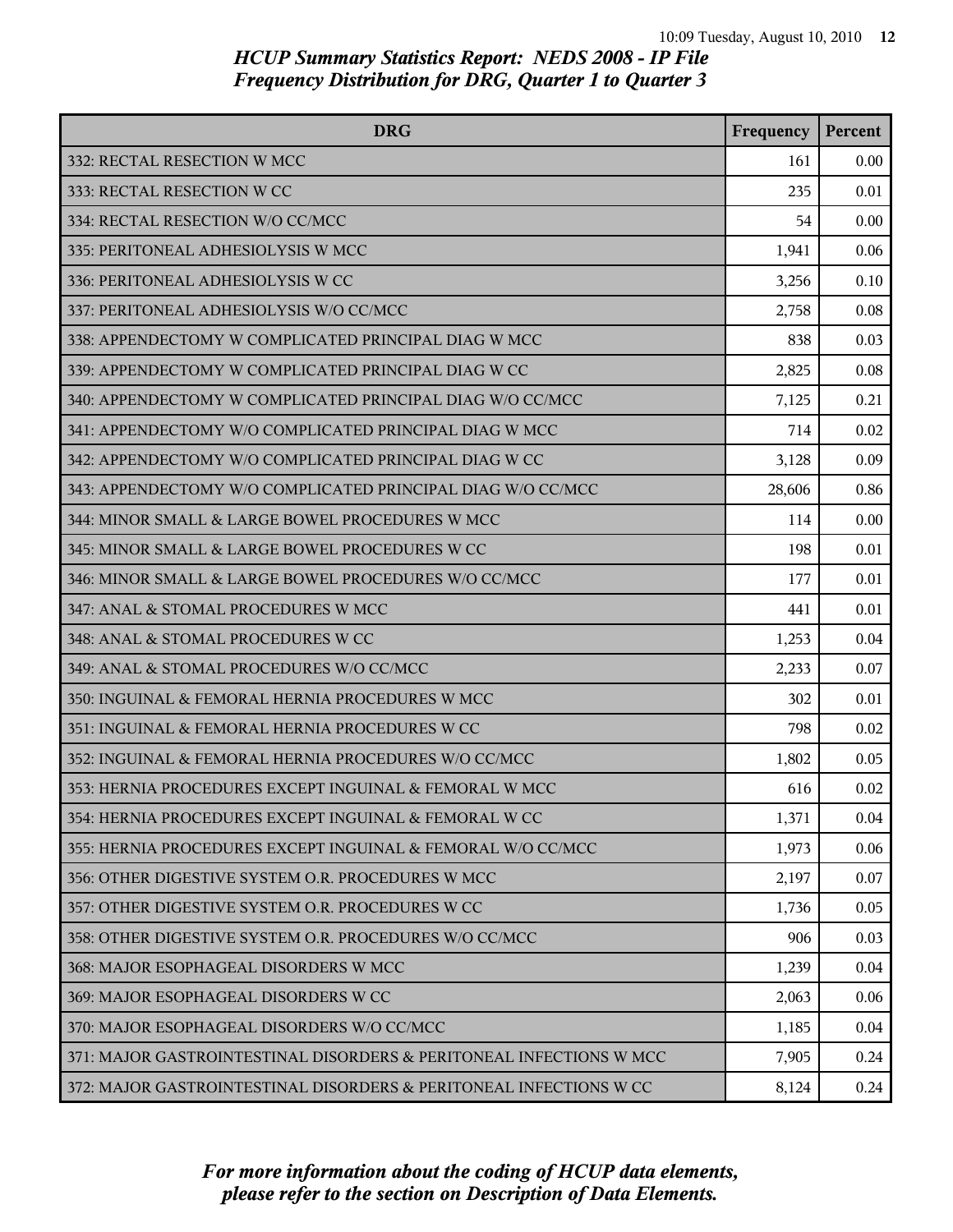| <b>DRG</b>                                                          | Frequency | Percent |
|---------------------------------------------------------------------|-----------|---------|
| 332: RECTAL RESECTION W MCC                                         | 161       | 0.00    |
| 333: RECTAL RESECTION W CC                                          | 235       | 0.01    |
| 334: RECTAL RESECTION W/O CC/MCC                                    | 54        | 0.00    |
| 335: PERITONEAL ADHESIOLYSIS W MCC                                  | 1,941     | 0.06    |
| 336: PERITONEAL ADHESIOLYSIS W CC                                   | 3,256     | 0.10    |
| 337: PERITONEAL ADHESIOLYSIS W/O CC/MCC                             | 2,758     | 0.08    |
| 338: APPENDECTOMY W COMPLICATED PRINCIPAL DIAG W MCC                | 838       | 0.03    |
| 339: APPENDECTOMY W COMPLICATED PRINCIPAL DIAG W CC                 | 2,825     | 0.08    |
| 340: APPENDECTOMY W COMPLICATED PRINCIPAL DIAG W/O CC/MCC           | 7,125     | 0.21    |
| 341: APPENDECTOMY W/O COMPLICATED PRINCIPAL DIAG W MCC              | 714       | 0.02    |
| 342: APPENDECTOMY W/O COMPLICATED PRINCIPAL DIAG W CC               | 3,128     | 0.09    |
| 343: APPENDECTOMY W/O COMPLICATED PRINCIPAL DIAG W/O CC/MCC         | 28,606    | 0.86    |
| 344: MINOR SMALL & LARGE BOWEL PROCEDURES W MCC                     | 114       | 0.00    |
| 345: MINOR SMALL & LARGE BOWEL PROCEDURES W CC                      | 198       | 0.01    |
| 346: MINOR SMALL & LARGE BOWEL PROCEDURES W/O CC/MCC                | 177       | 0.01    |
| 347: ANAL & STOMAL PROCEDURES W MCC                                 | 441       | 0.01    |
| 348: ANAL & STOMAL PROCEDURES W CC                                  | 1,253     | 0.04    |
| 349: ANAL & STOMAL PROCEDURES W/O CC/MCC                            | 2,233     | 0.07    |
| 350: INGUINAL & FEMORAL HERNIA PROCEDURES W MCC                     | 302       | 0.01    |
| 351: INGUINAL & FEMORAL HERNIA PROCEDURES W CC                      | 798       | 0.02    |
| 352: INGUINAL & FEMORAL HERNIA PROCEDURES W/O CC/MCC                | 1,802     | 0.05    |
| 353: HERNIA PROCEDURES EXCEPT INGUINAL & FEMORAL W MCC              | 616       | 0.02    |
| 354: HERNIA PROCEDURES EXCEPT INGUINAL & FEMORAL W CC               | 1,371     | 0.04    |
| 355: HERNIA PROCEDURES EXCEPT INGUINAL & FEMORAL W/O CC/MCC         | 1,973     | 0.06    |
| 356: OTHER DIGESTIVE SYSTEM O.R. PROCEDURES W MCC                   | 2,197     | 0.07    |
| 357: OTHER DIGESTIVE SYSTEM O.R. PROCEDURES W CC                    | 1,736     | 0.05    |
| 358: OTHER DIGESTIVE SYSTEM O.R. PROCEDURES W/O CC/MCC              | 906       | 0.03    |
| 368: MAJOR ESOPHAGEAL DISORDERS W MCC                               | 1,239     | 0.04    |
| 369: MAJOR ESOPHAGEAL DISORDERS W CC                                | 2,063     | 0.06    |
| 370: MAJOR ESOPHAGEAL DISORDERS W/O CC/MCC                          | 1,185     | 0.04    |
| 371: MAJOR GASTROINTESTINAL DISORDERS & PERITONEAL INFECTIONS W MCC | 7,905     | 0.24    |
| 372: MAJOR GASTROINTESTINAL DISORDERS & PERITONEAL INFECTIONS W CC  | 8,124     | 0.24    |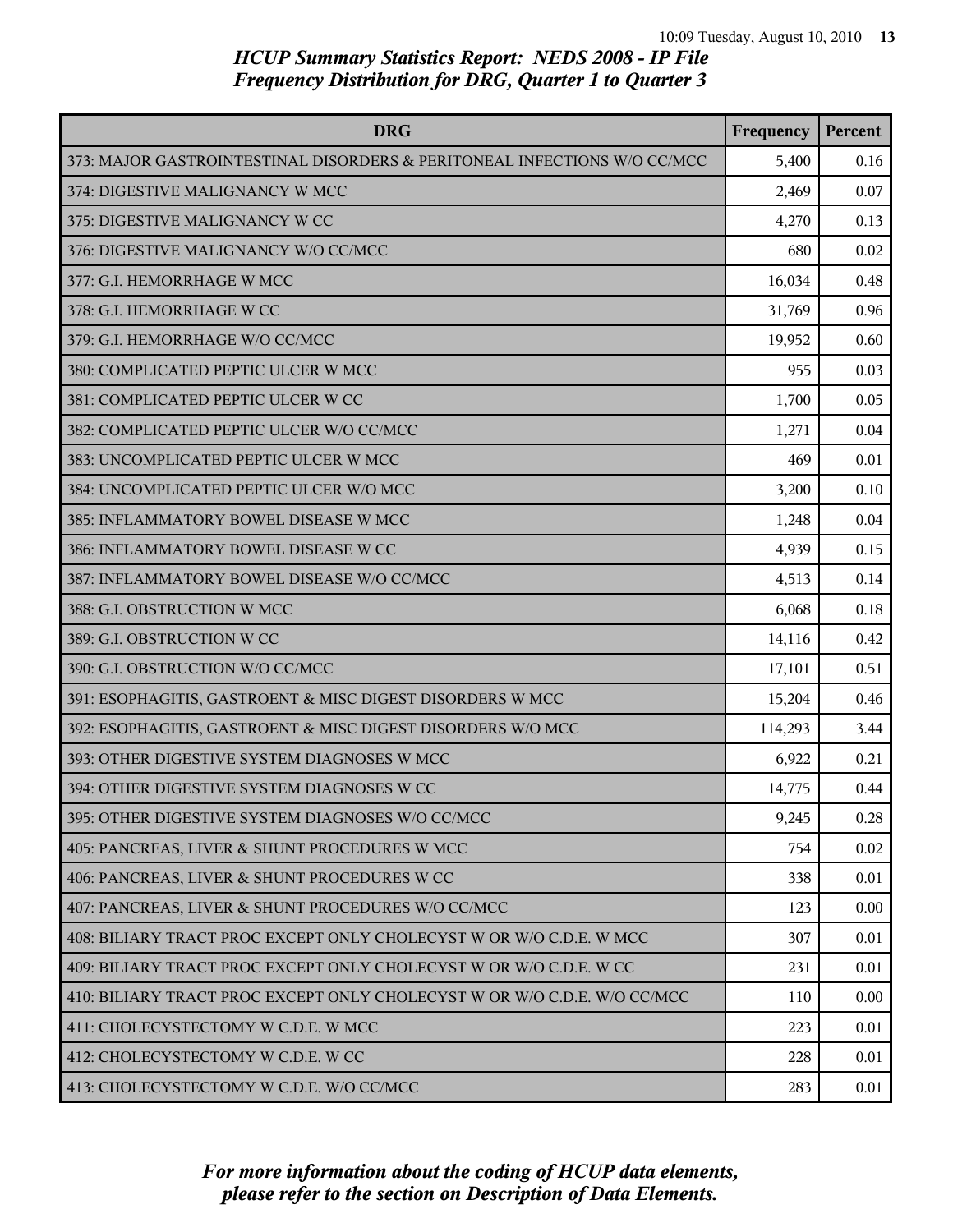| <b>DRG</b>                                                               | Frequency | Percent |
|--------------------------------------------------------------------------|-----------|---------|
| 373: MAJOR GASTROINTESTINAL DISORDERS & PERITONEAL INFECTIONS W/O CC/MCC | 5,400     | 0.16    |
| 374: DIGESTIVE MALIGNANCY W MCC                                          | 2,469     | 0.07    |
| 375: DIGESTIVE MALIGNANCY W CC                                           | 4,270     | 0.13    |
| 376: DIGESTIVE MALIGNANCY W/O CC/MCC                                     | 680       | 0.02    |
| 377: G.I. HEMORRHAGE W MCC                                               | 16,034    | 0.48    |
| 378: G.I. HEMORRHAGE W CC                                                | 31,769    | 0.96    |
| 379: G.I. HEMORRHAGE W/O CC/MCC                                          | 19,952    | 0.60    |
| 380: COMPLICATED PEPTIC ULCER W MCC                                      | 955       | 0.03    |
| 381: COMPLICATED PEPTIC ULCER W CC                                       | 1,700     | 0.05    |
| 382: COMPLICATED PEPTIC ULCER W/O CC/MCC                                 | 1,271     | 0.04    |
| 383: UNCOMPLICATED PEPTIC ULCER W MCC                                    | 469       | 0.01    |
| 384: UNCOMPLICATED PEPTIC ULCER W/O MCC                                  | 3,200     | 0.10    |
| 385: INFLAMMATORY BOWEL DISEASE W MCC                                    | 1,248     | 0.04    |
| 386: INFLAMMATORY BOWEL DISEASE W CC                                     | 4,939     | 0.15    |
| 387: INFLAMMATORY BOWEL DISEASE W/O CC/MCC                               | 4,513     | 0.14    |
| 388: G.I. OBSTRUCTION W MCC                                              | 6,068     | 0.18    |
| 389: G.I. OBSTRUCTION W CC                                               | 14,116    | 0.42    |
| 390: G.I. OBSTRUCTION W/O CC/MCC                                         | 17,101    | 0.51    |
| 391: ESOPHAGITIS, GASTROENT & MISC DIGEST DISORDERS W MCC                | 15,204    | 0.46    |
| 392: ESOPHAGITIS, GASTROENT & MISC DIGEST DISORDERS W/O MCC              | 114,293   | 3.44    |
| 393: OTHER DIGESTIVE SYSTEM DIAGNOSES W MCC                              | 6,922     | 0.21    |
| 394: OTHER DIGESTIVE SYSTEM DIAGNOSES W CC                               | 14,775    | 0.44    |
| 395: OTHER DIGESTIVE SYSTEM DIAGNOSES W/O CC/MCC                         | 9,245     | 0.28    |
| 405: PANCREAS, LIVER & SHUNT PROCEDURES W MCC                            | 754       | 0.02    |
| 406: PANCREAS, LIVER & SHUNT PROCEDURES W CC                             | 338       | 0.01    |
| 407: PANCREAS, LIVER & SHUNT PROCEDURES W/O CC/MCC                       | 123       | 0.00    |
| 408: BILIARY TRACT PROC EXCEPT ONLY CHOLECYST W OR W/O C.D.E. W MCC      | 307       | 0.01    |
| 409: BILIARY TRACT PROC EXCEPT ONLY CHOLECYST W OR W/O C.D.E. W CC       | 231       | 0.01    |
| 410: BILIARY TRACT PROC EXCEPT ONLY CHOLECYST W OR W/O C.D.E. W/O CC/MCC | 110       | 0.00    |
| 411: CHOLECYSTECTOMY W C.D.E. W MCC                                      | 223       | 0.01    |
| 412: CHOLECYSTECTOMY W C.D.E. W CC                                       | 228       | 0.01    |
| 413: CHOLECYSTECTOMY W C.D.E. W/O CC/MCC                                 | 283       | 0.01    |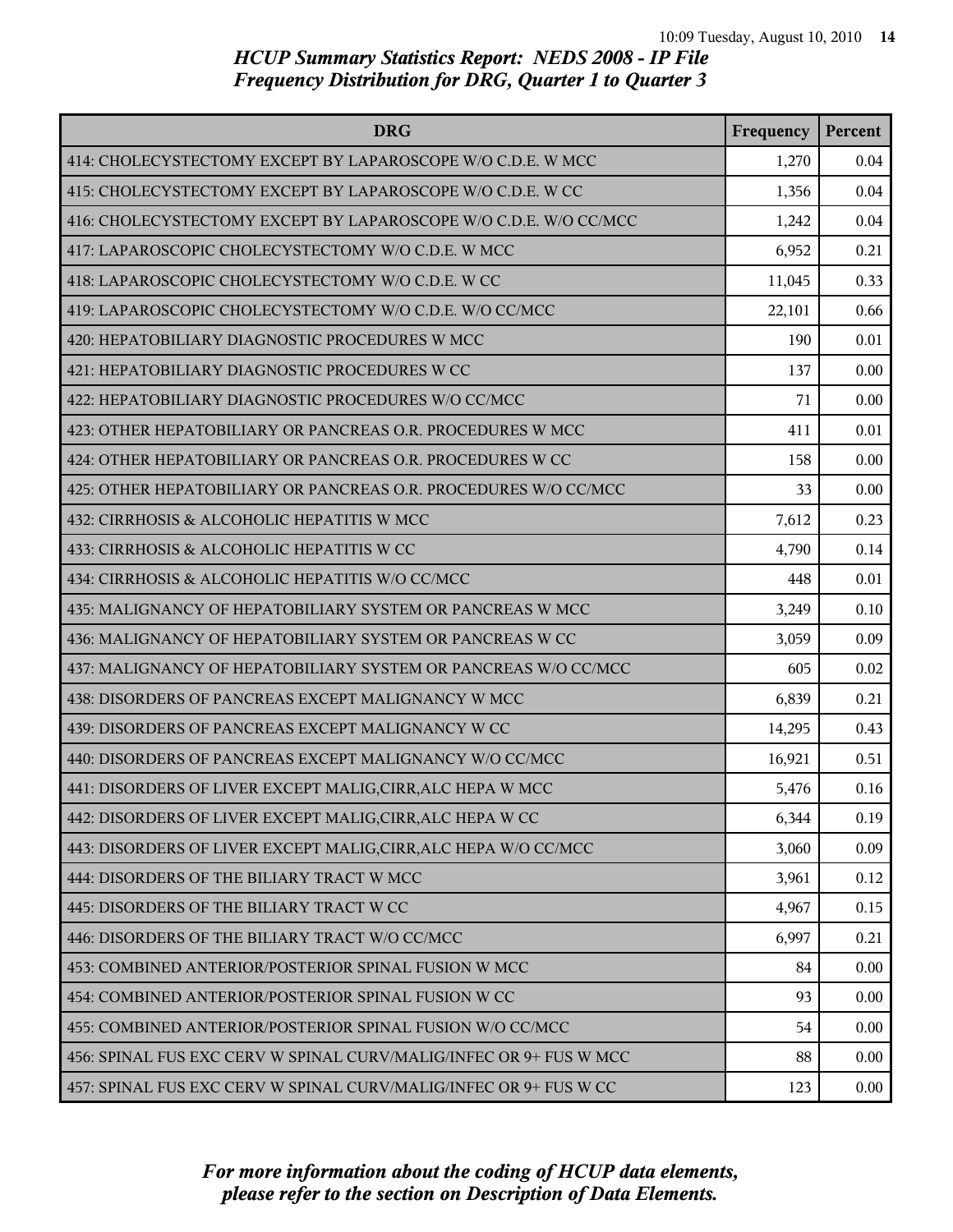| <b>DRG</b>                                                         | Frequency | Percent |
|--------------------------------------------------------------------|-----------|---------|
| 414: CHOLECYSTECTOMY EXCEPT BY LAPAROSCOPE W/O C.D.E. W MCC        | 1,270     | 0.04    |
| 415: CHOLECYSTECTOMY EXCEPT BY LAPAROSCOPE W/O C.D.E. W CC         | 1,356     | 0.04    |
| 416: CHOLECYSTECTOMY EXCEPT BY LAPAROSCOPE W/O C.D.E. W/O CC/MCC   | 1,242     | 0.04    |
| 417: LAPAROSCOPIC CHOLECYSTECTOMY W/O C.D.E. W MCC                 | 6,952     | 0.21    |
| 418: LAPAROSCOPIC CHOLECYSTECTOMY W/O C.D.E. W CC                  | 11,045    | 0.33    |
| 419: LAPAROSCOPIC CHOLECYSTECTOMY W/O C.D.E. W/O CC/MCC            | 22,101    | 0.66    |
| 420: HEPATOBILIARY DIAGNOSTIC PROCEDURES W MCC                     | 190       | 0.01    |
| 421: HEPATOBILIARY DIAGNOSTIC PROCEDURES W CC                      | 137       | 0.00    |
| 422: HEPATOBILIARY DIAGNOSTIC PROCEDURES W/O CC/MCC                | 71        | 0.00    |
| 423: OTHER HEPATOBILIARY OR PANCREAS O.R. PROCEDURES W MCC         | 411       | 0.01    |
| 424: OTHER HEPATOBILIARY OR PANCREAS O.R. PROCEDURES W CC          | 158       | 0.00    |
| 425: OTHER HEPATOBILIARY OR PANCREAS O.R. PROCEDURES W/O CC/MCC    | 33        | 0.00    |
| 432: CIRRHOSIS & ALCOHOLIC HEPATITIS W MCC                         | 7,612     | 0.23    |
| 433: CIRRHOSIS & ALCOHOLIC HEPATITIS W CC                          | 4,790     | 0.14    |
| 434: CIRRHOSIS & ALCOHOLIC HEPATITIS W/O CC/MCC                    | 448       | 0.01    |
| 435: MALIGNANCY OF HEPATOBILIARY SYSTEM OR PANCREAS W MCC          | 3,249     | 0.10    |
| 436: MALIGNANCY OF HEPATOBILIARY SYSTEM OR PANCREAS W CC           | 3,059     | 0.09    |
| 437: MALIGNANCY OF HEPATOBILIARY SYSTEM OR PANCREAS W/O CC/MCC     | 605       | 0.02    |
| 438: DISORDERS OF PANCREAS EXCEPT MALIGNANCY W MCC                 | 6,839     | 0.21    |
| 439: DISORDERS OF PANCREAS EXCEPT MALIGNANCY W CC                  | 14,295    | 0.43    |
| 440: DISORDERS OF PANCREAS EXCEPT MALIGNANCY W/O CC/MCC            | 16,921    | 0.51    |
| 441: DISORDERS OF LIVER EXCEPT MALIG, CIRR, ALC HEPA W MCC         | 5,476     | 0.16    |
| 442: DISORDERS OF LIVER EXCEPT MALIG, CIRR, ALC HEPA W CC          | 6,344     | 0.19    |
| 443: DISORDERS OF LIVER EXCEPT MALIG, CIRR, ALC HEPA W/O CC/MCC    | 3,060     | 0.09    |
| 444: DISORDERS OF THE BILIARY TRACT W MCC                          | 3,961     | 0.12    |
| 445: DISORDERS OF THE BILIARY TRACT W CC                           | 4,967     | 0.15    |
| 446: DISORDERS OF THE BILIARY TRACT W/O CC/MCC                     | 6,997     | 0.21    |
| 453: COMBINED ANTERIOR/POSTERIOR SPINAL FUSION W MCC               | 84        | 0.00    |
| 454: COMBINED ANTERIOR/POSTERIOR SPINAL FUSION W CC                | 93        | 0.00    |
| 455: COMBINED ANTERIOR/POSTERIOR SPINAL FUSION W/O CC/MCC          | 54        | 0.00    |
| 456: SPINAL FUS EXC CERV W SPINAL CURV/MALIG/INFEC OR 9+ FUS W MCC | 88        | 0.00    |
| 457: SPINAL FUS EXC CERV W SPINAL CURV/MALIG/INFEC OR 9+ FUS W CC  | 123       | 0.00    |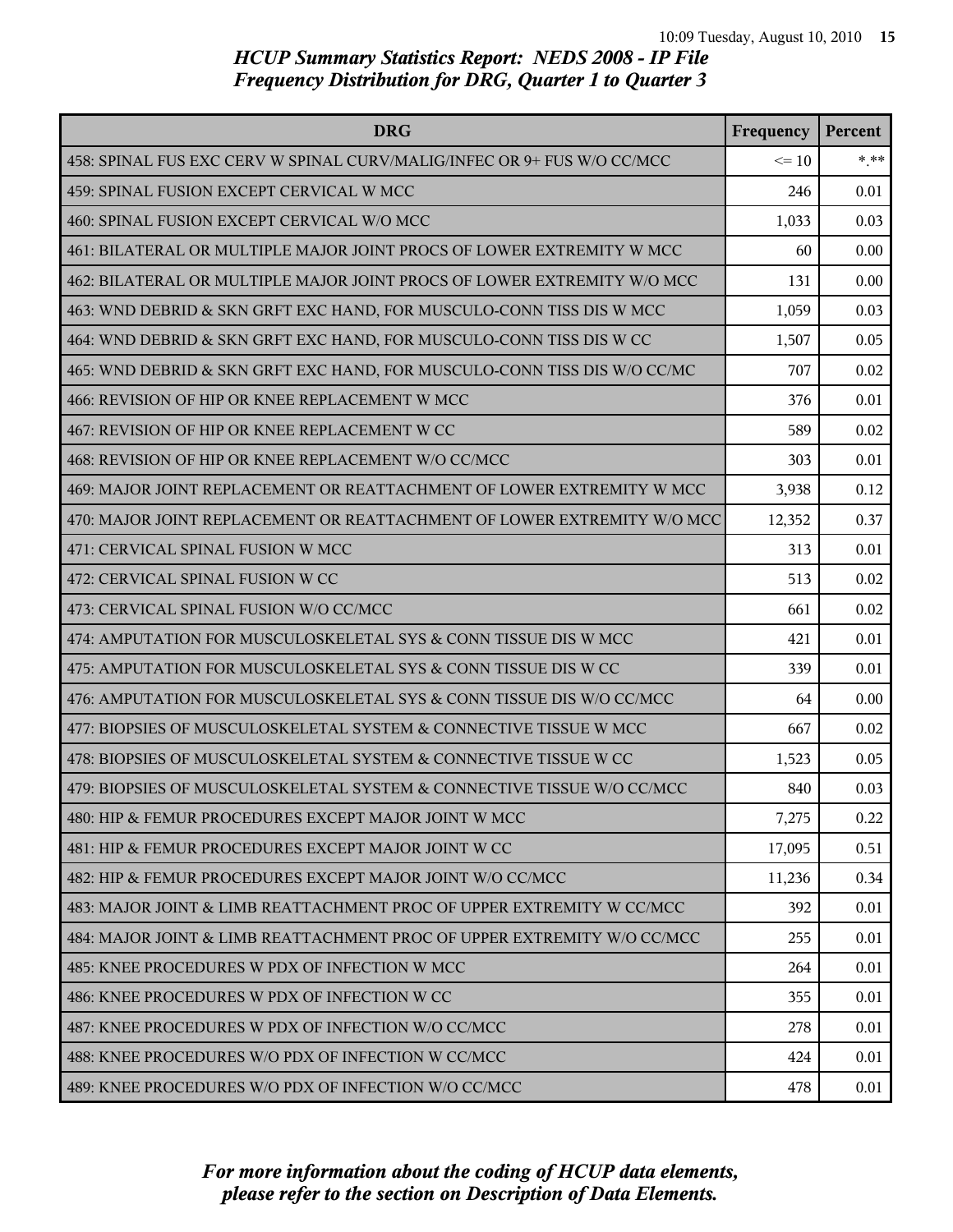| <b>DRG</b>                                                               | Frequency | Percent |
|--------------------------------------------------------------------------|-----------|---------|
| 458: SPINAL FUS EXC CERV W SPINAL CURV/MALIG/INFEC OR 9+ FUS W/O CC/MCC  | $\leq 10$ | $***$   |
| 459: SPINAL FUSION EXCEPT CERVICAL W MCC                                 | 246       | 0.01    |
| 460: SPINAL FUSION EXCEPT CERVICAL W/O MCC                               | 1,033     | 0.03    |
| 461: BILATERAL OR MULTIPLE MAJOR JOINT PROCS OF LOWER EXTREMITY W MCC    | 60        | 0.00    |
| 462: BILATERAL OR MULTIPLE MAJOR JOINT PROCS OF LOWER EXTREMITY W/O MCC  | 131       | 0.00    |
| 463: WND DEBRID & SKN GRFT EXC HAND, FOR MUSCULO-CONN TISS DIS W MCC     | 1,059     | 0.03    |
| 464: WND DEBRID & SKN GRFT EXC HAND, FOR MUSCULO-CONN TISS DIS W CC      | 1,507     | 0.05    |
| 465: WND DEBRID & SKN GRFT EXC HAND, FOR MUSCULO-CONN TISS DIS W/O CC/MC | 707       | 0.02    |
| 466: REVISION OF HIP OR KNEE REPLACEMENT W MCC                           | 376       | 0.01    |
| 467: REVISION OF HIP OR KNEE REPLACEMENT W CC                            | 589       | 0.02    |
| 468: REVISION OF HIP OR KNEE REPLACEMENT W/O CC/MCC                      | 303       | 0.01    |
| 469: MAJOR JOINT REPLACEMENT OR REATTACHMENT OF LOWER EXTREMITY W MCC    | 3,938     | 0.12    |
| 470: MAJOR JOINT REPLACEMENT OR REATTACHMENT OF LOWER EXTREMITY W/O MCC  | 12,352    | 0.37    |
| 471: CERVICAL SPINAL FUSION W MCC                                        | 313       | 0.01    |
| 472: CERVICAL SPINAL FUSION W CC                                         | 513       | 0.02    |
| 473: CERVICAL SPINAL FUSION W/O CC/MCC                                   | 661       | 0.02    |
| 474: AMPUTATION FOR MUSCULOSKELETAL SYS & CONN TISSUE DIS W MCC          | 421       | 0.01    |
| 475: AMPUTATION FOR MUSCULOSKELETAL SYS & CONN TISSUE DIS W CC           | 339       | 0.01    |
| 476: AMPUTATION FOR MUSCULOSKELETAL SYS & CONN TISSUE DIS W/O CC/MCC     | 64        | 0.00    |
| 477: BIOPSIES OF MUSCULOSKELETAL SYSTEM & CONNECTIVE TISSUE W MCC        | 667       | 0.02    |
| 478: BIOPSIES OF MUSCULOSKELETAL SYSTEM & CONNECTIVE TISSUE W CC         | 1,523     | 0.05    |
| 479: BIOPSIES OF MUSCULOSKELETAL SYSTEM & CONNECTIVE TISSUE W/O CC/MCC   | 840       | 0.03    |
| 480: HIP & FEMUR PROCEDURES EXCEPT MAJOR JOINT W MCC                     | 7,275     | 0.22    |
| 481: HIP & FEMUR PROCEDURES EXCEPT MAJOR JOINT W CC                      | 17,095    | 0.51    |
| 482: HIP & FEMUR PROCEDURES EXCEPT MAJOR JOINT W/O CC/MCC                | 11,236    | 0.34    |
| 483: MAJOR JOINT & LIMB REATTACHMENT PROC OF UPPER EXTREMITY W CC/MCC    | 392       | 0.01    |
| 484: MAJOR JOINT & LIMB REATTACHMENT PROC OF UPPER EXTREMITY W/O CC/MCC  | 255       | 0.01    |
| 485: KNEE PROCEDURES W PDX OF INFECTION W MCC                            | 264       | 0.01    |
| 486: KNEE PROCEDURES W PDX OF INFECTION W CC                             | 355       | 0.01    |
| 487: KNEE PROCEDURES W PDX OF INFECTION W/O CC/MCC                       | 278       | 0.01    |
| 488: KNEE PROCEDURES W/O PDX OF INFECTION W CC/MCC                       | 424       | 0.01    |
| 489: KNEE PROCEDURES W/O PDX OF INFECTION W/O CC/MCC                     | 478       | 0.01    |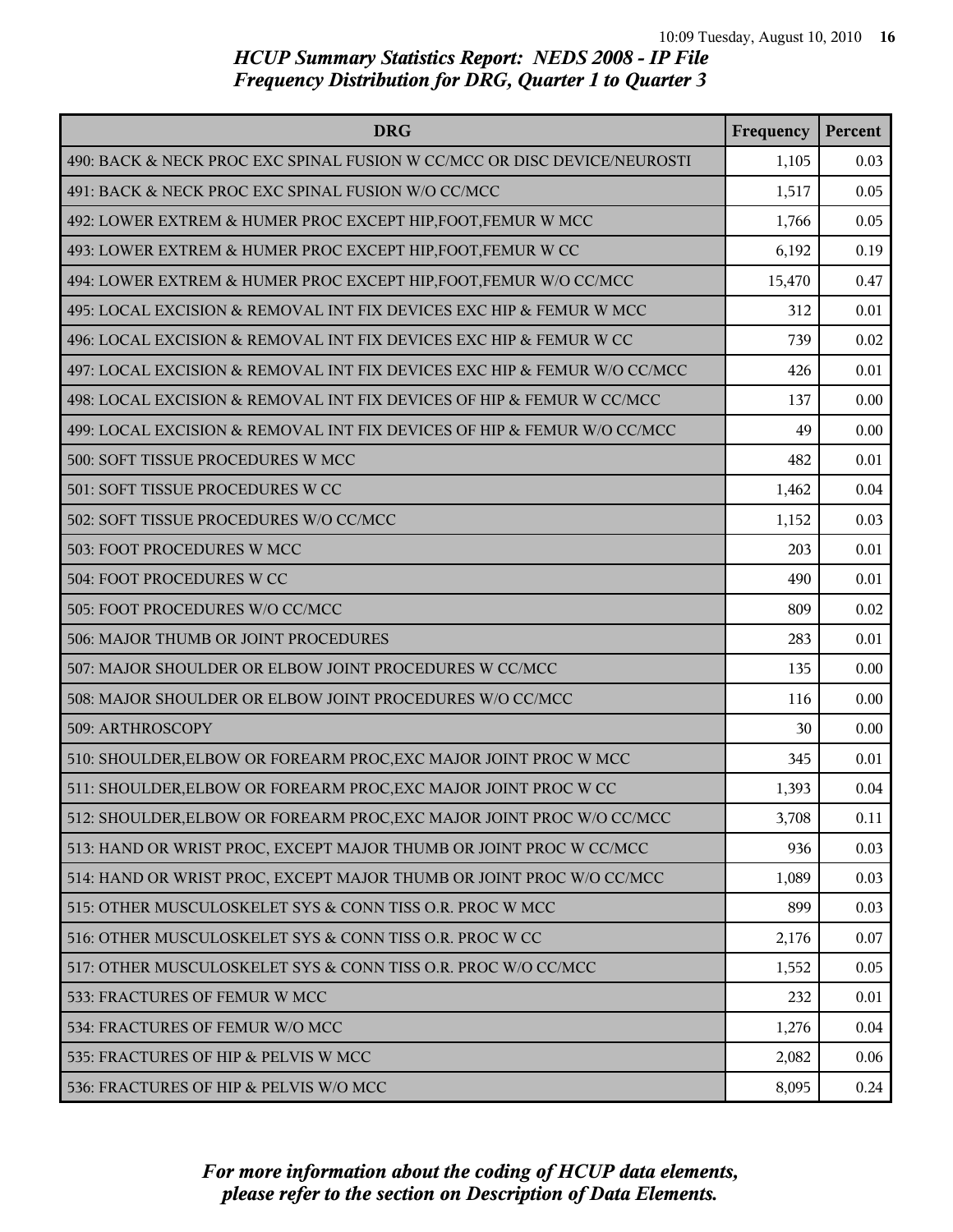| <b>DRG</b>                                                               | Frequency | Percent |
|--------------------------------------------------------------------------|-----------|---------|
| 490: BACK & NECK PROC EXC SPINAL FUSION W CC/MCC OR DISC DEVICE/NEUROSTI | 1,105     | 0.03    |
| 491: BACK & NECK PROC EXC SPINAL FUSION W/O CC/MCC                       | 1,517     | 0.05    |
| 492: LOWER EXTREM & HUMER PROC EXCEPT HIP, FOOT, FEMUR W MCC             | 1,766     | 0.05    |
| 493: LOWER EXTREM & HUMER PROC EXCEPT HIP, FOOT, FEMUR W CC              | 6,192     | 0.19    |
| 494: LOWER EXTREM & HUMER PROC EXCEPT HIP, FOOT, FEMUR W/O CC/MCC        | 15,470    | 0.47    |
| 495: LOCAL EXCISION & REMOVAL INT FIX DEVICES EXC HIP & FEMUR W MCC      | 312       | 0.01    |
| 496: LOCAL EXCISION & REMOVAL INT FIX DEVICES EXC HIP & FEMUR W CC       | 739       | 0.02    |
| 497: LOCAL EXCISION & REMOVAL INT FIX DEVICES EXC HIP & FEMUR W/O CC/MCC | 426       | 0.01    |
| 498: LOCAL EXCISION & REMOVAL INT FIX DEVICES OF HIP & FEMUR W CC/MCC    | 137       | 0.00    |
| 499: LOCAL EXCISION & REMOVAL INT FIX DEVICES OF HIP & FEMUR W/O CC/MCC  | 49        | 0.00    |
| 500: SOFT TISSUE PROCEDURES W MCC                                        | 482       | 0.01    |
| 501: SOFT TISSUE PROCEDURES W CC                                         | 1,462     | 0.04    |
| 502: SOFT TISSUE PROCEDURES W/O CC/MCC                                   | 1,152     | 0.03    |
| 503: FOOT PROCEDURES W MCC                                               | 203       | 0.01    |
| 504: FOOT PROCEDURES W CC                                                | 490       | 0.01    |
| 505: FOOT PROCEDURES W/O CC/MCC                                          | 809       | 0.02    |
| 506: MAJOR THUMB OR JOINT PROCEDURES                                     | 283       | 0.01    |
| 507: MAJOR SHOULDER OR ELBOW JOINT PROCEDURES W CC/MCC                   | 135       | 0.00    |
| 508: MAJOR SHOULDER OR ELBOW JOINT PROCEDURES W/O CC/MCC                 | 116       | 0.00    |
| 509: ARTHROSCOPY                                                         | 30        | 0.00    |
| 510: SHOULDER, ELBOW OR FOREARM PROC, EXC MAJOR JOINT PROC W MCC         | 345       | 0.01    |
| 511: SHOULDER, ELBOW OR FOREARM PROC, EXC MAJOR JOINT PROC W CC          | 1,393     | 0.04    |
| 512: SHOULDER, ELBOW OR FOREARM PROC, EXC MAJOR JOINT PROC W/O CC/MCC    | 3,708     | 0.11    |
| 513: HAND OR WRIST PROC, EXCEPT MAJOR THUMB OR JOINT PROC W CC/MCC       | 936       | 0.03    |
| 514: HAND OR WRIST PROC, EXCEPT MAJOR THUMB OR JOINT PROC W/O CC/MCC     | 1,089     | 0.03    |
| 515: OTHER MUSCULOSKELET SYS & CONN TISS O.R. PROC W MCC                 | 899       | 0.03    |
| 516: OTHER MUSCULOSKELET SYS & CONN TISS O.R. PROC W CC                  | 2,176     | 0.07    |
| 517: OTHER MUSCULOSKELET SYS & CONN TISS O.R. PROC W/O CC/MCC            | 1,552     | 0.05    |
| 533: FRACTURES OF FEMUR W MCC                                            | 232       | 0.01    |
| 534: FRACTURES OF FEMUR W/O MCC                                          | 1,276     | 0.04    |
| 535: FRACTURES OF HIP & PELVIS W MCC                                     | 2,082     | 0.06    |
| 536: FRACTURES OF HIP & PELVIS W/O MCC                                   | 8,095     | 0.24    |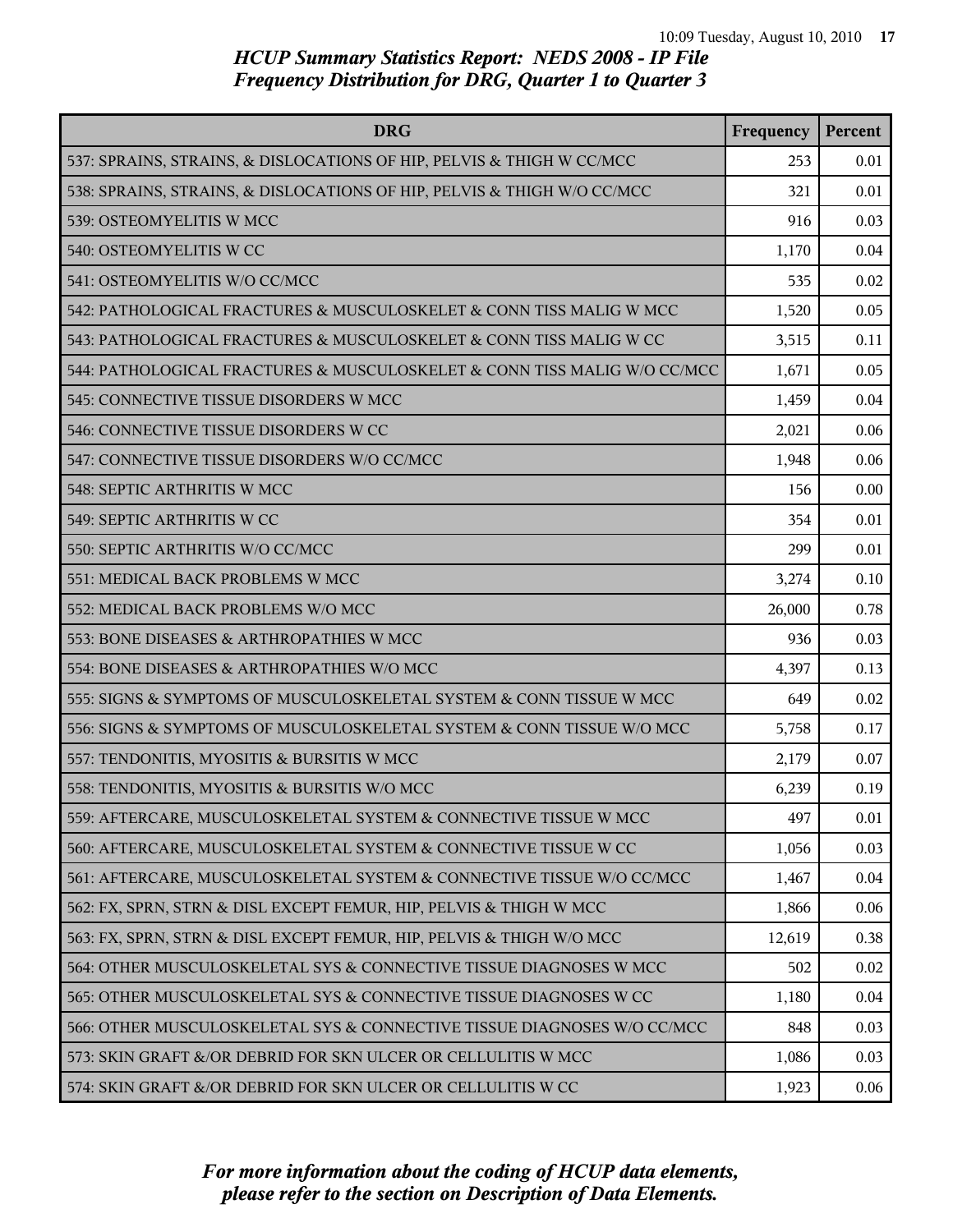| <b>DRG</b>                                                               | Frequency | Percent |
|--------------------------------------------------------------------------|-----------|---------|
| 537: SPRAINS, STRAINS, & DISLOCATIONS OF HIP, PELVIS & THIGH W CC/MCC    | 253       | 0.01    |
| 538: SPRAINS, STRAINS, & DISLOCATIONS OF HIP, PELVIS & THIGH W/O CC/MCC  | 321       | 0.01    |
| 539: OSTEOMYELITIS W MCC                                                 | 916       | 0.03    |
| 540: OSTEOMYELITIS W CC                                                  | 1,170     | 0.04    |
| 541: OSTEOMYELITIS W/O CC/MCC                                            | 535       | 0.02    |
| 542: PATHOLOGICAL FRACTURES & MUSCULOSKELET & CONN TISS MALIG W MCC      | 1,520     | 0.05    |
| 543: PATHOLOGICAL FRACTURES & MUSCULOSKELET & CONN TISS MALIG W CC       | 3,515     | 0.11    |
| 544: PATHOLOGICAL FRACTURES & MUSCULOSKELET & CONN TISS MALIG W/O CC/MCC | 1,671     | 0.05    |
| 545: CONNECTIVE TISSUE DISORDERS W MCC                                   | 1,459     | 0.04    |
| 546: CONNECTIVE TISSUE DISORDERS W CC                                    | 2,021     | 0.06    |
| 547: CONNECTIVE TISSUE DISORDERS W/O CC/MCC                              | 1,948     | 0.06    |
| 548: SEPTIC ARTHRITIS W MCC                                              | 156       | 0.00    |
| 549: SEPTIC ARTHRITIS W CC                                               | 354       | 0.01    |
| 550: SEPTIC ARTHRITIS W/O CC/MCC                                         | 299       | 0.01    |
| 551: MEDICAL BACK PROBLEMS W MCC                                         | 3,274     | 0.10    |
| 552: MEDICAL BACK PROBLEMS W/O MCC                                       | 26,000    | 0.78    |
| 553: BONE DISEASES & ARTHROPATHIES W MCC                                 | 936       | 0.03    |
| 554: BONE DISEASES & ARTHROPATHIES W/O MCC                               | 4,397     | 0.13    |
| 555: SIGNS & SYMPTOMS OF MUSCULOSKELETAL SYSTEM & CONN TISSUE W MCC      | 649       | 0.02    |
| 556: SIGNS & SYMPTOMS OF MUSCULOSKELETAL SYSTEM & CONN TISSUE W/O MCC    | 5,758     | 0.17    |
| 557: TENDONITIS, MYOSITIS & BURSITIS W MCC                               | 2,179     | 0.07    |
| 558: TENDONITIS, MYOSITIS & BURSITIS W/O MCC                             | 6,239     | 0.19    |
| 559: AFTERCARE, MUSCULOSKELETAL SYSTEM & CONNECTIVE TISSUE W MCC         | 497       | 0.01    |
| 560: AFTERCARE, MUSCULOSKELETAL SYSTEM & CONNECTIVE TISSUE W CC          | 1,056     | 0.03    |
| 561: AFTERCARE, MUSCULOSKELETAL SYSTEM & CONNECTIVE TISSUE W/O CC/MCC    | 1,467     | 0.04    |
| 562: FX, SPRN, STRN & DISL EXCEPT FEMUR, HIP, PELVIS & THIGH W MCC       | 1,866     | 0.06    |
| 563: FX, SPRN, STRN & DISL EXCEPT FEMUR, HIP, PELVIS & THIGH W/O MCC     | 12,619    | 0.38    |
| 564: OTHER MUSCULOSKELETAL SYS & CONNECTIVE TISSUE DIAGNOSES W MCC       | 502       | 0.02    |
| 565: OTHER MUSCULOSKELETAL SYS & CONNECTIVE TISSUE DIAGNOSES W CC        | 1,180     | 0.04    |
| 566: OTHER MUSCULOSKELETAL SYS & CONNECTIVE TISSUE DIAGNOSES W/O CC/MCC  | 848       | 0.03    |
| 573: SKIN GRAFT &/OR DEBRID FOR SKN ULCER OR CELLULITIS W MCC            | 1,086     | 0.03    |
| 574: SKIN GRAFT &/OR DEBRID FOR SKN ULCER OR CELLULITIS W CC             | 1,923     | 0.06    |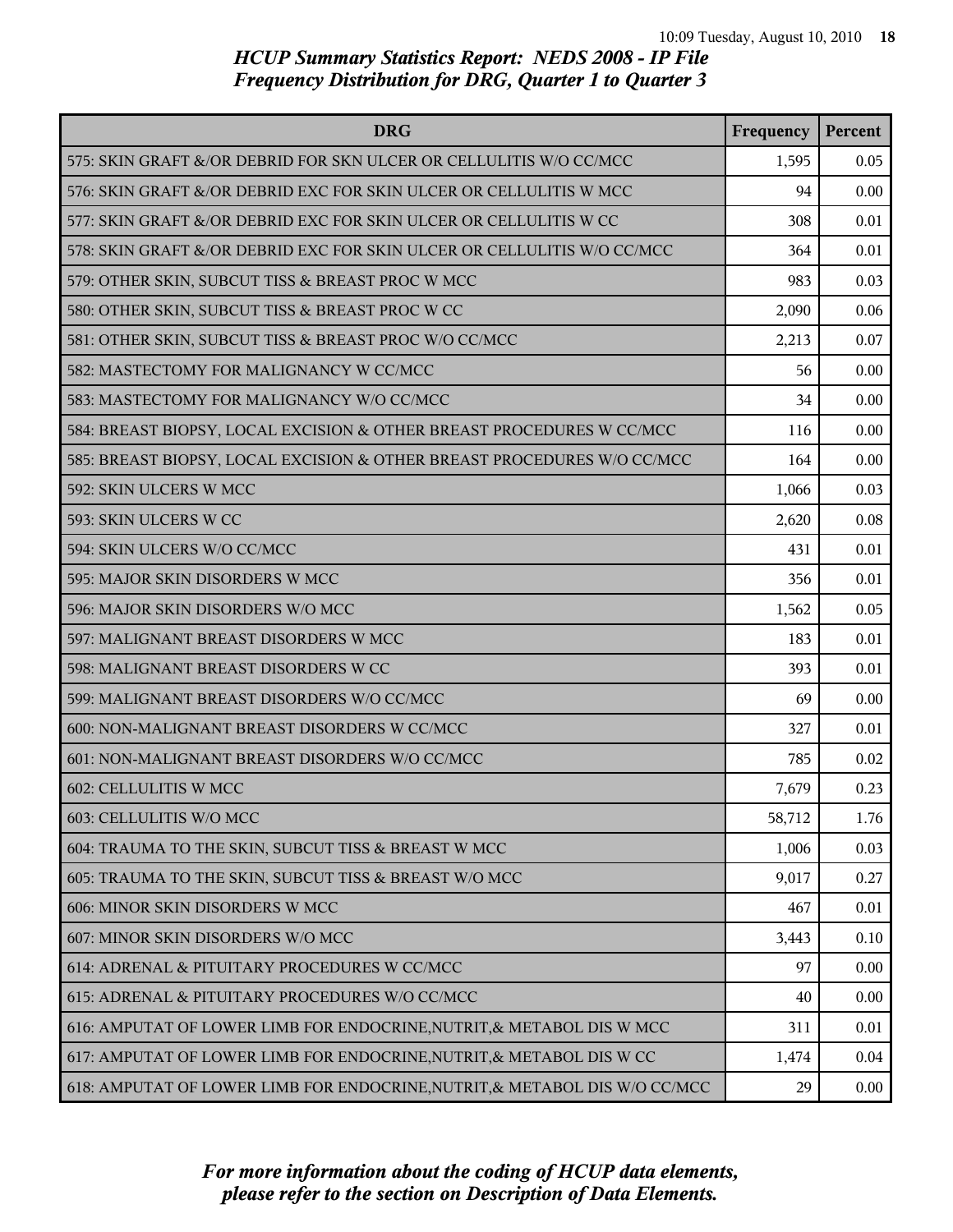| <b>DRG</b>                                                                 | Frequency | Percent |
|----------------------------------------------------------------------------|-----------|---------|
| 575: SKIN GRAFT &/OR DEBRID FOR SKN ULCER OR CELLULITIS W/O CC/MCC         | 1,595     | 0.05    |
| 576: SKIN GRAFT &/OR DEBRID EXC FOR SKIN ULCER OR CELLULITIS W MCC         | 94        | 0.00    |
| 577: SKIN GRAFT &/OR DEBRID EXC FOR SKIN ULCER OR CELLULITIS W CC          | 308       | 0.01    |
| 578: SKIN GRAFT &/OR DEBRID EXC FOR SKIN ULCER OR CELLULITIS W/O CC/MCC    | 364       | 0.01    |
| 579: OTHER SKIN, SUBCUT TISS & BREAST PROC W MCC                           | 983       | 0.03    |
| 580: OTHER SKIN, SUBCUT TISS & BREAST PROC W CC                            | 2,090     | 0.06    |
| 581: OTHER SKIN, SUBCUT TISS & BREAST PROC W/O CC/MCC                      | 2,213     | 0.07    |
| 582: MASTECTOMY FOR MALIGNANCY W CC/MCC                                    | 56        | 0.00    |
| 583: MASTECTOMY FOR MALIGNANCY W/O CC/MCC                                  | 34        | 0.00    |
| 584: BREAST BIOPSY, LOCAL EXCISION & OTHER BREAST PROCEDURES W CC/MCC      | 116       | 0.00    |
| 585: BREAST BIOPSY, LOCAL EXCISION & OTHER BREAST PROCEDURES W/O CC/MCC    | 164       | 0.00    |
| 592: SKIN ULCERS W MCC                                                     | 1,066     | 0.03    |
| 593: SKIN ULCERS W CC                                                      | 2,620     | 0.08    |
| 594: SKIN ULCERS W/O CC/MCC                                                | 431       | 0.01    |
| 595: MAJOR SKIN DISORDERS W MCC                                            | 356       | 0.01    |
| 596: MAJOR SKIN DISORDERS W/O MCC                                          | 1,562     | 0.05    |
| 597: MALIGNANT BREAST DISORDERS W MCC                                      | 183       | 0.01    |
| 598: MALIGNANT BREAST DISORDERS W CC                                       | 393       | 0.01    |
| 599: MALIGNANT BREAST DISORDERS W/O CC/MCC                                 | 69        | 0.00    |
| 600: NON-MALIGNANT BREAST DISORDERS W CC/MCC                               | 327       | 0.01    |
| 601: NON-MALIGNANT BREAST DISORDERS W/O CC/MCC                             | 785       | 0.02    |
| 602: CELLULITIS W MCC                                                      | 7,679     | 0.23    |
| 603: CELLULITIS W/O MCC                                                    | 58,712    | 1.76    |
| 604: TRAUMA TO THE SKIN, SUBCUT TISS & BREAST W MCC                        | 1,006     | 0.03    |
| 605: TRAUMA TO THE SKIN, SUBCUT TISS & BREAST W/O MCC                      | 9,017     | 0.27    |
| 606: MINOR SKIN DISORDERS W MCC                                            | 467       | 0.01    |
| 607: MINOR SKIN DISORDERS W/O MCC                                          | 3,443     | 0.10    |
| 614: ADRENAL & PITUITARY PROCEDURES W CC/MCC                               | 97        | 0.00    |
| 615: ADRENAL & PITUITARY PROCEDURES W/O CC/MCC                             | 40        | 0.00    |
| 616: AMPUTAT OF LOWER LIMB FOR ENDOCRINE, NUTRIT, & METABOL DIS W MCC      | 311       | 0.01    |
| 617: AMPUTAT OF LOWER LIMB FOR ENDOCRINE, NUTRIT, & METABOL DIS W CC       | 1,474     | 0.04    |
| 618: AMPUTAT OF LOWER LIMB FOR ENDOCRINE, NUTRIT, & METABOL DIS W/O CC/MCC | 29        | 0.00    |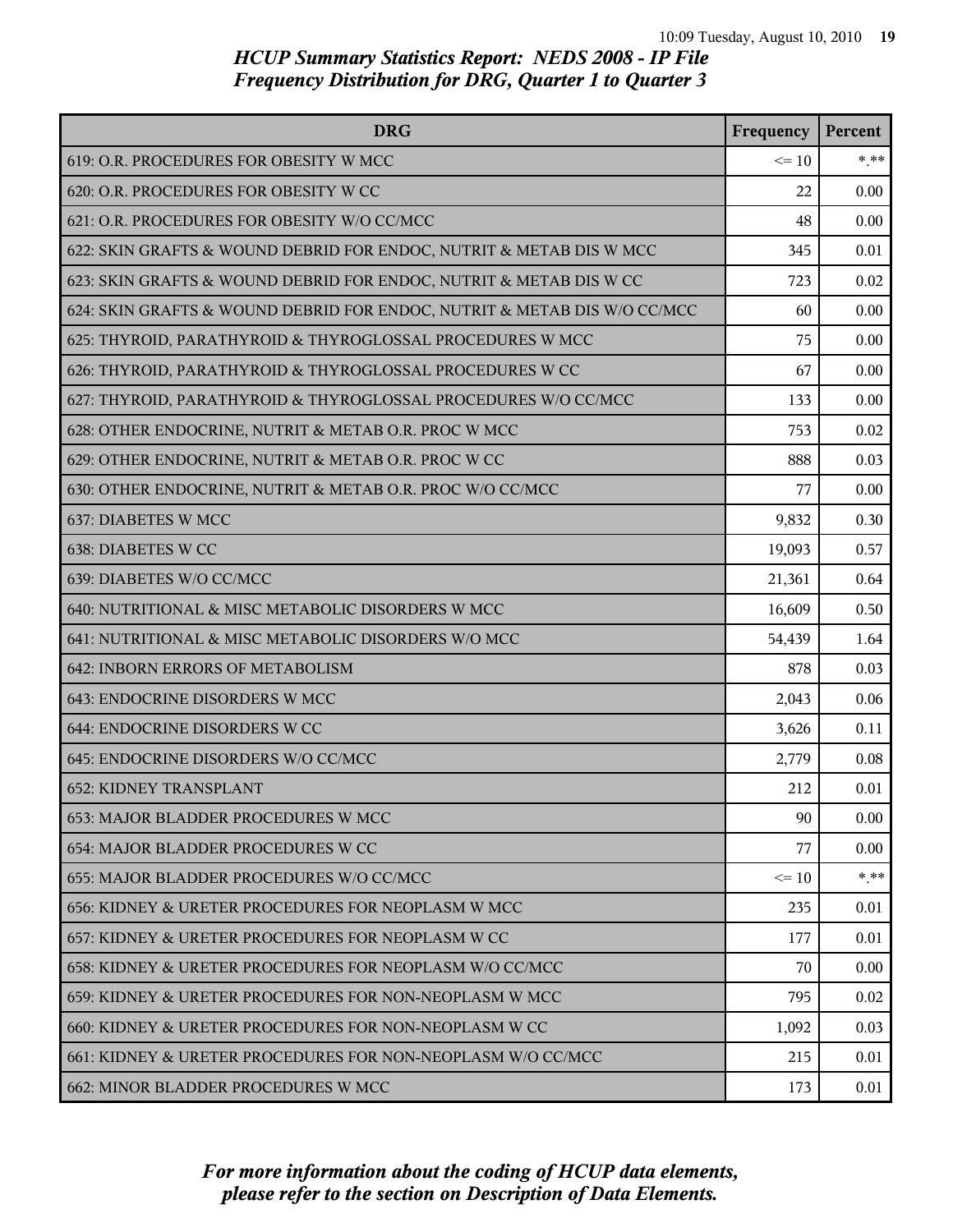| <b>DRG</b>                                                               | Frequency | Percent |
|--------------------------------------------------------------------------|-----------|---------|
| 619: O.R. PROCEDURES FOR OBESITY W MCC                                   | $\leq 10$ | * **    |
| 620: O.R. PROCEDURES FOR OBESITY W CC                                    | 22        | 0.00    |
| 621: O.R. PROCEDURES FOR OBESITY W/O CC/MCC                              | 48        | 0.00    |
| 622: SKIN GRAFTS & WOUND DEBRID FOR ENDOC, NUTRIT & METAB DIS W MCC      | 345       | 0.01    |
| 623: SKIN GRAFTS & WOUND DEBRID FOR ENDOC, NUTRIT & METAB DIS W CC       | 723       | 0.02    |
| 624: SKIN GRAFTS & WOUND DEBRID FOR ENDOC, NUTRIT & METAB DIS W/O CC/MCC | 60        | 0.00    |
| 625: THYROID, PARATHYROID & THYROGLOSSAL PROCEDURES W MCC                | 75        | 0.00    |
| 626: THYROID, PARATHYROID & THYROGLOSSAL PROCEDURES W CC                 | 67        | 0.00    |
| 627: THYROID, PARATHYROID & THYROGLOSSAL PROCEDURES W/O CC/MCC           | 133       | 0.00    |
| 628: OTHER ENDOCRINE, NUTRIT & METAB O.R. PROC W MCC                     | 753       | 0.02    |
| 629: OTHER ENDOCRINE, NUTRIT & METAB O.R. PROC W CC                      | 888       | 0.03    |
| 630: OTHER ENDOCRINE, NUTRIT & METAB O.R. PROC W/O CC/MCC                | 77        | 0.00    |
| 637: DIABETES W MCC                                                      | 9,832     | 0.30    |
| 638: DIABETES W CC                                                       | 19,093    | 0.57    |
| 639: DIABETES W/O CC/MCC                                                 | 21,361    | 0.64    |
| 640: NUTRITIONAL & MISC METABOLIC DISORDERS W MCC                        | 16,609    | 0.50    |
| 641: NUTRITIONAL & MISC METABOLIC DISORDERS W/O MCC                      | 54,439    | 1.64    |
| 642: INBORN ERRORS OF METABOLISM                                         | 878       | 0.03    |
| 643: ENDOCRINE DISORDERS W MCC                                           | 2,043     | 0.06    |
| 644: ENDOCRINE DISORDERS W CC                                            | 3,626     | 0.11    |
| 645: ENDOCRINE DISORDERS W/O CC/MCC                                      | 2,779     | 0.08    |
| 652: KIDNEY TRANSPLANT                                                   | 212       | 0.01    |
| 653: MAJOR BLADDER PROCEDURES W MCC                                      | 90        | 0.00    |
| 654: MAJOR BLADDER PROCEDURES W CC                                       | 77        | 0.00    |
| 655: MAJOR BLADDER PROCEDURES W/O CC/MCC                                 | $\leq$ 10 | * **    |
| 656: KIDNEY & URETER PROCEDURES FOR NEOPLASM W MCC                       | 235       | 0.01    |
| 657: KIDNEY & URETER PROCEDURES FOR NEOPLASM W CC                        | 177       | 0.01    |
| 658: KIDNEY & URETER PROCEDURES FOR NEOPLASM W/O CC/MCC                  | 70        | 0.00    |
| 659: KIDNEY & URETER PROCEDURES FOR NON-NEOPLASM W MCC                   | 795       | 0.02    |
| 660: KIDNEY & URETER PROCEDURES FOR NON-NEOPLASM W CC                    | 1,092     | 0.03    |
| 661: KIDNEY & URETER PROCEDURES FOR NON-NEOPLASM W/O CC/MCC              | 215       | 0.01    |
| 662: MINOR BLADDER PROCEDURES W MCC                                      | 173       | 0.01    |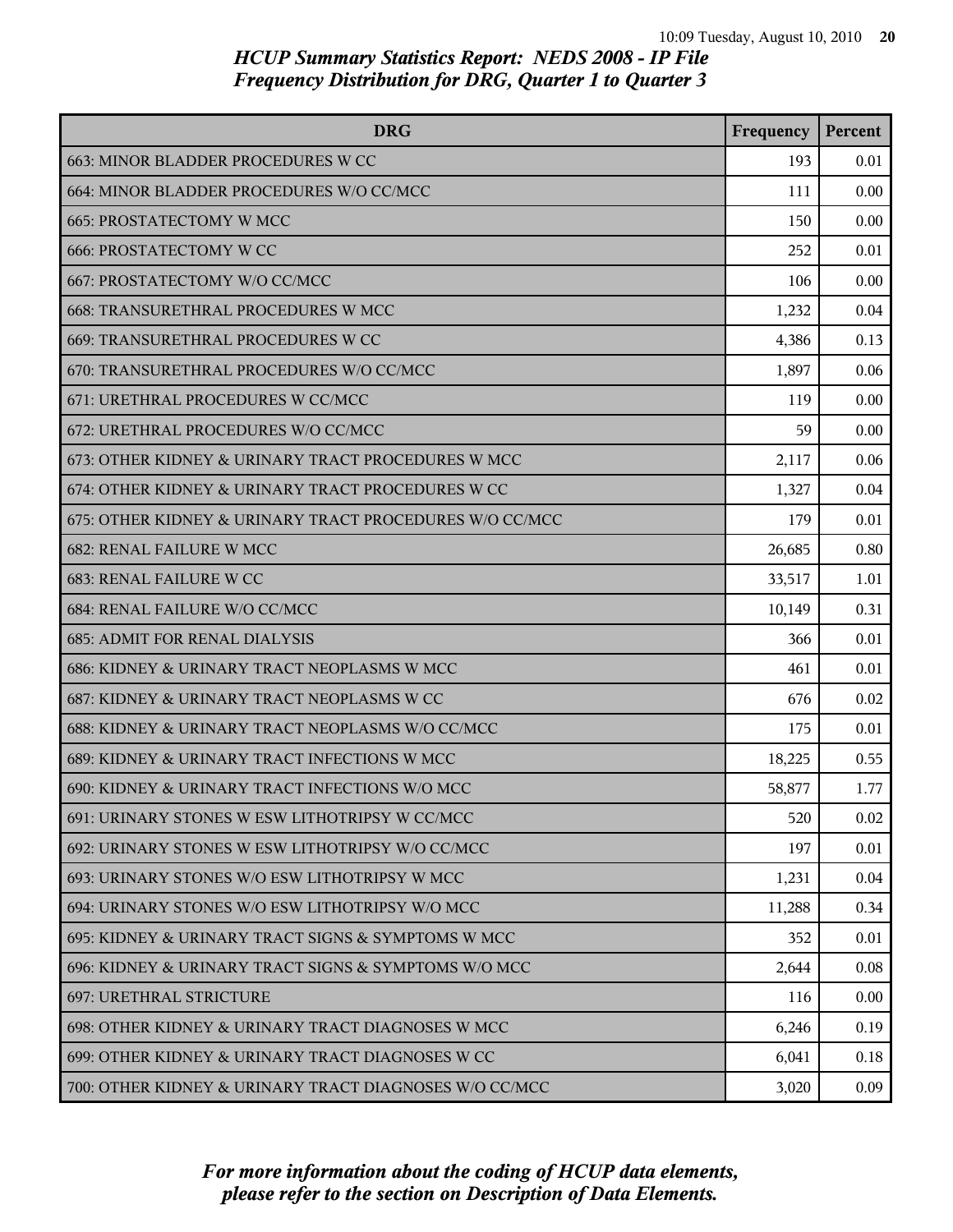| <b>DRG</b>                                              | Frequency | Percent  |
|---------------------------------------------------------|-----------|----------|
| 663: MINOR BLADDER PROCEDURES W CC                      | 193       | 0.01     |
| 664: MINOR BLADDER PROCEDURES W/O CC/MCC                | 111       | 0.00     |
| 665: PROSTATECTOMY W MCC                                | 150       | 0.00     |
| <b>666: PROSTATECTOMY W CC</b>                          | 252       | 0.01     |
| 667: PROSTATECTOMY W/O CC/MCC                           | 106       | 0.00     |
| 668: TRANSURETHRAL PROCEDURES W MCC                     | 1,232     | 0.04     |
| 669: TRANSURETHRAL PROCEDURES W CC                      | 4,386     | 0.13     |
| 670: TRANSURETHRAL PROCEDURES W/O CC/MCC                | 1,897     | 0.06     |
| 671: URETHRAL PROCEDURES W CC/MCC                       | 119       | 0.00     |
| 672: URETHRAL PROCEDURES W/O CC/MCC                     | 59        | 0.00     |
| 673: OTHER KIDNEY & URINARY TRACT PROCEDURES W MCC      | 2,117     | 0.06     |
| 674: OTHER KIDNEY & URINARY TRACT PROCEDURES W CC       | 1,327     | 0.04     |
| 675: OTHER KIDNEY & URINARY TRACT PROCEDURES W/O CC/MCC | 179       | 0.01     |
| 682: RENAL FAILURE W MCC                                | 26,685    | 0.80     |
| 683: RENAL FAILURE W CC                                 | 33,517    | 1.01     |
| 684: RENAL FAILURE W/O CC/MCC                           | 10,149    | 0.31     |
| <b>685: ADMIT FOR RENAL DIALYSIS</b>                    | 366       | 0.01     |
| 686: KIDNEY & URINARY TRACT NEOPLASMS W MCC             | 461       | 0.01     |
| 687: KIDNEY & URINARY TRACT NEOPLASMS W CC              | 676       | 0.02     |
| 688: KIDNEY & URINARY TRACT NEOPLASMS W/O CC/MCC        | 175       | 0.01     |
| 689: KIDNEY & URINARY TRACT INFECTIONS W MCC            | 18,225    | 0.55     |
| 690: KIDNEY & URINARY TRACT INFECTIONS W/O MCC          | 58,877    | 1.77     |
| 691: URINARY STONES W ESW LITHOTRIPSY W CC/MCC          | 520       | 0.02     |
| 692: URINARY STONES W ESW LITHOTRIPSY W/O CC/MCC        | 197       | 0.01     |
| 693: URINARY STONES W/O ESW LITHOTRIPSY W MCC           | 1,231     | 0.04     |
| 694: URINARY STONES W/O ESW LITHOTRIPSY W/O MCC         | 11,288    | 0.34     |
| 695: KIDNEY & URINARY TRACT SIGNS & SYMPTOMS W MCC      | 352       | 0.01     |
| 696: KIDNEY & URINARY TRACT SIGNS & SYMPTOMS W/O MCC    | 2,644     | $0.08\,$ |
| 697: URETHRAL STRICTURE                                 | 116       | 0.00     |
| 698: OTHER KIDNEY & URINARY TRACT DIAGNOSES W MCC       | 6,246     | 0.19     |
| 699: OTHER KIDNEY & URINARY TRACT DIAGNOSES W CC        | 6,041     | 0.18     |
| 700: OTHER KIDNEY & URINARY TRACT DIAGNOSES W/O CC/MCC  | 3,020     | 0.09     |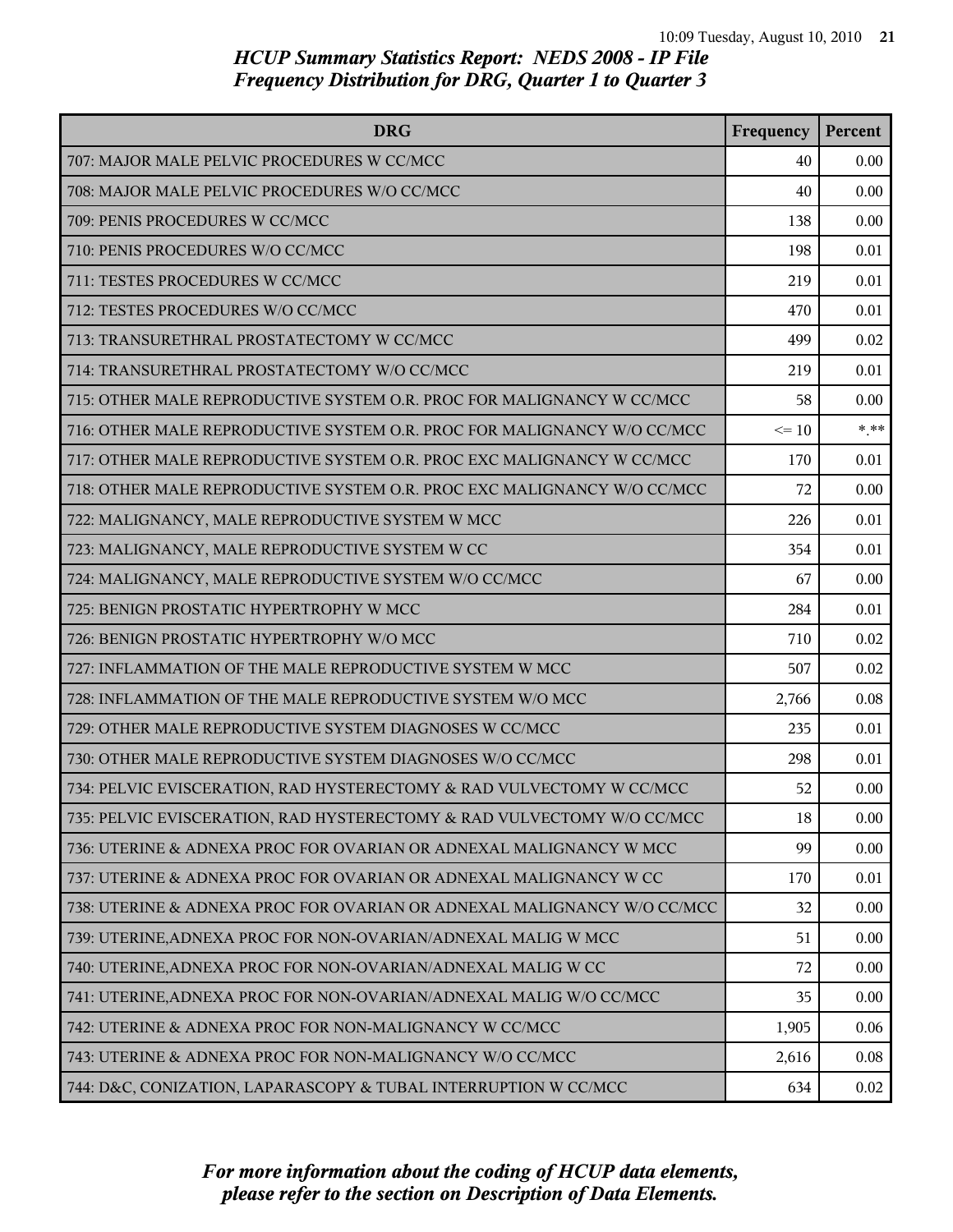| <b>DRG</b>                                                              | Frequency | Percent |
|-------------------------------------------------------------------------|-----------|---------|
| 707: MAJOR MALE PELVIC PROCEDURES W CC/MCC                              | 40        | 0.00    |
| 708: MAJOR MALE PELVIC PROCEDURES W/O CC/MCC                            | 40        | 0.00    |
| 709: PENIS PROCEDURES W CC/MCC                                          | 138       | 0.00    |
| 710: PENIS PROCEDURES W/O CC/MCC                                        | 198       | 0.01    |
| 711: TESTES PROCEDURES W CC/MCC                                         | 219       | 0.01    |
| 712: TESTES PROCEDURES W/O CC/MCC                                       | 470       | 0.01    |
| 713: TRANSURETHRAL PROSTATECTOMY W CC/MCC                               | 499       | 0.02    |
| 714: TRANSURETHRAL PROSTATECTOMY W/O CC/MCC                             | 219       | 0.01    |
| 715: OTHER MALE REPRODUCTIVE SYSTEM O.R. PROC FOR MALIGNANCY W CC/MCC   | 58        | 0.00    |
| 716: OTHER MALE REPRODUCTIVE SYSTEM O.R. PROC FOR MALIGNANCY W/O CC/MCC | $\leq 10$ | $***$   |
| 717: OTHER MALE REPRODUCTIVE SYSTEM O.R. PROC EXC MALIGNANCY W CC/MCC   | 170       | 0.01    |
| 718: OTHER MALE REPRODUCTIVE SYSTEM O.R. PROC EXC MALIGNANCY W/O CC/MCC | 72        | 0.00    |
| 722: MALIGNANCY, MALE REPRODUCTIVE SYSTEM W MCC                         | 226       | 0.01    |
| 723: MALIGNANCY, MALE REPRODUCTIVE SYSTEM W CC                          | 354       | 0.01    |
| 724: MALIGNANCY, MALE REPRODUCTIVE SYSTEM W/O CC/MCC                    | 67        | 0.00    |
| 725: BENIGN PROSTATIC HYPERTROPHY W MCC                                 | 284       | 0.01    |
| 726: BENIGN PROSTATIC HYPERTROPHY W/O MCC                               | 710       | 0.02    |
| 727: INFLAMMATION OF THE MALE REPRODUCTIVE SYSTEM W MCC                 | 507       | 0.02    |
| 728: INFLAMMATION OF THE MALE REPRODUCTIVE SYSTEM W/O MCC               | 2,766     | 0.08    |
| 729: OTHER MALE REPRODUCTIVE SYSTEM DIAGNOSES W CC/MCC                  | 235       | 0.01    |
| 730: OTHER MALE REPRODUCTIVE SYSTEM DIAGNOSES W/O CC/MCC                | 298       | 0.01    |
| 734: PELVIC EVISCERATION, RAD HYSTERECTOMY & RAD VULVECTOMY W CC/MCC    | 52        | 0.00    |
| 735: PELVIC EVISCERATION, RAD HYSTERECTOMY & RAD VULVECTOMY W/O CC/MCC  | 18        | 0.00    |
| 736: UTERINE & ADNEXA PROC FOR OVARIAN OR ADNEXAL MALIGNANCY W MCC      | 99        | 0.00    |
| 737: UTERINE & ADNEXA PROC FOR OVARIAN OR ADNEXAL MALIGNANCY W CC       | 170       | 0.01    |
| 738: UTERINE & ADNEXA PROC FOR OVARIAN OR ADNEXAL MALIGNANCY W/O CC/MCC | 32        | 0.00    |
| 739: UTERINE, ADNEXA PROC FOR NON-OVARIAN/ADNEXAL MALIG W MCC           | 51        | 0.00    |
| 740: UTERINE, ADNEXA PROC FOR NON-OVARIAN/ADNEXAL MALIG W CC            | 72        | 0.00    |
| 741: UTERINE, ADNEXA PROC FOR NON-OVARIAN/ADNEXAL MALIG W/O CC/MCC      | 35        | 0.00    |
| 742: UTERINE & ADNEXA PROC FOR NON-MALIGNANCY W CC/MCC                  | 1,905     | 0.06    |
| 743: UTERINE & ADNEXA PROC FOR NON-MALIGNANCY W/O CC/MCC                | 2,616     | 0.08    |
| 744: D&C, CONIZATION, LAPARASCOPY & TUBAL INTERRUPTION W CC/MCC         | 634       | 0.02    |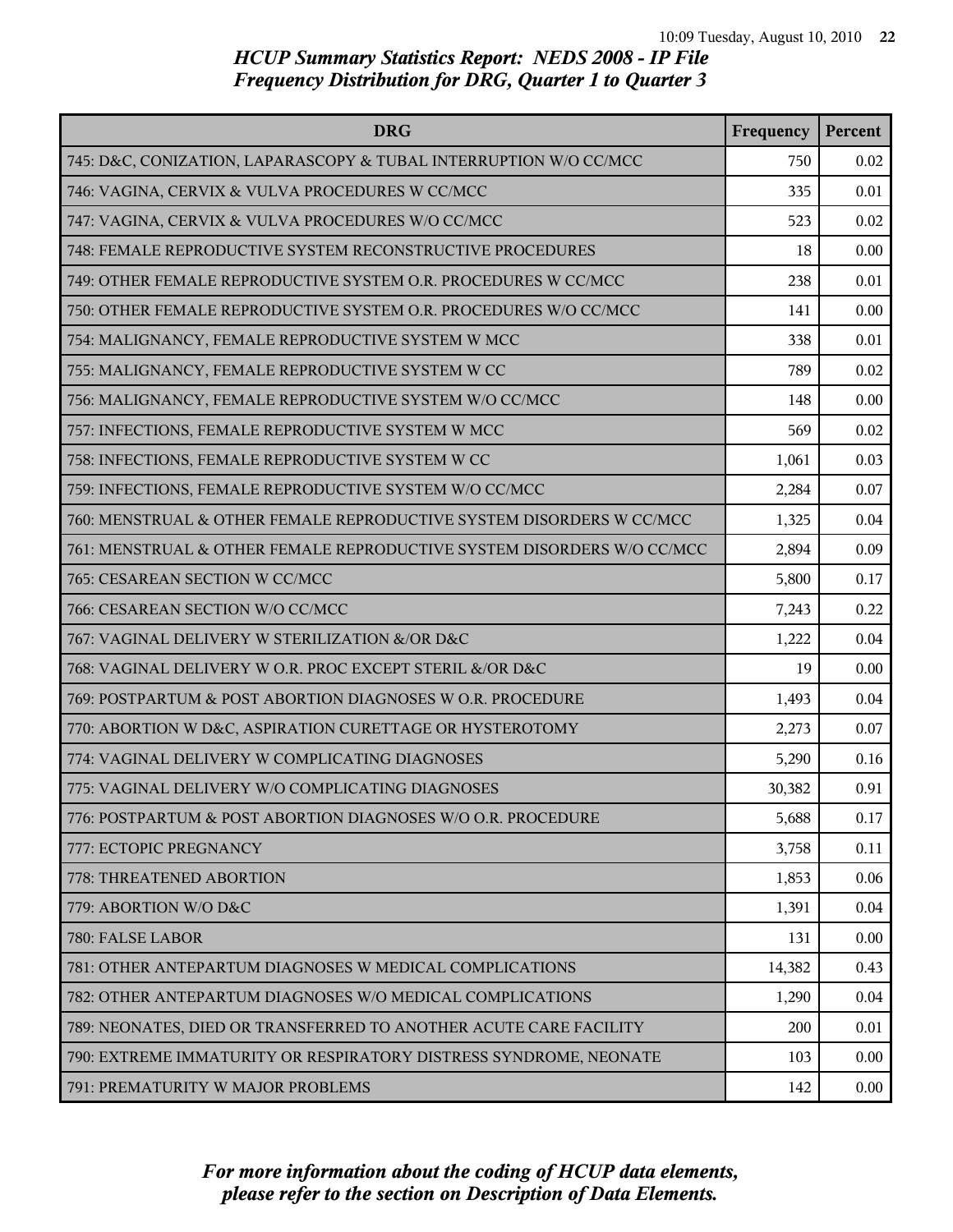| <b>DRG</b>                                                             | Frequency | Percent  |
|------------------------------------------------------------------------|-----------|----------|
| 745: D&C, CONIZATION, LAPARASCOPY & TUBAL INTERRUPTION W/O CC/MCC      | 750       | 0.02     |
| 746: VAGINA, CERVIX & VULVA PROCEDURES W CC/MCC                        | 335       | 0.01     |
| 747: VAGINA, CERVIX & VULVA PROCEDURES W/O CC/MCC                      | 523       | 0.02     |
| 748: FEMALE REPRODUCTIVE SYSTEM RECONSTRUCTIVE PROCEDURES              | 18        | 0.00     |
| 749: OTHER FEMALE REPRODUCTIVE SYSTEM O.R. PROCEDURES W CC/MCC         | 238       | 0.01     |
| 750: OTHER FEMALE REPRODUCTIVE SYSTEM O.R. PROCEDURES W/O CC/MCC       | 141       | 0.00     |
| 754: MALIGNANCY, FEMALE REPRODUCTIVE SYSTEM W MCC                      | 338       | 0.01     |
| 755: MALIGNANCY, FEMALE REPRODUCTIVE SYSTEM W CC                       | 789       | 0.02     |
| 756: MALIGNANCY, FEMALE REPRODUCTIVE SYSTEM W/O CC/MCC                 | 148       | 0.00     |
| 757: INFECTIONS, FEMALE REPRODUCTIVE SYSTEM W MCC                      | 569       | 0.02     |
| 758: INFECTIONS, FEMALE REPRODUCTIVE SYSTEM W CC                       | 1,061     | 0.03     |
| 759: INFECTIONS, FEMALE REPRODUCTIVE SYSTEM W/O CC/MCC                 | 2,284     | 0.07     |
| 760: MENSTRUAL & OTHER FEMALE REPRODUCTIVE SYSTEM DISORDERS W CC/MCC   | 1,325     | 0.04     |
| 761: MENSTRUAL & OTHER FEMALE REPRODUCTIVE SYSTEM DISORDERS W/O CC/MCC | 2,894     | 0.09     |
| 765: CESAREAN SECTION W CC/MCC                                         | 5,800     | 0.17     |
| 766: CESAREAN SECTION W/O CC/MCC                                       | 7,243     | 0.22     |
| 767: VAGINAL DELIVERY W STERILIZATION &/OR D&C                         | 1,222     | 0.04     |
| 768: VAGINAL DELIVERY W O.R. PROC EXCEPT STERIL &/OR D&C               | 19        | 0.00     |
| 769: POSTPARTUM & POST ABORTION DIAGNOSES W O.R. PROCEDURE             | 1,493     | 0.04     |
| 770: ABORTION W D&C, ASPIRATION CURETTAGE OR HYSTEROTOMY               | 2,273     | 0.07     |
| 774: VAGINAL DELIVERY W COMPLICATING DIAGNOSES                         | 5,290     | 0.16     |
| 775: VAGINAL DELIVERY W/O COMPLICATING DIAGNOSES                       | 30,382    | 0.91     |
| 776: POSTPARTUM & POST ABORTION DIAGNOSES W/O O.R. PROCEDURE           | 5,688     | 0.17     |
| 777: ECTOPIC PREGNANCY                                                 | 3,758     | 0.11     |
| 778: THREATENED ABORTION                                               | 1,853     | 0.06     |
| 779: ABORTION W/O D&C                                                  | 1,391     | 0.04     |
| 780: FALSE LABOR                                                       | 131       | 0.00     |
| 781: OTHER ANTEPARTUM DIAGNOSES W MEDICAL COMPLICATIONS                | 14,382    | 0.43     |
| 782: OTHER ANTEPARTUM DIAGNOSES W/O MEDICAL COMPLICATIONS              | 1,290     | 0.04     |
| 789: NEONATES, DIED OR TRANSFERRED TO ANOTHER ACUTE CARE FACILITY      | 200       | 0.01     |
| 790: EXTREME IMMATURITY OR RESPIRATORY DISTRESS SYNDROME, NEONATE      | 103       | 0.00     |
| 791: PREMATURITY W MAJOR PROBLEMS                                      | 142       | $0.00\,$ |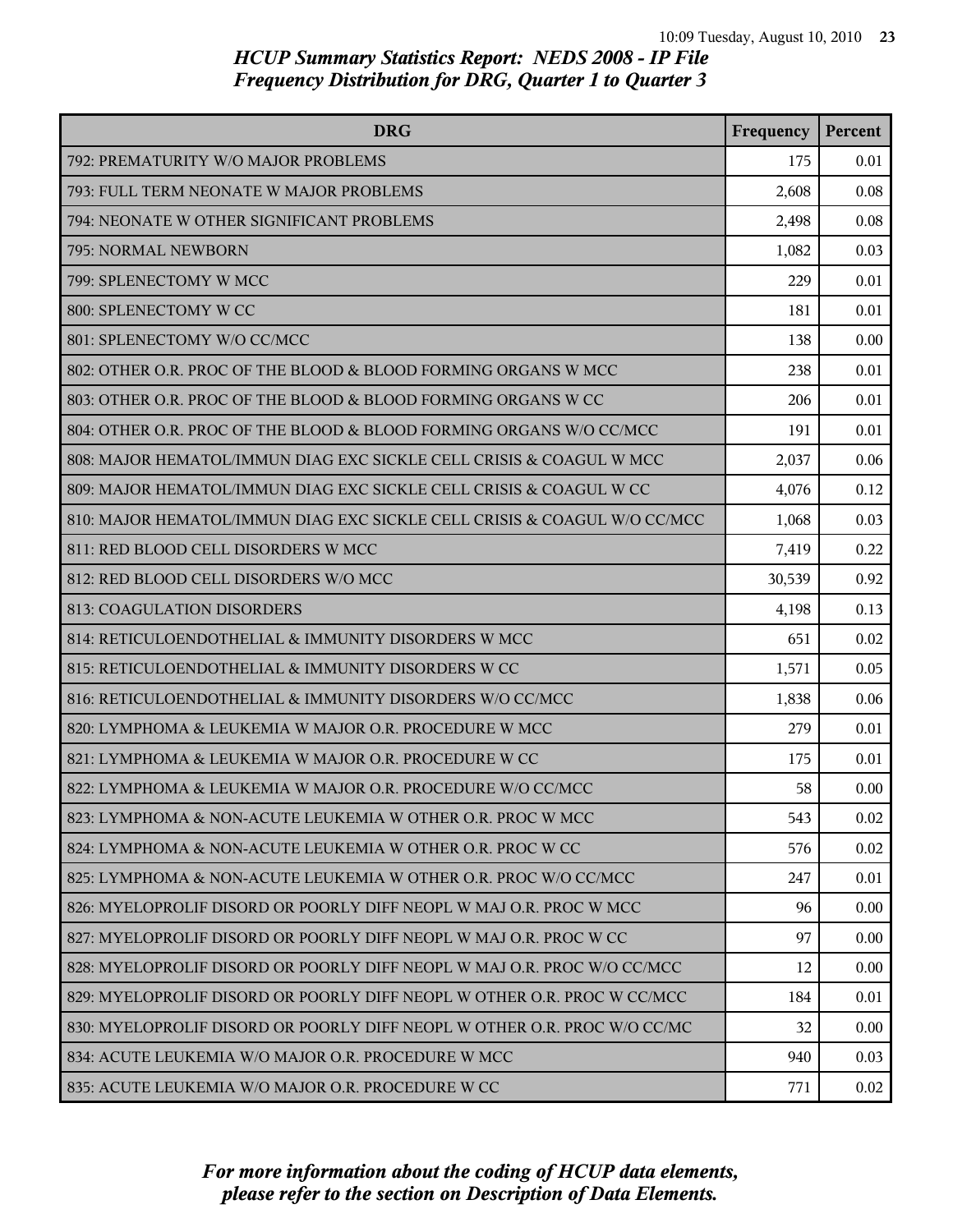| <b>DRG</b>                                                               | Frequency | Percent |
|--------------------------------------------------------------------------|-----------|---------|
| 792: PREMATURITY W/O MAJOR PROBLEMS                                      | 175       | 0.01    |
| 793: FULL TERM NEONATE W MAJOR PROBLEMS                                  | 2,608     | 0.08    |
| 794: NEONATE W OTHER SIGNIFICANT PROBLEMS                                | 2,498     | 0.08    |
| 795: NORMAL NEWBORN                                                      | 1,082     | 0.03    |
| 799: SPLENECTOMY W MCC                                                   | 229       | 0.01    |
| 800: SPLENECTOMY W CC                                                    | 181       | 0.01    |
| 801: SPLENECTOMY W/O CC/MCC                                              | 138       | 0.00    |
| 802: OTHER O.R. PROC OF THE BLOOD & BLOOD FORMING ORGANS W MCC           | 238       | 0.01    |
| 803: OTHER O.R. PROC OF THE BLOOD & BLOOD FORMING ORGANS W CC            | 206       | 0.01    |
| 804: OTHER O.R. PROC OF THE BLOOD & BLOOD FORMING ORGANS W/O CC/MCC      | 191       | 0.01    |
| 808: MAJOR HEMATOL/IMMUN DIAG EXC SICKLE CELL CRISIS & COAGUL W MCC      | 2,037     | 0.06    |
| 809: MAJOR HEMATOL/IMMUN DIAG EXC SICKLE CELL CRISIS & COAGUL W CC       | 4,076     | 0.12    |
| 810: MAJOR HEMATOL/IMMUN DIAG EXC SICKLE CELL CRISIS & COAGUL W/O CC/MCC | 1,068     | 0.03    |
| 811: RED BLOOD CELL DISORDERS W MCC                                      | 7,419     | 0.22    |
| 812: RED BLOOD CELL DISORDERS W/O MCC                                    | 30,539    | 0.92    |
| 813: COAGULATION DISORDERS                                               | 4,198     | 0.13    |
| 814: RETICULOENDOTHELIAL & IMMUNITY DISORDERS W MCC                      | 651       | 0.02    |
| 815: RETICULOENDOTHELIAL & IMMUNITY DISORDERS W CC                       | 1,571     | 0.05    |
| 816: RETICULOENDOTHELIAL & IMMUNITY DISORDERS W/O CC/MCC                 | 1,838     | 0.06    |
| 820: LYMPHOMA & LEUKEMIA W MAJOR O.R. PROCEDURE W MCC                    | 279       | 0.01    |
| 821: LYMPHOMA & LEUKEMIA W MAJOR O.R. PROCEDURE W CC                     | 175       | 0.01    |
| 822: LYMPHOMA & LEUKEMIA W MAJOR O.R. PROCEDURE W/O CC/MCC               | 58        | 0.00    |
| 823: LYMPHOMA & NON-ACUTE LEUKEMIA W OTHER O.R. PROC W MCC               | 543       | 0.02    |
| 824: LYMPHOMA & NON-ACUTE LEUKEMIA W OTHER O.R. PROC W CC                | 576       | 0.02    |
| 825: LYMPHOMA & NON-ACUTE LEUKEMIA W OTHER O.R. PROC W/O CC/MCC          | 247       | 0.01    |
| 826: MYELOPROLIF DISORD OR POORLY DIFF NEOPL W MAJ O.R. PROC W MCC       | 96        | 0.00    |
| 827: MYELOPROLIF DISORD OR POORLY DIFF NEOPL W MAJ O.R. PROC W CC        | 97        | 0.00    |
| 828: MYELOPROLIF DISORD OR POORLY DIFF NEOPL W MAJ O.R. PROC W/O CC/MCC  | 12        | 0.00    |
| 829: MYELOPROLIF DISORD OR POORLY DIFF NEOPL W OTHER O.R. PROC W CC/MCC  | 184       | 0.01    |
| 830: MYELOPROLIF DISORD OR POORLY DIFF NEOPL W OTHER O.R. PROC W/O CC/MC | 32        | 0.00    |
| 834: ACUTE LEUKEMIA W/O MAJOR O.R. PROCEDURE W MCC                       | 940       | 0.03    |
| 835: ACUTE LEUKEMIA W/O MAJOR O.R. PROCEDURE W CC                        | 771       | 0.02    |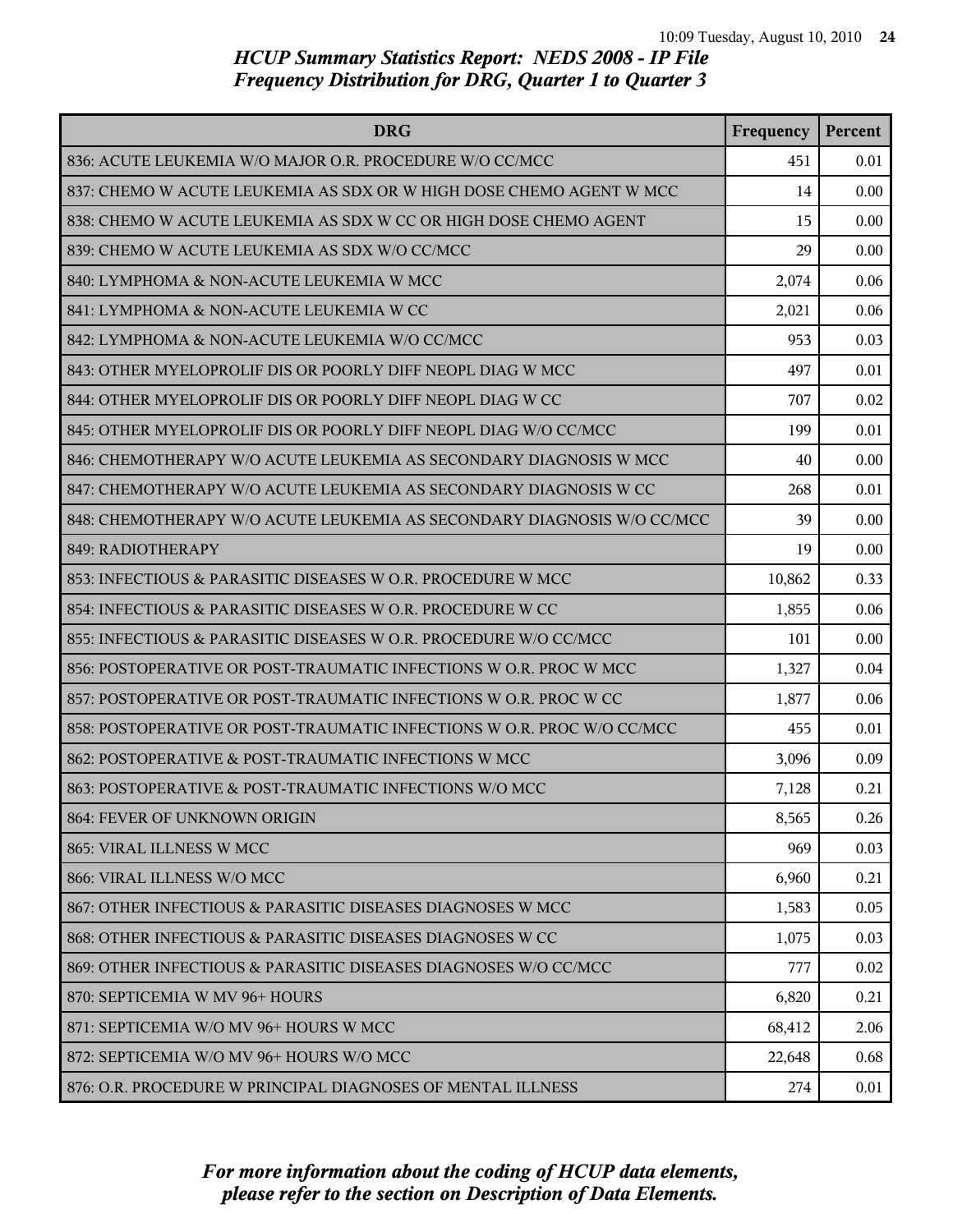| <b>DRG</b>                                                             | Frequency | Percent |
|------------------------------------------------------------------------|-----------|---------|
| 836: ACUTE LEUKEMIA W/O MAJOR O.R. PROCEDURE W/O CC/MCC                | 451       | 0.01    |
| 837: CHEMO W ACUTE LEUKEMIA AS SDX OR W HIGH DOSE CHEMO AGENT W MCC    | 14        | 0.00    |
| 838: CHEMO W ACUTE LEUKEMIA AS SDX W CC OR HIGH DOSE CHEMO AGENT       | 15        | 0.00    |
| 839: CHEMO W ACUTE LEUKEMIA AS SDX W/O CC/MCC                          | 29        | 0.00    |
| 840: LYMPHOMA & NON-ACUTE LEUKEMIA W MCC                               | 2,074     | 0.06    |
| 841: LYMPHOMA & NON-ACUTE LEUKEMIA W CC                                | 2,021     | 0.06    |
| 842: LYMPHOMA & NON-ACUTE LEUKEMIA W/O CC/MCC                          | 953       | 0.03    |
| 843: OTHER MYELOPROLIF DIS OR POORLY DIFF NEOPL DIAG W MCC             | 497       | 0.01    |
| 844: OTHER MYELOPROLIF DIS OR POORLY DIFF NEOPL DIAG W CC              | 707       | 0.02    |
| 845: OTHER MYELOPROLIF DIS OR POORLY DIFF NEOPL DIAG W/O CC/MCC        | 199       | 0.01    |
| 846: CHEMOTHERAPY W/O ACUTE LEUKEMIA AS SECONDARY DIAGNOSIS W MCC      | 40        | 0.00    |
| 847: CHEMOTHERAPY W/O ACUTE LEUKEMIA AS SECONDARY DIAGNOSIS W CC       | 268       | 0.01    |
| 848: CHEMOTHERAPY W/O ACUTE LEUKEMIA AS SECONDARY DIAGNOSIS W/O CC/MCC | 39        | 0.00    |
| 849: RADIOTHERAPY                                                      | 19        | 0.00    |
| 853: INFECTIOUS & PARASITIC DISEASES W O.R. PROCEDURE W MCC            | 10,862    | 0.33    |
| 854: INFECTIOUS & PARASITIC DISEASES W O.R. PROCEDURE W CC             | 1,855     | 0.06    |
| 855: INFECTIOUS & PARASITIC DISEASES W O.R. PROCEDURE W/O CC/MCC       | 101       | 0.00    |
| 856: POSTOPERATIVE OR POST-TRAUMATIC INFECTIONS W O.R. PROC W MCC      | 1,327     | 0.04    |
| 857: POSTOPERATIVE OR POST-TRAUMATIC INFECTIONS W O.R. PROC W CC       | 1,877     | 0.06    |
| 858: POSTOPERATIVE OR POST-TRAUMATIC INFECTIONS W O.R. PROC W/O CC/MCC | 455       | 0.01    |
| 862: POSTOPERATIVE & POST-TRAUMATIC INFECTIONS W MCC                   | 3,096     | 0.09    |
| 863: POSTOPERATIVE & POST-TRAUMATIC INFECTIONS W/O MCC                 | 7,128     | 0.21    |
| 864: FEVER OF UNKNOWN ORIGIN                                           | 8,565     | 0.26    |
| 865: VIRAL ILLNESS W MCC                                               | 969       | 0.03    |
| 866: VIRAL ILLNESS W/O MCC                                             | 6,960     | 0.21    |
| 867: OTHER INFECTIOUS & PARASITIC DISEASES DIAGNOSES W MCC             | 1,583     | 0.05    |
| 868: OTHER INFECTIOUS & PARASITIC DISEASES DIAGNOSES W CC              | 1,075     | 0.03    |
| 869: OTHER INFECTIOUS & PARASITIC DISEASES DIAGNOSES W/O CC/MCC        | 777       | 0.02    |
| 870: SEPTICEMIA W MV 96+ HOURS                                         | 6,820     | 0.21    |
| 871: SEPTICEMIA W/O MV 96+ HOURS W MCC                                 | 68,412    | 2.06    |
| 872: SEPTICEMIA W/O MV 96+ HOURS W/O MCC                               | 22,648    | 0.68    |
| 876: O.R. PROCEDURE W PRINCIPAL DIAGNOSES OF MENTAL ILLNESS            | 274       | 0.01    |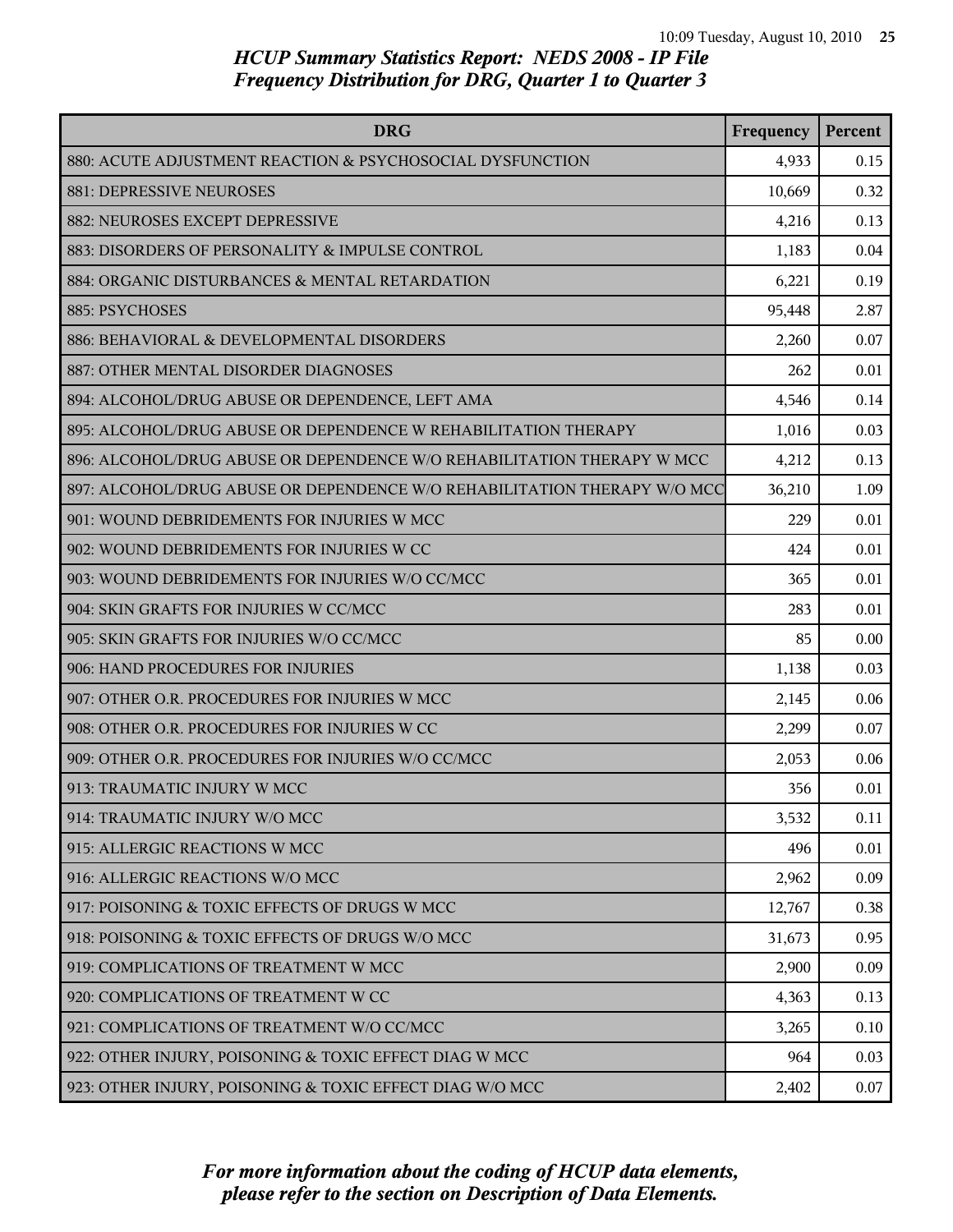| <b>DRG</b>                                                               | Frequency | Percent |
|--------------------------------------------------------------------------|-----------|---------|
| 880: ACUTE ADJUSTMENT REACTION & PSYCHOSOCIAL DYSFUNCTION                | 4,933     | 0.15    |
| 881: DEPRESSIVE NEUROSES                                                 | 10,669    | 0.32    |
| 882: NEUROSES EXCEPT DEPRESSIVE                                          | 4,216     | 0.13    |
| 883: DISORDERS OF PERSONALITY & IMPULSE CONTROL                          | 1,183     | 0.04    |
| 884: ORGANIC DISTURBANCES & MENTAL RETARDATION                           | 6,221     | 0.19    |
| 885: PSYCHOSES                                                           | 95,448    | 2.87    |
| 886: BEHAVIORAL & DEVELOPMENTAL DISORDERS                                | 2,260     | 0.07    |
| 887: OTHER MENTAL DISORDER DIAGNOSES                                     | 262       | 0.01    |
| 894: ALCOHOL/DRUG ABUSE OR DEPENDENCE, LEFT AMA                          | 4,546     | 0.14    |
| 895: ALCOHOL/DRUG ABUSE OR DEPENDENCE W REHABILITATION THERAPY           | 1,016     | 0.03    |
| 896: ALCOHOL/DRUG ABUSE OR DEPENDENCE W/O REHABILITATION THERAPY W MCC   | 4,212     | 0.13    |
| 897: ALCOHOL/DRUG ABUSE OR DEPENDENCE W/O REHABILITATION THERAPY W/O MCC | 36,210    | 1.09    |
| 901: WOUND DEBRIDEMENTS FOR INJURIES W MCC                               | 229       | 0.01    |
| 902: WOUND DEBRIDEMENTS FOR INJURIES W CC                                | 424       | 0.01    |
| 903: WOUND DEBRIDEMENTS FOR INJURIES W/O CC/MCC                          | 365       | 0.01    |
| 904: SKIN GRAFTS FOR INJURIES W CC/MCC                                   | 283       | 0.01    |
| 905: SKIN GRAFTS FOR INJURIES W/O CC/MCC                                 | 85        | 0.00    |
| 906: HAND PROCEDURES FOR INJURIES                                        | 1,138     | 0.03    |
| 907: OTHER O.R. PROCEDURES FOR INJURIES W MCC                            | 2,145     | 0.06    |
| 908: OTHER O.R. PROCEDURES FOR INJURIES W CC                             | 2,299     | 0.07    |
| 909: OTHER O.R. PROCEDURES FOR INJURIES W/O CC/MCC                       | 2,053     | 0.06    |
| 913: TRAUMATIC INJURY W MCC                                              | 356       | 0.01    |
| 914: TRAUMATIC INJURY W/O MCC                                            | 3,532     | 0.11    |
| 915: ALLERGIC REACTIONS W MCC                                            | 496       | 0.01    |
| 916: ALLERGIC REACTIONS W/O MCC                                          | 2,962     | 0.09    |
| 917: POISONING & TOXIC EFFECTS OF DRUGS W MCC                            | 12,767    | 0.38    |
| 918: POISONING & TOXIC EFFECTS OF DRUGS W/O MCC                          | 31,673    | 0.95    |
| 919: COMPLICATIONS OF TREATMENT W MCC                                    | 2,900     | 0.09    |
| 920: COMPLICATIONS OF TREATMENT W CC                                     | 4,363     | 0.13    |
| 921: COMPLICATIONS OF TREATMENT W/O CC/MCC                               | 3,265     | 0.10    |
| 922: OTHER INJURY, POISONING & TOXIC EFFECT DIAG W MCC                   | 964       | 0.03    |
| 923: OTHER INJURY, POISONING & TOXIC EFFECT DIAG W/O MCC                 | 2,402     | 0.07    |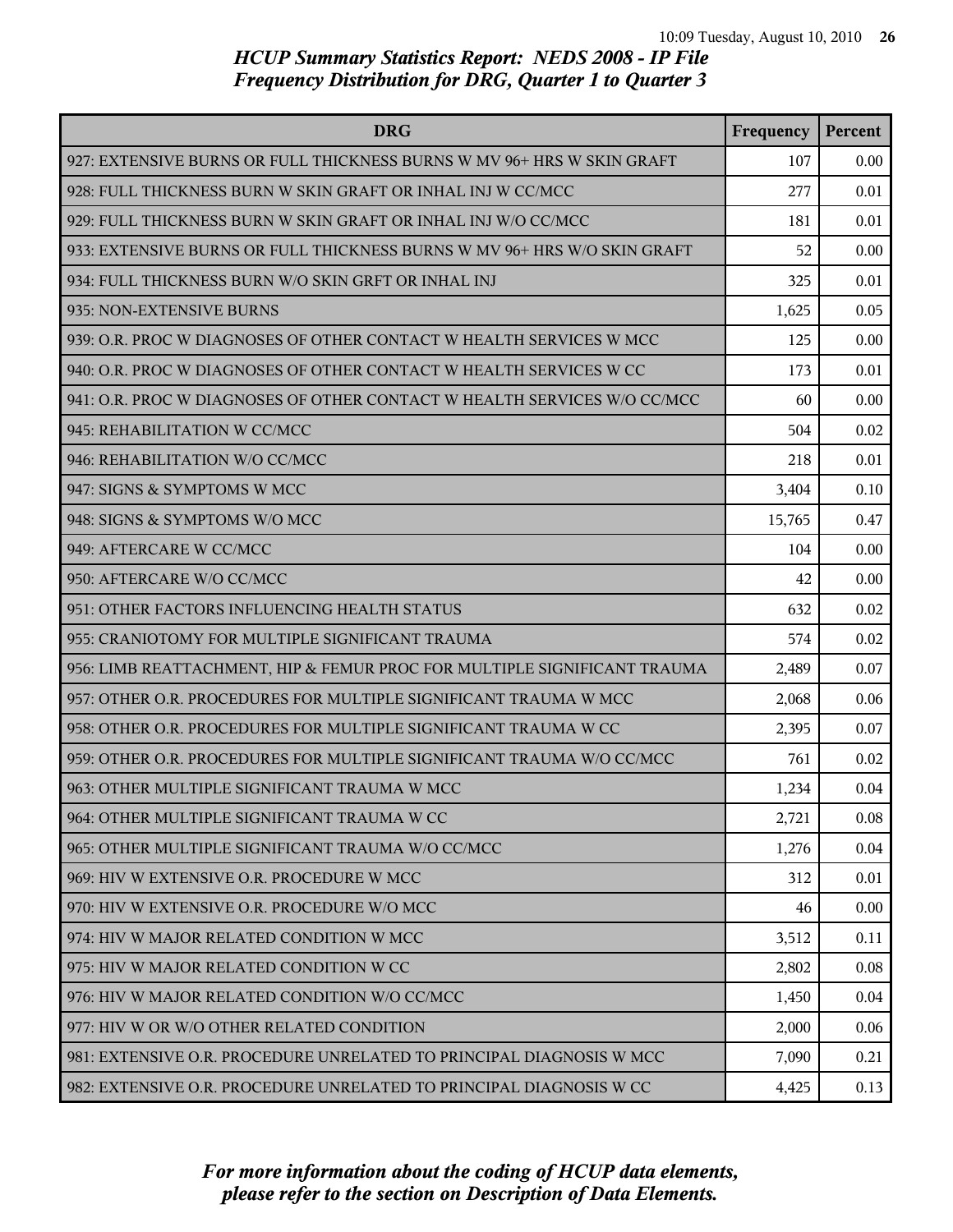| <b>DRG</b>                                                               | Frequency | Percent |
|--------------------------------------------------------------------------|-----------|---------|
| 927: EXTENSIVE BURNS OR FULL THICKNESS BURNS W MV 96+ HRS W SKIN GRAFT   | 107       | 0.00    |
| 928: FULL THICKNESS BURN W SKIN GRAFT OR INHAL INJ W CC/MCC              | 277       | 0.01    |
| 929: FULL THICKNESS BURN W SKIN GRAFT OR INHAL INJ W/O CC/MCC            | 181       | 0.01    |
| 933: EXTENSIVE BURNS OR FULL THICKNESS BURNS W MV 96+ HRS W/O SKIN GRAFT | 52        | 0.00    |
| 934: FULL THICKNESS BURN W/O SKIN GRFT OR INHAL INJ                      | 325       | 0.01    |
| 935: NON-EXTENSIVE BURNS                                                 | 1,625     | 0.05    |
| 939: O.R. PROC W DIAGNOSES OF OTHER CONTACT W HEALTH SERVICES W MCC      | 125       | 0.00    |
| 940: O.R. PROC W DIAGNOSES OF OTHER CONTACT W HEALTH SERVICES W CC       | 173       | 0.01    |
| 941: O.R. PROC W DIAGNOSES OF OTHER CONTACT W HEALTH SERVICES W/O CC/MCC | 60        | 0.00    |
| 945: REHABILITATION W CC/MCC                                             | 504       | 0.02    |
| 946: REHABILITATION W/O CC/MCC                                           | 218       | 0.01    |
| 947: SIGNS & SYMPTOMS W MCC                                              | 3,404     | 0.10    |
| 948: SIGNS & SYMPTOMS W/O MCC                                            | 15,765    | 0.47    |
| 949: AFTERCARE W CC/MCC                                                  | 104       | 0.00    |
| 950: AFTERCARE W/O CC/MCC                                                | 42        | 0.00    |
| 951: OTHER FACTORS INFLUENCING HEALTH STATUS                             | 632       | 0.02    |
| 955: CRANIOTOMY FOR MULTIPLE SIGNIFICANT TRAUMA                          | 574       | 0.02    |
| 956: LIMB REATTACHMENT, HIP & FEMUR PROC FOR MULTIPLE SIGNIFICANT TRAUMA | 2,489     | 0.07    |
| 957: OTHER O.R. PROCEDURES FOR MULTIPLE SIGNIFICANT TRAUMA W MCC         | 2,068     | 0.06    |
| 958: OTHER O.R. PROCEDURES FOR MULTIPLE SIGNIFICANT TRAUMA W CC          | 2,395     | 0.07    |
| 959: OTHER O.R. PROCEDURES FOR MULTIPLE SIGNIFICANT TRAUMA W/O CC/MCC    | 761       | 0.02    |
| 963: OTHER MULTIPLE SIGNIFICANT TRAUMA W MCC                             | 1,234     | 0.04    |
| 964: OTHER MULTIPLE SIGNIFICANT TRAUMA W CC                              | 2,721     | 0.08    |
| 965: OTHER MULTIPLE SIGNIFICANT TRAUMA W/O CC/MCC                        | 1,276     | 0.04    |
| 969: HIV W EXTENSIVE O.R. PROCEDURE W MCC                                | 312       | 0.01    |
| 970: HIV W EXTENSIVE O.R. PROCEDURE W/O MCC                              | 46        | 0.00    |
| 974: HIV W MAJOR RELATED CONDITION W MCC                                 | 3,512     | 0.11    |
| 975: HIV W MAJOR RELATED CONDITION W CC                                  | 2,802     | 0.08    |
| 976: HIV W MAJOR RELATED CONDITION W/O CC/MCC                            | 1,450     | 0.04    |
| 977: HIV W OR W/O OTHER RELATED CONDITION                                | 2,000     | 0.06    |
| 981: EXTENSIVE O.R. PROCEDURE UNRELATED TO PRINCIPAL DIAGNOSIS W MCC     | 7,090     | 0.21    |
| 982: EXTENSIVE O.R. PROCEDURE UNRELATED TO PRINCIPAL DIAGNOSIS W CC      | 4,425     | 0.13    |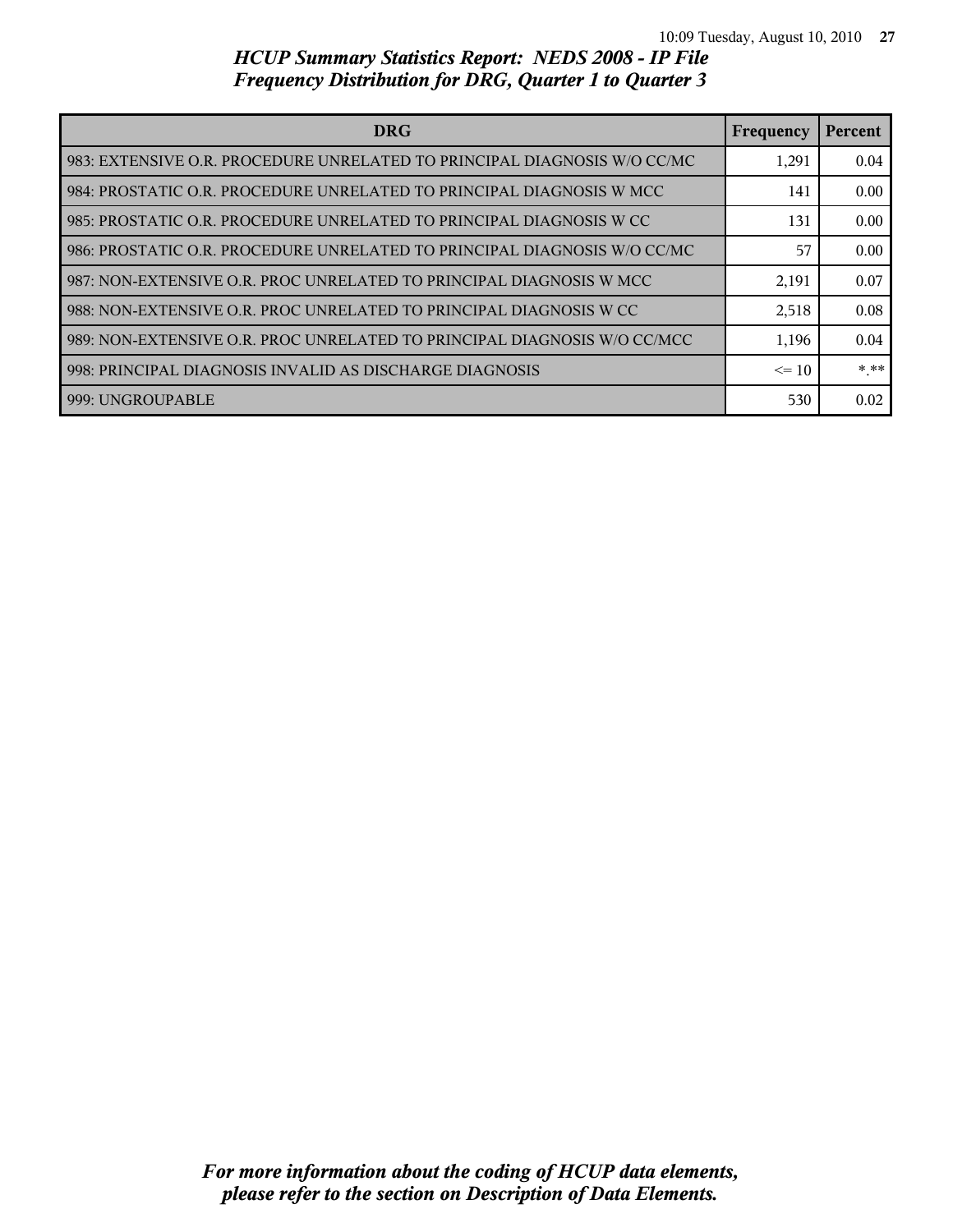| <b>DRG</b>                                                                 | <b>Frequency</b> | Percent |
|----------------------------------------------------------------------------|------------------|---------|
| l 983: EXTENSIVE O.R. PROCEDURE UNRELATED TO PRINCIPAL DIAGNOSIS W/O CC/MC | 1,291            | 0.04    |
| 984: PROSTATIC O.R. PROCEDURE UNRELATED TO PRINCIPAL DIAGNOSIS W MCC       | 141              | 0.00    |
| l 985: PROSTATIC O.R. PROCEDURE UNRELATED TO PRINCIPAL DIAGNOSIS W CC      | 131              | 0.00    |
| 986: PROSTATIC O.R. PROCEDURE UNRELATED TO PRINCIPAL DIAGNOSIS W/O CC/MC   | 57               | 0.00    |
| l 987: NON-EXTENSIVE O.R. PROC UNRELATED TO PRINCIPAL DIAGNOSIS W MCC      | 2,191            | 0.07    |
| I 988: NON-EXTENSIVE O.R. PROC UNRELATED TO PRINCIPAL DIAGNOSIS W CC       | 2,518            | 0.08    |
| 989: NON-EXTENSIVE O.R. PROC UNRELATED TO PRINCIPAL DIAGNOSIS W/O CC/MCC   | 1,196            | 0.04    |
| 998: PRINCIPAL DIAGNOSIS INVALID AS DISCHARGE DIAGNOSIS                    | $\leq$ 10        | * **    |
| 1999: UNGROUPABLE                                                          | 530              | 0.02    |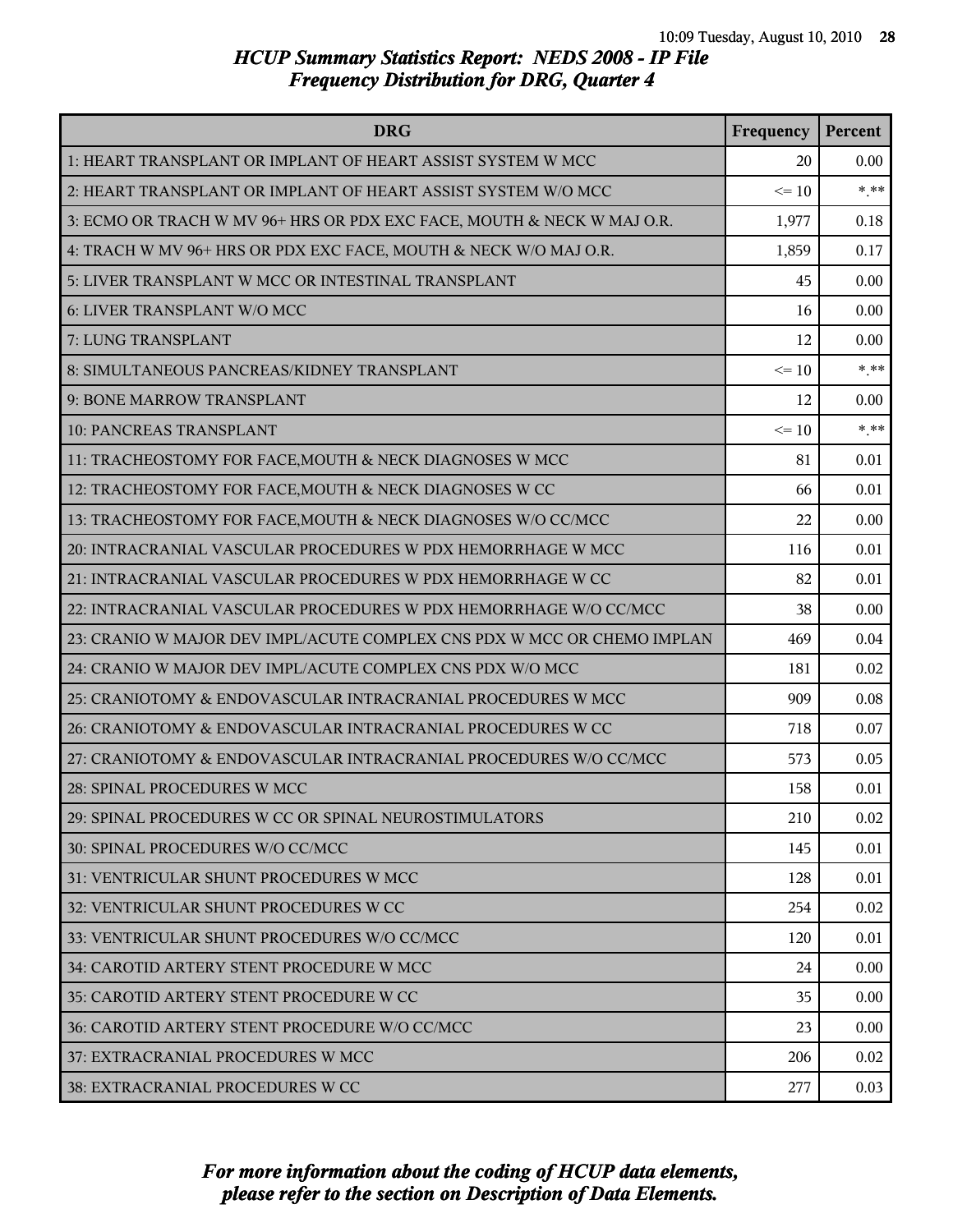| <b>DRG</b>                                                              | Frequency | Percent |
|-------------------------------------------------------------------------|-----------|---------|
| 1: HEART TRANSPLANT OR IMPLANT OF HEART ASSIST SYSTEM W MCC             | 20        | 0.00    |
| 2: HEART TRANSPLANT OR IMPLANT OF HEART ASSIST SYSTEM W/O MCC           | $\leq 10$ | $***$   |
| 3: ECMO OR TRACH W MV 96+ HRS OR PDX EXC FACE, MOUTH & NECK W MAJ O.R.  | 1,977     | 0.18    |
| 4: TRACH W MV 96+ HRS OR PDX EXC FACE, MOUTH & NECK W/O MAJ O.R.        | 1,859     | 0.17    |
| 5: LIVER TRANSPLANT W MCC OR INTESTINAL TRANSPLANT                      | 45        | 0.00    |
| 6: LIVER TRANSPLANT W/O MCC                                             | 16        | 0.00    |
| 7: LUNG TRANSPLANT                                                      | 12        | 0.00    |
| 8: SIMULTANEOUS PANCREAS/KIDNEY TRANSPLANT                              | $\leq 10$ | $***$   |
| 9: BONE MARROW TRANSPLANT                                               | 12        | 0.00    |
| <b>10: PANCREAS TRANSPLANT</b>                                          | $\leq 10$ | $***$   |
| 11: TRACHEOSTOMY FOR FACE, MOUTH & NECK DIAGNOSES W MCC                 | 81        | 0.01    |
| 12: TRACHEOSTOMY FOR FACE, MOUTH & NECK DIAGNOSES W CC                  | 66        | 0.01    |
| 13: TRACHEOSTOMY FOR FACE, MOUTH & NECK DIAGNOSES W/O CC/MCC            | 22        | 0.00    |
| 20: INTRACRANIAL VASCULAR PROCEDURES W PDX HEMORRHAGE W MCC             | 116       | 0.01    |
| 21: INTRACRANIAL VASCULAR PROCEDURES W PDX HEMORRHAGE W CC              | 82        | 0.01    |
| 22: INTRACRANIAL VASCULAR PROCEDURES W PDX HEMORRHAGE W/O CC/MCC        | 38        | 0.00    |
| 23: CRANIO W MAJOR DEV IMPL/ACUTE COMPLEX CNS PDX W MCC OR CHEMO IMPLAN | 469       | 0.04    |
| 24: CRANIO W MAJOR DEV IMPL/ACUTE COMPLEX CNS PDX W/O MCC               | 181       | 0.02    |
| 25: CRANIOTOMY & ENDOVASCULAR INTRACRANIAL PROCEDURES W MCC             | 909       | 0.08    |
| 26: CRANIOTOMY & ENDOVASCULAR INTRACRANIAL PROCEDURES W CC              | 718       | 0.07    |
| 27: CRANIOTOMY & ENDOVASCULAR INTRACRANIAL PROCEDURES W/O CC/MCC        | 573       | 0.05    |
| 28: SPINAL PROCEDURES W MCC                                             | 158       | 0.01    |
| 29: SPINAL PROCEDURES W CC OR SPINAL NEUROSTIMULATORS                   | 210       | 0.02    |
| 30: SPINAL PROCEDURES W/O CC/MCC                                        | 145       | 0.01    |
| 31: VENTRICULAR SHUNT PROCEDURES W MCC                                  | 128       | 0.01    |
| 32: VENTRICULAR SHUNT PROCEDURES W CC                                   | 254       | 0.02    |
| 33: VENTRICULAR SHUNT PROCEDURES W/O CC/MCC                             | 120       | 0.01    |
| 34: CAROTID ARTERY STENT PROCEDURE W MCC                                | 24        | 0.00    |
| 35: CAROTID ARTERY STENT PROCEDURE W CC                                 | 35        | 0.00    |
| 36: CAROTID ARTERY STENT PROCEDURE W/O CC/MCC                           | 23        | 0.00    |
| 37: EXTRACRANIAL PROCEDURES W MCC                                       | 206       | 0.02    |
| 38: EXTRACRANIAL PROCEDURES W CC                                        | 277       | 0.03    |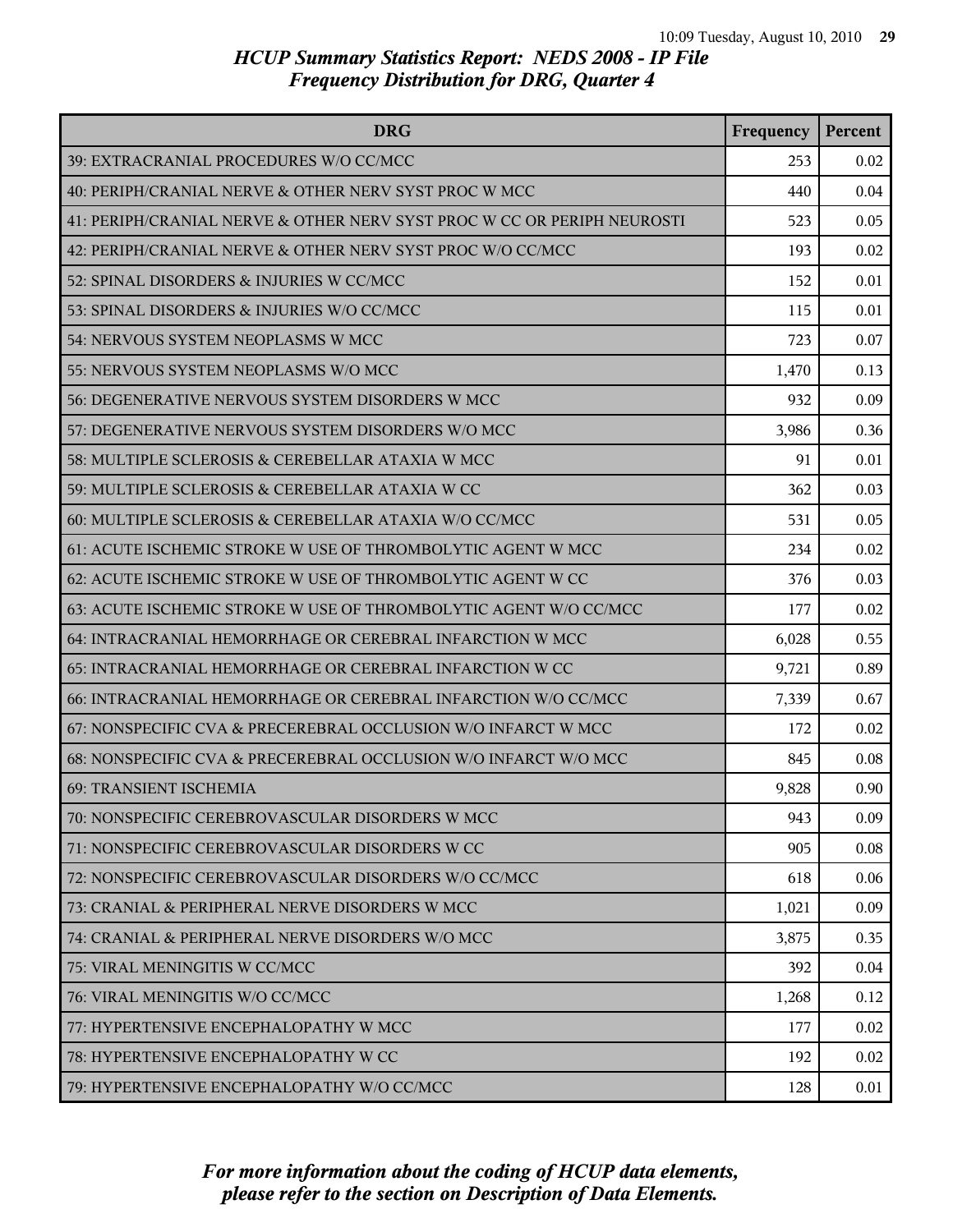| <b>DRG</b>                                                              | Frequency | Percent |
|-------------------------------------------------------------------------|-----------|---------|
| 39: EXTRACRANIAL PROCEDURES W/O CC/MCC                                  | 253       | 0.02    |
| 40: PERIPH/CRANIAL NERVE & OTHER NERV SYST PROC W MCC                   | 440       | 0.04    |
| 41: PERIPH/CRANIAL NERVE & OTHER NERV SYST PROC W CC OR PERIPH NEUROSTI | 523       | 0.05    |
| 42: PERIPH/CRANIAL NERVE & OTHER NERV SYST PROC W/O CC/MCC              | 193       | 0.02    |
| 52: SPINAL DISORDERS & INJURIES W CC/MCC                                | 152       | 0.01    |
| 53: SPINAL DISORDERS & INJURIES W/O CC/MCC                              | 115       | 0.01    |
| 54: NERVOUS SYSTEM NEOPLASMS W MCC                                      | 723       | 0.07    |
| 55: NERVOUS SYSTEM NEOPLASMS W/O MCC                                    | 1,470     | 0.13    |
| 56: DEGENERATIVE NERVOUS SYSTEM DISORDERS W MCC                         | 932       | 0.09    |
| 57: DEGENERATIVE NERVOUS SYSTEM DISORDERS W/O MCC                       | 3,986     | 0.36    |
| 58: MULTIPLE SCLEROSIS & CEREBELLAR ATAXIA W MCC                        | 91        | 0.01    |
| 59: MULTIPLE SCLEROSIS & CEREBELLAR ATAXIA W CC                         | 362       | 0.03    |
| 60: MULTIPLE SCLEROSIS & CEREBELLAR ATAXIA W/O CC/MCC                   | 531       | 0.05    |
| 61: ACUTE ISCHEMIC STROKE W USE OF THROMBOLYTIC AGENT W MCC             | 234       | 0.02    |
| 62: ACUTE ISCHEMIC STROKE W USE OF THROMBOLYTIC AGENT W CC              | 376       | 0.03    |
| 63: ACUTE ISCHEMIC STROKE W USE OF THROMBOLYTIC AGENT W/O CC/MCC        | 177       | 0.02    |
| 64: INTRACRANIAL HEMORRHAGE OR CEREBRAL INFARCTION W MCC                | 6,028     | 0.55    |
| 65: INTRACRANIAL HEMORRHAGE OR CEREBRAL INFARCTION W CC                 | 9,721     | 0.89    |
| 66: INTRACRANIAL HEMORRHAGE OR CEREBRAL INFARCTION W/O CC/MCC           | 7,339     | 0.67    |
| 67: NONSPECIFIC CVA & PRECEREBRAL OCCLUSION W/O INFARCT W MCC           | 172       | 0.02    |
| 68: NONSPECIFIC CVA & PRECEREBRAL OCCLUSION W/O INFARCT W/O MCC         | 845       | 0.08    |
| <b>69: TRANSIENT ISCHEMIA</b>                                           | 9,828     | 0.90    |
| 70: NONSPECIFIC CEREBROVASCULAR DISORDERS W MCC                         | 943       | 0.09    |
| 71: NONSPECIFIC CEREBROVASCULAR DISORDERS W CC                          | 905       | 0.08    |
| 72: NONSPECIFIC CEREBROVASCULAR DISORDERS W/O CC/MCC                    | 618       | 0.06    |
| 73: CRANIAL & PERIPHERAL NERVE DISORDERS W MCC                          | 1,021     | 0.09    |
| 74: CRANIAL & PERIPHERAL NERVE DISORDERS W/O MCC                        | 3,875     | 0.35    |
| 75: VIRAL MENINGITIS W CC/MCC                                           | 392       | 0.04    |
| 76: VIRAL MENINGITIS W/O CC/MCC                                         | 1,268     | 0.12    |
| 77: HYPERTENSIVE ENCEPHALOPATHY W MCC                                   | 177       | 0.02    |
| 78: HYPERTENSIVE ENCEPHALOPATHY W CC                                    | 192       | 0.02    |
| 79: HYPERTENSIVE ENCEPHALOPATHY W/O CC/MCC                              | 128       | 0.01    |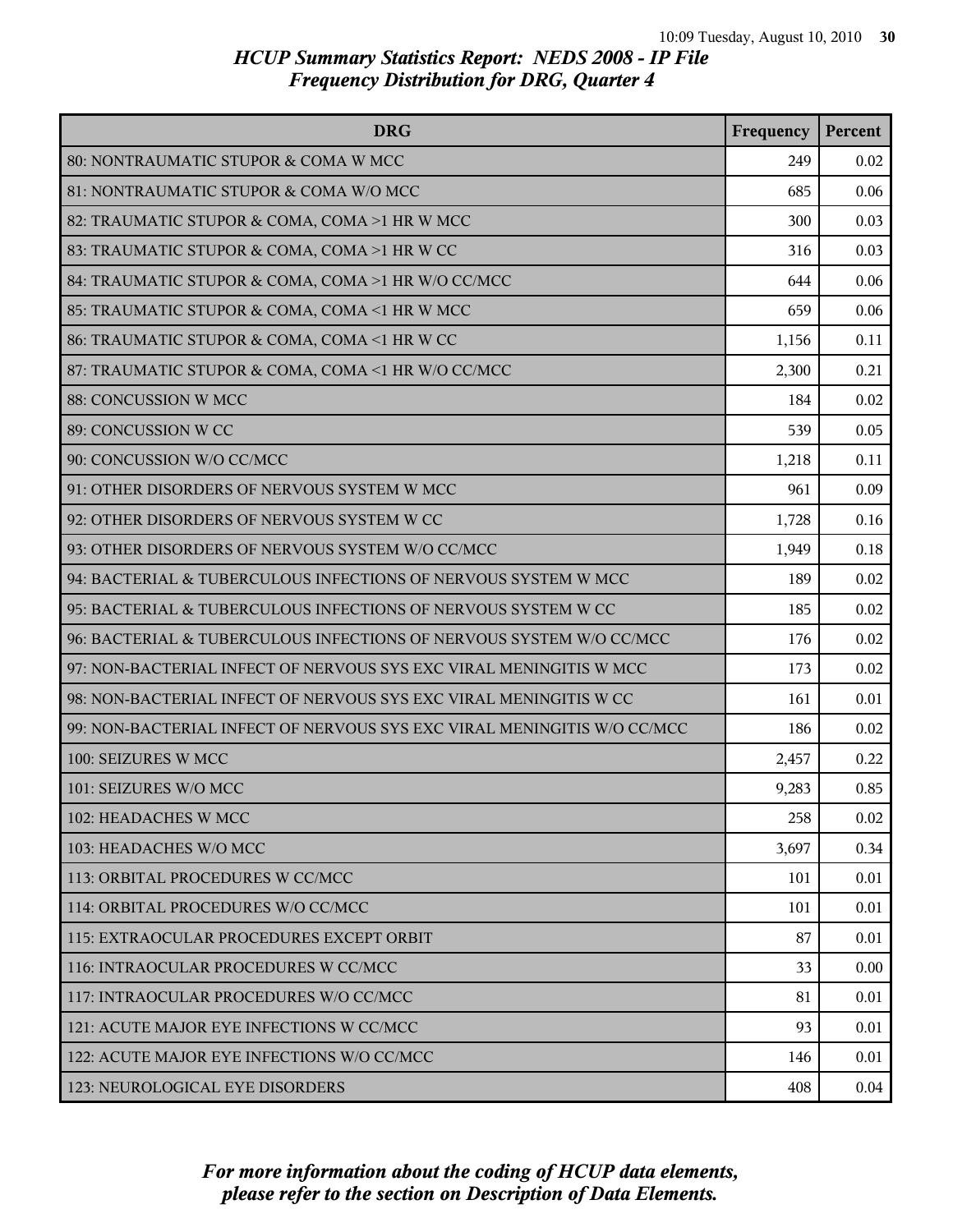| <b>DRG</b>                                                              | Frequency | Percent |
|-------------------------------------------------------------------------|-----------|---------|
| 80: NONTRAUMATIC STUPOR & COMA W MCC                                    | 249       | 0.02    |
| 81: NONTRAUMATIC STUPOR & COMA W/O MCC                                  | 685       | 0.06    |
| 82: TRAUMATIC STUPOR & COMA, COMA >1 HR W MCC                           | 300       | 0.03    |
| 83: TRAUMATIC STUPOR & COMA, COMA >1 HR W CC                            | 316       | 0.03    |
| 84: TRAUMATIC STUPOR & COMA, COMA >1 HR W/O CC/MCC                      | 644       | 0.06    |
| 85: TRAUMATIC STUPOR & COMA, COMA <1 HR W MCC                           | 659       | 0.06    |
| 86: TRAUMATIC STUPOR & COMA, COMA <1 HR W CC                            | 1,156     | 0.11    |
| 87: TRAUMATIC STUPOR & COMA, COMA <1 HR W/O CC/MCC                      | 2,300     | 0.21    |
| 88: CONCUSSION W MCC                                                    | 184       | 0.02    |
| 89: CONCUSSION W CC                                                     | 539       | 0.05    |
| 90: CONCUSSION W/O CC/MCC                                               | 1,218     | 0.11    |
| 91: OTHER DISORDERS OF NERVOUS SYSTEM W MCC                             | 961       | 0.09    |
| 92: OTHER DISORDERS OF NERVOUS SYSTEM W CC                              | 1,728     | 0.16    |
| 93: OTHER DISORDERS OF NERVOUS SYSTEM W/O CC/MCC                        | 1,949     | 0.18    |
| 94: BACTERIAL & TUBERCULOUS INFECTIONS OF NERVOUS SYSTEM W MCC          | 189       | 0.02    |
| 95: BACTERIAL & TUBERCULOUS INFECTIONS OF NERVOUS SYSTEM W CC           | 185       | 0.02    |
| 96: BACTERIAL & TUBERCULOUS INFECTIONS OF NERVOUS SYSTEM W/O CC/MCC     | 176       | 0.02    |
| 97: NON-BACTERIAL INFECT OF NERVOUS SYS EXC VIRAL MENINGITIS W MCC      | 173       | 0.02    |
| 98: NON-BACTERIAL INFECT OF NERVOUS SYS EXC VIRAL MENINGITIS W CC       | 161       | 0.01    |
| 99: NON-BACTERIAL INFECT OF NERVOUS SYS EXC VIRAL MENINGITIS W/O CC/MCC | 186       | 0.02    |
| 100: SEIZURES W MCC                                                     | 2,457     | 0.22    |
| 101: SEIZURES W/O MCC                                                   | 9,283     | 0.85    |
| 102: HEADACHES W MCC                                                    | 258       | 0.02    |
| 103: HEADACHES W/O MCC                                                  | 3,697     | 0.34    |
| 113: ORBITAL PROCEDURES W CC/MCC                                        | 101       | 0.01    |
| 114: ORBITAL PROCEDURES W/O CC/MCC                                      | 101       | 0.01    |
| 115: EXTRAOCULAR PROCEDURES EXCEPT ORBIT                                | 87        | 0.01    |
| 116: INTRAOCULAR PROCEDURES W CC/MCC                                    | 33        | 0.00    |
| 117: INTRAOCULAR PROCEDURES W/O CC/MCC                                  | 81        | 0.01    |
| 121: ACUTE MAJOR EYE INFECTIONS W CC/MCC                                | 93        | 0.01    |
| 122: ACUTE MAJOR EYE INFECTIONS W/O CC/MCC                              | 146       | 0.01    |
| 123: NEUROLOGICAL EYE DISORDERS                                         | 408       | 0.04    |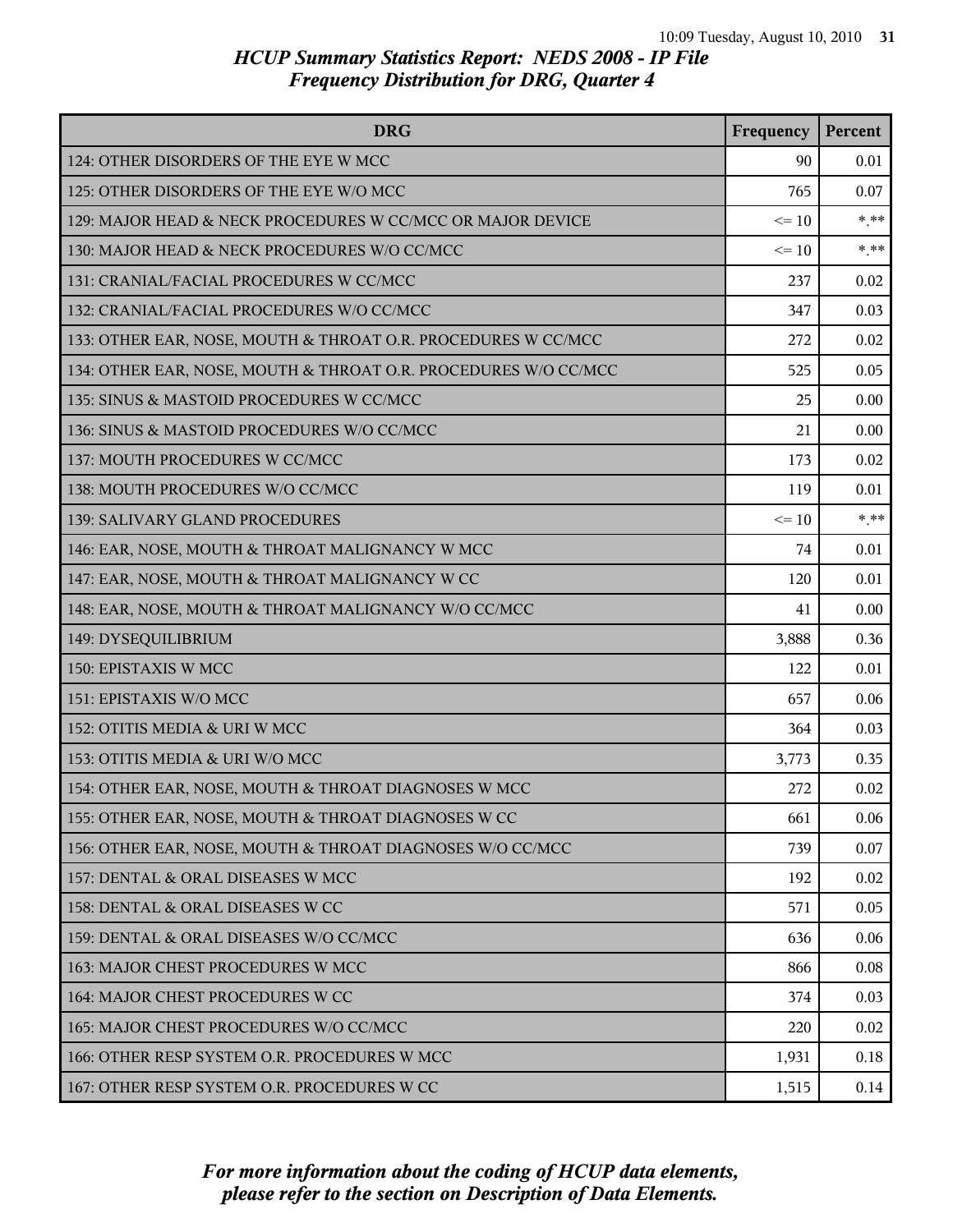| <b>DRG</b>                                                      | Frequency | Percent |
|-----------------------------------------------------------------|-----------|---------|
| 124: OTHER DISORDERS OF THE EYE W MCC                           | 90        | 0.01    |
| 125: OTHER DISORDERS OF THE EYE W/O MCC                         | 765       | 0.07    |
| 129: MAJOR HEAD & NECK PROCEDURES W CC/MCC OR MAJOR DEVICE      | $\leq 10$ | $*$ **  |
| 130: MAJOR HEAD & NECK PROCEDURES W/O CC/MCC                    | $\leq 10$ | $*$ **  |
| 131: CRANIAL/FACIAL PROCEDURES W CC/MCC                         | 237       | 0.02    |
| 132: CRANIAL/FACIAL PROCEDURES W/O CC/MCC                       | 347       | 0.03    |
| 133: OTHER EAR, NOSE, MOUTH & THROAT O.R. PROCEDURES W CC/MCC   | 272       | 0.02    |
| 134: OTHER EAR, NOSE, MOUTH & THROAT O.R. PROCEDURES W/O CC/MCC | 525       | 0.05    |
| 135: SINUS & MASTOID PROCEDURES W CC/MCC                        | 25        | 0.00    |
| 136: SINUS & MASTOID PROCEDURES W/O CC/MCC                      | 21        | 0.00    |
| 137: MOUTH PROCEDURES W CC/MCC                                  | 173       | 0.02    |
| 138: MOUTH PROCEDURES W/O CC/MCC                                | 119       | 0.01    |
| 139: SALIVARY GLAND PROCEDURES                                  | $\leq 10$ | $*$ **  |
| 146: EAR, NOSE, MOUTH & THROAT MALIGNANCY W MCC                 | 74        | 0.01    |
| 147: EAR, NOSE, MOUTH & THROAT MALIGNANCY W CC                  | 120       | 0.01    |
| 148: EAR, NOSE, MOUTH & THROAT MALIGNANCY W/O CC/MCC            | 41        | 0.00    |
| 149: DYSEQUILIBRIUM                                             | 3,888     | 0.36    |
| 150: EPISTAXIS W MCC                                            | 122       | 0.01    |
| 151: EPISTAXIS W/O MCC                                          | 657       | 0.06    |
| 152: OTITIS MEDIA & URI W MCC                                   | 364       | 0.03    |
| 153: OTITIS MEDIA & URI W/O MCC                                 | 3,773     | 0.35    |
| 154: OTHER EAR, NOSE, MOUTH & THROAT DIAGNOSES W MCC            | 272       | 0.02    |
| 155: OTHER EAR, NOSE, MOUTH & THROAT DIAGNOSES W CC             | 661       | 0.06    |
| 156: OTHER EAR, NOSE, MOUTH & THROAT DIAGNOSES W/O CC/MCC       | 739       | 0.07    |
| 157: DENTAL & ORAL DISEASES W MCC                               | 192       | 0.02    |
| 158: DENTAL & ORAL DISEASES W CC                                | 571       | 0.05    |
| 159: DENTAL & ORAL DISEASES W/O CC/MCC                          | 636       | 0.06    |
| 163: MAJOR CHEST PROCEDURES W MCC                               | 866       | 0.08    |
| 164: MAJOR CHEST PROCEDURES W CC                                | 374       | 0.03    |
| 165: MAJOR CHEST PROCEDURES W/O CC/MCC                          | 220       | 0.02    |
| 166: OTHER RESP SYSTEM O.R. PROCEDURES W MCC                    | 1,931     | 0.18    |
| 167: OTHER RESP SYSTEM O.R. PROCEDURES W CC                     | 1,515     | 0.14    |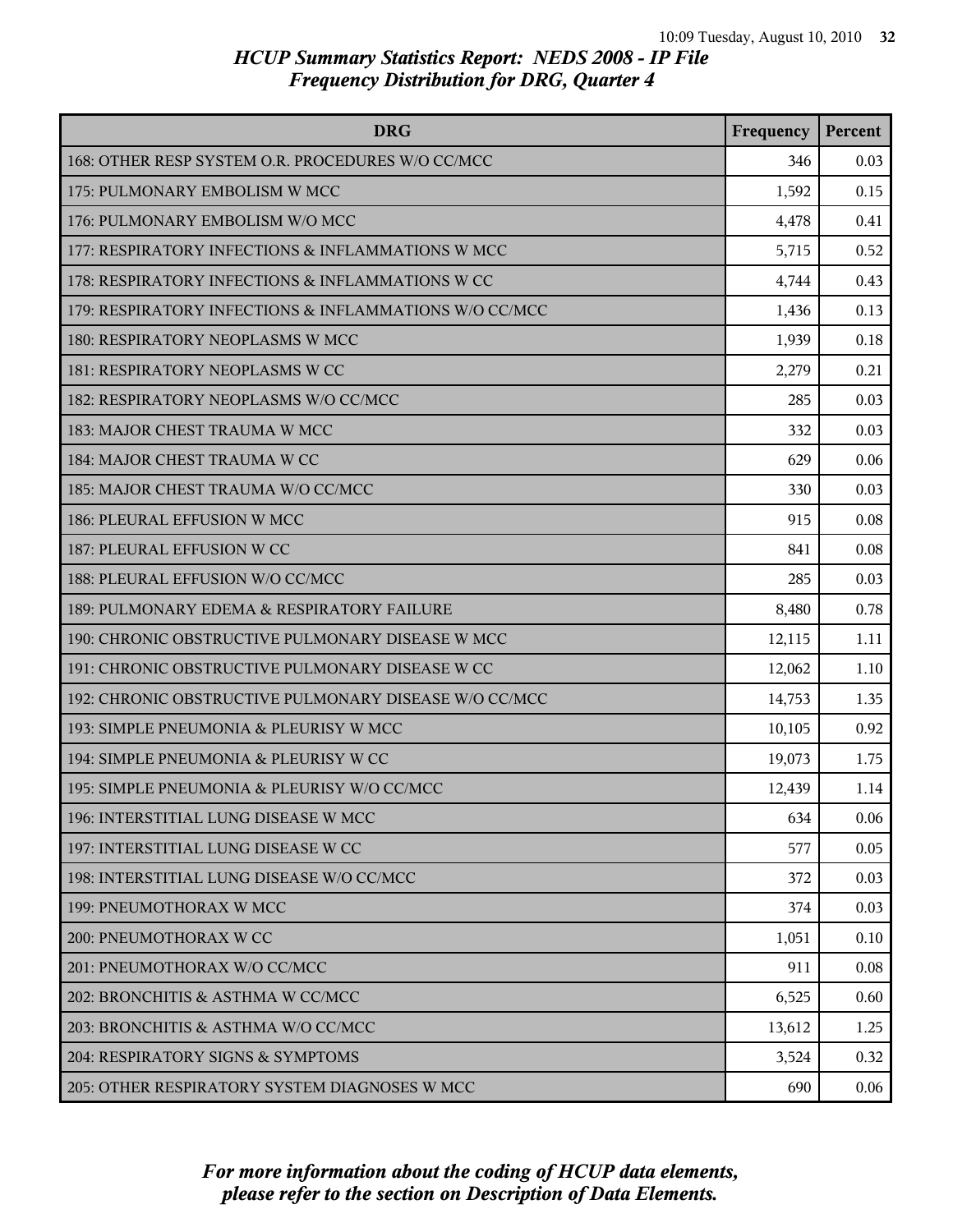| <b>DRG</b>                                             | Frequency | Percent |
|--------------------------------------------------------|-----------|---------|
| 168: OTHER RESP SYSTEM O.R. PROCEDURES W/O CC/MCC      | 346       | 0.03    |
| 175: PULMONARY EMBOLISM W MCC                          | 1,592     | 0.15    |
| 176: PULMONARY EMBOLISM W/O MCC                        | 4,478     | 0.41    |
| 177: RESPIRATORY INFECTIONS & INFLAMMATIONS W MCC      | 5,715     | 0.52    |
| 178: RESPIRATORY INFECTIONS & INFLAMMATIONS W CC       | 4,744     | 0.43    |
| 179: RESPIRATORY INFECTIONS & INFLAMMATIONS W/O CC/MCC | 1,436     | 0.13    |
| 180: RESPIRATORY NEOPLASMS W MCC                       | 1,939     | 0.18    |
| 181: RESPIRATORY NEOPLASMS W CC                        | 2,279     | 0.21    |
| 182: RESPIRATORY NEOPLASMS W/O CC/MCC                  | 285       | 0.03    |
| 183: MAJOR CHEST TRAUMA W MCC                          | 332       | 0.03    |
| 184: MAJOR CHEST TRAUMA W CC                           | 629       | 0.06    |
| 185: MAJOR CHEST TRAUMA W/O CC/MCC                     | 330       | 0.03    |
| 186: PLEURAL EFFUSION W MCC                            | 915       | 0.08    |
| 187: PLEURAL EFFUSION W CC                             | 841       | 0.08    |
| 188: PLEURAL EFFUSION W/O CC/MCC                       | 285       | 0.03    |
| 189: PULMONARY EDEMA & RESPIRATORY FAILURE             | 8,480     | 0.78    |
| 190: CHRONIC OBSTRUCTIVE PULMONARY DISEASE W MCC       | 12,115    | 1.11    |
| 191: CHRONIC OBSTRUCTIVE PULMONARY DISEASE W CC        | 12,062    | 1.10    |
| 192: CHRONIC OBSTRUCTIVE PULMONARY DISEASE W/O CC/MCC  | 14,753    | 1.35    |
| 193: SIMPLE PNEUMONIA & PLEURISY W MCC                 | 10,105    | 0.92    |
| 194: SIMPLE PNEUMONIA & PLEURISY W CC                  | 19,073    | 1.75    |
| 195: SIMPLE PNEUMONIA & PLEURISY W/O CC/MCC            | 12,439    | 1.14    |
| 196: INTERSTITIAL LUNG DISEASE W MCC                   | 634       | 0.06    |
| 197: INTERSTITIAL LUNG DISEASE W CC                    | 577       | 0.05    |
| 198: INTERSTITIAL LUNG DISEASE W/O CC/MCC              | 372       | 0.03    |
| 199: PNEUMOTHORAX W MCC                                | 374       | 0.03    |
| 200: PNEUMOTHORAX W CC                                 | 1,051     | 0.10    |
| 201: PNEUMOTHORAX W/O CC/MCC                           | 911       | 0.08    |
| 202: BRONCHITIS & ASTHMA W CC/MCC                      | 6,525     | 0.60    |
| 203: BRONCHITIS & ASTHMA W/O CC/MCC                    | 13,612    | 1.25    |
| 204: RESPIRATORY SIGNS & SYMPTOMS                      | 3,524     | 0.32    |
| 205: OTHER RESPIRATORY SYSTEM DIAGNOSES W MCC          | 690       | 0.06    |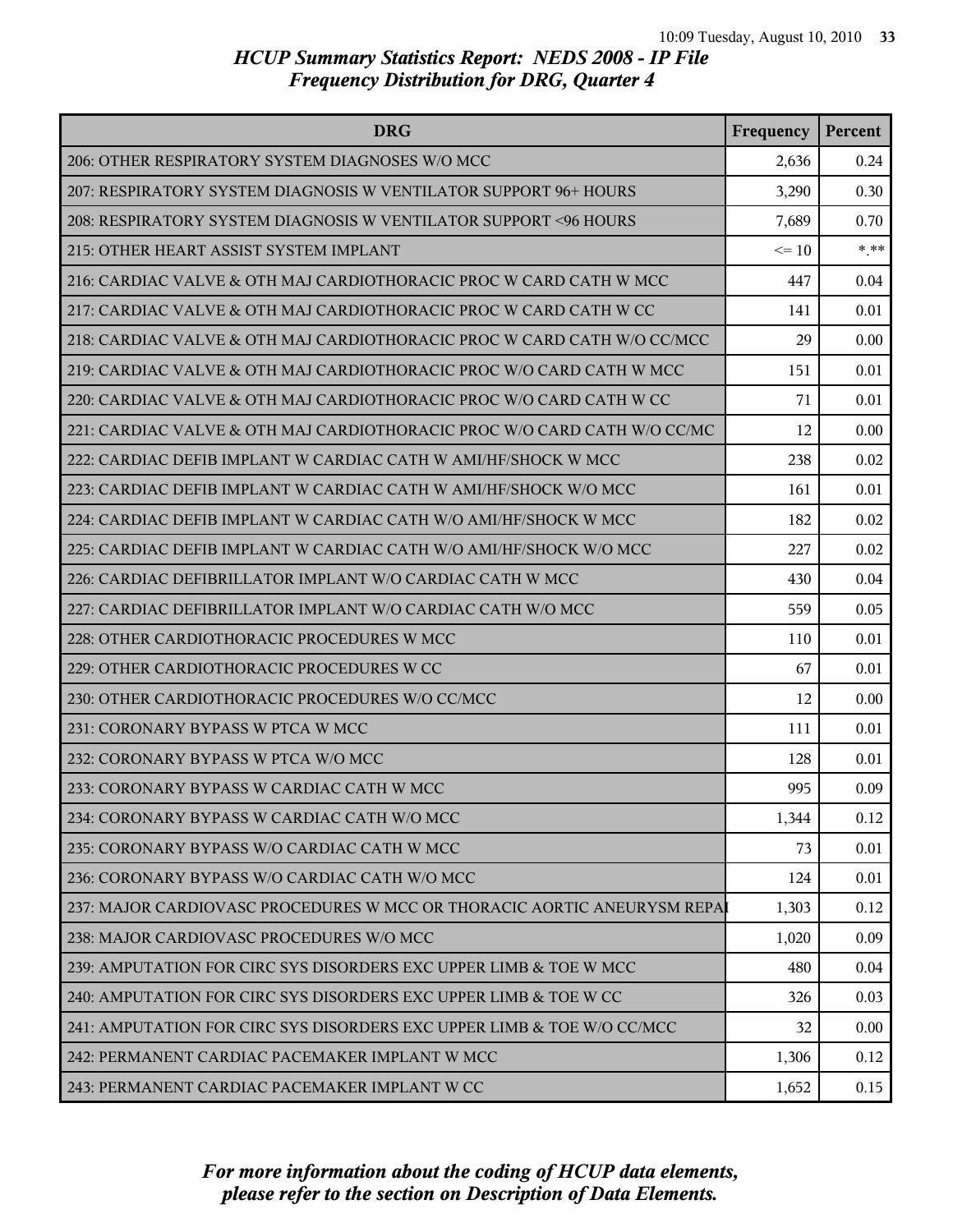| <b>DRG</b>                                                               | Frequency | Percent |
|--------------------------------------------------------------------------|-----------|---------|
| 206: OTHER RESPIRATORY SYSTEM DIAGNOSES W/O MCC                          | 2,636     | 0.24    |
| 207: RESPIRATORY SYSTEM DIAGNOSIS W VENTILATOR SUPPORT 96+ HOURS         | 3,290     | 0.30    |
| 208: RESPIRATORY SYSTEM DIAGNOSIS W VENTILATOR SUPPORT <96 HOURS         | 7,689     | 0.70    |
| 215: OTHER HEART ASSIST SYSTEM IMPLANT                                   | $\leq 10$ | $***$   |
| 216: CARDIAC VALVE & OTH MAJ CARDIOTHORACIC PROC W CARD CATH W MCC       | 447       | 0.04    |
| 217: CARDIAC VALVE & OTH MAJ CARDIOTHORACIC PROC W CARD CATH W CC        | 141       | 0.01    |
| 218: CARDIAC VALVE & OTH MAJ CARDIOTHORACIC PROC W CARD CATH W/O CC/MCC  | 29        | 0.00    |
| 219: CARDIAC VALVE & OTH MAJ CARDIOTHORACIC PROC W/O CARD CATH W MCC     | 151       | 0.01    |
| 220: CARDIAC VALVE & OTH MAJ CARDIOTHORACIC PROC W/O CARD CATH W CC      | 71        | 0.01    |
| 221: CARDIAC VALVE & OTH MAJ CARDIOTHORACIC PROC W/O CARD CATH W/O CC/MC | 12        | 0.00    |
| 222: CARDIAC DEFIB IMPLANT W CARDIAC CATH W AMI/HF/SHOCK W MCC           | 238       | 0.02    |
| 223: CARDIAC DEFIB IMPLANT W CARDIAC CATH W AMI/HF/SHOCK W/O MCC         | 161       | 0.01    |
| 224: CARDIAC DEFIB IMPLANT W CARDIAC CATH W/O AMI/HF/SHOCK W MCC         | 182       | 0.02    |
| 225: CARDIAC DEFIB IMPLANT W CARDIAC CATH W/O AMI/HF/SHOCK W/O MCC       | 227       | 0.02    |
| 226: CARDIAC DEFIBRILLATOR IMPLANT W/O CARDIAC CATH W MCC                | 430       | 0.04    |
| 227: CARDIAC DEFIBRILLATOR IMPLANT W/O CARDIAC CATH W/O MCC              | 559       | 0.05    |
| 228: OTHER CARDIOTHORACIC PROCEDURES W MCC                               | 110       | 0.01    |
| 229: OTHER CARDIOTHORACIC PROCEDURES W CC                                | 67        | 0.01    |
| 230: OTHER CARDIOTHORACIC PROCEDURES W/O CC/MCC                          | 12        | 0.00    |
| 231: CORONARY BYPASS W PTCA W MCC                                        | 111       | 0.01    |
| 232: CORONARY BYPASS W PTCA W/O MCC                                      | 128       | 0.01    |
| 233: CORONARY BYPASS W CARDIAC CATH W MCC                                | 995       | 0.09    |
| 234: CORONARY BYPASS W CARDIAC CATH W/O MCC                              | 1,344     | 0.12    |
| 235: CORONARY BYPASS W/O CARDIAC CATH W MCC                              | 73        | 0.01    |
| 236: CORONARY BYPASS W/O CARDIAC CATH W/O MCC                            | 124       | 0.01    |
| 237: MAJOR CARDIOVASC PROCEDURES W MCC OR THORACIC AORTIC ANEURYSM REPAI | 1,303     | 0.12    |
| 238: MAJOR CARDIOVASC PROCEDURES W/O MCC                                 | 1,020     | 0.09    |
| 239: AMPUTATION FOR CIRC SYS DISORDERS EXC UPPER LIMB & TOE W MCC        | 480       | 0.04    |
| 240: AMPUTATION FOR CIRC SYS DISORDERS EXC UPPER LIMB & TOE W CC         | 326       | 0.03    |
| 241: AMPUTATION FOR CIRC SYS DISORDERS EXC UPPER LIMB & TOE W/O CC/MCC   | 32        | 0.00    |
| 242: PERMANENT CARDIAC PACEMAKER IMPLANT W MCC                           | 1,306     | 0.12    |
| 243: PERMANENT CARDIAC PACEMAKER IMPLANT W CC                            | 1,652     | 0.15    |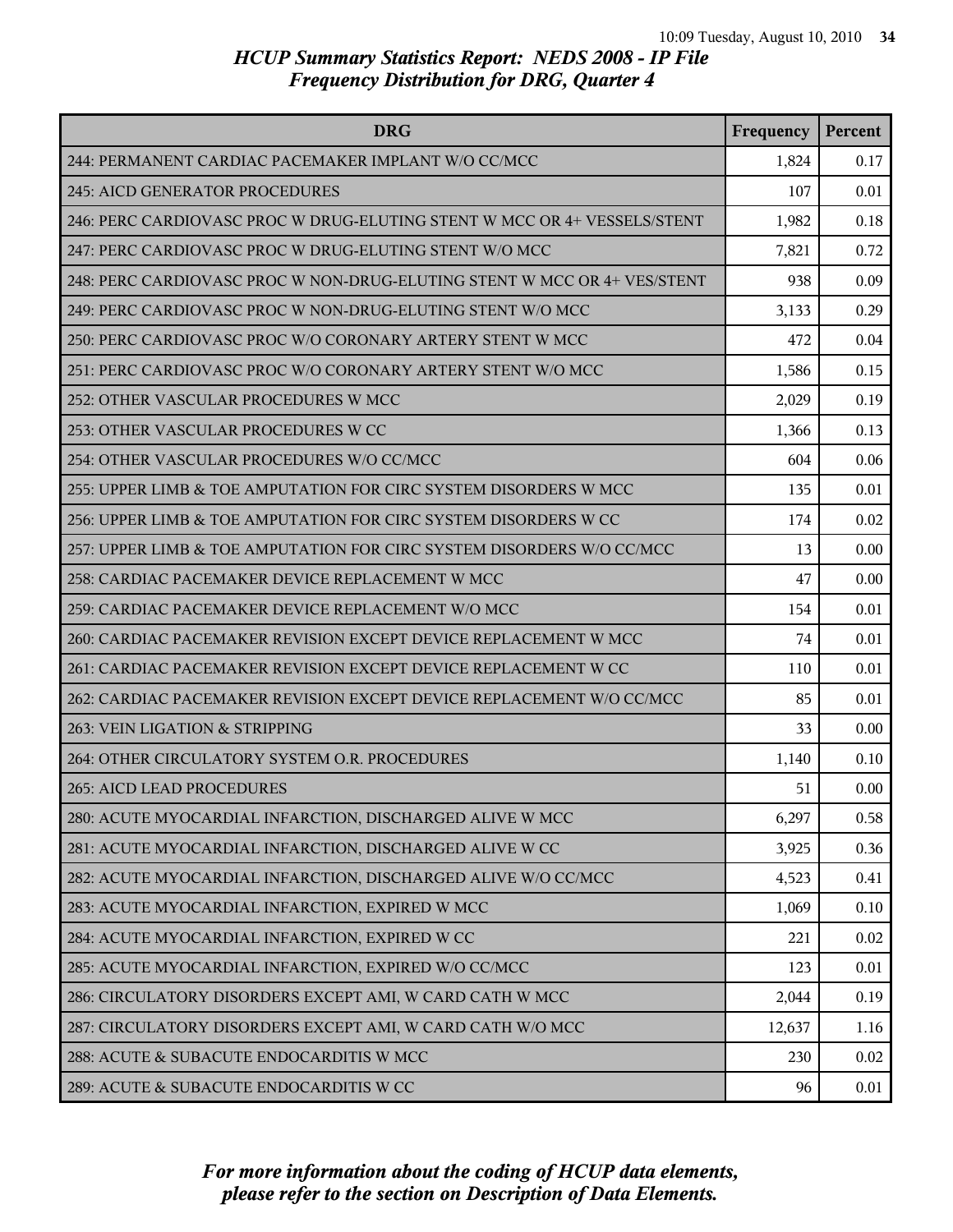| <b>DRG</b>                                                               | Frequency | Percent |
|--------------------------------------------------------------------------|-----------|---------|
| 244: PERMANENT CARDIAC PACEMAKER IMPLANT W/O CC/MCC                      | 1,824     | 0.17    |
| 245: AICD GENERATOR PROCEDURES                                           | 107       | 0.01    |
| 246: PERC CARDIOVASC PROC W DRUG-ELUTING STENT W MCC OR 4+ VESSELS/STENT | 1,982     | 0.18    |
| 247: PERC CARDIOVASC PROC W DRUG-ELUTING STENT W/O MCC                   | 7,821     | 0.72    |
| 248: PERC CARDIOVASC PROC W NON-DRUG-ELUTING STENT W MCC OR 4+ VES/STENT | 938       | 0.09    |
| 249: PERC CARDIOVASC PROC W NON-DRUG-ELUTING STENT W/O MCC               | 3,133     | 0.29    |
| 250: PERC CARDIOVASC PROC W/O CORONARY ARTERY STENT W MCC                | 472       | 0.04    |
| 251: PERC CARDIOVASC PROC W/O CORONARY ARTERY STENT W/O MCC              | 1,586     | 0.15    |
| 252: OTHER VASCULAR PROCEDURES W MCC                                     | 2,029     | 0.19    |
| 253: OTHER VASCULAR PROCEDURES W CC                                      | 1,366     | 0.13    |
| 254: OTHER VASCULAR PROCEDURES W/O CC/MCC                                | 604       | 0.06    |
| 255: UPPER LIMB & TOE AMPUTATION FOR CIRC SYSTEM DISORDERS W MCC         | 135       | 0.01    |
| 256: UPPER LIMB & TOE AMPUTATION FOR CIRC SYSTEM DISORDERS W CC          | 174       | 0.02    |
| 257: UPPER LIMB & TOE AMPUTATION FOR CIRC SYSTEM DISORDERS W/O CC/MCC    | 13        | 0.00    |
| 258: CARDIAC PACEMAKER DEVICE REPLACEMENT W MCC                          | 47        | 0.00    |
| 259: CARDIAC PACEMAKER DEVICE REPLACEMENT W/O MCC                        | 154       | 0.01    |
| 260: CARDIAC PACEMAKER REVISION EXCEPT DEVICE REPLACEMENT W MCC          | 74        | 0.01    |
| 261: CARDIAC PACEMAKER REVISION EXCEPT DEVICE REPLACEMENT W CC           | 110       | 0.01    |
| 262: CARDIAC PACEMAKER REVISION EXCEPT DEVICE REPLACEMENT W/O CC/MCC     | 85        | 0.01    |
| 263: VEIN LIGATION & STRIPPING                                           | 33        | 0.00    |
| 264: OTHER CIRCULATORY SYSTEM O.R. PROCEDURES                            | 1,140     | 0.10    |
| <b>265: AICD LEAD PROCEDURES</b>                                         | 51        | 0.00    |
| 280: ACUTE MYOCARDIAL INFARCTION, DISCHARGED ALIVE W MCC                 | 6,297     | 0.58    |
| 281: ACUTE MYOCARDIAL INFARCTION, DISCHARGED ALIVE W CC                  | 3,925     | 0.36    |
| 282: ACUTE MYOCARDIAL INFARCTION, DISCHARGED ALIVE W/O CC/MCC            | 4,523     | 0.41    |
| 283: ACUTE MYOCARDIAL INFARCTION, EXPIRED W MCC                          | 1,069     | 0.10    |
| 284: ACUTE MYOCARDIAL INFARCTION, EXPIRED W CC                           | 221       | 0.02    |
| 285: ACUTE MYOCARDIAL INFARCTION, EXPIRED W/O CC/MCC                     | 123       | 0.01    |
| 286: CIRCULATORY DISORDERS EXCEPT AMI, W CARD CATH W MCC                 | 2,044     | 0.19    |
| 287: CIRCULATORY DISORDERS EXCEPT AMI, W CARD CATH W/O MCC               | 12,637    | 1.16    |
| 288: ACUTE & SUBACUTE ENDOCARDITIS W MCC                                 | 230       | 0.02    |
| 289: ACUTE & SUBACUTE ENDOCARDITIS W CC                                  | 96        | 0.01    |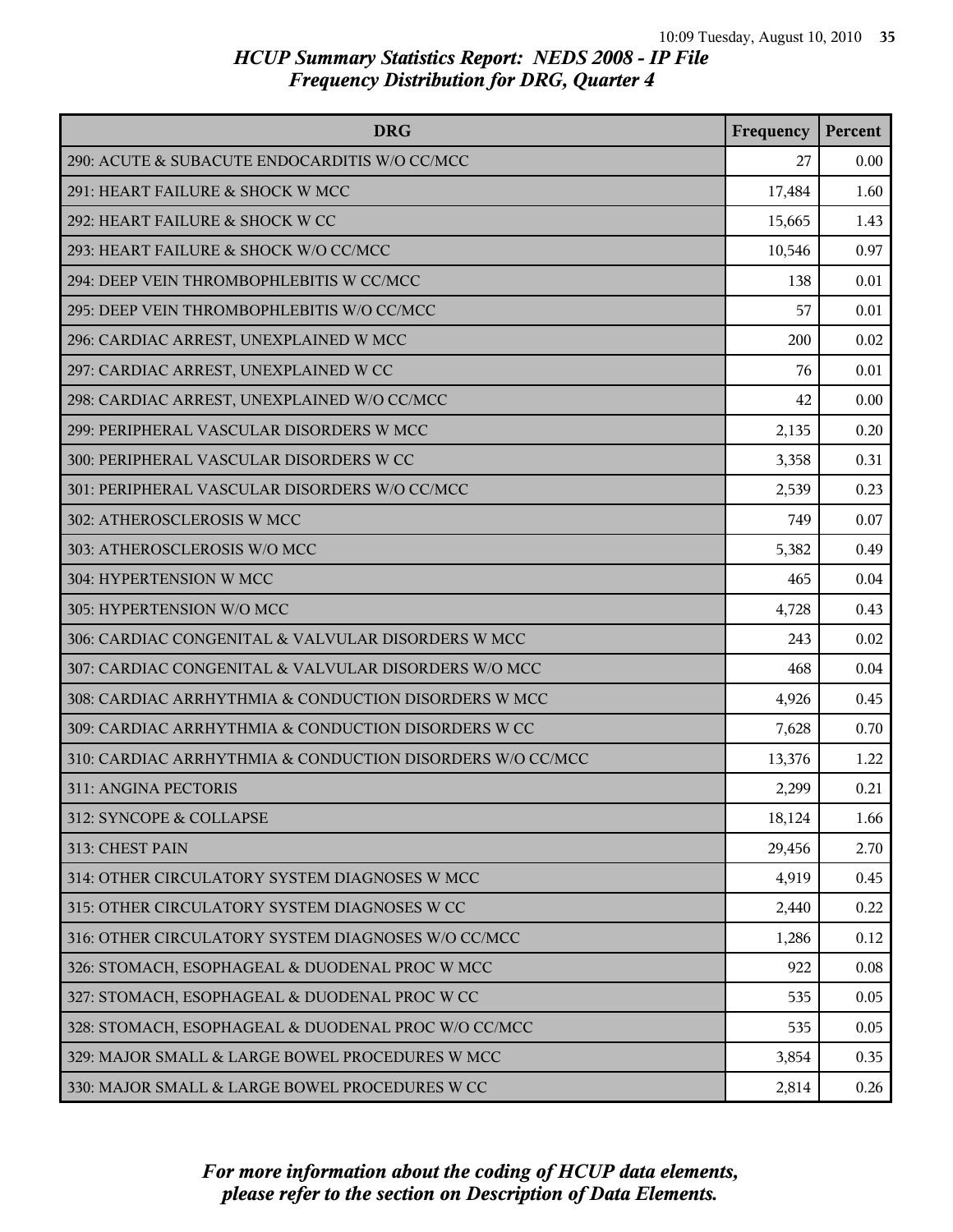| <b>DRG</b>                                                | Frequency | Percent |
|-----------------------------------------------------------|-----------|---------|
| 290: ACUTE & SUBACUTE ENDOCARDITIS W/O CC/MCC             | 27        | 0.00    |
| 291: HEART FAILURE & SHOCK W MCC                          | 17,484    | 1.60    |
| 292: HEART FAILURE & SHOCK W CC                           | 15,665    | 1.43    |
| 293: HEART FAILURE & SHOCK W/O CC/MCC                     | 10,546    | 0.97    |
| 294: DEEP VEIN THROMBOPHLEBITIS W CC/MCC                  | 138       | 0.01    |
| 295: DEEP VEIN THROMBOPHLEBITIS W/O CC/MCC                | 57        | 0.01    |
| 296: CARDIAC ARREST, UNEXPLAINED W MCC                    | 200       | 0.02    |
| 297: CARDIAC ARREST, UNEXPLAINED W CC                     | 76        | 0.01    |
| 298: CARDIAC ARREST, UNEXPLAINED W/O CC/MCC               | 42        | 0.00    |
| 299: PERIPHERAL VASCULAR DISORDERS W MCC                  | 2,135     | 0.20    |
| 300: PERIPHERAL VASCULAR DISORDERS W CC                   | 3,358     | 0.31    |
| 301: PERIPHERAL VASCULAR DISORDERS W/O CC/MCC             | 2,539     | 0.23    |
| 302: ATHEROSCLEROSIS W MCC                                | 749       | 0.07    |
| 303: ATHEROSCLEROSIS W/O MCC                              | 5,382     | 0.49    |
| 304: HYPERTENSION W MCC                                   | 465       | 0.04    |
| 305: HYPERTENSION W/O MCC                                 | 4,728     | 0.43    |
| 306: CARDIAC CONGENITAL & VALVULAR DISORDERS W MCC        | 243       | 0.02    |
| 307: CARDIAC CONGENITAL & VALVULAR DISORDERS W/O MCC      | 468       | 0.04    |
| 308: CARDIAC ARRHYTHMIA & CONDUCTION DISORDERS W MCC      | 4,926     | 0.45    |
| 309: CARDIAC ARRHYTHMIA & CONDUCTION DISORDERS W CC       | 7,628     | 0.70    |
| 310: CARDIAC ARRHYTHMIA & CONDUCTION DISORDERS W/O CC/MCC | 13,376    | 1.22    |
| 311: ANGINA PECTORIS                                      | 2,299     | 0.21    |
| 312: SYNCOPE & COLLAPSE                                   | 18,124    | 1.66    |
| 313: CHEST PAIN                                           | 29,456    | 2.70    |
| 314: OTHER CIRCULATORY SYSTEM DIAGNOSES W MCC             | 4,919     | 0.45    |
| 315: OTHER CIRCULATORY SYSTEM DIAGNOSES W CC              | 2,440     | 0.22    |
| 316: OTHER CIRCULATORY SYSTEM DIAGNOSES W/O CC/MCC        | 1,286     | 0.12    |
| 326: STOMACH, ESOPHAGEAL & DUODENAL PROC W MCC            | 922       | 0.08    |
| 327: STOMACH, ESOPHAGEAL & DUODENAL PROC W CC             | 535       | 0.05    |
| 328: STOMACH, ESOPHAGEAL & DUODENAL PROC W/O CC/MCC       | 535       | 0.05    |
| 329: MAJOR SMALL & LARGE BOWEL PROCEDURES W MCC           | 3,854     | 0.35    |
| 330: MAJOR SMALL & LARGE BOWEL PROCEDURES W CC            | 2,814     | 0.26    |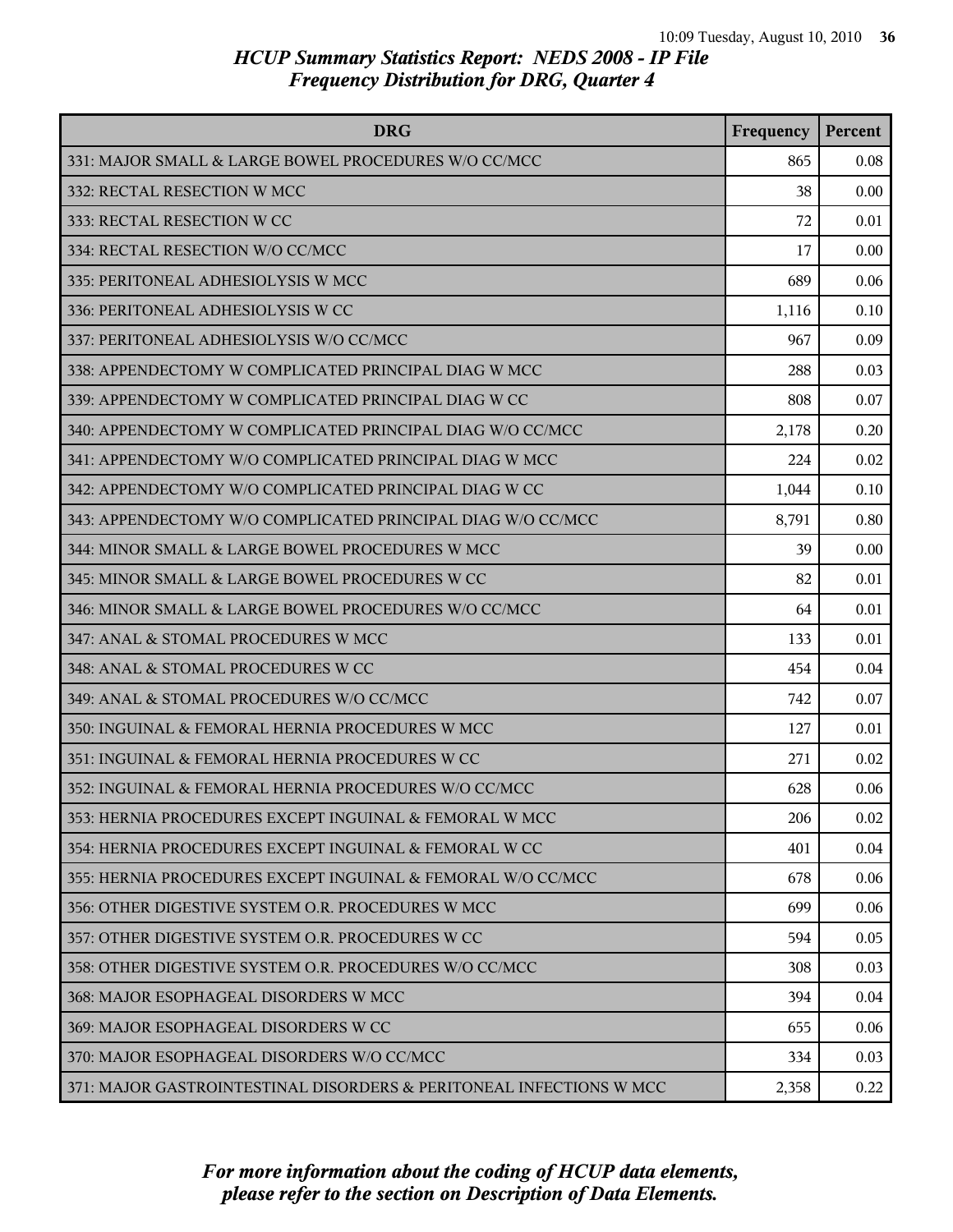| <b>DRG</b>                                                          | Frequency | Percent |
|---------------------------------------------------------------------|-----------|---------|
| 331: MAJOR SMALL & LARGE BOWEL PROCEDURES W/O CC/MCC                | 865       | 0.08    |
| 332: RECTAL RESECTION W MCC                                         | 38        | 0.00    |
| 333: RECTAL RESECTION W CC                                          | 72        | 0.01    |
| 334: RECTAL RESECTION W/O CC/MCC                                    | 17        | 0.00    |
| 335: PERITONEAL ADHESIOLYSIS W MCC                                  | 689       | 0.06    |
| 336: PERITONEAL ADHESIOLYSIS W CC                                   | 1,116     | 0.10    |
| 337: PERITONEAL ADHESIOLYSIS W/O CC/MCC                             | 967       | 0.09    |
| 338: APPENDECTOMY W COMPLICATED PRINCIPAL DIAG W MCC                | 288       | 0.03    |
| 339: APPENDECTOMY W COMPLICATED PRINCIPAL DIAG W CC                 | 808       | 0.07    |
| 340: APPENDECTOMY W COMPLICATED PRINCIPAL DIAG W/O CC/MCC           | 2,178     | 0.20    |
| 341: APPENDECTOMY W/O COMPLICATED PRINCIPAL DIAG W MCC              | 224       | 0.02    |
| 342: APPENDECTOMY W/O COMPLICATED PRINCIPAL DIAG W CC               | 1,044     | 0.10    |
| 343: APPENDECTOMY W/O COMPLICATED PRINCIPAL DIAG W/O CC/MCC         | 8,791     | 0.80    |
| 344: MINOR SMALL & LARGE BOWEL PROCEDURES W MCC                     | 39        | 0.00    |
| 345: MINOR SMALL & LARGE BOWEL PROCEDURES W CC                      | 82        | 0.01    |
| 346: MINOR SMALL & LARGE BOWEL PROCEDURES W/O CC/MCC                | 64        | 0.01    |
| 347: ANAL & STOMAL PROCEDURES W MCC                                 | 133       | 0.01    |
| 348: ANAL & STOMAL PROCEDURES W CC                                  | 454       | 0.04    |
| 349: ANAL & STOMAL PROCEDURES W/O CC/MCC                            | 742       | 0.07    |
| 350: INGUINAL & FEMORAL HERNIA PROCEDURES W MCC                     | 127       | 0.01    |
| 351: INGUINAL & FEMORAL HERNIA PROCEDURES W CC                      | 271       | 0.02    |
| 352: INGUINAL & FEMORAL HERNIA PROCEDURES W/O CC/MCC                | 628       | 0.06    |
| 353: HERNIA PROCEDURES EXCEPT INGUINAL & FEMORAL W MCC              | 206       | 0.02    |
| 354: HERNIA PROCEDURES EXCEPT INGUINAL & FEMORAL W CC               | 401       | 0.04    |
| 355: HERNIA PROCEDURES EXCEPT INGUINAL & FEMORAL W/O CC/MCC         | 678       | 0.06    |
| 356: OTHER DIGESTIVE SYSTEM O.R. PROCEDURES W MCC                   | 699       | 0.06    |
| 357: OTHER DIGESTIVE SYSTEM O.R. PROCEDURES W CC                    | 594       | 0.05    |
| 358: OTHER DIGESTIVE SYSTEM O.R. PROCEDURES W/O CC/MCC              | 308       | 0.03    |
| 368: MAJOR ESOPHAGEAL DISORDERS W MCC                               | 394       | 0.04    |
| 369: MAJOR ESOPHAGEAL DISORDERS W CC                                | 655       | 0.06    |
| 370: MAJOR ESOPHAGEAL DISORDERS W/O CC/MCC                          | 334       | 0.03    |
| 371: MAJOR GASTROINTESTINAL DISORDERS & PERITONEAL INFECTIONS W MCC | 2,358     | 0.22    |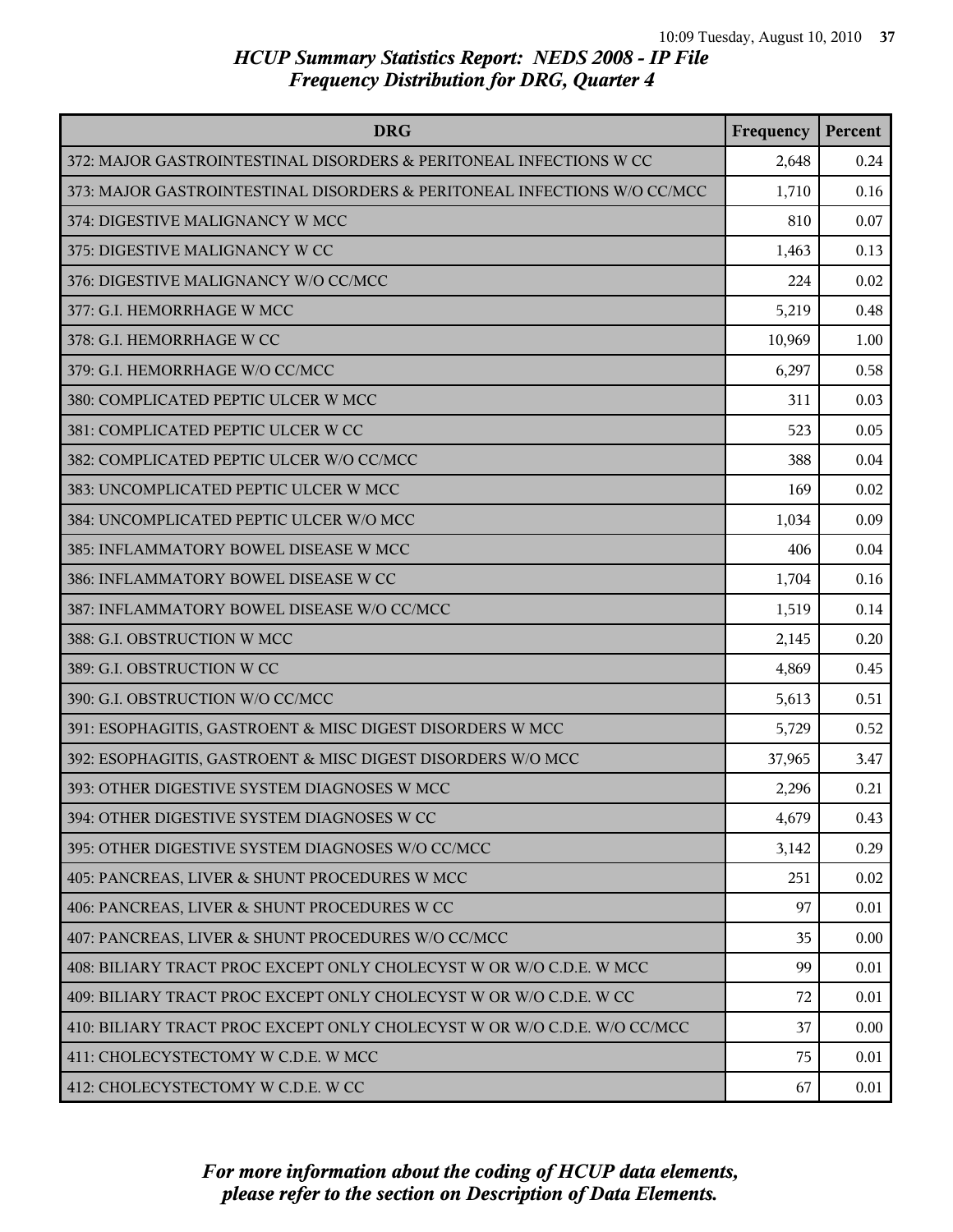| <b>DRG</b>                                                               | Frequency | Percent |
|--------------------------------------------------------------------------|-----------|---------|
| 372: MAJOR GASTROINTESTINAL DISORDERS & PERITONEAL INFECTIONS W CC       | 2,648     | 0.24    |
| 373: MAJOR GASTROINTESTINAL DISORDERS & PERITONEAL INFECTIONS W/O CC/MCC | 1,710     | 0.16    |
| 374: DIGESTIVE MALIGNANCY W MCC                                          | 810       | 0.07    |
| 375: DIGESTIVE MALIGNANCY W CC                                           | 1,463     | 0.13    |
| 376: DIGESTIVE MALIGNANCY W/O CC/MCC                                     | 224       | 0.02    |
| 377: G.I. HEMORRHAGE W MCC                                               | 5,219     | 0.48    |
| 378: G.I. HEMORRHAGE W CC                                                | 10,969    | 1.00    |
| 379: G.I. HEMORRHAGE W/O CC/MCC                                          | 6,297     | 0.58    |
| 380: COMPLICATED PEPTIC ULCER W MCC                                      | 311       | 0.03    |
| 381: COMPLICATED PEPTIC ULCER W CC                                       | 523       | 0.05    |
| 382: COMPLICATED PEPTIC ULCER W/O CC/MCC                                 | 388       | 0.04    |
| 383: UNCOMPLICATED PEPTIC ULCER W MCC                                    | 169       | 0.02    |
| 384: UNCOMPLICATED PEPTIC ULCER W/O MCC                                  | 1,034     | 0.09    |
| 385: INFLAMMATORY BOWEL DISEASE W MCC                                    | 406       | 0.04    |
| 386: INFLAMMATORY BOWEL DISEASE W CC                                     | 1,704     | 0.16    |
| 387: INFLAMMATORY BOWEL DISEASE W/O CC/MCC                               | 1,519     | 0.14    |
| 388: G.I. OBSTRUCTION W MCC                                              | 2,145     | 0.20    |
| 389: G.I. OBSTRUCTION W CC                                               | 4,869     | 0.45    |
| 390: G.I. OBSTRUCTION W/O CC/MCC                                         | 5,613     | 0.51    |
| 391: ESOPHAGITIS, GASTROENT & MISC DIGEST DISORDERS W MCC                | 5,729     | 0.52    |
| 392: ESOPHAGITIS, GASTROENT & MISC DIGEST DISORDERS W/O MCC              | 37,965    | 3.47    |
| 393: OTHER DIGESTIVE SYSTEM DIAGNOSES W MCC                              | 2,296     | 0.21    |
| 394: OTHER DIGESTIVE SYSTEM DIAGNOSES W CC                               | 4,679     | 0.43    |
| 395: OTHER DIGESTIVE SYSTEM DIAGNOSES W/O CC/MCC                         | 3,142     | 0.29    |
| 405: PANCREAS, LIVER & SHUNT PROCEDURES W MCC                            | 251       | 0.02    |
| 406: PANCREAS, LIVER & SHUNT PROCEDURES W CC                             | 97        | 0.01    |
| 407: PANCREAS, LIVER & SHUNT PROCEDURES W/O CC/MCC                       | 35        | 0.00    |
| 408: BILIARY TRACT PROC EXCEPT ONLY CHOLECYST W OR W/O C.D.E. W MCC      | 99        | 0.01    |
| 409: BILIARY TRACT PROC EXCEPT ONLY CHOLECYST W OR W/O C.D.E. W CC       | 72        | 0.01    |
| 410: BILIARY TRACT PROC EXCEPT ONLY CHOLECYST W OR W/O C.D.E. W/O CC/MCC | 37        | 0.00    |
| 411: CHOLECYSTECTOMY W C.D.E. W MCC                                      | 75        | 0.01    |
| 412: CHOLECYSTECTOMY W C.D.E. W CC                                       | 67        | 0.01    |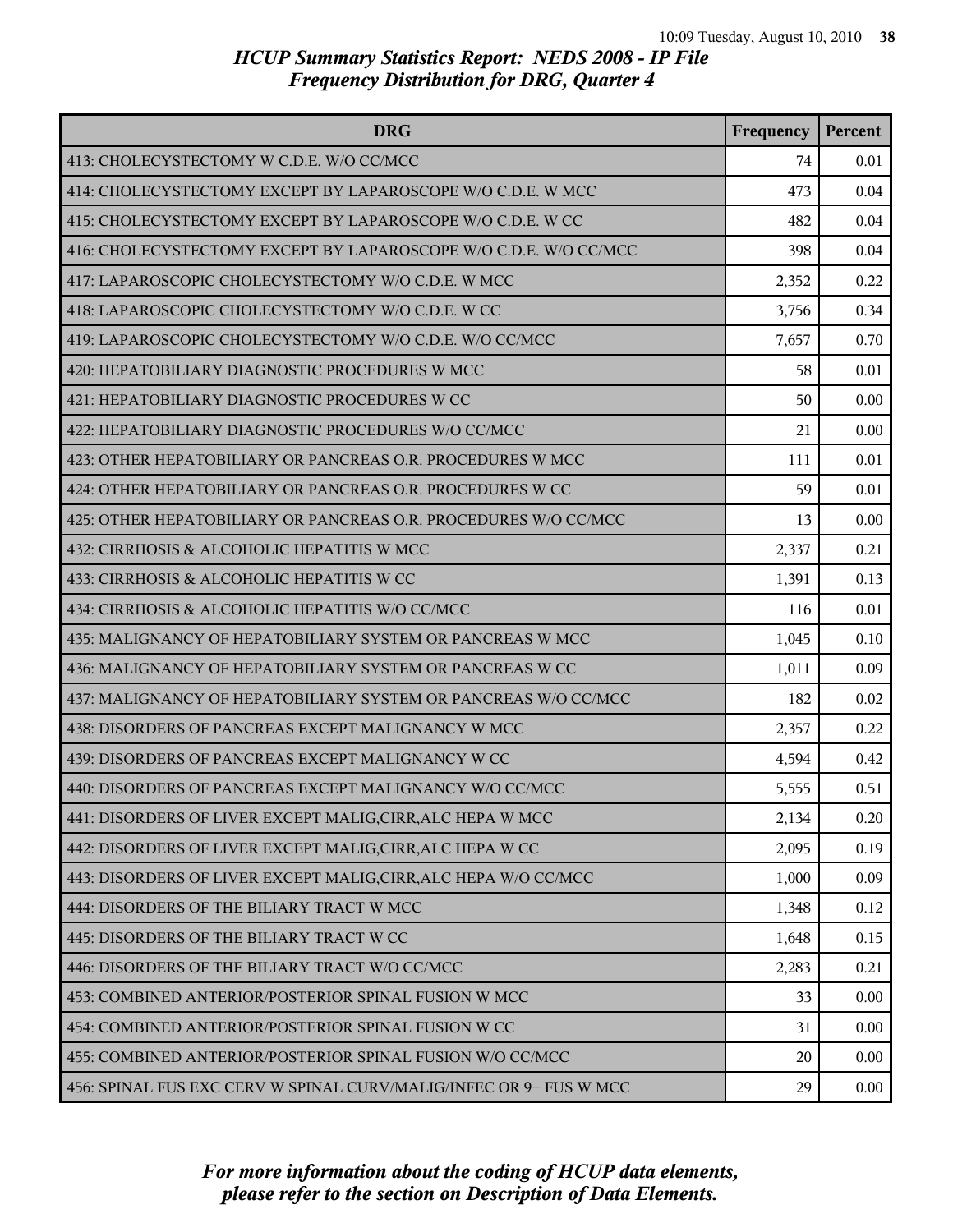| <b>DRG</b>                                                         | Frequency | Percent |
|--------------------------------------------------------------------|-----------|---------|
| 413: CHOLECYSTECTOMY W C.D.E. W/O CC/MCC                           | 74        | 0.01    |
| 414: CHOLECYSTECTOMY EXCEPT BY LAPAROSCOPE W/O C.D.E. W MCC        | 473       | 0.04    |
| 415: CHOLECYSTECTOMY EXCEPT BY LAPAROSCOPE W/O C.D.E. W CC         | 482       | 0.04    |
| 416: CHOLECYSTECTOMY EXCEPT BY LAPAROSCOPE W/O C.D.E. W/O CC/MCC   | 398       | 0.04    |
| 417: LAPAROSCOPIC CHOLECYSTECTOMY W/O C.D.E. W MCC                 | 2,352     | 0.22    |
| 418: LAPAROSCOPIC CHOLECYSTECTOMY W/O C.D.E. W CC                  | 3,756     | 0.34    |
| 419: LAPAROSCOPIC CHOLECYSTECTOMY W/O C.D.E. W/O CC/MCC            | 7,657     | 0.70    |
| 420: HEPATOBILIARY DIAGNOSTIC PROCEDURES W MCC                     | 58        | 0.01    |
| 421: HEPATOBILIARY DIAGNOSTIC PROCEDURES W CC                      | 50        | 0.00    |
| 422: HEPATOBILIARY DIAGNOSTIC PROCEDURES W/O CC/MCC                | 21        | 0.00    |
| 423: OTHER HEPATOBILIARY OR PANCREAS O.R. PROCEDURES W MCC         | 111       | 0.01    |
| 424: OTHER HEPATOBILIARY OR PANCREAS O.R. PROCEDURES W CC          | 59        | 0.01    |
| 425: OTHER HEPATOBILIARY OR PANCREAS O.R. PROCEDURES W/O CC/MCC    | 13        | 0.00    |
| 432: CIRRHOSIS & ALCOHOLIC HEPATITIS W MCC                         | 2,337     | 0.21    |
| 433: CIRRHOSIS & ALCOHOLIC HEPATITIS W CC                          | 1,391     | 0.13    |
| 434: CIRRHOSIS & ALCOHOLIC HEPATITIS W/O CC/MCC                    | 116       | 0.01    |
| 435: MALIGNANCY OF HEPATOBILIARY SYSTEM OR PANCREAS W MCC          | 1,045     | 0.10    |
| 436: MALIGNANCY OF HEPATOBILIARY SYSTEM OR PANCREAS W CC           | 1,011     | 0.09    |
| 437: MALIGNANCY OF HEPATOBILIARY SYSTEM OR PANCREAS W/O CC/MCC     | 182       | 0.02    |
| 438: DISORDERS OF PANCREAS EXCEPT MALIGNANCY W MCC                 | 2,357     | 0.22    |
| 439: DISORDERS OF PANCREAS EXCEPT MALIGNANCY W CC                  | 4,594     | 0.42    |
| 440: DISORDERS OF PANCREAS EXCEPT MALIGNANCY W/O CC/MCC            | 5,555     | 0.51    |
| 441: DISORDERS OF LIVER EXCEPT MALIG, CIRR, ALC HEPA W MCC         | 2,134     | 0.20    |
| 442: DISORDERS OF LIVER EXCEPT MALIG, CIRR, ALC HEPA W CC          | 2,095     | 0.19    |
| 443: DISORDERS OF LIVER EXCEPT MALIG, CIRR, ALC HEPA W/O CC/MCC    | 1,000     | 0.09    |
| 444: DISORDERS OF THE BILIARY TRACT W MCC                          | 1,348     | 0.12    |
| 445: DISORDERS OF THE BILIARY TRACT W CC                           | 1,648     | 0.15    |
| 446: DISORDERS OF THE BILIARY TRACT W/O CC/MCC                     | 2,283     | 0.21    |
| 453: COMBINED ANTERIOR/POSTERIOR SPINAL FUSION W MCC               | 33        | 0.00    |
| 454: COMBINED ANTERIOR/POSTERIOR SPINAL FUSION W CC                | 31        | 0.00    |
| 455: COMBINED ANTERIOR/POSTERIOR SPINAL FUSION W/O CC/MCC          | 20        | 0.00    |
| 456: SPINAL FUS EXC CERV W SPINAL CURV/MALIG/INFEC OR 9+ FUS W MCC | 29        | 0.00    |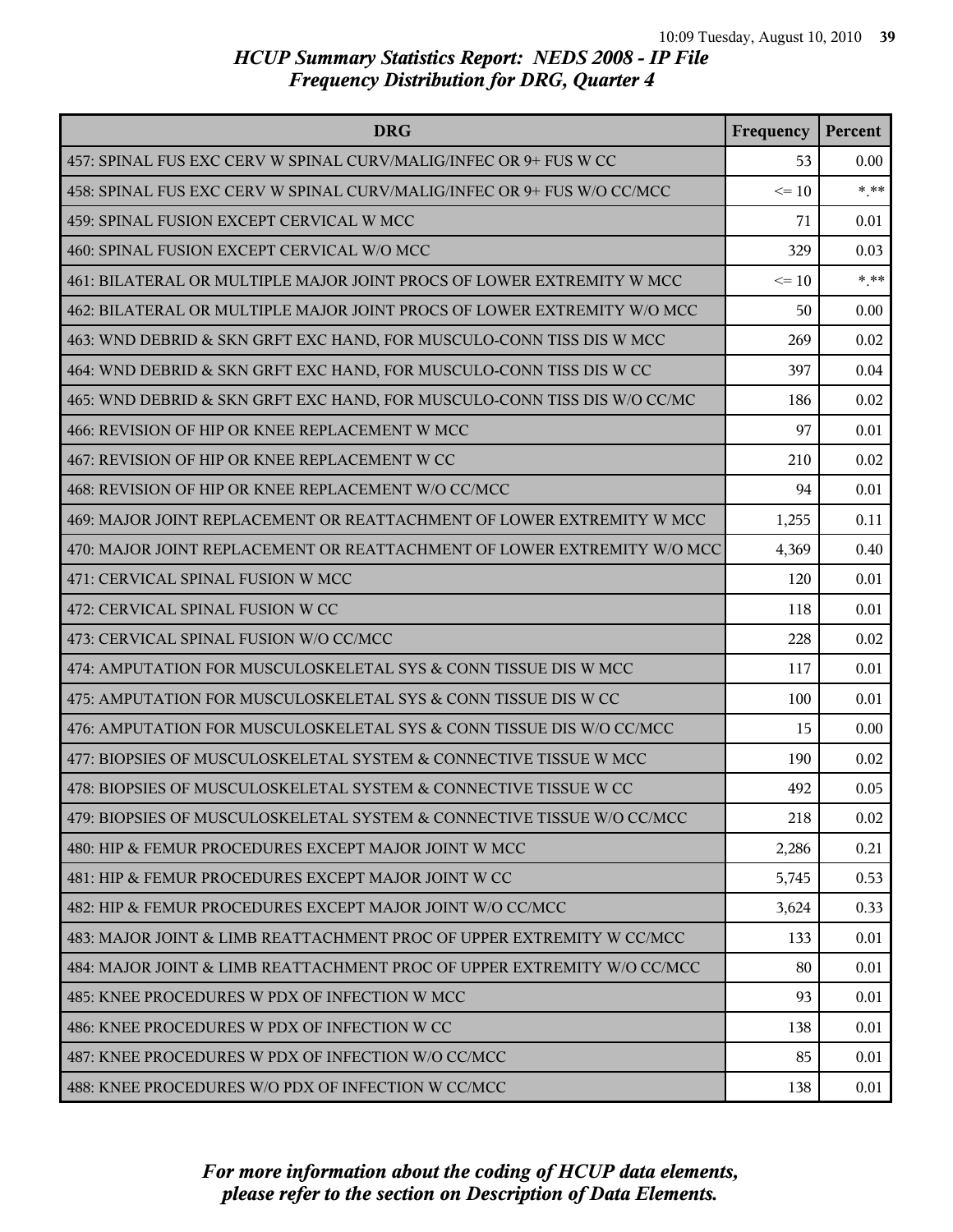| <b>DRG</b>                                                               | Frequency | Percent |
|--------------------------------------------------------------------------|-----------|---------|
| 457: SPINAL FUS EXC CERV W SPINAL CURV/MALIG/INFEC OR 9+ FUS W CC        | 53        | 0.00    |
| 458: SPINAL FUS EXC CERV W SPINAL CURV/MALIG/INFEC OR 9+ FUS W/O CC/MCC  | $\leq 10$ | $***$   |
| 459: SPINAL FUSION EXCEPT CERVICAL W MCC                                 | 71        | 0.01    |
| 460: SPINAL FUSION EXCEPT CERVICAL W/O MCC                               | 329       | 0.03    |
| 461: BILATERAL OR MULTIPLE MAJOR JOINT PROCS OF LOWER EXTREMITY W MCC    | $\leq 10$ | $***$   |
| 462: BILATERAL OR MULTIPLE MAJOR JOINT PROCS OF LOWER EXTREMITY W/O MCC  | 50        | 0.00    |
| 463: WND DEBRID & SKN GRFT EXC HAND, FOR MUSCULO-CONN TISS DIS W MCC     | 269       | 0.02    |
| 464: WND DEBRID & SKN GRFT EXC HAND, FOR MUSCULO-CONN TISS DIS W CC      | 397       | 0.04    |
| 465: WND DEBRID & SKN GRFT EXC HAND, FOR MUSCULO-CONN TISS DIS W/O CC/MC | 186       | 0.02    |
| 466: REVISION OF HIP OR KNEE REPLACEMENT W MCC                           | 97        | 0.01    |
| 467: REVISION OF HIP OR KNEE REPLACEMENT W CC                            | 210       | 0.02    |
| 468: REVISION OF HIP OR KNEE REPLACEMENT W/O CC/MCC                      | 94        | 0.01    |
| 469: MAJOR JOINT REPLACEMENT OR REATTACHMENT OF LOWER EXTREMITY W MCC    | 1,255     | 0.11    |
| 470: MAJOR JOINT REPLACEMENT OR REATTACHMENT OF LOWER EXTREMITY W/O MCC  | 4,369     | 0.40    |
| 471: CERVICAL SPINAL FUSION W MCC                                        | 120       | 0.01    |
| 472: CERVICAL SPINAL FUSION W CC                                         | 118       | 0.01    |
| 473: CERVICAL SPINAL FUSION W/O CC/MCC                                   | 228       | 0.02    |
| 474: AMPUTATION FOR MUSCULOSKELETAL SYS & CONN TISSUE DIS W MCC          | 117       | 0.01    |
| 475: AMPUTATION FOR MUSCULOSKELETAL SYS & CONN TISSUE DIS W CC           | 100       | 0.01    |
| 476: AMPUTATION FOR MUSCULOSKELETAL SYS & CONN TISSUE DIS W/O CC/MCC     | 15        | 0.00    |
| 477: BIOPSIES OF MUSCULOSKELETAL SYSTEM & CONNECTIVE TISSUE W MCC        | 190       | 0.02    |
| 478: BIOPSIES OF MUSCULOSKELETAL SYSTEM & CONNECTIVE TISSUE W CC         | 492       | 0.05    |
| 479: BIOPSIES OF MUSCULOSKELETAL SYSTEM & CONNECTIVE TISSUE W/O CC/MCC   | 218       | 0.02    |
| 480: HIP & FEMUR PROCEDURES EXCEPT MAJOR JOINT W MCC                     | 2,286     | 0.21    |
| 481: HIP & FEMUR PROCEDURES EXCEPT MAJOR JOINT W CC                      | 5,745     | 0.53    |
| 482: HIP & FEMUR PROCEDURES EXCEPT MAJOR JOINT W/O CC/MCC                | 3,624     | 0.33    |
| 483: MAJOR JOINT & LIMB REATTACHMENT PROC OF UPPER EXTREMITY W CC/MCC    | 133       | 0.01    |
| 484: MAJOR JOINT & LIMB REATTACHMENT PROC OF UPPER EXTREMITY W/O CC/MCC  | 80        | 0.01    |
| 485: KNEE PROCEDURES W PDX OF INFECTION W MCC                            | 93        | 0.01    |
| 486: KNEE PROCEDURES W PDX OF INFECTION W CC                             | 138       | 0.01    |
| 487: KNEE PROCEDURES W PDX OF INFECTION W/O CC/MCC                       | 85        | 0.01    |
| 488: KNEE PROCEDURES W/O PDX OF INFECTION W CC/MCC                       | 138       | 0.01    |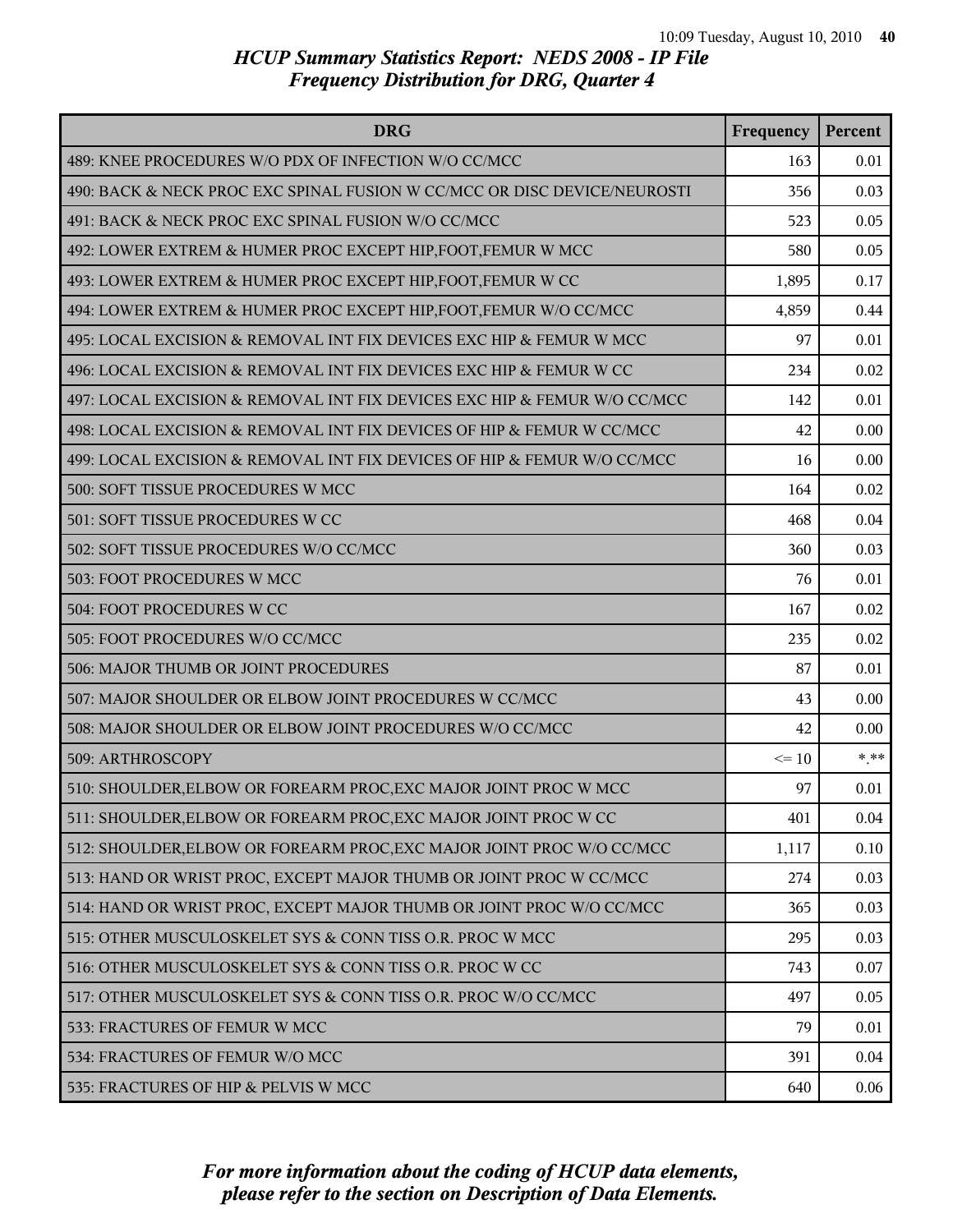| <b>DRG</b>                                                               | Frequency | Percent |
|--------------------------------------------------------------------------|-----------|---------|
| 489: KNEE PROCEDURES W/O PDX OF INFECTION W/O CC/MCC                     | 163       | 0.01    |
| 490: BACK & NECK PROC EXC SPINAL FUSION W CC/MCC OR DISC DEVICE/NEUROSTI | 356       | 0.03    |
| 491: BACK & NECK PROC EXC SPINAL FUSION W/O CC/MCC                       | 523       | 0.05    |
| 492: LOWER EXTREM & HUMER PROC EXCEPT HIP, FOOT, FEMUR W MCC             | 580       | 0.05    |
| 493: LOWER EXTREM & HUMER PROC EXCEPT HIP, FOOT, FEMUR W CC              | 1,895     | 0.17    |
| 494: LOWER EXTREM & HUMER PROC EXCEPT HIP, FOOT, FEMUR W/O CC/MCC        | 4,859     | 0.44    |
| 495: LOCAL EXCISION & REMOVAL INT FIX DEVICES EXC HIP & FEMUR W MCC      | 97        | 0.01    |
| 496: LOCAL EXCISION & REMOVAL INT FIX DEVICES EXC HIP & FEMUR W CC       | 234       | 0.02    |
| 497: LOCAL EXCISION & REMOVAL INT FIX DEVICES EXC HIP & FEMUR W/O CC/MCC | 142       | 0.01    |
| 498: LOCAL EXCISION & REMOVAL INT FIX DEVICES OF HIP & FEMUR W CC/MCC    | 42        | 0.00    |
| 499: LOCAL EXCISION & REMOVAL INT FIX DEVICES OF HIP & FEMUR W/O CC/MCC  | 16        | 0.00    |
| 500: SOFT TISSUE PROCEDURES W MCC                                        | 164       | 0.02    |
| 501: SOFT TISSUE PROCEDURES W CC                                         | 468       | 0.04    |
| 502: SOFT TISSUE PROCEDURES W/O CC/MCC                                   | 360       | 0.03    |
| 503: FOOT PROCEDURES W MCC                                               | 76        | 0.01    |
| 504: FOOT PROCEDURES W CC                                                | 167       | 0.02    |
| 505: FOOT PROCEDURES W/O CC/MCC                                          | 235       | 0.02    |
| 506: MAJOR THUMB OR JOINT PROCEDURES                                     | 87        | 0.01    |
| 507: MAJOR SHOULDER OR ELBOW JOINT PROCEDURES W CC/MCC                   | 43        | 0.00    |
| 508: MAJOR SHOULDER OR ELBOW JOINT PROCEDURES W/O CC/MCC                 | 42        | 0.00    |
| 509: ARTHROSCOPY                                                         | $\leq 10$ | $*$ **  |
| 510: SHOULDER, ELBOW OR FOREARM PROC, EXC MAJOR JOINT PROC W MCC         | 97        | 0.01    |
| 511: SHOULDER, ELBOW OR FOREARM PROC, EXC MAJOR JOINT PROC W CC          | 401       | 0.04    |
| 512: SHOULDER, ELBOW OR FOREARM PROC, EXC MAJOR JOINT PROC W/O CC/MCC    | 1,117     | 0.10    |
| 513: HAND OR WRIST PROC, EXCEPT MAJOR THUMB OR JOINT PROC W CC/MCC       | 274       | 0.03    |
| 514: HAND OR WRIST PROC, EXCEPT MAJOR THUMB OR JOINT PROC W/O CC/MCC     | 365       | 0.03    |
| 515: OTHER MUSCULOSKELET SYS & CONN TISS O.R. PROC W MCC                 | 295       | 0.03    |
| 516: OTHER MUSCULOSKELET SYS & CONN TISS O.R. PROC W CC                  | 743       | 0.07    |
| 517: OTHER MUSCULOSKELET SYS & CONN TISS O.R. PROC W/O CC/MCC            | 497       | 0.05    |
| 533: FRACTURES OF FEMUR W MCC                                            | 79        | 0.01    |
| 534: FRACTURES OF FEMUR W/O MCC                                          | 391       | 0.04    |
| 535: FRACTURES OF HIP & PELVIS W MCC                                     | 640       | 0.06    |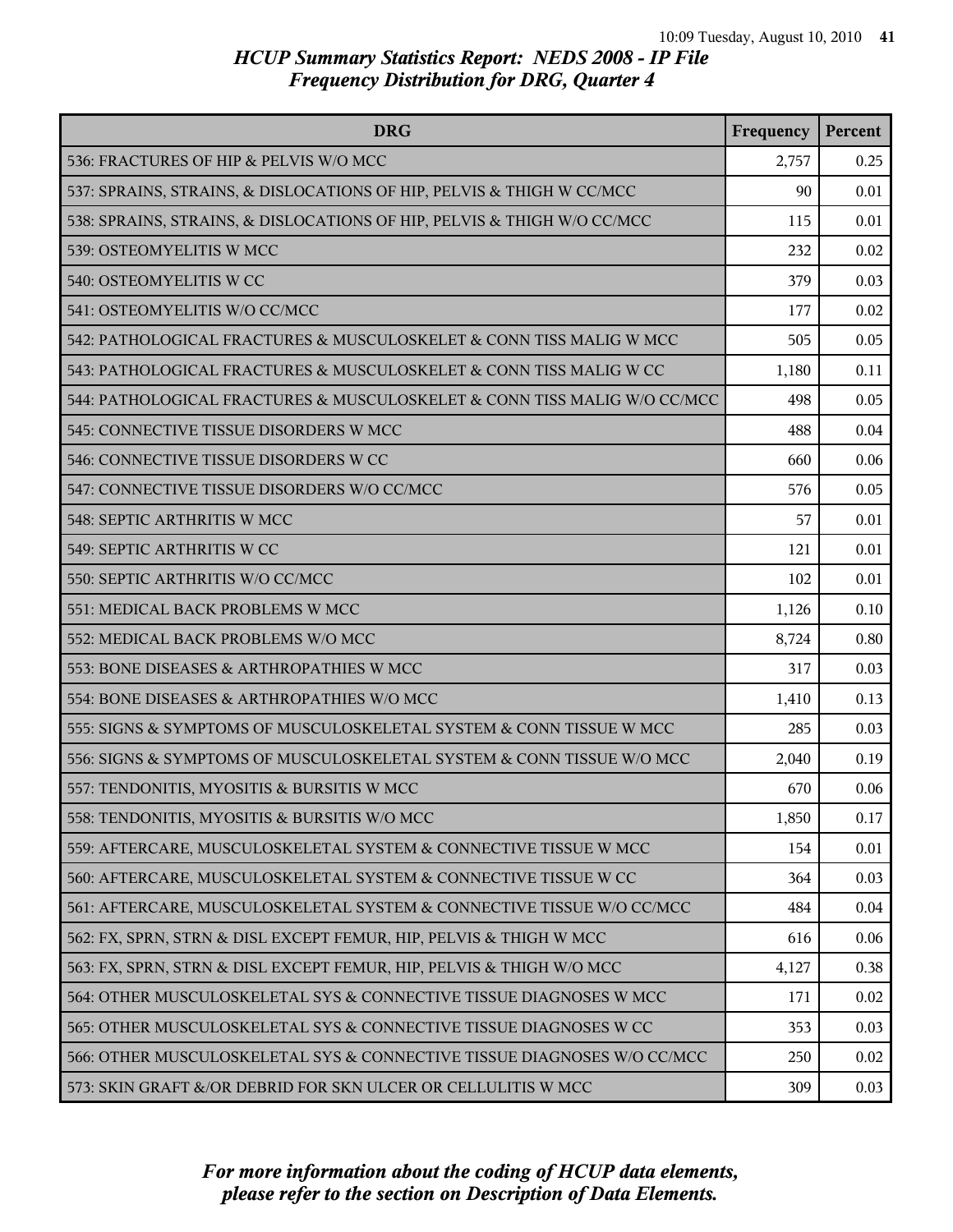| <b>DRG</b>                                                               | Frequency | Percent |
|--------------------------------------------------------------------------|-----------|---------|
| 536: FRACTURES OF HIP & PELVIS W/O MCC                                   | 2,757     | 0.25    |
| 537: SPRAINS, STRAINS, & DISLOCATIONS OF HIP, PELVIS & THIGH W CC/MCC    | 90        | 0.01    |
| 538: SPRAINS, STRAINS, & DISLOCATIONS OF HIP, PELVIS & THIGH W/O CC/MCC  | 115       | 0.01    |
| 539: OSTEOMYELITIS W MCC                                                 | 232       | 0.02    |
| 540: OSTEOMYELITIS W CC                                                  | 379       | 0.03    |
| 541: OSTEOMYELITIS W/O CC/MCC                                            | 177       | 0.02    |
| 542: PATHOLOGICAL FRACTURES & MUSCULOSKELET & CONN TISS MALIG W MCC      | 505       | 0.05    |
| 543: PATHOLOGICAL FRACTURES & MUSCULOSKELET & CONN TISS MALIG W CC       | 1,180     | 0.11    |
| 544: PATHOLOGICAL FRACTURES & MUSCULOSKELET & CONN TISS MALIG W/O CC/MCC | 498       | 0.05    |
| 545: CONNECTIVE TISSUE DISORDERS W MCC                                   | 488       | 0.04    |
| 546: CONNECTIVE TISSUE DISORDERS W CC                                    | 660       | 0.06    |
| 547: CONNECTIVE TISSUE DISORDERS W/O CC/MCC                              | 576       | 0.05    |
| 548: SEPTIC ARTHRITIS W MCC                                              | 57        | 0.01    |
| 549: SEPTIC ARTHRITIS W CC                                               | 121       | 0.01    |
| 550: SEPTIC ARTHRITIS W/O CC/MCC                                         | 102       | 0.01    |
| 551: MEDICAL BACK PROBLEMS W MCC                                         | 1,126     | 0.10    |
| 552: MEDICAL BACK PROBLEMS W/O MCC                                       | 8,724     | 0.80    |
| 553: BONE DISEASES & ARTHROPATHIES W MCC                                 | 317       | 0.03    |
| 554: BONE DISEASES & ARTHROPATHIES W/O MCC                               | 1,410     | 0.13    |
| 555: SIGNS & SYMPTOMS OF MUSCULOSKELETAL SYSTEM & CONN TISSUE W MCC      | 285       | 0.03    |
| 556: SIGNS & SYMPTOMS OF MUSCULOSKELETAL SYSTEM & CONN TISSUE W/O MCC    | 2,040     | 0.19    |
| 557: TENDONITIS, MYOSITIS & BURSITIS W MCC                               | 670       | 0.06    |
| 558: TENDONITIS, MYOSITIS & BURSITIS W/O MCC                             | 1,850     | 0.17    |
| 559: AFTERCARE, MUSCULOSKELETAL SYSTEM & CONNECTIVE TISSUE W MCC         | 154       | 0.01    |
| 560: AFTERCARE, MUSCULOSKELETAL SYSTEM & CONNECTIVE TISSUE W CC          | 364       | 0.03    |
| 561: AFTERCARE, MUSCULOSKELETAL SYSTEM & CONNECTIVE TISSUE W/O CC/MCC    | 484       | 0.04    |
| 562: FX, SPRN, STRN & DISL EXCEPT FEMUR, HIP, PELVIS & THIGH W MCC       | 616       | 0.06    |
| 563: FX, SPRN, STRN & DISL EXCEPT FEMUR, HIP, PELVIS & THIGH W/O MCC     | 4,127     | 0.38    |
| 564: OTHER MUSCULOSKELETAL SYS & CONNECTIVE TISSUE DIAGNOSES W MCC       | 171       | 0.02    |
| 565: OTHER MUSCULOSKELETAL SYS & CONNECTIVE TISSUE DIAGNOSES W CC        | 353       | 0.03    |
| 566: OTHER MUSCULOSKELETAL SYS & CONNECTIVE TISSUE DIAGNOSES W/O CC/MCC  | 250       | 0.02    |
| 573: SKIN GRAFT &/OR DEBRID FOR SKN ULCER OR CELLULITIS W MCC            | 309       | 0.03    |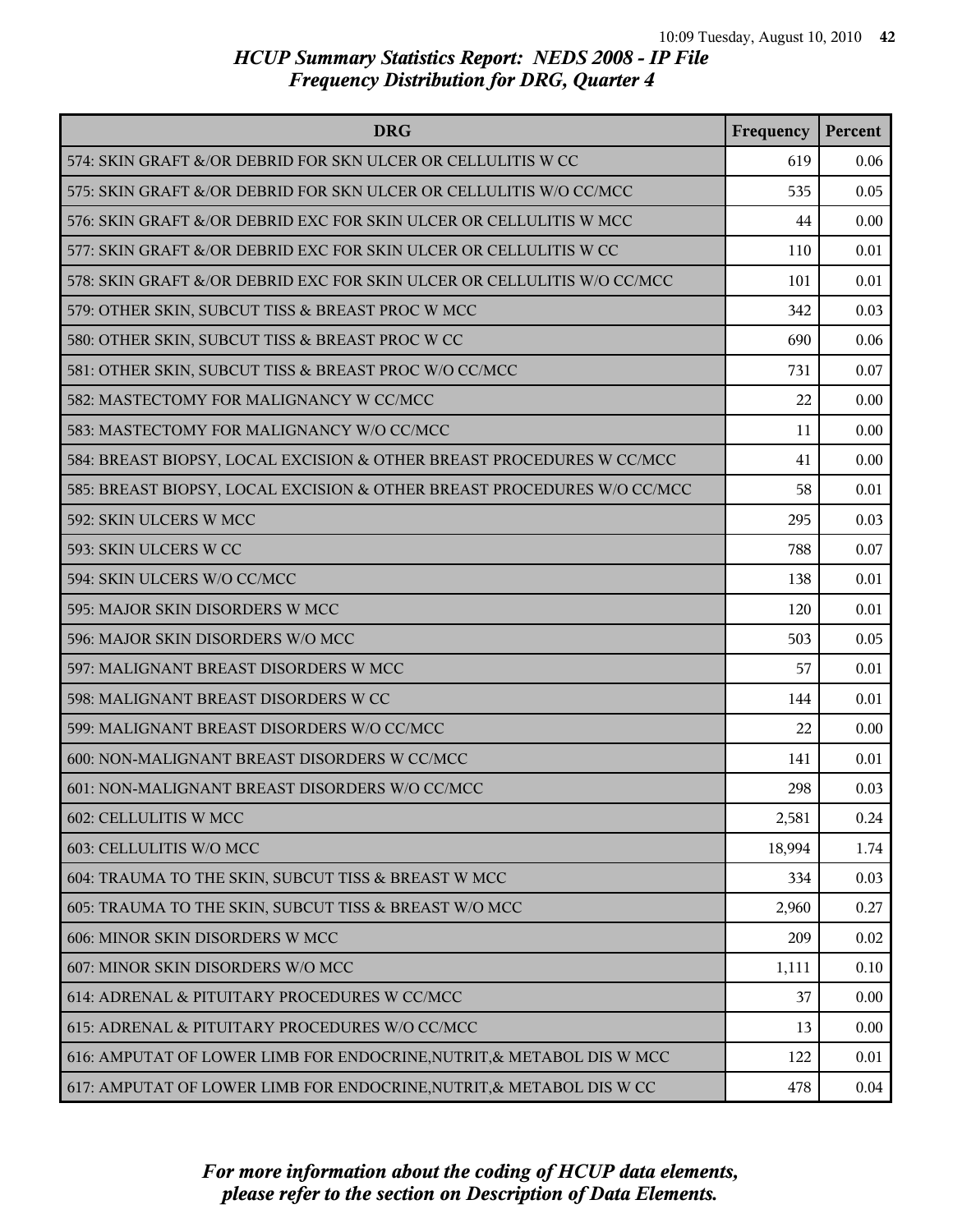| <b>DRG</b>                                                              | Frequency | Percent |
|-------------------------------------------------------------------------|-----------|---------|
| 574: SKIN GRAFT &/OR DEBRID FOR SKN ULCER OR CELLULITIS W CC            | 619       | 0.06    |
| 575: SKIN GRAFT &/OR DEBRID FOR SKN ULCER OR CELLULITIS W/O CC/MCC      | 535       | 0.05    |
| 576: SKIN GRAFT &/OR DEBRID EXC FOR SKIN ULCER OR CELLULITIS W MCC      | 44        | 0.00    |
| 577: SKIN GRAFT &/OR DEBRID EXC FOR SKIN ULCER OR CELLULITIS W CC       | 110       | 0.01    |
| 578: SKIN GRAFT &/OR DEBRID EXC FOR SKIN ULCER OR CELLULITIS W/O CC/MCC | 101       | 0.01    |
| 579: OTHER SKIN, SUBCUT TISS & BREAST PROC W MCC                        | 342       | 0.03    |
| 580: OTHER SKIN, SUBCUT TISS & BREAST PROC W CC                         | 690       | 0.06    |
| 581: OTHER SKIN, SUBCUT TISS & BREAST PROC W/O CC/MCC                   | 731       | 0.07    |
| 582: MASTECTOMY FOR MALIGNANCY W CC/MCC                                 | 22        | 0.00    |
| 583: MASTECTOMY FOR MALIGNANCY W/O CC/MCC                               | 11        | 0.00    |
| 584: BREAST BIOPSY, LOCAL EXCISION & OTHER BREAST PROCEDURES W CC/MCC   | 41        | 0.00    |
| 585: BREAST BIOPSY, LOCAL EXCISION & OTHER BREAST PROCEDURES W/O CC/MCC | 58        | 0.01    |
| 592: SKIN ULCERS W MCC                                                  | 295       | 0.03    |
| 593: SKIN ULCERS W CC                                                   | 788       | 0.07    |
| 594: SKIN ULCERS W/O CC/MCC                                             | 138       | 0.01    |
| 595: MAJOR SKIN DISORDERS W MCC                                         | 120       | 0.01    |
| 596: MAJOR SKIN DISORDERS W/O MCC                                       | 503       | 0.05    |
| 597: MALIGNANT BREAST DISORDERS W MCC                                   | 57        | 0.01    |
| 598: MALIGNANT BREAST DISORDERS W CC                                    | 144       | 0.01    |
| 599: MALIGNANT BREAST DISORDERS W/O CC/MCC                              | 22        | 0.00    |
| 600: NON-MALIGNANT BREAST DISORDERS W CC/MCC                            | 141       | 0.01    |
| 601: NON-MALIGNANT BREAST DISORDERS W/O CC/MCC                          | 298       | 0.03    |
| 602: CELLULITIS W MCC                                                   | 2,581     | 0.24    |
| 603: CELLULITIS W/O MCC                                                 | 18,994    | 1.74    |
| 604: TRAUMA TO THE SKIN, SUBCUT TISS & BREAST W MCC                     | 334       | 0.03    |
| 605: TRAUMA TO THE SKIN, SUBCUT TISS & BREAST W/O MCC                   | 2,960     | 0.27    |
| 606: MINOR SKIN DISORDERS W MCC                                         | 209       | 0.02    |
| 607: MINOR SKIN DISORDERS W/O MCC                                       | 1,111     | 0.10    |
| 614: ADRENAL & PITUITARY PROCEDURES W CC/MCC                            | 37        | 0.00    |
| 615: ADRENAL & PITUITARY PROCEDURES W/O CC/MCC                          | 13        | 0.00    |
| 616: AMPUTAT OF LOWER LIMB FOR ENDOCRINE, NUTRIT, & METABOL DIS W MCC   | 122       | 0.01    |
| 617: AMPUTAT OF LOWER LIMB FOR ENDOCRINE, NUTRIT, & METABOL DIS W CC    | 478       | 0.04    |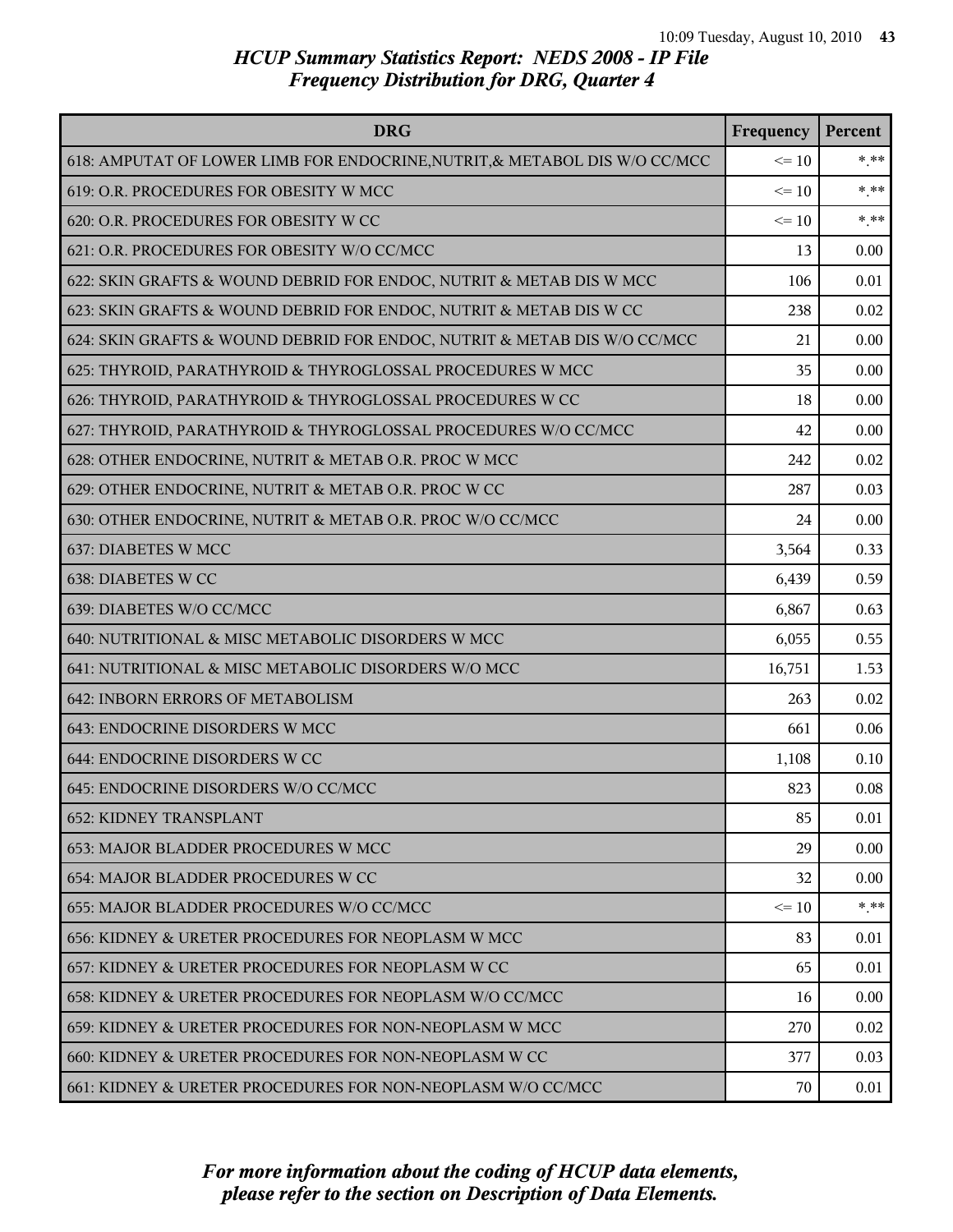| <b>DRG</b>                                                                 | Frequency | Percent |
|----------------------------------------------------------------------------|-----------|---------|
| 618: AMPUTAT OF LOWER LIMB FOR ENDOCRINE, NUTRIT, & METABOL DIS W/O CC/MCC | $\leq 10$ | $*$ **  |
| 619: O.R. PROCEDURES FOR OBESITY W MCC                                     | $\leq 10$ | $***$   |
| 620: O.R. PROCEDURES FOR OBESITY W CC                                      | $\leq 10$ | $***$   |
| 621: O.R. PROCEDURES FOR OBESITY W/O CC/MCC                                | 13        | 0.00    |
| 622: SKIN GRAFTS & WOUND DEBRID FOR ENDOC, NUTRIT & METAB DIS W MCC        | 106       | 0.01    |
| 623: SKIN GRAFTS & WOUND DEBRID FOR ENDOC, NUTRIT & METAB DIS W CC         | 238       | 0.02    |
| 624: SKIN GRAFTS & WOUND DEBRID FOR ENDOC, NUTRIT & METAB DIS W/O CC/MCC   | 21        | 0.00    |
| 625: THYROID, PARATHYROID & THYROGLOSSAL PROCEDURES W MCC                  | 35        | 0.00    |
| 626: THYROID, PARATHYROID & THYROGLOSSAL PROCEDURES W CC                   | 18        | 0.00    |
| 627: THYROID, PARATHYROID & THYROGLOSSAL PROCEDURES W/O CC/MCC             | 42        | 0.00    |
| 628: OTHER ENDOCRINE, NUTRIT & METAB O.R. PROC W MCC                       | 242       | 0.02    |
| 629: OTHER ENDOCRINE, NUTRIT & METAB O.R. PROC W CC                        | 287       | 0.03    |
| 630: OTHER ENDOCRINE, NUTRIT & METAB O.R. PROC W/O CC/MCC                  | 24        | 0.00    |
| 637: DIABETES W MCC                                                        | 3,564     | 0.33    |
| 638: DIABETES W CC                                                         | 6,439     | 0.59    |
| 639: DIABETES W/O CC/MCC                                                   | 6,867     | 0.63    |
| 640: NUTRITIONAL & MISC METABOLIC DISORDERS W MCC                          | 6,055     | 0.55    |
| 641: NUTRITIONAL & MISC METABOLIC DISORDERS W/O MCC                        | 16,751    | 1.53    |
| 642: INBORN ERRORS OF METABOLISM                                           | 263       | 0.02    |
| 643: ENDOCRINE DISORDERS W MCC                                             | 661       | 0.06    |
| 644: ENDOCRINE DISORDERS W CC                                              | 1,108     | 0.10    |
| 645: ENDOCRINE DISORDERS W/O CC/MCC                                        | 823       | 0.08    |
| <b>652: KIDNEY TRANSPLANT</b>                                              | 85        | 0.01    |
| 653: MAJOR BLADDER PROCEDURES W MCC                                        | 29        | 0.00    |
| 654: MAJOR BLADDER PROCEDURES W CC                                         | 32        | 0.00    |
| 655: MAJOR BLADDER PROCEDURES W/O CC/MCC                                   | $\leq 10$ | $* * *$ |
| 656: KIDNEY & URETER PROCEDURES FOR NEOPLASM W MCC                         | 83        | 0.01    |
| 657: KIDNEY & URETER PROCEDURES FOR NEOPLASM W CC                          | 65        | 0.01    |
| 658: KIDNEY & URETER PROCEDURES FOR NEOPLASM W/O CC/MCC                    | 16        | 0.00    |
| 659: KIDNEY & URETER PROCEDURES FOR NON-NEOPLASM W MCC                     | 270       | 0.02    |
| 660: KIDNEY & URETER PROCEDURES FOR NON-NEOPLASM W CC                      | 377       | 0.03    |
| 661: KIDNEY & URETER PROCEDURES FOR NON-NEOPLASM W/O CC/MCC                | 70        | 0.01    |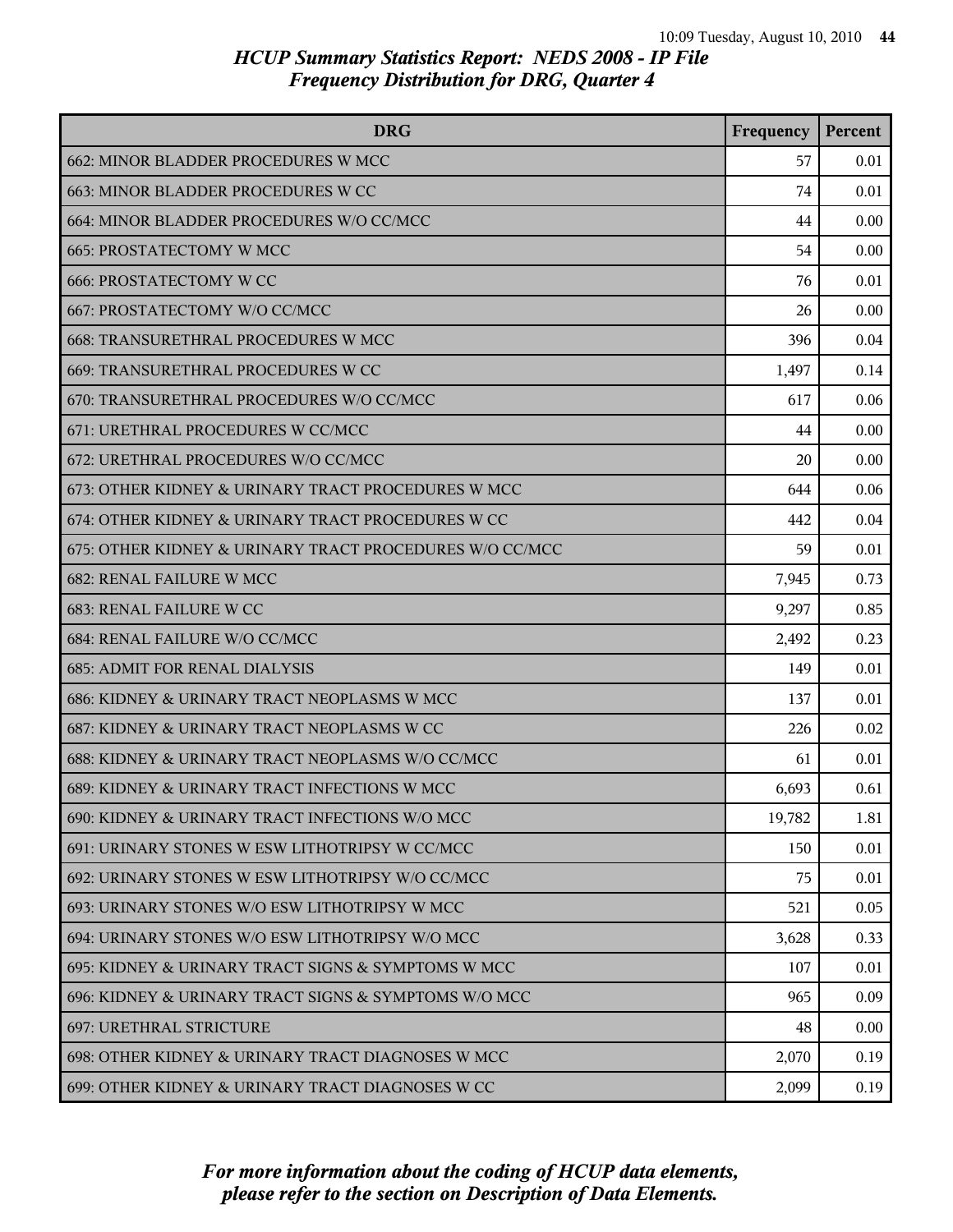| <b>DRG</b>                                              | Frequency | Percent |
|---------------------------------------------------------|-----------|---------|
| 662: MINOR BLADDER PROCEDURES W MCC                     | 57        | 0.01    |
| 663: MINOR BLADDER PROCEDURES W CC                      | 74        | 0.01    |
| 664: MINOR BLADDER PROCEDURES W/O CC/MCC                | 44        | 0.00    |
| 665: PROSTATECTOMY W MCC                                | 54        | 0.00    |
| <b>666: PROSTATECTOMY W CC</b>                          | 76        | 0.01    |
| 667: PROSTATECTOMY W/O CC/MCC                           | 26        | 0.00    |
| 668: TRANSURETHRAL PROCEDURES W MCC                     | 396       | 0.04    |
| 669: TRANSURETHRAL PROCEDURES W CC                      | 1,497     | 0.14    |
| 670: TRANSURETHRAL PROCEDURES W/O CC/MCC                | 617       | 0.06    |
| 671: URETHRAL PROCEDURES W CC/MCC                       | 44        | 0.00    |
| 672: URETHRAL PROCEDURES W/O CC/MCC                     | 20        | 0.00    |
| 673: OTHER KIDNEY & URINARY TRACT PROCEDURES W MCC      | 644       | 0.06    |
| 674: OTHER KIDNEY & URINARY TRACT PROCEDURES W CC       | 442       | 0.04    |
| 675: OTHER KIDNEY & URINARY TRACT PROCEDURES W/O CC/MCC | 59        | 0.01    |
| <b>682: RENAL FAILURE W MCC</b>                         | 7,945     | 0.73    |
| 683: RENAL FAILURE W CC                                 | 9,297     | 0.85    |
| 684: RENAL FAILURE W/O CC/MCC                           | 2,492     | 0.23    |
| <b>685: ADMIT FOR RENAL DIALYSIS</b>                    | 149       | 0.01    |
| 686: KIDNEY & URINARY TRACT NEOPLASMS W MCC             | 137       | 0.01    |
| 687: KIDNEY & URINARY TRACT NEOPLASMS W CC              | 226       | 0.02    |
| 688: KIDNEY & URINARY TRACT NEOPLASMS W/O CC/MCC        | 61        | 0.01    |
| 689: KIDNEY & URINARY TRACT INFECTIONS W MCC            | 6,693     | 0.61    |
| 690: KIDNEY & URINARY TRACT INFECTIONS W/O MCC          | 19,782    | 1.81    |
| 691: URINARY STONES W ESW LITHOTRIPSY W CC/MCC          | 150       | 0.01    |
| 692: URINARY STONES W ESW LITHOTRIPSY W/O CC/MCC        | 75        | 0.01    |
| 693: URINARY STONES W/O ESW LITHOTRIPSY W MCC           | 521       | 0.05    |
| 694: URINARY STONES W/O ESW LITHOTRIPSY W/O MCC         | 3,628     | 0.33    |
| 695: KIDNEY & URINARY TRACT SIGNS & SYMPTOMS W MCC      | 107       | 0.01    |
| 696: KIDNEY & URINARY TRACT SIGNS & SYMPTOMS W/O MCC    | 965       | 0.09    |
| 697: URETHRAL STRICTURE                                 | 48        | 0.00    |
| 698: OTHER KIDNEY & URINARY TRACT DIAGNOSES W MCC       | 2,070     | 0.19    |
| 699: OTHER KIDNEY & URINARY TRACT DIAGNOSES W CC        | 2,099     | 0.19    |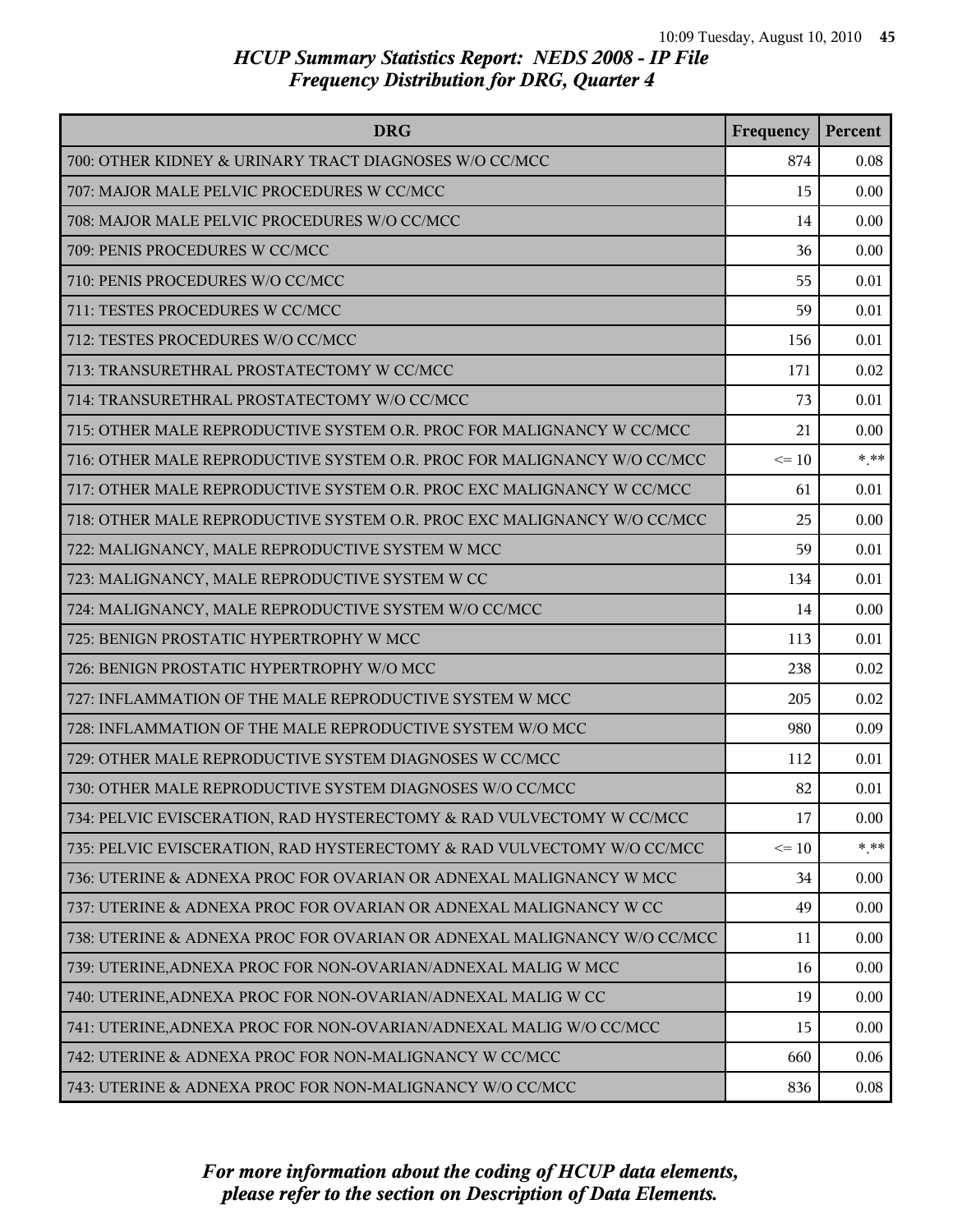| <b>DRG</b>                                                              | Frequency | Percent  |
|-------------------------------------------------------------------------|-----------|----------|
| 700: OTHER KIDNEY & URINARY TRACT DIAGNOSES W/O CC/MCC                  | 874       | 0.08     |
| 707: MAJOR MALE PELVIC PROCEDURES W CC/MCC                              | 15        | 0.00     |
| 708: MAJOR MALE PELVIC PROCEDURES W/O CC/MCC                            | 14        | 0.00     |
| 709: PENIS PROCEDURES W CC/MCC                                          | 36        | 0.00     |
| 710: PENIS PROCEDURES W/O CC/MCC                                        | 55        | 0.01     |
| 711: TESTES PROCEDURES W CC/MCC                                         | 59        | 0.01     |
| 712: TESTES PROCEDURES W/O CC/MCC                                       | 156       | 0.01     |
| 713: TRANSURETHRAL PROSTATECTOMY W CC/MCC                               | 171       | 0.02     |
| 714: TRANSURETHRAL PROSTATECTOMY W/O CC/MCC                             | 73        | 0.01     |
| 715: OTHER MALE REPRODUCTIVE SYSTEM O.R. PROC FOR MALIGNANCY W CC/MCC   | 21        | 0.00     |
| 716: OTHER MALE REPRODUCTIVE SYSTEM O.R. PROC FOR MALIGNANCY W/O CC/MCC | $\leq 10$ | $*$ **   |
| 717: OTHER MALE REPRODUCTIVE SYSTEM O.R. PROC EXC MALIGNANCY W CC/MCC   | 61        | 0.01     |
| 718: OTHER MALE REPRODUCTIVE SYSTEM O.R. PROC EXC MALIGNANCY W/O CC/MCC | 25        | 0.00     |
| 722: MALIGNANCY, MALE REPRODUCTIVE SYSTEM W MCC                         | 59        | 0.01     |
| 723: MALIGNANCY, MALE REPRODUCTIVE SYSTEM W CC                          | 134       | 0.01     |
| 724: MALIGNANCY, MALE REPRODUCTIVE SYSTEM W/O CC/MCC                    | 14        | 0.00     |
| 725: BENIGN PROSTATIC HYPERTROPHY W MCC                                 | 113       | 0.01     |
| 726: BENIGN PROSTATIC HYPERTROPHY W/O MCC                               | 238       | 0.02     |
| 727: INFLAMMATION OF THE MALE REPRODUCTIVE SYSTEM W MCC                 | 205       | 0.02     |
| 728: INFLAMMATION OF THE MALE REPRODUCTIVE SYSTEM W/O MCC               | 980       | 0.09     |
| 729: OTHER MALE REPRODUCTIVE SYSTEM DIAGNOSES W CC/MCC                  | 112       | 0.01     |
| 730: OTHER MALE REPRODUCTIVE SYSTEM DIAGNOSES W/O CC/MCC                | 82        | 0.01     |
| 734: PELVIC EVISCERATION, RAD HYSTERECTOMY & RAD VULVECTOMY W CC/MCC    | 17        | 0.00     |
| 735: PELVIC EVISCERATION, RAD HYSTERECTOMY & RAD VULVECTOMY W/O CC/MCC  | $\leq 10$ | $***$    |
| 736: UTERINE & ADNEXA PROC FOR OVARIAN OR ADNEXAL MALIGNANCY W MCC      | 34        | $0.00\,$ |
| 737: UTERINE & ADNEXA PROC FOR OVARIAN OR ADNEXAL MALIGNANCY W CC       | 49        | 0.00     |
| 738: UTERINE & ADNEXA PROC FOR OVARIAN OR ADNEXAL MALIGNANCY W/O CC/MCC | 11        | 0.00     |
| 739: UTERINE, ADNEXA PROC FOR NON-OVARIAN/ADNEXAL MALIG W MCC           | 16        | 0.00     |
| 740: UTERINE, ADNEXA PROC FOR NON-OVARIAN/ADNEXAL MALIG W CC            | 19        | 0.00     |
| 741: UTERINE, ADNEXA PROC FOR NON-OVARIAN/ADNEXAL MALIG W/O CC/MCC      | 15        | 0.00     |
| 742: UTERINE & ADNEXA PROC FOR NON-MALIGNANCY W CC/MCC                  | 660       | 0.06     |
| 743: UTERINE & ADNEXA PROC FOR NON-MALIGNANCY W/O CC/MCC                | 836       | 0.08     |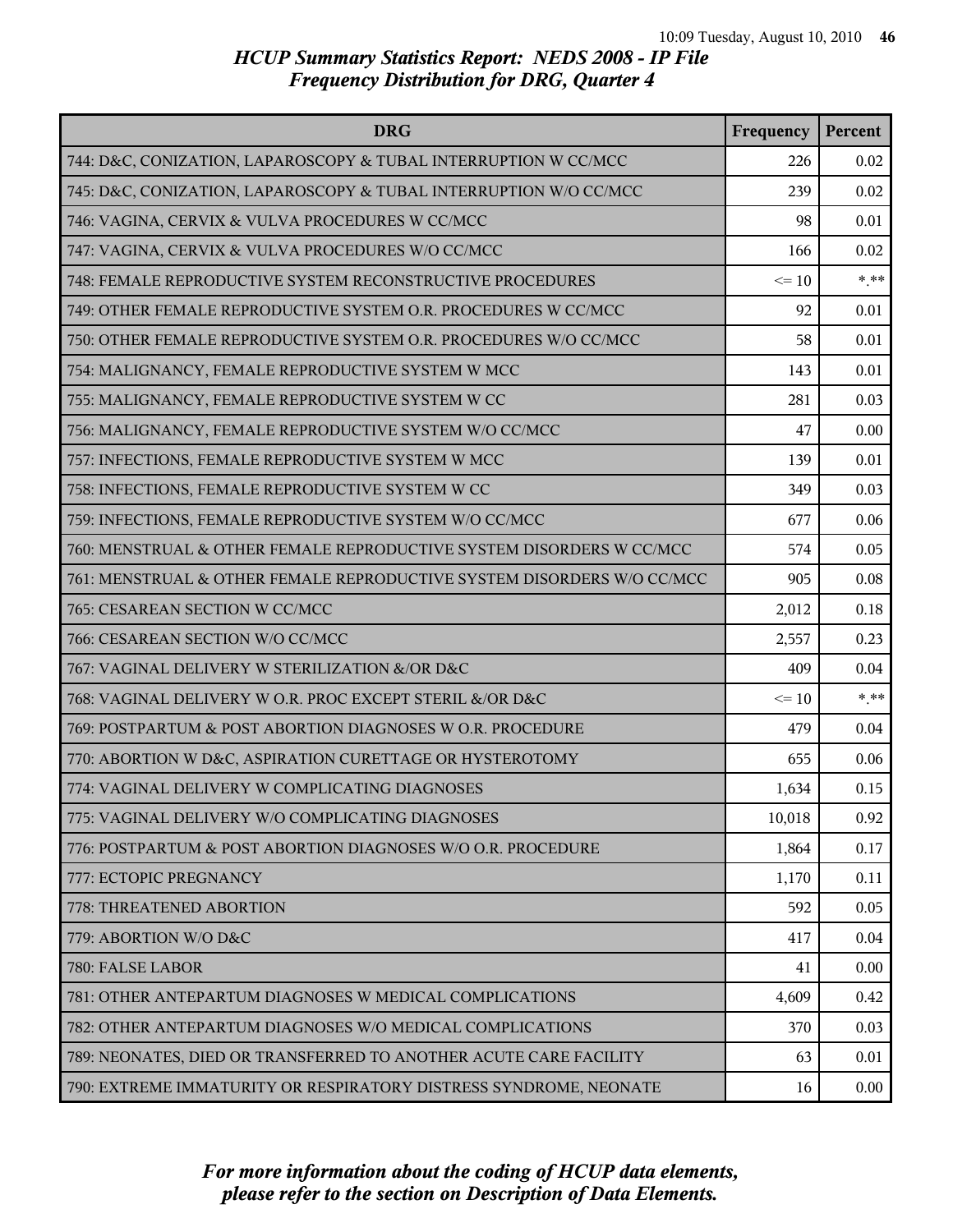| <b>DRG</b>                                                             | Frequency | Percent |
|------------------------------------------------------------------------|-----------|---------|
| 744: D&C, CONIZATION, LAPAROSCOPY & TUBAL INTERRUPTION W CC/MCC        | 226       | 0.02    |
| 745: D&C, CONIZATION, LAPAROSCOPY & TUBAL INTERRUPTION W/O CC/MCC      | 239       | 0.02    |
| 746: VAGINA, CERVIX & VULVA PROCEDURES W CC/MCC                        | 98        | 0.01    |
| 747: VAGINA, CERVIX & VULVA PROCEDURES W/O CC/MCC                      | 166       | 0.02    |
| 748: FEMALE REPRODUCTIVE SYSTEM RECONSTRUCTIVE PROCEDURES              | $\leq 10$ | $***$   |
| 749: OTHER FEMALE REPRODUCTIVE SYSTEM O.R. PROCEDURES W CC/MCC         | 92        | 0.01    |
| 750: OTHER FEMALE REPRODUCTIVE SYSTEM O.R. PROCEDURES W/O CC/MCC       | 58        | 0.01    |
| 754: MALIGNANCY, FEMALE REPRODUCTIVE SYSTEM W MCC                      | 143       | 0.01    |
| 755: MALIGNANCY, FEMALE REPRODUCTIVE SYSTEM W CC                       | 281       | 0.03    |
| 756: MALIGNANCY, FEMALE REPRODUCTIVE SYSTEM W/O CC/MCC                 | 47        | 0.00    |
| 757: INFECTIONS, FEMALE REPRODUCTIVE SYSTEM W MCC                      | 139       | 0.01    |
| 758: INFECTIONS, FEMALE REPRODUCTIVE SYSTEM W CC                       | 349       | 0.03    |
| 759: INFECTIONS, FEMALE REPRODUCTIVE SYSTEM W/O CC/MCC                 | 677       | 0.06    |
| 760: MENSTRUAL & OTHER FEMALE REPRODUCTIVE SYSTEM DISORDERS W CC/MCC   | 574       | 0.05    |
| 761: MENSTRUAL & OTHER FEMALE REPRODUCTIVE SYSTEM DISORDERS W/O CC/MCC | 905       | 0.08    |
| 765: CESAREAN SECTION W CC/MCC                                         | 2,012     | 0.18    |
| 766: CESAREAN SECTION W/O CC/MCC                                       | 2,557     | 0.23    |
| 767: VAGINAL DELIVERY W STERILIZATION &/OR D&C                         | 409       | 0.04    |
| 768: VAGINAL DELIVERY W O.R. PROC EXCEPT STERIL &/OR D&C               | $\leq 10$ | $***$   |
| 769: POSTPARTUM & POST ABORTION DIAGNOSES W O.R. PROCEDURE             | 479       | 0.04    |
| 770: ABORTION W D&C, ASPIRATION CURETTAGE OR HYSTEROTOMY               | 655       | 0.06    |
| 774: VAGINAL DELIVERY W COMPLICATING DIAGNOSES                         | 1,634     | 0.15    |
| 775: VAGINAL DELIVERY W/O COMPLICATING DIAGNOSES                       | 10,018    | 0.92    |
| 776: POSTPARTUM & POST ABORTION DIAGNOSES W/O O.R. PROCEDURE           | 1,864     | 0.17    |
| 777: ECTOPIC PREGNANCY                                                 | 1,170     | 0.11    |
| 778: THREATENED ABORTION                                               | 592       | 0.05    |
| 779: ABORTION W/O D&C                                                  | 417       | 0.04    |
| 780: FALSE LABOR                                                       | 41        | 0.00    |
| 781: OTHER ANTEPARTUM DIAGNOSES W MEDICAL COMPLICATIONS                | 4,609     | 0.42    |
| 782: OTHER ANTEPARTUM DIAGNOSES W/O MEDICAL COMPLICATIONS              | 370       | 0.03    |
| 789: NEONATES, DIED OR TRANSFERRED TO ANOTHER ACUTE CARE FACILITY      | 63        | 0.01    |
| 790: EXTREME IMMATURITY OR RESPIRATORY DISTRESS SYNDROME, NEONATE      | 16        | 0.00    |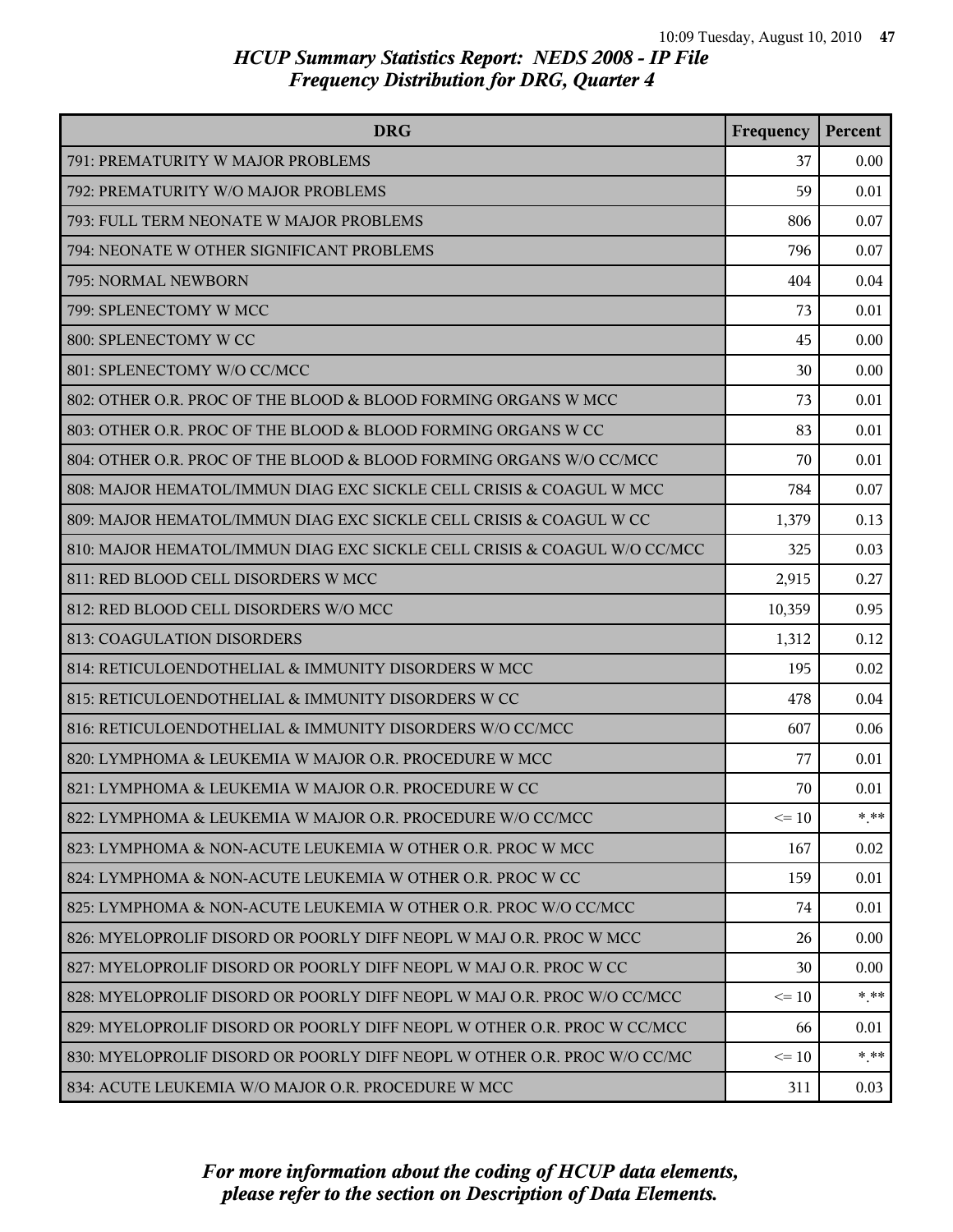| <b>DRG</b>                                                               | Frequency | Percent |
|--------------------------------------------------------------------------|-----------|---------|
| 791: PREMATURITY W MAJOR PROBLEMS                                        | 37        | 0.00    |
| 792: PREMATURITY W/O MAJOR PROBLEMS                                      | 59        | 0.01    |
| 793: FULL TERM NEONATE W MAJOR PROBLEMS                                  | 806       | 0.07    |
| 794: NEONATE W OTHER SIGNIFICANT PROBLEMS                                | 796       | 0.07    |
| 795: NORMAL NEWBORN                                                      | 404       | 0.04    |
| 799: SPLENECTOMY W MCC                                                   | 73        | 0.01    |
| 800: SPLENECTOMY W CC                                                    | 45        | 0.00    |
| 801: SPLENECTOMY W/O CC/MCC                                              | 30        | 0.00    |
| 802: OTHER O.R. PROC OF THE BLOOD & BLOOD FORMING ORGANS W MCC           | 73        | 0.01    |
| 803: OTHER O.R. PROC OF THE BLOOD & BLOOD FORMING ORGANS W CC            | 83        | 0.01    |
| 804: OTHER O.R. PROC OF THE BLOOD & BLOOD FORMING ORGANS W/O CC/MCC      | 70        | 0.01    |
| 808: MAJOR HEMATOL/IMMUN DIAG EXC SICKLE CELL CRISIS & COAGUL W MCC      | 784       | 0.07    |
| 809: MAJOR HEMATOL/IMMUN DIAG EXC SICKLE CELL CRISIS & COAGUL W CC       | 1,379     | 0.13    |
| 810: MAJOR HEMATOL/IMMUN DIAG EXC SICKLE CELL CRISIS & COAGUL W/O CC/MCC | 325       | 0.03    |
| 811: RED BLOOD CELL DISORDERS W MCC                                      | 2,915     | 0.27    |
| 812: RED BLOOD CELL DISORDERS W/O MCC                                    | 10,359    | 0.95    |
| 813: COAGULATION DISORDERS                                               | 1,312     | 0.12    |
| 814: RETICULOENDOTHELIAL & IMMUNITY DISORDERS W MCC                      | 195       | 0.02    |
| 815: RETICULOENDOTHELIAL & IMMUNITY DISORDERS W CC                       | 478       | 0.04    |
| 816: RETICULOENDOTHELIAL & IMMUNITY DISORDERS W/O CC/MCC                 | 607       | 0.06    |
| 820: LYMPHOMA & LEUKEMIA W MAJOR O.R. PROCEDURE W MCC                    | 77        | 0.01    |
| 821: LYMPHOMA & LEUKEMIA W MAJOR O.R. PROCEDURE W CC                     | 70        | 0.01    |
| 822: LYMPHOMA & LEUKEMIA W MAJOR O.R. PROCEDURE W/O CC/MCC               | $\leq 10$ | * **    |
| 823: LYMPHOMA & NON-ACUTE LEUKEMIA W OTHER O.R. PROC W MCC               | 167       | 0.02    |
| 824: LYMPHOMA & NON-ACUTE LEUKEMIA W OTHER O.R. PROC W CC                | 159       | 0.01    |
| 825: LYMPHOMA & NON-ACUTE LEUKEMIA W OTHER O.R. PROC W/O CC/MCC          | 74        | 0.01    |
| 826: MYELOPROLIF DISORD OR POORLY DIFF NEOPL W MAJ O.R. PROC W MCC       | 26        | 0.00    |
| 827: MYELOPROLIF DISORD OR POORLY DIFF NEOPL W MAJ O.R. PROC W CC        | 30        | 0.00    |
| 828: MYELOPROLIF DISORD OR POORLY DIFF NEOPL W MAJ O.R. PROC W/O CC/MCC  | $\leq$ 10 | $***$   |
| 829: MYELOPROLIF DISORD OR POORLY DIFF NEOPL W OTHER O.R. PROC W CC/MCC  | 66        | 0.01    |
| 830: MYELOPROLIF DISORD OR POORLY DIFF NEOPL W OTHER O.R. PROC W/O CC/MC | $\leq 10$ | $* * *$ |
| 834: ACUTE LEUKEMIA W/O MAJOR O.R. PROCEDURE W MCC                       | 311       | 0.03    |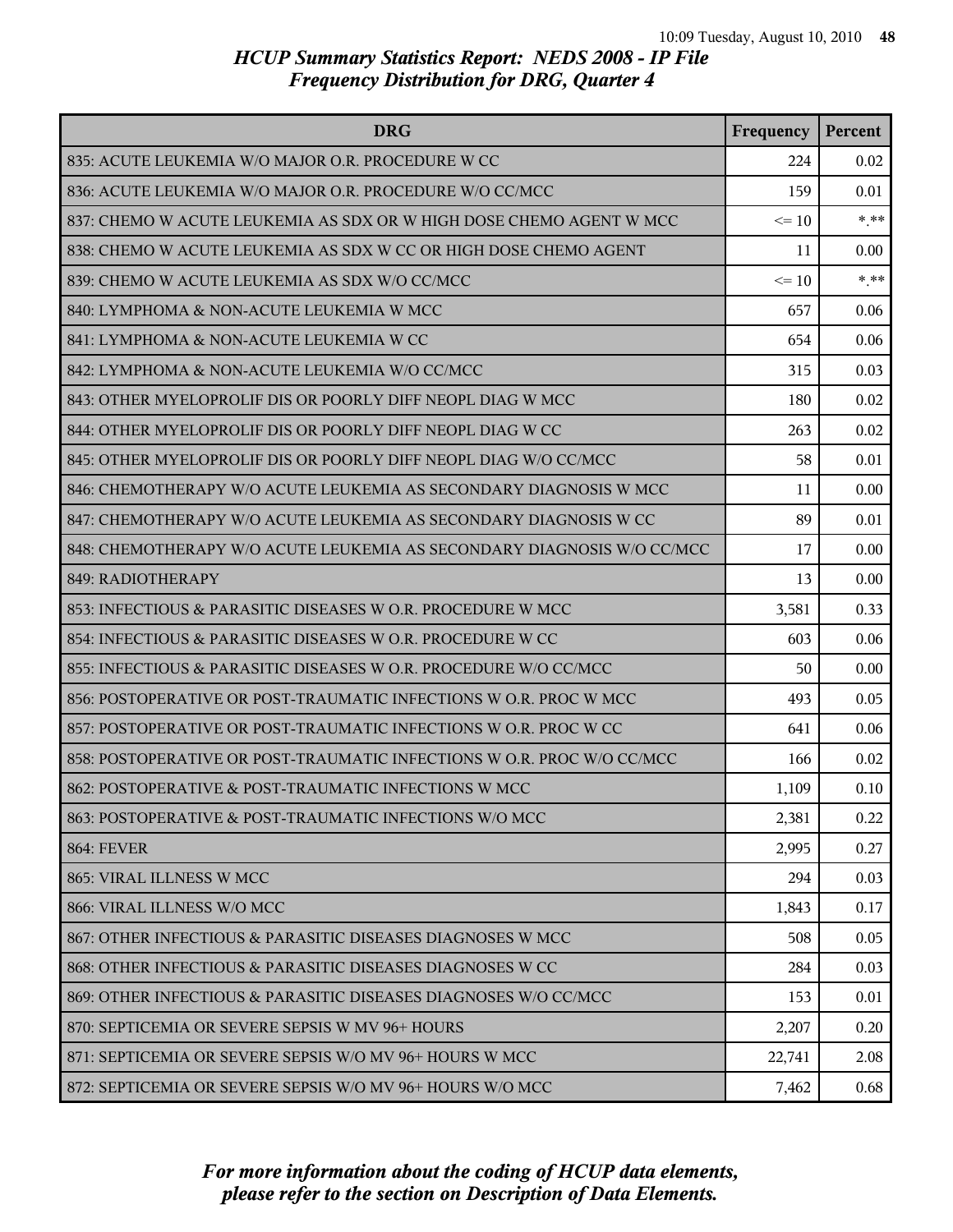| <b>DRG</b>                                                             | Frequency | Percent |
|------------------------------------------------------------------------|-----------|---------|
| 835: ACUTE LEUKEMIA W/O MAJOR O.R. PROCEDURE W CC                      | 224       | 0.02    |
| 836: ACUTE LEUKEMIA W/O MAJOR O.R. PROCEDURE W/O CC/MCC                | 159       | 0.01    |
| 837: CHEMO W ACUTE LEUKEMIA AS SDX OR W HIGH DOSE CHEMO AGENT W MCC    | $\leq 10$ | $*$ **  |
| 838: CHEMO W ACUTE LEUKEMIA AS SDX W CC OR HIGH DOSE CHEMO AGENT       | 11        | 0.00    |
| 839: CHEMO W ACUTE LEUKEMIA AS SDX W/O CC/MCC                          | $\leq 10$ | $***$   |
| 840: LYMPHOMA & NON-ACUTE LEUKEMIA W MCC                               | 657       | 0.06    |
| 841: LYMPHOMA & NON-ACUTE LEUKEMIA W CC                                | 654       | 0.06    |
| 842: LYMPHOMA & NON-ACUTE LEUKEMIA W/O CC/MCC                          | 315       | 0.03    |
| 843: OTHER MYELOPROLIF DIS OR POORLY DIFF NEOPL DIAG W MCC             | 180       | 0.02    |
| 844: OTHER MYELOPROLIF DIS OR POORLY DIFF NEOPL DIAG W CC              | 263       | 0.02    |
| 845: OTHER MYELOPROLIF DIS OR POORLY DIFF NEOPL DIAG W/O CC/MCC        | 58        | 0.01    |
| 846: CHEMOTHERAPY W/O ACUTE LEUKEMIA AS SECONDARY DIAGNOSIS W MCC      | 11        | 0.00    |
| 847: CHEMOTHERAPY W/O ACUTE LEUKEMIA AS SECONDARY DIAGNOSIS W CC       | 89        | 0.01    |
| 848: CHEMOTHERAPY W/O ACUTE LEUKEMIA AS SECONDARY DIAGNOSIS W/O CC/MCC | 17        | 0.00    |
| 849: RADIOTHERAPY                                                      | 13        | 0.00    |
| 853: INFECTIOUS & PARASITIC DISEASES W O.R. PROCEDURE W MCC            | 3,581     | 0.33    |
| 854: INFECTIOUS & PARASITIC DISEASES W O.R. PROCEDURE W CC             | 603       | 0.06    |
| 855: INFECTIOUS & PARASITIC DISEASES W O.R. PROCEDURE W/O CC/MCC       | 50        | 0.00    |
| 856: POSTOPERATIVE OR POST-TRAUMATIC INFECTIONS W O.R. PROC W MCC      | 493       | 0.05    |
| 857: POSTOPERATIVE OR POST-TRAUMATIC INFECTIONS W O.R. PROC W CC       | 641       | 0.06    |
| 858: POSTOPERATIVE OR POST-TRAUMATIC INFECTIONS W O.R. PROC W/O CC/MCC | 166       | 0.02    |
| 862: POSTOPERATIVE & POST-TRAUMATIC INFECTIONS W MCC                   | 1,109     | 0.10    |
| 863: POSTOPERATIVE & POST-TRAUMATIC INFECTIONS W/O MCC                 | 2,381     | 0.22    |
| <b>864: FEVER</b>                                                      | 2,995     | 0.27    |
| 865: VIRAL ILLNESS W MCC                                               | 294       | 0.03    |
| 866: VIRAL ILLNESS W/O MCC                                             | 1,843     | 0.17    |
| 867: OTHER INFECTIOUS & PARASITIC DISEASES DIAGNOSES W MCC             | 508       | 0.05    |
| 868: OTHER INFECTIOUS & PARASITIC DISEASES DIAGNOSES W CC              | 284       | 0.03    |
| 869: OTHER INFECTIOUS & PARASITIC DISEASES DIAGNOSES W/O CC/MCC        | 153       | 0.01    |
| 870: SEPTICEMIA OR SEVERE SEPSIS W MV 96+ HOURS                        | 2,207     | 0.20    |
| 871: SEPTICEMIA OR SEVERE SEPSIS W/O MV 96+ HOURS W MCC                | 22,741    | 2.08    |
| 872: SEPTICEMIA OR SEVERE SEPSIS W/O MV 96+ HOURS W/O MCC              | 7,462     | 0.68    |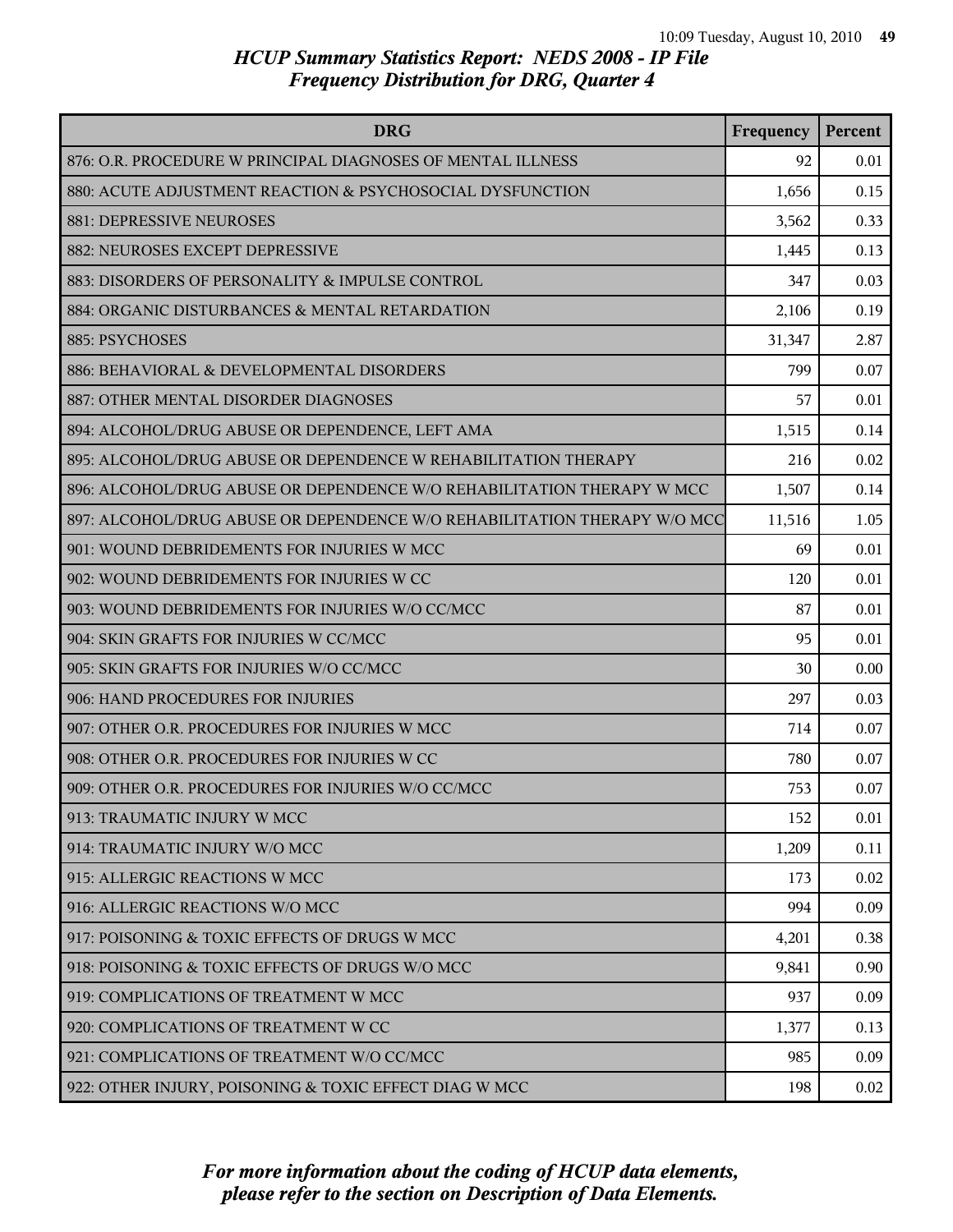| <b>DRG</b>                                                               | Frequency | Percent |
|--------------------------------------------------------------------------|-----------|---------|
| 876: O.R. PROCEDURE W PRINCIPAL DIAGNOSES OF MENTAL ILLNESS              | 92        | 0.01    |
| 880: ACUTE ADJUSTMENT REACTION & PSYCHOSOCIAL DYSFUNCTION                | 1,656     | 0.15    |
| 881: DEPRESSIVE NEUROSES                                                 | 3,562     | 0.33    |
| 882: NEUROSES EXCEPT DEPRESSIVE                                          | 1,445     | 0.13    |
| 883: DISORDERS OF PERSONALITY & IMPULSE CONTROL                          | 347       | 0.03    |
| 884: ORGANIC DISTURBANCES & MENTAL RETARDATION                           | 2,106     | 0.19    |
| 885: PSYCHOSES                                                           | 31,347    | 2.87    |
| 886: BEHAVIORAL & DEVELOPMENTAL DISORDERS                                | 799       | 0.07    |
| 887: OTHER MENTAL DISORDER DIAGNOSES                                     | 57        | 0.01    |
| 894: ALCOHOL/DRUG ABUSE OR DEPENDENCE, LEFT AMA                          | 1,515     | 0.14    |
| 895: ALCOHOL/DRUG ABUSE OR DEPENDENCE W REHABILITATION THERAPY           | 216       | 0.02    |
| 896: ALCOHOL/DRUG ABUSE OR DEPENDENCE W/O REHABILITATION THERAPY W MCC   | 1,507     | 0.14    |
| 897: ALCOHOL/DRUG ABUSE OR DEPENDENCE W/O REHABILITATION THERAPY W/O MCC | 11,516    | 1.05    |
| 901: WOUND DEBRIDEMENTS FOR INJURIES W MCC                               | 69        | 0.01    |
| 902: WOUND DEBRIDEMENTS FOR INJURIES W CC                                | 120       | 0.01    |
| 903: WOUND DEBRIDEMENTS FOR INJURIES W/O CC/MCC                          | 87        | 0.01    |
| 904: SKIN GRAFTS FOR INJURIES W CC/MCC                                   | 95        | 0.01    |
| 905: SKIN GRAFTS FOR INJURIES W/O CC/MCC                                 | 30        | 0.00    |
| 906: HAND PROCEDURES FOR INJURIES                                        | 297       | 0.03    |
| 907: OTHER O.R. PROCEDURES FOR INJURIES W MCC                            | 714       | 0.07    |
| 908: OTHER O.R. PROCEDURES FOR INJURIES W CC                             | 780       | 0.07    |
| 909: OTHER O.R. PROCEDURES FOR INJURIES W/O CC/MCC                       | 753       | 0.07    |
| 913: TRAUMATIC INJURY W MCC                                              | 152       | 0.01    |
| 914: TRAUMATIC INJURY W/O MCC                                            | 1,209     | 0.11    |
| 915: ALLERGIC REACTIONS W MCC                                            | 173       | 0.02    |
| 916: ALLERGIC REACTIONS W/O MCC                                          | 994       | 0.09    |
| 917: POISONING & TOXIC EFFECTS OF DRUGS W MCC                            | 4,201     | 0.38    |
| 918: POISONING & TOXIC EFFECTS OF DRUGS W/O MCC                          | 9,841     | 0.90    |
| 919: COMPLICATIONS OF TREATMENT W MCC                                    | 937       | 0.09    |
| 920: COMPLICATIONS OF TREATMENT W CC                                     | 1,377     | 0.13    |
| 921: COMPLICATIONS OF TREATMENT W/O CC/MCC                               | 985       | 0.09    |
| 922: OTHER INJURY, POISONING & TOXIC EFFECT DIAG W MCC                   | 198       | 0.02    |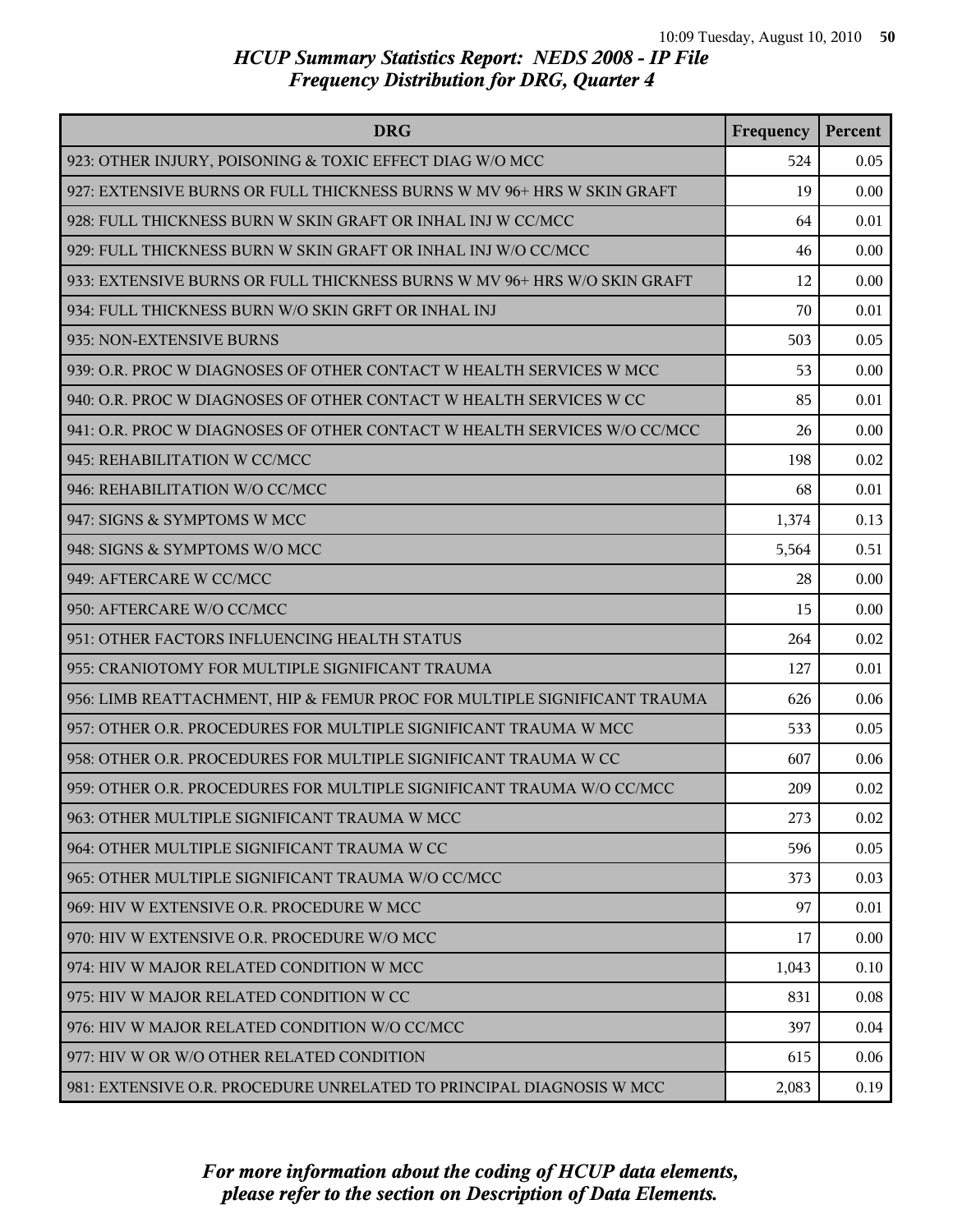| <b>DRG</b>                                                               | Frequency | Percent |
|--------------------------------------------------------------------------|-----------|---------|
| 923: OTHER INJURY, POISONING & TOXIC EFFECT DIAG W/O MCC                 | 524       | 0.05    |
| 927: EXTENSIVE BURNS OR FULL THICKNESS BURNS W MV 96+ HRS W SKIN GRAFT   | 19        | 0.00    |
| 928: FULL THICKNESS BURN W SKIN GRAFT OR INHAL INJ W CC/MCC              | 64        | 0.01    |
| 929: FULL THICKNESS BURN W SKIN GRAFT OR INHAL INJ W/O CC/MCC            | 46        | 0.00    |
| 933: EXTENSIVE BURNS OR FULL THICKNESS BURNS W MV 96+ HRS W/O SKIN GRAFT | 12        | 0.00    |
| 934: FULL THICKNESS BURN W/O SKIN GRFT OR INHAL INJ                      | 70        | 0.01    |
| 935: NON-EXTENSIVE BURNS                                                 | 503       | 0.05    |
| 939: O.R. PROC W DIAGNOSES OF OTHER CONTACT W HEALTH SERVICES W MCC      | 53        | 0.00    |
| 940: O.R. PROC W DIAGNOSES OF OTHER CONTACT W HEALTH SERVICES W CC       | 85        | 0.01    |
| 941: O.R. PROC W DIAGNOSES OF OTHER CONTACT W HEALTH SERVICES W/O CC/MCC | 26        | 0.00    |
| 945: REHABILITATION W CC/MCC                                             | 198       | 0.02    |
| 946: REHABILITATION W/O CC/MCC                                           | 68        | 0.01    |
| 947: SIGNS & SYMPTOMS W MCC                                              | 1,374     | 0.13    |
| 948: SIGNS & SYMPTOMS W/O MCC                                            | 5,564     | 0.51    |
| 949: AFTERCARE W CC/MCC                                                  | 28        | 0.00    |
| 950: AFTERCARE W/O CC/MCC                                                | 15        | 0.00    |
| 951: OTHER FACTORS INFLUENCING HEALTH STATUS                             | 264       | 0.02    |
| 955: CRANIOTOMY FOR MULTIPLE SIGNIFICANT TRAUMA                          | 127       | 0.01    |
| 956: LIMB REATTACHMENT, HIP & FEMUR PROC FOR MULTIPLE SIGNIFICANT TRAUMA | 626       | 0.06    |
| 957: OTHER O.R. PROCEDURES FOR MULTIPLE SIGNIFICANT TRAUMA W MCC         | 533       | 0.05    |
| 958: OTHER O.R. PROCEDURES FOR MULTIPLE SIGNIFICANT TRAUMA W CC          | 607       | 0.06    |
| 959: OTHER O.R. PROCEDURES FOR MULTIPLE SIGNIFICANT TRAUMA W/O CC/MCC    | 209       | 0.02    |
| 963: OTHER MULTIPLE SIGNIFICANT TRAUMA W MCC                             | 273       | 0.02    |
| 964: OTHER MULTIPLE SIGNIFICANT TRAUMA W CC                              | 596       | 0.05    |
| 965: OTHER MULTIPLE SIGNIFICANT TRAUMA W/O CC/MCC                        | 373       | 0.03    |
| 969: HIV W EXTENSIVE O.R. PROCEDURE W MCC                                | 97        | 0.01    |
| 970: HIV W EXTENSIVE O.R. PROCEDURE W/O MCC                              | 17        | 0.00    |
| 974: HIV W MAJOR RELATED CONDITION W MCC                                 | 1,043     | 0.10    |
| 975: HIV W MAJOR RELATED CONDITION W CC                                  | 831       | 0.08    |
| 976: HIV W MAJOR RELATED CONDITION W/O CC/MCC                            | 397       | 0.04    |
| 977: HIV W OR W/O OTHER RELATED CONDITION                                | 615       | 0.06    |
| 981: EXTENSIVE O.R. PROCEDURE UNRELATED TO PRINCIPAL DIAGNOSIS W MCC     | 2,083     | 0.19    |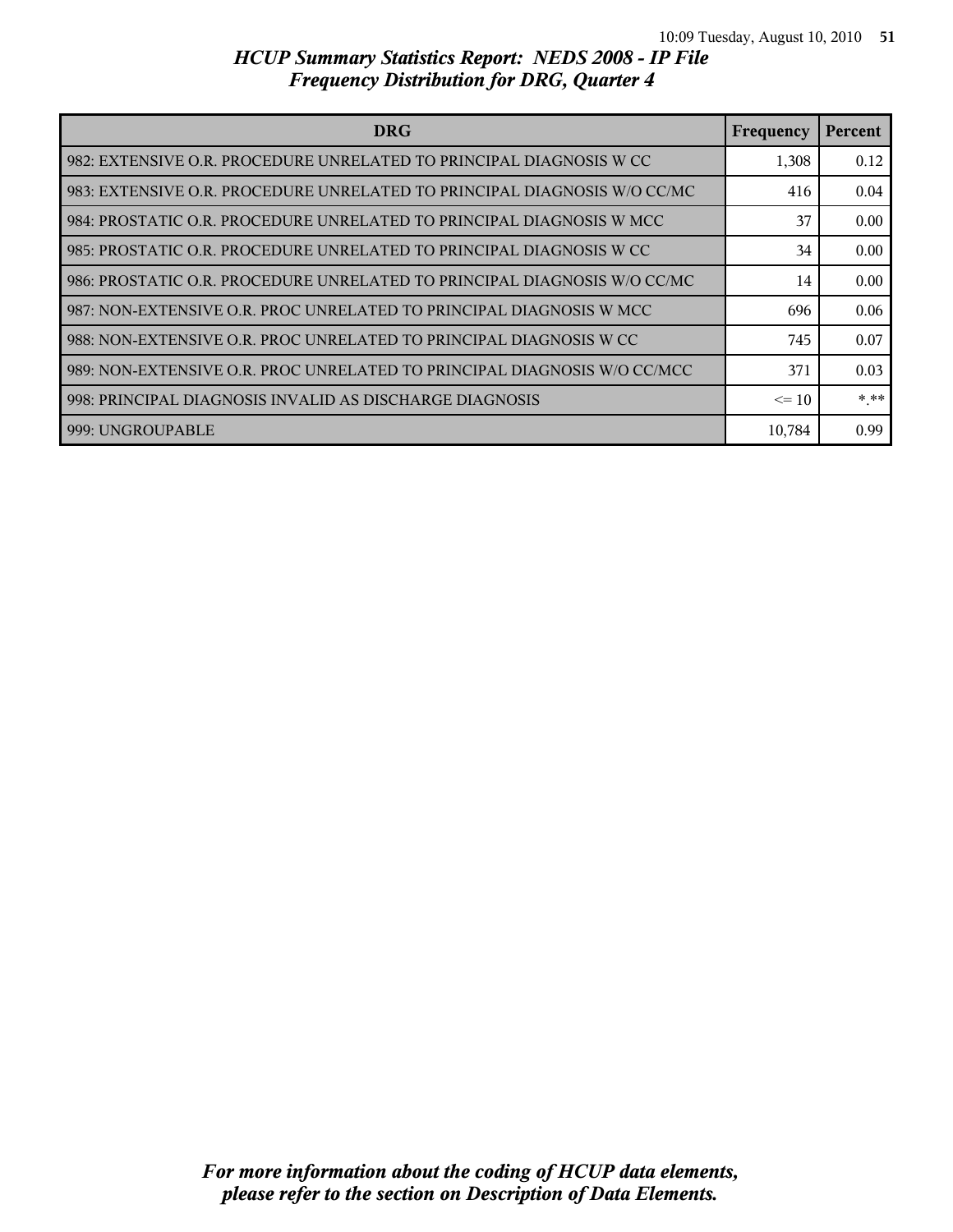| <b>DRG</b>                                                                 | Frequency | Percent |
|----------------------------------------------------------------------------|-----------|---------|
| l 982: EXTENSIVE O.R. PROCEDURE UNRELATED TO PRINCIPAL DIAGNOSIS W CC      | 1,308     | 0.12    |
| l 983: EXTENSIVE O.R. PROCEDURE UNRELATED TO PRINCIPAL DIAGNOSIS W/O CC/MC | 416       | 0.04    |
| l 984: PROSTATIC O.R. PROCEDURE UNRELATED TO PRINCIPAL DIAGNOSIS W MCC     | 37        | 0.00    |
| l 985: PROSTATIC O.R. PROCEDURE UNRELATED TO PRINCIPAL DIAGNOSIS W CC      | 34        | 0.00    |
| 986: PROSTATIC O.R. PROCEDURE UNRELATED TO PRINCIPAL DIAGNOSIS W/O CC/MC   | 14        | 0.00    |
| l 987: NON-EXTENSIVE O.R. PROC UNRELATED TO PRINCIPAL DIAGNOSIS W MCC      | 696       | 0.06    |
| 988: NON-EXTENSIVE O.R. PROC UNRELATED TO PRINCIPAL DIAGNOSIS W CC         | 745       | 0.07    |
| 989: NON-EXTENSIVE O.R. PROC UNRELATED TO PRINCIPAL DIAGNOSIS W/O CC/MCC   | 371       | 0.03    |
| l 998: PRINCIPAL DIAGNOSIS INVALID AS DISCHARGE DIAGNOSIS                  | $\leq$ 10 | * **    |
| l 999: UNGROUPABLE                                                         | 10,784    | 0.99    |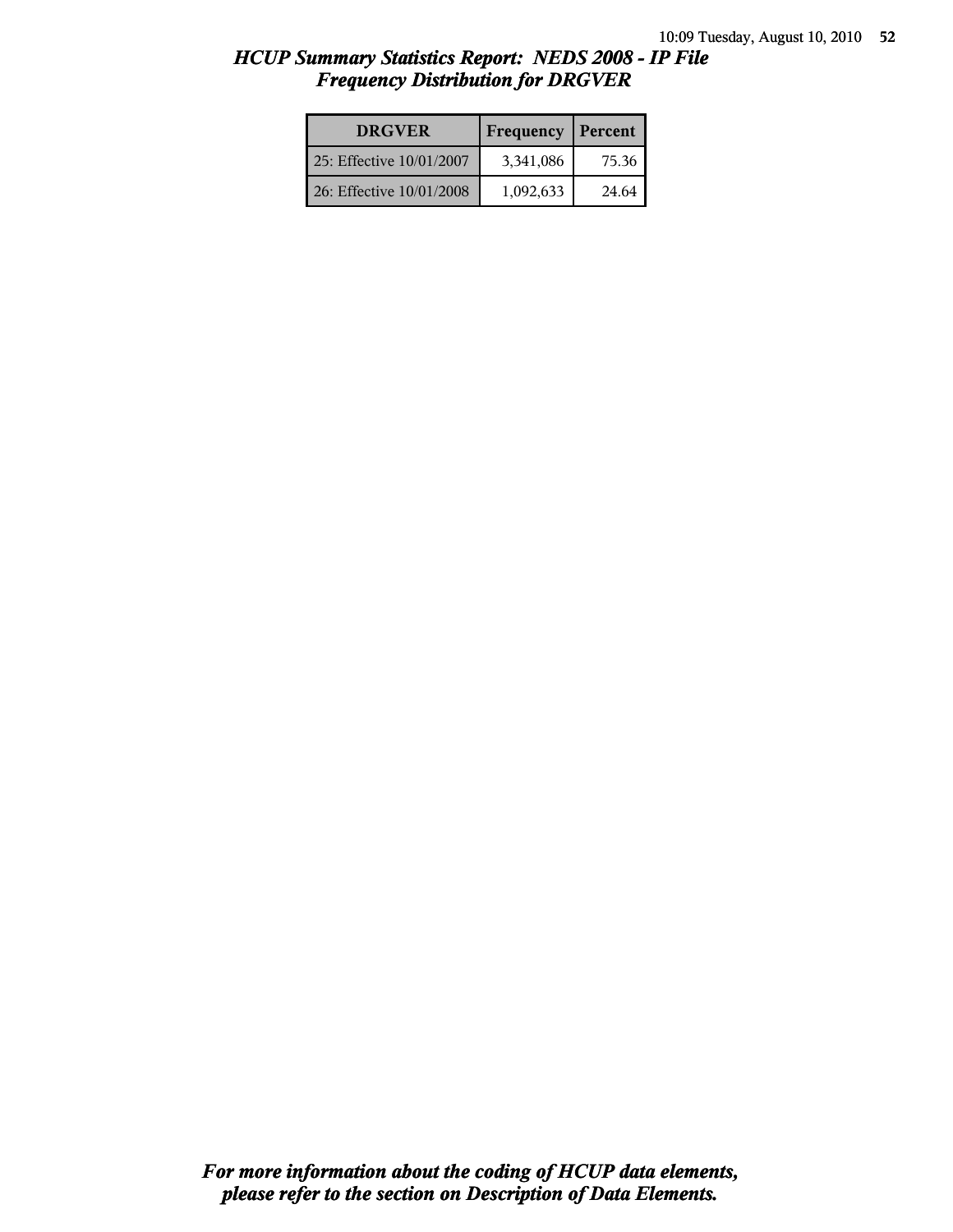| <b>DRGVER</b>            | Frequency | Percent |
|--------------------------|-----------|---------|
| 25: Effective 10/01/2007 | 3,341,086 | 75.36   |
| 26: Effective 10/01/2008 | 1,092,633 | 24.64   |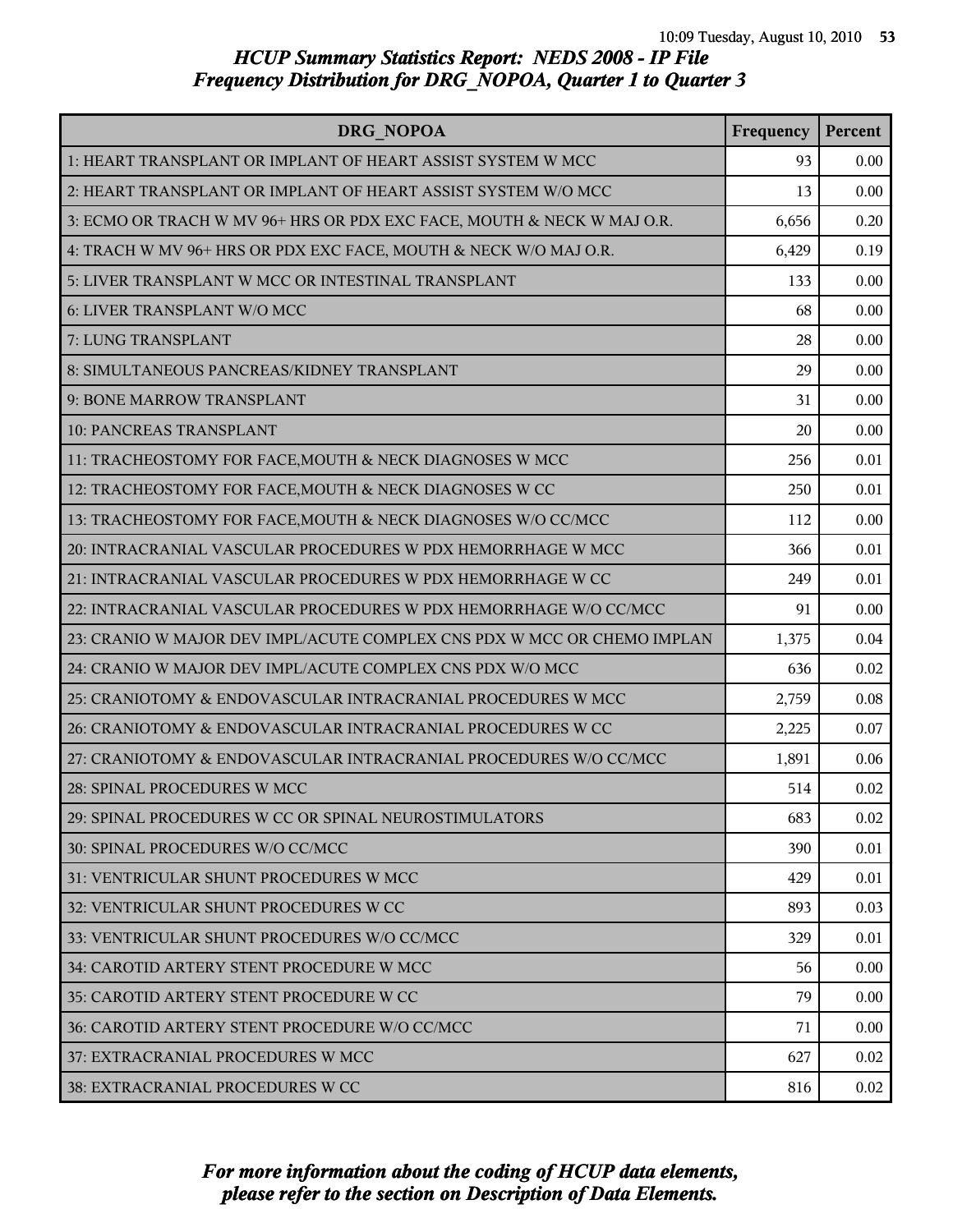| DRG NOPOA                                                               | Frequency | Percent |
|-------------------------------------------------------------------------|-----------|---------|
| 1: HEART TRANSPLANT OR IMPLANT OF HEART ASSIST SYSTEM W MCC             | 93        | 0.00    |
| 2: HEART TRANSPLANT OR IMPLANT OF HEART ASSIST SYSTEM W/O MCC           | 13        | 0.00    |
| 3: ECMO OR TRACH W MV 96+ HRS OR PDX EXC FACE, MOUTH & NECK W MAJ O.R.  | 6,656     | 0.20    |
| 4: TRACH W MV 96+ HRS OR PDX EXC FACE, MOUTH & NECK W/O MAJ O.R.        | 6,429     | 0.19    |
| 5: LIVER TRANSPLANT W MCC OR INTESTINAL TRANSPLANT                      | 133       | 0.00    |
| 6: LIVER TRANSPLANT W/O MCC                                             | 68        | 0.00    |
| 7: LUNG TRANSPLANT                                                      | 28        | 0.00    |
| 8: SIMULTANEOUS PANCREAS/KIDNEY TRANSPLANT                              | 29        | 0.00    |
| 9: BONE MARROW TRANSPLANT                                               | 31        | 0.00    |
| <b>10: PANCREAS TRANSPLANT</b>                                          | 20        | 0.00    |
| 11: TRACHEOSTOMY FOR FACE, MOUTH & NECK DIAGNOSES W MCC                 | 256       | 0.01    |
| 12: TRACHEOSTOMY FOR FACE, MOUTH & NECK DIAGNOSES W CC                  | 250       | 0.01    |
| 13: TRACHEOSTOMY FOR FACE, MOUTH & NECK DIAGNOSES W/O CC/MCC            | 112       | 0.00    |
| 20: INTRACRANIAL VASCULAR PROCEDURES W PDX HEMORRHAGE W MCC             | 366       | 0.01    |
| 21: INTRACRANIAL VASCULAR PROCEDURES W PDX HEMORRHAGE W CC              | 249       | 0.01    |
| 22: INTRACRANIAL VASCULAR PROCEDURES W PDX HEMORRHAGE W/O CC/MCC        | 91        | 0.00    |
| 23: CRANIO W MAJOR DEV IMPL/ACUTE COMPLEX CNS PDX W MCC OR CHEMO IMPLAN | 1,375     | 0.04    |
| 24: CRANIO W MAJOR DEV IMPL/ACUTE COMPLEX CNS PDX W/O MCC               | 636       | 0.02    |
| 25: CRANIOTOMY & ENDOVASCULAR INTRACRANIAL PROCEDURES W MCC             | 2,759     | 0.08    |
| 26: CRANIOTOMY & ENDOVASCULAR INTRACRANIAL PROCEDURES W CC              | 2,225     | 0.07    |
| 27: CRANIOTOMY & ENDOVASCULAR INTRACRANIAL PROCEDURES W/O CC/MCC        | 1,891     | 0.06    |
| 28: SPINAL PROCEDURES W MCC                                             | 514       | 0.02    |
| 29: SPINAL PROCEDURES W CC OR SPINAL NEUROSTIMULATORS                   | 683       | 0.02    |
| 30: SPINAL PROCEDURES W/O CC/MCC                                        | 390       | 0.01    |
| 31: VENTRICULAR SHUNT PROCEDURES W MCC                                  | 429       | 0.01    |
| 32: VENTRICULAR SHUNT PROCEDURES W CC                                   | 893       | 0.03    |
| 33: VENTRICULAR SHUNT PROCEDURES W/O CC/MCC                             | 329       | 0.01    |
| 34: CAROTID ARTERY STENT PROCEDURE W MCC                                | 56        | 0.00    |
| 35: CAROTID ARTERY STENT PROCEDURE W CC                                 | 79        | 0.00    |
| 36: CAROTID ARTERY STENT PROCEDURE W/O CC/MCC                           | 71        | 0.00    |
| 37: EXTRACRANIAL PROCEDURES W MCC                                       | 627       | 0.02    |
| 38: EXTRACRANIAL PROCEDURES W CC                                        | 816       | 0.02    |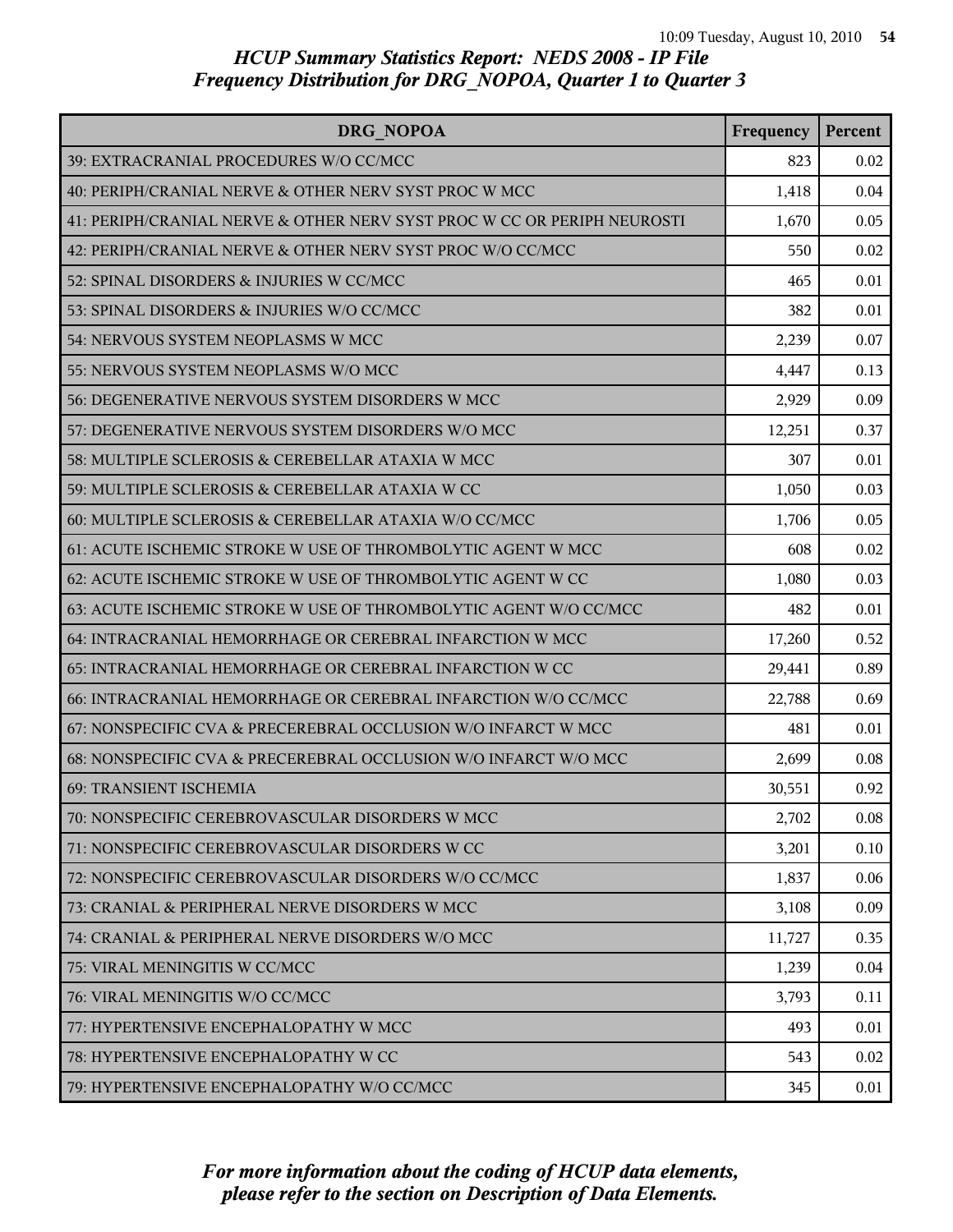| DRG NOPOA                                                               | Frequency | Percent |
|-------------------------------------------------------------------------|-----------|---------|
| 39: EXTRACRANIAL PROCEDURES W/O CC/MCC                                  | 823       | 0.02    |
| 40: PERIPH/CRANIAL NERVE & OTHER NERV SYST PROC W MCC                   | 1,418     | 0.04    |
| 41: PERIPH/CRANIAL NERVE & OTHER NERV SYST PROC W CC OR PERIPH NEUROSTI | 1,670     | 0.05    |
| 42: PERIPH/CRANIAL NERVE & OTHER NERV SYST PROC W/O CC/MCC              | 550       | 0.02    |
| 52: SPINAL DISORDERS & INJURIES W CC/MCC                                | 465       | 0.01    |
| 53: SPINAL DISORDERS & INJURIES W/O CC/MCC                              | 382       | 0.01    |
| 54: NERVOUS SYSTEM NEOPLASMS W MCC                                      | 2,239     | 0.07    |
| 55: NERVOUS SYSTEM NEOPLASMS W/O MCC                                    | 4,447     | 0.13    |
| 56: DEGENERATIVE NERVOUS SYSTEM DISORDERS W MCC                         | 2,929     | 0.09    |
| 57: DEGENERATIVE NERVOUS SYSTEM DISORDERS W/O MCC                       | 12,251    | 0.37    |
| 58: MULTIPLE SCLEROSIS & CEREBELLAR ATAXIA W MCC                        | 307       | 0.01    |
| 59: MULTIPLE SCLEROSIS & CEREBELLAR ATAXIA W CC                         | 1,050     | 0.03    |
| 60: MULTIPLE SCLEROSIS & CEREBELLAR ATAXIA W/O CC/MCC                   | 1,706     | 0.05    |
| 61: ACUTE ISCHEMIC STROKE W USE OF THROMBOLYTIC AGENT W MCC             | 608       | 0.02    |
| 62: ACUTE ISCHEMIC STROKE W USE OF THROMBOLYTIC AGENT W CC              | 1,080     | 0.03    |
| 63: ACUTE ISCHEMIC STROKE W USE OF THROMBOLYTIC AGENT W/O CC/MCC        | 482       | 0.01    |
| 64: INTRACRANIAL HEMORRHAGE OR CEREBRAL INFARCTION W MCC                | 17,260    | 0.52    |
| 65: INTRACRANIAL HEMORRHAGE OR CEREBRAL INFARCTION W CC                 | 29,441    | 0.89    |
| 66: INTRACRANIAL HEMORRHAGE OR CEREBRAL INFARCTION W/O CC/MCC           | 22,788    | 0.69    |
| 67: NONSPECIFIC CVA & PRECEREBRAL OCCLUSION W/O INFARCT W MCC           | 481       | 0.01    |
| 68: NONSPECIFIC CVA & PRECEREBRAL OCCLUSION W/O INFARCT W/O MCC         | 2,699     | 0.08    |
| <b>69: TRANSIENT ISCHEMIA</b>                                           | 30,551    | 0.92    |
| 70: NONSPECIFIC CEREBROVASCULAR DISORDERS W MCC                         | 2,702     | 0.08    |
| 71: NONSPECIFIC CEREBROVASCULAR DISORDERS W CC                          | 3,201     | 0.10    |
| 72: NONSPECIFIC CEREBROVASCULAR DISORDERS W/O CC/MCC                    | 1,837     | 0.06    |
| 73: CRANIAL & PERIPHERAL NERVE DISORDERS W MCC                          | 3,108     | 0.09    |
| 74: CRANIAL & PERIPHERAL NERVE DISORDERS W/O MCC                        | 11,727    | 0.35    |
| 75: VIRAL MENINGITIS W CC/MCC                                           | 1,239     | 0.04    |
| 76: VIRAL MENINGITIS W/O CC/MCC                                         | 3,793     | 0.11    |
| 77: HYPERTENSIVE ENCEPHALOPATHY W MCC                                   | 493       | 0.01    |
| 78: HYPERTENSIVE ENCEPHALOPATHY W CC                                    | 543       | 0.02    |
| 79: HYPERTENSIVE ENCEPHALOPATHY W/O CC/MCC                              | 345       | 0.01    |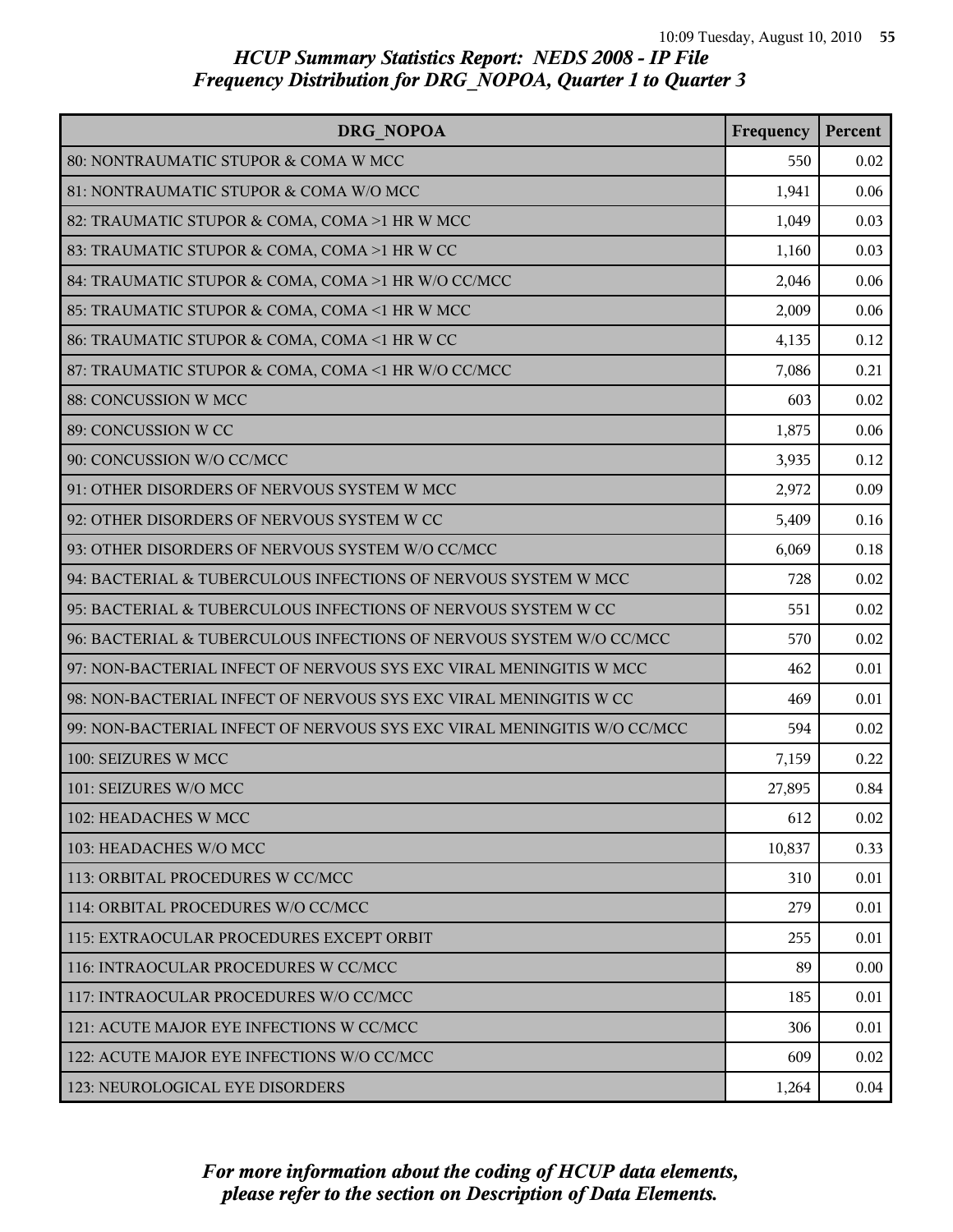| DRG NOPOA                                                               | Frequency | Percent |
|-------------------------------------------------------------------------|-----------|---------|
| 80: NONTRAUMATIC STUPOR & COMA W MCC                                    | 550       | 0.02    |
| 81: NONTRAUMATIC STUPOR & COMA W/O MCC                                  | 1,941     | 0.06    |
| 82: TRAUMATIC STUPOR & COMA, COMA >1 HR W MCC                           | 1,049     | 0.03    |
| 83: TRAUMATIC STUPOR & COMA, COMA >1 HR W CC                            | 1,160     | 0.03    |
| 84: TRAUMATIC STUPOR & COMA, COMA >1 HR W/O CC/MCC                      | 2,046     | 0.06    |
| 85: TRAUMATIC STUPOR & COMA, COMA <1 HR W MCC                           | 2,009     | 0.06    |
| 86: TRAUMATIC STUPOR & COMA, COMA <1 HR W CC                            | 4,135     | 0.12    |
| 87: TRAUMATIC STUPOR & COMA, COMA <1 HR W/O CC/MCC                      | 7,086     | 0.21    |
| 88: CONCUSSION W MCC                                                    | 603       | 0.02    |
| 89: CONCUSSION W CC                                                     | 1,875     | 0.06    |
| 90: CONCUSSION W/O CC/MCC                                               | 3,935     | 0.12    |
| 91: OTHER DISORDERS OF NERVOUS SYSTEM W MCC                             | 2,972     | 0.09    |
| 92: OTHER DISORDERS OF NERVOUS SYSTEM W CC                              | 5,409     | 0.16    |
| 93: OTHER DISORDERS OF NERVOUS SYSTEM W/O CC/MCC                        | 6,069     | 0.18    |
| 94: BACTERIAL & TUBERCULOUS INFECTIONS OF NERVOUS SYSTEM W MCC          | 728       | 0.02    |
| 95: BACTERIAL & TUBERCULOUS INFECTIONS OF NERVOUS SYSTEM W CC           | 551       | 0.02    |
| 96: BACTERIAL & TUBERCULOUS INFECTIONS OF NERVOUS SYSTEM W/O CC/MCC     | 570       | 0.02    |
| 97: NON-BACTERIAL INFECT OF NERVOUS SYS EXC VIRAL MENINGITIS W MCC      | 462       | 0.01    |
| 98: NON-BACTERIAL INFECT OF NERVOUS SYS EXC VIRAL MENINGITIS W CC       | 469       | 0.01    |
| 99: NON-BACTERIAL INFECT OF NERVOUS SYS EXC VIRAL MENINGITIS W/O CC/MCC | 594       | 0.02    |
| 100: SEIZURES W MCC                                                     | 7,159     | 0.22    |
| 101: SEIZURES W/O MCC                                                   | 27,895    | 0.84    |
| 102: HEADACHES W MCC                                                    | 612       | 0.02    |
| 103: HEADACHES W/O MCC                                                  | 10,837    | 0.33    |
| 113: ORBITAL PROCEDURES W CC/MCC                                        | 310       | 0.01    |
| 114: ORBITAL PROCEDURES W/O CC/MCC                                      | 279       | 0.01    |
| 115: EXTRAOCULAR PROCEDURES EXCEPT ORBIT                                | 255       | 0.01    |
| 116: INTRAOCULAR PROCEDURES W CC/MCC                                    | 89        | 0.00    |
| 117: INTRAOCULAR PROCEDURES W/O CC/MCC                                  | 185       | 0.01    |
| 121: ACUTE MAJOR EYE INFECTIONS W CC/MCC                                | 306       | 0.01    |
| 122: ACUTE MAJOR EYE INFECTIONS W/O CC/MCC                              | 609       | 0.02    |
| 123: NEUROLOGICAL EYE DISORDERS                                         | 1,264     | 0.04    |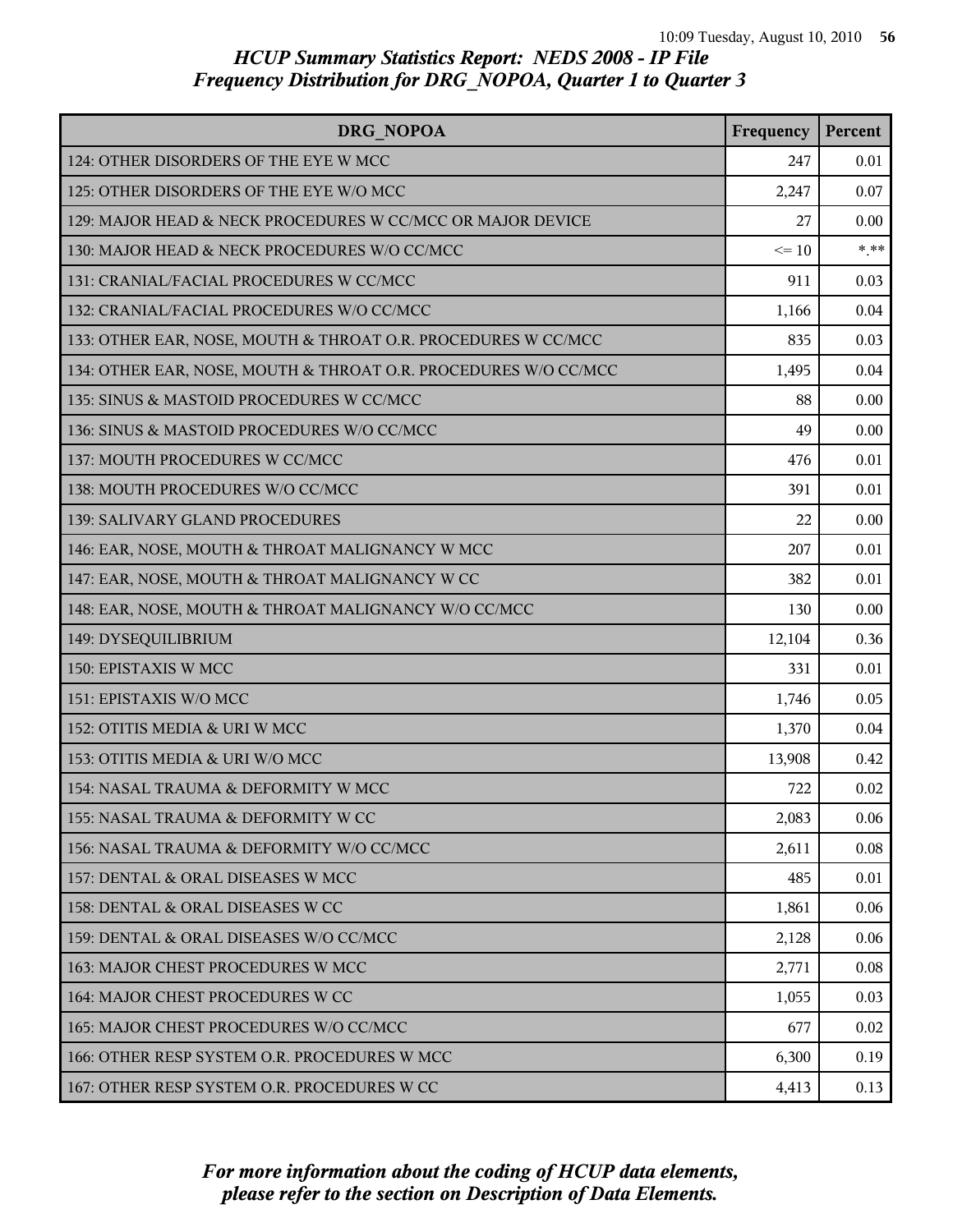| <b>DRG NOPOA</b>                                                | Frequency | Percent |
|-----------------------------------------------------------------|-----------|---------|
| 124: OTHER DISORDERS OF THE EYE W MCC                           | 247       | 0.01    |
| 125: OTHER DISORDERS OF THE EYE W/O MCC                         | 2,247     | 0.07    |
| 129: MAJOR HEAD & NECK PROCEDURES W CC/MCC OR MAJOR DEVICE      | 27        | 0.00    |
| 130: MAJOR HEAD & NECK PROCEDURES W/O CC/MCC                    | $\leq$ 10 | $*$ **  |
| 131: CRANIAL/FACIAL PROCEDURES W CC/MCC                         | 911       | 0.03    |
| 132: CRANIAL/FACIAL PROCEDURES W/O CC/MCC                       | 1,166     | 0.04    |
| 133: OTHER EAR, NOSE, MOUTH & THROAT O.R. PROCEDURES W CC/MCC   | 835       | 0.03    |
| 134: OTHER EAR, NOSE, MOUTH & THROAT O.R. PROCEDURES W/O CC/MCC | 1,495     | 0.04    |
| 135: SINUS & MASTOID PROCEDURES W CC/MCC                        | 88        | 0.00    |
| 136: SINUS & MASTOID PROCEDURES W/O CC/MCC                      | 49        | 0.00    |
| 137: MOUTH PROCEDURES W CC/MCC                                  | 476       | 0.01    |
| 138: MOUTH PROCEDURES W/O CC/MCC                                | 391       | 0.01    |
| 139: SALIVARY GLAND PROCEDURES                                  | 22        | 0.00    |
| 146: EAR, NOSE, MOUTH & THROAT MALIGNANCY W MCC                 | 207       | 0.01    |
| 147: EAR, NOSE, MOUTH & THROAT MALIGNANCY W CC                  | 382       | 0.01    |
| 148: EAR, NOSE, MOUTH & THROAT MALIGNANCY W/O CC/MCC            | 130       | 0.00    |
| 149: DYSEQUILIBRIUM                                             | 12,104    | 0.36    |
| 150: EPISTAXIS W MCC                                            | 331       | 0.01    |
| 151: EPISTAXIS W/O MCC                                          | 1,746     | 0.05    |
| 152: OTITIS MEDIA & URI W MCC                                   | 1,370     | 0.04    |
| 153: OTITIS MEDIA & URI W/O MCC                                 | 13,908    | 0.42    |
| 154: NASAL TRAUMA & DEFORMITY W MCC                             | 722       | 0.02    |
| 155: NASAL TRAUMA & DEFORMITY W CC                              | 2,083     | 0.06    |
| 156: NASAL TRAUMA & DEFORMITY W/O CC/MCC                        | 2,611     | 0.08    |
| 157: DENTAL & ORAL DISEASES W MCC                               | 485       | 0.01    |
| 158: DENTAL & ORAL DISEASES W CC                                | 1,861     | 0.06    |
| 159: DENTAL & ORAL DISEASES W/O CC/MCC                          | 2,128     | 0.06    |
| 163: MAJOR CHEST PROCEDURES W MCC                               | 2,771     | 0.08    |
| 164: MAJOR CHEST PROCEDURES W CC                                | 1,055     | 0.03    |
| 165: MAJOR CHEST PROCEDURES W/O CC/MCC                          | 677       | 0.02    |
| 166: OTHER RESP SYSTEM O.R. PROCEDURES W MCC                    | 6,300     | 0.19    |
| 167: OTHER RESP SYSTEM O.R. PROCEDURES W CC                     | 4,413     | 0.13    |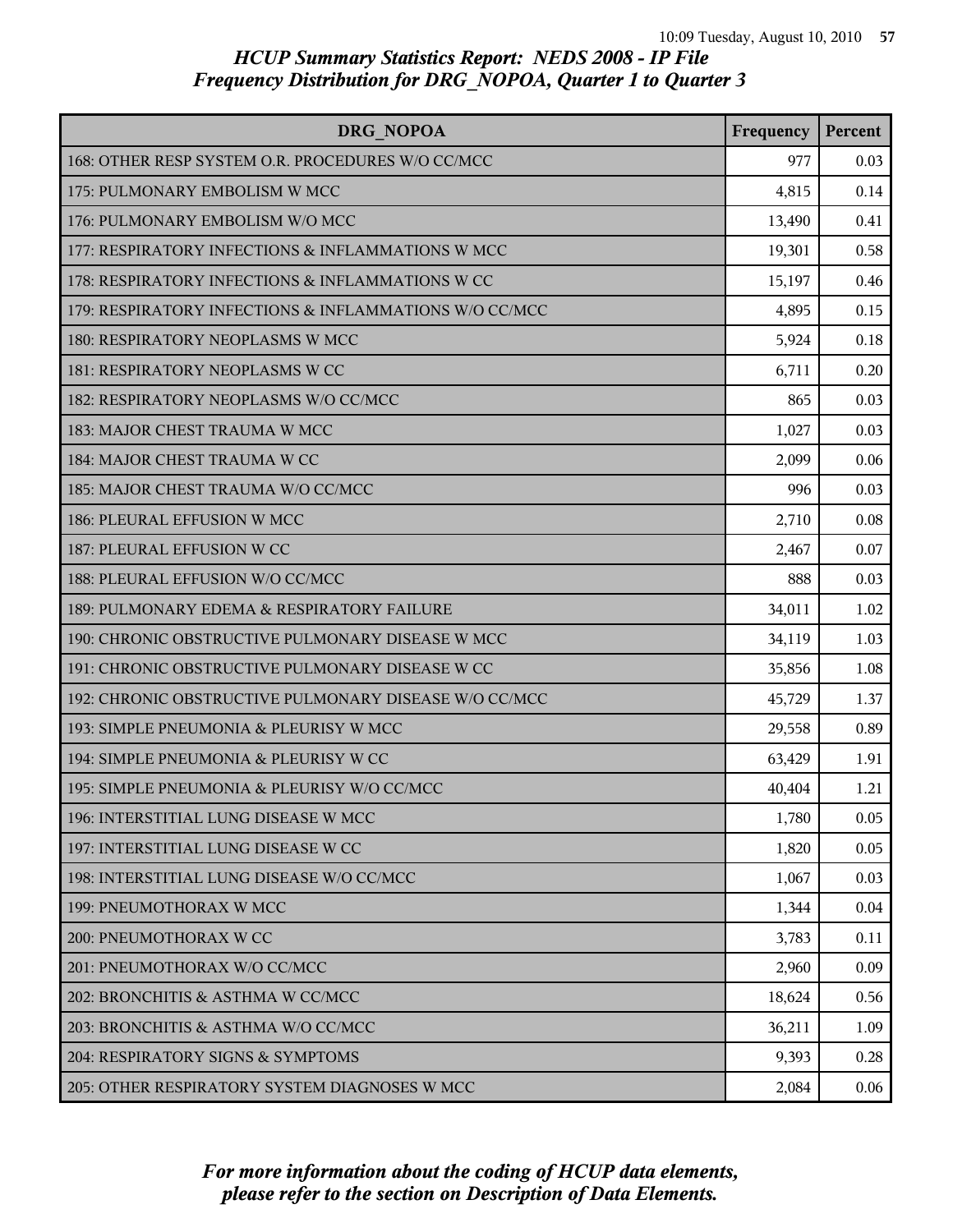| DRG NOPOA                                              | Frequency | Percent |
|--------------------------------------------------------|-----------|---------|
| 168: OTHER RESP SYSTEM O.R. PROCEDURES W/O CC/MCC      | 977       | 0.03    |
| 175: PULMONARY EMBOLISM W MCC                          | 4,815     | 0.14    |
| 176: PULMONARY EMBOLISM W/O MCC                        | 13,490    | 0.41    |
| 177: RESPIRATORY INFECTIONS & INFLAMMATIONS W MCC      | 19,301    | 0.58    |
| 178: RESPIRATORY INFECTIONS & INFLAMMATIONS W CC       | 15,197    | 0.46    |
| 179: RESPIRATORY INFECTIONS & INFLAMMATIONS W/O CC/MCC | 4,895     | 0.15    |
| 180: RESPIRATORY NEOPLASMS W MCC                       | 5,924     | 0.18    |
| 181: RESPIRATORY NEOPLASMS W CC                        | 6,711     | 0.20    |
| 182: RESPIRATORY NEOPLASMS W/O CC/MCC                  | 865       | 0.03    |
| 183: MAJOR CHEST TRAUMA W MCC                          | 1,027     | 0.03    |
| 184: MAJOR CHEST TRAUMA W CC                           | 2,099     | 0.06    |
| 185: MAJOR CHEST TRAUMA W/O CC/MCC                     | 996       | 0.03    |
| 186: PLEURAL EFFUSION W MCC                            | 2,710     | 0.08    |
| 187: PLEURAL EFFUSION W CC                             | 2,467     | 0.07    |
| 188: PLEURAL EFFUSION W/O CC/MCC                       | 888       | 0.03    |
| 189: PULMONARY EDEMA & RESPIRATORY FAILURE             | 34,011    | 1.02    |
| 190: CHRONIC OBSTRUCTIVE PULMONARY DISEASE W MCC       | 34,119    | 1.03    |
| 191: CHRONIC OBSTRUCTIVE PULMONARY DISEASE W CC        | 35,856    | 1.08    |
| 192: CHRONIC OBSTRUCTIVE PULMONARY DISEASE W/O CC/MCC  | 45,729    | 1.37    |
| 193: SIMPLE PNEUMONIA & PLEURISY W MCC                 | 29,558    | 0.89    |
| 194: SIMPLE PNEUMONIA & PLEURISY W CC                  | 63,429    | 1.91    |
| 195: SIMPLE PNEUMONIA & PLEURISY W/O CC/MCC            | 40,404    | 1.21    |
| 196: INTERSTITIAL LUNG DISEASE W MCC                   | 1,780     | 0.05    |
| 197: INTERSTITIAL LUNG DISEASE W CC                    | 1,820     | 0.05    |
| 198: INTERSTITIAL LUNG DISEASE W/O CC/MCC              | 1,067     | 0.03    |
| 199: PNEUMOTHORAX W MCC                                | 1,344     | 0.04    |
| 200: PNEUMOTHORAX W CC                                 | 3,783     | 0.11    |
| 201: PNEUMOTHORAX W/O CC/MCC                           | 2,960     | 0.09    |
| 202: BRONCHITIS & ASTHMA W CC/MCC                      | 18,624    | 0.56    |
| 203: BRONCHITIS & ASTHMA W/O CC/MCC                    | 36,211    | 1.09    |
| 204: RESPIRATORY SIGNS & SYMPTOMS                      | 9,393     | 0.28    |
| 205: OTHER RESPIRATORY SYSTEM DIAGNOSES W MCC          | 2,084     | 0.06    |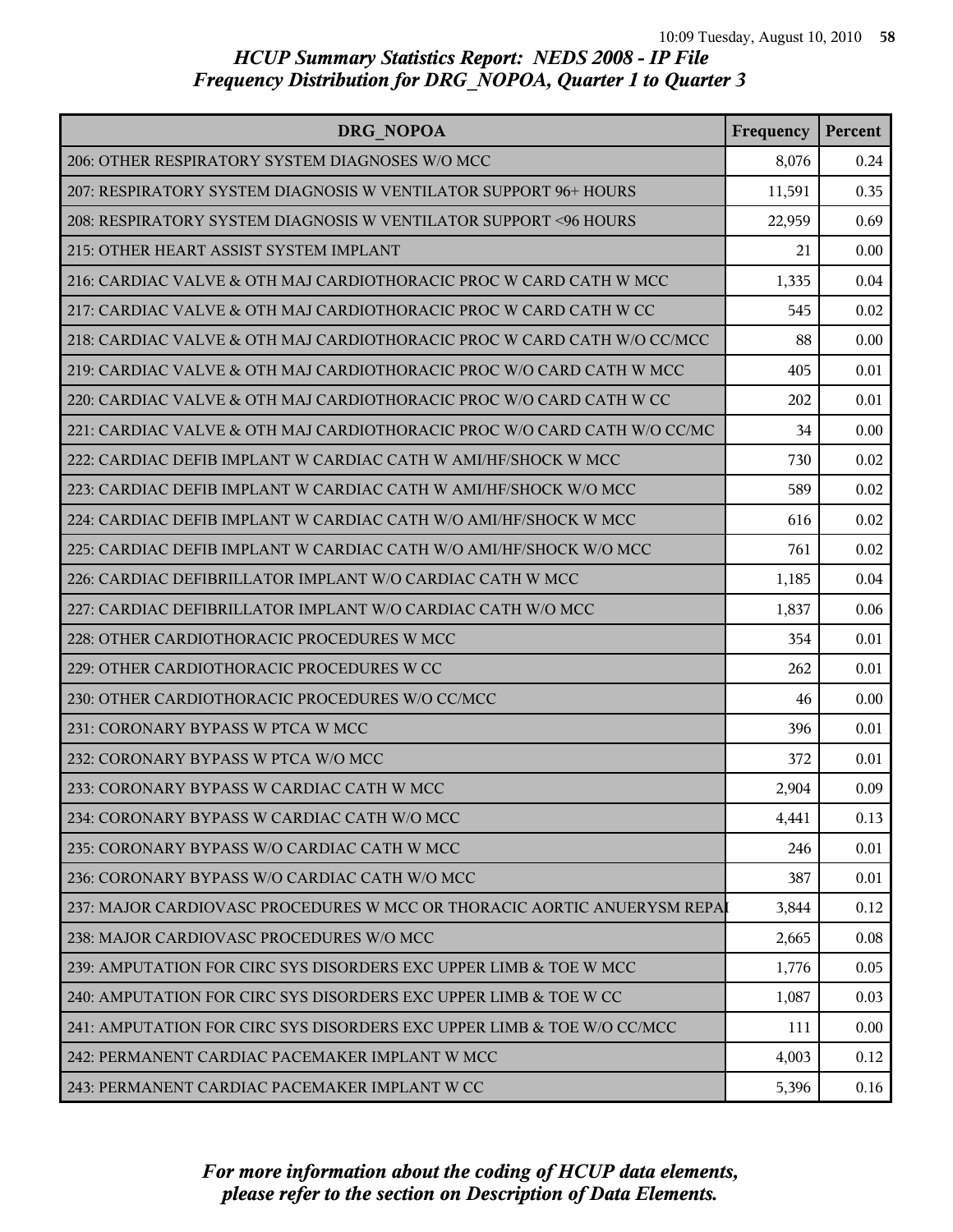| DRG NOPOA                                                                | Frequency | Percent |
|--------------------------------------------------------------------------|-----------|---------|
| 206: OTHER RESPIRATORY SYSTEM DIAGNOSES W/O MCC                          | 8,076     | 0.24    |
| 207: RESPIRATORY SYSTEM DIAGNOSIS W VENTILATOR SUPPORT 96+ HOURS         | 11,591    | 0.35    |
| 208: RESPIRATORY SYSTEM DIAGNOSIS W VENTILATOR SUPPORT <96 HOURS         | 22,959    | 0.69    |
| 215: OTHER HEART ASSIST SYSTEM IMPLANT                                   | 21        | 0.00    |
| 216: CARDIAC VALVE & OTH MAJ CARDIOTHORACIC PROC W CARD CATH W MCC       | 1,335     | 0.04    |
| 217: CARDIAC VALVE & OTH MAJ CARDIOTHORACIC PROC W CARD CATH W CC        | 545       | 0.02    |
| 218: CARDIAC VALVE & OTH MAJ CARDIOTHORACIC PROC W CARD CATH W/O CC/MCC  | 88        | 0.00    |
| 219: CARDIAC VALVE & OTH MAJ CARDIOTHORACIC PROC W/O CARD CATH W MCC     | 405       | 0.01    |
| 220: CARDIAC VALVE & OTH MAJ CARDIOTHORACIC PROC W/O CARD CATH W CC      | 202       | 0.01    |
| 221: CARDIAC VALVE & OTH MAJ CARDIOTHORACIC PROC W/O CARD CATH W/O CC/MC | 34        | 0.00    |
| 222: CARDIAC DEFIB IMPLANT W CARDIAC CATH W AMI/HF/SHOCK W MCC           | 730       | 0.02    |
| 223: CARDIAC DEFIB IMPLANT W CARDIAC CATH W AMI/HF/SHOCK W/O MCC         | 589       | 0.02    |
| 224: CARDIAC DEFIB IMPLANT W CARDIAC CATH W/O AMI/HF/SHOCK W MCC         | 616       | 0.02    |
| 225: CARDIAC DEFIB IMPLANT W CARDIAC CATH W/O AMI/HF/SHOCK W/O MCC       | 761       | 0.02    |
| 226: CARDIAC DEFIBRILLATOR IMPLANT W/O CARDIAC CATH W MCC                | 1,185     | 0.04    |
| 227: CARDIAC DEFIBRILLATOR IMPLANT W/O CARDIAC CATH W/O MCC              | 1,837     | 0.06    |
| 228: OTHER CARDIOTHORACIC PROCEDURES W MCC                               | 354       | 0.01    |
| 229: OTHER CARDIOTHORACIC PROCEDURES W CC                                | 262       | 0.01    |
| 230: OTHER CARDIOTHORACIC PROCEDURES W/O CC/MCC                          | 46        | 0.00    |
| 231: CORONARY BYPASS W PTCA W MCC                                        | 396       | 0.01    |
| 232: CORONARY BYPASS W PTCA W/O MCC                                      | 372       | 0.01    |
| 233: CORONARY BYPASS W CARDIAC CATH W MCC                                | 2,904     | 0.09    |
| 234: CORONARY BYPASS W CARDIAC CATH W/O MCC                              | 4,441     | 0.13    |
| 235: CORONARY BYPASS W/O CARDIAC CATH W MCC                              | 246       | 0.01    |
| 236: CORONARY BYPASS W/O CARDIAC CATH W/O MCC                            | 387       | 0.01    |
| 237: MAJOR CARDIOVASC PROCEDURES W MCC OR THORACIC AORTIC ANUERYSM REPAI | 3,844     | 0.12    |
| 238: MAJOR CARDIOVASC PROCEDURES W/O MCC                                 | 2,665     | 0.08    |
| 239: AMPUTATION FOR CIRC SYS DISORDERS EXC UPPER LIMB & TOE W MCC        | 1,776     | 0.05    |
| 240: AMPUTATION FOR CIRC SYS DISORDERS EXC UPPER LIMB & TOE W CC         | 1,087     | 0.03    |
| 241: AMPUTATION FOR CIRC SYS DISORDERS EXC UPPER LIMB & TOE W/O CC/MCC   | 111       | 0.00    |
| 242: PERMANENT CARDIAC PACEMAKER IMPLANT W MCC                           | 4,003     | 0.12    |
| 243: PERMANENT CARDIAC PACEMAKER IMPLANT W CC                            | 5,396     | 0.16    |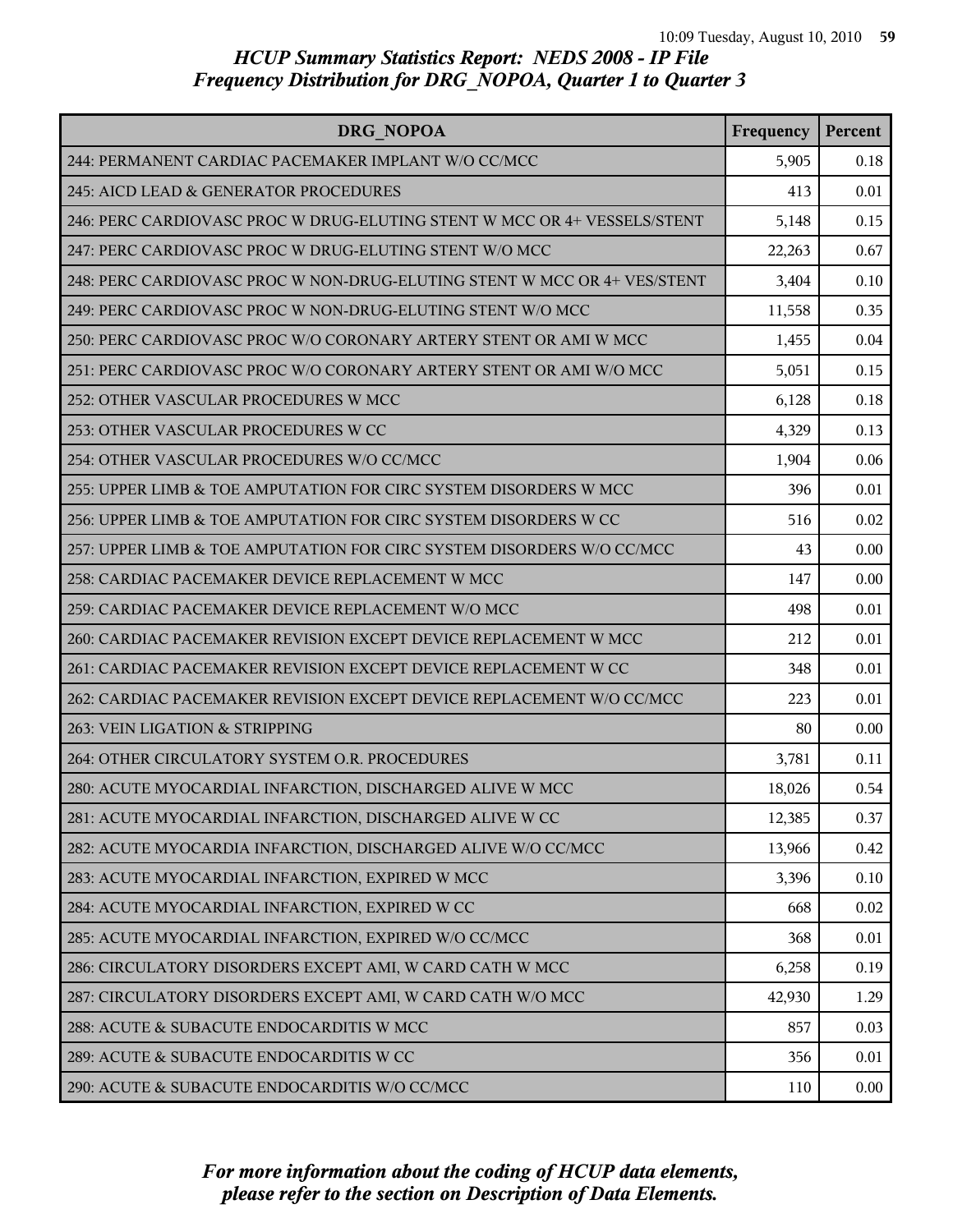| DRG NOPOA                                                                | Frequency | Percent |
|--------------------------------------------------------------------------|-----------|---------|
| 244: PERMANENT CARDIAC PACEMAKER IMPLANT W/O CC/MCC                      | 5,905     | 0.18    |
| 245: AICD LEAD & GENERATOR PROCEDURES                                    | 413       | 0.01    |
| 246: PERC CARDIOVASC PROC W DRUG-ELUTING STENT W MCC OR 4+ VESSELS/STENT | 5,148     | 0.15    |
| 247: PERC CARDIOVASC PROC W DRUG-ELUTING STENT W/O MCC                   | 22,263    | 0.67    |
| 248: PERC CARDIOVASC PROC W NON-DRUG-ELUTING STENT W MCC OR 4+ VES/STENT | 3,404     | 0.10    |
| 249: PERC CARDIOVASC PROC W NON-DRUG-ELUTING STENT W/O MCC               | 11,558    | 0.35    |
| 250: PERC CARDIOVASC PROC W/O CORONARY ARTERY STENT OR AMI W MCC         | 1,455     | 0.04    |
| 251: PERC CARDIOVASC PROC W/O CORONARY ARTERY STENT OR AMI W/O MCC       | 5,051     | 0.15    |
| 252: OTHER VASCULAR PROCEDURES W MCC                                     | 6,128     | 0.18    |
| 253: OTHER VASCULAR PROCEDURES W CC                                      | 4,329     | 0.13    |
| 254: OTHER VASCULAR PROCEDURES W/O CC/MCC                                | 1,904     | 0.06    |
| 255: UPPER LIMB & TOE AMPUTATION FOR CIRC SYSTEM DISORDERS W MCC         | 396       | 0.01    |
| 256: UPPER LIMB & TOE AMPUTATION FOR CIRC SYSTEM DISORDERS W CC          | 516       | 0.02    |
| 257: UPPER LIMB & TOE AMPUTATION FOR CIRC SYSTEM DISORDERS W/O CC/MCC    | 43        | 0.00    |
| 258: CARDIAC PACEMAKER DEVICE REPLACEMENT W MCC                          | 147       | 0.00    |
| 259: CARDIAC PACEMAKER DEVICE REPLACEMENT W/O MCC                        | 498       | 0.01    |
| 260: CARDIAC PACEMAKER REVISION EXCEPT DEVICE REPLACEMENT W MCC          | 212       | 0.01    |
| 261: CARDIAC PACEMAKER REVISION EXCEPT DEVICE REPLACEMENT W CC           | 348       | 0.01    |
| 262: CARDIAC PACEMAKER REVISION EXCEPT DEVICE REPLACEMENT W/O CC/MCC     | 223       | 0.01    |
| 263: VEIN LIGATION & STRIPPING                                           | 80        | 0.00    |
| 264: OTHER CIRCULATORY SYSTEM O.R. PROCEDURES                            | 3,781     | 0.11    |
| 280: ACUTE MYOCARDIAL INFARCTION, DISCHARGED ALIVE W MCC                 | 18,026    | 0.54    |
| 281: ACUTE MYOCARDIAL INFARCTION, DISCHARGED ALIVE W CC                  | 12,385    | 0.37    |
| 282: ACUTE MYOCARDIA INFARCTION, DISCHARGED ALIVE W/O CC/MCC             | 13,966    | 0.42    |
| 283: ACUTE MYOCARDIAL INFARCTION, EXPIRED W MCC                          | 3,396     | 0.10    |
| 284: ACUTE MYOCARDIAL INFARCTION, EXPIRED W CC                           | 668       | 0.02    |
| 285: ACUTE MYOCARDIAL INFARCTION, EXPIRED W/O CC/MCC                     | 368       | 0.01    |
| 286: CIRCULATORY DISORDERS EXCEPT AMI, W CARD CATH W MCC                 | 6,258     | 0.19    |
| 287: CIRCULATORY DISORDERS EXCEPT AMI, W CARD CATH W/O MCC               | 42,930    | 1.29    |
| 288: ACUTE & SUBACUTE ENDOCARDITIS W MCC                                 | 857       | 0.03    |
| 289: ACUTE & SUBACUTE ENDOCARDITIS W CC                                  | 356       | 0.01    |
| 290: ACUTE & SUBACUTE ENDOCARDITIS W/O CC/MCC                            | 110       | 0.00    |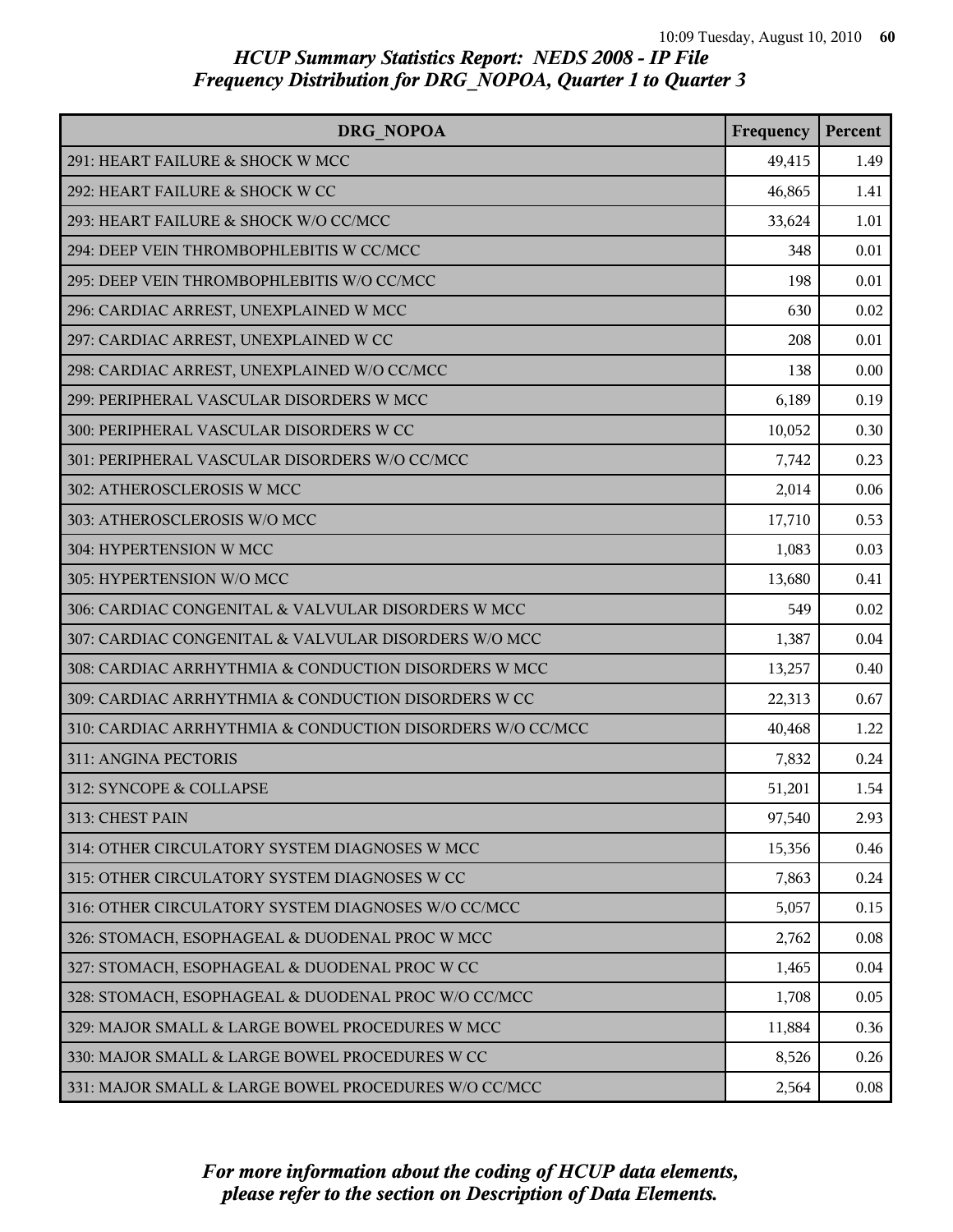| DRG NOPOA                                                 | Frequency | Percent |
|-----------------------------------------------------------|-----------|---------|
| 291: HEART FAILURE & SHOCK W MCC                          | 49,415    | 1.49    |
| 292: HEART FAILURE & SHOCK W CC                           | 46,865    | 1.41    |
| 293: HEART FAILURE & SHOCK W/O CC/MCC                     | 33,624    | 1.01    |
| 294: DEEP VEIN THROMBOPHLEBITIS W CC/MCC                  | 348       | 0.01    |
| 295: DEEP VEIN THROMBOPHLEBITIS W/O CC/MCC                | 198       | 0.01    |
| 296: CARDIAC ARREST, UNEXPLAINED W MCC                    | 630       | 0.02    |
| 297: CARDIAC ARREST, UNEXPLAINED W CC                     | 208       | 0.01    |
| 298: CARDIAC ARREST, UNEXPLAINED W/O CC/MCC               | 138       | 0.00    |
| 299: PERIPHERAL VASCULAR DISORDERS W MCC                  | 6,189     | 0.19    |
| 300: PERIPHERAL VASCULAR DISORDERS W CC                   | 10,052    | 0.30    |
| 301: PERIPHERAL VASCULAR DISORDERS W/O CC/MCC             | 7,742     | 0.23    |
| 302: ATHEROSCLEROSIS W MCC                                | 2,014     | 0.06    |
| 303: ATHEROSCLEROSIS W/O MCC                              | 17,710    | 0.53    |
| 304: HYPERTENSION W MCC                                   | 1,083     | 0.03    |
| 305: HYPERTENSION W/O MCC                                 | 13,680    | 0.41    |
| 306: CARDIAC CONGENITAL & VALVULAR DISORDERS W MCC        | 549       | 0.02    |
| 307: CARDIAC CONGENITAL & VALVULAR DISORDERS W/O MCC      | 1,387     | 0.04    |
| 308: CARDIAC ARRHYTHMIA & CONDUCTION DISORDERS W MCC      | 13,257    | 0.40    |
| 309: CARDIAC ARRHYTHMIA & CONDUCTION DISORDERS W CC       | 22,313    | 0.67    |
| 310: CARDIAC ARRHYTHMIA & CONDUCTION DISORDERS W/O CC/MCC | 40,468    | 1.22    |
| 311: ANGINA PECTORIS                                      | 7,832     | 0.24    |
| 312: SYNCOPE & COLLAPSE                                   | 51,201    | 1.54    |
| 313: CHEST PAIN                                           | 97,540    | 2.93    |
| 314: OTHER CIRCULATORY SYSTEM DIAGNOSES W MCC             | 15,356    | 0.46    |
| 315: OTHER CIRCULATORY SYSTEM DIAGNOSES W CC              | 7,863     | 0.24    |
| 316: OTHER CIRCULATORY SYSTEM DIAGNOSES W/O CC/MCC        | 5,057     | 0.15    |
| 326: STOMACH, ESOPHAGEAL & DUODENAL PROC W MCC            | 2,762     | 0.08    |
| 327: STOMACH, ESOPHAGEAL & DUODENAL PROC W CC             | 1,465     | 0.04    |
| 328: STOMACH, ESOPHAGEAL & DUODENAL PROC W/O CC/MCC       | 1,708     | 0.05    |
| 329: MAJOR SMALL & LARGE BOWEL PROCEDURES W MCC           | 11,884    | 0.36    |
| 330: MAJOR SMALL & LARGE BOWEL PROCEDURES W CC            | 8,526     | 0.26    |
| 331: MAJOR SMALL & LARGE BOWEL PROCEDURES W/O CC/MCC      | 2,564     | 0.08    |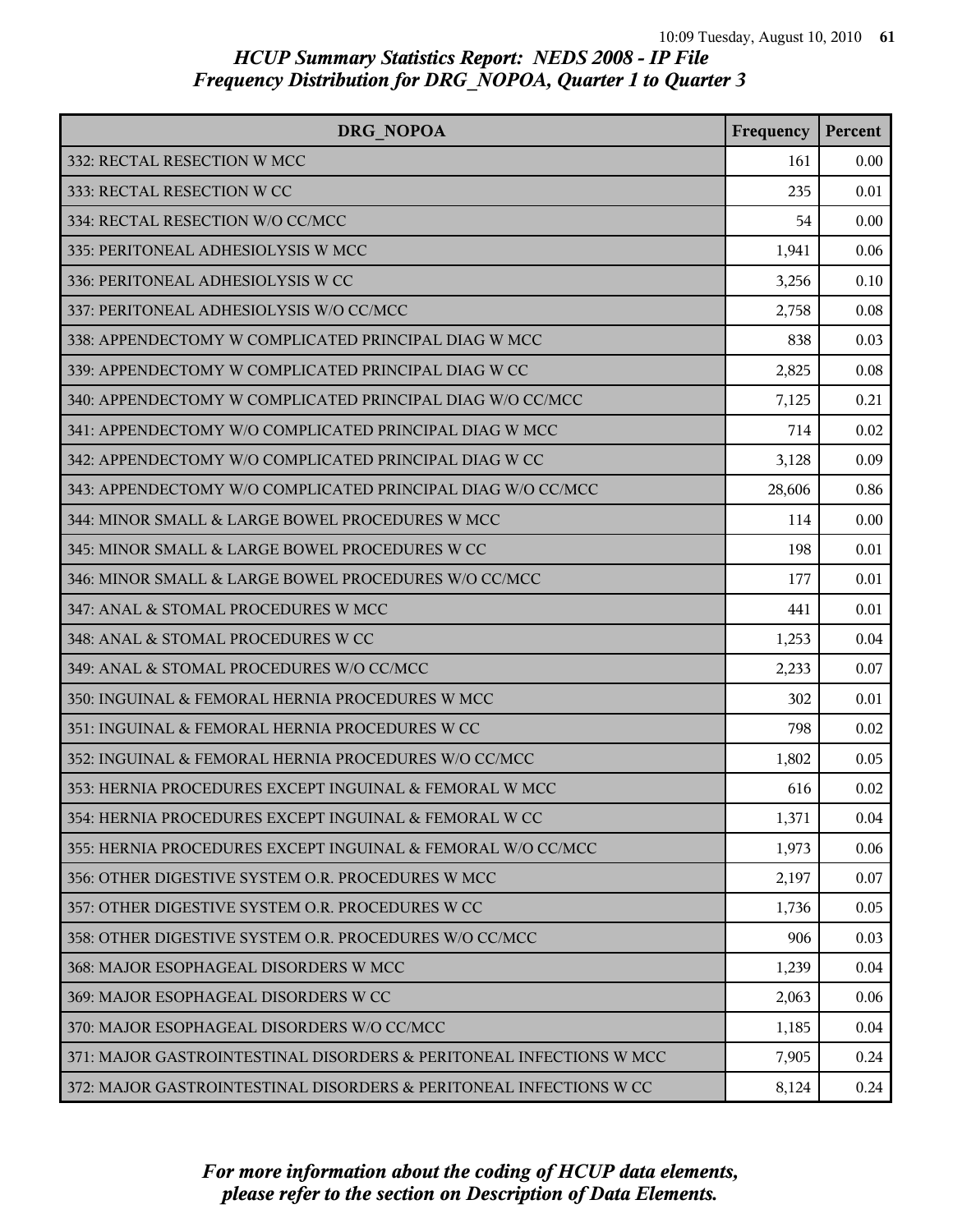| DRG NOPOA                                                           | Frequency | Percent |
|---------------------------------------------------------------------|-----------|---------|
| 332: RECTAL RESECTION W MCC                                         | 161       | 0.00    |
| 333: RECTAL RESECTION W CC                                          | 235       | 0.01    |
| 334: RECTAL RESECTION W/O CC/MCC                                    | 54        | 0.00    |
| 335: PERITONEAL ADHESIOLYSIS W MCC                                  | 1,941     | 0.06    |
| 336: PERITONEAL ADHESIOLYSIS W CC                                   | 3,256     | 0.10    |
| 337: PERITONEAL ADHESIOLYSIS W/O CC/MCC                             | 2,758     | 0.08    |
| 338: APPENDECTOMY W COMPLICATED PRINCIPAL DIAG W MCC                | 838       | 0.03    |
| 339: APPENDECTOMY W COMPLICATED PRINCIPAL DIAG W CC                 | 2,825     | 0.08    |
| 340: APPENDECTOMY W COMPLICATED PRINCIPAL DIAG W/O CC/MCC           | 7,125     | 0.21    |
| 341: APPENDECTOMY W/O COMPLICATED PRINCIPAL DIAG W MCC              | 714       | 0.02    |
| 342: APPENDECTOMY W/O COMPLICATED PRINCIPAL DIAG W CC               | 3,128     | 0.09    |
| 343: APPENDECTOMY W/O COMPLICATED PRINCIPAL DIAG W/O CC/MCC         | 28,606    | 0.86    |
| 344: MINOR SMALL & LARGE BOWEL PROCEDURES W MCC                     | 114       | 0.00    |
| 345: MINOR SMALL & LARGE BOWEL PROCEDURES W CC                      | 198       | 0.01    |
| 346: MINOR SMALL & LARGE BOWEL PROCEDURES W/O CC/MCC                | 177       | 0.01    |
| 347: ANAL & STOMAL PROCEDURES W MCC                                 | 441       | 0.01    |
| 348: ANAL & STOMAL PROCEDURES W CC                                  | 1,253     | 0.04    |
| 349: ANAL & STOMAL PROCEDURES W/O CC/MCC                            | 2,233     | 0.07    |
| 350: INGUINAL & FEMORAL HERNIA PROCEDURES W MCC                     | 302       | 0.01    |
| 351: INGUINAL & FEMORAL HERNIA PROCEDURES W CC                      | 798       | 0.02    |
| 352: INGUINAL & FEMORAL HERNIA PROCEDURES W/O CC/MCC                | 1,802     | 0.05    |
| 353: HERNIA PROCEDURES EXCEPT INGUINAL & FEMORAL W MCC              | 616       | 0.02    |
| 354: HERNIA PROCEDURES EXCEPT INGUINAL & FEMORAL W CC               | 1,371     | 0.04    |
| 355: HERNIA PROCEDURES EXCEPT INGUINAL & FEMORAL W/O CC/MCC         | 1,973     | 0.06    |
| 356: OTHER DIGESTIVE SYSTEM O.R. PROCEDURES W MCC                   | 2,197     | 0.07    |
| 357: OTHER DIGESTIVE SYSTEM O.R. PROCEDURES W CC                    | 1,736     | 0.05    |
| 358: OTHER DIGESTIVE SYSTEM O.R. PROCEDURES W/O CC/MCC              | 906       | 0.03    |
| 368: MAJOR ESOPHAGEAL DISORDERS W MCC                               | 1,239     | 0.04    |
| 369: MAJOR ESOPHAGEAL DISORDERS W CC                                | 2,063     | 0.06    |
| 370: MAJOR ESOPHAGEAL DISORDERS W/O CC/MCC                          | 1,185     | 0.04    |
| 371: MAJOR GASTROINTESTINAL DISORDERS & PERITONEAL INFECTIONS W MCC | 7,905     | 0.24    |
| 372: MAJOR GASTROINTESTINAL DISORDERS & PERITONEAL INFECTIONS W CC  | 8,124     | 0.24    |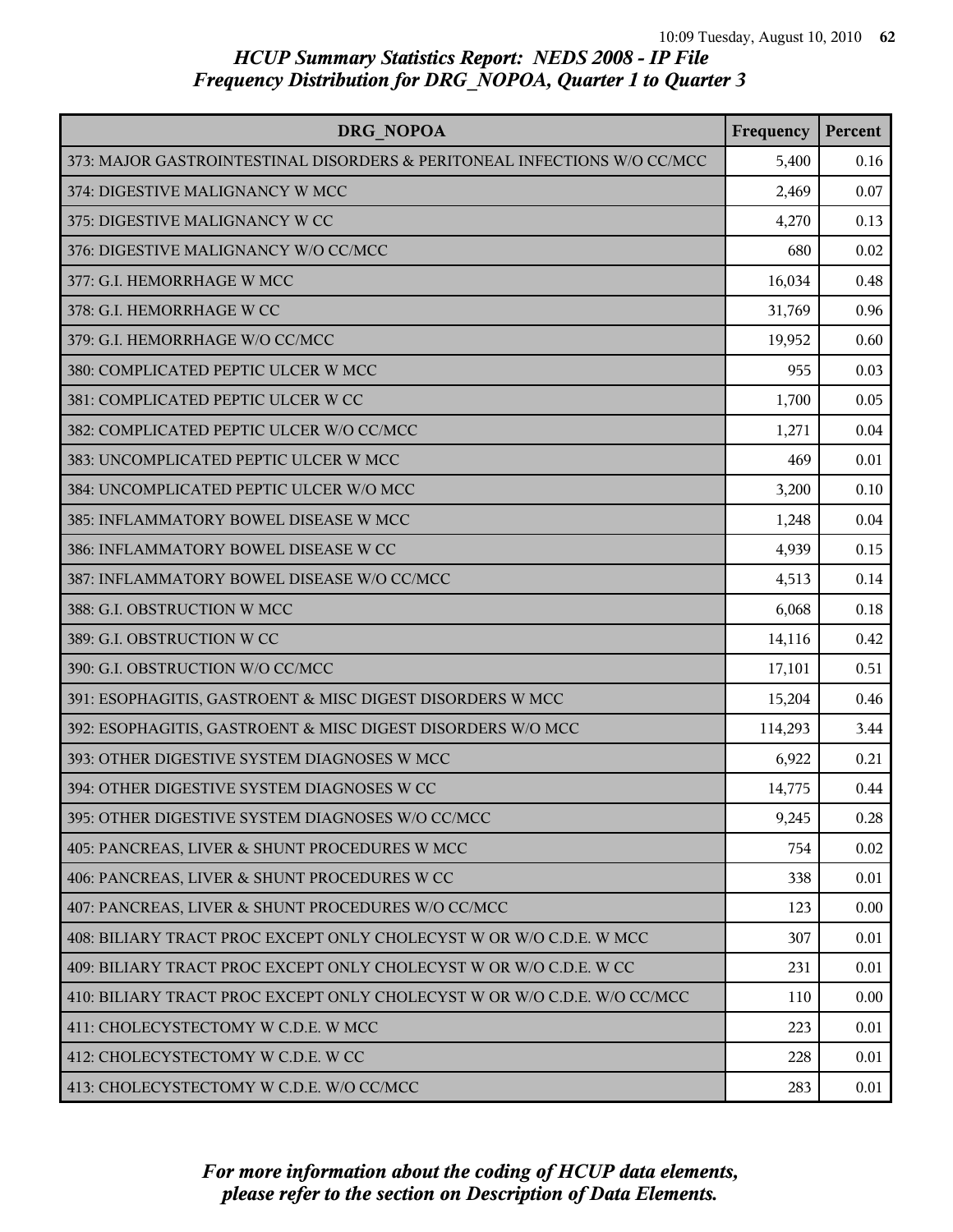| DRG NOPOA                                                                | Frequency | Percent |
|--------------------------------------------------------------------------|-----------|---------|
| 373: MAJOR GASTROINTESTINAL DISORDERS & PERITONEAL INFECTIONS W/O CC/MCC | 5,400     | 0.16    |
| 374: DIGESTIVE MALIGNANCY W MCC                                          | 2,469     | 0.07    |
| 375: DIGESTIVE MALIGNANCY W CC                                           | 4,270     | 0.13    |
| 376: DIGESTIVE MALIGNANCY W/O CC/MCC                                     | 680       | 0.02    |
| 377: G.I. HEMORRHAGE W MCC                                               | 16,034    | 0.48    |
| 378: G.I. HEMORRHAGE W CC                                                | 31,769    | 0.96    |
| 379: G.I. HEMORRHAGE W/O CC/MCC                                          | 19,952    | 0.60    |
| 380: COMPLICATED PEPTIC ULCER W MCC                                      | 955       | 0.03    |
| 381: COMPLICATED PEPTIC ULCER W CC                                       | 1,700     | 0.05    |
| 382: COMPLICATED PEPTIC ULCER W/O CC/MCC                                 | 1,271     | 0.04    |
| 383: UNCOMPLICATED PEPTIC ULCER W MCC                                    | 469       | 0.01    |
| 384: UNCOMPLICATED PEPTIC ULCER W/O MCC                                  | 3,200     | 0.10    |
| 385: INFLAMMATORY BOWEL DISEASE W MCC                                    | 1,248     | 0.04    |
| 386: INFLAMMATORY BOWEL DISEASE W CC                                     | 4,939     | 0.15    |
| 387: INFLAMMATORY BOWEL DISEASE W/O CC/MCC                               | 4,513     | 0.14    |
| 388: G.I. OBSTRUCTION W MCC                                              | 6,068     | 0.18    |
| 389: G.I. OBSTRUCTION W CC                                               | 14,116    | 0.42    |
| 390: G.I. OBSTRUCTION W/O CC/MCC                                         | 17,101    | 0.51    |
| 391: ESOPHAGITIS, GASTROENT & MISC DIGEST DISORDERS W MCC                | 15,204    | 0.46    |
| 392: ESOPHAGITIS, GASTROENT & MISC DIGEST DISORDERS W/O MCC              | 114,293   | 3.44    |
| 393: OTHER DIGESTIVE SYSTEM DIAGNOSES W MCC                              | 6,922     | 0.21    |
| 394: OTHER DIGESTIVE SYSTEM DIAGNOSES W CC                               | 14,775    | 0.44    |
| 395: OTHER DIGESTIVE SYSTEM DIAGNOSES W/O CC/MCC                         | 9,245     | 0.28    |
| 405: PANCREAS, LIVER & SHUNT PROCEDURES W MCC                            | 754       | 0.02    |
| 406: PANCREAS, LIVER & SHUNT PROCEDURES W CC                             | 338       | 0.01    |
| 407: PANCREAS, LIVER & SHUNT PROCEDURES W/O CC/MCC                       | 123       | 0.00    |
| 408: BILIARY TRACT PROC EXCEPT ONLY CHOLECYST W OR W/O C.D.E. W MCC      | 307       | 0.01    |
| 409: BILIARY TRACT PROC EXCEPT ONLY CHOLECYST W OR W/O C.D.E. W CC       | 231       | 0.01    |
| 410: BILIARY TRACT PROC EXCEPT ONLY CHOLECYST W OR W/O C.D.E. W/O CC/MCC | 110       | 0.00    |
| 411: CHOLECYSTECTOMY W C.D.E. W MCC                                      | 223       | 0.01    |
| 412: CHOLECYSTECTOMY W C.D.E. W CC                                       | 228       | 0.01    |
| 413: CHOLECYSTECTOMY W C.D.E. W/O CC/MCC                                 | 283       | 0.01    |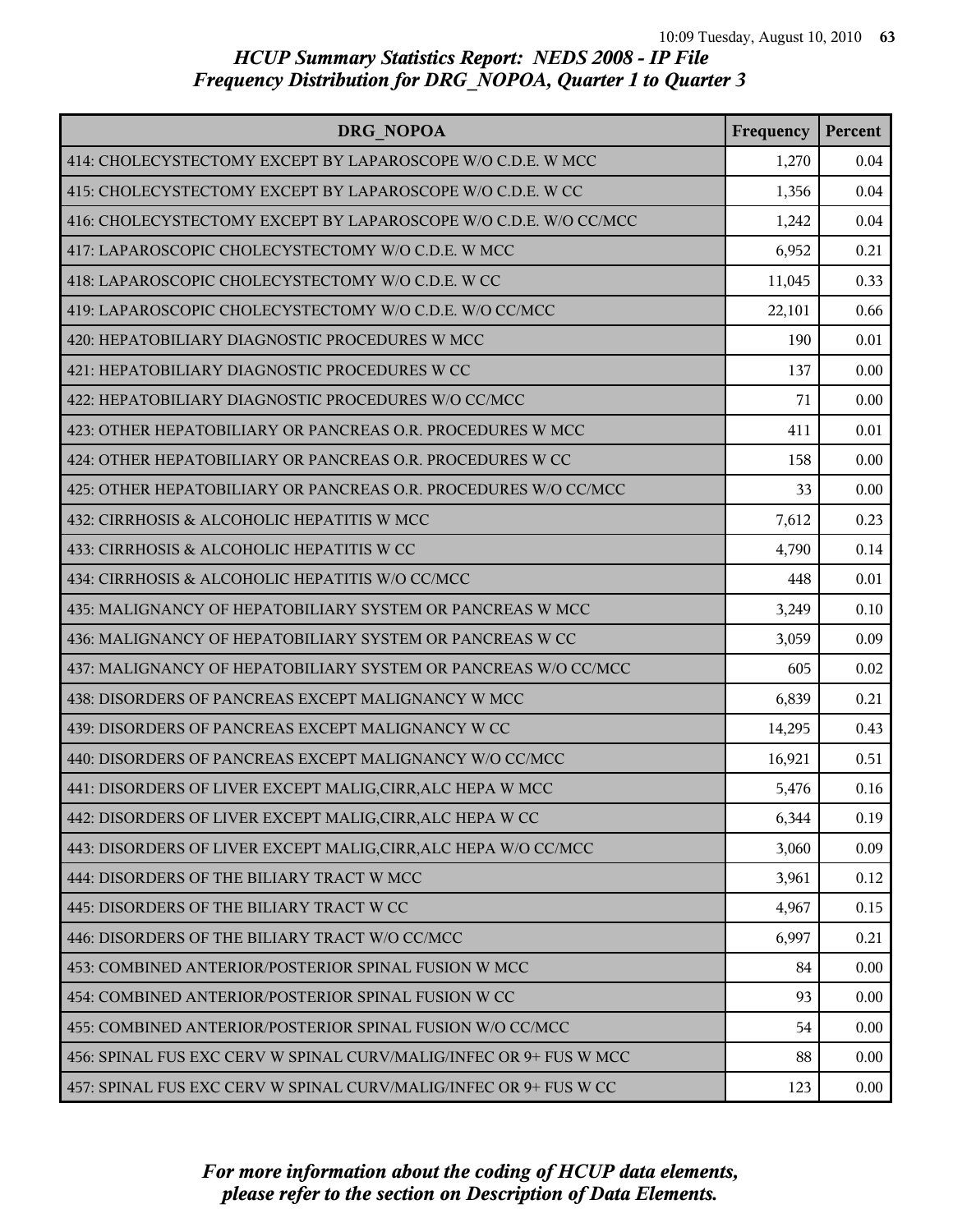| <b>DRG NOPOA</b>                                                   | Frequency | Percent |
|--------------------------------------------------------------------|-----------|---------|
| 414: CHOLECYSTECTOMY EXCEPT BY LAPAROSCOPE W/O C.D.E. W MCC        | 1,270     | 0.04    |
| 415: CHOLECYSTECTOMY EXCEPT BY LAPAROSCOPE W/O C.D.E. W CC         | 1,356     | 0.04    |
| 416: CHOLECYSTECTOMY EXCEPT BY LAPAROSCOPE W/O C.D.E. W/O CC/MCC   | 1,242     | 0.04    |
| 417: LAPAROSCOPIC CHOLECYSTECTOMY W/O C.D.E. W MCC                 | 6,952     | 0.21    |
| 418: LAPAROSCOPIC CHOLECYSTECTOMY W/O C.D.E. W CC                  | 11,045    | 0.33    |
| 419: LAPAROSCOPIC CHOLECYSTECTOMY W/O C.D.E. W/O CC/MCC            | 22,101    | 0.66    |
| 420: HEPATOBILIARY DIAGNOSTIC PROCEDURES W MCC                     | 190       | 0.01    |
| 421: HEPATOBILIARY DIAGNOSTIC PROCEDURES W CC                      | 137       | 0.00    |
| 422: HEPATOBILIARY DIAGNOSTIC PROCEDURES W/O CC/MCC                | 71        | 0.00    |
| 423: OTHER HEPATOBILIARY OR PANCREAS O.R. PROCEDURES W MCC         | 411       | 0.01    |
| 424: OTHER HEPATOBILIARY OR PANCREAS O.R. PROCEDURES W CC          | 158       | 0.00    |
| 425: OTHER HEPATOBILIARY OR PANCREAS O.R. PROCEDURES W/O CC/MCC    | 33        | 0.00    |
| 432: CIRRHOSIS & ALCOHOLIC HEPATITIS W MCC                         | 7,612     | 0.23    |
| 433: CIRRHOSIS & ALCOHOLIC HEPATITIS W CC                          | 4,790     | 0.14    |
| 434: CIRRHOSIS & ALCOHOLIC HEPATITIS W/O CC/MCC                    | 448       | 0.01    |
| 435: MALIGNANCY OF HEPATOBILIARY SYSTEM OR PANCREAS W MCC          | 3,249     | 0.10    |
| 436: MALIGNANCY OF HEPATOBILIARY SYSTEM OR PANCREAS W CC           | 3,059     | 0.09    |
| 437: MALIGNANCY OF HEPATOBILIARY SYSTEM OR PANCREAS W/O CC/MCC     | 605       | 0.02    |
| 438: DISORDERS OF PANCREAS EXCEPT MALIGNANCY W MCC                 | 6,839     | 0.21    |
| 439: DISORDERS OF PANCREAS EXCEPT MALIGNANCY W CC                  | 14,295    | 0.43    |
| 440: DISORDERS OF PANCREAS EXCEPT MALIGNANCY W/O CC/MCC            | 16,921    | 0.51    |
| 441: DISORDERS OF LIVER EXCEPT MALIG, CIRR, ALC HEPA W MCC         | 5,476     | 0.16    |
| 442: DISORDERS OF LIVER EXCEPT MALIG, CIRR, ALC HEPA W CC          | 6,344     | 0.19    |
| 443: DISORDERS OF LIVER EXCEPT MALIG, CIRR, ALC HEPA W/O CC/MCC    | 3,060     | 0.09    |
| 444: DISORDERS OF THE BILIARY TRACT W MCC                          | 3,961     | 0.12    |
| 445: DISORDERS OF THE BILIARY TRACT W CC                           | 4,967     | 0.15    |
| 446: DISORDERS OF THE BILIARY TRACT W/O CC/MCC                     | 6,997     | 0.21    |
| 453: COMBINED ANTERIOR/POSTERIOR SPINAL FUSION W MCC               | 84        | 0.00    |
| 454: COMBINED ANTERIOR/POSTERIOR SPINAL FUSION W CC                | 93        | 0.00    |
| 455: COMBINED ANTERIOR/POSTERIOR SPINAL FUSION W/O CC/MCC          | 54        | 0.00    |
| 456: SPINAL FUS EXC CERV W SPINAL CURV/MALIG/INFEC OR 9+ FUS W MCC | 88        | 0.00    |
| 457: SPINAL FUS EXC CERV W SPINAL CURV/MALIG/INFEC OR 9+ FUS W CC  | 123       | 0.00    |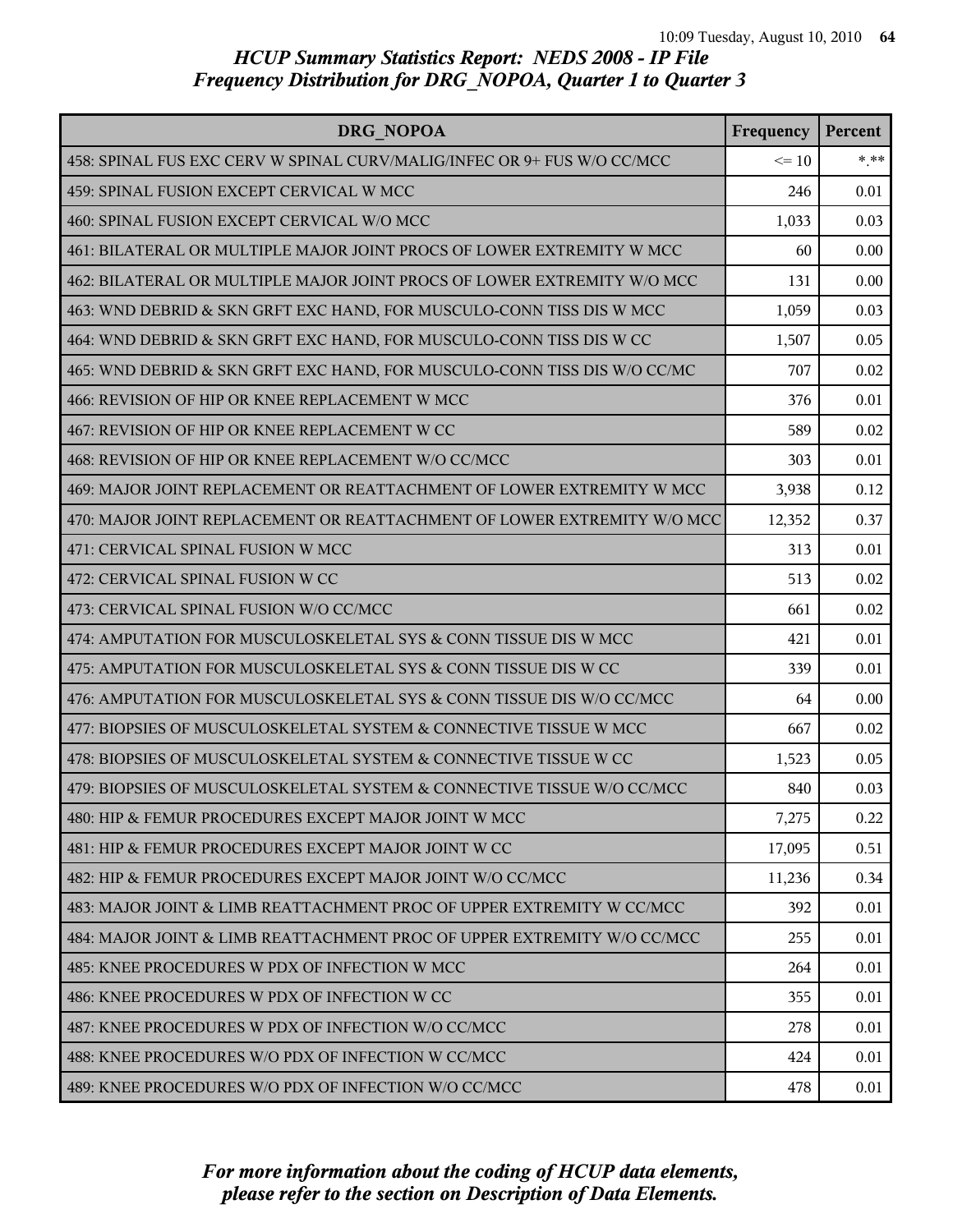| DRG NOPOA                                                                | Frequency | Percent |
|--------------------------------------------------------------------------|-----------|---------|
| 458: SPINAL FUS EXC CERV W SPINAL CURV/MALIG/INFEC OR 9+ FUS W/O CC/MCC  | $\leq 10$ | $***$   |
| 459: SPINAL FUSION EXCEPT CERVICAL W MCC                                 | 246       | 0.01    |
| 460: SPINAL FUSION EXCEPT CERVICAL W/O MCC                               | 1,033     | 0.03    |
| 461: BILATERAL OR MULTIPLE MAJOR JOINT PROCS OF LOWER EXTREMITY W MCC    | 60        | 0.00    |
| 462: BILATERAL OR MULTIPLE MAJOR JOINT PROCS OF LOWER EXTREMITY W/O MCC  | 131       | 0.00    |
| 463: WND DEBRID & SKN GRFT EXC HAND, FOR MUSCULO-CONN TISS DIS W MCC     | 1,059     | 0.03    |
| 464: WND DEBRID & SKN GRFT EXC HAND, FOR MUSCULO-CONN TISS DIS W CC      | 1,507     | 0.05    |
| 465: WND DEBRID & SKN GRFT EXC HAND, FOR MUSCULO-CONN TISS DIS W/O CC/MC | 707       | 0.02    |
| 466: REVISION OF HIP OR KNEE REPLACEMENT W MCC                           | 376       | 0.01    |
| 467: REVISION OF HIP OR KNEE REPLACEMENT W CC                            | 589       | 0.02    |
| 468: REVISION OF HIP OR KNEE REPLACEMENT W/O CC/MCC                      | 303       | 0.01    |
| 469: MAJOR JOINT REPLACEMENT OR REATTACHMENT OF LOWER EXTREMITY W MCC    | 3,938     | 0.12    |
| 470: MAJOR JOINT REPLACEMENT OR REATTACHMENT OF LOWER EXTREMITY W/O MCC  | 12,352    | 0.37    |
| 471: CERVICAL SPINAL FUSION W MCC                                        | 313       | 0.01    |
| 472: CERVICAL SPINAL FUSION W CC                                         | 513       | 0.02    |
| 473: CERVICAL SPINAL FUSION W/O CC/MCC                                   | 661       | 0.02    |
| 474: AMPUTATION FOR MUSCULOSKELETAL SYS & CONN TISSUE DIS W MCC          | 421       | 0.01    |
| 475: AMPUTATION FOR MUSCULOSKELETAL SYS & CONN TISSUE DIS W CC           | 339       | 0.01    |
| 476: AMPUTATION FOR MUSCULOSKELETAL SYS & CONN TISSUE DIS W/O CC/MCC     | 64        | 0.00    |
| 477: BIOPSIES OF MUSCULOSKELETAL SYSTEM & CONNECTIVE TISSUE W MCC        | 667       | 0.02    |
| 478: BIOPSIES OF MUSCULOSKELETAL SYSTEM & CONNECTIVE TISSUE W CC         | 1,523     | 0.05    |
| 479: BIOPSIES OF MUSCULOSKELETAL SYSTEM & CONNECTIVE TISSUE W/O CC/MCC   | 840       | 0.03    |
| 480: HIP & FEMUR PROCEDURES EXCEPT MAJOR JOINT W MCC                     | 7,275     | 0.22    |
| 481: HIP & FEMUR PROCEDURES EXCEPT MAJOR JOINT W CC                      | 17,095    | 0.51    |
| 482: HIP & FEMUR PROCEDURES EXCEPT MAJOR JOINT W/O CC/MCC                | 11,236    | 0.34    |
| 483: MAJOR JOINT & LIMB REATTACHMENT PROC OF UPPER EXTREMITY W CC/MCC    | 392       | 0.01    |
| 484: MAJOR JOINT & LIMB REATTACHMENT PROC OF UPPER EXTREMITY W/O CC/MCC  | 255       | 0.01    |
| 485: KNEE PROCEDURES W PDX OF INFECTION W MCC                            | 264       | 0.01    |
| 486: KNEE PROCEDURES W PDX OF INFECTION W CC                             | 355       | 0.01    |
| 487: KNEE PROCEDURES W PDX OF INFECTION W/O CC/MCC                       | 278       | 0.01    |
| 488: KNEE PROCEDURES W/O PDX OF INFECTION W CC/MCC                       | 424       | 0.01    |
| 489: KNEE PROCEDURES W/O PDX OF INFECTION W/O CC/MCC                     | 478       | 0.01    |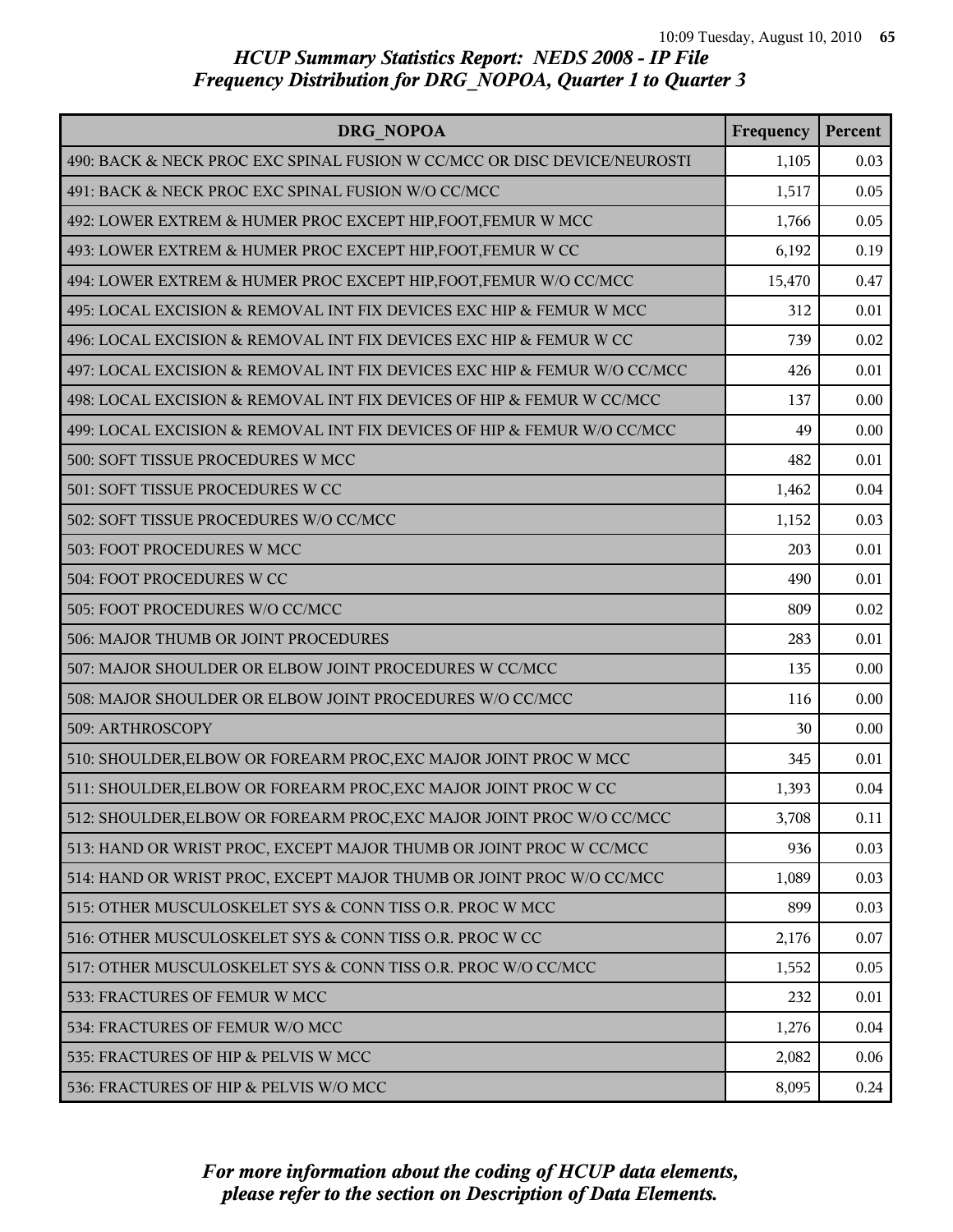| DRG NOPOA                                                                | Frequency | Percent |
|--------------------------------------------------------------------------|-----------|---------|
| 490: BACK & NECK PROC EXC SPINAL FUSION W CC/MCC OR DISC DEVICE/NEUROSTI | 1,105     | 0.03    |
| 491: BACK & NECK PROC EXC SPINAL FUSION W/O CC/MCC                       | 1,517     | 0.05    |
| 492: LOWER EXTREM & HUMER PROC EXCEPT HIP, FOOT, FEMUR W MCC             | 1,766     | 0.05    |
| 493: LOWER EXTREM & HUMER PROC EXCEPT HIP, FOOT, FEMUR W CC              | 6,192     | 0.19    |
| 494: LOWER EXTREM & HUMER PROC EXCEPT HIP, FOOT, FEMUR W/O CC/MCC        | 15,470    | 0.47    |
| 495: LOCAL EXCISION & REMOVAL INT FIX DEVICES EXC HIP & FEMUR W MCC      | 312       | 0.01    |
| 496: LOCAL EXCISION & REMOVAL INT FIX DEVICES EXC HIP & FEMUR W CC       | 739       | 0.02    |
| 497: LOCAL EXCISION & REMOVAL INT FIX DEVICES EXC HIP & FEMUR W/O CC/MCC | 426       | 0.01    |
| 498: LOCAL EXCISION & REMOVAL INT FIX DEVICES OF HIP & FEMUR W CC/MCC    | 137       | 0.00    |
| 499: LOCAL EXCISION & REMOVAL INT FIX DEVICES OF HIP & FEMUR W/O CC/MCC  | 49        | 0.00    |
| 500: SOFT TISSUE PROCEDURES W MCC                                        | 482       | 0.01    |
| 501: SOFT TISSUE PROCEDURES W CC                                         | 1,462     | 0.04    |
| 502: SOFT TISSUE PROCEDURES W/O CC/MCC                                   | 1,152     | 0.03    |
| 503: FOOT PROCEDURES W MCC                                               | 203       | 0.01    |
| 504: FOOT PROCEDURES W CC                                                | 490       | 0.01    |
| 505: FOOT PROCEDURES W/O CC/MCC                                          | 809       | 0.02    |
| 506: MAJOR THUMB OR JOINT PROCEDURES                                     | 283       | 0.01    |
| 507: MAJOR SHOULDER OR ELBOW JOINT PROCEDURES W CC/MCC                   | 135       | 0.00    |
| 508: MAJOR SHOULDER OR ELBOW JOINT PROCEDURES W/O CC/MCC                 | 116       | 0.00    |
| 509: ARTHROSCOPY                                                         | 30        | 0.00    |
| 510: SHOULDER, ELBOW OR FOREARM PROC, EXC MAJOR JOINT PROC W MCC         | 345       | 0.01    |
| 511: SHOULDER, ELBOW OR FOREARM PROC, EXC MAJOR JOINT PROC W CC          | 1,393     | 0.04    |
| 512: SHOULDER, ELBOW OR FOREARM PROC, EXC MAJOR JOINT PROC W/O CC/MCC    | 3,708     | 0.11    |
| 513: HAND OR WRIST PROC, EXCEPT MAJOR THUMB OR JOINT PROC W CC/MCC       | 936       | 0.03    |
| 514: HAND OR WRIST PROC, EXCEPT MAJOR THUMB OR JOINT PROC W/O CC/MCC     | 1,089     | 0.03    |
| 515: OTHER MUSCULOSKELET SYS & CONN TISS O.R. PROC W MCC                 | 899       | 0.03    |
| 516: OTHER MUSCULOSKELET SYS & CONN TISS O.R. PROC W CC                  | 2,176     | 0.07    |
| 517: OTHER MUSCULOSKELET SYS & CONN TISS O.R. PROC W/O CC/MCC            | 1,552     | 0.05    |
| 533: FRACTURES OF FEMUR W MCC                                            | 232       | 0.01    |
| 534: FRACTURES OF FEMUR W/O MCC                                          | 1,276     | 0.04    |
| 535: FRACTURES OF HIP & PELVIS W MCC                                     | 2,082     | 0.06    |
| 536: FRACTURES OF HIP & PELVIS W/O MCC                                   | 8,095     | 0.24    |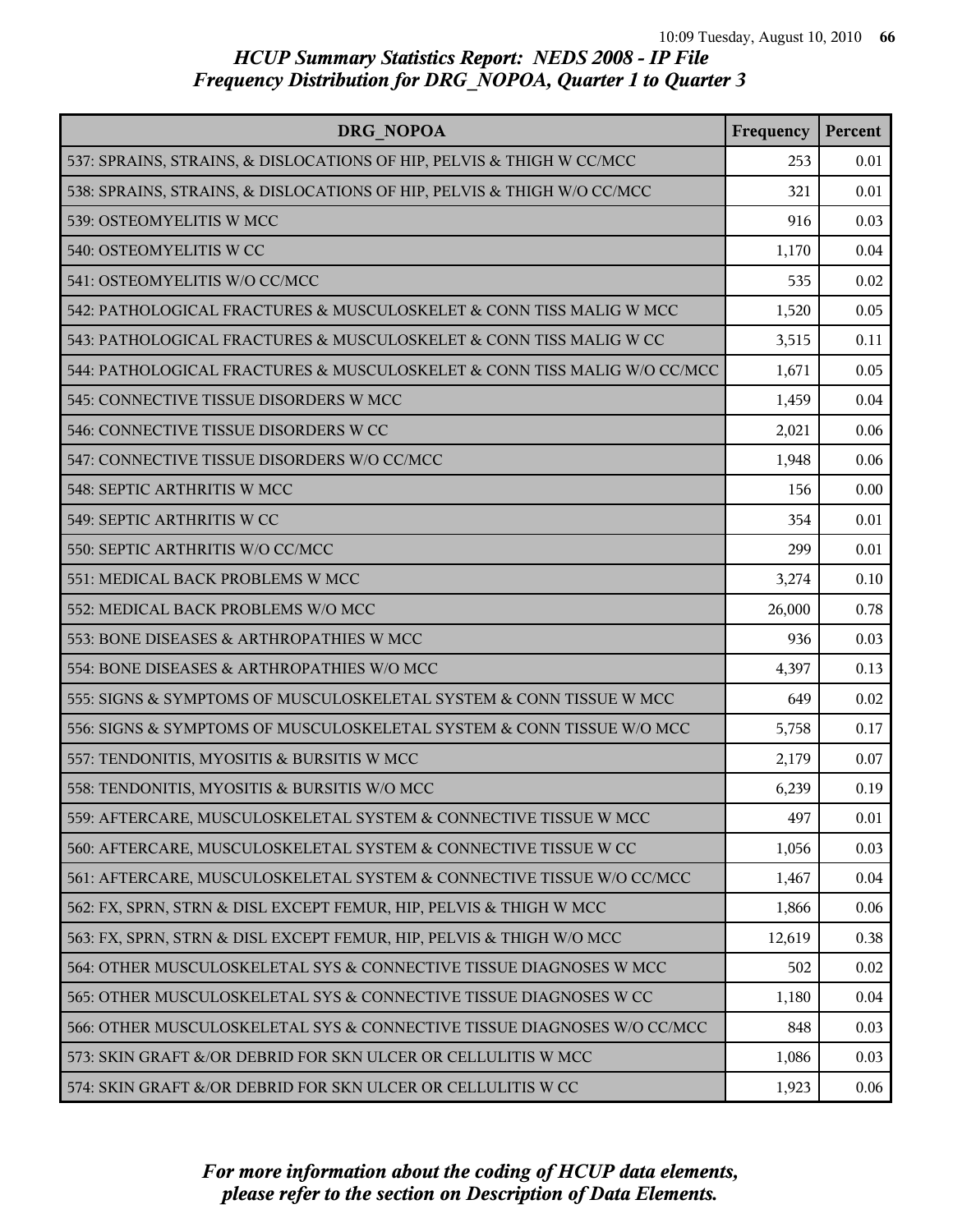| <b>DRG NOPOA</b>                                                         | Frequency | Percent |
|--------------------------------------------------------------------------|-----------|---------|
| 537: SPRAINS, STRAINS, & DISLOCATIONS OF HIP, PELVIS & THIGH W CC/MCC    | 253       | 0.01    |
| 538: SPRAINS, STRAINS, & DISLOCATIONS OF HIP, PELVIS & THIGH W/O CC/MCC  | 321       | 0.01    |
| 539: OSTEOMYELITIS W MCC                                                 | 916       | 0.03    |
| 540: OSTEOMYELITIS W CC                                                  | 1,170     | 0.04    |
| 541: OSTEOMYELITIS W/O CC/MCC                                            | 535       | 0.02    |
| 542: PATHOLOGICAL FRACTURES & MUSCULOSKELET & CONN TISS MALIG W MCC      | 1,520     | 0.05    |
| 543: PATHOLOGICAL FRACTURES & MUSCULOSKELET & CONN TISS MALIG W CC       | 3,515     | 0.11    |
| 544: PATHOLOGICAL FRACTURES & MUSCULOSKELET & CONN TISS MALIG W/O CC/MCC | 1,671     | 0.05    |
| 545: CONNECTIVE TISSUE DISORDERS W MCC                                   | 1,459     | 0.04    |
| 546: CONNECTIVE TISSUE DISORDERS W CC                                    | 2,021     | 0.06    |
| 547: CONNECTIVE TISSUE DISORDERS W/O CC/MCC                              | 1,948     | 0.06    |
| 548: SEPTIC ARTHRITIS W MCC                                              | 156       | 0.00    |
| 549: SEPTIC ARTHRITIS W CC                                               | 354       | 0.01    |
| 550: SEPTIC ARTHRITIS W/O CC/MCC                                         | 299       | 0.01    |
| 551: MEDICAL BACK PROBLEMS W MCC                                         | 3,274     | 0.10    |
| 552: MEDICAL BACK PROBLEMS W/O MCC                                       | 26,000    | 0.78    |
| 553: BONE DISEASES & ARTHROPATHIES W MCC                                 | 936       | 0.03    |
| 554: BONE DISEASES & ARTHROPATHIES W/O MCC                               | 4,397     | 0.13    |
| 555: SIGNS & SYMPTOMS OF MUSCULOSKELETAL SYSTEM & CONN TISSUE W MCC      | 649       | 0.02    |
| 556: SIGNS & SYMPTOMS OF MUSCULOSKELETAL SYSTEM & CONN TISSUE W/O MCC    | 5,758     | 0.17    |
| 557: TENDONITIS, MYOSITIS & BURSITIS W MCC                               | 2,179     | 0.07    |
| 558: TENDONITIS, MYOSITIS & BURSITIS W/O MCC                             | 6,239     | 0.19    |
| 559: AFTERCARE, MUSCULOSKELETAL SYSTEM & CONNECTIVE TISSUE W MCC         | 497       | 0.01    |
| 560: AFTERCARE, MUSCULOSKELETAL SYSTEM & CONNECTIVE TISSUE W CC          | 1,056     | 0.03    |
| 561: AFTERCARE, MUSCULOSKELETAL SYSTEM & CONNECTIVE TISSUE W/O CC/MCC    | 1,467     | 0.04    |
| 562: FX, SPRN, STRN & DISL EXCEPT FEMUR, HIP, PELVIS & THIGH W MCC       | 1,866     | 0.06    |
| 563: FX, SPRN, STRN & DISL EXCEPT FEMUR, HIP, PELVIS & THIGH W/O MCC     | 12,619    | 0.38    |
| 564: OTHER MUSCULOSKELETAL SYS & CONNECTIVE TISSUE DIAGNOSES W MCC       | 502       | 0.02    |
| 565: OTHER MUSCULOSKELETAL SYS & CONNECTIVE TISSUE DIAGNOSES W CC        | 1,180     | 0.04    |
| 566: OTHER MUSCULOSKELETAL SYS & CONNECTIVE TISSUE DIAGNOSES W/O CC/MCC  | 848       | 0.03    |
| 573: SKIN GRAFT &/OR DEBRID FOR SKN ULCER OR CELLULITIS W MCC            | 1,086     | 0.03    |
| 574: SKIN GRAFT &/OR DEBRID FOR SKN ULCER OR CELLULITIS W CC             | 1,923     | 0.06    |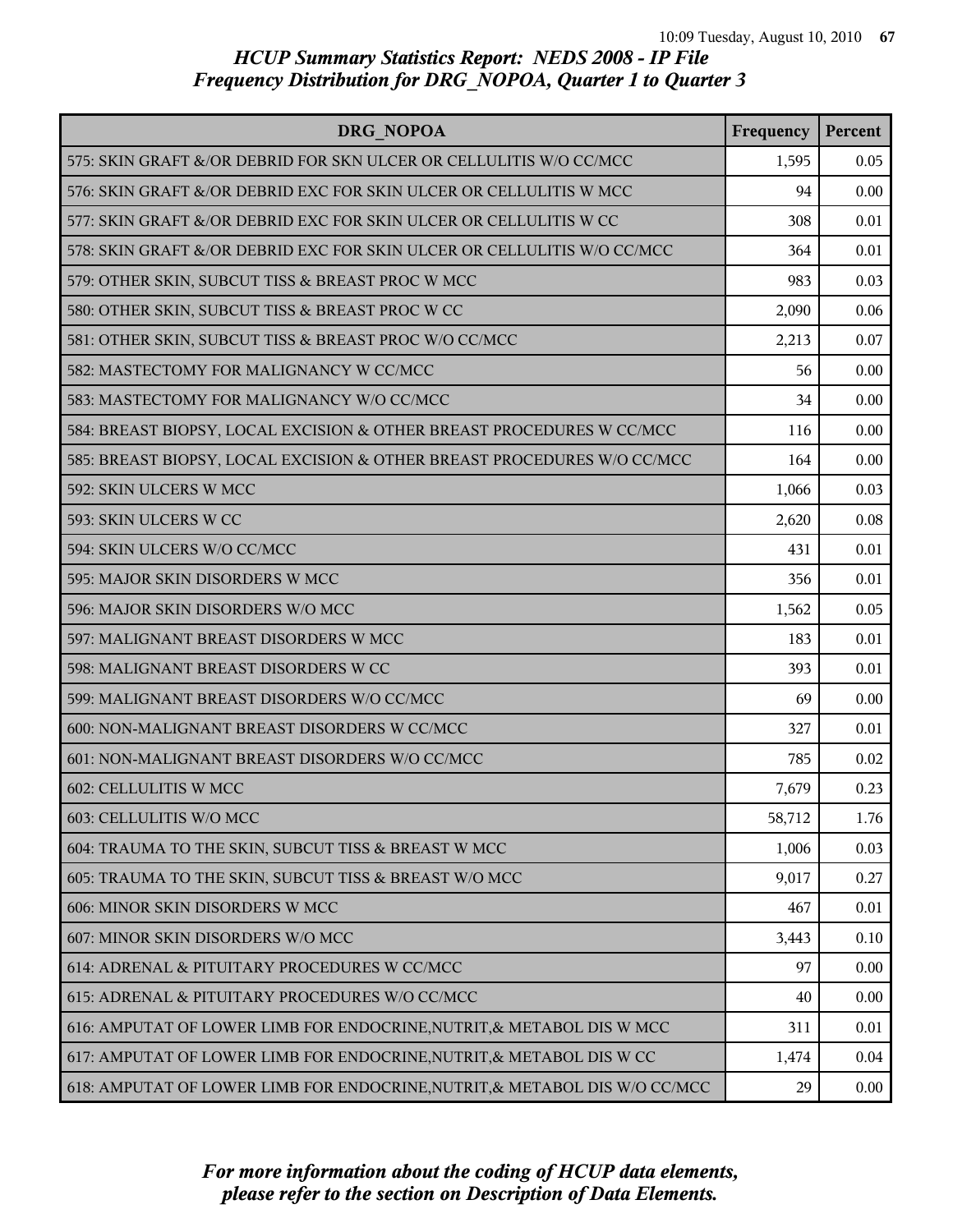| DRG NOPOA                                                                  | Frequency | Percent |
|----------------------------------------------------------------------------|-----------|---------|
| 575: SKIN GRAFT &/OR DEBRID FOR SKN ULCER OR CELLULITIS W/O CC/MCC         | 1,595     | 0.05    |
| 576: SKIN GRAFT &/OR DEBRID EXC FOR SKIN ULCER OR CELLULITIS W MCC         | 94        | 0.00    |
| 577: SKIN GRAFT &/OR DEBRID EXC FOR SKIN ULCER OR CELLULITIS W CC          | 308       | 0.01    |
| 578: SKIN GRAFT &/OR DEBRID EXC FOR SKIN ULCER OR CELLULITIS W/O CC/MCC    | 364       | 0.01    |
| 579: OTHER SKIN, SUBCUT TISS & BREAST PROC W MCC                           | 983       | 0.03    |
| 580: OTHER SKIN, SUBCUT TISS & BREAST PROC W CC                            | 2,090     | 0.06    |
| 581: OTHER SKIN, SUBCUT TISS & BREAST PROC W/O CC/MCC                      | 2,213     | 0.07    |
| 582: MASTECTOMY FOR MALIGNANCY W CC/MCC                                    | 56        | 0.00    |
| 583: MASTECTOMY FOR MALIGNANCY W/O CC/MCC                                  | 34        | 0.00    |
| 584: BREAST BIOPSY, LOCAL EXCISION & OTHER BREAST PROCEDURES W CC/MCC      | 116       | 0.00    |
| 585: BREAST BIOPSY, LOCAL EXCISION & OTHER BREAST PROCEDURES W/O CC/MCC    | 164       | 0.00    |
| 592: SKIN ULCERS W MCC                                                     | 1,066     | 0.03    |
| 593: SKIN ULCERS W CC                                                      | 2,620     | 0.08    |
| 594: SKIN ULCERS W/O CC/MCC                                                | 431       | 0.01    |
| 595: MAJOR SKIN DISORDERS W MCC                                            | 356       | 0.01    |
| 596: MAJOR SKIN DISORDERS W/O MCC                                          | 1,562     | 0.05    |
| 597: MALIGNANT BREAST DISORDERS W MCC                                      | 183       | 0.01    |
| 598: MALIGNANT BREAST DISORDERS W CC                                       | 393       | 0.01    |
| 599: MALIGNANT BREAST DISORDERS W/O CC/MCC                                 | 69        | 0.00    |
| 600: NON-MALIGNANT BREAST DISORDERS W CC/MCC                               | 327       | 0.01    |
| 601: NON-MALIGNANT BREAST DISORDERS W/O CC/MCC                             | 785       | 0.02    |
| 602: CELLULITIS W MCC                                                      | 7,679     | 0.23    |
| 603: CELLULITIS W/O MCC                                                    | 58,712    | 1.76    |
| 604: TRAUMA TO THE SKIN, SUBCUT TISS & BREAST W MCC                        | 1,006     | 0.03    |
| 605: TRAUMA TO THE SKIN, SUBCUT TISS & BREAST W/O MCC                      | 9,017     | 0.27    |
| 606: MINOR SKIN DISORDERS W MCC                                            | 467       | 0.01    |
| 607: MINOR SKIN DISORDERS W/O MCC                                          | 3,443     | 0.10    |
| 614: ADRENAL & PITUITARY PROCEDURES W CC/MCC                               | 97        | 0.00    |
| 615: ADRENAL & PITUITARY PROCEDURES W/O CC/MCC                             | 40        | 0.00    |
| 616: AMPUTAT OF LOWER LIMB FOR ENDOCRINE, NUTRIT, & METABOL DIS W MCC      | 311       | 0.01    |
| 617: AMPUTAT OF LOWER LIMB FOR ENDOCRINE, NUTRIT, & METABOL DIS W CC       | 1,474     | 0.04    |
| 618: AMPUTAT OF LOWER LIMB FOR ENDOCRINE, NUTRIT, & METABOL DIS W/O CC/MCC | 29        | 0.00    |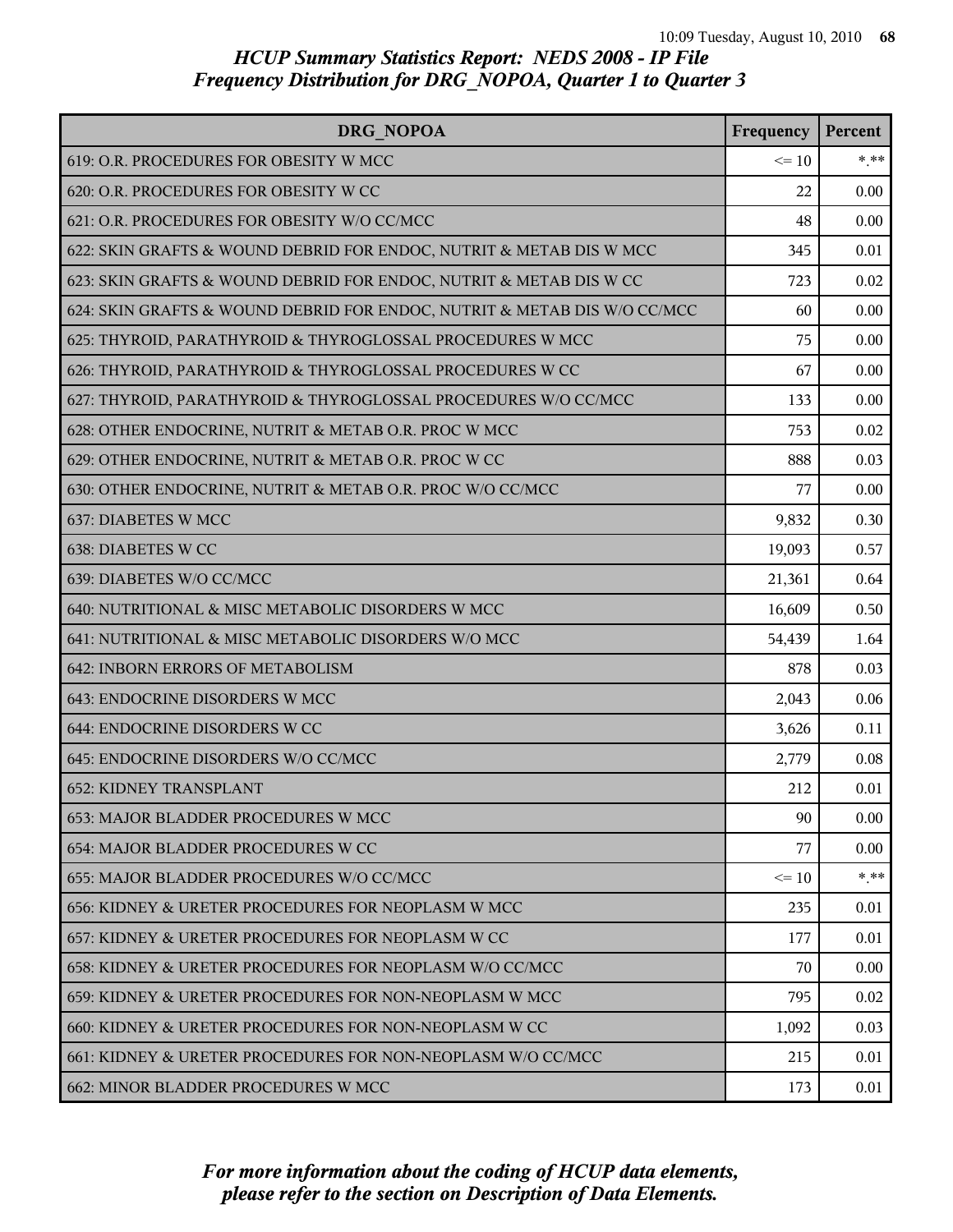| DRG NOPOA                                                                | Frequency | Percent |
|--------------------------------------------------------------------------|-----------|---------|
| 619: O.R. PROCEDURES FOR OBESITY W MCC                                   | $\leq 10$ | $*$ **  |
| 620: O.R. PROCEDURES FOR OBESITY W CC                                    | 22        | 0.00    |
| 621: O.R. PROCEDURES FOR OBESITY W/O CC/MCC                              | 48        | 0.00    |
| 622: SKIN GRAFTS & WOUND DEBRID FOR ENDOC, NUTRIT & METAB DIS W MCC      | 345       | 0.01    |
| 623: SKIN GRAFTS & WOUND DEBRID FOR ENDOC, NUTRIT & METAB DIS W CC       | 723       | 0.02    |
| 624: SKIN GRAFTS & WOUND DEBRID FOR ENDOC, NUTRIT & METAB DIS W/O CC/MCC | 60        | 0.00    |
| 625: THYROID, PARATHYROID & THYROGLOSSAL PROCEDURES W MCC                | 75        | 0.00    |
| 626: THYROID, PARATHYROID & THYROGLOSSAL PROCEDURES W CC                 | 67        | 0.00    |
| 627: THYROID, PARATHYROID & THYROGLOSSAL PROCEDURES W/O CC/MCC           | 133       | 0.00    |
| 628: OTHER ENDOCRINE, NUTRIT & METAB O.R. PROC W MCC                     | 753       | 0.02    |
| 629: OTHER ENDOCRINE, NUTRIT & METAB O.R. PROC W CC                      | 888       | 0.03    |
| 630: OTHER ENDOCRINE, NUTRIT & METAB O.R. PROC W/O CC/MCC                | 77        | 0.00    |
| 637: DIABETES W MCC                                                      | 9,832     | 0.30    |
| 638: DIABETES W CC                                                       | 19,093    | 0.57    |
| 639: DIABETES W/O CC/MCC                                                 | 21,361    | 0.64    |
| 640: NUTRITIONAL & MISC METABOLIC DISORDERS W MCC                        | 16,609    | 0.50    |
| 641: NUTRITIONAL & MISC METABOLIC DISORDERS W/O MCC                      | 54,439    | 1.64    |
| 642: INBORN ERRORS OF METABOLISM                                         | 878       | 0.03    |
| 643: ENDOCRINE DISORDERS W MCC                                           | 2,043     | 0.06    |
| 644: ENDOCRINE DISORDERS W CC                                            | 3,626     | 0.11    |
| 645: ENDOCRINE DISORDERS W/O CC/MCC                                      | 2,779     | 0.08    |
| <b>652: KIDNEY TRANSPLANT</b>                                            | 212       | 0.01    |
| 653: MAJOR BLADDER PROCEDURES W MCC                                      | 90        | 0.00    |
| 654: MAJOR BLADDER PROCEDURES W CC                                       | 77        | 0.00    |
| 655: MAJOR BLADDER PROCEDURES W/O CC/MCC                                 | $\leq$ 10 | $***$   |
| 656: KIDNEY & URETER PROCEDURES FOR NEOPLASM W MCC                       | 235       | 0.01    |
| 657: KIDNEY & URETER PROCEDURES FOR NEOPLASM W CC                        | 177       | 0.01    |
| 658: KIDNEY & URETER PROCEDURES FOR NEOPLASM W/O CC/MCC                  | 70        | 0.00    |
| 659: KIDNEY & URETER PROCEDURES FOR NON-NEOPLASM W MCC                   | 795       | 0.02    |
| 660: KIDNEY & URETER PROCEDURES FOR NON-NEOPLASM W CC                    | 1,092     | 0.03    |
| 661: KIDNEY & URETER PROCEDURES FOR NON-NEOPLASM W/O CC/MCC              | 215       | 0.01    |
| 662: MINOR BLADDER PROCEDURES W MCC                                      | 173       | 0.01    |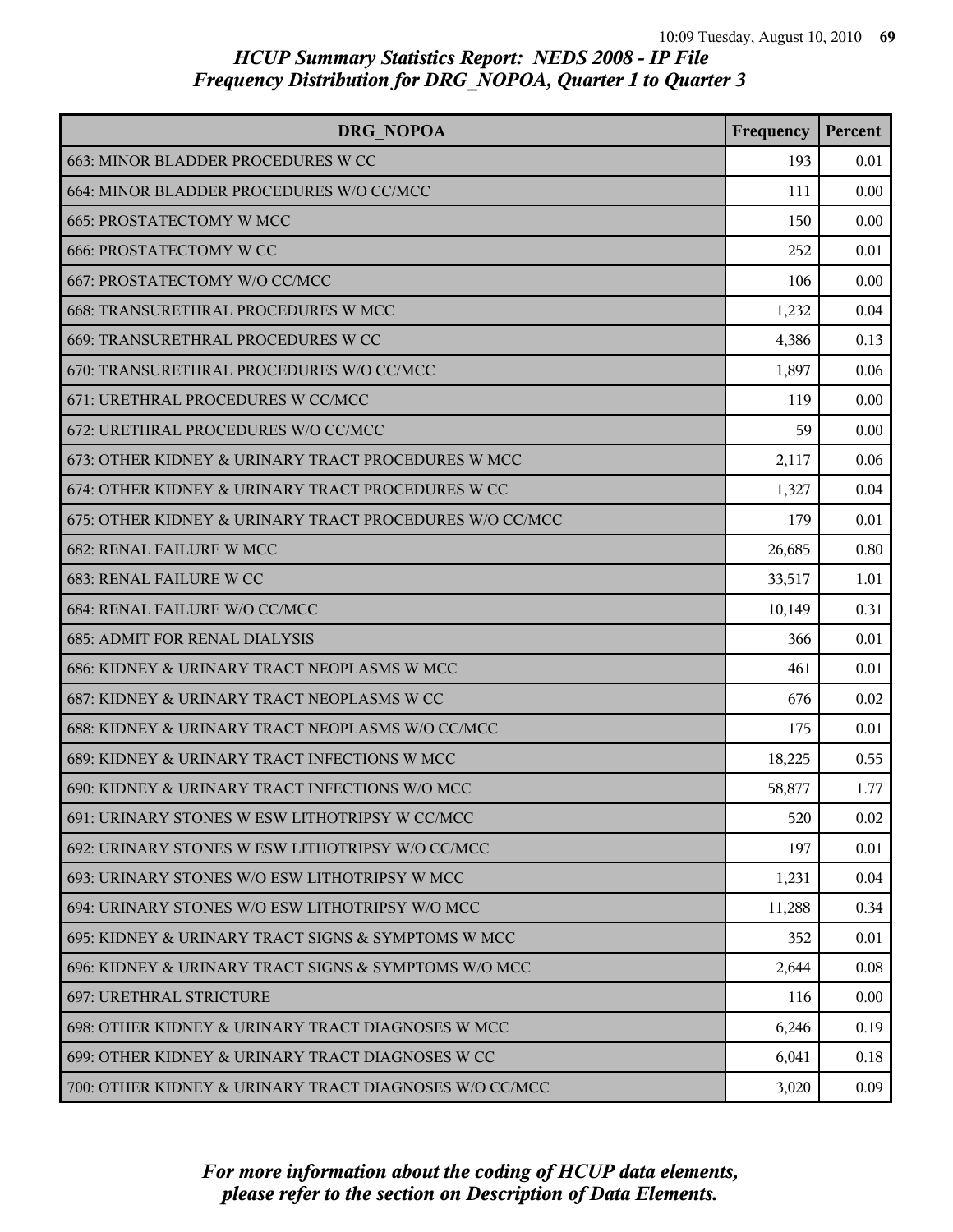| DRG NOPOA                                               | Frequency | Percent |
|---------------------------------------------------------|-----------|---------|
| 663: MINOR BLADDER PROCEDURES W CC                      | 193       | 0.01    |
| 664: MINOR BLADDER PROCEDURES W/O CC/MCC                | 111       | 0.00    |
| 665: PROSTATECTOMY W MCC                                | 150       | 0.00    |
| <b>666: PROSTATECTOMY W CC</b>                          | 252       | 0.01    |
| 667: PROSTATECTOMY W/O CC/MCC                           | 106       | 0.00    |
| 668: TRANSURETHRAL PROCEDURES W MCC                     | 1,232     | 0.04    |
| 669: TRANSURETHRAL PROCEDURES W CC                      | 4,386     | 0.13    |
| 670: TRANSURETHRAL PROCEDURES W/O CC/MCC                | 1,897     | 0.06    |
| 671: URETHRAL PROCEDURES W CC/MCC                       | 119       | 0.00    |
| 672: URETHRAL PROCEDURES W/O CC/MCC                     | 59        | 0.00    |
| 673: OTHER KIDNEY & URINARY TRACT PROCEDURES W MCC      | 2,117     | 0.06    |
| 674: OTHER KIDNEY & URINARY TRACT PROCEDURES W CC       | 1,327     | 0.04    |
| 675: OTHER KIDNEY & URINARY TRACT PROCEDURES W/O CC/MCC | 179       | 0.01    |
| 682: RENAL FAILURE W MCC                                | 26,685    | 0.80    |
| 683: RENAL FAILURE W CC                                 | 33,517    | 1.01    |
| 684: RENAL FAILURE W/O CC/MCC                           | 10,149    | 0.31    |
| <b>685: ADMIT FOR RENAL DIALYSIS</b>                    | 366       | 0.01    |
| 686: KIDNEY & URINARY TRACT NEOPLASMS W MCC             | 461       | 0.01    |
| 687: KIDNEY & URINARY TRACT NEOPLASMS W CC              | 676       | 0.02    |
| 688: KIDNEY & URINARY TRACT NEOPLASMS W/O CC/MCC        | 175       | 0.01    |
| 689: KIDNEY & URINARY TRACT INFECTIONS W MCC            | 18,225    | 0.55    |
| 690: KIDNEY & URINARY TRACT INFECTIONS W/O MCC          | 58,877    | 1.77    |
| 691: URINARY STONES W ESW LITHOTRIPSY W CC/MCC          | 520       | 0.02    |
| 692: URINARY STONES W ESW LITHOTRIPSY W/O CC/MCC        | 197       | 0.01    |
| 693: URINARY STONES W/O ESW LITHOTRIPSY W MCC           | 1,231     | 0.04    |
| 694: URINARY STONES W/O ESW LITHOTRIPSY W/O MCC         | 11,288    | 0.34    |
| 695: KIDNEY & URINARY TRACT SIGNS & SYMPTOMS W MCC      | 352       | 0.01    |
| 696: KIDNEY & URINARY TRACT SIGNS & SYMPTOMS W/O MCC    | 2,644     | 0.08    |
| <b>697: URETHRAL STRICTURE</b>                          | 116       | 0.00    |
| 698: OTHER KIDNEY & URINARY TRACT DIAGNOSES W MCC       | 6,246     | 0.19    |
| 699: OTHER KIDNEY & URINARY TRACT DIAGNOSES W CC        | 6,041     | 0.18    |
| 700: OTHER KIDNEY & URINARY TRACT DIAGNOSES W/O CC/MCC  | 3,020     | 0.09    |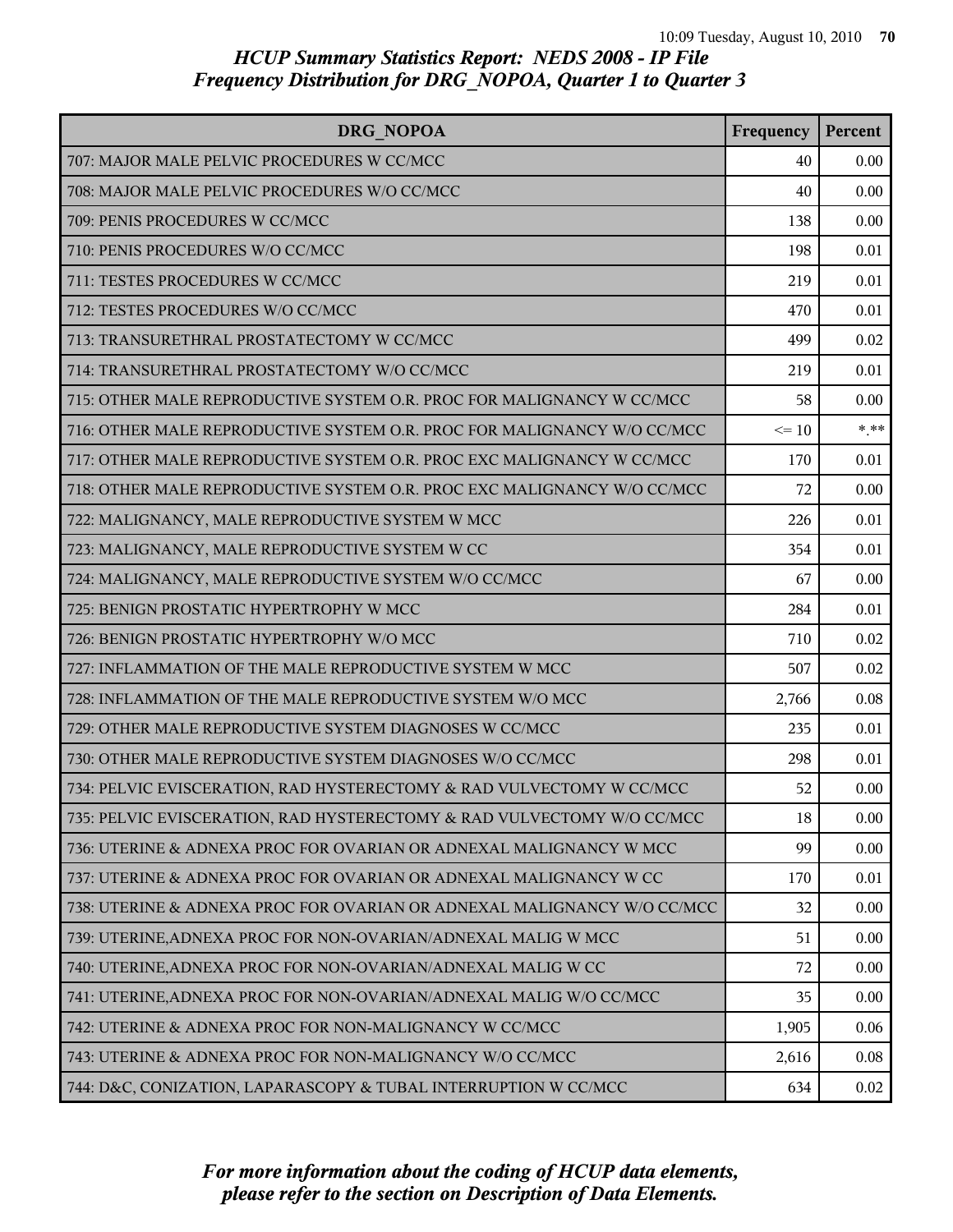| DRG NOPOA                                                               | Frequency | Percent |
|-------------------------------------------------------------------------|-----------|---------|
| 707: MAJOR MALE PELVIC PROCEDURES W CC/MCC                              | 40        | 0.00    |
| 708: MAJOR MALE PELVIC PROCEDURES W/O CC/MCC                            | 40        | 0.00    |
| 709: PENIS PROCEDURES W CC/MCC                                          | 138       | 0.00    |
| 710: PENIS PROCEDURES W/O CC/MCC                                        | 198       | 0.01    |
| 711: TESTES PROCEDURES W CC/MCC                                         | 219       | 0.01    |
| 712: TESTES PROCEDURES W/O CC/MCC                                       | 470       | 0.01    |
| 713: TRANSURETHRAL PROSTATECTOMY W CC/MCC                               | 499       | 0.02    |
| 714: TRANSURETHRAL PROSTATECTOMY W/O CC/MCC                             | 219       | 0.01    |
| 715: OTHER MALE REPRODUCTIVE SYSTEM O.R. PROC FOR MALIGNANCY W CC/MCC   | 58        | 0.00    |
| 716: OTHER MALE REPRODUCTIVE SYSTEM O.R. PROC FOR MALIGNANCY W/O CC/MCC | $\leq 10$ | $*$ **  |
| 717: OTHER MALE REPRODUCTIVE SYSTEM O.R. PROC EXC MALIGNANCY W CC/MCC   | 170       | 0.01    |
| 718: OTHER MALE REPRODUCTIVE SYSTEM O.R. PROC EXC MALIGNANCY W/O CC/MCC | 72        | 0.00    |
| 722: MALIGNANCY, MALE REPRODUCTIVE SYSTEM W MCC                         | 226       | 0.01    |
| 723: MALIGNANCY, MALE REPRODUCTIVE SYSTEM W CC                          | 354       | 0.01    |
| 724: MALIGNANCY, MALE REPRODUCTIVE SYSTEM W/O CC/MCC                    | 67        | 0.00    |
| 725: BENIGN PROSTATIC HYPERTROPHY W MCC                                 | 284       | 0.01    |
| 726: BENIGN PROSTATIC HYPERTROPHY W/O MCC                               | 710       | 0.02    |
| 727: INFLAMMATION OF THE MALE REPRODUCTIVE SYSTEM W MCC                 | 507       | 0.02    |
| 728: INFLAMMATION OF THE MALE REPRODUCTIVE SYSTEM W/O MCC               | 2,766     | 0.08    |
| 729: OTHER MALE REPRODUCTIVE SYSTEM DIAGNOSES W CC/MCC                  | 235       | 0.01    |
| 730: OTHER MALE REPRODUCTIVE SYSTEM DIAGNOSES W/O CC/MCC                | 298       | 0.01    |
| 734: PELVIC EVISCERATION, RAD HYSTERECTOMY & RAD VULVECTOMY W CC/MCC    | 52        | 0.00    |
| 735: PELVIC EVISCERATION, RAD HYSTERECTOMY & RAD VULVECTOMY W/O CC/MCC  | 18        | 0.00    |
| 736: UTERINE & ADNEXA PROC FOR OVARIAN OR ADNEXAL MALIGNANCY W MCC      | 99        | 0.00    |
| 737: UTERINE & ADNEXA PROC FOR OVARIAN OR ADNEXAL MALIGNANCY W CC       | 170       | 0.01    |
| 738: UTERINE & ADNEXA PROC FOR OVARIAN OR ADNEXAL MALIGNANCY W/O CC/MCC | 32        | 0.00    |
| 739: UTERINE, ADNEXA PROC FOR NON-OVARIAN/ADNEXAL MALIG W MCC           | 51        | 0.00    |
| 740: UTERINE, ADNEXA PROC FOR NON-OVARIAN/ADNEXAL MALIG W CC            | 72        | 0.00    |
| 741: UTERINE, ADNEXA PROC FOR NON-OVARIAN/ADNEXAL MALIG W/O CC/MCC      | 35        | 0.00    |
| 742: UTERINE & ADNEXA PROC FOR NON-MALIGNANCY W CC/MCC                  | 1,905     | 0.06    |
| 743: UTERINE & ADNEXA PROC FOR NON-MALIGNANCY W/O CC/MCC                | 2,616     | 0.08    |
| 744: D&C, CONIZATION, LAPARASCOPY & TUBAL INTERRUPTION W CC/MCC         | 634       | 0.02    |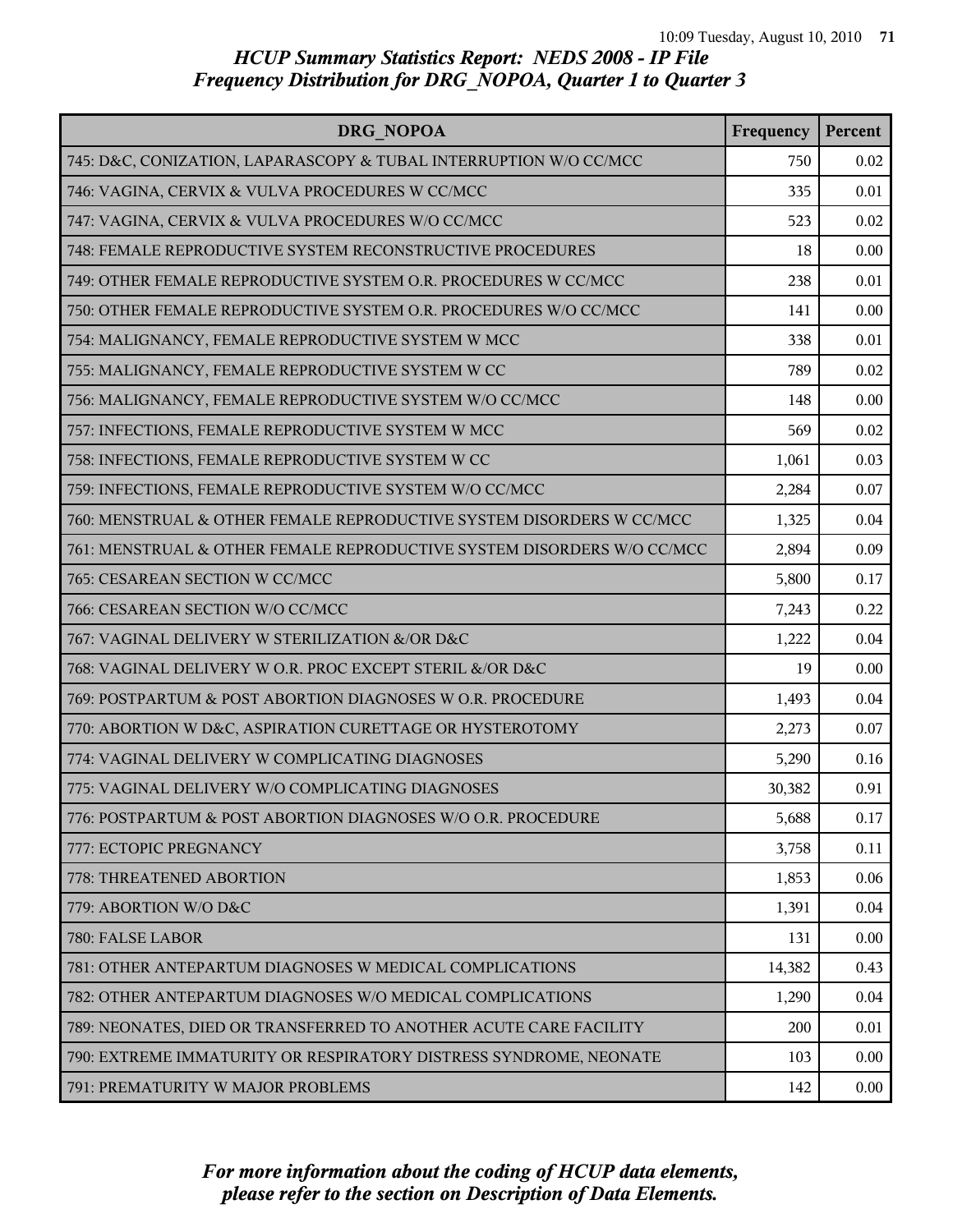| <b>DRG NOPOA</b>                                                       | Frequency | Percent |
|------------------------------------------------------------------------|-----------|---------|
| 745: D&C, CONIZATION, LAPARASCOPY & TUBAL INTERRUPTION W/O CC/MCC      | 750       | 0.02    |
| 746: VAGINA, CERVIX & VULVA PROCEDURES W CC/MCC                        | 335       | 0.01    |
| 747: VAGINA, CERVIX & VULVA PROCEDURES W/O CC/MCC                      | 523       | 0.02    |
| 748: FEMALE REPRODUCTIVE SYSTEM RECONSTRUCTIVE PROCEDURES              | 18        | 0.00    |
| 749: OTHER FEMALE REPRODUCTIVE SYSTEM O.R. PROCEDURES W CC/MCC         | 238       | 0.01    |
| 750: OTHER FEMALE REPRODUCTIVE SYSTEM O.R. PROCEDURES W/O CC/MCC       | 141       | 0.00    |
| 754: MALIGNANCY, FEMALE REPRODUCTIVE SYSTEM W MCC                      | 338       | 0.01    |
| 755: MALIGNANCY, FEMALE REPRODUCTIVE SYSTEM W CC                       | 789       | 0.02    |
| 756: MALIGNANCY, FEMALE REPRODUCTIVE SYSTEM W/O CC/MCC                 | 148       | 0.00    |
| 757: INFECTIONS, FEMALE REPRODUCTIVE SYSTEM W MCC                      | 569       | 0.02    |
| 758: INFECTIONS, FEMALE REPRODUCTIVE SYSTEM W CC                       | 1,061     | 0.03    |
| 759: INFECTIONS, FEMALE REPRODUCTIVE SYSTEM W/O CC/MCC                 | 2,284     | 0.07    |
| 760: MENSTRUAL & OTHER FEMALE REPRODUCTIVE SYSTEM DISORDERS W CC/MCC   | 1,325     | 0.04    |
| 761: MENSTRUAL & OTHER FEMALE REPRODUCTIVE SYSTEM DISORDERS W/O CC/MCC | 2,894     | 0.09    |
| 765: CESAREAN SECTION W CC/MCC                                         | 5,800     | 0.17    |
| 766: CESAREAN SECTION W/O CC/MCC                                       | 7,243     | 0.22    |
| 767: VAGINAL DELIVERY W STERILIZATION &/OR D&C                         | 1,222     | 0.04    |
| 768: VAGINAL DELIVERY W O.R. PROC EXCEPT STERIL &/OR D&C               | 19        | 0.00    |
| 769: POSTPARTUM & POST ABORTION DIAGNOSES W O.R. PROCEDURE             | 1,493     | 0.04    |
| 770: ABORTION W D&C, ASPIRATION CURETTAGE OR HYSTEROTOMY               | 2,273     | 0.07    |
| 774: VAGINAL DELIVERY W COMPLICATING DIAGNOSES                         | 5,290     | 0.16    |
| 775: VAGINAL DELIVERY W/O COMPLICATING DIAGNOSES                       | 30,382    | 0.91    |
| 776: POSTPARTUM & POST ABORTION DIAGNOSES W/O O.R. PROCEDURE           | 5,688     | 0.17    |
| 777: ECTOPIC PREGNANCY                                                 | 3,758     | 0.11    |
| 778: THREATENED ABORTION                                               | 1,853     | 0.06    |
| 779: ABORTION W/O D&C                                                  | 1,391     | 0.04    |
| 780: FALSE LABOR                                                       | 131       | 0.00    |
| 781: OTHER ANTEPARTUM DIAGNOSES W MEDICAL COMPLICATIONS                | 14,382    | 0.43    |
| 782: OTHER ANTEPARTUM DIAGNOSES W/O MEDICAL COMPLICATIONS              | 1,290     | 0.04    |
| 789: NEONATES, DIED OR TRANSFERRED TO ANOTHER ACUTE CARE FACILITY      | 200       | 0.01    |
| 790: EXTREME IMMATURITY OR RESPIRATORY DISTRESS SYNDROME, NEONATE      | 103       | 0.00    |
| 791: PREMATURITY W MAJOR PROBLEMS                                      | 142       | 0.00    |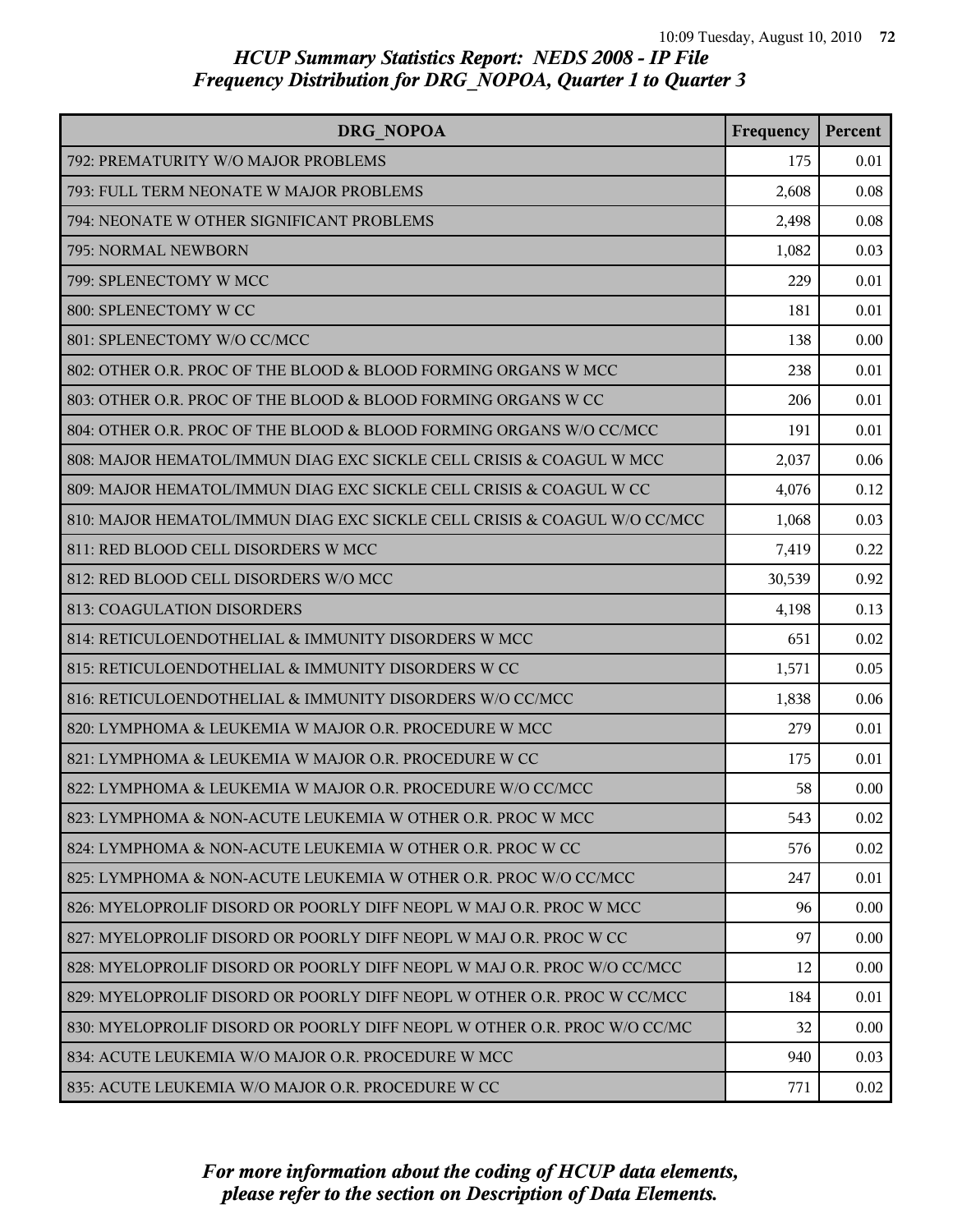| DRG NOPOA                                                                | Frequency | Percent  |
|--------------------------------------------------------------------------|-----------|----------|
| 792: PREMATURITY W/O MAJOR PROBLEMS                                      | 175       | 0.01     |
| 793: FULL TERM NEONATE W MAJOR PROBLEMS                                  | 2,608     | 0.08     |
| 794: NEONATE W OTHER SIGNIFICANT PROBLEMS                                | 2,498     | 0.08     |
| 795: NORMAL NEWBORN                                                      | 1,082     | 0.03     |
| 799: SPLENECTOMY W MCC                                                   | 229       | 0.01     |
| 800: SPLENECTOMY W CC                                                    | 181       | 0.01     |
| 801: SPLENECTOMY W/O CC/MCC                                              | 138       | 0.00     |
| 802: OTHER O.R. PROC OF THE BLOOD & BLOOD FORMING ORGANS W MCC           | 238       | 0.01     |
| 803: OTHER O.R. PROC OF THE BLOOD & BLOOD FORMING ORGANS W CC            | 206       | 0.01     |
| 804: OTHER O.R. PROC OF THE BLOOD & BLOOD FORMING ORGANS W/O CC/MCC      | 191       | 0.01     |
| 808: MAJOR HEMATOL/IMMUN DIAG EXC SICKLE CELL CRISIS & COAGUL W MCC      | 2,037     | 0.06     |
| 809: MAJOR HEMATOL/IMMUN DIAG EXC SICKLE CELL CRISIS & COAGUL W CC       | 4,076     | 0.12     |
| 810: MAJOR HEMATOL/IMMUN DIAG EXC SICKLE CELL CRISIS & COAGUL W/O CC/MCC | 1,068     | 0.03     |
| 811: RED BLOOD CELL DISORDERS W MCC                                      | 7,419     | 0.22     |
| 812: RED BLOOD CELL DISORDERS W/O MCC                                    | 30,539    | 0.92     |
| 813: COAGULATION DISORDERS                                               | 4,198     | 0.13     |
| 814: RETICULOENDOTHELIAL & IMMUNITY DISORDERS W MCC                      | 651       | 0.02     |
| 815: RETICULOENDOTHELIAL & IMMUNITY DISORDERS W CC                       | 1,571     | 0.05     |
| 816: RETICULOENDOTHELIAL & IMMUNITY DISORDERS W/O CC/MCC                 | 1,838     | 0.06     |
| 820: LYMPHOMA & LEUKEMIA W MAJOR O.R. PROCEDURE W MCC                    | 279       | 0.01     |
| 821: LYMPHOMA & LEUKEMIA W MAJOR O.R. PROCEDURE W CC                     | 175       | 0.01     |
| 822: LYMPHOMA & LEUKEMIA W MAJOR O.R. PROCEDURE W/O CC/MCC               | 58        | 0.00     |
| 823: LYMPHOMA & NON-ACUTE LEUKEMIA W OTHER O.R. PROC W MCC               | 543       | 0.02     |
| 824: LYMPHOMA & NON-ACUTE LEUKEMIA W OTHER O.R. PROC W CC                | 576       | 0.02     |
| 825: LYMPHOMA & NON-ACUTE LEUKEMIA W OTHER O.R. PROC W/O CC/MCC          | 247       | 0.01     |
| 826: MYELOPROLIF DISORD OR POORLY DIFF NEOPL W MAJ O.R. PROC W MCC       | 96        | $0.00\,$ |
| 827: MYELOPROLIF DISORD OR POORLY DIFF NEOPL W MAJ O.R. PROC W CC        | 97        | 0.00     |
| 828: MYELOPROLIF DISORD OR POORLY DIFF NEOPL W MAJ O.R. PROC W/O CC/MCC  | 12        | 0.00     |
| 829: MYELOPROLIF DISORD OR POORLY DIFF NEOPL W OTHER O.R. PROC W CC/MCC  | 184       | 0.01     |
| 830: MYELOPROLIF DISORD OR POORLY DIFF NEOPL W OTHER O.R. PROC W/O CC/MC | 32        | 0.00     |
| 834: ACUTE LEUKEMIA W/O MAJOR O.R. PROCEDURE W MCC                       | 940       | 0.03     |
| 835: ACUTE LEUKEMIA W/O MAJOR O.R. PROCEDURE W CC                        | 771       | 0.02     |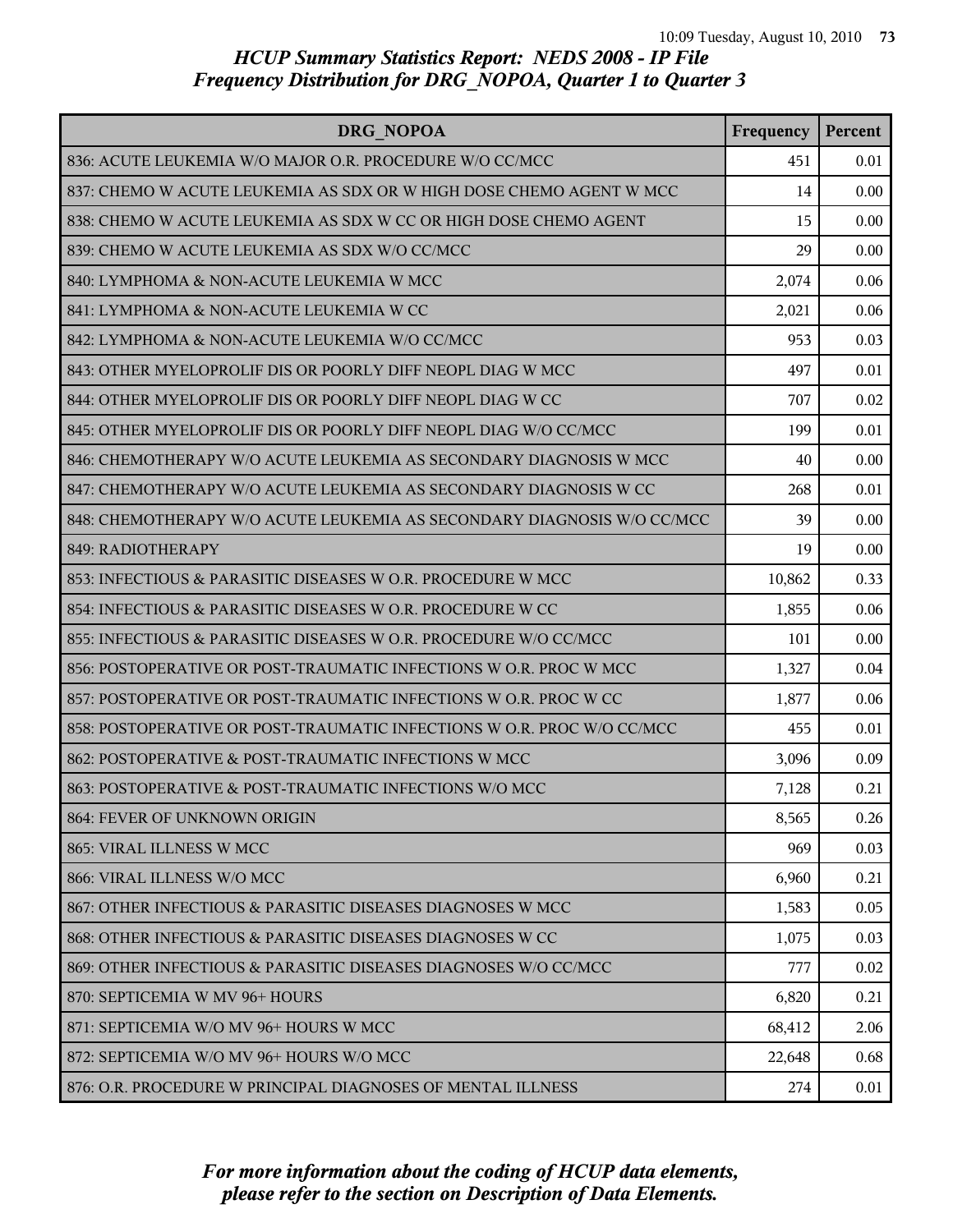| DRG NOPOA                                                              | Frequency | Percent |
|------------------------------------------------------------------------|-----------|---------|
| 836: ACUTE LEUKEMIA W/O MAJOR O.R. PROCEDURE W/O CC/MCC                | 451       | 0.01    |
| 837: CHEMO W ACUTE LEUKEMIA AS SDX OR W HIGH DOSE CHEMO AGENT W MCC    | 14        | 0.00    |
| 838: CHEMO W ACUTE LEUKEMIA AS SDX W CC OR HIGH DOSE CHEMO AGENT       | 15        | 0.00    |
| 839: CHEMO W ACUTE LEUKEMIA AS SDX W/O CC/MCC                          | 29        | 0.00    |
| 840: LYMPHOMA & NON-ACUTE LEUKEMIA W MCC                               | 2,074     | 0.06    |
| 841: LYMPHOMA & NON-ACUTE LEUKEMIA W CC                                | 2,021     | 0.06    |
| 842: LYMPHOMA & NON-ACUTE LEUKEMIA W/O CC/MCC                          | 953       | 0.03    |
| 843: OTHER MYELOPROLIF DIS OR POORLY DIFF NEOPL DIAG W MCC             | 497       | 0.01    |
| 844: OTHER MYELOPROLIF DIS OR POORLY DIFF NEOPL DIAG W CC              | 707       | 0.02    |
| 845: OTHER MYELOPROLIF DIS OR POORLY DIFF NEOPL DIAG W/O CC/MCC        | 199       | 0.01    |
| 846: CHEMOTHERAPY W/O ACUTE LEUKEMIA AS SECONDARY DIAGNOSIS W MCC      | 40        | 0.00    |
| 847: CHEMOTHERAPY W/O ACUTE LEUKEMIA AS SECONDARY DIAGNOSIS W CC       | 268       | 0.01    |
| 848: CHEMOTHERAPY W/O ACUTE LEUKEMIA AS SECONDARY DIAGNOSIS W/O CC/MCC | 39        | 0.00    |
| 849: RADIOTHERAPY                                                      | 19        | 0.00    |
| 853: INFECTIOUS & PARASITIC DISEASES W O.R. PROCEDURE W MCC            | 10,862    | 0.33    |
| 854: INFECTIOUS & PARASITIC DISEASES W O.R. PROCEDURE W CC             | 1,855     | 0.06    |
| 855: INFECTIOUS & PARASITIC DISEASES W O.R. PROCEDURE W/O CC/MCC       | 101       | 0.00    |
| 856: POSTOPERATIVE OR POST-TRAUMATIC INFECTIONS W O.R. PROC W MCC      | 1,327     | 0.04    |
| 857: POSTOPERATIVE OR POST-TRAUMATIC INFECTIONS W O.R. PROC W CC       | 1,877     | 0.06    |
| 858: POSTOPERATIVE OR POST-TRAUMATIC INFECTIONS W O.R. PROC W/O CC/MCC | 455       | 0.01    |
| 862: POSTOPERATIVE & POST-TRAUMATIC INFECTIONS W MCC                   | 3,096     | 0.09    |
| 863: POSTOPERATIVE & POST-TRAUMATIC INFECTIONS W/O MCC                 | 7,128     | 0.21    |
| 864: FEVER OF UNKNOWN ORIGIN                                           | 8,565     | 0.26    |
| 865: VIRAL ILLNESS W MCC                                               | 969       | 0.03    |
| 866: VIRAL ILLNESS W/O MCC                                             | 6,960     | 0.21    |
| 867: OTHER INFECTIOUS & PARASITIC DISEASES DIAGNOSES W MCC             | 1,583     | 0.05    |
| 868: OTHER INFECTIOUS & PARASITIC DISEASES DIAGNOSES W CC              | 1,075     | 0.03    |
| 869: OTHER INFECTIOUS & PARASITIC DISEASES DIAGNOSES W/O CC/MCC        | 777       | 0.02    |
| 870: SEPTICEMIA W MV 96+ HOURS                                         | 6,820     | 0.21    |
| 871: SEPTICEMIA W/O MV 96+ HOURS W MCC                                 | 68,412    | 2.06    |
| 872: SEPTICEMIA W/O MV 96+ HOURS W/O MCC                               | 22,648    | 0.68    |
| 876: O.R. PROCEDURE W PRINCIPAL DIAGNOSES OF MENTAL ILLNESS            | 274       | 0.01    |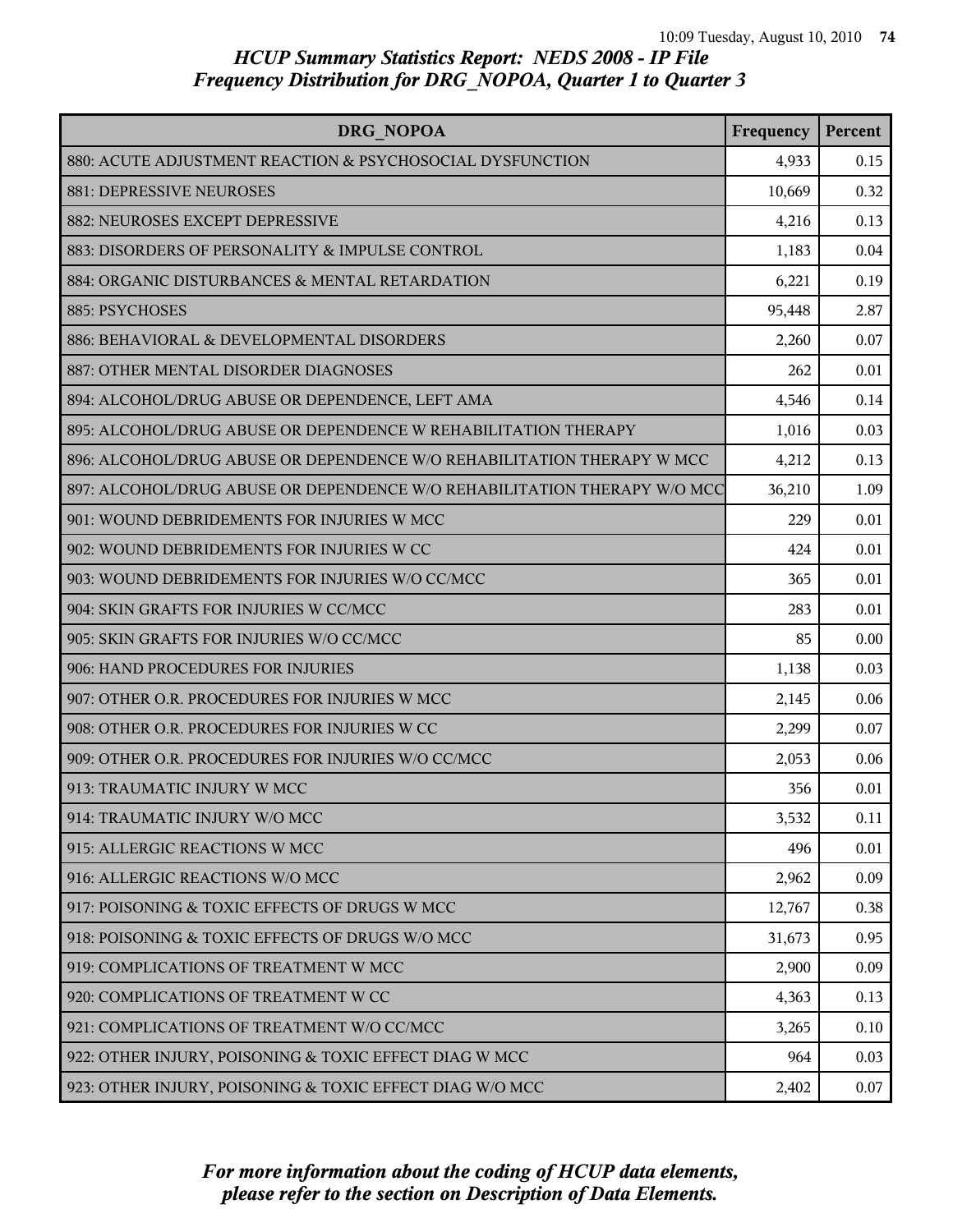| DRG NOPOA                                                                | Frequency | Percent |
|--------------------------------------------------------------------------|-----------|---------|
| 880: ACUTE ADJUSTMENT REACTION & PSYCHOSOCIAL DYSFUNCTION                | 4,933     | 0.15    |
| 881: DEPRESSIVE NEUROSES                                                 | 10,669    | 0.32    |
| 882: NEUROSES EXCEPT DEPRESSIVE                                          | 4,216     | 0.13    |
| 883: DISORDERS OF PERSONALITY & IMPULSE CONTROL                          | 1,183     | 0.04    |
| 884: ORGANIC DISTURBANCES & MENTAL RETARDATION                           | 6,221     | 0.19    |
| 885: PSYCHOSES                                                           | 95,448    | 2.87    |
| 886: BEHAVIORAL & DEVELOPMENTAL DISORDERS                                | 2,260     | 0.07    |
| 887: OTHER MENTAL DISORDER DIAGNOSES                                     | 262       | 0.01    |
| 894: ALCOHOL/DRUG ABUSE OR DEPENDENCE, LEFT AMA                          | 4,546     | 0.14    |
| 895: ALCOHOL/DRUG ABUSE OR DEPENDENCE W REHABILITATION THERAPY           | 1,016     | 0.03    |
| 896: ALCOHOL/DRUG ABUSE OR DEPENDENCE W/O REHABILITATION THERAPY W MCC   | 4,212     | 0.13    |
| 897: ALCOHOL/DRUG ABUSE OR DEPENDENCE W/O REHABILITATION THERAPY W/O MCC | 36,210    | 1.09    |
| 901: WOUND DEBRIDEMENTS FOR INJURIES W MCC                               | 229       | 0.01    |
| 902: WOUND DEBRIDEMENTS FOR INJURIES W CC                                | 424       | 0.01    |
| 903: WOUND DEBRIDEMENTS FOR INJURIES W/O CC/MCC                          | 365       | 0.01    |
| 904: SKIN GRAFTS FOR INJURIES W CC/MCC                                   | 283       | 0.01    |
| 905: SKIN GRAFTS FOR INJURIES W/O CC/MCC                                 | 85        | 0.00    |
| 906: HAND PROCEDURES FOR INJURIES                                        | 1,138     | 0.03    |
| 907: OTHER O.R. PROCEDURES FOR INJURIES W MCC                            | 2,145     | 0.06    |
| 908: OTHER O.R. PROCEDURES FOR INJURIES W CC                             | 2,299     | 0.07    |
| 909: OTHER O.R. PROCEDURES FOR INJURIES W/O CC/MCC                       | 2,053     | 0.06    |
| 913: TRAUMATIC INJURY W MCC                                              | 356       | 0.01    |
| 914: TRAUMATIC INJURY W/O MCC                                            | 3,532     | 0.11    |
| 915: ALLERGIC REACTIONS W MCC                                            | 496       | 0.01    |
| 916: ALLERGIC REACTIONS W/O MCC                                          | 2,962     | 0.09    |
| 917: POISONING & TOXIC EFFECTS OF DRUGS W MCC                            | 12,767    | 0.38    |
| 918: POISONING & TOXIC EFFECTS OF DRUGS W/O MCC                          | 31,673    | 0.95    |
| 919: COMPLICATIONS OF TREATMENT W MCC                                    | 2,900     | 0.09    |
| 920: COMPLICATIONS OF TREATMENT W CC                                     | 4,363     | 0.13    |
| 921: COMPLICATIONS OF TREATMENT W/O CC/MCC                               | 3,265     | 0.10    |
| 922: OTHER INJURY, POISONING & TOXIC EFFECT DIAG W MCC                   | 964       | 0.03    |
| 923: OTHER INJURY, POISONING & TOXIC EFFECT DIAG W/O MCC                 | 2,402     | 0.07    |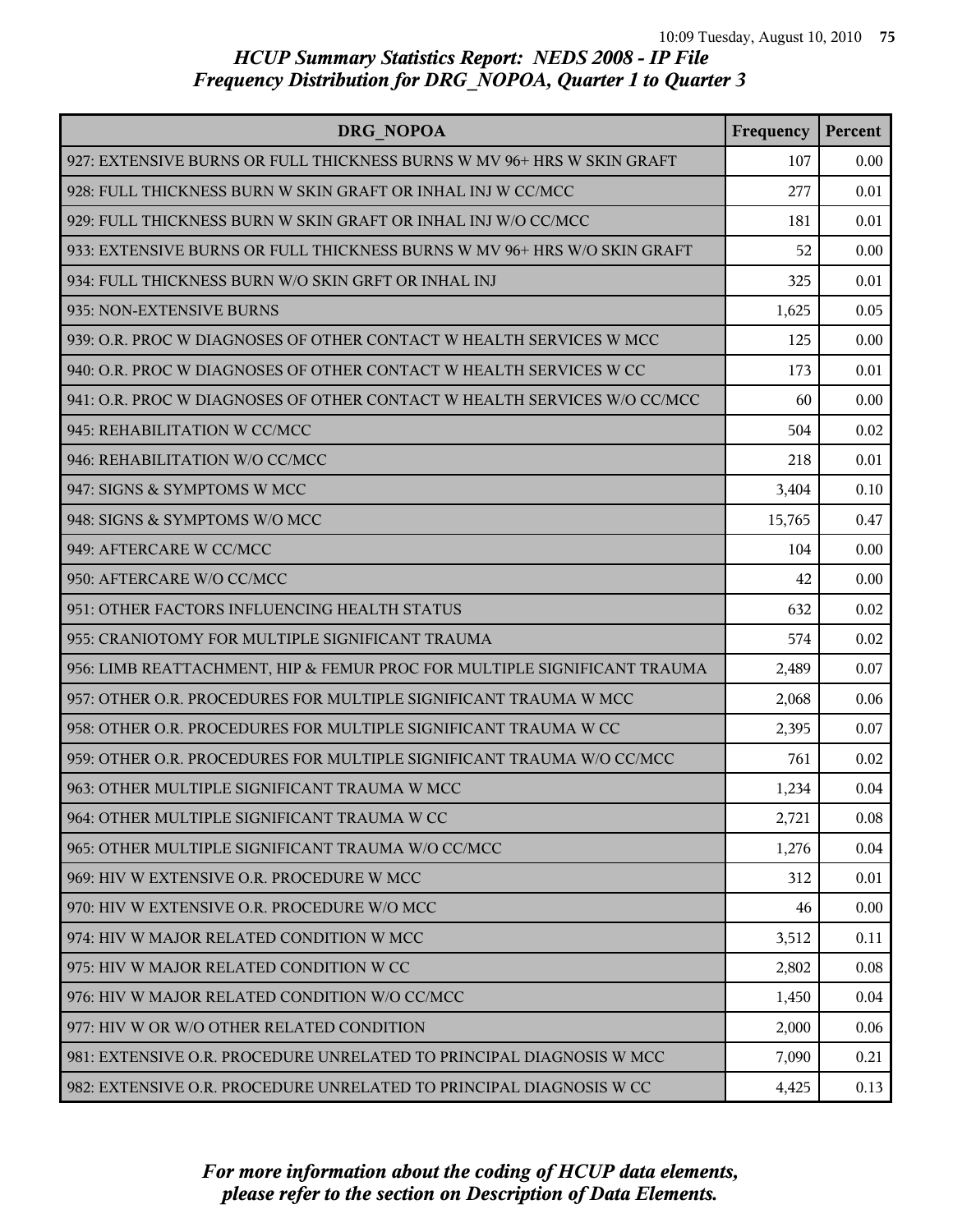| DRG NOPOA                                                                | Frequency | Percent |
|--------------------------------------------------------------------------|-----------|---------|
| 927: EXTENSIVE BURNS OR FULL THICKNESS BURNS W MV 96+ HRS W SKIN GRAFT   | 107       | 0.00    |
| 928: FULL THICKNESS BURN W SKIN GRAFT OR INHAL INJ W CC/MCC              | 277       | 0.01    |
| 929: FULL THICKNESS BURN W SKIN GRAFT OR INHAL INJ W/O CC/MCC            | 181       | 0.01    |
| 933: EXTENSIVE BURNS OR FULL THICKNESS BURNS W MV 96+ HRS W/O SKIN GRAFT | 52        | 0.00    |
| 934: FULL THICKNESS BURN W/O SKIN GRFT OR INHAL INJ                      | 325       | 0.01    |
| 935: NON-EXTENSIVE BURNS                                                 | 1,625     | 0.05    |
| 939: O.R. PROC W DIAGNOSES OF OTHER CONTACT W HEALTH SERVICES W MCC      | 125       | 0.00    |
| 940: O.R. PROC W DIAGNOSES OF OTHER CONTACT W HEALTH SERVICES W CC       | 173       | 0.01    |
| 941: O.R. PROC W DIAGNOSES OF OTHER CONTACT W HEALTH SERVICES W/O CC/MCC | 60        | 0.00    |
| 945: REHABILITATION W CC/MCC                                             | 504       | 0.02    |
| 946: REHABILITATION W/O CC/MCC                                           | 218       | 0.01    |
| 947: SIGNS & SYMPTOMS W MCC                                              | 3,404     | 0.10    |
| 948: SIGNS & SYMPTOMS W/O MCC                                            | 15,765    | 0.47    |
| 949: AFTERCARE W CC/MCC                                                  | 104       | 0.00    |
| 950: AFTERCARE W/O CC/MCC                                                | 42        | 0.00    |
| 951: OTHER FACTORS INFLUENCING HEALTH STATUS                             | 632       | 0.02    |
| 955: CRANIOTOMY FOR MULTIPLE SIGNIFICANT TRAUMA                          | 574       | 0.02    |
| 956: LIMB REATTACHMENT, HIP & FEMUR PROC FOR MULTIPLE SIGNIFICANT TRAUMA | 2,489     | 0.07    |
| 957: OTHER O.R. PROCEDURES FOR MULTIPLE SIGNIFICANT TRAUMA W MCC         | 2,068     | 0.06    |
| 958: OTHER O.R. PROCEDURES FOR MULTIPLE SIGNIFICANT TRAUMA W CC          | 2,395     | 0.07    |
| 959: OTHER O.R. PROCEDURES FOR MULTIPLE SIGNIFICANT TRAUMA W/O CC/MCC    | 761       | 0.02    |
| 963: OTHER MULTIPLE SIGNIFICANT TRAUMA W MCC                             | 1,234     | 0.04    |
| 964: OTHER MULTIPLE SIGNIFICANT TRAUMA W CC                              | 2,721     | 0.08    |
| 965: OTHER MULTIPLE SIGNIFICANT TRAUMA W/O CC/MCC                        | 1,276     | 0.04    |
| 969: HIV W EXTENSIVE O.R. PROCEDURE W MCC                                | 312       | 0.01    |
| 970: HIV W EXTENSIVE O.R. PROCEDURE W/O MCC                              | 46        | 0.00    |
| 974: HIV W MAJOR RELATED CONDITION W MCC                                 | 3,512     | 0.11    |
| 975: HIV W MAJOR RELATED CONDITION W CC                                  | 2,802     | 0.08    |
| 976: HIV W MAJOR RELATED CONDITION W/O CC/MCC                            | 1,450     | 0.04    |
| 977: HIV W OR W/O OTHER RELATED CONDITION                                | 2,000     | 0.06    |
| 981: EXTENSIVE O.R. PROCEDURE UNRELATED TO PRINCIPAL DIAGNOSIS W MCC     | 7,090     | 0.21    |
| 982: EXTENSIVE O.R. PROCEDURE UNRELATED TO PRINCIPAL DIAGNOSIS W CC      | 4,425     | 0.13    |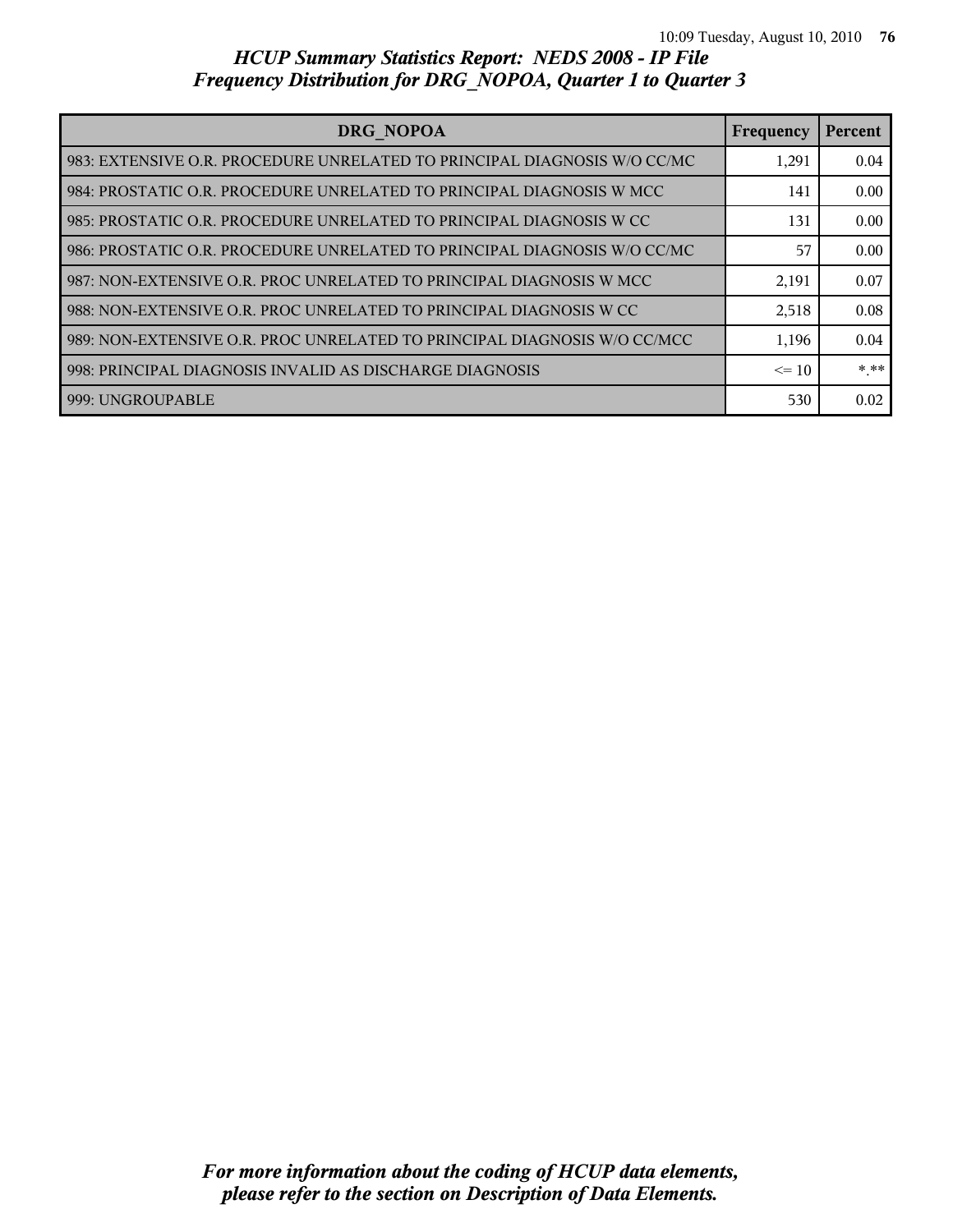| DRG NOPOA                                                                  | Frequency | Percent |
|----------------------------------------------------------------------------|-----------|---------|
| l 983: EXTENSIVE O.R. PROCEDURE UNRELATED TO PRINCIPAL DIAGNOSIS W/O CC/MC | 1,291     | 0.04    |
| l 984: PROSTATIC O.R. PROCEDURE UNRELATED TO PRINCIPAL DIAGNOSIS W MCC     | 141       | 0.00    |
| l 985: PROSTATIC O.R. PROCEDURE UNRELATED TO PRINCIPAL DIAGNOSIS W CC      | 131       | 0.00    |
| 986: PROSTATIC O.R. PROCEDURE UNRELATED TO PRINCIPAL DIAGNOSIS W/O CC/MC   | 57        | 0.00    |
| 987: NON-EXTENSIVE O.R. PROC UNRELATED TO PRINCIPAL DIAGNOSIS W MCC        | 2,191     | 0.07    |
| l 988: NON-EXTENSIVE O.R. PROC UNRELATED TO PRINCIPAL DIAGNOSIS W CC       | 2,518     | 0.08    |
| 989: NON-EXTENSIVE O.R. PROC UNRELATED TO PRINCIPAL DIAGNOSIS W/O CC/MCC   | 1,196     | 0.04    |
| 998: PRINCIPAL DIAGNOSIS INVALID AS DISCHARGE DIAGNOSIS                    | $\leq$ 10 | * **    |
| 1999: UNGROUPABLE                                                          | 530       | 0.02    |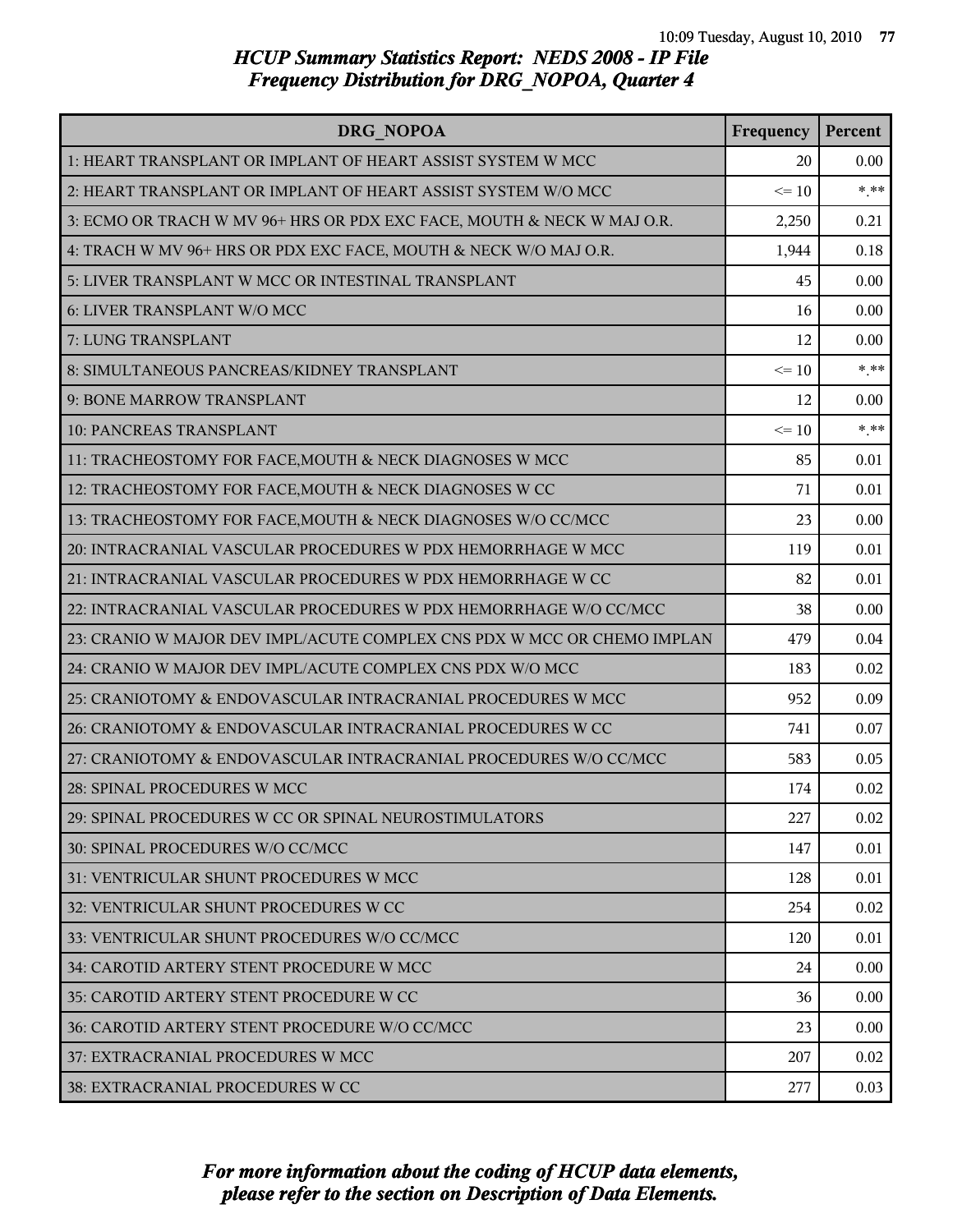| DRG NOPOA                                                               | Frequency | Percent |
|-------------------------------------------------------------------------|-----------|---------|
| 1: HEART TRANSPLANT OR IMPLANT OF HEART ASSIST SYSTEM W MCC             | 20        | 0.00    |
| 2: HEART TRANSPLANT OR IMPLANT OF HEART ASSIST SYSTEM W/O MCC           | $\leq 10$ | $***$   |
| 3: ECMO OR TRACH W MV 96+ HRS OR PDX EXC FACE, MOUTH & NECK W MAJ O.R.  | 2,250     | 0.21    |
| 4: TRACH W MV 96+ HRS OR PDX EXC FACE, MOUTH & NECK W/O MAJ O.R.        | 1,944     | 0.18    |
| 5: LIVER TRANSPLANT W MCC OR INTESTINAL TRANSPLANT                      | 45        | 0.00    |
| 6: LIVER TRANSPLANT W/O MCC                                             | 16        | 0.00    |
| 7: LUNG TRANSPLANT                                                      | 12        | 0.00    |
| 8: SIMULTANEOUS PANCREAS/KIDNEY TRANSPLANT                              | $\leq 10$ | $***$   |
| 9: BONE MARROW TRANSPLANT                                               | 12        | 0.00    |
| 10: PANCREAS TRANSPLANT                                                 | $\leq 10$ | $***$   |
| 11: TRACHEOSTOMY FOR FACE, MOUTH & NECK DIAGNOSES W MCC                 | 85        | 0.01    |
| 12: TRACHEOSTOMY FOR FACE, MOUTH & NECK DIAGNOSES W CC                  | 71        | 0.01    |
| 13: TRACHEOSTOMY FOR FACE, MOUTH & NECK DIAGNOSES W/O CC/MCC            | 23        | 0.00    |
| 20: INTRACRANIAL VASCULAR PROCEDURES W PDX HEMORRHAGE W MCC             | 119       | 0.01    |
| 21: INTRACRANIAL VASCULAR PROCEDURES W PDX HEMORRHAGE W CC              | 82        | 0.01    |
| 22: INTRACRANIAL VASCULAR PROCEDURES W PDX HEMORRHAGE W/O CC/MCC        | 38        | 0.00    |
| 23: CRANIO W MAJOR DEV IMPL/ACUTE COMPLEX CNS PDX W MCC OR CHEMO IMPLAN | 479       | 0.04    |
| 24: CRANIO W MAJOR DEV IMPL/ACUTE COMPLEX CNS PDX W/O MCC               | 183       | 0.02    |
| 25: CRANIOTOMY & ENDOVASCULAR INTRACRANIAL PROCEDURES W MCC             | 952       | 0.09    |
| 26: CRANIOTOMY & ENDOVASCULAR INTRACRANIAL PROCEDURES W CC              | 741       | 0.07    |
| 27: CRANIOTOMY & ENDOVASCULAR INTRACRANIAL PROCEDURES W/O CC/MCC        | 583       | 0.05    |
| 28: SPINAL PROCEDURES W MCC                                             | 174       | 0.02    |
| 29: SPINAL PROCEDURES W CC OR SPINAL NEUROSTIMULATORS                   | 227       | 0.02    |
| 30: SPINAL PROCEDURES W/O CC/MCC                                        | 147       | 0.01    |
| 31: VENTRICULAR SHUNT PROCEDURES W MCC                                  | 128       | 0.01    |
| 32: VENTRICULAR SHUNT PROCEDURES W CC                                   | 254       | 0.02    |
| 33: VENTRICULAR SHUNT PROCEDURES W/O CC/MCC                             | 120       | 0.01    |
| 34: CAROTID ARTERY STENT PROCEDURE W MCC                                | 24        | 0.00    |
| 35: CAROTID ARTERY STENT PROCEDURE W CC                                 | 36        | 0.00    |
| 36: CAROTID ARTERY STENT PROCEDURE W/O CC/MCC                           | 23        | 0.00    |
| 37: EXTRACRANIAL PROCEDURES W MCC                                       | 207       | 0.02    |
| 38: EXTRACRANIAL PROCEDURES W CC                                        | 277       | 0.03    |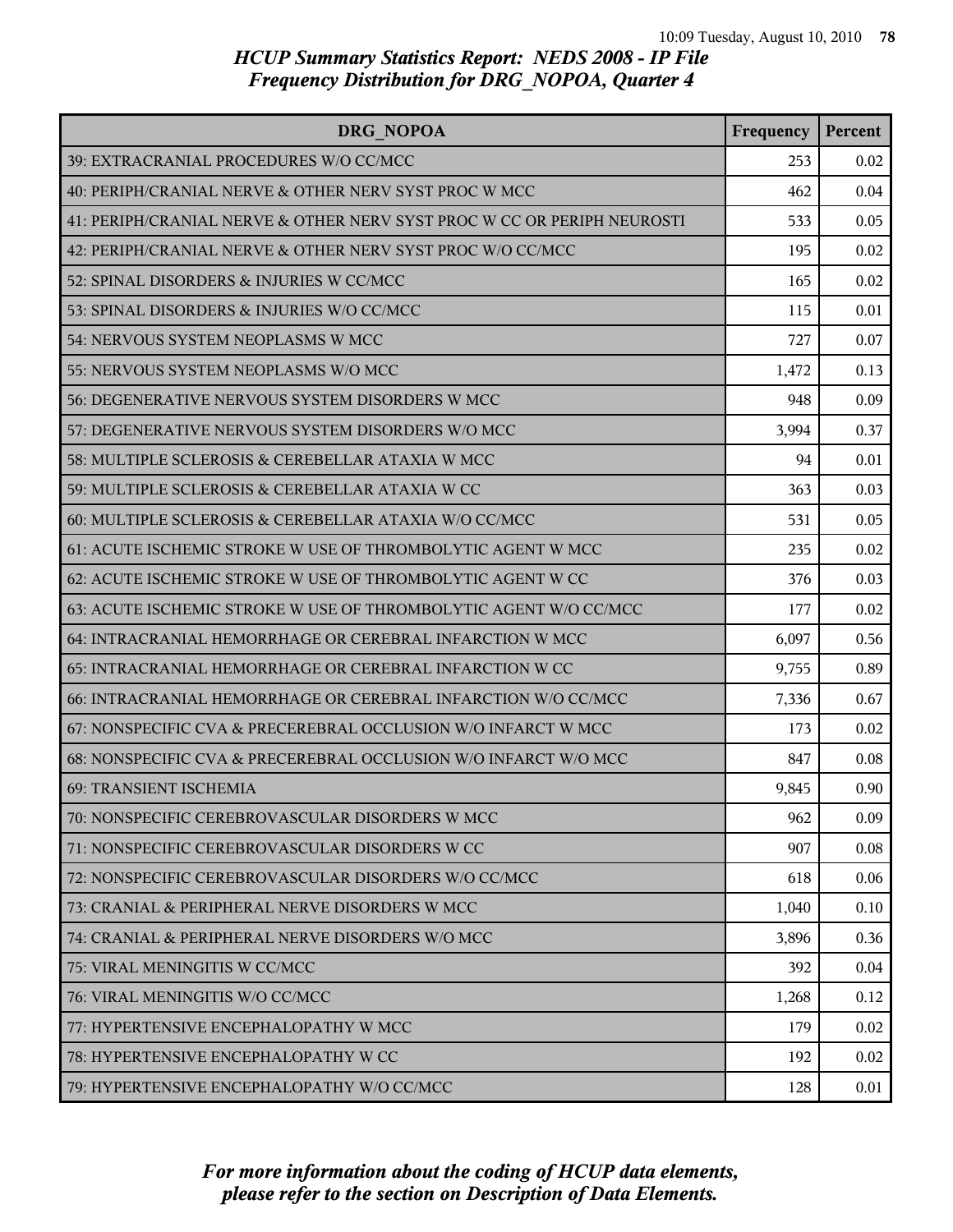| DRG NOPOA                                                               | Frequency | Percent |
|-------------------------------------------------------------------------|-----------|---------|
| 39: EXTRACRANIAL PROCEDURES W/O CC/MCC                                  | 253       | 0.02    |
| 40: PERIPH/CRANIAL NERVE & OTHER NERV SYST PROC W MCC                   | 462       | 0.04    |
| 41: PERIPH/CRANIAL NERVE & OTHER NERV SYST PROC W CC OR PERIPH NEUROSTI | 533       | 0.05    |
| 42: PERIPH/CRANIAL NERVE & OTHER NERV SYST PROC W/O CC/MCC              | 195       | 0.02    |
| 52: SPINAL DISORDERS & INJURIES W CC/MCC                                | 165       | 0.02    |
| 53: SPINAL DISORDERS & INJURIES W/O CC/MCC                              | 115       | 0.01    |
| 54: NERVOUS SYSTEM NEOPLASMS W MCC                                      | 727       | 0.07    |
| 55: NERVOUS SYSTEM NEOPLASMS W/O MCC                                    | 1,472     | 0.13    |
| 56: DEGENERATIVE NERVOUS SYSTEM DISORDERS W MCC                         | 948       | 0.09    |
| 57: DEGENERATIVE NERVOUS SYSTEM DISORDERS W/O MCC                       | 3,994     | 0.37    |
| 58: MULTIPLE SCLEROSIS & CEREBELLAR ATAXIA W MCC                        | 94        | 0.01    |
| 59: MULTIPLE SCLEROSIS & CEREBELLAR ATAXIA W CC                         | 363       | 0.03    |
| 60: MULTIPLE SCLEROSIS & CEREBELLAR ATAXIA W/O CC/MCC                   | 531       | 0.05    |
| 61: ACUTE ISCHEMIC STROKE W USE OF THROMBOLYTIC AGENT W MCC             | 235       | 0.02    |
| 62: ACUTE ISCHEMIC STROKE W USE OF THROMBOLYTIC AGENT W CC              | 376       | 0.03    |
| 63: ACUTE ISCHEMIC STROKE W USE OF THROMBOLYTIC AGENT W/O CC/MCC        | 177       | 0.02    |
| 64: INTRACRANIAL HEMORRHAGE OR CEREBRAL INFARCTION W MCC                | 6,097     | 0.56    |
| 65: INTRACRANIAL HEMORRHAGE OR CEREBRAL INFARCTION W CC                 | 9,755     | 0.89    |
| 66: INTRACRANIAL HEMORRHAGE OR CEREBRAL INFARCTION W/O CC/MCC           | 7,336     | 0.67    |
| 67: NONSPECIFIC CVA & PRECEREBRAL OCCLUSION W/O INFARCT W MCC           | 173       | 0.02    |
| 68: NONSPECIFIC CVA & PRECEREBRAL OCCLUSION W/O INFARCT W/O MCC         | 847       | 0.08    |
| <b>69: TRANSIENT ISCHEMIA</b>                                           | 9,845     | 0.90    |
| 70: NONSPECIFIC CEREBROVASCULAR DISORDERS W MCC                         | 962       | 0.09    |
| 71: NONSPECIFIC CEREBROVASCULAR DISORDERS W CC                          | 907       | 0.08    |
| 72: NONSPECIFIC CEREBROVASCULAR DISORDERS W/O CC/MCC                    | 618       | 0.06    |
| 73: CRANIAL & PERIPHERAL NERVE DISORDERS W MCC                          | 1,040     | 0.10    |
| 74: CRANIAL & PERIPHERAL NERVE DISORDERS W/O MCC                        | 3,896     | 0.36    |
| 75: VIRAL MENINGITIS W CC/MCC                                           | 392       | 0.04    |
| 76: VIRAL MENINGITIS W/O CC/MCC                                         | 1,268     | 0.12    |
| 77: HYPERTENSIVE ENCEPHALOPATHY W MCC                                   | 179       | 0.02    |
| 78: HYPERTENSIVE ENCEPHALOPATHY W CC                                    | 192       | 0.02    |
| 79: HYPERTENSIVE ENCEPHALOPATHY W/O CC/MCC                              | 128       | 0.01    |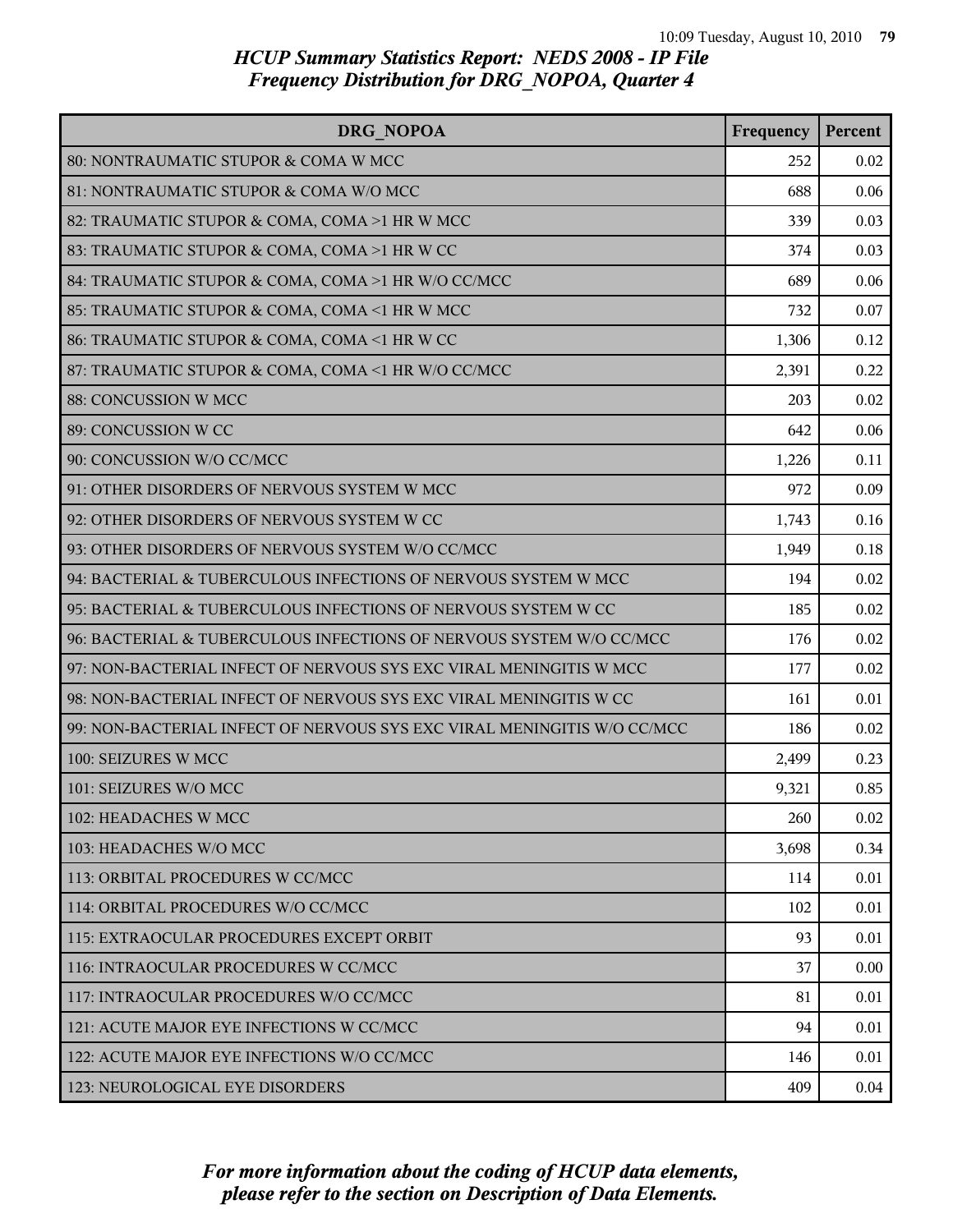| DRG NOPOA                                                               | Frequency | Percent |
|-------------------------------------------------------------------------|-----------|---------|
| 80: NONTRAUMATIC STUPOR & COMA W MCC                                    | 252       | 0.02    |
| 81: NONTRAUMATIC STUPOR & COMA W/O MCC                                  | 688       | 0.06    |
| 82: TRAUMATIC STUPOR & COMA, COMA >1 HR W MCC                           | 339       | 0.03    |
| 83: TRAUMATIC STUPOR & COMA, COMA >1 HR W CC                            | 374       | 0.03    |
| 84: TRAUMATIC STUPOR & COMA, COMA >1 HR W/O CC/MCC                      | 689       | 0.06    |
| 85: TRAUMATIC STUPOR & COMA, COMA <1 HR W MCC                           | 732       | 0.07    |
| 86: TRAUMATIC STUPOR & COMA, COMA <1 HR W CC                            | 1,306     | 0.12    |
| 87: TRAUMATIC STUPOR & COMA, COMA <1 HR W/O CC/MCC                      | 2,391     | 0.22    |
| 88: CONCUSSION W MCC                                                    | 203       | 0.02    |
| 89: CONCUSSION W CC                                                     | 642       | 0.06    |
| 90: CONCUSSION W/O CC/MCC                                               | 1,226     | 0.11    |
| 91: OTHER DISORDERS OF NERVOUS SYSTEM W MCC                             | 972       | 0.09    |
| 92: OTHER DISORDERS OF NERVOUS SYSTEM W CC                              | 1,743     | 0.16    |
| 93: OTHER DISORDERS OF NERVOUS SYSTEM W/O CC/MCC                        | 1,949     | 0.18    |
| 94: BACTERIAL & TUBERCULOUS INFECTIONS OF NERVOUS SYSTEM W MCC          | 194       | 0.02    |
| 95: BACTERIAL & TUBERCULOUS INFECTIONS OF NERVOUS SYSTEM W CC           | 185       | 0.02    |
| 96: BACTERIAL & TUBERCULOUS INFECTIONS OF NERVOUS SYSTEM W/O CC/MCC     | 176       | 0.02    |
| 97: NON-BACTERIAL INFECT OF NERVOUS SYS EXC VIRAL MENINGITIS W MCC      | 177       | 0.02    |
| 98: NON-BACTERIAL INFECT OF NERVOUS SYS EXC VIRAL MENINGITIS W CC       | 161       | 0.01    |
| 99: NON-BACTERIAL INFECT OF NERVOUS SYS EXC VIRAL MENINGITIS W/O CC/MCC | 186       | 0.02    |
| 100: SEIZURES W MCC                                                     | 2,499     | 0.23    |
| 101: SEIZURES W/O MCC                                                   | 9,321     | 0.85    |
| 102: HEADACHES W MCC                                                    | 260       | 0.02    |
| 103: HEADACHES W/O MCC                                                  | 3,698     | 0.34    |
| 113: ORBITAL PROCEDURES W CC/MCC                                        | 114       | 0.01    |
| 114: ORBITAL PROCEDURES W/O CC/MCC                                      | 102       | 0.01    |
| l 115: EXTRAOCULAR PROCEDURES EXCEPT ORBIT                              | 93        | 0.01    |
| 116: INTRAOCULAR PROCEDURES W CC/MCC                                    | 37        | 0.00    |
| 117: INTRAOCULAR PROCEDURES W/O CC/MCC                                  | 81        | 0.01    |
| 121: ACUTE MAJOR EYE INFECTIONS W CC/MCC                                | 94        | 0.01    |
| 122: ACUTE MAJOR EYE INFECTIONS W/O CC/MCC                              | 146       | 0.01    |
| 123: NEUROLOGICAL EYE DISORDERS                                         | 409       | 0.04    |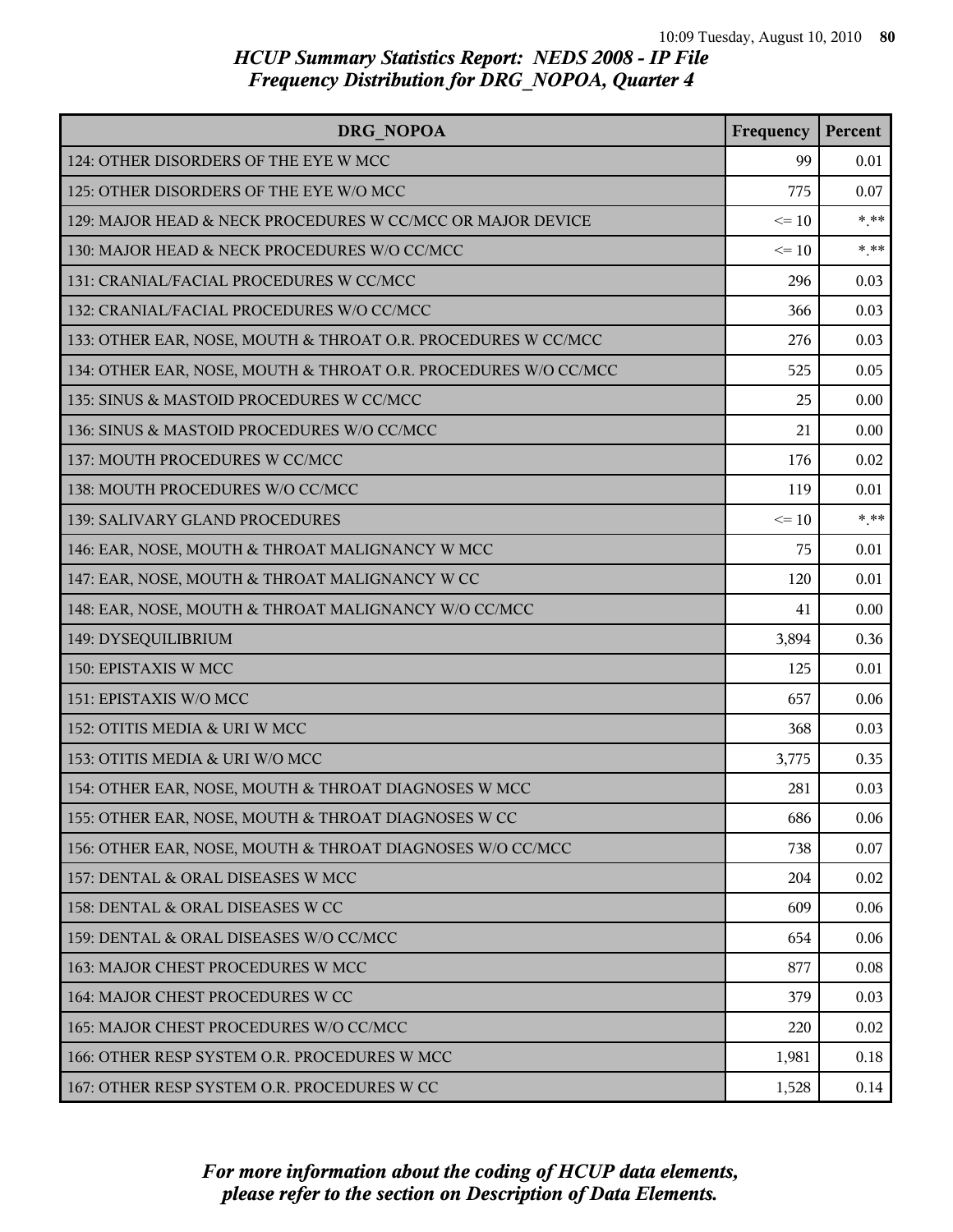| DRG NOPOA                                                       | Frequency | Percent |
|-----------------------------------------------------------------|-----------|---------|
| 124: OTHER DISORDERS OF THE EYE W MCC                           | 99        | 0.01    |
| 125: OTHER DISORDERS OF THE EYE W/O MCC                         | 775       | 0.07    |
| 129: MAJOR HEAD & NECK PROCEDURES W CC/MCC OR MAJOR DEVICE      | $\leq 10$ | $***$   |
| 130: MAJOR HEAD & NECK PROCEDURES W/O CC/MCC                    | $\leq 10$ | $*$ **  |
| 131: CRANIAL/FACIAL PROCEDURES W CC/MCC                         | 296       | 0.03    |
| 132: CRANIAL/FACIAL PROCEDURES W/O CC/MCC                       | 366       | 0.03    |
| 133: OTHER EAR, NOSE, MOUTH & THROAT O.R. PROCEDURES W CC/MCC   | 276       | 0.03    |
| 134: OTHER EAR, NOSE, MOUTH & THROAT O.R. PROCEDURES W/O CC/MCC | 525       | 0.05    |
| 135: SINUS & MASTOID PROCEDURES W CC/MCC                        | 25        | 0.00    |
| 136: SINUS & MASTOID PROCEDURES W/O CC/MCC                      | 21        | 0.00    |
| 137: MOUTH PROCEDURES W CC/MCC                                  | 176       | 0.02    |
| 138: MOUTH PROCEDURES W/O CC/MCC                                | 119       | 0.01    |
| 139: SALIVARY GLAND PROCEDURES                                  | $\leq 10$ | $***$   |
| 146: EAR, NOSE, MOUTH & THROAT MALIGNANCY W MCC                 | 75        | 0.01    |
| 147: EAR, NOSE, MOUTH & THROAT MALIGNANCY W CC                  | 120       | 0.01    |
| 148: EAR, NOSE, MOUTH & THROAT MALIGNANCY W/O CC/MCC            | 41        | 0.00    |
| 149: DYSEQUILIBRIUM                                             | 3,894     | 0.36    |
| 150: EPISTAXIS W MCC                                            | 125       | 0.01    |
| 151: EPISTAXIS W/O MCC                                          | 657       | 0.06    |
| 152: OTITIS MEDIA & URI W MCC                                   | 368       | 0.03    |
| 153: OTITIS MEDIA & URI W/O MCC                                 | 3,775     | 0.35    |
| 154: OTHER EAR, NOSE, MOUTH & THROAT DIAGNOSES W MCC            | 281       | 0.03    |
| 155: OTHER EAR, NOSE, MOUTH & THROAT DIAGNOSES W CC             | 686       | 0.06    |
| 156: OTHER EAR, NOSE, MOUTH & THROAT DIAGNOSES W/O CC/MCC       | 738       | 0.07    |
| 157: DENTAL & ORAL DISEASES W MCC                               | 204       | 0.02    |
| 158: DENTAL & ORAL DISEASES W CC                                | 609       | 0.06    |
| 159: DENTAL & ORAL DISEASES W/O CC/MCC                          | 654       | 0.06    |
| 163: MAJOR CHEST PROCEDURES W MCC                               | 877       | 0.08    |
| 164: MAJOR CHEST PROCEDURES W CC                                | 379       | 0.03    |
| 165: MAJOR CHEST PROCEDURES W/O CC/MCC                          | 220       | 0.02    |
| 166: OTHER RESP SYSTEM O.R. PROCEDURES W MCC                    | 1,981     | 0.18    |
| 167: OTHER RESP SYSTEM O.R. PROCEDURES W CC                     | 1,528     | 0.14    |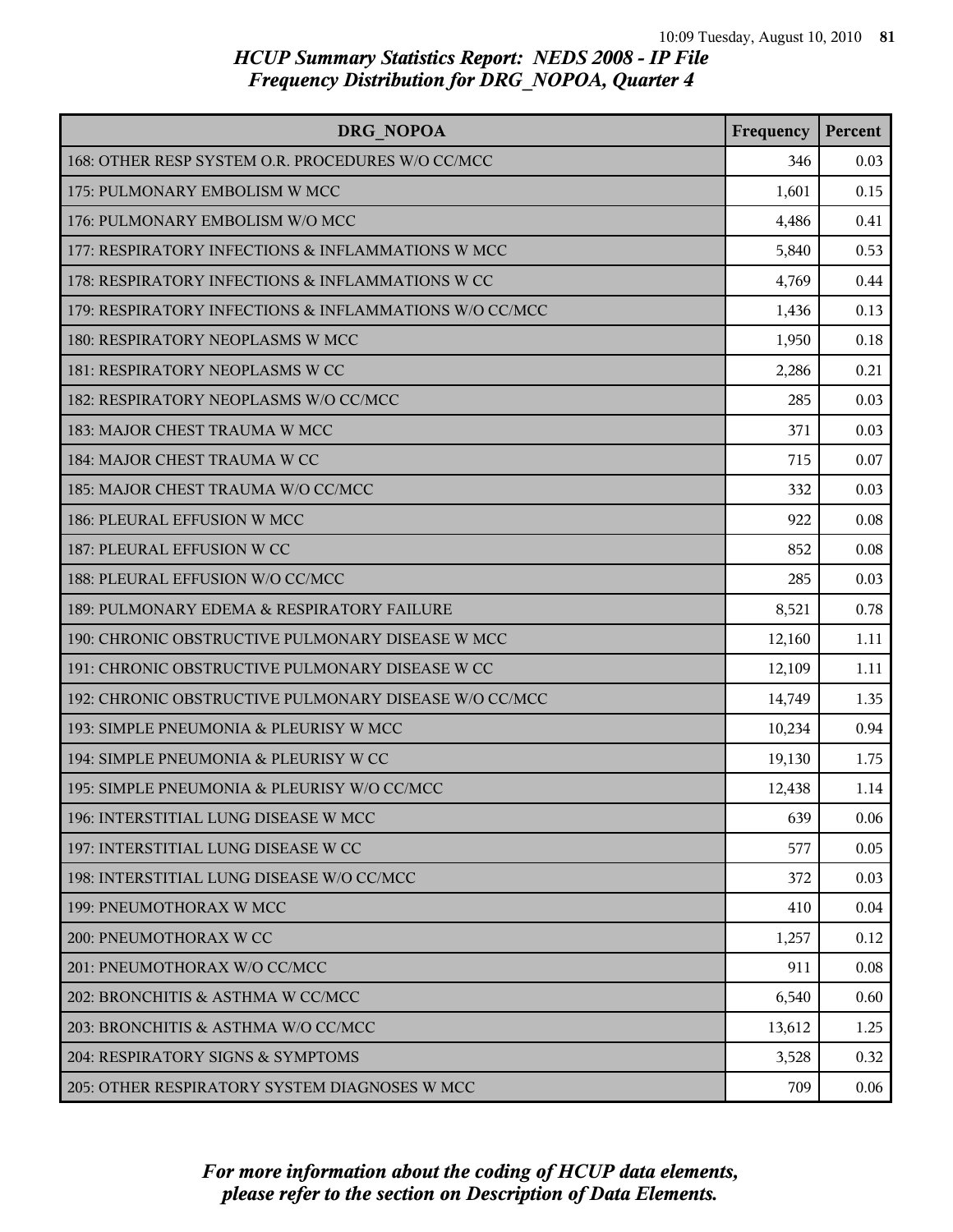| DRG NOPOA                                              | Frequency | Percent |
|--------------------------------------------------------|-----------|---------|
| 168: OTHER RESP SYSTEM O.R. PROCEDURES W/O CC/MCC      | 346       | 0.03    |
| 175: PULMONARY EMBOLISM W MCC                          | 1,601     | 0.15    |
| 176: PULMONARY EMBOLISM W/O MCC                        | 4,486     | 0.41    |
| 177: RESPIRATORY INFECTIONS & INFLAMMATIONS W MCC      | 5,840     | 0.53    |
| 178: RESPIRATORY INFECTIONS & INFLAMMATIONS W CC       | 4,769     | 0.44    |
| 179: RESPIRATORY INFECTIONS & INFLAMMATIONS W/O CC/MCC | 1,436     | 0.13    |
| 180: RESPIRATORY NEOPLASMS W MCC                       | 1,950     | 0.18    |
| 181: RESPIRATORY NEOPLASMS W CC                        | 2,286     | 0.21    |
| 182: RESPIRATORY NEOPLASMS W/O CC/MCC                  | 285       | 0.03    |
| 183: MAJOR CHEST TRAUMA W MCC                          | 371       | 0.03    |
| 184: MAJOR CHEST TRAUMA W CC                           | 715       | 0.07    |
| 185: MAJOR CHEST TRAUMA W/O CC/MCC                     | 332       | 0.03    |
| 186: PLEURAL EFFUSION W MCC                            | 922       | 0.08    |
| 187: PLEURAL EFFUSION W CC                             | 852       | 0.08    |
| 188: PLEURAL EFFUSION W/O CC/MCC                       | 285       | 0.03    |
| 189: PULMONARY EDEMA & RESPIRATORY FAILURE             | 8,521     | 0.78    |
| 190: CHRONIC OBSTRUCTIVE PULMONARY DISEASE W MCC       | 12,160    | 1.11    |
| 191: CHRONIC OBSTRUCTIVE PULMONARY DISEASE W CC        | 12,109    | 1.11    |
| 192: CHRONIC OBSTRUCTIVE PULMONARY DISEASE W/O CC/MCC  | 14,749    | 1.35    |
| 193: SIMPLE PNEUMONIA & PLEURISY W MCC                 | 10,234    | 0.94    |
| 194: SIMPLE PNEUMONIA & PLEURISY W CC                  | 19,130    | 1.75    |
| 195: SIMPLE PNEUMONIA & PLEURISY W/O CC/MCC            | 12,438    | 1.14    |
| 196: INTERSTITIAL LUNG DISEASE W MCC                   | 639       | 0.06    |
| 197: INTERSTITIAL LUNG DISEASE W CC                    | 577       | 0.05    |
| 198: INTERSTITIAL LUNG DISEASE W/O CC/MCC              | 372       | 0.03    |
| l 199: PNEUMOTHORAX W MCC                              | 410       | 0.04    |
| 200: PNEUMOTHORAX W CC                                 | 1,257     | 0.12    |
| 201: PNEUMOTHORAX W/O CC/MCC                           | 911       | 0.08    |
| 202: BRONCHITIS & ASTHMA W CC/MCC                      | 6,540     | 0.60    |
| 203: BRONCHITIS & ASTHMA W/O CC/MCC                    | 13,612    | 1.25    |
| 204: RESPIRATORY SIGNS & SYMPTOMS                      | 3,528     | 0.32    |
| 205: OTHER RESPIRATORY SYSTEM DIAGNOSES W MCC          | 709       | 0.06    |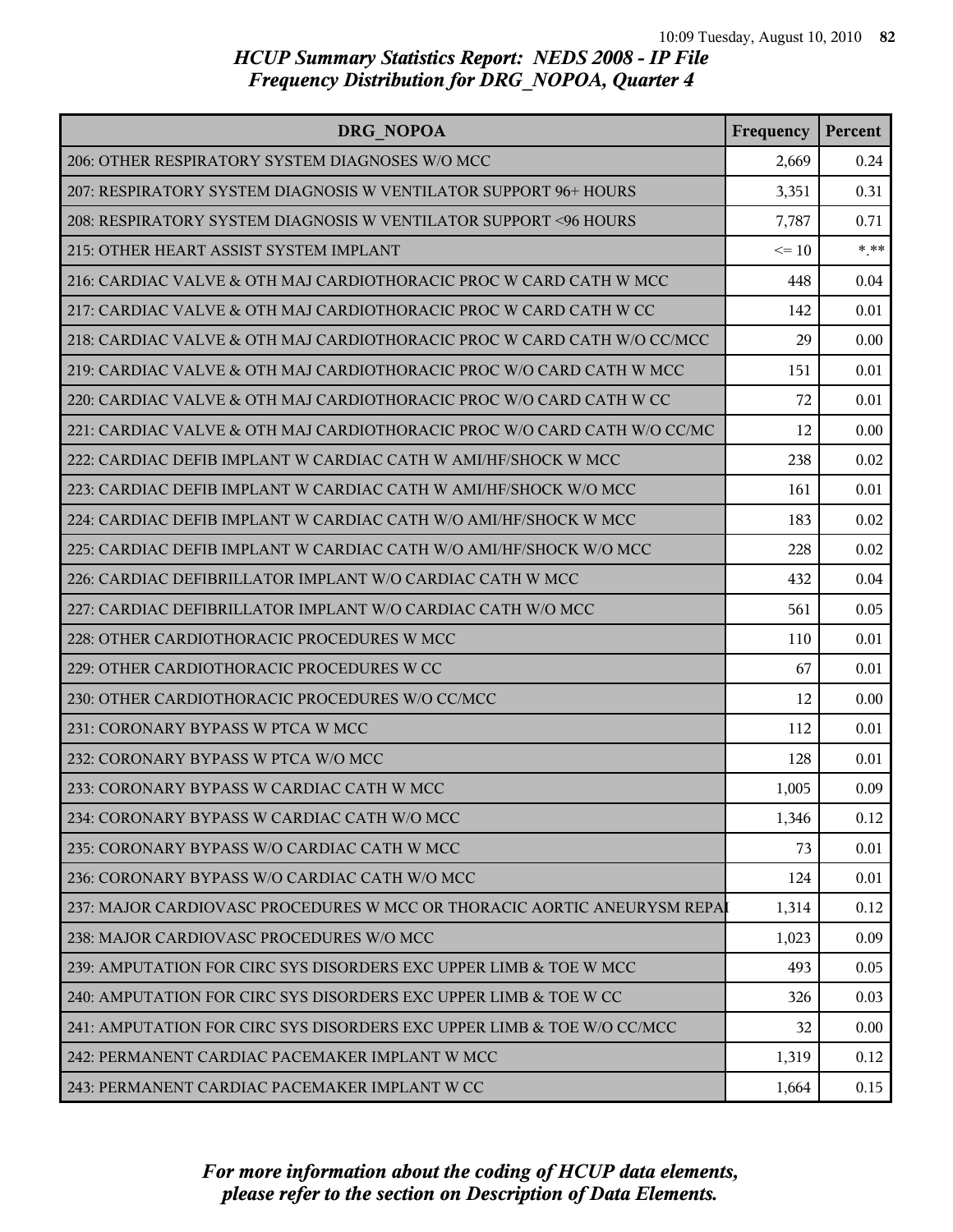| DRG NOPOA                                                                | Frequency | Percent |
|--------------------------------------------------------------------------|-----------|---------|
| 206: OTHER RESPIRATORY SYSTEM DIAGNOSES W/O MCC                          | 2,669     | 0.24    |
| 207: RESPIRATORY SYSTEM DIAGNOSIS W VENTILATOR SUPPORT 96+ HOURS         | 3,351     | 0.31    |
| 208: RESPIRATORY SYSTEM DIAGNOSIS W VENTILATOR SUPPORT <96 HOURS         | 7,787     | 0.71    |
| 215: OTHER HEART ASSIST SYSTEM IMPLANT                                   | $\leq 10$ | $*$ **  |
| 216: CARDIAC VALVE & OTH MAJ CARDIOTHORACIC PROC W CARD CATH W MCC       | 448       | 0.04    |
| 217: CARDIAC VALVE & OTH MAJ CARDIOTHORACIC PROC W CARD CATH W CC        | 142       | 0.01    |
| 218: CARDIAC VALVE & OTH MAJ CARDIOTHORACIC PROC W CARD CATH W/O CC/MCC  | 29        | 0.00    |
| 219: CARDIAC VALVE & OTH MAJ CARDIOTHORACIC PROC W/O CARD CATH W MCC     | 151       | 0.01    |
| 220: CARDIAC VALVE & OTH MAJ CARDIOTHORACIC PROC W/O CARD CATH W CC      | 72        | 0.01    |
| 221: CARDIAC VALVE & OTH MAJ CARDIOTHORACIC PROC W/O CARD CATH W/O CC/MC | 12        | 0.00    |
| 222: CARDIAC DEFIB IMPLANT W CARDIAC CATH W AMI/HF/SHOCK W MCC           | 238       | 0.02    |
| 223: CARDIAC DEFIB IMPLANT W CARDIAC CATH W AMI/HF/SHOCK W/O MCC         | 161       | 0.01    |
| 224: CARDIAC DEFIB IMPLANT W CARDIAC CATH W/O AMI/HF/SHOCK W MCC         | 183       | 0.02    |
| 225: CARDIAC DEFIB IMPLANT W CARDIAC CATH W/O AMI/HF/SHOCK W/O MCC       | 228       | 0.02    |
| 226: CARDIAC DEFIBRILLATOR IMPLANT W/O CARDIAC CATH W MCC                | 432       | 0.04    |
| 227: CARDIAC DEFIBRILLATOR IMPLANT W/O CARDIAC CATH W/O MCC              | 561       | 0.05    |
| 228: OTHER CARDIOTHORACIC PROCEDURES W MCC                               | 110       | 0.01    |
| 229: OTHER CARDIOTHORACIC PROCEDURES W CC                                | 67        | 0.01    |
| 230: OTHER CARDIOTHORACIC PROCEDURES W/O CC/MCC                          | 12        | 0.00    |
| 231: CORONARY BYPASS W PTCA W MCC                                        | 112       | 0.01    |
| 232: CORONARY BYPASS W PTCA W/O MCC                                      | 128       | 0.01    |
| 233: CORONARY BYPASS W CARDIAC CATH W MCC                                | 1,005     | 0.09    |
| 234: CORONARY BYPASS W CARDIAC CATH W/O MCC                              | 1,346     | 0.12    |
| 235: CORONARY BYPASS W/O CARDIAC CATH W MCC                              | 73        | 0.01    |
| 236: CORONARY BYPASS W/O CARDIAC CATH W/O MCC                            | 124       | 0.01    |
| 237: MAJOR CARDIOVASC PROCEDURES W MCC OR THORACIC AORTIC ANEURYSM REPAI | 1,314     | 0.12    |
| 238: MAJOR CARDIOVASC PROCEDURES W/O MCC                                 | 1,023     | 0.09    |
| 239: AMPUTATION FOR CIRC SYS DISORDERS EXC UPPER LIMB & TOE W MCC        | 493       | 0.05    |
| 240: AMPUTATION FOR CIRC SYS DISORDERS EXC UPPER LIMB & TOE W CC         | 326       | 0.03    |
| 241: AMPUTATION FOR CIRC SYS DISORDERS EXC UPPER LIMB & TOE W/O CC/MCC   | 32        | 0.00    |
| 242: PERMANENT CARDIAC PACEMAKER IMPLANT W MCC                           | 1,319     | 0.12    |
| 243: PERMANENT CARDIAC PACEMAKER IMPLANT W CC                            | 1,664     | 0.15    |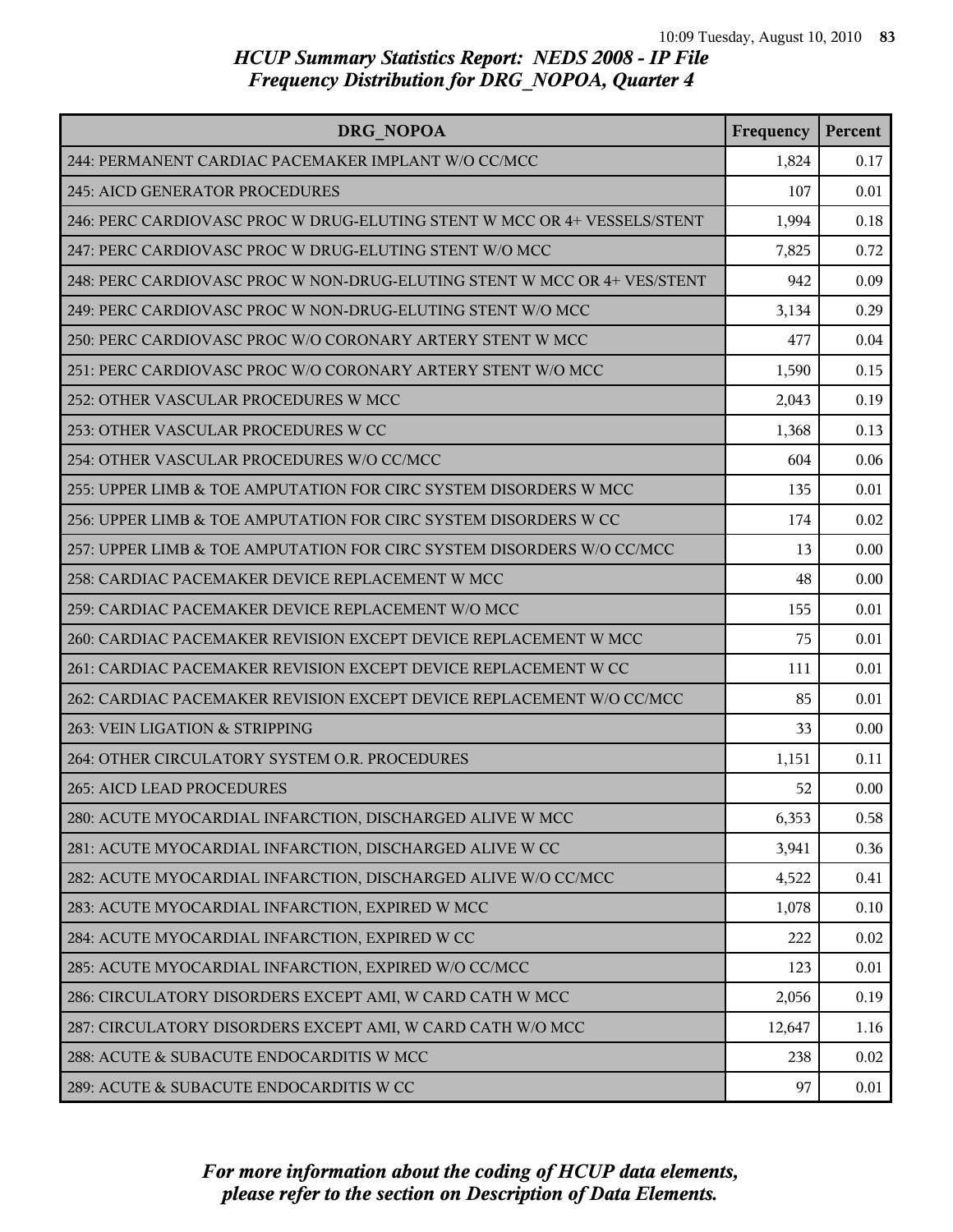| DRG NOPOA                                                                | Frequency | Percent |
|--------------------------------------------------------------------------|-----------|---------|
| 244: PERMANENT CARDIAC PACEMAKER IMPLANT W/O CC/MCC                      | 1,824     | 0.17    |
| 245: AICD GENERATOR PROCEDURES                                           | 107       | 0.01    |
| 246: PERC CARDIOVASC PROC W DRUG-ELUTING STENT W MCC OR 4+ VESSELS/STENT | 1,994     | 0.18    |
| 247: PERC CARDIOVASC PROC W DRUG-ELUTING STENT W/O MCC                   | 7,825     | 0.72    |
| 248: PERC CARDIOVASC PROC W NON-DRUG-ELUTING STENT W MCC OR 4+ VES/STENT | 942       | 0.09    |
| 249: PERC CARDIOVASC PROC W NON-DRUG-ELUTING STENT W/O MCC               | 3,134     | 0.29    |
| 250: PERC CARDIOVASC PROC W/O CORONARY ARTERY STENT W MCC                | 477       | 0.04    |
| 251: PERC CARDIOVASC PROC W/O CORONARY ARTERY STENT W/O MCC              | 1,590     | 0.15    |
| 252: OTHER VASCULAR PROCEDURES W MCC                                     | 2,043     | 0.19    |
| 253: OTHER VASCULAR PROCEDURES W CC                                      | 1,368     | 0.13    |
| 254: OTHER VASCULAR PROCEDURES W/O CC/MCC                                | 604       | 0.06    |
| 255: UPPER LIMB & TOE AMPUTATION FOR CIRC SYSTEM DISORDERS W MCC         | 135       | 0.01    |
| 256: UPPER LIMB & TOE AMPUTATION FOR CIRC SYSTEM DISORDERS W CC          | 174       | 0.02    |
| 257: UPPER LIMB & TOE AMPUTATION FOR CIRC SYSTEM DISORDERS W/O CC/MCC    | 13        | 0.00    |
| 258: CARDIAC PACEMAKER DEVICE REPLACEMENT W MCC                          | 48        | 0.00    |
| 259: CARDIAC PACEMAKER DEVICE REPLACEMENT W/O MCC                        | 155       | 0.01    |
| 260: CARDIAC PACEMAKER REVISION EXCEPT DEVICE REPLACEMENT W MCC          | 75        | 0.01    |
| 261: CARDIAC PACEMAKER REVISION EXCEPT DEVICE REPLACEMENT W CC           | 111       | 0.01    |
| 262: CARDIAC PACEMAKER REVISION EXCEPT DEVICE REPLACEMENT W/O CC/MCC     | 85        | 0.01    |
| 263: VEIN LIGATION & STRIPPING                                           | 33        | 0.00    |
| 264: OTHER CIRCULATORY SYSTEM O.R. PROCEDURES                            | 1,151     | 0.11    |
| 265: AICD LEAD PROCEDURES                                                | 52        | 0.00    |
| 280: ACUTE MYOCARDIAL INFARCTION, DISCHARGED ALIVE W MCC                 | 6,353     | 0.58    |
| 281: ACUTE MYOCARDIAL INFARCTION, DISCHARGED ALIVE W CC                  | 3,941     | 0.36    |
| 282: ACUTE MYOCARDIAL INFARCTION, DISCHARGED ALIVE W/O CC/MCC            | 4,522     | 0.41    |
| 283: ACUTE MYOCARDIAL INFARCTION, EXPIRED W MCC                          | 1,078     | 0.10    |
| 284: ACUTE MYOCARDIAL INFARCTION, EXPIRED W CC                           | 222       | 0.02    |
| 285: ACUTE MYOCARDIAL INFARCTION, EXPIRED W/O CC/MCC                     | 123       | 0.01    |
| 286: CIRCULATORY DISORDERS EXCEPT AMI, W CARD CATH W MCC                 | 2,056     | 0.19    |
| 287: CIRCULATORY DISORDERS EXCEPT AMI, W CARD CATH W/O MCC               | 12,647    | 1.16    |
| 288: ACUTE & SUBACUTE ENDOCARDITIS W MCC                                 | 238       | 0.02    |
| 289: ACUTE & SUBACUTE ENDOCARDITIS W CC                                  | 97        | 0.01    |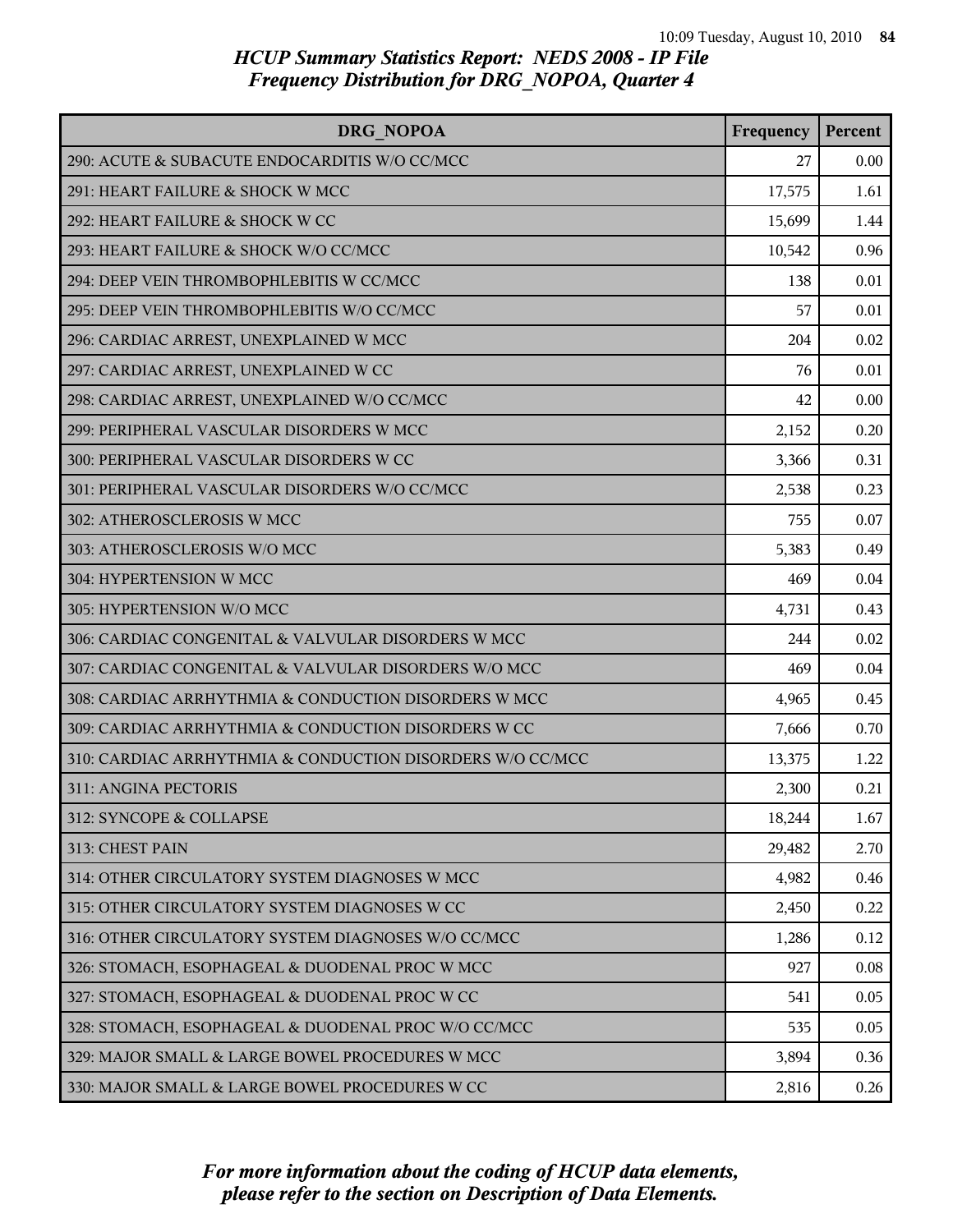| <b>DRG NOPOA</b>                                          | Frequency | Percent |
|-----------------------------------------------------------|-----------|---------|
| 290: ACUTE & SUBACUTE ENDOCARDITIS W/O CC/MCC             | 27        | 0.00    |
| 291: HEART FAILURE & SHOCK W MCC                          | 17,575    | 1.61    |
| 292: HEART FAILURE & SHOCK W CC                           | 15,699    | 1.44    |
| 293: HEART FAILURE & SHOCK W/O CC/MCC                     | 10,542    | 0.96    |
| 294: DEEP VEIN THROMBOPHLEBITIS W CC/MCC                  | 138       | 0.01    |
| 295: DEEP VEIN THROMBOPHLEBITIS W/O CC/MCC                | 57        | 0.01    |
| 296: CARDIAC ARREST, UNEXPLAINED W MCC                    | 204       | 0.02    |
| 297: CARDIAC ARREST, UNEXPLAINED W CC                     | 76        | 0.01    |
| 298: CARDIAC ARREST, UNEXPLAINED W/O CC/MCC               | 42        | 0.00    |
| 299: PERIPHERAL VASCULAR DISORDERS W MCC                  | 2,152     | 0.20    |
| 300: PERIPHERAL VASCULAR DISORDERS W CC                   | 3,366     | 0.31    |
| 301: PERIPHERAL VASCULAR DISORDERS W/O CC/MCC             | 2,538     | 0.23    |
| 302: ATHEROSCLEROSIS W MCC                                | 755       | 0.07    |
| 303: ATHEROSCLEROSIS W/O MCC                              | 5,383     | 0.49    |
| 304: HYPERTENSION W MCC                                   | 469       | 0.04    |
| 305: HYPERTENSION W/O MCC                                 | 4,731     | 0.43    |
| 306: CARDIAC CONGENITAL & VALVULAR DISORDERS W MCC        | 244       | 0.02    |
| 307: CARDIAC CONGENITAL & VALVULAR DISORDERS W/O MCC      | 469       | 0.04    |
| 308: CARDIAC ARRHYTHMIA & CONDUCTION DISORDERS W MCC      | 4,965     | 0.45    |
| 309: CARDIAC ARRHYTHMIA & CONDUCTION DISORDERS W CC       | 7,666     | 0.70    |
| 310: CARDIAC ARRHYTHMIA & CONDUCTION DISORDERS W/O CC/MCC | 13,375    | 1.22    |
| 311: ANGINA PECTORIS                                      | 2,300     | 0.21    |
| 312: SYNCOPE & COLLAPSE                                   | 18,244    | 1.67    |
| 313: CHEST PAIN                                           | 29,482    | 2.70    |
| 314: OTHER CIRCULATORY SYSTEM DIAGNOSES W MCC             | 4,982     | 0.46    |
| 315: OTHER CIRCULATORY SYSTEM DIAGNOSES W CC              | 2,450     | 0.22    |
| 316: OTHER CIRCULATORY SYSTEM DIAGNOSES W/O CC/MCC        | 1,286     | 0.12    |
| 326: STOMACH, ESOPHAGEAL & DUODENAL PROC W MCC            | 927       | 0.08    |
| 327: STOMACH, ESOPHAGEAL & DUODENAL PROC W CC             | 541       | 0.05    |
| 328: STOMACH, ESOPHAGEAL & DUODENAL PROC W/O CC/MCC       | 535       | 0.05    |
| 329: MAJOR SMALL & LARGE BOWEL PROCEDURES W MCC           | 3,894     | 0.36    |
| 330: MAJOR SMALL & LARGE BOWEL PROCEDURES W CC            | 2,816     | 0.26    |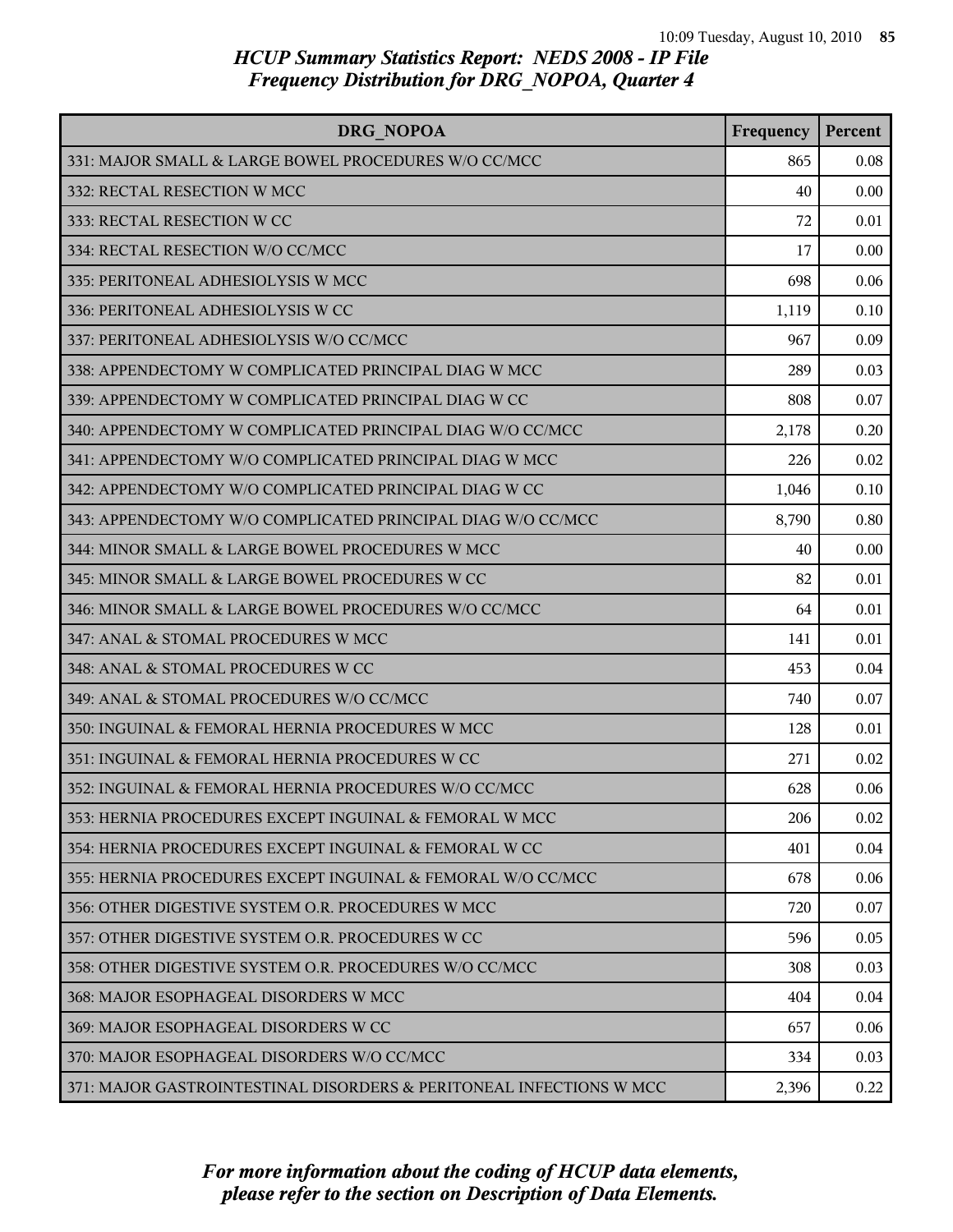| <b>DRG NOPOA</b>                                                    | Frequency | Percent |
|---------------------------------------------------------------------|-----------|---------|
| 331: MAJOR SMALL & LARGE BOWEL PROCEDURES W/O CC/MCC                | 865       | 0.08    |
| 332: RECTAL RESECTION W MCC                                         | 40        | 0.00    |
| 333: RECTAL RESECTION W CC                                          | 72        | 0.01    |
| 334: RECTAL RESECTION W/O CC/MCC                                    | 17        | 0.00    |
| 335: PERITONEAL ADHESIOLYSIS W MCC                                  | 698       | 0.06    |
| 336: PERITONEAL ADHESIOLYSIS W CC                                   | 1,119     | 0.10    |
| 337: PERITONEAL ADHESIOLYSIS W/O CC/MCC                             | 967       | 0.09    |
| 338: APPENDECTOMY W COMPLICATED PRINCIPAL DIAG W MCC                | 289       | 0.03    |
| 339: APPENDECTOMY W COMPLICATED PRINCIPAL DIAG W CC                 | 808       | 0.07    |
| 340: APPENDECTOMY W COMPLICATED PRINCIPAL DIAG W/O CC/MCC           | 2,178     | 0.20    |
| 341: APPENDECTOMY W/O COMPLICATED PRINCIPAL DIAG W MCC              | 226       | 0.02    |
| 342: APPENDECTOMY W/O COMPLICATED PRINCIPAL DIAG W CC               | 1,046     | 0.10    |
| 343: APPENDECTOMY W/O COMPLICATED PRINCIPAL DIAG W/O CC/MCC         | 8,790     | 0.80    |
| 344: MINOR SMALL & LARGE BOWEL PROCEDURES W MCC                     | 40        | 0.00    |
| 345: MINOR SMALL & LARGE BOWEL PROCEDURES W CC                      | 82        | 0.01    |
| 346: MINOR SMALL & LARGE BOWEL PROCEDURES W/O CC/MCC                | 64        | 0.01    |
| 347: ANAL & STOMAL PROCEDURES W MCC                                 | 141       | 0.01    |
| 348: ANAL & STOMAL PROCEDURES W CC                                  | 453       | 0.04    |
| 349: ANAL & STOMAL PROCEDURES W/O CC/MCC                            | 740       | 0.07    |
| 350: INGUINAL & FEMORAL HERNIA PROCEDURES W MCC                     | 128       | 0.01    |
| 351: INGUINAL & FEMORAL HERNIA PROCEDURES W CC                      | 271       | 0.02    |
| 352: INGUINAL & FEMORAL HERNIA PROCEDURES W/O CC/MCC                | 628       | 0.06    |
| 353: HERNIA PROCEDURES EXCEPT INGUINAL & FEMORAL W MCC              | 206       | 0.02    |
| 354: HERNIA PROCEDURES EXCEPT INGUINAL & FEMORAL W CC               | 401       | 0.04    |
| 355: HERNIA PROCEDURES EXCEPT INGUINAL & FEMORAL W/O CC/MCC         | 678       | 0.06    |
| 356: OTHER DIGESTIVE SYSTEM O.R. PROCEDURES W MCC                   | 720       | 0.07    |
| 357: OTHER DIGESTIVE SYSTEM O.R. PROCEDURES W CC                    | 596       | 0.05    |
| 358: OTHER DIGESTIVE SYSTEM O.R. PROCEDURES W/O CC/MCC              | 308       | 0.03    |
| 368: MAJOR ESOPHAGEAL DISORDERS W MCC                               | 404       | 0.04    |
| 369: MAJOR ESOPHAGEAL DISORDERS W CC                                | 657       | 0.06    |
| 370: MAJOR ESOPHAGEAL DISORDERS W/O CC/MCC                          | 334       | 0.03    |
| 371: MAJOR GASTROINTESTINAL DISORDERS & PERITONEAL INFECTIONS W MCC | 2,396     | 0.22    |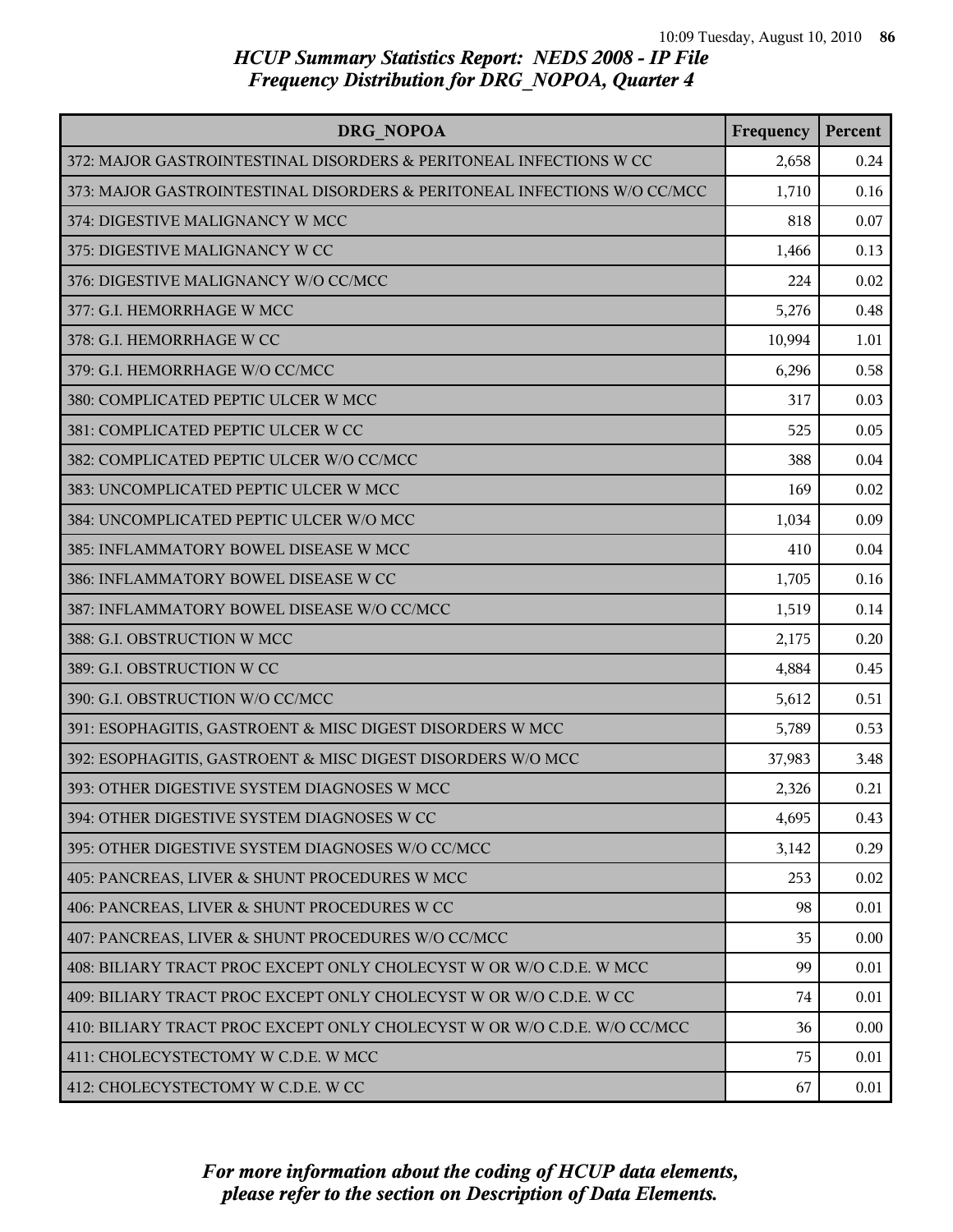| DRG NOPOA                                                                | Frequency | Percent |
|--------------------------------------------------------------------------|-----------|---------|
| 372: MAJOR GASTROINTESTINAL DISORDERS & PERITONEAL INFECTIONS W CC       | 2,658     | 0.24    |
| 373: MAJOR GASTROINTESTINAL DISORDERS & PERITONEAL INFECTIONS W/O CC/MCC | 1,710     | 0.16    |
| 374: DIGESTIVE MALIGNANCY W MCC                                          | 818       | 0.07    |
| 375: DIGESTIVE MALIGNANCY W CC                                           | 1,466     | 0.13    |
| 376: DIGESTIVE MALIGNANCY W/O CC/MCC                                     | 224       | 0.02    |
| 377: G.I. HEMORRHAGE W MCC                                               | 5,276     | 0.48    |
| 378: G.I. HEMORRHAGE W CC                                                | 10,994    | 1.01    |
| 379: G.I. HEMORRHAGE W/O CC/MCC                                          | 6,296     | 0.58    |
| 380: COMPLICATED PEPTIC ULCER W MCC                                      | 317       | 0.03    |
| 381: COMPLICATED PEPTIC ULCER W CC                                       | 525       | 0.05    |
| 382: COMPLICATED PEPTIC ULCER W/O CC/MCC                                 | 388       | 0.04    |
| 383: UNCOMPLICATED PEPTIC ULCER W MCC                                    | 169       | 0.02    |
| 384: UNCOMPLICATED PEPTIC ULCER W/O MCC                                  | 1,034     | 0.09    |
| 385: INFLAMMATORY BOWEL DISEASE W MCC                                    | 410       | 0.04    |
| 386: INFLAMMATORY BOWEL DISEASE W CC                                     | 1,705     | 0.16    |
| 387: INFLAMMATORY BOWEL DISEASE W/O CC/MCC                               | 1,519     | 0.14    |
| 388: G.I. OBSTRUCTION W MCC                                              | 2,175     | 0.20    |
| 389: G.I. OBSTRUCTION W CC                                               | 4,884     | 0.45    |
| 390: G.I. OBSTRUCTION W/O CC/MCC                                         | 5,612     | 0.51    |
| 391: ESOPHAGITIS, GASTROENT & MISC DIGEST DISORDERS W MCC                | 5,789     | 0.53    |
| 392: ESOPHAGITIS, GASTROENT & MISC DIGEST DISORDERS W/O MCC              | 37,983    | 3.48    |
| 393: OTHER DIGESTIVE SYSTEM DIAGNOSES W MCC                              | 2,326     | 0.21    |
| 394: OTHER DIGESTIVE SYSTEM DIAGNOSES W CC                               | 4,695     | 0.43    |
| 395: OTHER DIGESTIVE SYSTEM DIAGNOSES W/O CC/MCC                         | 3,142     | 0.29    |
| 405: PANCREAS, LIVER & SHUNT PROCEDURES W MCC                            | 253       | 0.02    |
| 406: PANCREAS, LIVER & SHUNT PROCEDURES W CC                             | 98        | 0.01    |
| 407: PANCREAS, LIVER & SHUNT PROCEDURES W/O CC/MCC                       | 35        | 0.00    |
| 408: BILIARY TRACT PROC EXCEPT ONLY CHOLECYST W OR W/O C.D.E. W MCC      | 99        | 0.01    |
| 409: BILIARY TRACT PROC EXCEPT ONLY CHOLECYST W OR W/O C.D.E. W CC       | 74        | 0.01    |
| 410: BILIARY TRACT PROC EXCEPT ONLY CHOLECYST W OR W/O C.D.E. W/O CC/MCC | 36        | 0.00    |
| 411: CHOLECYSTECTOMY W C.D.E. W MCC                                      | 75        | 0.01    |
| 412: CHOLECYSTECTOMY W C.D.E. W CC                                       | 67        | 0.01    |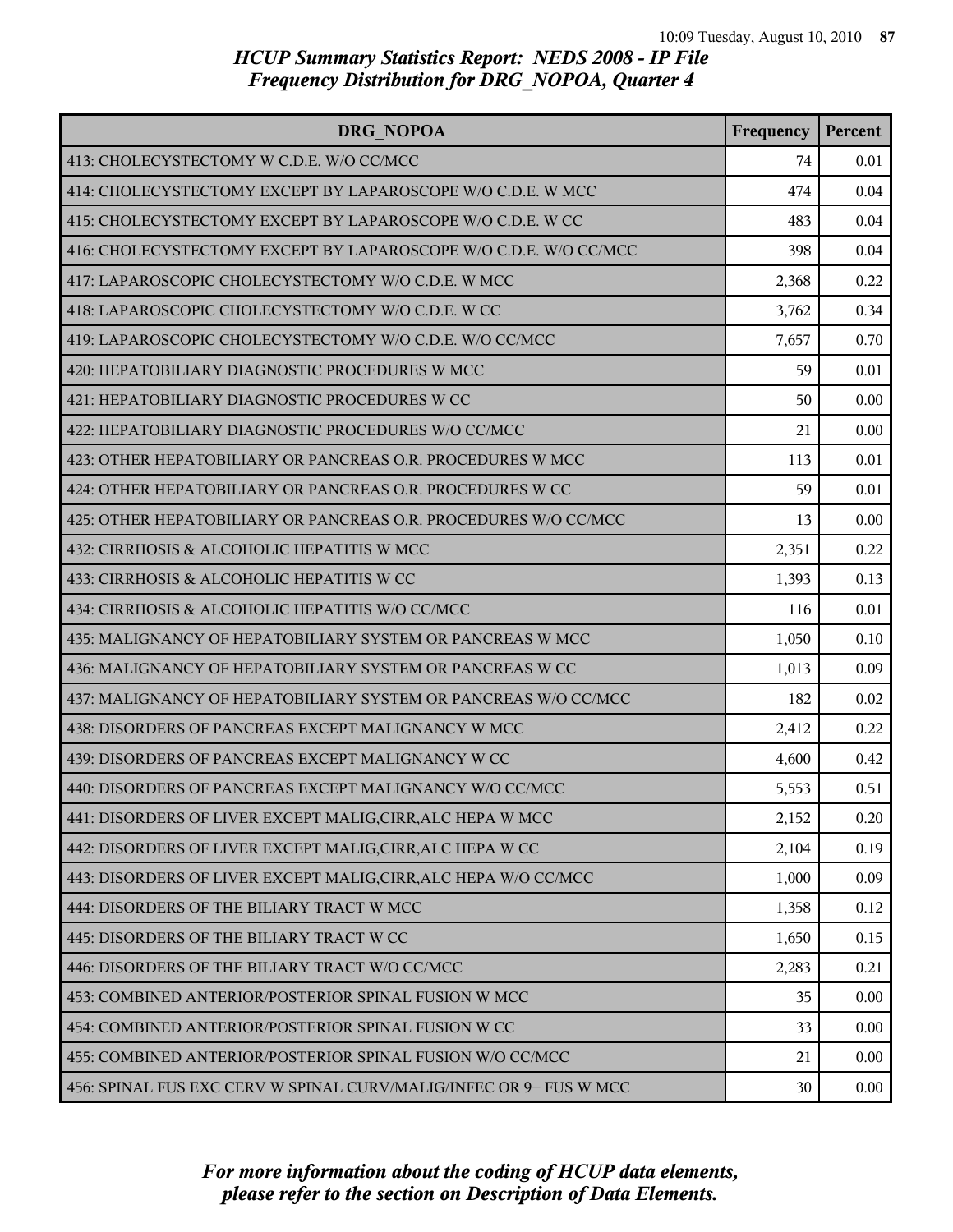| DRG NOPOA                                                          | Frequency | Percent |
|--------------------------------------------------------------------|-----------|---------|
| 413: CHOLECYSTECTOMY W C.D.E. W/O CC/MCC                           | 74        | 0.01    |
| 414: CHOLECYSTECTOMY EXCEPT BY LAPAROSCOPE W/O C.D.E. W MCC        | 474       | 0.04    |
| 415: CHOLECYSTECTOMY EXCEPT BY LAPAROSCOPE W/O C.D.E. W CC         | 483       | 0.04    |
| 416: CHOLECYSTECTOMY EXCEPT BY LAPAROSCOPE W/O C.D.E. W/O CC/MCC   | 398       | 0.04    |
| 417: LAPAROSCOPIC CHOLECYSTECTOMY W/O C.D.E. W MCC                 | 2,368     | 0.22    |
| 418: LAPAROSCOPIC CHOLECYSTECTOMY W/O C.D.E. W CC                  | 3,762     | 0.34    |
| 419: LAPAROSCOPIC CHOLECYSTECTOMY W/O C.D.E. W/O CC/MCC            | 7,657     | 0.70    |
| 420: HEPATOBILIARY DIAGNOSTIC PROCEDURES W MCC                     | 59        | 0.01    |
| 421: HEPATOBILIARY DIAGNOSTIC PROCEDURES W CC                      | 50        | 0.00    |
| 422: HEPATOBILIARY DIAGNOSTIC PROCEDURES W/O CC/MCC                | 21        | 0.00    |
| 423: OTHER HEPATOBILIARY OR PANCREAS O.R. PROCEDURES W MCC         | 113       | 0.01    |
| 424: OTHER HEPATOBILIARY OR PANCREAS O.R. PROCEDURES W CC          | 59        | 0.01    |
| 425: OTHER HEPATOBILIARY OR PANCREAS O.R. PROCEDURES W/O CC/MCC    | 13        | 0.00    |
| 432: CIRRHOSIS & ALCOHOLIC HEPATITIS W MCC                         | 2,351     | 0.22    |
| 433: CIRRHOSIS & ALCOHOLIC HEPATITIS W CC                          | 1,393     | 0.13    |
| 434: CIRRHOSIS & ALCOHOLIC HEPATITIS W/O CC/MCC                    | 116       | 0.01    |
| 435: MALIGNANCY OF HEPATOBILIARY SYSTEM OR PANCREAS W MCC          | 1,050     | 0.10    |
| 436: MALIGNANCY OF HEPATOBILIARY SYSTEM OR PANCREAS W CC           | 1,013     | 0.09    |
| 437: MALIGNANCY OF HEPATOBILIARY SYSTEM OR PANCREAS W/O CC/MCC     | 182       | 0.02    |
| 438: DISORDERS OF PANCREAS EXCEPT MALIGNANCY W MCC                 | 2,412     | 0.22    |
| 439: DISORDERS OF PANCREAS EXCEPT MALIGNANCY W CC                  | 4,600     | 0.42    |
| 440: DISORDERS OF PANCREAS EXCEPT MALIGNANCY W/O CC/MCC            | 5,553     | 0.51    |
| 441: DISORDERS OF LIVER EXCEPT MALIG, CIRR, ALC HEPA W MCC         | 2,152     | 0.20    |
| 442: DISORDERS OF LIVER EXCEPT MALIG, CIRR, ALC HEPA W CC          | 2,104     | 0.19    |
| 443: DISORDERS OF LIVER EXCEPT MALIG, CIRR, ALC HEPA W/O CC/MCC    | 1,000     | 0.09    |
| 444: DISORDERS OF THE BILIARY TRACT W MCC                          | 1,358     | 0.12    |
| 445: DISORDERS OF THE BILIARY TRACT W CC                           | 1,650     | 0.15    |
| 446: DISORDERS OF THE BILIARY TRACT W/O CC/MCC                     | 2,283     | 0.21    |
| 453: COMBINED ANTERIOR/POSTERIOR SPINAL FUSION W MCC               | 35        | 0.00    |
| 454: COMBINED ANTERIOR/POSTERIOR SPINAL FUSION W CC                | 33        | 0.00    |
| 455: COMBINED ANTERIOR/POSTERIOR SPINAL FUSION W/O CC/MCC          | 21        | 0.00    |
| 456: SPINAL FUS EXC CERV W SPINAL CURV/MALIG/INFEC OR 9+ FUS W MCC | 30        | 0.00    |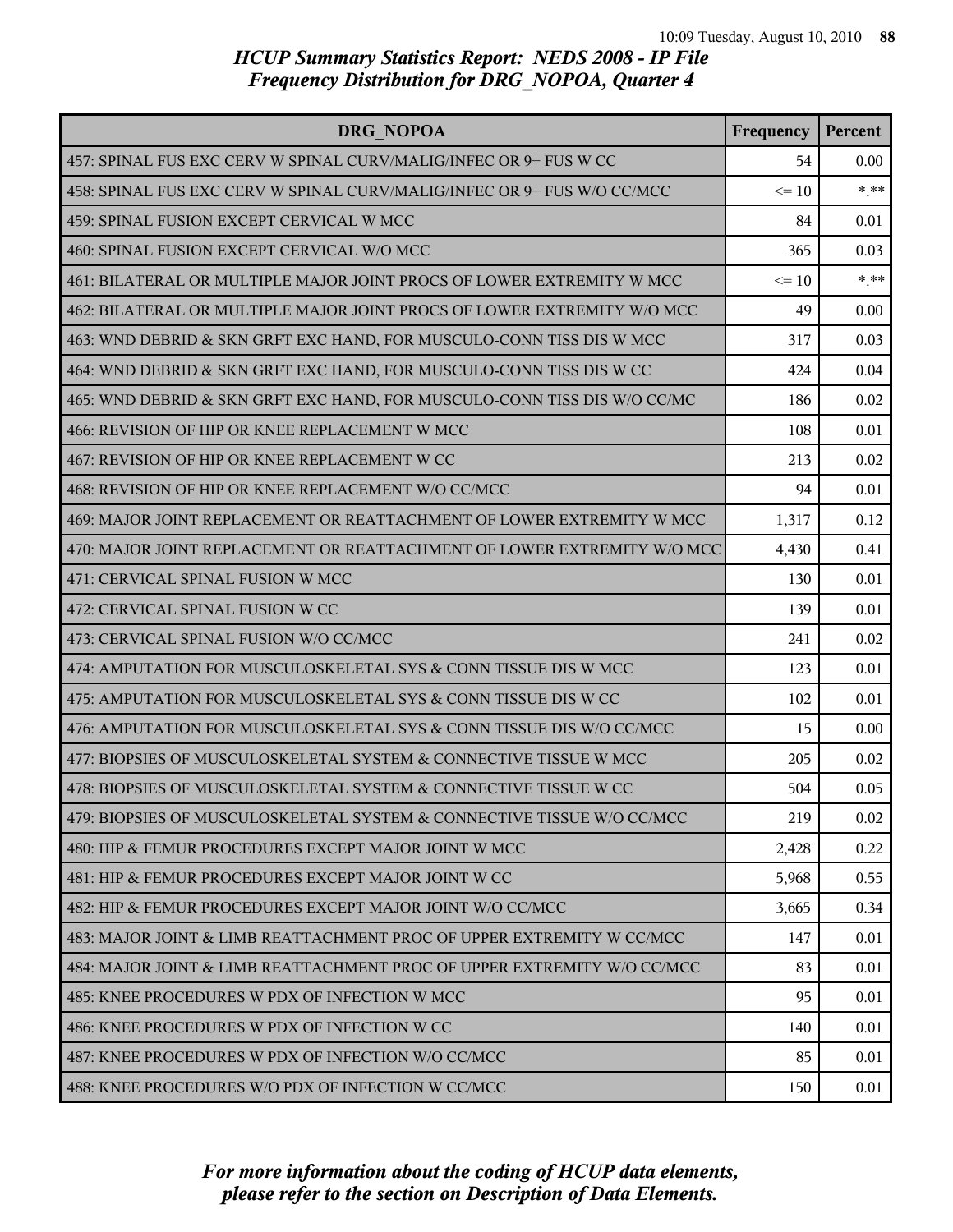| DRG NOPOA                                                                | Frequency | Percent |
|--------------------------------------------------------------------------|-----------|---------|
| 457: SPINAL FUS EXC CERV W SPINAL CURV/MALIG/INFEC OR 9+ FUS W CC        | 54        | 0.00    |
| 458: SPINAL FUS EXC CERV W SPINAL CURV/MALIG/INFEC OR 9+ FUS W/O CC/MCC  | $\leq 10$ | $***$   |
| 459: SPINAL FUSION EXCEPT CERVICAL W MCC                                 | 84        | 0.01    |
| 460: SPINAL FUSION EXCEPT CERVICAL W/O MCC                               | 365       | 0.03    |
| 461: BILATERAL OR MULTIPLE MAJOR JOINT PROCS OF LOWER EXTREMITY W MCC    | $\leq 10$ | $***$   |
| 462: BILATERAL OR MULTIPLE MAJOR JOINT PROCS OF LOWER EXTREMITY W/O MCC  | 49        | 0.00    |
| 463: WND DEBRID & SKN GRFT EXC HAND, FOR MUSCULO-CONN TISS DIS W MCC     | 317       | 0.03    |
| 464: WND DEBRID & SKN GRFT EXC HAND, FOR MUSCULO-CONN TISS DIS W CC      | 424       | 0.04    |
| 465: WND DEBRID & SKN GRFT EXC HAND, FOR MUSCULO-CONN TISS DIS W/O CC/MC | 186       | 0.02    |
| 466: REVISION OF HIP OR KNEE REPLACEMENT W MCC                           | 108       | 0.01    |
| 467: REVISION OF HIP OR KNEE REPLACEMENT W CC                            | 213       | 0.02    |
| 468: REVISION OF HIP OR KNEE REPLACEMENT W/O CC/MCC                      | 94        | 0.01    |
| 469: MAJOR JOINT REPLACEMENT OR REATTACHMENT OF LOWER EXTREMITY W MCC    | 1,317     | 0.12    |
| 470: MAJOR JOINT REPLACEMENT OR REATTACHMENT OF LOWER EXTREMITY W/O MCC  | 4,430     | 0.41    |
| 471: CERVICAL SPINAL FUSION W MCC                                        | 130       | 0.01    |
| 472: CERVICAL SPINAL FUSION W CC                                         | 139       | 0.01    |
| 473: CERVICAL SPINAL FUSION W/O CC/MCC                                   | 241       | 0.02    |
| 474: AMPUTATION FOR MUSCULOSKELETAL SYS & CONN TISSUE DIS W MCC          | 123       | 0.01    |
| 475: AMPUTATION FOR MUSCULOSKELETAL SYS & CONN TISSUE DIS W CC           | 102       | 0.01    |
| 476: AMPUTATION FOR MUSCULOSKELETAL SYS & CONN TISSUE DIS W/O CC/MCC     | 15        | 0.00    |
| 477: BIOPSIES OF MUSCULOSKELETAL SYSTEM & CONNECTIVE TISSUE W MCC        | 205       | 0.02    |
| 478: BIOPSIES OF MUSCULOSKELETAL SYSTEM & CONNECTIVE TISSUE W CC         | 504       | 0.05    |
| 479: BIOPSIES OF MUSCULOSKELETAL SYSTEM & CONNECTIVE TISSUE W/O CC/MCC   | 219       | 0.02    |
| 480: HIP & FEMUR PROCEDURES EXCEPT MAJOR JOINT W MCC                     | 2,428     | 0.22    |
| 481: HIP & FEMUR PROCEDURES EXCEPT MAJOR JOINT W CC                      | 5,968     | 0.55    |
| 482: HIP & FEMUR PROCEDURES EXCEPT MAJOR JOINT W/O CC/MCC                | 3,665     | 0.34    |
| 483: MAJOR JOINT & LIMB REATTACHMENT PROC OF UPPER EXTREMITY W CC/MCC    | 147       | 0.01    |
| 484: MAJOR JOINT & LIMB REATTACHMENT PROC OF UPPER EXTREMITY W/O CC/MCC  | 83        | 0.01    |
| 485: KNEE PROCEDURES W PDX OF INFECTION W MCC                            | 95        | 0.01    |
| 486: KNEE PROCEDURES W PDX OF INFECTION W CC                             | 140       | 0.01    |
| 487: KNEE PROCEDURES W PDX OF INFECTION W/O CC/MCC                       | 85        | 0.01    |
| 488: KNEE PROCEDURES W/O PDX OF INFECTION W CC/MCC                       | 150       | 0.01    |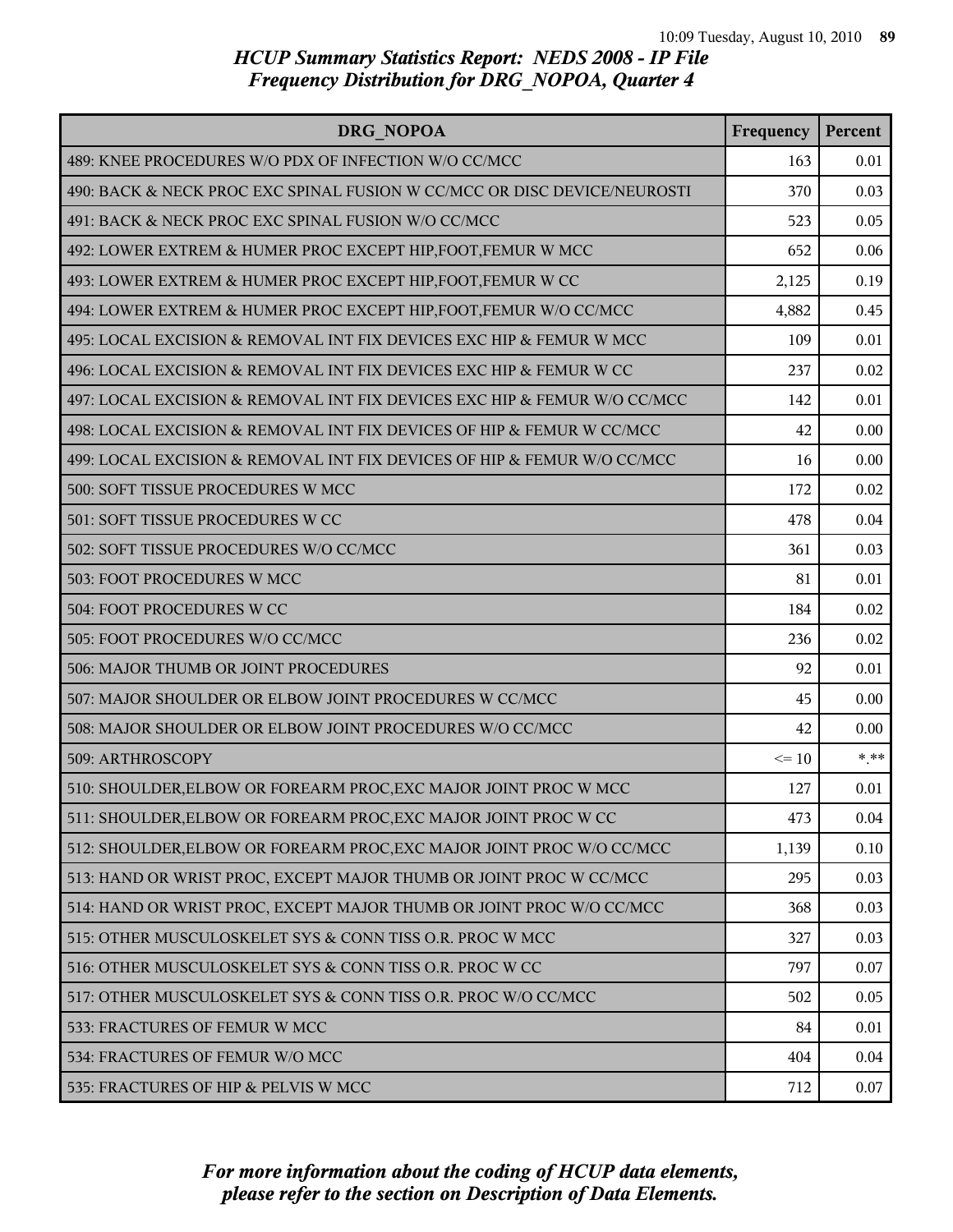| DRG NOPOA                                                                | Frequency | Percent |
|--------------------------------------------------------------------------|-----------|---------|
| 489: KNEE PROCEDURES W/O PDX OF INFECTION W/O CC/MCC                     | 163       | 0.01    |
| 490: BACK & NECK PROC EXC SPINAL FUSION W CC/MCC OR DISC DEVICE/NEUROSTI | 370       | 0.03    |
| 491: BACK & NECK PROC EXC SPINAL FUSION W/O CC/MCC                       | 523       | 0.05    |
| 492: LOWER EXTREM & HUMER PROC EXCEPT HIP, FOOT, FEMUR W MCC             | 652       | 0.06    |
| 493: LOWER EXTREM & HUMER PROC EXCEPT HIP, FOOT, FEMUR W CC              | 2,125     | 0.19    |
| 494: LOWER EXTREM & HUMER PROC EXCEPT HIP, FOOT, FEMUR W/O CC/MCC        | 4,882     | 0.45    |
| 495: LOCAL EXCISION & REMOVAL INT FIX DEVICES EXC HIP & FEMUR W MCC      | 109       | 0.01    |
| 496: LOCAL EXCISION & REMOVAL INT FIX DEVICES EXC HIP & FEMUR W CC       | 237       | 0.02    |
| 497: LOCAL EXCISION & REMOVAL INT FIX DEVICES EXC HIP & FEMUR W/O CC/MCC | 142       | 0.01    |
| 498: LOCAL EXCISION & REMOVAL INT FIX DEVICES OF HIP & FEMUR W CC/MCC    | 42        | 0.00    |
| 499: LOCAL EXCISION & REMOVAL INT FIX DEVICES OF HIP & FEMUR W/O CC/MCC  | 16        | 0.00    |
| 500: SOFT TISSUE PROCEDURES W MCC                                        | 172       | 0.02    |
| 501: SOFT TISSUE PROCEDURES W CC                                         | 478       | 0.04    |
| 502: SOFT TISSUE PROCEDURES W/O CC/MCC                                   | 361       | 0.03    |
| 503: FOOT PROCEDURES W MCC                                               | 81        | 0.01    |
| 504: FOOT PROCEDURES W CC                                                | 184       | 0.02    |
| 505: FOOT PROCEDURES W/O CC/MCC                                          | 236       | 0.02    |
| 506: MAJOR THUMB OR JOINT PROCEDURES                                     | 92        | 0.01    |
| 507: MAJOR SHOULDER OR ELBOW JOINT PROCEDURES W CC/MCC                   | 45        | 0.00    |
| 508: MAJOR SHOULDER OR ELBOW JOINT PROCEDURES W/O CC/MCC                 | 42        | 0.00    |
| 509: ARTHROSCOPY                                                         | $\leq 10$ | $* * *$ |
| 510: SHOULDER, ELBOW OR FOREARM PROC, EXC MAJOR JOINT PROC W MCC         | 127       | 0.01    |
| 511: SHOULDER, ELBOW OR FOREARM PROC, EXC MAJOR JOINT PROC W CC          | 473       | 0.04    |
| 512: SHOULDER, ELBOW OR FOREARM PROC, EXC MAJOR JOINT PROC W/O CC/MCC    | 1,139     | 0.10    |
| 513: HAND OR WRIST PROC, EXCEPT MAJOR THUMB OR JOINT PROC W CC/MCC       | 295       | 0.03    |
| 514: HAND OR WRIST PROC, EXCEPT MAJOR THUMB OR JOINT PROC W/O CC/MCC     | 368       | 0.03    |
| 515: OTHER MUSCULOSKELET SYS & CONN TISS O.R. PROC W MCC                 | 327       | 0.03    |
| 516: OTHER MUSCULOSKELET SYS & CONN TISS O.R. PROC W CC                  | 797       | 0.07    |
| 517: OTHER MUSCULOSKELET SYS & CONN TISS O.R. PROC W/O CC/MCC            | 502       | 0.05    |
| 533: FRACTURES OF FEMUR W MCC                                            | 84        | 0.01    |
| 534: FRACTURES OF FEMUR W/O MCC                                          | 404       | 0.04    |
| 535: FRACTURES OF HIP & PELVIS W MCC                                     | 712       | 0.07    |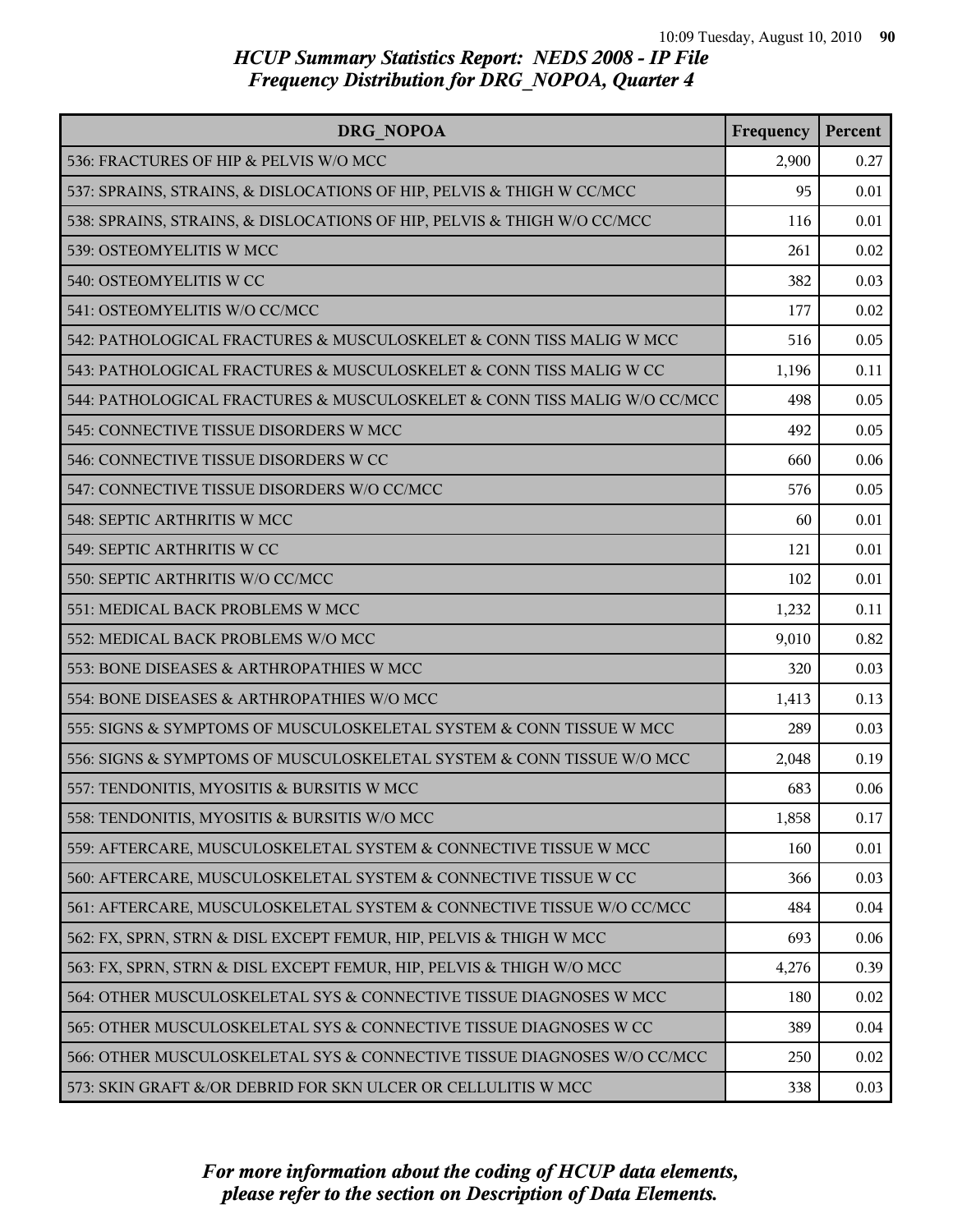| DRG NOPOA                                                                | Frequency | Percent |
|--------------------------------------------------------------------------|-----------|---------|
| 536: FRACTURES OF HIP & PELVIS W/O MCC                                   | 2,900     | 0.27    |
| 537: SPRAINS, STRAINS, & DISLOCATIONS OF HIP, PELVIS & THIGH W CC/MCC    | 95        | 0.01    |
| 538: SPRAINS, STRAINS, & DISLOCATIONS OF HIP, PELVIS & THIGH W/O CC/MCC  | 116       | 0.01    |
| 539: OSTEOMYELITIS W MCC                                                 | 261       | 0.02    |
| 540: OSTEOMYELITIS W CC                                                  | 382       | 0.03    |
| 541: OSTEOMYELITIS W/O CC/MCC                                            | 177       | 0.02    |
| 542: PATHOLOGICAL FRACTURES & MUSCULOSKELET & CONN TISS MALIG W MCC      | 516       | 0.05    |
| 543: PATHOLOGICAL FRACTURES & MUSCULOSKELET & CONN TISS MALIG W CC       | 1,196     | 0.11    |
| 544: PATHOLOGICAL FRACTURES & MUSCULOSKELET & CONN TISS MALIG W/O CC/MCC | 498       | 0.05    |
| 545: CONNECTIVE TISSUE DISORDERS W MCC                                   | 492       | 0.05    |
| 546: CONNECTIVE TISSUE DISORDERS W CC                                    | 660       | 0.06    |
| 547: CONNECTIVE TISSUE DISORDERS W/O CC/MCC                              | 576       | 0.05    |
| 548: SEPTIC ARTHRITIS W MCC                                              | 60        | 0.01    |
| 549: SEPTIC ARTHRITIS W CC                                               | 121       | 0.01    |
| 550: SEPTIC ARTHRITIS W/O CC/MCC                                         | 102       | 0.01    |
| 551: MEDICAL BACK PROBLEMS W MCC                                         | 1,232     | 0.11    |
| 552: MEDICAL BACK PROBLEMS W/O MCC                                       | 9,010     | 0.82    |
| 553: BONE DISEASES & ARTHROPATHIES W MCC                                 | 320       | 0.03    |
| 554: BONE DISEASES & ARTHROPATHIES W/O MCC                               | 1,413     | 0.13    |
| 555: SIGNS & SYMPTOMS OF MUSCULOSKELETAL SYSTEM & CONN TISSUE W MCC      | 289       | 0.03    |
| 556: SIGNS & SYMPTOMS OF MUSCULOSKELETAL SYSTEM & CONN TISSUE W/O MCC    | 2,048     | 0.19    |
| 557: TENDONITIS, MYOSITIS & BURSITIS W MCC                               | 683       | 0.06    |
| 558: TENDONITIS, MYOSITIS & BURSITIS W/O MCC                             | 1,858     | 0.17    |
| 559: AFTERCARE, MUSCULOSKELETAL SYSTEM & CONNECTIVE TISSUE W MCC         | 160       | 0.01    |
| 560: AFTERCARE, MUSCULOSKELETAL SYSTEM & CONNECTIVE TISSUE W CC          | 366       | 0.03    |
| 561: AFTERCARE, MUSCULOSKELETAL SYSTEM & CONNECTIVE TISSUE W/O CC/MCC    | 484       | 0.04    |
| 562: FX, SPRN, STRN & DISL EXCEPT FEMUR, HIP, PELVIS & THIGH W MCC       | 693       | 0.06    |
| 563: FX, SPRN, STRN & DISL EXCEPT FEMUR, HIP, PELVIS & THIGH W/O MCC     | 4,276     | 0.39    |
| 564: OTHER MUSCULOSKELETAL SYS & CONNECTIVE TISSUE DIAGNOSES W MCC       | 180       | 0.02    |
| 565: OTHER MUSCULOSKELETAL SYS & CONNECTIVE TISSUE DIAGNOSES W CC        | 389       | 0.04    |
| 566: OTHER MUSCULOSKELETAL SYS & CONNECTIVE TISSUE DIAGNOSES W/O CC/MCC  | 250       | 0.02    |
| 573: SKIN GRAFT &/OR DEBRID FOR SKN ULCER OR CELLULITIS W MCC            | 338       | 0.03    |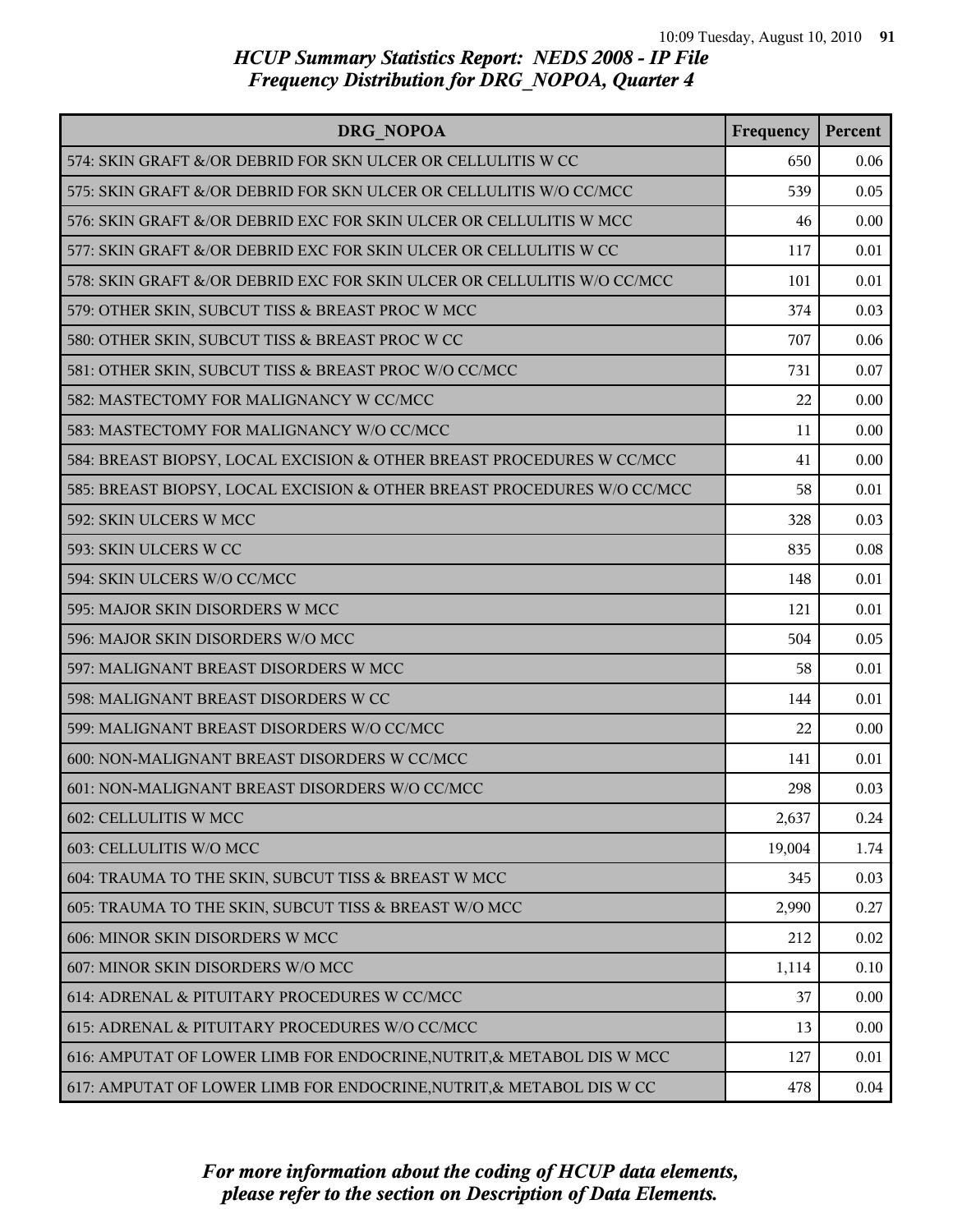| DRG NOPOA                                                               | Frequency | Percent |
|-------------------------------------------------------------------------|-----------|---------|
| 574: SKIN GRAFT &/OR DEBRID FOR SKN ULCER OR CELLULITIS W CC            | 650       | 0.06    |
| 575: SKIN GRAFT &/OR DEBRID FOR SKN ULCER OR CELLULITIS W/O CC/MCC      | 539       | 0.05    |
| 576: SKIN GRAFT &/OR DEBRID EXC FOR SKIN ULCER OR CELLULITIS W MCC      | 46        | 0.00    |
| 577: SKIN GRAFT &/OR DEBRID EXC FOR SKIN ULCER OR CELLULITIS W CC       | 117       | 0.01    |
| 578: SKIN GRAFT &/OR DEBRID EXC FOR SKIN ULCER OR CELLULITIS W/O CC/MCC | 101       | 0.01    |
| 579: OTHER SKIN, SUBCUT TISS & BREAST PROC W MCC                        | 374       | 0.03    |
| 580: OTHER SKIN, SUBCUT TISS & BREAST PROC W CC                         | 707       | 0.06    |
| 581: OTHER SKIN, SUBCUT TISS & BREAST PROC W/O CC/MCC                   | 731       | 0.07    |
| 582: MASTECTOMY FOR MALIGNANCY W CC/MCC                                 | 22        | 0.00    |
| 583: MASTECTOMY FOR MALIGNANCY W/O CC/MCC                               | 11        | 0.00    |
| 584: BREAST BIOPSY, LOCAL EXCISION & OTHER BREAST PROCEDURES W CC/MCC   | 41        | 0.00    |
| 585: BREAST BIOPSY, LOCAL EXCISION & OTHER BREAST PROCEDURES W/O CC/MCC | 58        | 0.01    |
| 592: SKIN ULCERS W MCC                                                  | 328       | 0.03    |
| 593: SKIN ULCERS W CC                                                   | 835       | 0.08    |
| 594: SKIN ULCERS W/O CC/MCC                                             | 148       | 0.01    |
| 595: MAJOR SKIN DISORDERS W MCC                                         | 121       | 0.01    |
| 596: MAJOR SKIN DISORDERS W/O MCC                                       | 504       | 0.05    |
| 597: MALIGNANT BREAST DISORDERS W MCC                                   | 58        | 0.01    |
| 598: MALIGNANT BREAST DISORDERS W CC                                    | 144       | 0.01    |
| 599: MALIGNANT BREAST DISORDERS W/O CC/MCC                              | 22        | 0.00    |
| 600: NON-MALIGNANT BREAST DISORDERS W CC/MCC                            | 141       | 0.01    |
| 601: NON-MALIGNANT BREAST DISORDERS W/O CC/MCC                          | 298       | 0.03    |
| 602: CELLULITIS W MCC                                                   | 2,637     | 0.24    |
| 603: CELLULITIS W/O MCC                                                 | 19,004    | 1.74    |
| 604: TRAUMA TO THE SKIN, SUBCUT TISS & BREAST W MCC                     | 345       | 0.03    |
| 605: TRAUMA TO THE SKIN, SUBCUT TISS & BREAST W/O MCC                   | 2,990     | 0.27    |
| 606: MINOR SKIN DISORDERS W MCC                                         | 212       | 0.02    |
| 607: MINOR SKIN DISORDERS W/O MCC                                       | 1,114     | 0.10    |
| 614: ADRENAL & PITUITARY PROCEDURES W CC/MCC                            | 37        | 0.00    |
| 615: ADRENAL & PITUITARY PROCEDURES W/O CC/MCC                          | 13        | 0.00    |
| 616: AMPUTAT OF LOWER LIMB FOR ENDOCRINE, NUTRIT, & METABOL DIS W MCC   | 127       | 0.01    |
| 617: AMPUTAT OF LOWER LIMB FOR ENDOCRINE, NUTRIT, & METABOL DIS W CC    | 478       | 0.04    |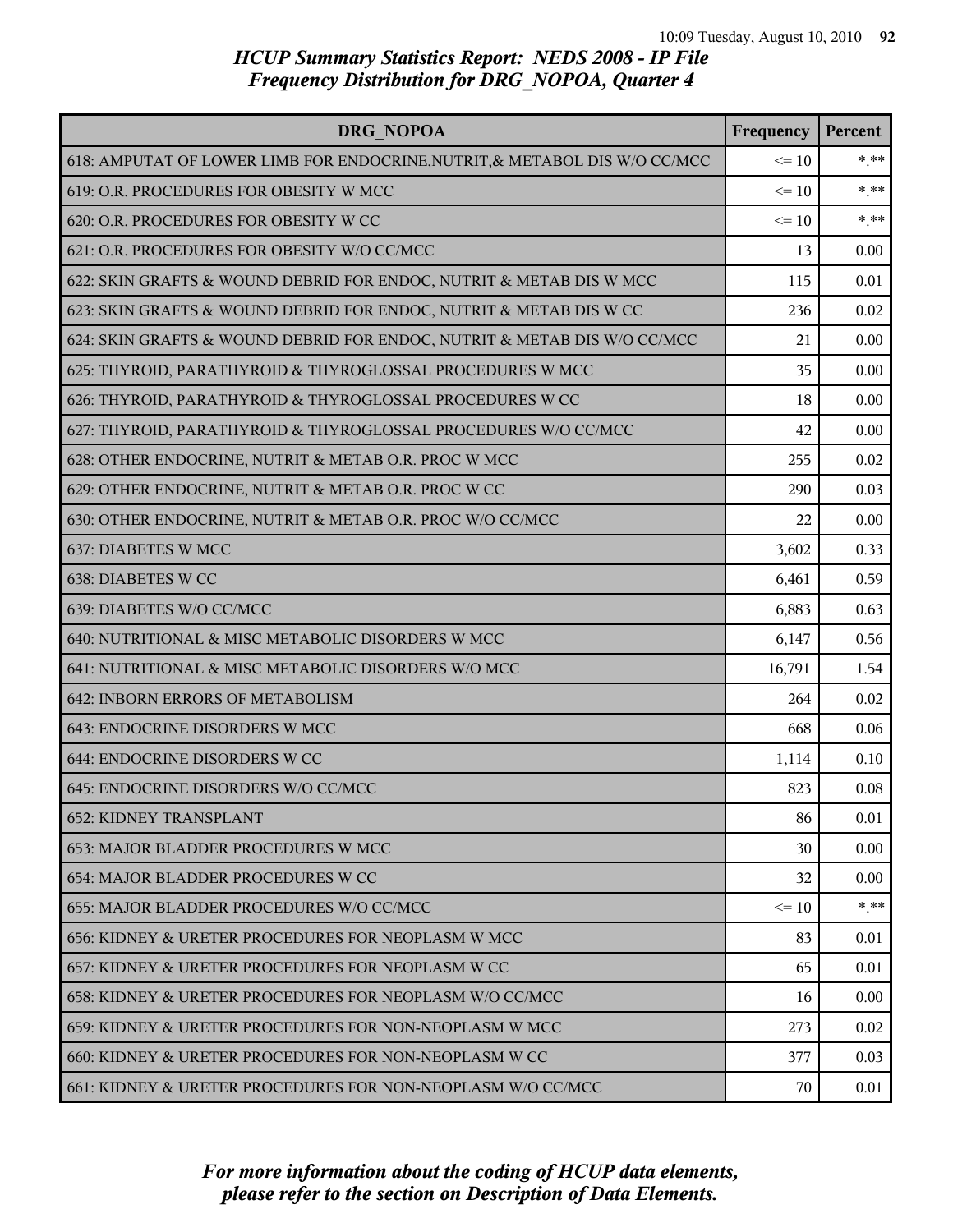| DRG NOPOA                                                                  | Frequency | Percent |
|----------------------------------------------------------------------------|-----------|---------|
| 618: AMPUTAT OF LOWER LIMB FOR ENDOCRINE, NUTRIT, & METABOL DIS W/O CC/MCC | $\leq 10$ | $*$ **  |
| 619: O.R. PROCEDURES FOR OBESITY W MCC                                     | $\leq 10$ | $***$   |
| 620: O.R. PROCEDURES FOR OBESITY W CC                                      | $\leq 10$ | $***$   |
| 621: O.R. PROCEDURES FOR OBESITY W/O CC/MCC                                | 13        | 0.00    |
| 622: SKIN GRAFTS & WOUND DEBRID FOR ENDOC, NUTRIT & METAB DIS W MCC        | 115       | 0.01    |
| 623: SKIN GRAFTS & WOUND DEBRID FOR ENDOC, NUTRIT & METAB DIS W CC         | 236       | 0.02    |
| 624: SKIN GRAFTS & WOUND DEBRID FOR ENDOC, NUTRIT & METAB DIS W/O CC/MCC   | 21        | 0.00    |
| 625: THYROID, PARATHYROID & THYROGLOSSAL PROCEDURES W MCC                  | 35        | 0.00    |
| 626: THYROID, PARATHYROID & THYROGLOSSAL PROCEDURES W CC                   | 18        | 0.00    |
| 627: THYROID, PARATHYROID & THYROGLOSSAL PROCEDURES W/O CC/MCC             | 42        | 0.00    |
| 628: OTHER ENDOCRINE, NUTRIT & METAB O.R. PROC W MCC                       | 255       | 0.02    |
| 629: OTHER ENDOCRINE, NUTRIT & METAB O.R. PROC W CC                        | 290       | 0.03    |
| 630: OTHER ENDOCRINE, NUTRIT & METAB O.R. PROC W/O CC/MCC                  | 22        | 0.00    |
| 637: DIABETES W MCC                                                        | 3,602     | 0.33    |
| 638: DIABETES W CC                                                         | 6,461     | 0.59    |
| 639: DIABETES W/O CC/MCC                                                   | 6,883     | 0.63    |
| 640: NUTRITIONAL & MISC METABOLIC DISORDERS W MCC                          | 6,147     | 0.56    |
| 641: NUTRITIONAL & MISC METABOLIC DISORDERS W/O MCC                        | 16,791    | 1.54    |
| 642: INBORN ERRORS OF METABOLISM                                           | 264       | 0.02    |
| 643: ENDOCRINE DISORDERS W MCC                                             | 668       | 0.06    |
| 644: ENDOCRINE DISORDERS W CC                                              | 1,114     | 0.10    |
| 645: ENDOCRINE DISORDERS W/O CC/MCC                                        | 823       | 0.08    |
| <b>652: KIDNEY TRANSPLANT</b>                                              | 86        | 0.01    |
| 653: MAJOR BLADDER PROCEDURES W MCC                                        | 30        | 0.00    |
| 654: MAJOR BLADDER PROCEDURES W CC                                         | 32        | 0.00    |
| 655: MAJOR BLADDER PROCEDURES W/O CC/MCC                                   | $\leq 10$ | $* * *$ |
| 656: KIDNEY & URETER PROCEDURES FOR NEOPLASM W MCC                         | 83        | 0.01    |
| 657: KIDNEY & URETER PROCEDURES FOR NEOPLASM W CC                          | 65        | 0.01    |
| 658: KIDNEY & URETER PROCEDURES FOR NEOPLASM W/O CC/MCC                    | 16        | 0.00    |
| 659: KIDNEY & URETER PROCEDURES FOR NON-NEOPLASM W MCC                     | 273       | 0.02    |
| 660: KIDNEY & URETER PROCEDURES FOR NON-NEOPLASM W CC                      | 377       | 0.03    |
| 661: KIDNEY & URETER PROCEDURES FOR NON-NEOPLASM W/O CC/MCC                | 70        | 0.01    |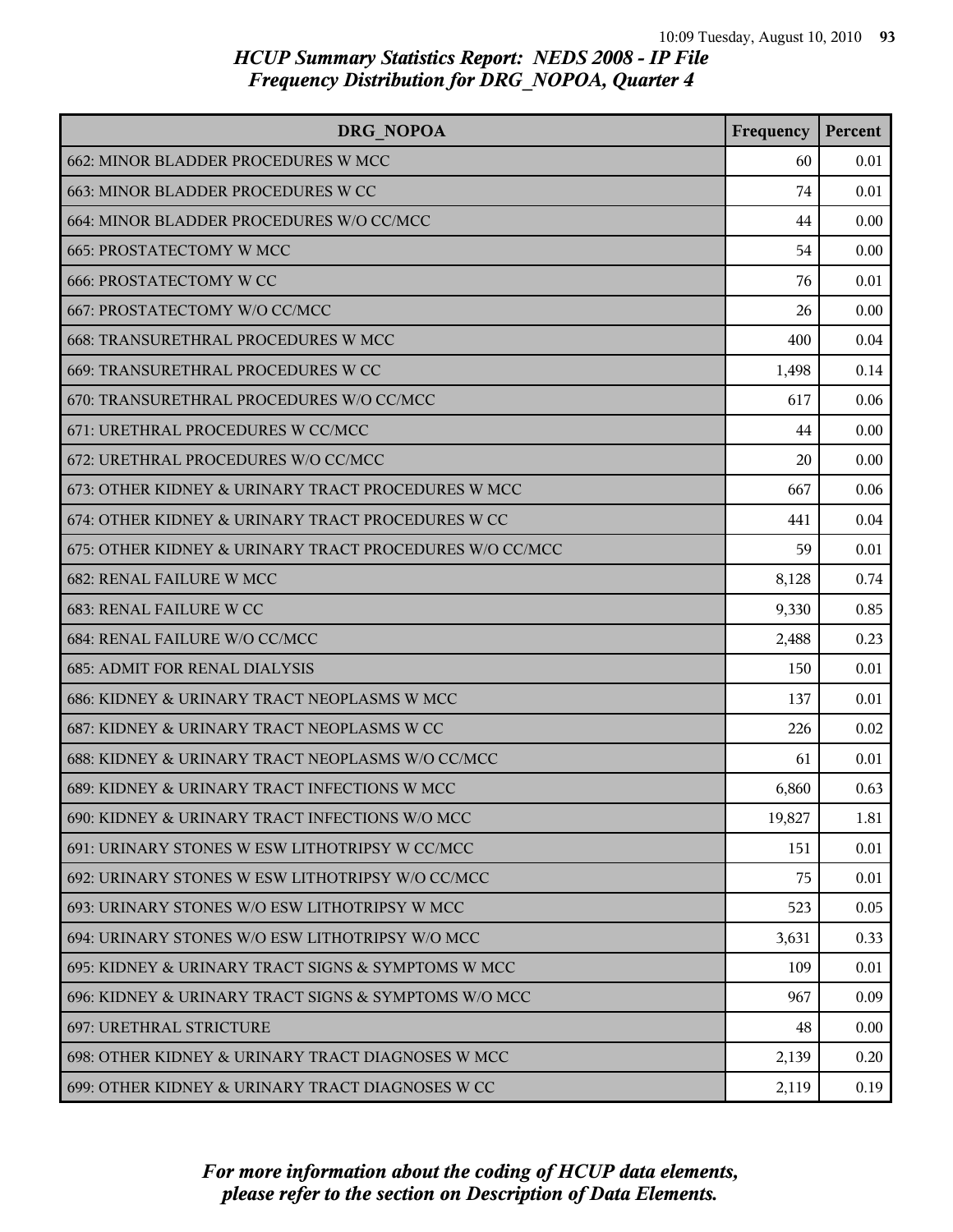| DRG NOPOA                                               | Frequency | Percent  |
|---------------------------------------------------------|-----------|----------|
| 662: MINOR BLADDER PROCEDURES W MCC                     | 60        | 0.01     |
| 663: MINOR BLADDER PROCEDURES W CC                      | 74        | 0.01     |
| 664: MINOR BLADDER PROCEDURES W/O CC/MCC                | 44        | 0.00     |
| 665: PROSTATECTOMY W MCC                                | 54        | 0.00     |
| <b>666: PROSTATECTOMY W CC</b>                          | 76        | 0.01     |
| 667: PROSTATECTOMY W/O CC/MCC                           | 26        | 0.00     |
| 668: TRANSURETHRAL PROCEDURES W MCC                     | 400       | 0.04     |
| 669: TRANSURETHRAL PROCEDURES W CC                      | 1,498     | 0.14     |
| 670: TRANSURETHRAL PROCEDURES W/O CC/MCC                | 617       | 0.06     |
| 671: URETHRAL PROCEDURES W CC/MCC                       | 44        | 0.00     |
| 672: URETHRAL PROCEDURES W/O CC/MCC                     | 20        | 0.00     |
| 673: OTHER KIDNEY & URINARY TRACT PROCEDURES W MCC      | 667       | 0.06     |
| 674: OTHER KIDNEY & URINARY TRACT PROCEDURES W CC       | 441       | 0.04     |
| 675: OTHER KIDNEY & URINARY TRACT PROCEDURES W/O CC/MCC | 59        | 0.01     |
| <b>682: RENAL FAILURE W MCC</b>                         | 8,128     | 0.74     |
| <b>683: RENAL FAILURE W CC</b>                          | 9,330     | 0.85     |
| 684: RENAL FAILURE W/O CC/MCC                           | 2,488     | 0.23     |
| <b>685: ADMIT FOR RENAL DIALYSIS</b>                    | 150       | 0.01     |
| 686: KIDNEY & URINARY TRACT NEOPLASMS W MCC             | 137       | 0.01     |
| 687: KIDNEY & URINARY TRACT NEOPLASMS W CC              | 226       | 0.02     |
| 688: KIDNEY & URINARY TRACT NEOPLASMS W/O CC/MCC        | 61        | 0.01     |
| 689: KIDNEY & URINARY TRACT INFECTIONS W MCC            | 6,860     | 0.63     |
| 690: KIDNEY & URINARY TRACT INFECTIONS W/O MCC          | 19,827    | 1.81     |
| 691: URINARY STONES W ESW LITHOTRIPSY W CC/MCC          | 151       | 0.01     |
| 692: URINARY STONES W ESW LITHOTRIPSY W/O CC/MCC        | 75        | 0.01     |
| 693: URINARY STONES W/O ESW LITHOTRIPSY W MCC           | 523       | 0.05     |
| 694: URINARY STONES W/O ESW LITHOTRIPSY W/O MCC         | 3,631     | 0.33     |
| 695: KIDNEY & URINARY TRACT SIGNS & SYMPTOMS W MCC      | 109       | 0.01     |
| 696: KIDNEY & URINARY TRACT SIGNS & SYMPTOMS W/O MCC    | 967       | 0.09     |
| 697: URETHRAL STRICTURE                                 | 48        | $0.00\,$ |
| 698: OTHER KIDNEY & URINARY TRACT DIAGNOSES W MCC       | 2,139     | 0.20     |
| 699: OTHER KIDNEY & URINARY TRACT DIAGNOSES W CC        | 2,119     | 0.19     |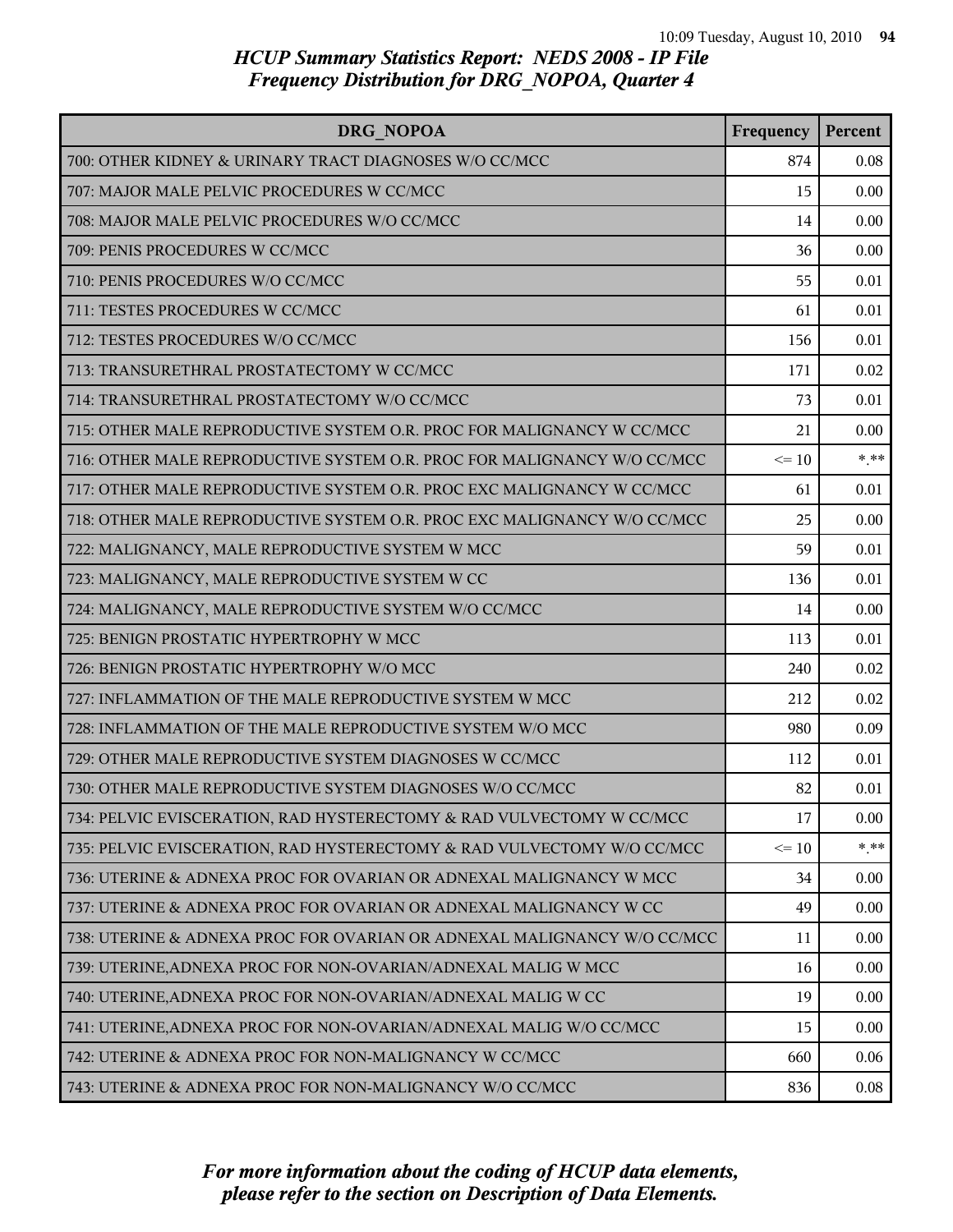| DRG NOPOA                                                               | Frequency | Percent |
|-------------------------------------------------------------------------|-----------|---------|
| 700: OTHER KIDNEY & URINARY TRACT DIAGNOSES W/O CC/MCC                  | 874       | 0.08    |
| 707: MAJOR MALE PELVIC PROCEDURES W CC/MCC                              | 15        | 0.00    |
| 708: MAJOR MALE PELVIC PROCEDURES W/O CC/MCC                            | 14        | 0.00    |
| 709: PENIS PROCEDURES W CC/MCC                                          | 36        | 0.00    |
| 710: PENIS PROCEDURES W/O CC/MCC                                        | 55        | 0.01    |
| 711: TESTES PROCEDURES W CC/MCC                                         | 61        | 0.01    |
| 712: TESTES PROCEDURES W/O CC/MCC                                       | 156       | 0.01    |
| 713: TRANSURETHRAL PROSTATECTOMY W CC/MCC                               | 171       | 0.02    |
| 714: TRANSURETHRAL PROSTATECTOMY W/O CC/MCC                             | 73        | 0.01    |
| 715: OTHER MALE REPRODUCTIVE SYSTEM O.R. PROC FOR MALIGNANCY W CC/MCC   | 21        | 0.00    |
| 716: OTHER MALE REPRODUCTIVE SYSTEM O.R. PROC FOR MALIGNANCY W/O CC/MCC | $\leq 10$ | $***$   |
| 717: OTHER MALE REPRODUCTIVE SYSTEM O.R. PROC EXC MALIGNANCY W CC/MCC   | 61        | 0.01    |
| 718: OTHER MALE REPRODUCTIVE SYSTEM O.R. PROC EXC MALIGNANCY W/O CC/MCC | 25        | 0.00    |
| 722: MALIGNANCY, MALE REPRODUCTIVE SYSTEM W MCC                         | 59        | 0.01    |
| 723: MALIGNANCY, MALE REPRODUCTIVE SYSTEM W CC                          | 136       | 0.01    |
| 724: MALIGNANCY, MALE REPRODUCTIVE SYSTEM W/O CC/MCC                    | 14        | 0.00    |
| 725: BENIGN PROSTATIC HYPERTROPHY W MCC                                 | 113       | 0.01    |
| 726: BENIGN PROSTATIC HYPERTROPHY W/O MCC                               | 240       | 0.02    |
| 727: INFLAMMATION OF THE MALE REPRODUCTIVE SYSTEM W MCC                 | 212       | 0.02    |
| 728: INFLAMMATION OF THE MALE REPRODUCTIVE SYSTEM W/O MCC               | 980       | 0.09    |
| 729: OTHER MALE REPRODUCTIVE SYSTEM DIAGNOSES W CC/MCC                  | 112       | 0.01    |
| 730: OTHER MALE REPRODUCTIVE SYSTEM DIAGNOSES W/O CC/MCC                | 82        | 0.01    |
| 734: PELVIC EVISCERATION, RAD HYSTERECTOMY & RAD VULVECTOMY W CC/MCC    | 17        | 0.00    |
| 735: PELVIC EVISCERATION, RAD HYSTERECTOMY & RAD VULVECTOMY W/O CC/MCC  | $\leq 10$ | $***$   |
| 736: UTERINE & ADNEXA PROC FOR OVARIAN OR ADNEXAL MALIGNANCY W MCC      | 34        | 0.00    |
| 737: UTERINE & ADNEXA PROC FOR OVARIAN OR ADNEXAL MALIGNANCY W CC       | 49        | 0.00    |
| 738: UTERINE & ADNEXA PROC FOR OVARIAN OR ADNEXAL MALIGNANCY W/O CC/MCC | 11        | 0.00    |
| 739: UTERINE, ADNEXA PROC FOR NON-OVARIAN/ADNEXAL MALIG W MCC           | 16        | 0.00    |
| 740: UTERINE, ADNEXA PROC FOR NON-OVARIAN/ADNEXAL MALIG W CC            | 19        | 0.00    |
| 741: UTERINE, ADNEXA PROC FOR NON-OVARIAN/ADNEXAL MALIG W/O CC/MCC      | 15        | 0.00    |
| 742: UTERINE & ADNEXA PROC FOR NON-MALIGNANCY W CC/MCC                  | 660       | 0.06    |
| 743: UTERINE & ADNEXA PROC FOR NON-MALIGNANCY W/O CC/MCC                | 836       | 0.08    |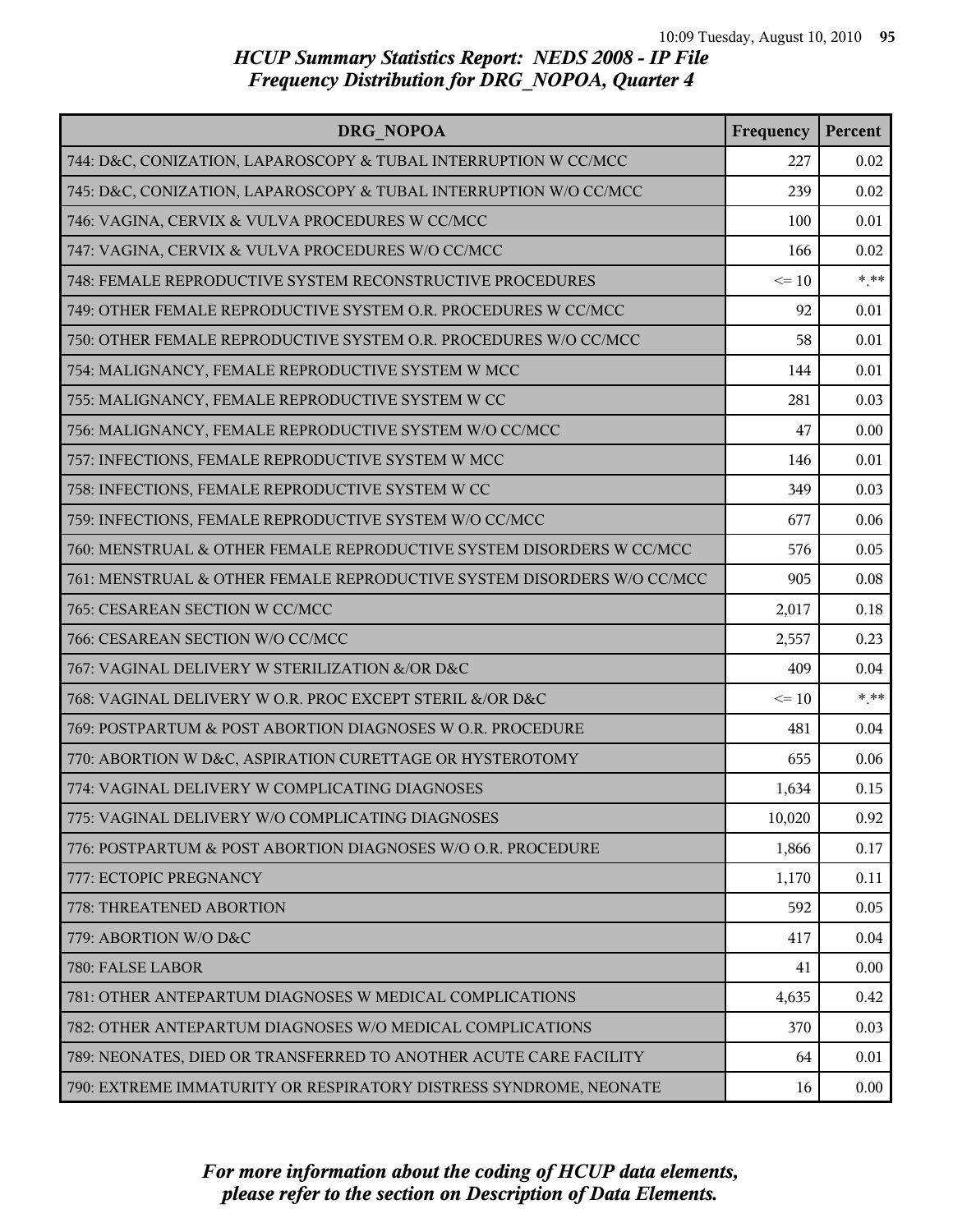| DRG NOPOA                                                              | Frequency | Percent |
|------------------------------------------------------------------------|-----------|---------|
| 744: D&C, CONIZATION, LAPAROSCOPY & TUBAL INTERRUPTION W CC/MCC        | 227       | 0.02    |
| 745: D&C, CONIZATION, LAPAROSCOPY & TUBAL INTERRUPTION W/O CC/MCC      | 239       | 0.02    |
| 746: VAGINA, CERVIX & VULVA PROCEDURES W CC/MCC                        | 100       | 0.01    |
| 747: VAGINA, CERVIX & VULVA PROCEDURES W/O CC/MCC                      | 166       | 0.02    |
| 748: FEMALE REPRODUCTIVE SYSTEM RECONSTRUCTIVE PROCEDURES              | $\leq 10$ | $***$   |
| 749: OTHER FEMALE REPRODUCTIVE SYSTEM O.R. PROCEDURES W CC/MCC         | 92        | 0.01    |
| 750: OTHER FEMALE REPRODUCTIVE SYSTEM O.R. PROCEDURES W/O CC/MCC       | 58        | 0.01    |
| 754: MALIGNANCY, FEMALE REPRODUCTIVE SYSTEM W MCC                      | 144       | 0.01    |
| 755: MALIGNANCY, FEMALE REPRODUCTIVE SYSTEM W CC                       | 281       | 0.03    |
| 756: MALIGNANCY, FEMALE REPRODUCTIVE SYSTEM W/O CC/MCC                 | 47        | 0.00    |
| 757: INFECTIONS, FEMALE REPRODUCTIVE SYSTEM W MCC                      | 146       | 0.01    |
| 758: INFECTIONS, FEMALE REPRODUCTIVE SYSTEM W CC                       | 349       | 0.03    |
| 759: INFECTIONS, FEMALE REPRODUCTIVE SYSTEM W/O CC/MCC                 | 677       | 0.06    |
| 760: MENSTRUAL & OTHER FEMALE REPRODUCTIVE SYSTEM DISORDERS W CC/MCC   | 576       | 0.05    |
| 761: MENSTRUAL & OTHER FEMALE REPRODUCTIVE SYSTEM DISORDERS W/O CC/MCC | 905       | 0.08    |
| 765: CESAREAN SECTION W CC/MCC                                         | 2,017     | 0.18    |
| 766: CESAREAN SECTION W/O CC/MCC                                       | 2,557     | 0.23    |
| 767: VAGINAL DELIVERY W STERILIZATION &/OR D&C                         | 409       | 0.04    |
| 768: VAGINAL DELIVERY W O.R. PROC EXCEPT STERIL &/OR D&C               | $\leq 10$ | $***$   |
| 769: POSTPARTUM & POST ABORTION DIAGNOSES W O.R. PROCEDURE             | 481       | 0.04    |
| 770: ABORTION W D&C, ASPIRATION CURETTAGE OR HYSTEROTOMY               | 655       | 0.06    |
| 774: VAGINAL DELIVERY W COMPLICATING DIAGNOSES                         | 1,634     | 0.15    |
| 775: VAGINAL DELIVERY W/O COMPLICATING DIAGNOSES                       | 10,020    | 0.92    |
| 776: POSTPARTUM & POST ABORTION DIAGNOSES W/O O.R. PROCEDURE           | 1,866     | 0.17    |
| 777: ECTOPIC PREGNANCY                                                 | 1,170     | 0.11    |
| 778: THREATENED ABORTION                                               | 592       | 0.05    |
| 779: ABORTION W/O D&C                                                  | 417       | 0.04    |
| 780: FALSE LABOR                                                       | 41        | 0.00    |
| 781: OTHER ANTEPARTUM DIAGNOSES W MEDICAL COMPLICATIONS                | 4,635     | 0.42    |
| 782: OTHER ANTEPARTUM DIAGNOSES W/O MEDICAL COMPLICATIONS              | 370       | 0.03    |
| 789: NEONATES, DIED OR TRANSFERRED TO ANOTHER ACUTE CARE FACILITY      | 64        | 0.01    |
| 790: EXTREME IMMATURITY OR RESPIRATORY DISTRESS SYNDROME, NEONATE      | 16        | 0.00    |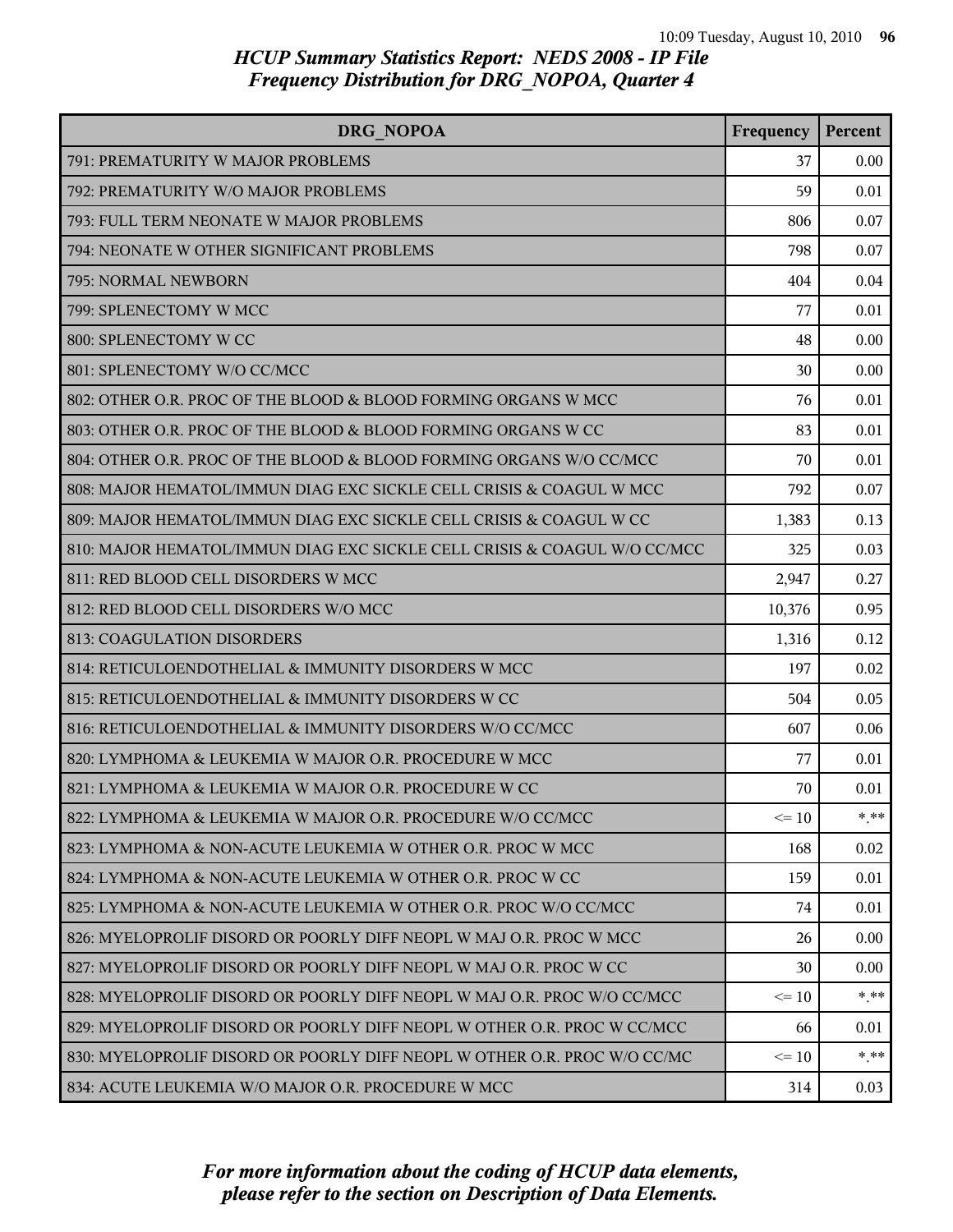| DRG NOPOA                                                                | Frequency | Percent |
|--------------------------------------------------------------------------|-----------|---------|
| 791: PREMATURITY W MAJOR PROBLEMS                                        | 37        | 0.00    |
| 792: PREMATURITY W/O MAJOR PROBLEMS                                      | 59        | 0.01    |
| 793: FULL TERM NEONATE W MAJOR PROBLEMS                                  | 806       | 0.07    |
| 794: NEONATE W OTHER SIGNIFICANT PROBLEMS                                | 798       | 0.07    |
| 795: NORMAL NEWBORN                                                      | 404       | 0.04    |
| 799: SPLENECTOMY W MCC                                                   | 77        | 0.01    |
| 800: SPLENECTOMY W CC                                                    | 48        | 0.00    |
| 801: SPLENECTOMY W/O CC/MCC                                              | 30        | 0.00    |
| 802: OTHER O.R. PROC OF THE BLOOD & BLOOD FORMING ORGANS W MCC           | 76        | 0.01    |
| 803: OTHER O.R. PROC OF THE BLOOD & BLOOD FORMING ORGANS W CC            | 83        | 0.01    |
| 804: OTHER O.R. PROC OF THE BLOOD & BLOOD FORMING ORGANS W/O CC/MCC      | 70        | 0.01    |
| 808: MAJOR HEMATOL/IMMUN DIAG EXC SICKLE CELL CRISIS & COAGUL W MCC      | 792       | 0.07    |
| 809: MAJOR HEMATOL/IMMUN DIAG EXC SICKLE CELL CRISIS & COAGUL W CC       | 1,383     | 0.13    |
| 810: MAJOR HEMATOL/IMMUN DIAG EXC SICKLE CELL CRISIS & COAGUL W/O CC/MCC | 325       | 0.03    |
| 811: RED BLOOD CELL DISORDERS W MCC                                      | 2,947     | 0.27    |
| 812: RED BLOOD CELL DISORDERS W/O MCC                                    | 10,376    | 0.95    |
| 813: COAGULATION DISORDERS                                               | 1,316     | 0.12    |
| 814: RETICULOENDOTHELIAL & IMMUNITY DISORDERS W MCC                      | 197       | 0.02    |
| 815: RETICULOENDOTHELIAL & IMMUNITY DISORDERS W CC                       | 504       | 0.05    |
| 816: RETICULOENDOTHELIAL & IMMUNITY DISORDERS W/O CC/MCC                 | 607       | 0.06    |
| 820: LYMPHOMA & LEUKEMIA W MAJOR O.R. PROCEDURE W MCC                    | 77        | 0.01    |
| 821: LYMPHOMA & LEUKEMIA W MAJOR O.R. PROCEDURE W CC                     | 70        | 0.01    |
| 822: LYMPHOMA & LEUKEMIA W MAJOR O.R. PROCEDURE W/O CC/MCC               | $\leq 10$ | * **    |
| 823: LYMPHOMA & NON-ACUTE LEUKEMIA W OTHER O.R. PROC W MCC               | 168       | 0.02    |
| 824: LYMPHOMA & NON-ACUTE LEUKEMIA W OTHER O.R. PROC W CC                | 159       | 0.01    |
| 825: LYMPHOMA & NON-ACUTE LEUKEMIA W OTHER O.R. PROC W/O CC/MCC          | 74        | 0.01    |
| 826: MYELOPROLIF DISORD OR POORLY DIFF NEOPL W MAJ O.R. PROC W MCC       | 26        | 0.00    |
| 827: MYELOPROLIF DISORD OR POORLY DIFF NEOPL W MAJ O.R. PROC W CC        | 30        | 0.00    |
| 828: MYELOPROLIF DISORD OR POORLY DIFF NEOPL W MAJ O.R. PROC W/O CC/MCC  | $\leq 10$ | $*$ **  |
| 829: MYELOPROLIF DISORD OR POORLY DIFF NEOPL W OTHER O.R. PROC W CC/MCC  | 66        | 0.01    |
| 830: MYELOPROLIF DISORD OR POORLY DIFF NEOPL W OTHER O.R. PROC W/O CC/MC | $\leq 10$ | $* * *$ |
| 834: ACUTE LEUKEMIA W/O MAJOR O.R. PROCEDURE W MCC                       | 314       | 0.03    |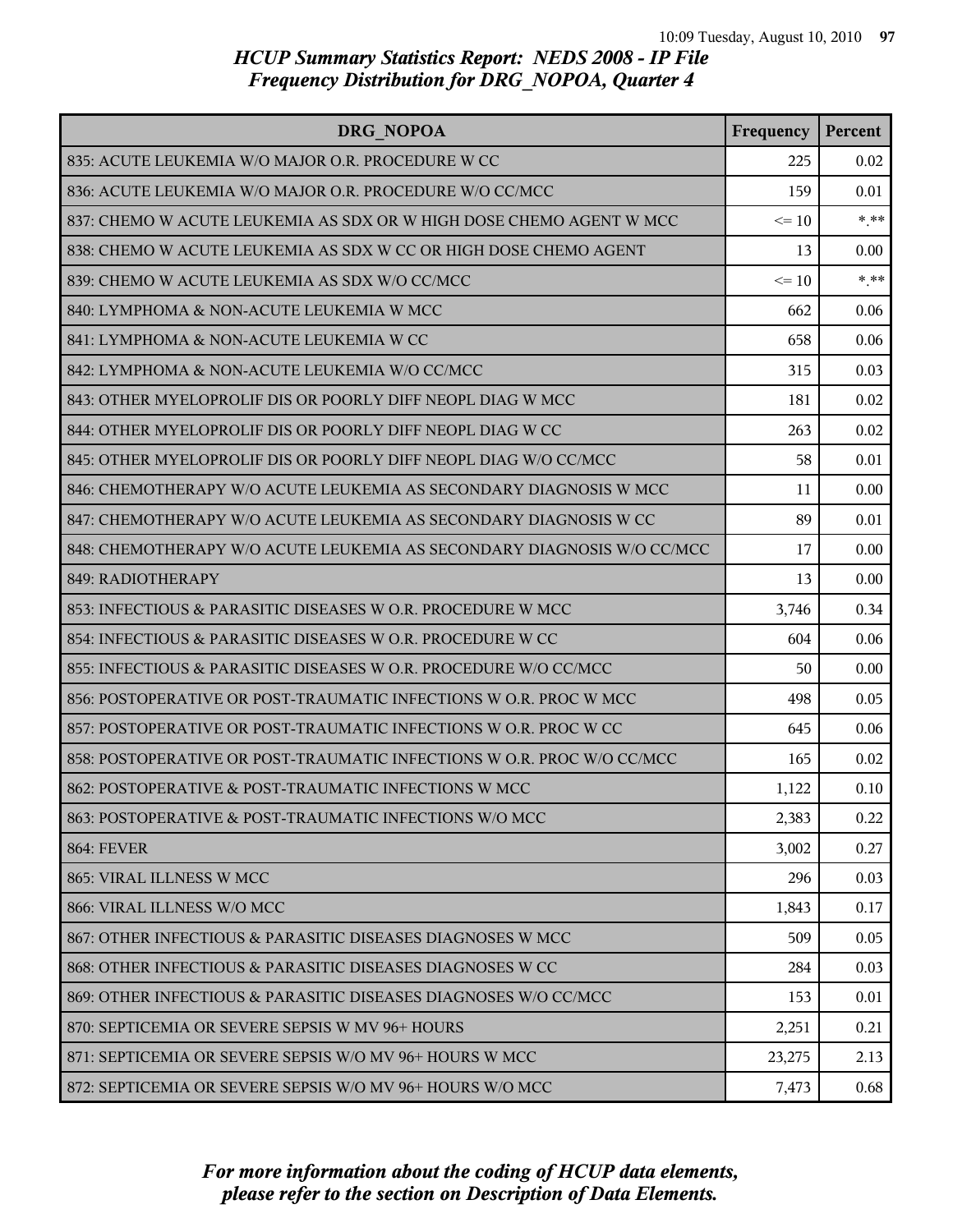| <b>DRG NOPOA</b>                                                       | Frequency | Percent |
|------------------------------------------------------------------------|-----------|---------|
| 835: ACUTE LEUKEMIA W/O MAJOR O.R. PROCEDURE W CC                      | 225       | 0.02    |
| 836: ACUTE LEUKEMIA W/O MAJOR O.R. PROCEDURE W/O CC/MCC                | 159       | 0.01    |
| 837: CHEMO W ACUTE LEUKEMIA AS SDX OR W HIGH DOSE CHEMO AGENT W MCC    | $\leq 10$ | $* * *$ |
| 838: CHEMO W ACUTE LEUKEMIA AS SDX W CC OR HIGH DOSE CHEMO AGENT       | 13        | 0.00    |
| 839: CHEMO W ACUTE LEUKEMIA AS SDX W/O CC/MCC                          | $\leq$ 10 | $***$   |
| 840: LYMPHOMA & NON-ACUTE LEUKEMIA W MCC                               | 662       | 0.06    |
| 841: LYMPHOMA & NON-ACUTE LEUKEMIA W CC                                | 658       | 0.06    |
| 842: LYMPHOMA & NON-ACUTE LEUKEMIA W/O CC/MCC                          | 315       | 0.03    |
| 843: OTHER MYELOPROLIF DIS OR POORLY DIFF NEOPL DIAG W MCC             | 181       | 0.02    |
| 844: OTHER MYELOPROLIF DIS OR POORLY DIFF NEOPL DIAG W CC              | 263       | 0.02    |
| 845: OTHER MYELOPROLIF DIS OR POORLY DIFF NEOPL DIAG W/O CC/MCC        | 58        | 0.01    |
| 846: CHEMOTHERAPY W/O ACUTE LEUKEMIA AS SECONDARY DIAGNOSIS W MCC      | 11        | 0.00    |
| 847: CHEMOTHERAPY W/O ACUTE LEUKEMIA AS SECONDARY DIAGNOSIS W CC       | 89        | 0.01    |
| 848: CHEMOTHERAPY W/O ACUTE LEUKEMIA AS SECONDARY DIAGNOSIS W/O CC/MCC | 17        | 0.00    |
| 849: RADIOTHERAPY                                                      | 13        | 0.00    |
| 853: INFECTIOUS & PARASITIC DISEASES W O.R. PROCEDURE W MCC            | 3,746     | 0.34    |
| 854: INFECTIOUS & PARASITIC DISEASES W O.R. PROCEDURE W CC             | 604       | 0.06    |
| 855: INFECTIOUS & PARASITIC DISEASES W O.R. PROCEDURE W/O CC/MCC       | 50        | 0.00    |
| 856: POSTOPERATIVE OR POST-TRAUMATIC INFECTIONS W O.R. PROC W MCC      | 498       | 0.05    |
| 857: POSTOPERATIVE OR POST-TRAUMATIC INFECTIONS W O.R. PROC W CC       | 645       | 0.06    |
| 858: POSTOPERATIVE OR POST-TRAUMATIC INFECTIONS W O.R. PROC W/O CC/MCC | 165       | 0.02    |
| 862: POSTOPERATIVE & POST-TRAUMATIC INFECTIONS W MCC                   | 1,122     | 0.10    |
| 863: POSTOPERATIVE & POST-TRAUMATIC INFECTIONS W/O MCC                 | 2,383     | 0.22    |
| <b>864: FEVER</b>                                                      | 3,002     | 0.27    |
| 865: VIRAL ILLNESS W MCC                                               | 296       | 0.03    |
| 866: VIRAL ILLNESS W/O MCC                                             | 1,843     | 0.17    |
| 867: OTHER INFECTIOUS & PARASITIC DISEASES DIAGNOSES W MCC             | 509       | 0.05    |
| 868: OTHER INFECTIOUS & PARASITIC DISEASES DIAGNOSES W CC              | 284       | 0.03    |
| 869: OTHER INFECTIOUS & PARASITIC DISEASES DIAGNOSES W/O CC/MCC        | 153       | 0.01    |
| 870: SEPTICEMIA OR SEVERE SEPSIS W MV 96+ HOURS                        | 2,251     | 0.21    |
| 871: SEPTICEMIA OR SEVERE SEPSIS W/O MV 96+ HOURS W MCC                | 23,275    | 2.13    |
| 872: SEPTICEMIA OR SEVERE SEPSIS W/O MV 96+ HOURS W/O MCC              | 7,473     | 0.68    |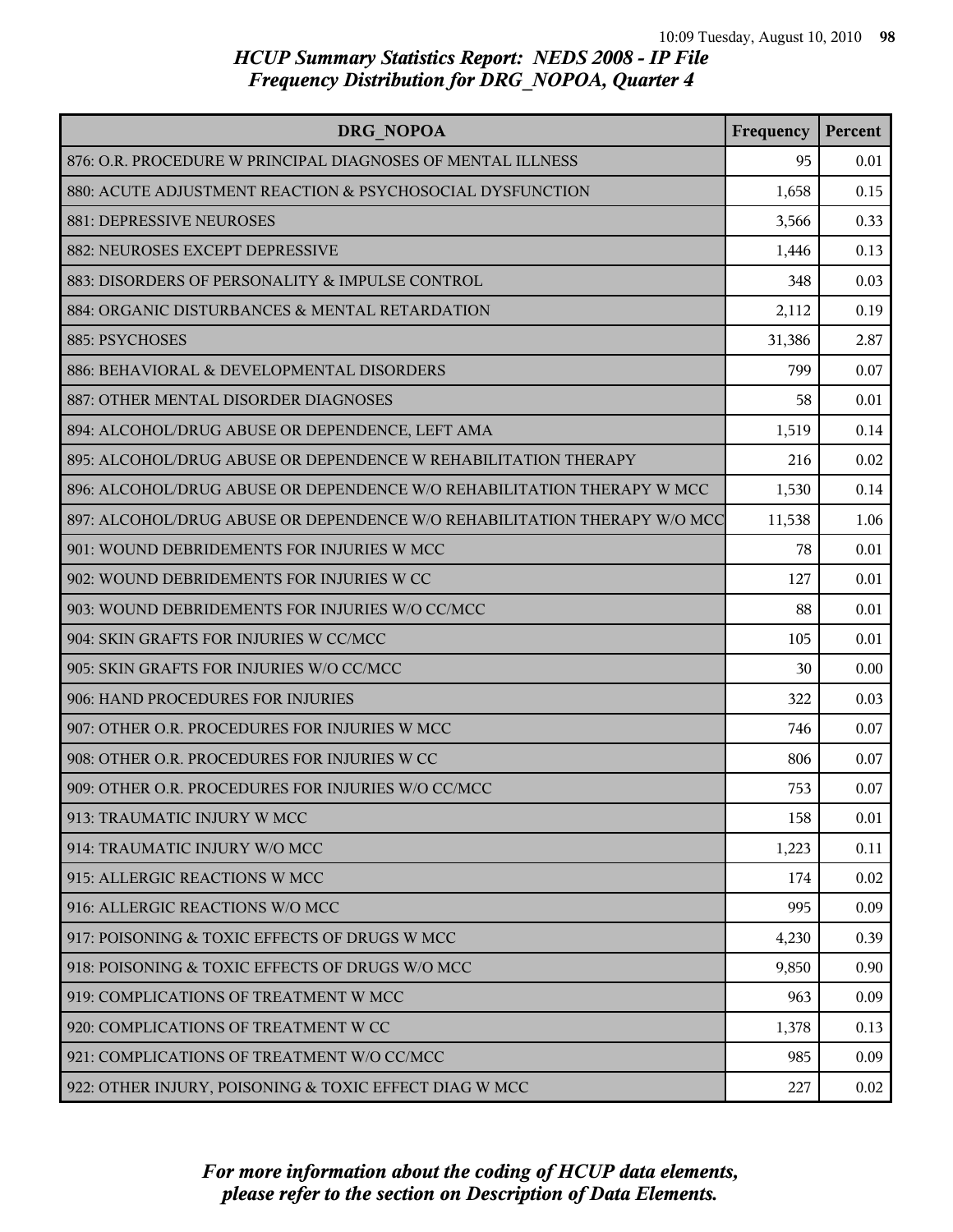| DRG NOPOA                                                                | Frequency | Percent |
|--------------------------------------------------------------------------|-----------|---------|
| 876: O.R. PROCEDURE W PRINCIPAL DIAGNOSES OF MENTAL ILLNESS              | 95        | 0.01    |
| 880: ACUTE ADJUSTMENT REACTION & PSYCHOSOCIAL DYSFUNCTION                | 1,658     | 0.15    |
| 881: DEPRESSIVE NEUROSES                                                 | 3,566     | 0.33    |
| 882: NEUROSES EXCEPT DEPRESSIVE                                          | 1,446     | 0.13    |
| 883: DISORDERS OF PERSONALITY & IMPULSE CONTROL                          | 348       | 0.03    |
| 884: ORGANIC DISTURBANCES & MENTAL RETARDATION                           | 2,112     | 0.19    |
| 885: PSYCHOSES                                                           | 31,386    | 2.87    |
| 886: BEHAVIORAL & DEVELOPMENTAL DISORDERS                                | 799       | 0.07    |
| 887: OTHER MENTAL DISORDER DIAGNOSES                                     | 58        | 0.01    |
| 894: ALCOHOL/DRUG ABUSE OR DEPENDENCE, LEFT AMA                          | 1,519     | 0.14    |
| 895: ALCOHOL/DRUG ABUSE OR DEPENDENCE W REHABILITATION THERAPY           | 216       | 0.02    |
| 896: ALCOHOL/DRUG ABUSE OR DEPENDENCE W/O REHABILITATION THERAPY W MCC   | 1,530     | 0.14    |
| 897: ALCOHOL/DRUG ABUSE OR DEPENDENCE W/O REHABILITATION THERAPY W/O MCC | 11,538    | 1.06    |
| 901: WOUND DEBRIDEMENTS FOR INJURIES W MCC                               | 78        | 0.01    |
| 902: WOUND DEBRIDEMENTS FOR INJURIES W CC                                | 127       | 0.01    |
| 903: WOUND DEBRIDEMENTS FOR INJURIES W/O CC/MCC                          | 88        | 0.01    |
| 904: SKIN GRAFTS FOR INJURIES W CC/MCC                                   | 105       | 0.01    |
| 905: SKIN GRAFTS FOR INJURIES W/O CC/MCC                                 | 30        | 0.00    |
| 906: HAND PROCEDURES FOR INJURIES                                        | 322       | 0.03    |
| 907: OTHER O.R. PROCEDURES FOR INJURIES W MCC                            | 746       | 0.07    |
| 908: OTHER O.R. PROCEDURES FOR INJURIES W CC                             | 806       | 0.07    |
| 909: OTHER O.R. PROCEDURES FOR INJURIES W/O CC/MCC                       | 753       | 0.07    |
| 913: TRAUMATIC INJURY W MCC                                              | 158       | 0.01    |
| 914: TRAUMATIC INJURY W/O MCC                                            | 1,223     | 0.11    |
| 915: ALLERGIC REACTIONS W MCC                                            | 174       | 0.02    |
| 916: ALLERGIC REACTIONS W/O MCC                                          | 995       | 0.09    |
| 917: POISONING & TOXIC EFFECTS OF DRUGS W MCC                            | 4,230     | 0.39    |
| 918: POISONING & TOXIC EFFECTS OF DRUGS W/O MCC                          | 9,850     | 0.90    |
| 919: COMPLICATIONS OF TREATMENT W MCC                                    | 963       | 0.09    |
| 920: COMPLICATIONS OF TREATMENT W CC                                     | 1,378     | 0.13    |
| 921: COMPLICATIONS OF TREATMENT W/O CC/MCC                               | 985       | 0.09    |
| 922: OTHER INJURY, POISONING & TOXIC EFFECT DIAG W MCC                   | 227       | 0.02    |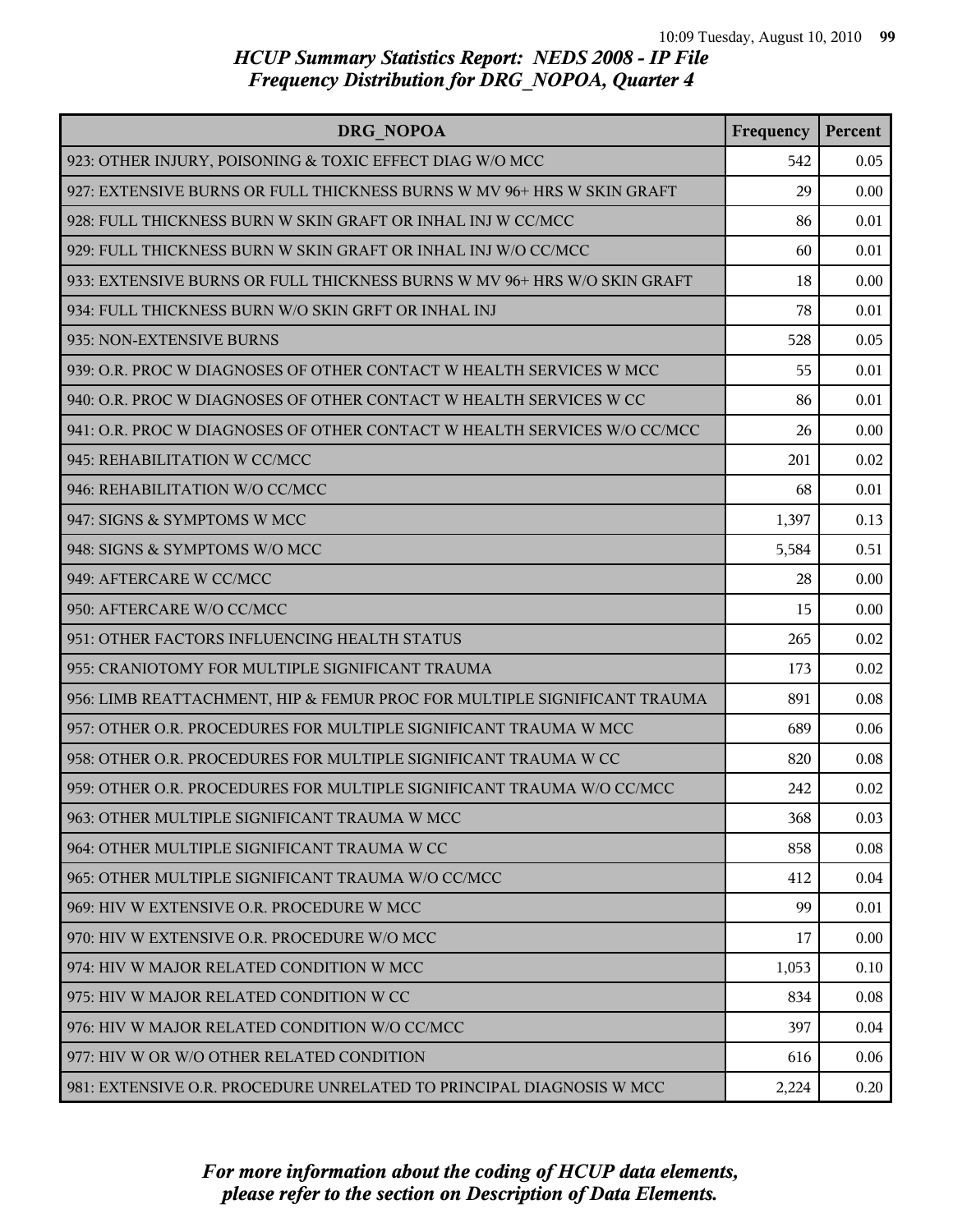| DRG NOPOA                                                                | Frequency | Percent |
|--------------------------------------------------------------------------|-----------|---------|
| 923: OTHER INJURY, POISONING & TOXIC EFFECT DIAG W/O MCC                 | 542       | 0.05    |
| 927: EXTENSIVE BURNS OR FULL THICKNESS BURNS W MV 96+ HRS W SKIN GRAFT   | 29        | 0.00    |
| 928: FULL THICKNESS BURN W SKIN GRAFT OR INHAL INJ W CC/MCC              | 86        | 0.01    |
| 929: FULL THICKNESS BURN W SKIN GRAFT OR INHAL INJ W/O CC/MCC            | 60        | 0.01    |
| 933: EXTENSIVE BURNS OR FULL THICKNESS BURNS W MV 96+ HRS W/O SKIN GRAFT | 18        | 0.00    |
| 934: FULL THICKNESS BURN W/O SKIN GRFT OR INHAL INJ                      | 78        | 0.01    |
| 935: NON-EXTENSIVE BURNS                                                 | 528       | 0.05    |
| 939: O.R. PROC W DIAGNOSES OF OTHER CONTACT W HEALTH SERVICES W MCC      | 55        | 0.01    |
| 940: O.R. PROC W DIAGNOSES OF OTHER CONTACT W HEALTH SERVICES W CC       | 86        | 0.01    |
| 941: O.R. PROC W DIAGNOSES OF OTHER CONTACT W HEALTH SERVICES W/O CC/MCC | 26        | 0.00    |
| 945: REHABILITATION W CC/MCC                                             | 201       | 0.02    |
| 946: REHABILITATION W/O CC/MCC                                           | 68        | 0.01    |
| 947: SIGNS & SYMPTOMS W MCC                                              | 1,397     | 0.13    |
| 948: SIGNS & SYMPTOMS W/O MCC                                            | 5,584     | 0.51    |
| 949: AFTERCARE W CC/MCC                                                  | 28        | 0.00    |
| 950: AFTERCARE W/O CC/MCC                                                | 15        | 0.00    |
| 951: OTHER FACTORS INFLUENCING HEALTH STATUS                             | 265       | 0.02    |
| 955: CRANIOTOMY FOR MULTIPLE SIGNIFICANT TRAUMA                          | 173       | 0.02    |
| 956: LIMB REATTACHMENT, HIP & FEMUR PROC FOR MULTIPLE SIGNIFICANT TRAUMA | 891       | 0.08    |
| 957: OTHER O.R. PROCEDURES FOR MULTIPLE SIGNIFICANT TRAUMA W MCC         | 689       | 0.06    |
| 958: OTHER O.R. PROCEDURES FOR MULTIPLE SIGNIFICANT TRAUMA W CC          | 820       | 0.08    |
| 959: OTHER O.R. PROCEDURES FOR MULTIPLE SIGNIFICANT TRAUMA W/O CC/MCC    | 242       | 0.02    |
| 963: OTHER MULTIPLE SIGNIFICANT TRAUMA W MCC                             | 368       | 0.03    |
| 964: OTHER MULTIPLE SIGNIFICANT TRAUMA W CC                              | 858       | 0.08    |
| 965: OTHER MULTIPLE SIGNIFICANT TRAUMA W/O CC/MCC                        | 412       | 0.04    |
| 969: HIV W EXTENSIVE O.R. PROCEDURE W MCC                                | 99        | 0.01    |
| 970: HIV W EXTENSIVE O.R. PROCEDURE W/O MCC                              | 17        | 0.00    |
| 974: HIV W MAJOR RELATED CONDITION W MCC                                 | 1,053     | 0.10    |
| 975: HIV W MAJOR RELATED CONDITION W CC                                  | 834       | 0.08    |
| 976: HIV W MAJOR RELATED CONDITION W/O CC/MCC                            | 397       | 0.04    |
| 977: HIV W OR W/O OTHER RELATED CONDITION                                | 616       | 0.06    |
| 981: EXTENSIVE O.R. PROCEDURE UNRELATED TO PRINCIPAL DIAGNOSIS W MCC     | 2,224     | 0.20    |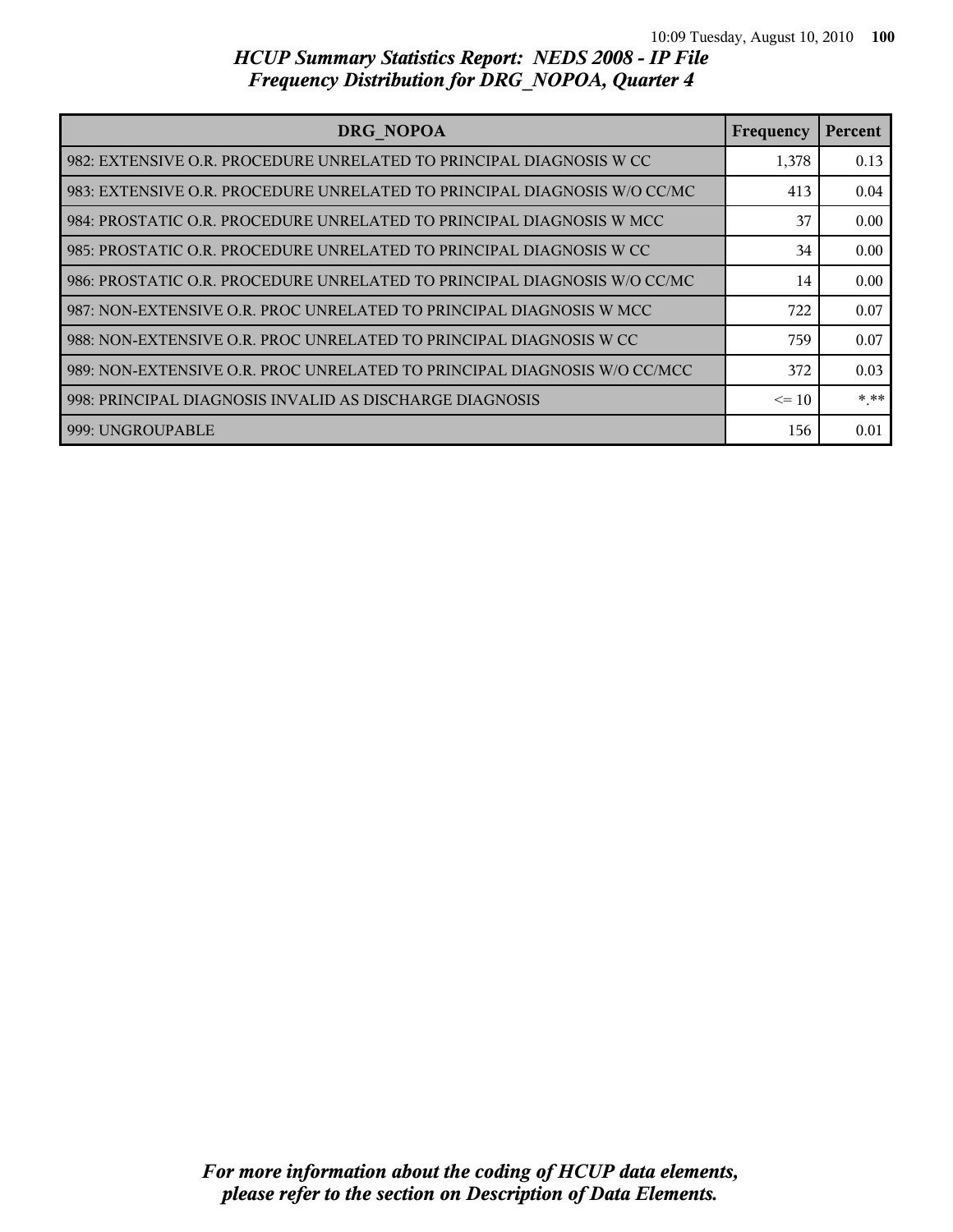| DRG NOPOA                                                                  | Frequency | Percent |
|----------------------------------------------------------------------------|-----------|---------|
| l 982: EXTENSIVE O.R. PROCEDURE UNRELATED TO PRINCIPAL DIAGNOSIS W CC      | 1,378     | 0.13    |
| l 983: EXTENSIVE O.R. PROCEDURE UNRELATED TO PRINCIPAL DIAGNOSIS W/O CC/MC | 413       | 0.04    |
| l 984: PROSTATIC O.R. PROCEDURE UNRELATED TO PRINCIPAL DIAGNOSIS W MCC     | 37        | 0.00    |
| l 985: PROSTATIC O.R. PROCEDURE UNRELATED TO PRINCIPAL DIAGNOSIS W CC      | 34        | 0.00    |
| 986: PROSTATIC O.R. PROCEDURE UNRELATED TO PRINCIPAL DIAGNOSIS W/O CC/MC   | 14        | 0.00    |
| l 987: NON-EXTENSIVE O.R. PROC UNRELATED TO PRINCIPAL DIAGNOSIS W MCC      | 722       | 0.07    |
| 988: NON-EXTENSIVE O.R. PROC UNRELATED TO PRINCIPAL DIAGNOSIS W CC         | 759       | 0.07    |
| 989: NON-EXTENSIVE O.R. PROC UNRELATED TO PRINCIPAL DIAGNOSIS W/O CC/MCC   | 372       | 0.03    |
| 998: PRINCIPAL DIAGNOSIS INVALID AS DISCHARGE DIAGNOSIS                    | $\leq$ 10 | * **    |
| 999: UNGROUPABLE                                                           | 156       | 0.01    |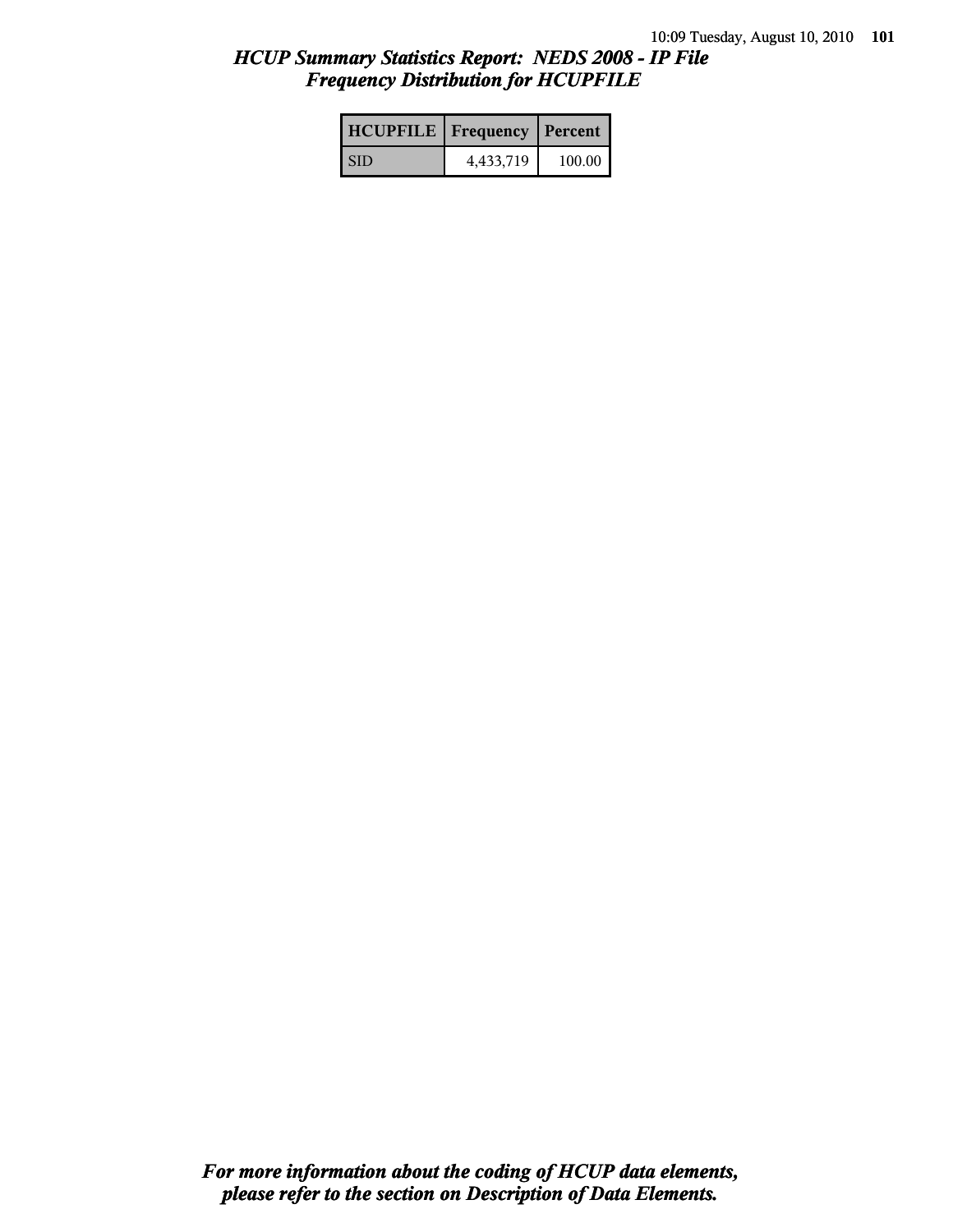# *HCUP Summary Statistics Report: NEDS 2008 - IP File Frequency Distribution for HCUPFILE*

| <b>HCUPFILE</b>   Frequency   Percent |           |        |
|---------------------------------------|-----------|--------|
| <b>SID</b>                            | 4,433,719 | 100.00 |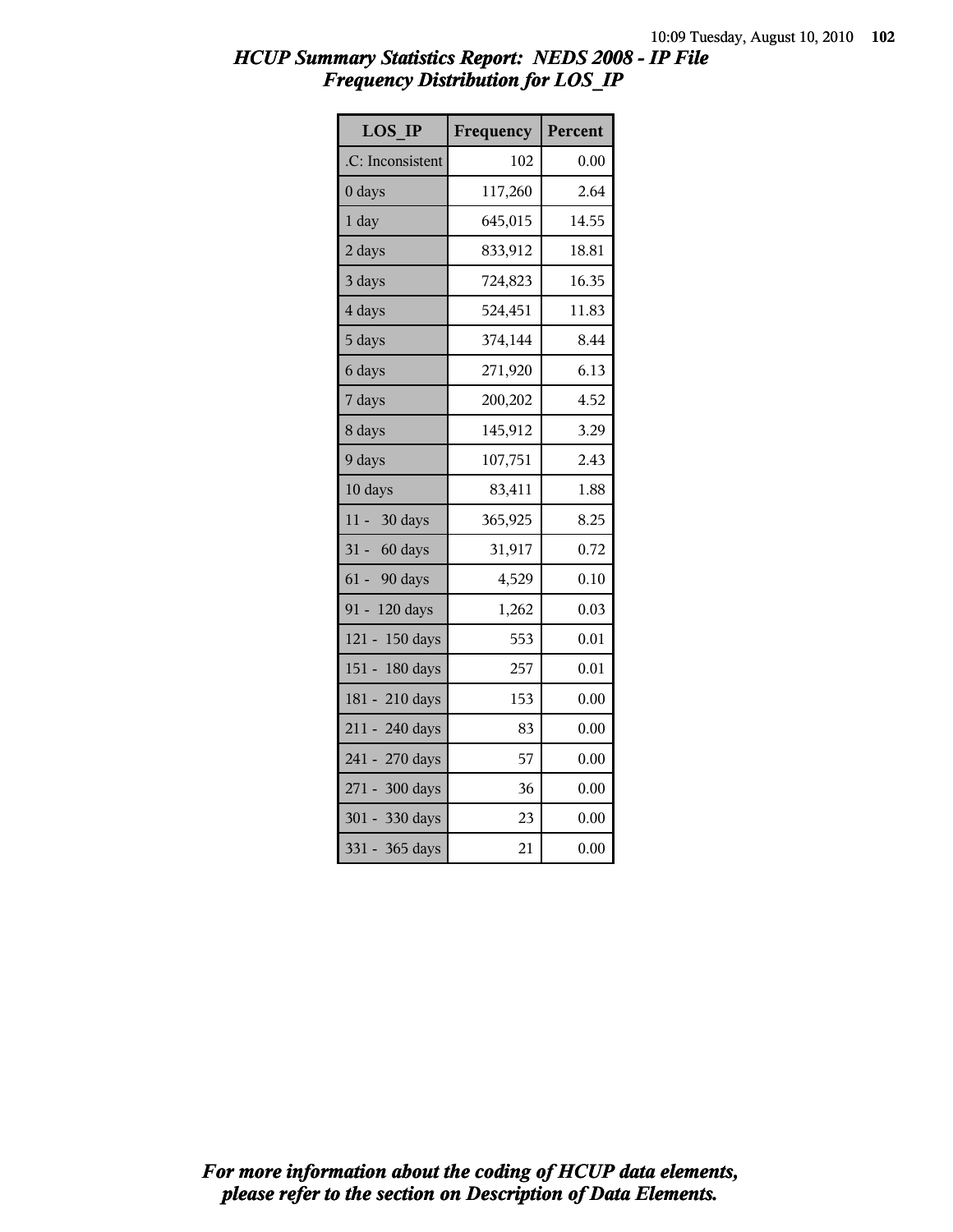# *HCUP Summary Statistics Report: NEDS 2008 - IP File Frequency Distribution for LOS\_IP*

| <b>LOS IP</b>       | Frequency | Percent |
|---------------------|-----------|---------|
| .C: Inconsistent    | 102       | 0.00    |
| 0 days              | 117,260   | 2.64    |
| 1 day               | 645,015   | 14.55   |
| 2 days              | 833,912   | 18.81   |
| 3 days              | 724,823   | 16.35   |
| 4 days              | 524,451   | 11.83   |
| 5 days              | 374,144   | 8.44    |
| 6 days              | 271,920   | 6.13    |
| 7 days              | 200,202   | 4.52    |
| 8 days              | 145,912   | 3.29    |
| 9 days              | 107,751   | 2.43    |
| 10 days             | 83,411    | 1.88    |
| $11 -$<br>30 days   | 365,925   | 8.25    |
| $31 -$<br>60 days   | 31,917    | 0.72    |
| $61 -$<br>90 days   | 4,529     | 0.10    |
| $91 -$<br>120 days  | 1,262     | 0.03    |
| 150 days<br>$121 -$ | 553       | 0.01    |
| $151 -$<br>180 days | 257       | 0.01    |
| $181 -$<br>210 days | 153       | 0.00    |
| 211 - 240 days      | 83        | 0.00    |
| 241 - 270 days      | 57        | 0.00    |
| 271 - 300 days      | 36        | 0.00    |
| 301 - 330 days      | 23        | 0.00    |
| $331 -$<br>365 days | 21        | 0.00    |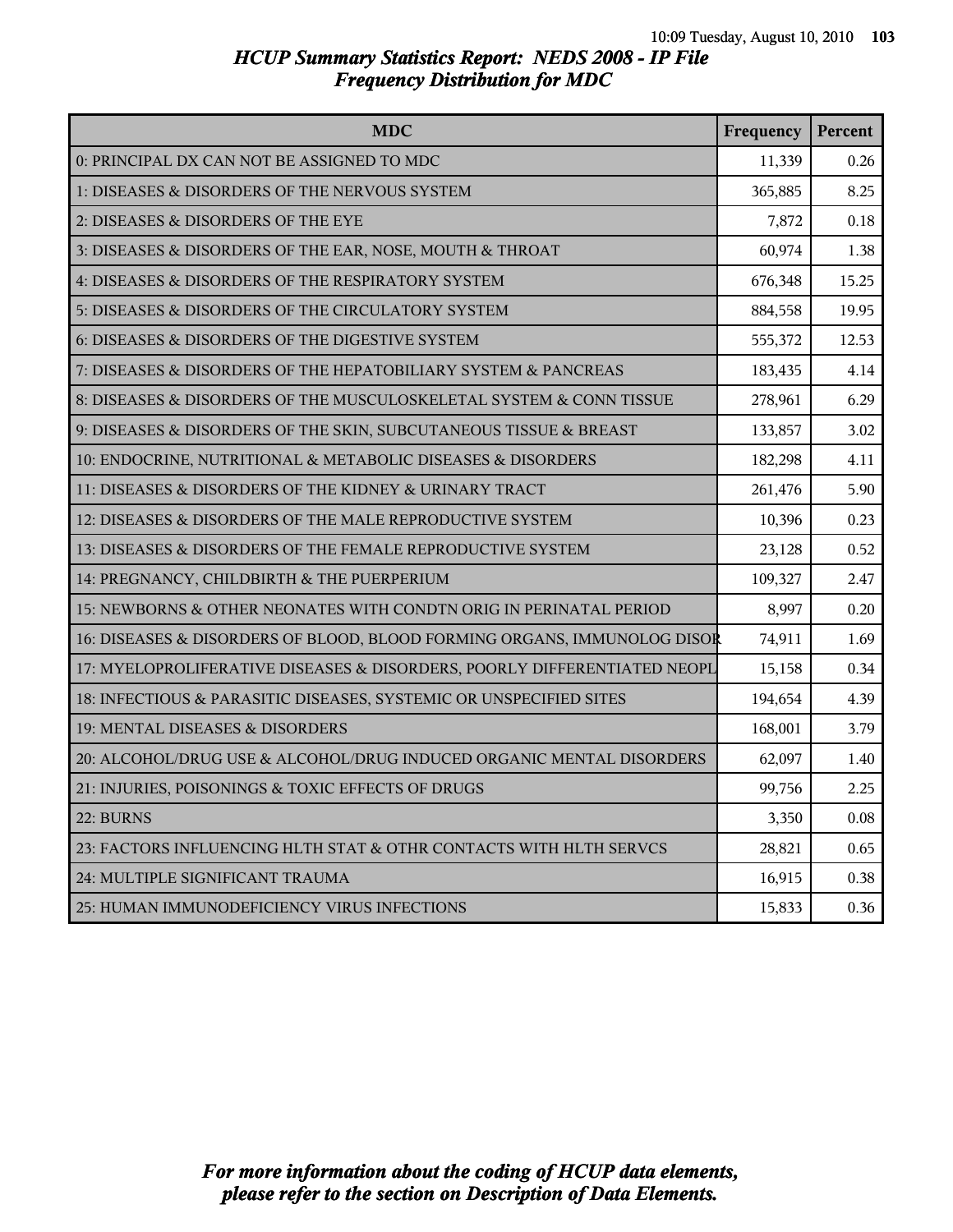#### *HCUP Summary Statistics Report: NEDS 2008 - IP File Frequency Distribution for MDC*

| <b>MDC</b>                                                               | Frequency | Percent |
|--------------------------------------------------------------------------|-----------|---------|
| 0: PRINCIPAL DX CAN NOT BE ASSIGNED TO MDC                               | 11,339    | 0.26    |
| 1: DISEASES & DISORDERS OF THE NERVOUS SYSTEM                            | 365,885   | 8.25    |
| 2: DISEASES & DISORDERS OF THE EYE                                       | 7,872     | 0.18    |
| 3: DISEASES & DISORDERS OF THE EAR, NOSE, MOUTH & THROAT                 | 60,974    | 1.38    |
| 4: DISEASES & DISORDERS OF THE RESPIRATORY SYSTEM                        | 676,348   | 15.25   |
| 5: DISEASES & DISORDERS OF THE CIRCULATORY SYSTEM                        | 884,558   | 19.95   |
| 6: DISEASES & DISORDERS OF THE DIGESTIVE SYSTEM                          | 555,372   | 12.53   |
| 7: DISEASES & DISORDERS OF THE HEPATOBILIARY SYSTEM & PANCREAS           | 183,435   | 4.14    |
| 8: DISEASES & DISORDERS OF THE MUSCULOSKELETAL SYSTEM & CONN TISSUE      | 278,961   | 6.29    |
| 9: DISEASES & DISORDERS OF THE SKIN, SUBCUTANEOUS TISSUE & BREAST        | 133,857   | 3.02    |
| 10: ENDOCRINE, NUTRITIONAL & METABOLIC DISEASES & DISORDERS              | 182,298   | 4.11    |
| 11: DISEASES & DISORDERS OF THE KIDNEY & URINARY TRACT                   | 261,476   | 5.90    |
| 12: DISEASES & DISORDERS OF THE MALE REPRODUCTIVE SYSTEM                 | 10,396    | 0.23    |
| 13: DISEASES & DISORDERS OF THE FEMALE REPRODUCTIVE SYSTEM               | 23,128    | 0.52    |
| 14: PREGNANCY, CHILDBIRTH & THE PUERPERIUM                               | 109,327   | 2.47    |
| 15: NEWBORNS & OTHER NEONATES WITH CONDTN ORIG IN PERINATAL PERIOD       | 8,997     | 0.20    |
| 16: DISEASES & DISORDERS OF BLOOD, BLOOD FORMING ORGANS, IMMUNOLOG DISOR | 74,911    | 1.69    |
| 17: MYELOPROLIFERATIVE DISEASES & DISORDERS, POORLY DIFFERENTIATED NEOPL | 15,158    | 0.34    |
| 18: INFECTIOUS & PARASITIC DISEASES, SYSTEMIC OR UNSPECIFIED SITES       | 194,654   | 4.39    |
| 19: MENTAL DISEASES & DISORDERS                                          | 168,001   | 3.79    |
| 20: ALCOHOL/DRUG USE & ALCOHOL/DRUG INDUCED ORGANIC MENTAL DISORDERS     | 62,097    | 1.40    |
| 21: INJURIES, POISONINGS & TOXIC EFFECTS OF DRUGS                        | 99,756    | 2.25    |
| 22: BURNS                                                                | 3,350     | 0.08    |
| 23: FACTORS INFLUENCING HLTH STAT & OTHR CONTACTS WITH HLTH SERVCS       | 28,821    | 0.65    |
| 24: MULTIPLE SIGNIFICANT TRAUMA                                          | 16,915    | 0.38    |
| 25: HUMAN IMMUNODEFICIENCY VIRUS INFECTIONS                              | 15,833    | 0.36    |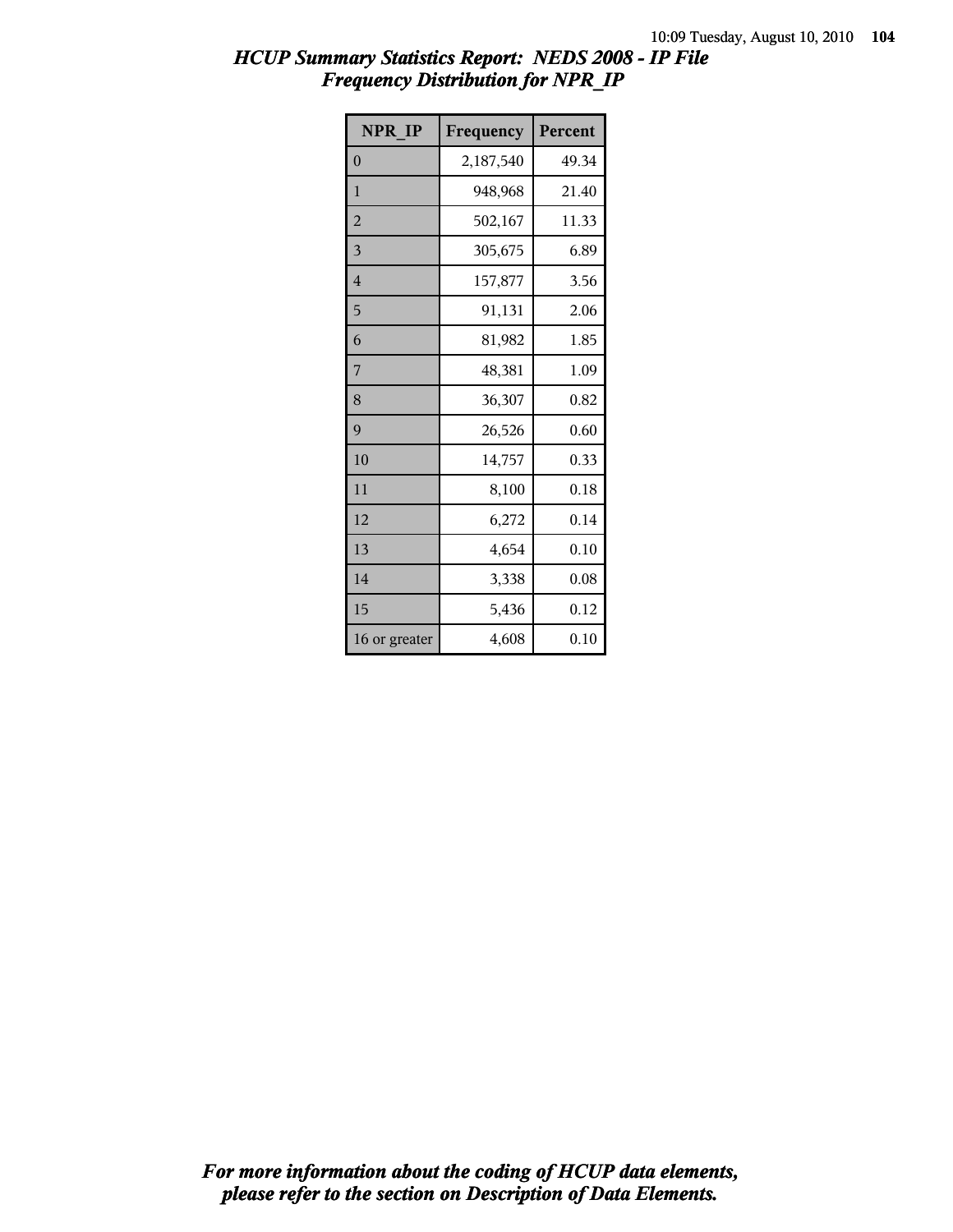# *HCUP Summary Statistics Report: NEDS 2008 - IP File Frequency Distribution for NPR\_IP*

| NPR IP         | Frequency | Percent |
|----------------|-----------|---------|
| $\overline{0}$ | 2,187,540 | 49.34   |
| 1              | 948,968   | 21.40   |
| $\overline{2}$ | 502,167   | 11.33   |
| 3              | 305,675   | 6.89    |
| 4              | 157,877   | 3.56    |
| 5              | 91,131    | 2.06    |
| 6              | 81,982    | 1.85    |
| 7              | 48,381    | 1.09    |
| 8              | 36,307    | 0.82    |
| 9              | 26,526    | 0.60    |
| 10             | 14,757    | 0.33    |
| 11             | 8,100     | 0.18    |
| 12             | 6,272     | 0.14    |
| 13             | 4,654     | 0.10    |
| 14             | 3,338     | 0.08    |
| 15             | 5,436     | 0.12    |
| 16 or greater  | 4,608     | 0.10    |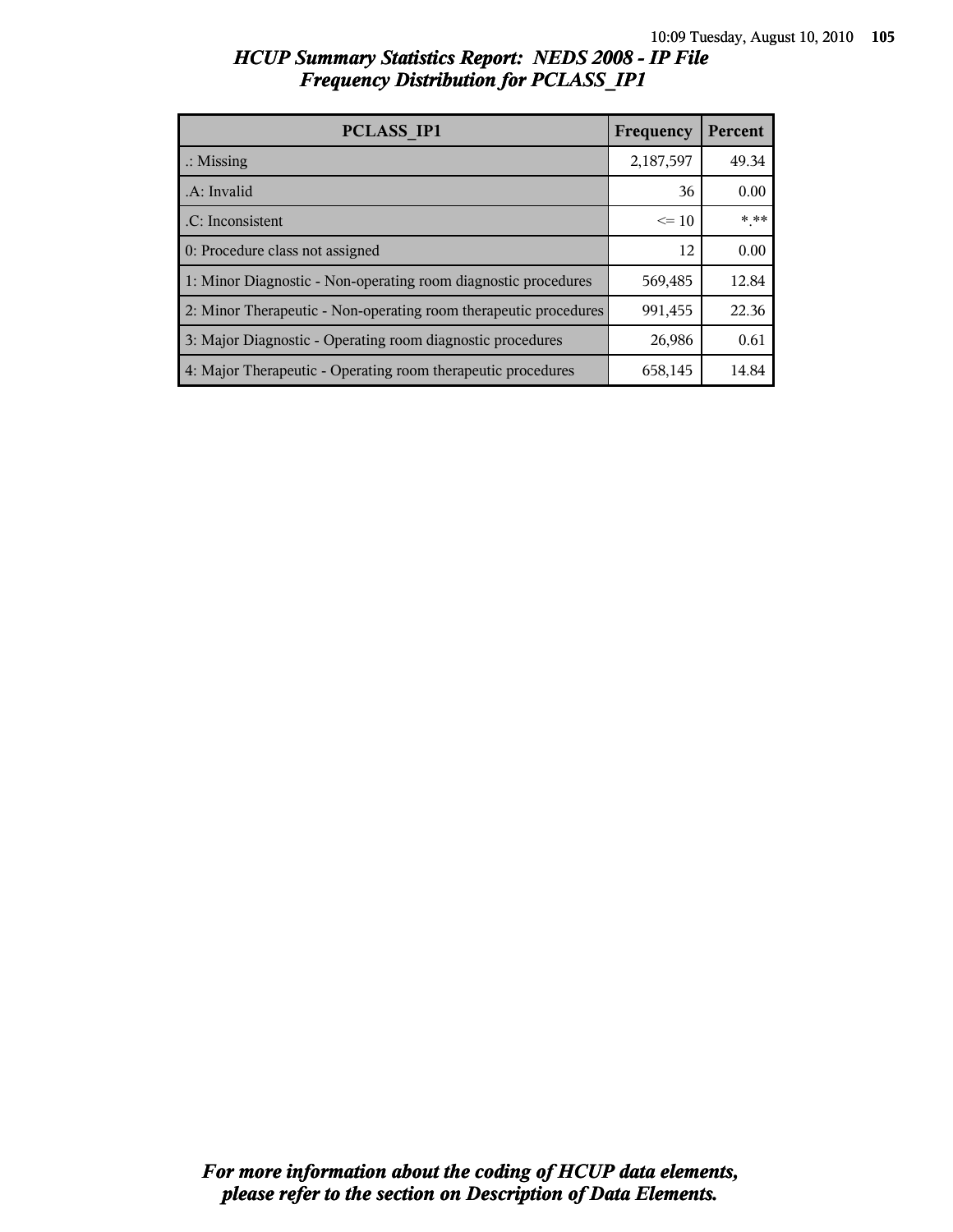| HCUP Summary Statistics Report: NEDS 2008 - IP File |  |
|-----------------------------------------------------|--|
| <b>Frequency Distribution for PCLASS IP1</b>        |  |

| PCLASS IP1                                                       | Frequency | Percent |
|------------------------------------------------------------------|-----------|---------|
| $\therefore$ Missing                                             | 2,187,597 | 49.34   |
| .A: Invalid                                                      | 36        | 0.00    |
| .C: Inconsistent                                                 | $\leq 10$ | * **    |
| 0: Procedure class not assigned                                  | 12        | 0.00    |
| 1: Minor Diagnostic - Non-operating room diagnostic procedures   | 569,485   | 12.84   |
| 2: Minor Therapeutic - Non-operating room therapeutic procedures | 991,455   | 22.36   |
| 3: Major Diagnostic - Operating room diagnostic procedures       | 26,986    | 0.61    |
| 4: Major Therapeutic - Operating room therapeutic procedures     | 658,145   | 14.84   |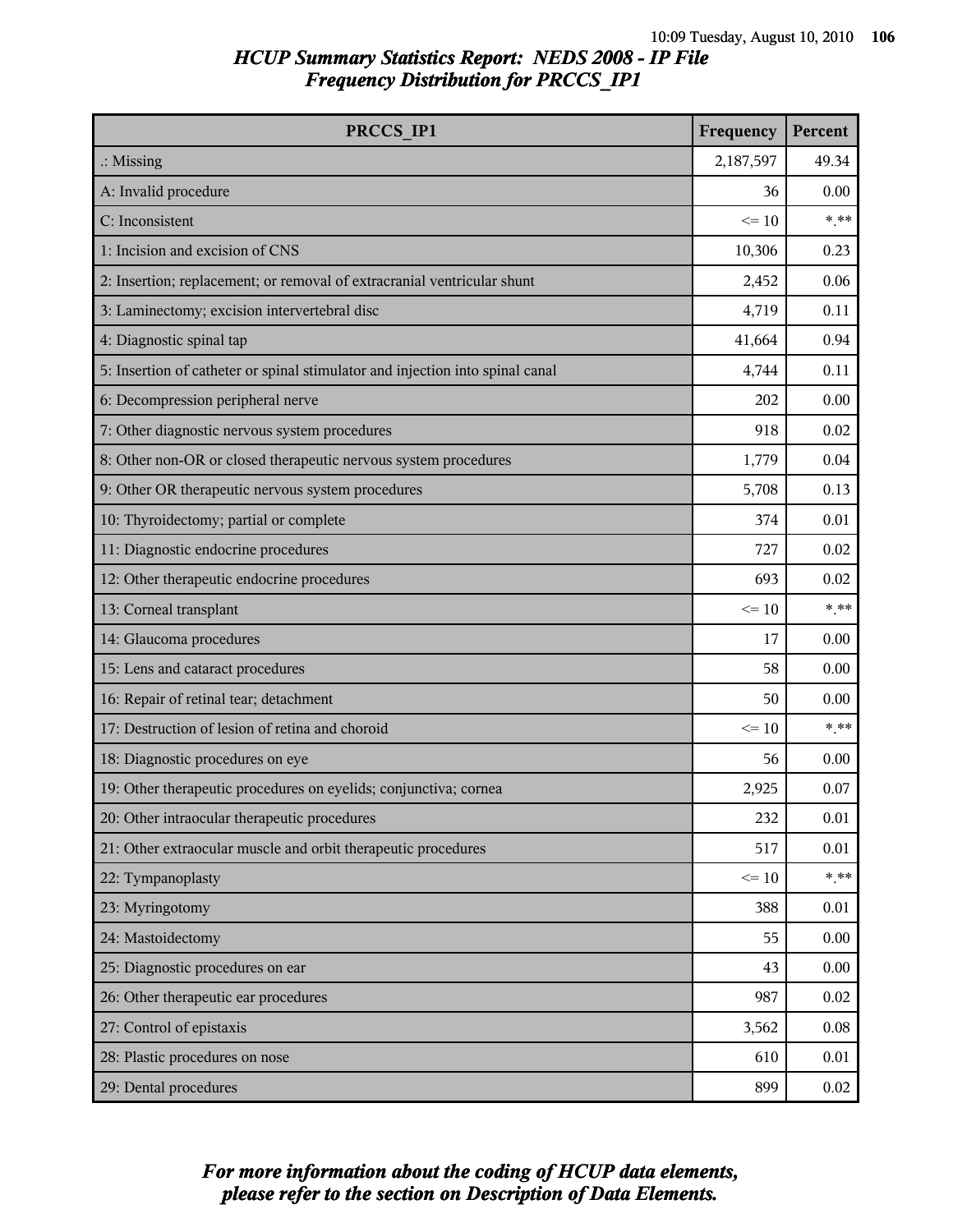# *HCUP Summary Statistics Report: NEDS 2008 - IP File Frequency Distribution for PRCCS\_IP1*

| PRCCS IP1                                                                     | Frequency | Percent  |
|-------------------------------------------------------------------------------|-----------|----------|
| $\therefore$ Missing                                                          | 2,187,597 | 49.34    |
| A: Invalid procedure                                                          | 36        | 0.00     |
| C: Inconsistent                                                               | $\leq 10$ | $* * *$  |
| 1: Incision and excision of CNS                                               | 10,306    | 0.23     |
| 2: Insertion; replacement; or removal of extracranial ventricular shunt       | 2,452     | 0.06     |
| 3: Laminectomy; excision intervertebral disc                                  | 4,719     | 0.11     |
| 4: Diagnostic spinal tap                                                      | 41,664    | 0.94     |
| 5: Insertion of catheter or spinal stimulator and injection into spinal canal | 4,744     | 0.11     |
| 6: Decompression peripheral nerve                                             | 202       | 0.00     |
| 7: Other diagnostic nervous system procedures                                 | 918       | 0.02     |
| 8: Other non-OR or closed therapeutic nervous system procedures               | 1,779     | 0.04     |
| 9: Other OR therapeutic nervous system procedures                             | 5,708     | 0.13     |
| 10: Thyroidectomy; partial or complete                                        | 374       | 0.01     |
| 11: Diagnostic endocrine procedures                                           | 727       | 0.02     |
| 12: Other therapeutic endocrine procedures                                    | 693       | 0.02     |
| 13: Corneal transplant                                                        | $\leq 10$ | $***$    |
| 14: Glaucoma procedures                                                       | 17        | 0.00     |
| 15: Lens and cataract procedures                                              | 58        | 0.00     |
| 16: Repair of retinal tear; detachment                                        | 50        | 0.00     |
| 17: Destruction of lesion of retina and choroid                               | $\leq 10$ | $***$    |
| 18: Diagnostic procedures on eye                                              | 56        | 0.00     |
| 19: Other therapeutic procedures on eyelids; conjunctiva; cornea              | 2,925     | 0.07     |
| 20: Other intraocular therapeutic procedures                                  | 232       | $0.01\,$ |
| 21: Other extraocular muscle and orbit therapeutic procedures                 | 517       | 0.01     |
| 22: Tympanoplasty                                                             | $\leq 10$ | $***$    |
| 23: Myringotomy                                                               | 388       | 0.01     |
| 24: Mastoidectomy                                                             | 55        | 0.00     |
| 25: Diagnostic procedures on ear                                              | 43        | 0.00     |
| 26: Other therapeutic ear procedures                                          | 987       | 0.02     |
| 27: Control of epistaxis                                                      | 3,562     | 0.08     |
| 28: Plastic procedures on nose                                                | 610       | 0.01     |
| 29: Dental procedures                                                         | 899       | 0.02     |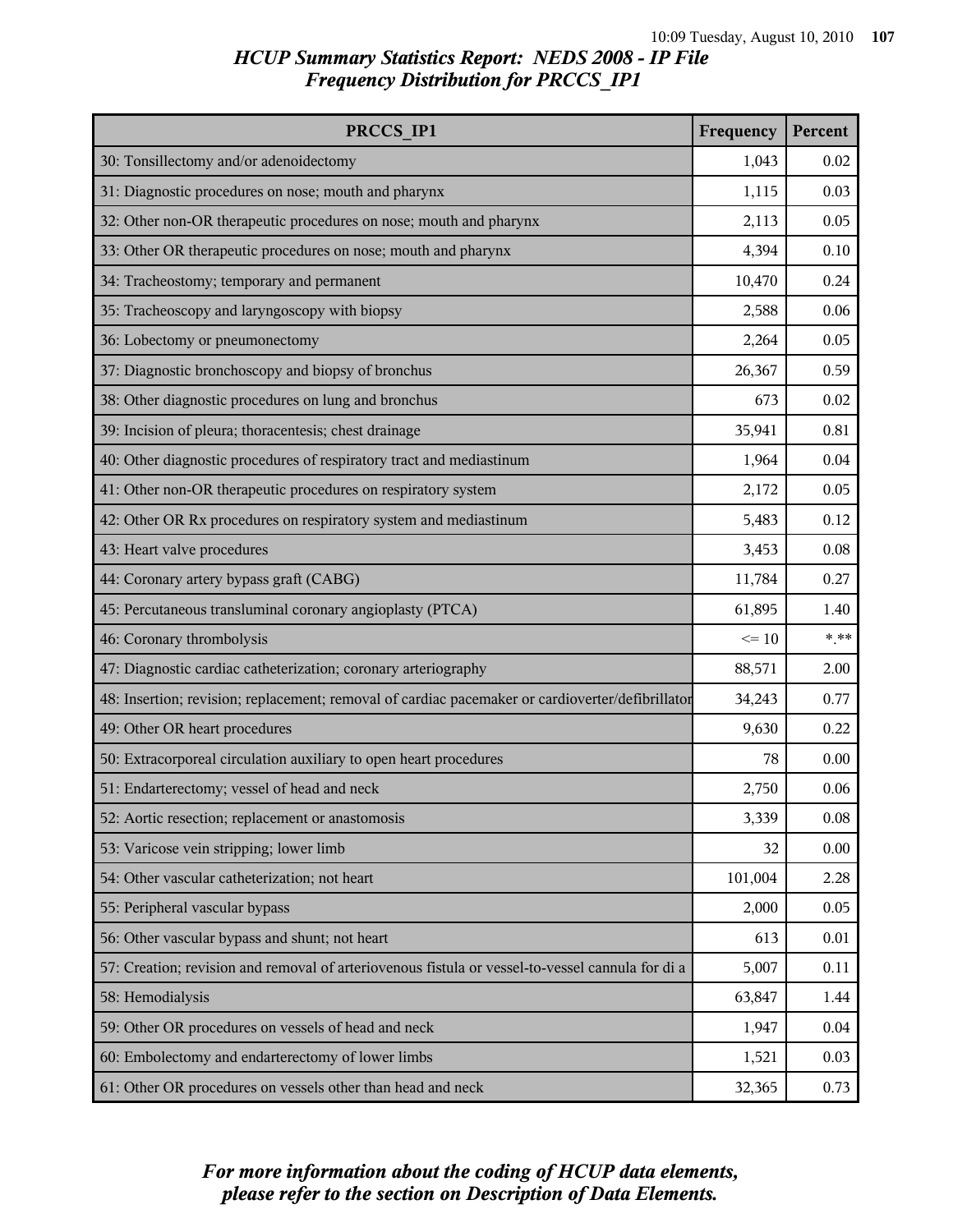# *HCUP Summary Statistics Report: NEDS 2008 - IP File Frequency Distribution for PRCCS\_IP1*

| PRCCS IP1                                                                                        | Frequency | Percent |
|--------------------------------------------------------------------------------------------------|-----------|---------|
| 30: Tonsillectomy and/or adenoidectomy                                                           | 1,043     | 0.02    |
| 31: Diagnostic procedures on nose; mouth and pharynx                                             | 1,115     | 0.03    |
| 32: Other non-OR therapeutic procedures on nose; mouth and pharynx                               | 2,113     | 0.05    |
| 33: Other OR therapeutic procedures on nose; mouth and pharynx                                   | 4,394     | 0.10    |
| 34: Tracheostomy; temporary and permanent                                                        | 10,470    | 0.24    |
| 35: Tracheoscopy and laryngoscopy with biopsy                                                    | 2,588     | 0.06    |
| 36: Lobectomy or pneumonectomy                                                                   | 2,264     | 0.05    |
| 37: Diagnostic bronchoscopy and biopsy of bronchus                                               | 26,367    | 0.59    |
| 38: Other diagnostic procedures on lung and bronchus                                             | 673       | 0.02    |
| 39: Incision of pleura; thoracentesis; chest drainage                                            | 35,941    | 0.81    |
| 40: Other diagnostic procedures of respiratory tract and mediastinum                             | 1,964     | 0.04    |
| 41: Other non-OR therapeutic procedures on respiratory system                                    | 2,172     | 0.05    |
| 42: Other OR Rx procedures on respiratory system and mediastinum                                 | 5,483     | 0.12    |
| 43: Heart valve procedures                                                                       | 3,453     | 0.08    |
| 44: Coronary artery bypass graft (CABG)                                                          | 11,784    | 0.27    |
| 45: Percutaneous transluminal coronary angioplasty (PTCA)                                        | 61,895    | 1.40    |
| 46: Coronary thrombolysis                                                                        | $\leq 10$ | $***$   |
| 47: Diagnostic cardiac catheterization; coronary arteriography                                   | 88,571    | 2.00    |
| 48: Insertion; revision; replacement; removal of cardiac pacemaker or cardioverter/defibrillator | 34,243    | 0.77    |
| 49: Other OR heart procedures                                                                    | 9,630     | 0.22    |
| 50: Extracorporeal circulation auxiliary to open heart procedures                                | 78        | 0.00    |
| 51: Endarterectomy; vessel of head and neck                                                      | 2,750     | 0.06    |
| 52: Aortic resection; replacement or anastomosis                                                 | 3,339     | 0.08    |
| 53: Varicose vein stripping; lower limb                                                          | 32        | 0.00    |
| 54: Other vascular catheterization; not heart                                                    | 101,004   | 2.28    |
| 55: Peripheral vascular bypass                                                                   | 2,000     | 0.05    |
| 56: Other vascular bypass and shunt; not heart                                                   | 613       | 0.01    |
| 57: Creation; revision and removal of arteriovenous fistula or vessel-to-vessel cannula for di a | 5,007     | 0.11    |
| 58: Hemodialysis                                                                                 | 63,847    | 1.44    |
| 59: Other OR procedures on vessels of head and neck                                              | 1,947     | 0.04    |
| 60: Embolectomy and endarterectomy of lower limbs                                                | 1,521     | 0.03    |
| 61: Other OR procedures on vessels other than head and neck                                      | 32,365    | 0.73    |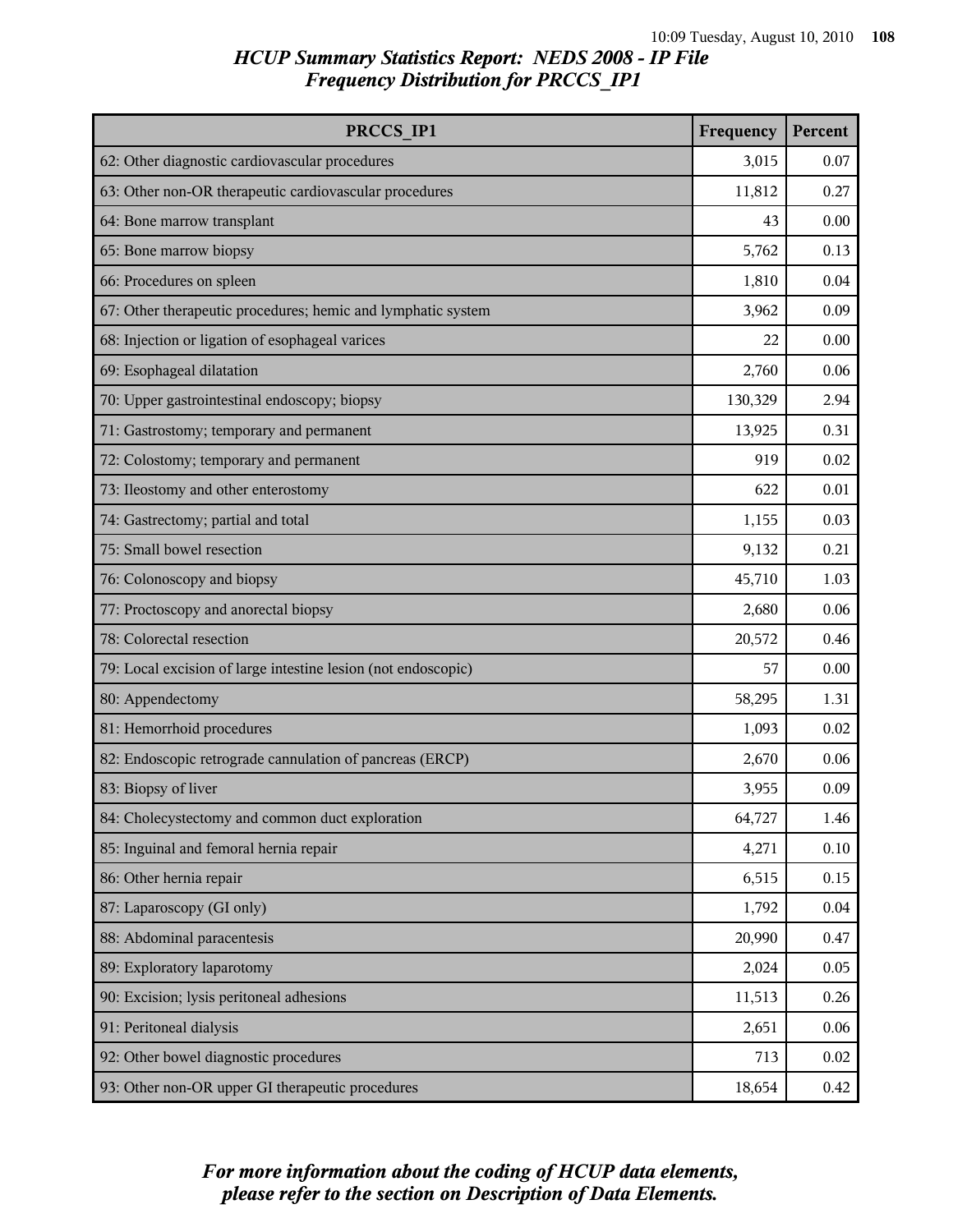# *HCUP Summary Statistics Report: NEDS 2008 - IP File Frequency Distribution for PRCCS\_IP1*

| PRCCS IP1                                                     | Frequency | Percent |
|---------------------------------------------------------------|-----------|---------|
| 62: Other diagnostic cardiovascular procedures                | 3,015     | 0.07    |
| 63: Other non-OR therapeutic cardiovascular procedures        | 11,812    | 0.27    |
| 64: Bone marrow transplant                                    | 43        | 0.00    |
| 65: Bone marrow biopsy                                        | 5,762     | 0.13    |
| 66: Procedures on spleen                                      | 1,810     | 0.04    |
| 67: Other therapeutic procedures; hemic and lymphatic system  | 3,962     | 0.09    |
| 68: Injection or ligation of esophageal varices               | 22        | 0.00    |
| 69: Esophageal dilatation                                     | 2,760     | 0.06    |
| 70: Upper gastrointestinal endoscopy; biopsy                  | 130,329   | 2.94    |
| 71: Gastrostomy; temporary and permanent                      | 13,925    | 0.31    |
| 72: Colostomy; temporary and permanent                        | 919       | 0.02    |
| 73: Ileostomy and other enterostomy                           | 622       | 0.01    |
| 74: Gastrectomy; partial and total                            | 1,155     | 0.03    |
| 75: Small bowel resection                                     | 9,132     | 0.21    |
| 76: Colonoscopy and biopsy                                    | 45,710    | 1.03    |
| 77: Proctoscopy and anorectal biopsy                          | 2,680     | 0.06    |
| 78: Colorectal resection                                      | 20,572    | 0.46    |
| 79: Local excision of large intestine lesion (not endoscopic) | 57        | 0.00    |
| 80: Appendectomy                                              | 58,295    | 1.31    |
| 81: Hemorrhoid procedures                                     | 1,093     | 0.02    |
| 82: Endoscopic retrograde cannulation of pancreas (ERCP)      | 2,670     | 0.06    |
| 83: Biopsy of liver                                           | 3,955     | 0.09    |
| 84: Cholecystectomy and common duct exploration               | 64,727    | 1.46    |
| 85: Inguinal and femoral hernia repair                        | 4,271     | 0.10    |
| 86: Other hernia repair                                       | 6,515     | 0.15    |
| 87: Laparoscopy (GI only)                                     | 1,792     | 0.04    |
| 88: Abdominal paracentesis                                    | 20,990    | 0.47    |
| 89: Exploratory laparotomy                                    | 2,024     | 0.05    |
| 90: Excision; lysis peritoneal adhesions                      | 11,513    | 0.26    |
| 91: Peritoneal dialysis                                       | 2,651     | 0.06    |
| 92: Other bowel diagnostic procedures                         | 713       | 0.02    |
| 93: Other non-OR upper GI therapeutic procedures              | 18,654    | 0.42    |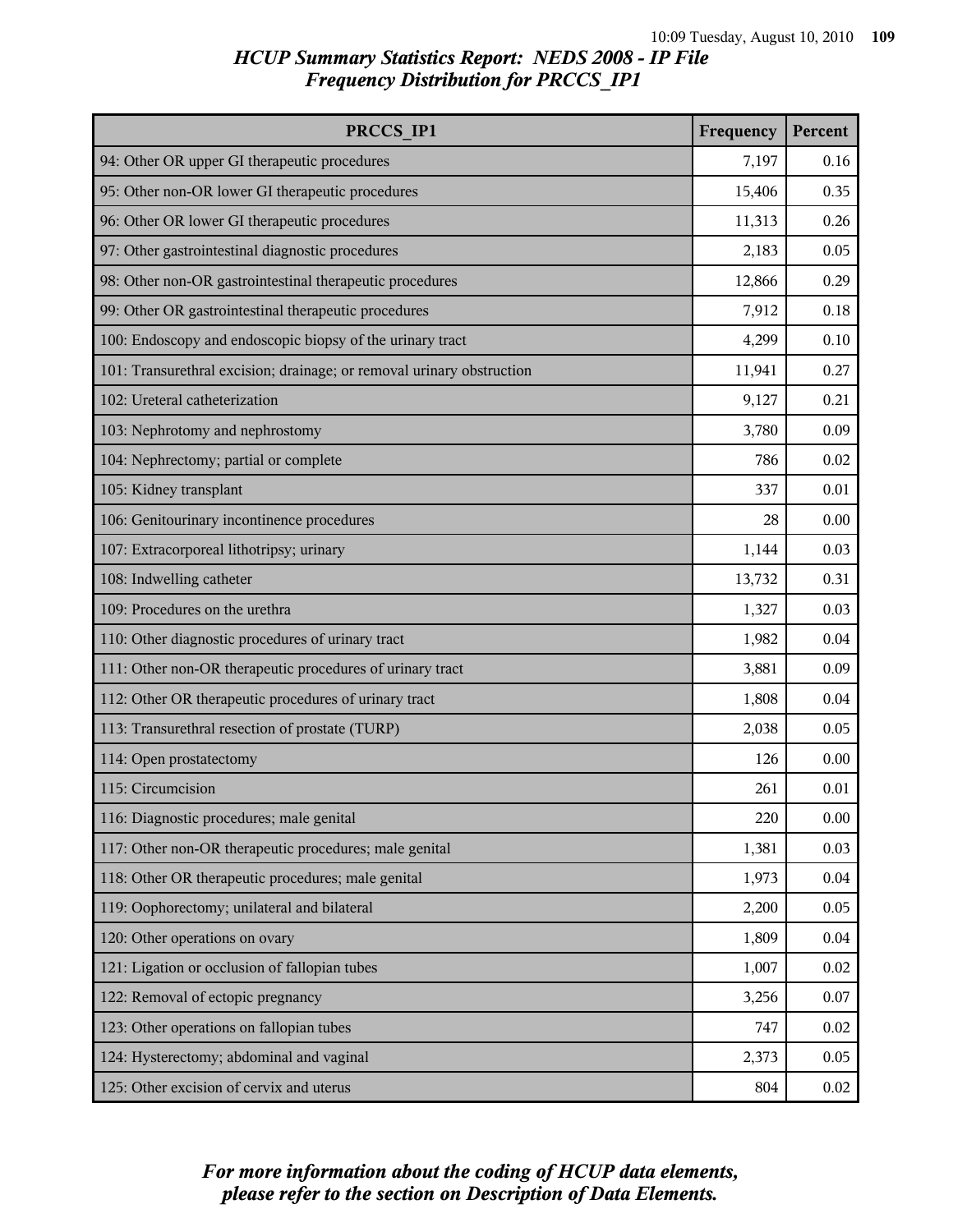| PRCCS IP1                                                             | Frequency | Percent |
|-----------------------------------------------------------------------|-----------|---------|
| 94: Other OR upper GI therapeutic procedures                          | 7,197     | 0.16    |
| 95: Other non-OR lower GI therapeutic procedures                      | 15,406    | 0.35    |
| 96: Other OR lower GI therapeutic procedures                          | 11,313    | 0.26    |
| 97: Other gastrointestinal diagnostic procedures                      | 2,183     | 0.05    |
| 98: Other non-OR gastrointestinal therapeutic procedures              | 12,866    | 0.29    |
| 99: Other OR gastrointestinal therapeutic procedures                  | 7,912     | 0.18    |
| 100: Endoscopy and endoscopic biopsy of the urinary tract             | 4,299     | 0.10    |
| 101: Transurethral excision; drainage; or removal urinary obstruction | 11,941    | 0.27    |
| 102: Ureteral catheterization                                         | 9,127     | 0.21    |
| 103: Nephrotomy and nephrostomy                                       | 3,780     | 0.09    |
| 104: Nephrectomy; partial or complete                                 | 786       | 0.02    |
| 105: Kidney transplant                                                | 337       | 0.01    |
| 106: Genitourinary incontinence procedures                            | 28        | 0.00    |
| 107: Extracorporeal lithotripsy; urinary                              | 1,144     | 0.03    |
| 108: Indwelling catheter                                              | 13,732    | 0.31    |
| 109: Procedures on the urethra                                        | 1,327     | 0.03    |
| 110: Other diagnostic procedures of urinary tract                     | 1,982     | 0.04    |
| 111: Other non-OR therapeutic procedures of urinary tract             |           | 0.09    |
| 112: Other OR therapeutic procedures of urinary tract                 |           | 0.04    |
| 113: Transurethral resection of prostate (TURP)                       | 2,038     | 0.05    |
| 114: Open prostatectomy                                               | 126       | 0.00    |
| 115: Circumcision                                                     | 261       | 0.01    |
| 116: Diagnostic procedures; male genital                              | 220       | 0.00    |
| 117: Other non-OR therapeutic procedures; male genital                | 1,381     | 0.03    |
| 118: Other OR therapeutic procedures; male genital                    | 1,973     | 0.04    |
| 119: Oophorectomy; unilateral and bilateral                           |           | 0.05    |
| 120: Other operations on ovary                                        | 1,809     | 0.04    |
| 121: Ligation or occlusion of fallopian tubes                         | 1,007     | 0.02    |
| 122: Removal of ectopic pregnancy                                     | 3,256     | 0.07    |
| 123: Other operations on fallopian tubes                              | 747       | 0.02    |
| 124: Hysterectomy; abdominal and vaginal                              | 2,373     | 0.05    |
| 125: Other excision of cervix and uterus                              | 804       | 0.02    |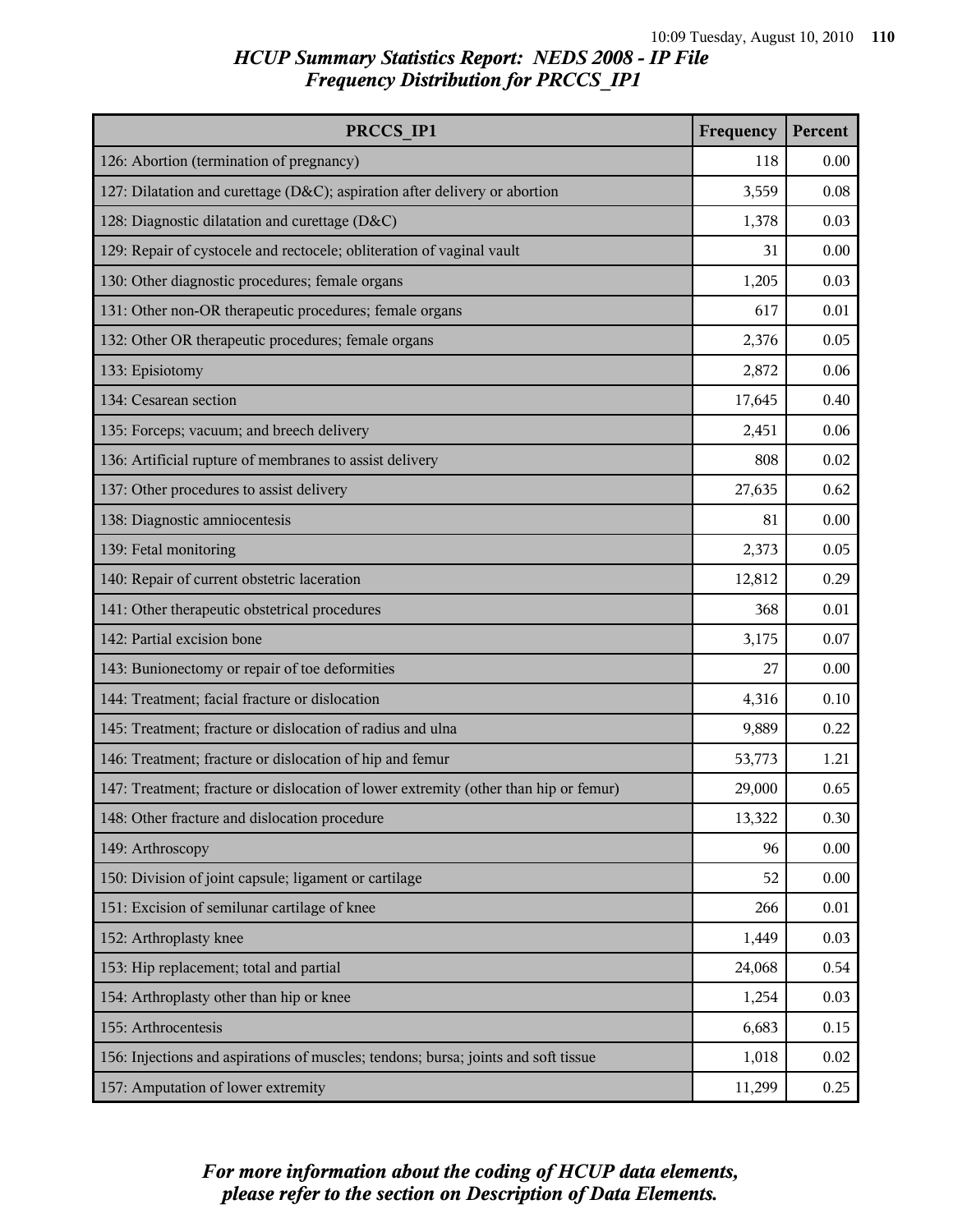| PRCCS IP1                                                                            | Frequency | Percent |
|--------------------------------------------------------------------------------------|-----------|---------|
| 126: Abortion (termination of pregnancy)                                             | 118       | 0.00    |
| 127: Dilatation and curettage (D&C); aspiration after delivery or abortion           | 3,559     | 0.08    |
| 128: Diagnostic dilatation and curettage (D&C)                                       | 1,378     | 0.03    |
| 129: Repair of cystocele and rectocele; obliteration of vaginal vault                | 31        | 0.00    |
| 130: Other diagnostic procedures; female organs                                      | 1,205     | 0.03    |
| 131: Other non-OR therapeutic procedures; female organs                              | 617       | 0.01    |
| 132: Other OR therapeutic procedures; female organs                                  | 2,376     | 0.05    |
| 133: Episiotomy                                                                      | 2,872     | 0.06    |
| 134: Cesarean section                                                                | 17,645    | 0.40    |
| 135: Forceps; vacuum; and breech delivery                                            | 2,451     | 0.06    |
| 136: Artificial rupture of membranes to assist delivery                              | 808       | 0.02    |
| 137: Other procedures to assist delivery                                             | 27,635    | 0.62    |
| 138: Diagnostic amniocentesis                                                        | 81        | 0.00    |
| 139: Fetal monitoring                                                                | 2,373     | 0.05    |
| 140: Repair of current obstetric laceration                                          | 12,812    | 0.29    |
| 141: Other therapeutic obstetrical procedures                                        | 368       | 0.01    |
| 142: Partial excision bone                                                           | 3,175     | 0.07    |
| 143: Bunionectomy or repair of toe deformities                                       | 27        | 0.00    |
| 144: Treatment; facial fracture or dislocation                                       | 4,316     | 0.10    |
| 145: Treatment; fracture or dislocation of radius and ulna                           | 9,889     | 0.22    |
| 146: Treatment; fracture or dislocation of hip and femur                             | 53,773    | 1.21    |
| 147: Treatment; fracture or dislocation of lower extremity (other than hip or femur) | 29,000    | 0.65    |
| 148: Other fracture and dislocation procedure                                        | 13,322    | 0.30    |
| 149: Arthroscopy                                                                     | 96        | 0.00    |
| 150: Division of joint capsule; ligament or cartilage                                | 52        | 0.00    |
| 151: Excision of semilunar cartilage of knee                                         | 266       | 0.01    |
| 152: Arthroplasty knee                                                               | 1,449     | 0.03    |
| 153: Hip replacement; total and partial                                              | 24,068    | 0.54    |
| 154: Arthroplasty other than hip or knee                                             | 1,254     | 0.03    |
| 155: Arthrocentesis                                                                  | 6,683     | 0.15    |
| 156: Injections and aspirations of muscles; tendons; bursa; joints and soft tissue   | 1,018     | 0.02    |
| 157: Amputation of lower extremity                                                   | 11,299    | 0.25    |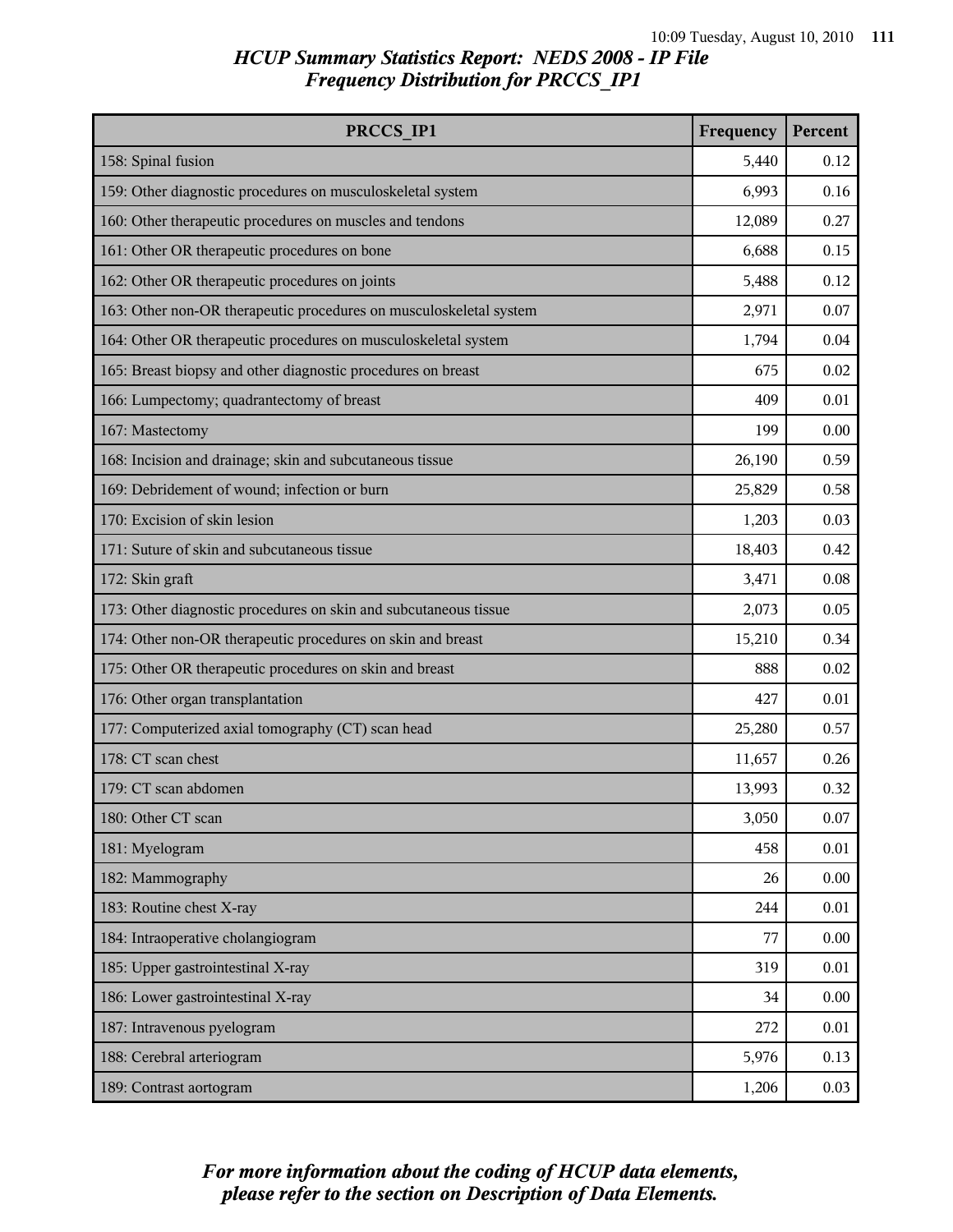| PRCCS IP1                                                          | Frequency | Percent |
|--------------------------------------------------------------------|-----------|---------|
| 158: Spinal fusion                                                 | 5,440     | 0.12    |
| 159: Other diagnostic procedures on musculoskeletal system         | 6,993     | 0.16    |
| 160: Other therapeutic procedures on muscles and tendons           | 12,089    | 0.27    |
| 161: Other OR therapeutic procedures on bone                       | 6,688     | 0.15    |
| 162: Other OR therapeutic procedures on joints                     | 5,488     | 0.12    |
| 163: Other non-OR therapeutic procedures on musculoskeletal system | 2,971     | 0.07    |
| 164: Other OR therapeutic procedures on musculoskeletal system     | 1,794     | 0.04    |
| 165: Breast biopsy and other diagnostic procedures on breast       | 675       | 0.02    |
| 166: Lumpectomy; quadrantectomy of breast                          | 409       | 0.01    |
| 167: Mastectomy                                                    | 199       | 0.00    |
| 168: Incision and drainage; skin and subcutaneous tissue           | 26,190    | 0.59    |
| 169: Debridement of wound; infection or burn                       | 25,829    | 0.58    |
| 170: Excision of skin lesion                                       | 1,203     | 0.03    |
| 171: Suture of skin and subcutaneous tissue                        | 18,403    | 0.42    |
| 172: Skin graft                                                    | 3,471     | 0.08    |
| 173: Other diagnostic procedures on skin and subcutaneous tissue   | 2,073     | 0.05    |
| 174: Other non-OR therapeutic procedures on skin and breast        | 15,210    | 0.34    |
| 175: Other OR therapeutic procedures on skin and breast            |           | 0.02    |
| 176: Other organ transplantation                                   | 427       | 0.01    |
| 177: Computerized axial tomography (CT) scan head                  | 25,280    | 0.57    |
| 178: CT scan chest                                                 | 11,657    | 0.26    |
| 179: CT scan abdomen                                               | 13,993    | 0.32    |
| 180: Other CT scan                                                 | 3,050     | 0.07    |
| 181: Myelogram                                                     | 458       | 0.01    |
| 182: Mammography                                                   | 26        | 0.00    |
| 183: Routine chest X-ray                                           | 244       | 0.01    |
| 184: Intraoperative cholangiogram                                  | 77        | 0.00    |
| 185: Upper gastrointestinal X-ray                                  | 319       | 0.01    |
| 186: Lower gastrointestinal X-ray                                  | 34        | 0.00    |
| 187: Intravenous pyelogram                                         | 272       | 0.01    |
| 188: Cerebral arteriogram                                          | 5,976     | 0.13    |
| 189: Contrast aortogram                                            | 1,206     | 0.03    |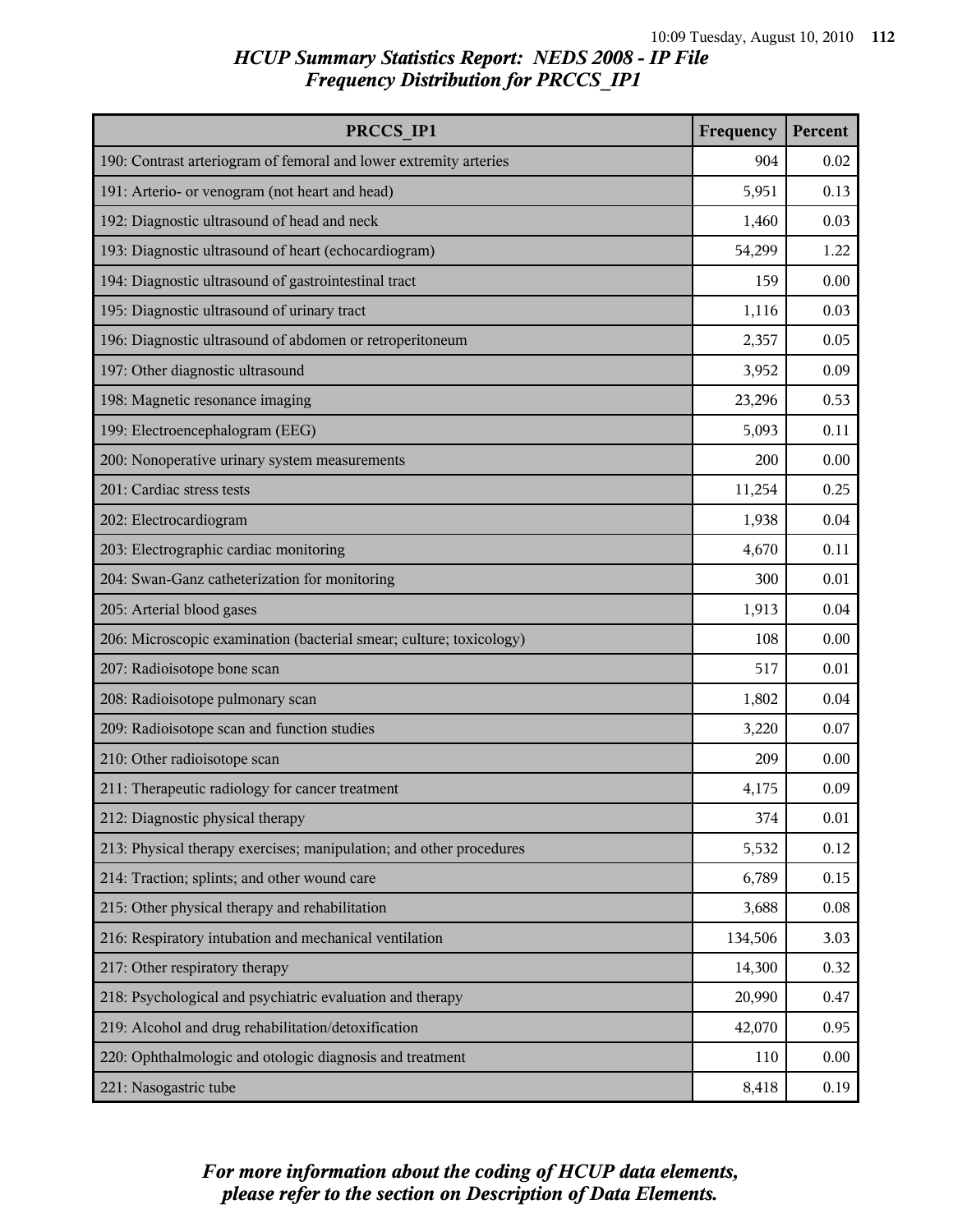| PRCCS IP1                                                           | Frequency | Percent  |
|---------------------------------------------------------------------|-----------|----------|
| 190: Contrast arteriogram of femoral and lower extremity arteries   | 904       | 0.02     |
| 191: Arterio- or venogram (not heart and head)                      | 5,951     | 0.13     |
| 192: Diagnostic ultrasound of head and neck                         | 1,460     | 0.03     |
| 193: Diagnostic ultrasound of heart (echocardiogram)                | 54,299    | 1.22     |
| 194: Diagnostic ultrasound of gastrointestinal tract                | 159       | 0.00     |
| 195: Diagnostic ultrasound of urinary tract                         | 1,116     | 0.03     |
| 196: Diagnostic ultrasound of abdomen or retroperitoneum            | 2,357     | 0.05     |
| 197: Other diagnostic ultrasound                                    | 3,952     | 0.09     |
| 198: Magnetic resonance imaging                                     | 23,296    | 0.53     |
| 199: Electroencephalogram (EEG)                                     | 5,093     | 0.11     |
| 200: Nonoperative urinary system measurements                       | 200       | 0.00     |
| 201: Cardiac stress tests                                           | 11,254    | 0.25     |
| 202: Electrocardiogram                                              | 1,938     | 0.04     |
| 203: Electrographic cardiac monitoring                              | 4,670     | 0.11     |
| 204: Swan-Ganz catheterization for monitoring                       | 300       | 0.01     |
| 205: Arterial blood gases                                           | 1,913     | 0.04     |
| 206: Microscopic examination (bacterial smear; culture; toxicology) |           | 0.00     |
| 207: Radioisotope bone scan                                         |           | 0.01     |
| 208: Radioisotope pulmonary scan                                    |           | 0.04     |
| 209: Radioisotope scan and function studies                         | 3,220     | 0.07     |
| 210: Other radioisotope scan                                        | 209       | 0.00     |
| 211: Therapeutic radiology for cancer treatment                     | 4,175     | 0.09     |
| 212: Diagnostic physical therapy                                    | 374       | $0.01\,$ |
| 213: Physical therapy exercises; manipulation; and other procedures | 5,532     | 0.12     |
| 214: Traction; splints; and other wound care                        | 6,789     | 0.15     |
| 215: Other physical therapy and rehabilitation                      | 3,688     | 0.08     |
| 216: Respiratory intubation and mechanical ventilation              | 134,506   | 3.03     |
| 217: Other respiratory therapy                                      | 14,300    | 0.32     |
| 218: Psychological and psychiatric evaluation and therapy           | 20,990    | 0.47     |
| 219: Alcohol and drug rehabilitation/detoxification                 | 42,070    | 0.95     |
| 220: Ophthalmologic and otologic diagnosis and treatment            | 110       | 0.00     |
| 221: Nasogastric tube                                               | 8,418     | 0.19     |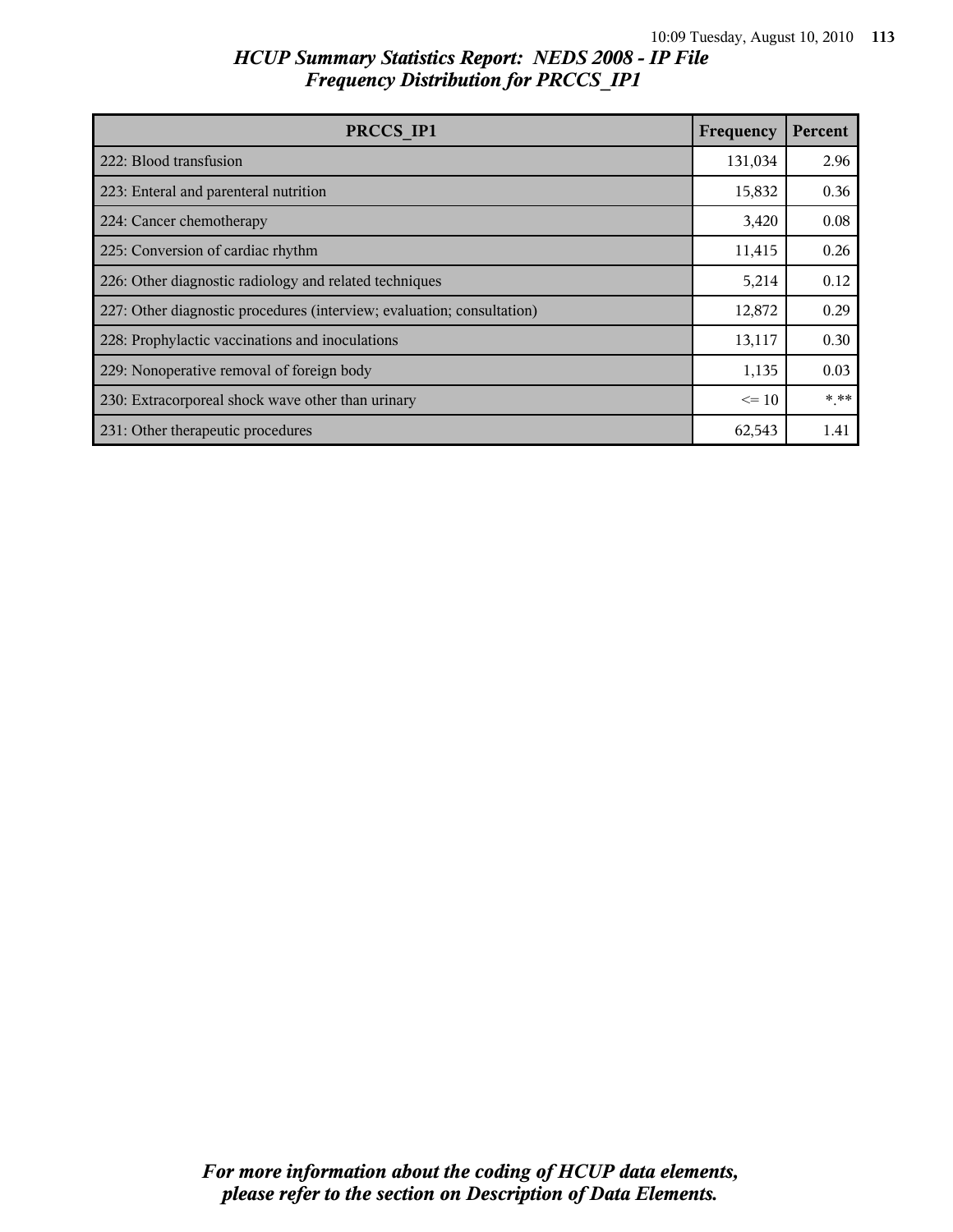| PRCCS IP1                                                              | Frequency | Percent |
|------------------------------------------------------------------------|-----------|---------|
| 222: Blood transfusion                                                 | 131,034   | 2.96    |
| 223: Enteral and parenteral nutrition                                  | 15,832    | 0.36    |
| 224: Cancer chemotherapy                                               | 3,420     | 0.08    |
| 225: Conversion of cardiac rhythm                                      | 11,415    | 0.26    |
| 226: Other diagnostic radiology and related techniques                 | 5,214     | 0.12    |
| 227: Other diagnostic procedures (interview; evaluation; consultation) | 12,872    | 0.29    |
| 228: Prophylactic vaccinations and inoculations                        | 13,117    | 0.30    |
| 229: Nonoperative removal of foreign body                              | 1,135     | 0.03    |
| 230: Extracorporeal shock wave other than urinary                      | $\leq$ 10 | $***$   |
| 231: Other therapeutic procedures                                      | 62,543    | 1.41    |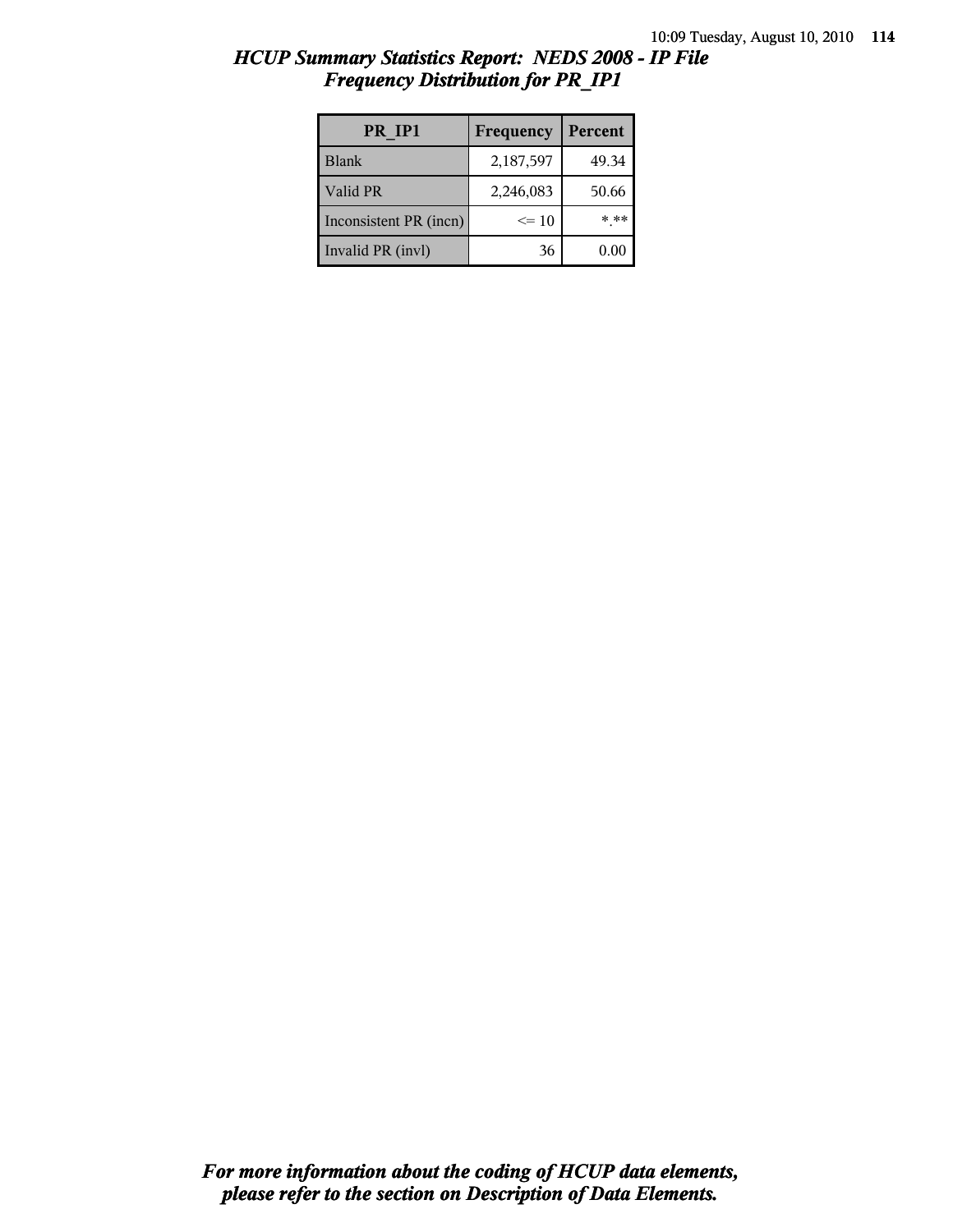| HCUP Summary Statistics Report: NEDS 2008 - IP File |  |  |
|-----------------------------------------------------|--|--|
| <b>Frequency Distribution for PR_IP1</b>            |  |  |

| PR IP1                 | Frequency | Percent |
|------------------------|-----------|---------|
| <b>Blank</b>           | 2,187,597 | 49.34   |
| Valid PR               | 2,246,083 | 50.66   |
| Inconsistent PR (incn) | $\leq$ 10 | * **    |
| Invalid PR (invl)      | 36        | 0.00    |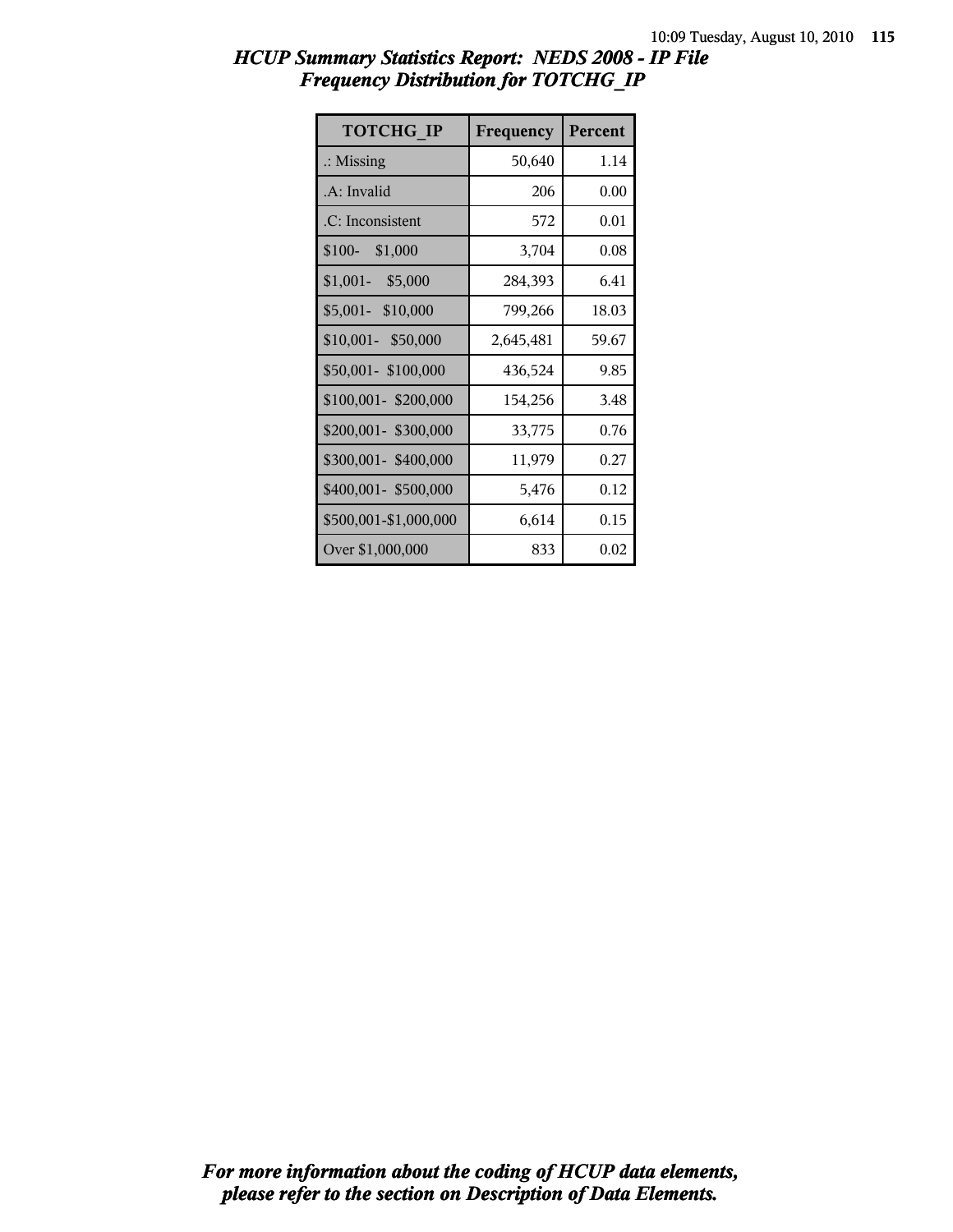| <b>TOTCHG IP</b>      | Frequency | Percent |
|-----------------------|-----------|---------|
| $\therefore$ Missing  | 50,640    | 1.14    |
| .A: Invalid           | 206       | 0.00    |
| .C: Inconsistent      | 572       | 0.01    |
| $$100-$<br>\$1,000    | 3,704     | 0.08    |
| $$1,001-$<br>\$5,000  | 284,393   | 6.41    |
| \$5,001- \$10,000     | 799,266   | 18.03   |
| \$10,001- \$50,000    | 2,645,481 | 59.67   |
| \$50,001-\$100,000    | 436,524   | 9.85    |
| \$100,001-\$200,000   | 154,256   | 3.48    |
| \$200,001- \$300,000  | 33,775    | 0.76    |
| \$300,001-\$400,000   | 11,979    | 0.27    |
| \$400,001- \$500,000  | 5,476     | 0.12    |
| \$500,001-\$1,000,000 | 6,614     | 0.15    |
| Over \$1,000,000      | 833       | 0.02    |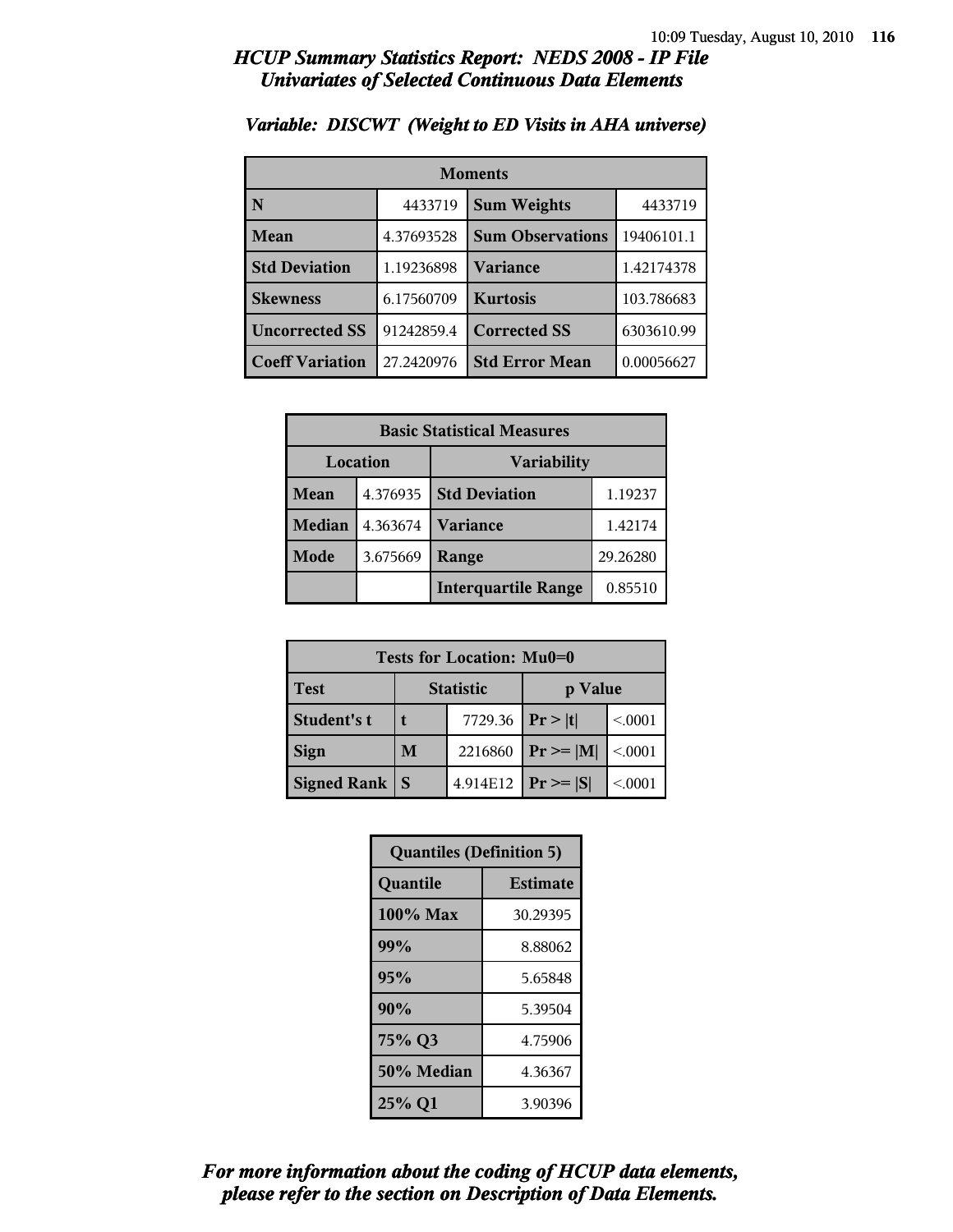| <b>Moments</b>         |            |                         |            |
|------------------------|------------|-------------------------|------------|
| N                      | 4433719    | <b>Sum Weights</b>      | 4433719    |
| Mean                   | 4.37693528 | <b>Sum Observations</b> | 19406101.1 |
| <b>Std Deviation</b>   | 1.19236898 | Variance                | 1.42174378 |
| <b>Skewness</b>        | 6.17560709 | <b>Kurtosis</b>         | 103.786683 |
| <b>Uncorrected SS</b>  | 91242859.4 | <b>Corrected SS</b>     | 6303610.99 |
| <b>Coeff Variation</b> | 27.2420976 | <b>Std Error Mean</b>   | 0.00056627 |

#### *Variable: DISCWT (Weight to ED Visits in AHA universe)*

| <b>Basic Statistical Measures</b> |          |                            |          |
|-----------------------------------|----------|----------------------------|----------|
| Location                          |          | <b>Variability</b>         |          |
| Mean                              | 4.376935 | <b>Std Deviation</b>       | 1.19237  |
| <b>Median</b>                     | 4.363674 | <b>Variance</b>            | 1.42174  |
| Mode                              | 3.675669 | Range                      | 29.26280 |
|                                   |          | <b>Interquartile Range</b> | 0.85510  |

| Tests for Location: Mu0=0 |                             |          |               |         |
|---------------------------|-----------------------------|----------|---------------|---------|
| <b>Test</b>               | <b>Statistic</b><br>p Value |          |               |         |
| Student's t               |                             | 7729.36  | Pr >  t       | < 0001  |
| <b>Sign</b>               | M                           | 2216860  | $Pr \ge  M $  | < 0.001 |
| <b>Signed Rank</b>        | <sub>S</sub>                | 4.914E12 | $Pr \geq  S $ | < 0001  |

| <b>Quantiles (Definition 5)</b> |                 |  |
|---------------------------------|-----------------|--|
| Quantile                        | <b>Estimate</b> |  |
| 100% Max                        | 30.29395        |  |
| 99%                             | 8.88062         |  |
| 95%                             | 5.65848         |  |
| 90%                             | 5.39504         |  |
| 75% Q3                          | 4.75906         |  |
| 50% Median                      | 4.36367         |  |
| 25% Q1                          | 3.90396         |  |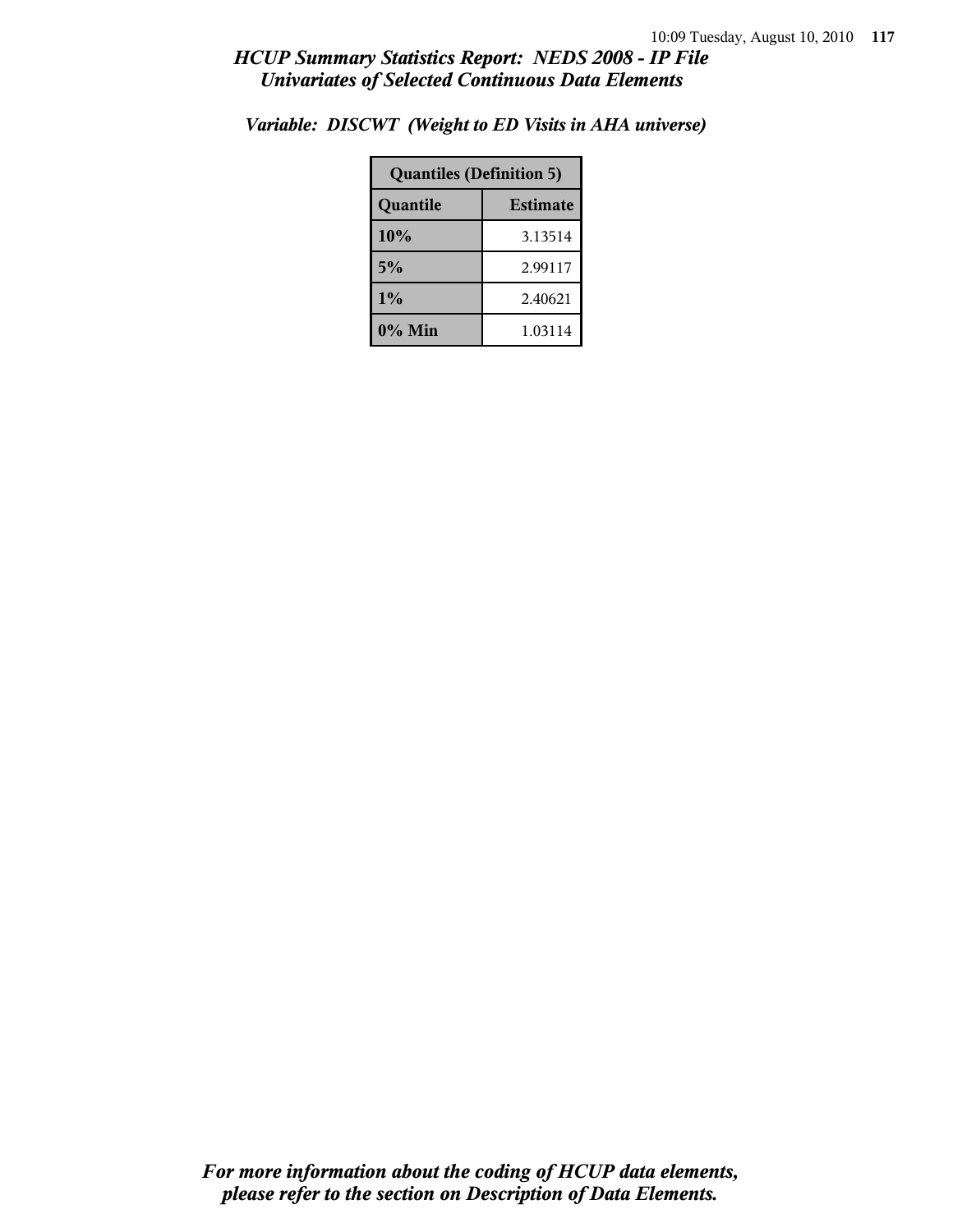| <b>Quantiles (Definition 5)</b> |         |  |
|---------------------------------|---------|--|
| <b>Estimate</b><br>Quantile     |         |  |
| 10%                             | 3.13514 |  |
| 5%                              | 2.99117 |  |
| 1%<br>2.40621                   |         |  |
| 0% Min<br>1.03114               |         |  |

*Variable: DISCWT (Weight to ED Visits in AHA universe)*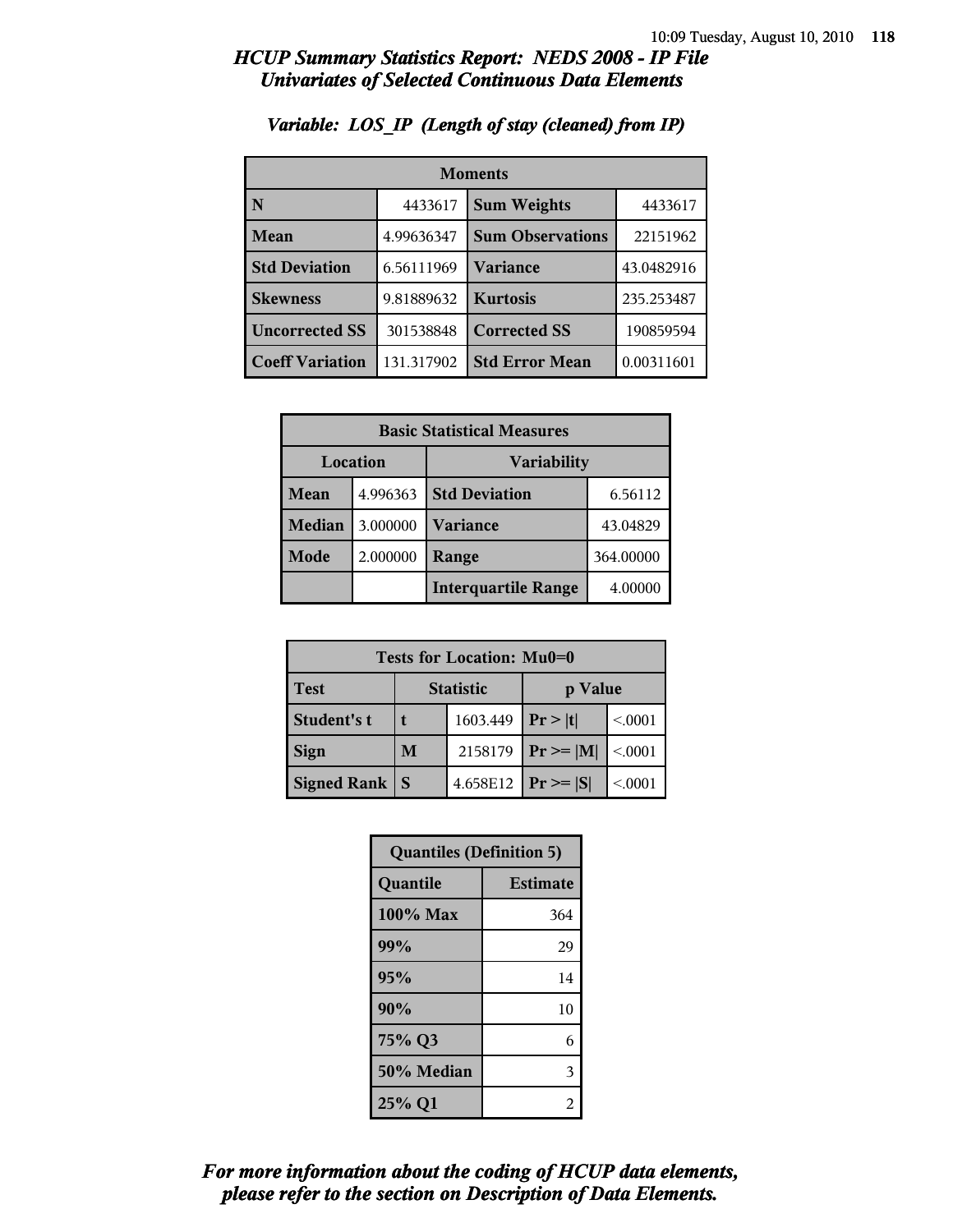| <b>Moments</b>         |            |                         |            |
|------------------------|------------|-------------------------|------------|
| N                      | 4433617    | <b>Sum Weights</b>      | 4433617    |
| Mean                   | 4.99636347 | <b>Sum Observations</b> | 22151962   |
| <b>Std Deviation</b>   | 6.56111969 | Variance                | 43.0482916 |
| <b>Skewness</b>        | 9.81889632 | <b>Kurtosis</b>         | 235.253487 |
| <b>Uncorrected SS</b>  | 301538848  | <b>Corrected SS</b>     | 190859594  |
| <b>Coeff Variation</b> | 131.317902 | <b>Std Error Mean</b>   | 0.00311601 |

### *Variable: LOS\_IP (Length of stay (cleaned) from IP)*

| <b>Basic Statistical Measures</b> |          |                            |          |
|-----------------------------------|----------|----------------------------|----------|
| Location<br><b>Variability</b>    |          |                            |          |
| Mean                              | 4.996363 | <b>Std Deviation</b>       | 6.56112  |
| Median                            | 3.000000 | <b>Variance</b>            | 43.04829 |
| <b>Mode</b>                       | 2.000000 | 364.00000<br>Range         |          |
|                                   |          | <b>Interquartile Range</b> | 4.00000  |

| Tests for Location: Mu0=0 |                             |          |                |         |
|---------------------------|-----------------------------|----------|----------------|---------|
| <b>Test</b>               | <b>Statistic</b><br>p Value |          |                |         |
| Student's t               | 1603.449                    |          | Pr >  t        | < 0.001 |
| <b>Sign</b>               | M<br>2158179                |          | $Pr \ge =  M $ | < 0.001 |
| <b>Signed Rank</b>        | S                           | 4.658E12 | $Pr \geq  S $  | < 0.001 |

| <b>Quantiles (Definition 5)</b> |                 |  |
|---------------------------------|-----------------|--|
| Quantile                        | <b>Estimate</b> |  |
| 100% Max                        | 364             |  |
| 99%                             | 29              |  |
| 95%<br>14                       |                 |  |
| 90%                             | 10              |  |
| 75% Q3<br>6                     |                 |  |
| 50% Median<br>3                 |                 |  |
| 25% Q1<br>2                     |                 |  |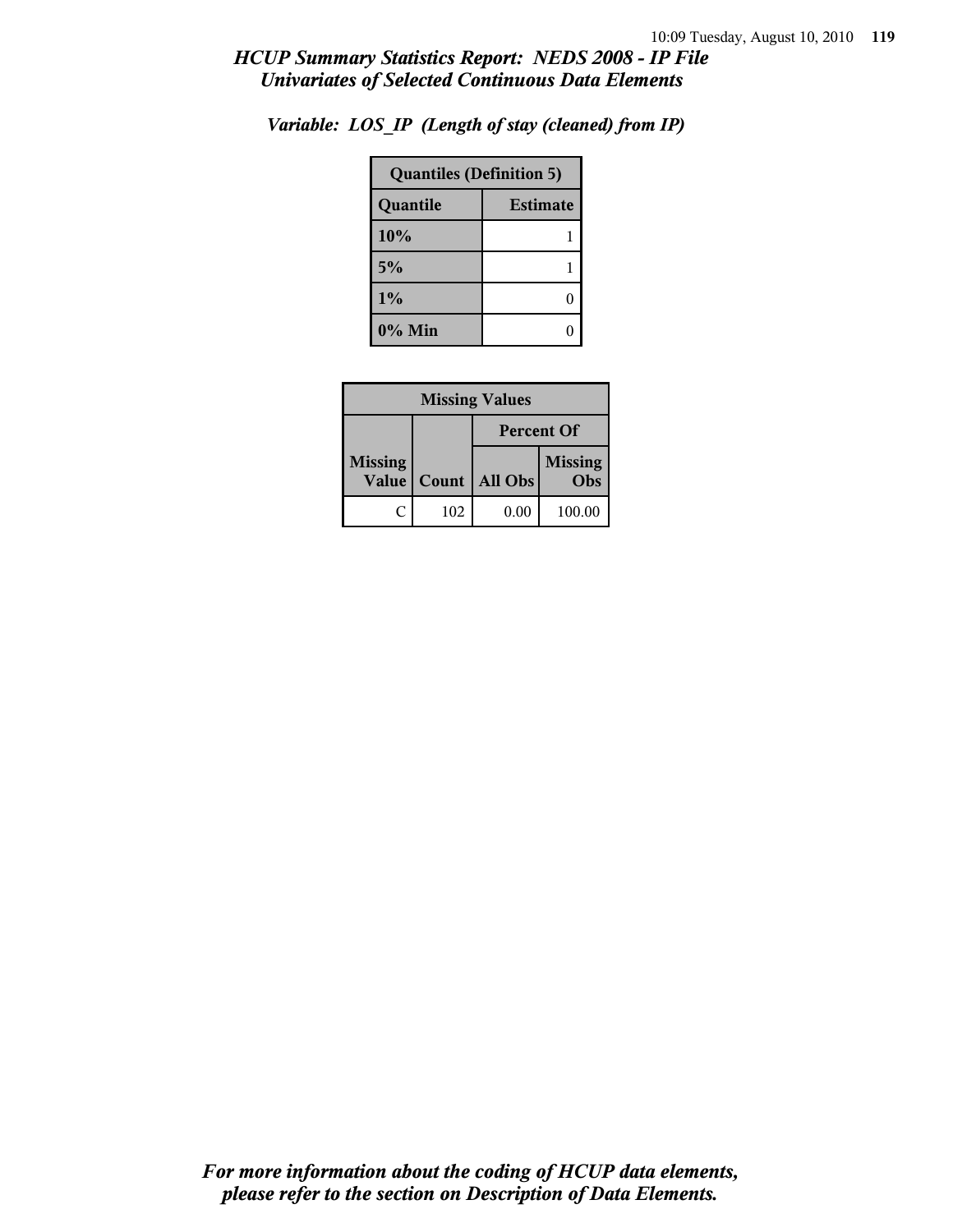| <b>Quantiles (Definition 5)</b> |  |  |
|---------------------------------|--|--|
| <b>Estimate</b><br>Quantile     |  |  |
| 10%                             |  |  |
| 5%                              |  |  |
| 1%                              |  |  |
| $0\%$ Min                       |  |  |

*Variable: LOS\_IP (Length of stay (cleaned) from IP)*

| <b>Missing Values</b>   |                   |         |                       |
|-------------------------|-------------------|---------|-----------------------|
|                         | <b>Percent Of</b> |         |                       |
| <b>Missing</b><br>Value | Count             | All Obs | <b>Missing</b><br>Obs |
| C                       | 102               | 0.00    | 100.00                |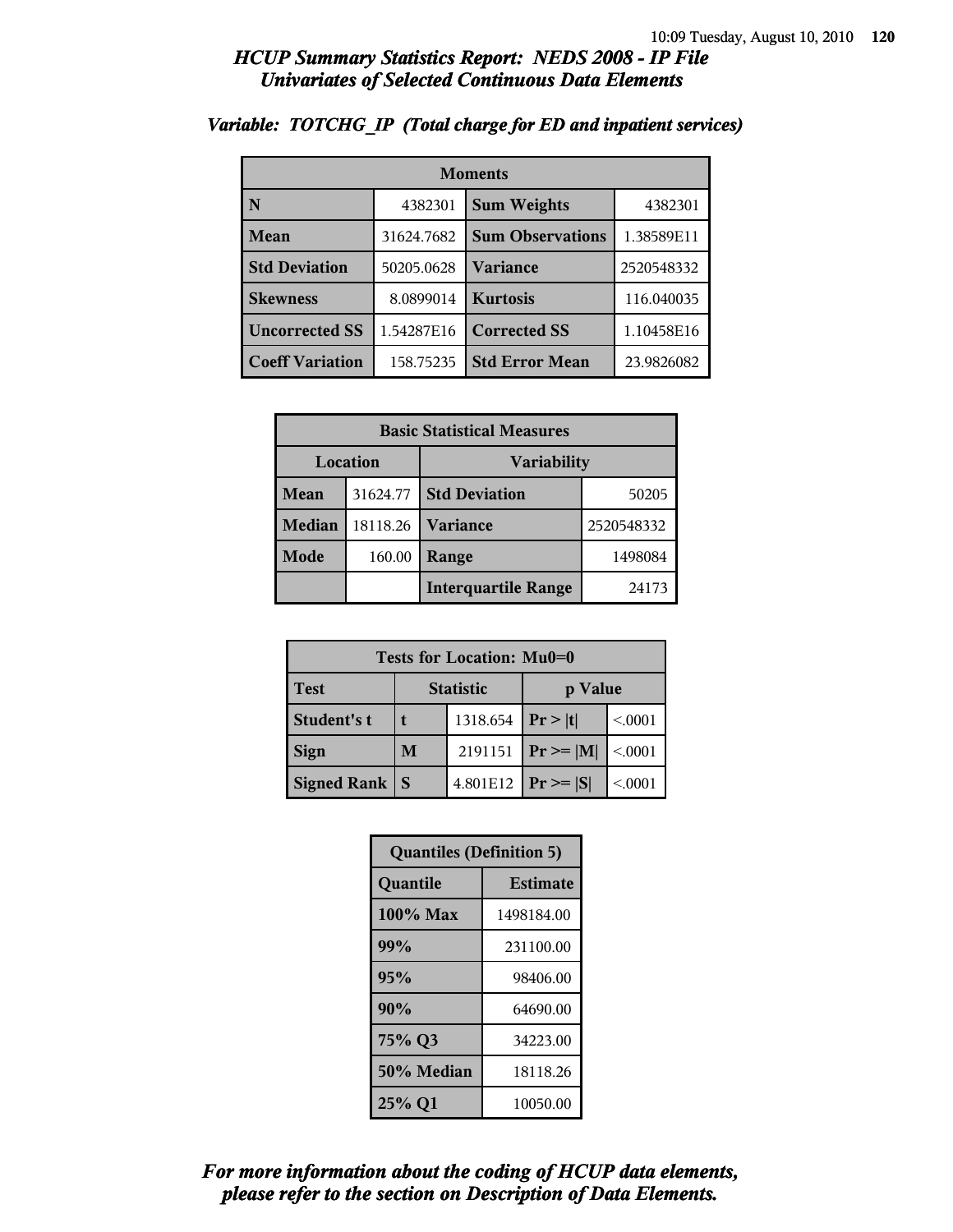| <b>Moments</b>         |            |                         |            |
|------------------------|------------|-------------------------|------------|
| N                      | 4382301    | <b>Sum Weights</b>      | 4382301    |
| Mean                   | 31624.7682 | <b>Sum Observations</b> | 1.38589E11 |
| <b>Std Deviation</b>   | 50205.0628 | Variance                | 2520548332 |
| <b>Skewness</b>        | 8.0899014  | <b>Kurtosis</b>         | 116.040035 |
| <b>Uncorrected SS</b>  | 1.54287E16 | <b>Corrected SS</b>     | 1.10458E16 |
| <b>Coeff Variation</b> | 158.75235  | <b>Std Error Mean</b>   | 23.9826082 |

### *Variable: TOTCHG\_IP (Total charge for ED and inpatient services)*

|                         | <b>Basic Statistical Measures</b> |                            |            |  |
|-------------------------|-----------------------------------|----------------------------|------------|--|
| Location<br>Variability |                                   |                            |            |  |
| Mean                    | 31624.77                          | <b>Std Deviation</b>       | 50205      |  |
| <b>Median</b>           | 18118.26                          | <b>Variance</b>            | 2520548332 |  |
| Mode                    | 160.00                            | Range                      | 1498084    |  |
|                         |                                   | <b>Interquartile Range</b> | 24173      |  |

| Tests for Location: Mu0=0 |                             |  |               |         |
|---------------------------|-----------------------------|--|---------------|---------|
| <b>Test</b>               | <b>Statistic</b><br>p Value |  |               |         |
| Student's t               | 1318.654                    |  | Pr >  t       | < 0.001 |
| <b>Sign</b>               | 2191151<br>M                |  | $Pr \geq  M $ | < 0001  |
| <b>Signed Rank</b>        | 4.801E12<br>S               |  | $ Pr \ge  S $ | < 0.001 |

| <b>Quantiles (Definition 5)</b> |                 |  |
|---------------------------------|-----------------|--|
| Quantile                        | <b>Estimate</b> |  |
| 100% Max                        | 1498184.00      |  |
| 99%<br>231100.00                |                 |  |
| 95%<br>98406.00                 |                 |  |
| 90%<br>64690.00                 |                 |  |
| 75% Q3<br>34223.00              |                 |  |
| 50% Median<br>18118.26          |                 |  |
| 25% Q1<br>10050.00              |                 |  |